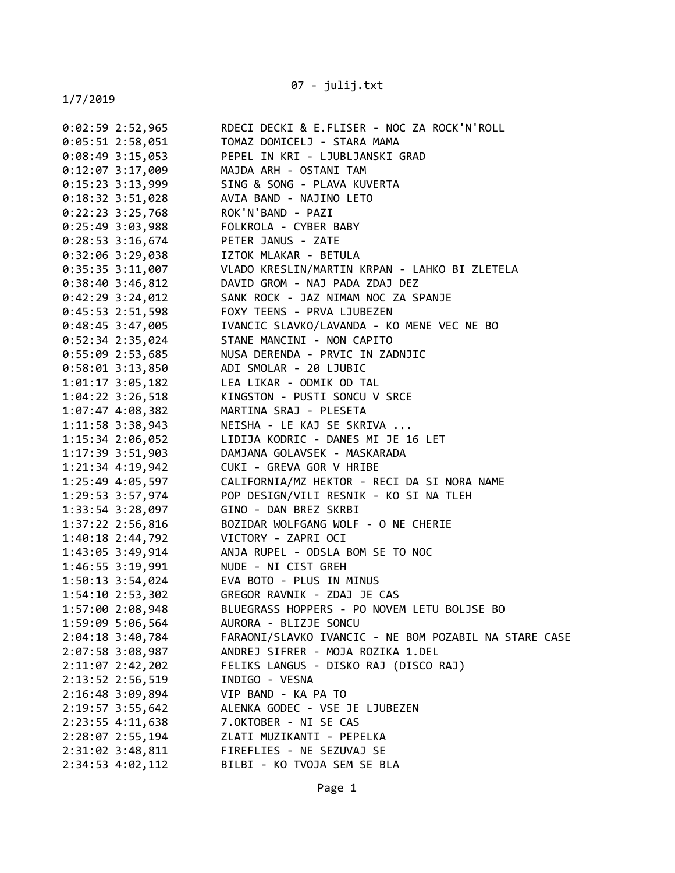07 - julij.txt

| 0:02:59 2:52,965 | RDECI DECKI & E.FLISER - NOC ZA ROCK'N'ROLL             |
|------------------|---------------------------------------------------------|
| 0:05:51 2:58,051 | TOMAZ DOMICELJ - STARA MAMA                             |
| 0:08:49 3:15,053 | PEPEL IN KRI - LJUBLJANSKI GRAD                         |
| 0:12:07 3:17,009 | MAJDA ARH - OSTANI TAM                                  |
| 0:15:23 3:13,999 | SING & SONG - PLAVA KUVERTA                             |
| 0:18:32 3:51,028 | AVIA BAND - NAJINO LETO                                 |
| 0:22:23 3:25,768 | ROK'N'BAND - PAZI                                       |
| 0:25:49 3:03,988 | FOLKROLA - CYBER BABY                                   |
| 0:28:53 3:16,674 | PETER JANUS - ZATE                                      |
| 0:32:06 3:29,038 | IZTOK MLAKAR - BETULA                                   |
| 0:35:35 3:11,007 | VLADO KRESLIN/MARTIN KRPAN - LAHKO BI ZLETELA           |
| 0:38:40 3:46,812 | DAVID GROM - NAJ PADA ZDAJ DEZ                          |
| 0:42:29 3:24,012 | SANK ROCK - JAZ NIMAM NOC ZA SPANJE                     |
| 0:45:53 2:51,598 | FOXY TEENS - PRVA LJUBEZEN                              |
| 0:48:45 3:47,005 | IVANCIC SLAVKO/LAVANDA - KO MENE VEC NE BO              |
| 0:52:34 2:35,024 | STANE MANCINI - NON CAPITO                              |
|                  |                                                         |
| 0:58:01 3:13,850 | ADI SMOLAR - 20 LJUBIC                                  |
| 1:01:17 3:05,182 | LEA LIKAR - ODMIK OD TAL                                |
| 1:04:22 3:26,518 | KINGSTON - PUSTI SONCU V SRCE                           |
| 1:07:47 4:08,382 | MARTINA SRAJ - PLESETA                                  |
| 1:11:58 3:38,943 | NEISHA - LE KAJ SE SKRIVA                               |
| 1:15:34 2:06,052 | LIDIJA KODRIC - DANES MI JE 16 LET                      |
| 1:17:39 3:51,903 | DAMJANA GOLAVSEK - MASKARADA                            |
| 1:21:34 4:19,942 | CUKI - GREVA GOR V HRIBE                                |
| 1:25:49 4:05,597 | CALIFORNIA/MZ HEKTOR - RECI DA SI NORA NAME             |
| 1:29:53 3:57,974 | POP DESIGN/VILI RESNIK - KO SI NA TLEH                  |
| 1:33:54 3:28,097 | GINO - DAN BREZ SKRBI                                   |
| 1:37:22 2:56,816 | BOZIDAR WOLFGANG WOLF - O NE CHERIE                     |
|                  |                                                         |
|                  | 1:43:05 3:49,914       ANJA RUPEL - ODSLA BOM SE TO NOC |
|                  | 1:46:55 3:19,991 NUDE - NI CIST GREH                    |
|                  | 1:50:13 3:54,024 EVA BOTO - PLUS IN MINUS               |
| 1:54:10 2:53,302 | GREGOR RAVNIK - ZDAJ JE CAS                             |
| 1:57:00 2:08,948 | BLUEGRASS HOPPERS - PO NOVEM LETU BOLJSE BO             |
| 1:59:09 5:06,564 | AURORA - BLIZJE SONCU                                   |
| 2:04:18 3:40,784 | FARAONI/SLAVKO IVANCIC - NE BOM POZABIL NA STARE CASE   |
| 2:07:58 3:08,987 | ANDREJ SIFRER - MOJA ROZIKA 1.DEL                       |
| 2:11:07 2:42,202 | FELIKS LANGUS - DISKO RAJ (DISCO RAJ)                   |
| 2:13:52 2:56,519 | INDIGO - VESNA                                          |
| 2:16:48 3:09,894 | VIP BAND - KA PA TO                                     |
| 2:19:57 3:55,642 | ALENKA GODEC - VSE JE LJUBEZEN                          |
| 2:23:55 4:11,638 | 7.OKTOBER - NI SE CAS                                   |
| 2:28:07 2:55,194 | ZLATI MUZIKANTI - PEPELKA                               |
| 2:31:02 3:48,811 | FIREFLIES - NE SEZUVAJ SE                               |
| 2:34:53 4:02,112 | BILBI - KO TVOJA SEM SE BLA                             |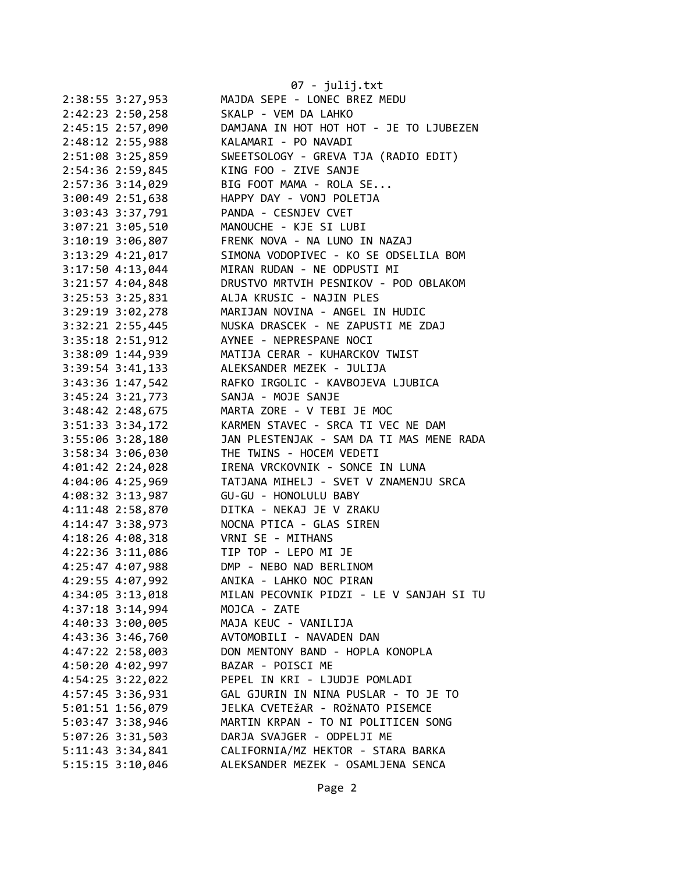|                      | $07 - julij.txt$                         |
|----------------------|------------------------------------------|
| 2:38:55 3:27,953     | MAJDA SEPE - LONEC BREZ MEDU             |
| 2:42:23 2:50,258     | SKALP - VEM DA LAHKO                     |
| 2:45:15 2:57,090     | DAMJANA IN HOT HOT HOT - JE TO LJUBEZEN  |
| 2:48:12 2:55,988     | KALAMARI - PO NAVADI                     |
| 2:51:08 3:25,859     | SWEETSOLOGY - GREVA TJA (RADIO EDIT)     |
| 2:54:36 2:59,845     | KING FOO - ZIVE SANJE                    |
| 2:57:36 3:14,029     | BIG FOOT MAMA - ROLA SE                  |
| 3:00:49 2:51,638     | HAPPY DAY - VONJ POLETJA                 |
| 3:03:43 3:37,791     | PANDA - CESNJEV CVET                     |
| 3:07:21 3:05,510     | MANOUCHE - KJE SI LUBI                   |
| 3:10:19 3:06,807     | FRENK NOVA - NA LUNO IN NAZAJ            |
| 3:13:29 4:21,017     | SIMONA VODOPIVEC - KO SE ODSELILA BOM    |
| $3:17:50$ 4:13,044   | MIRAN RUDAN - NE ODPUSTI MI              |
| $3:21:57$ 4:04,848   | DRUSTVO MRTVIH PESNIKOV - POD OBLAKOM    |
| 3:25:53 3:25,831     | ALJA KRUSIC - NAJIN PLES                 |
| 3:29:19 3:02,278     | MARIJAN NOVINA - ANGEL IN HUDIC          |
| 3:32:21 2:55,445     | NUSKA DRASCEK - NE ZAPUSTI ME ZDAJ       |
| 3:35:18 2:51,912     | AYNEE - NEPRESPANE NOCI                  |
| 3:38:09 1:44,939     | MATIJA CERAR - KUHARCKOV TWIST           |
| $3:39:54$ $3:41,133$ | ALEKSANDER MEZEK - JULIJA                |
| 3:43:36 1:47,542     | RAFKO IRGOLIC - KAVBOJEVA LJUBICA        |
| 3:45:24 3:21,773     | SANJA - MOJE SANJE                       |
| 3:48:42 2:48,675     | MARTA ZORE - V TEBI JE MOC               |
| 3:51:33 3:34,172     | KARMEN STAVEC - SRCA TI VEC NE DAM       |
| 3:55:06 3:28,180     | JAN PLESTENJAK - SAM DA TI MAS MENE RADA |
| 3:58:34 3:06,030     | THE TWINS - HOCEM VEDETI                 |
| 4:01:42 2:24,028     | IRENA VRCKOVNIK - SONCE IN LUNA          |
| 4:04:06 4:25,969     | TATJANA MIHELJ - SVET V ZNAMENJU SRCA    |
| 4:08:32 3:13,987     | GU-GU - HONOLULU BABY                    |
| 4:11:48 2:58,870     | DITKA - NEKAJ JE V ZRAKU                 |
| 4:14:47 3:38,973     | NOCNA PTICA - GLAS SIREN                 |
| 4:18:26 4:08,318     | VRNI SE - MITHANS                        |
| 4:22:36 3:11,086     | TIP TOP - LEPO MI JE                     |
| 4:25:47 4:07,988     | DMP - NEBO NAD BERLINOM                  |
| 4:29:55 4:07,992     | ANIKA - LAHKO NOC PIRAN                  |
| 4:34:05 3:13,018     | MILAN PECOVNIK PIDZI - LE V SANJAH SI TU |
| 4:37:18 3:14,994     | MOJCA - ZATE                             |
| 4:40:33 3:00,005     | MAJA KEUC - VANILIJA                     |
| 4:43:36 3:46,760     | AVTOMOBILI - NAVADEN DAN                 |
| 4:47:22 2:58,003     | DON MENTONY BAND - HOPLA KONOPLA         |
| 4:50:20 4:02,997     | BAZAR - POISCI ME                        |
| 4:54:25 3:22,022     | PEPEL IN KRI - LJUDJE POMLADI            |
| 4:57:45 3:36,931     | GAL GJURIN IN NINA PUSLAR - TO JE TO     |
| 5:01:51 1:56,079     | JELKA CVETEŽAR - ROŽNATO PISEMCE         |
| 5:03:47 3:38,946     | MARTIN KRPAN - TO NI POLITICEN SONG      |
| 5:07:26 3:31,503     | DARJA SVAJGER - ODPELJI ME               |
| 5:11:43 3:34,841     | CALIFORNIA/MZ HEKTOR - STARA BARKA       |
| 5:15:15 3:10,046     | ALEKSANDER MEZEK - OSAMLJENA SENCA       |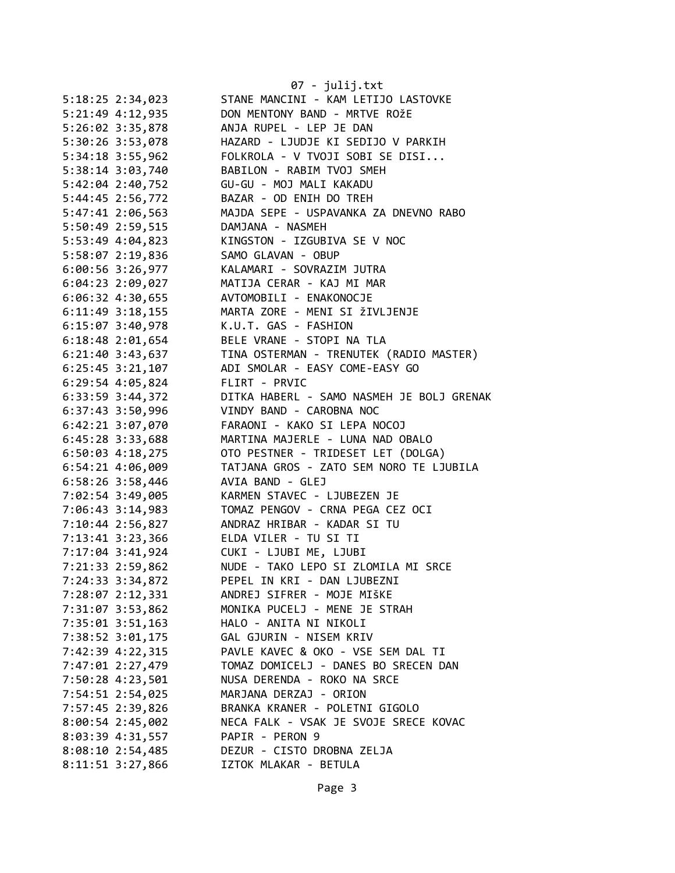|                    | 07 - julij.txt                            |
|--------------------|-------------------------------------------|
| 5:18:25 2:34,023   | STANE MANCINI - KAM LETIJO LASTOVKE       |
| 5:21:49 4:12,935   | DON MENTONY BAND - MRTVE ROŽE             |
| 5:26:02 3:35,878   | ANJA RUPEL - LEP JE DAN                   |
| 5:30:26 3:53,078   | HAZARD - LJUDJE KI SEDIJO V PARKIH        |
| 5:34:18 3:55,962   | FOLKROLA - V TVOJI SOBI SE DISI           |
| 5:38:14 3:03,740   | BABILON - RABIM TVOJ SMEH                 |
| 5:42:04 2:40,752   | GU-GU - MOJ MALI KAKADU                   |
| 5:44:45 2:56,772   | BAZAR - OD ENIH DO TREH                   |
| 5:47:41 2:06,563   | MAJDA SEPE - USPAVANKA ZA DNEVNO RABO     |
| 5:50:49 2:59,515   | DAMJANA - NASMEH                          |
| 5:53:49 4:04,823   | KINGSTON - IZGUBIVA SE V NOC              |
| 5:58:07 2:19,836   | SAMO GLAVAN - OBUP                        |
| 6:00:56 3:26,977   | KALAMARI - SOVRAZIM JUTRA                 |
| 6:04:23 2:09,027   | MATIJA CERAR - KAJ MI MAR                 |
| 6:06:32 4:30,655   | AVTOMOBILI - ENAKONOCJE                   |
| 6:11:49 3:18,155   | MARTA ZORE - MENI SI ŽIVLJENJE            |
| 6:15:07 3:40,978   | K.U.T. GAS - FASHION                      |
| 6:18:48 2:01,654   | BELE VRANE - STOPI NA TLA                 |
| 6:21:40 3:43,637   | TINA OSTERMAN - TRENUTEK (RADIO MASTER)   |
| $6:25:45$ 3:21,107 | ADI SMOLAR - EASY COME-EASY GO            |
| 6:29:54 4:05,824   | FLIRT - PRVIC                             |
|                    | DITKA HABERL - SAMO NASMEH JE BOLJ GRENAK |
| 6:33:59 3:44,372   |                                           |
| 6:37:43 3:50,996   | VINDY BAND - CAROBNA NOC                  |
| 6:42:21 3:07,070   | FARAONI - KAKO SI LEPA NOCOJ              |
| 6:45:28 3:33,688   | MARTINA MAJERLE - LUNA NAD OBALO          |
| $6:50:03$ 4:18,275 | OTO PESTNER - TRIDESET LET (DOLGA)        |
| 6:54:21 4:06,009   | TATJANA GROS - ZATO SEM NORO TE LJUBILA   |
| 6:58:26 3:58,446   | AVIA BAND - GLEJ                          |
| 7:02:54 3:49,005   | KARMEN STAVEC - LJUBEZEN JE               |
| 7:06:43 3:14,983   | TOMAZ PENGOV - CRNA PEGA CEZ OCI          |
| 7:10:44 2:56,827   | ANDRAZ HRIBAR - KADAR SI TU               |
| 7:13:41 3:23,366   | ELDA VILER - TU SI TI                     |
| 7:17:04 3:41,924   | CUKI - LJUBI ME, LJUBI                    |
| 7:21:33 2:59,862   | NUDE - TAKO LEPO SI ZLOMILA MI SRCE       |
| 7:24:33 3:34,872   | PEPEL IN KRI - DAN LJUBEZNI               |
| 7:28:07 2:12,331   | ANDREJ SIFRER - MOJE MIŠKE                |
| 7:31:07 3:53,862   | MONIKA PUCELJ - MENE JE STRAH             |
| 7:35:01 3:51,163   | HALO - ANITA NI NIKOLI                    |
| 7:38:52 3:01,175   | GAL GJURIN - NISEM KRIV                   |
| 7:42:39 4:22,315   | PAVLE KAVEC & OKO - VSE SEM DAL TI        |
| 7:47:01 2:27,479   | TOMAZ DOMICELJ - DANES BO SRECEN DAN      |
| 7:50:28 4:23,501   | NUSA DERENDA - ROKO NA SRCE               |
| 7:54:51 2:54,025   | MARJANA DERZAJ - ORION                    |
| 7:57:45 2:39,826   | BRANKA KRANER - POLETNI GIGOLO            |
| $8:00:54$ 2:45,002 | NECA FALK - VSAK JE SVOJE SRECE KOVAC     |
| 8:03:39 4:31,557   | PAPIR - PERON 9                           |
| $8:08:10$ 2:54,485 | DEZUR - CISTO DROBNA ZELJA                |
| 8:11:51 3:27,866   | IZTOK MLAKAR - BETULA                     |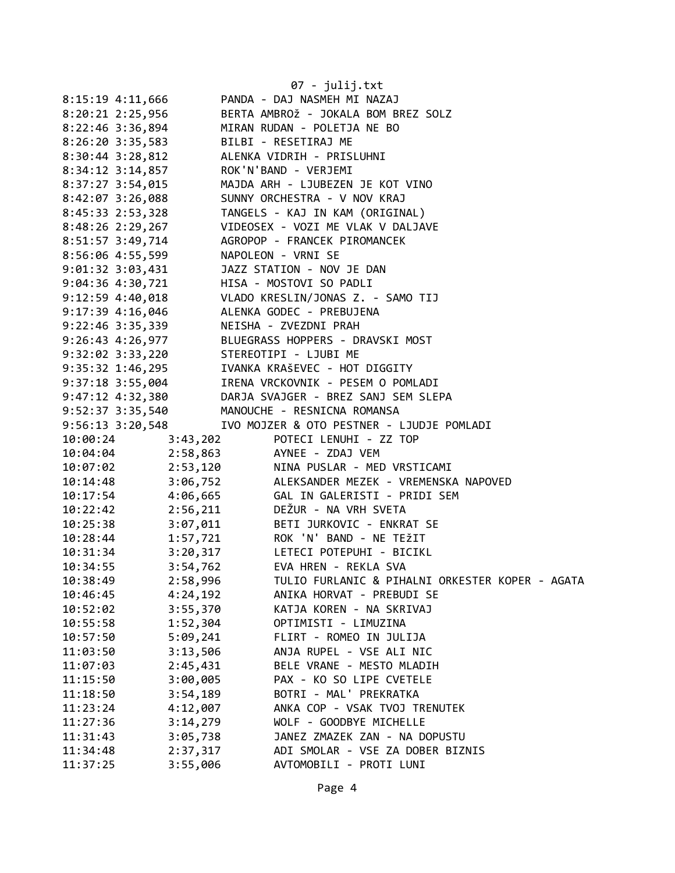|                                                | 07 - julij.txt                                                                                                                                                                                                     |
|------------------------------------------------|--------------------------------------------------------------------------------------------------------------------------------------------------------------------------------------------------------------------|
| 8:15:19 4:11,666                               | PANDA - DAJ NASMEH MI NAZAJ                                                                                                                                                                                        |
|                                                | 8:20:21 2:25,956 BERTA AMBROŽ - JOKALA BOM BREZ SOLZ                                                                                                                                                               |
|                                                | 8:22:46 3:36,894 MIRAN RUDAN - POLETJA NE BO                                                                                                                                                                       |
| 8:26:20 3:35,583 BILBI - RESETIRAJ ME          |                                                                                                                                                                                                                    |
|                                                | 8:30:44 3:28,812 ALENKA VIDRIH - PRISLUHNI                                                                                                                                                                         |
| 8:34:12 3:14,857 ROK'N'BAND - VERJEMI          |                                                                                                                                                                                                                    |
|                                                | 8:37:27 3:54,015<br>8:42:07 3:26,088<br>8:45:33 2:53,328<br>MAJDA ARH - LJUBEZEN JE KOT VINO<br>8:45:33 2:53,328<br>MAJDA ARH - LJUBEZEN JE KOT VINO<br>TANGELS - KAJ IN KAM (ORIGINAL)                            |
|                                                |                                                                                                                                                                                                                    |
|                                                |                                                                                                                                                                                                                    |
|                                                | 8:48:26 2:29,267 VIDEOSEX - VOZI ME VLAK V DALJAVE                                                                                                                                                                 |
|                                                | 8:51:57 3:49,714 AGROPOP - FRANCEK PIROMANCEK                                                                                                                                                                      |
| 8:56:06 4:55,599 NAPOLEON - VRNI SE            |                                                                                                                                                                                                                    |
|                                                |                                                                                                                                                                                                                    |
|                                                |                                                                                                                                                                                                                    |
|                                                |                                                                                                                                                                                                                    |
|                                                | 9:01:32 3:03,431 JAZZ STATION - NOV JE DAN<br>9:04:36 4:30,721 HISA - MOSTOVI SO PADLI<br>9:12:59 4:40,018 VLADO KRESLIN/JONAS Z. - SAMO TIJ<br>9:17:39 4:16,046 ALENKA GODEC - PREBUJENA                          |
| 9:22:46 3:35,339         NEISHA - ZVEZDNI PRAH |                                                                                                                                                                                                                    |
|                                                | 9:26:43 4:26,977 BLUEGRASS HOPPERS - DRAVSKI MOST                                                                                                                                                                  |
| 9:32:02 3:33,220 STEREOTIPI - LJUBI ME         |                                                                                                                                                                                                                    |
|                                                |                                                                                                                                                                                                                    |
|                                                |                                                                                                                                                                                                                    |
|                                                | 9:35:32 1:46,295<br>9:37:18 3:55,004<br>9:47:12 4:32,380<br>9:52:37 3:35,540<br>P.52:37 3:35,540<br>P.52:37 3:35,540<br>P.710 MANOUCHE - RESNICNA ROMANSA<br>P.52:37 3:35,540<br>P.710 MANOUCHE - RESNICNA ROMANSA |
|                                                |                                                                                                                                                                                                                    |
|                                                | 9:56:13 3:20,548 IVO MOJZER & OTO PESTNER - LJUDJE POMLADI                                                                                                                                                         |
| 3:43,202<br>10:00:24                           | POTECI LENUHI - ZZ TOP                                                                                                                                                                                             |
| 10:04:04 2:58,863                              | AYNEE - ZDAJ VEM                                                                                                                                                                                                   |
| 2:53,120<br>10:07:02                           | NINA PUSLAR - MED VRSTICAMI                                                                                                                                                                                        |
| 10:14:48                                       | ALEKSANDER MEZEK - VREMENSKA NAPOVED                                                                                                                                                                               |
| $3:06,752$<br>$4:06,665$<br>10:17:54           | GAL IN GALERISTI - PRIDI SEM                                                                                                                                                                                       |
| 2:56,211<br>10:22:42                           | DEŽUR - NA VRH SVETA                                                                                                                                                                                               |
| 3:07,011<br>10:25:38                           | BETI JURKOVIC - ENKRAT SE                                                                                                                                                                                          |
| 1:57,721<br>10:28:44                           | ROK 'N' BAND - NE TEŽIT                                                                                                                                                                                            |
| 10:31:34<br>3:20,317                           | LETECI POTEPUHI - BICIKL                                                                                                                                                                                           |
| 3:54,762<br>10:34:55                           | EVA HREN - REKLA SVA                                                                                                                                                                                               |
| 2:58,996<br>10:38:49                           | TULIO FURLANIC & PIHALNI ORKESTER KOPER - AGATA                                                                                                                                                                    |
| 4:24,192<br>10:46:45                           | ANIKA HORVAT - PREBUDI SE                                                                                                                                                                                          |
| 3:55,370<br>10:52:02                           | KATJA KOREN - NA SKRIVAJ                                                                                                                                                                                           |
| 1:52,304<br>10:55:58                           | OPTIMISTI - LIMUZINA                                                                                                                                                                                               |
| 10:57:50<br>5:09,241                           | FLIRT - ROMEO IN JULIJA                                                                                                                                                                                            |
| 11:03:50<br>3:13,506                           | ANJA RUPEL - VSE ALI NIC                                                                                                                                                                                           |
| 2:45,431<br>11:07:03                           | BELE VRANE - MESTO MLADIH                                                                                                                                                                                          |
| 3:00,005<br>11:15:50                           | PAX - KO SO LIPE CVETELE                                                                                                                                                                                           |
| 3:54,189<br>11:18:50                           | BOTRI - MAL' PREKRATKA                                                                                                                                                                                             |
| 11:23:24<br>4:12,007                           | ANKA COP - VSAK TVOJ TRENUTEK                                                                                                                                                                                      |
| 3:14,279<br>11:27:36                           | WOLF - GOODBYE MICHELLE                                                                                                                                                                                            |
| 11:31:43<br>3:05,738                           | JANEZ ZMAZEK ZAN - NA DOPUSTU                                                                                                                                                                                      |
| 11:34:48<br>2:37,317                           | ADI SMOLAR - VSE ZA DOBER BIZNIS                                                                                                                                                                                   |
| 11:37:25<br>3:55,006                           | AVTOMOBILI - PROTI LUNI                                                                                                                                                                                            |
|                                                |                                                                                                                                                                                                                    |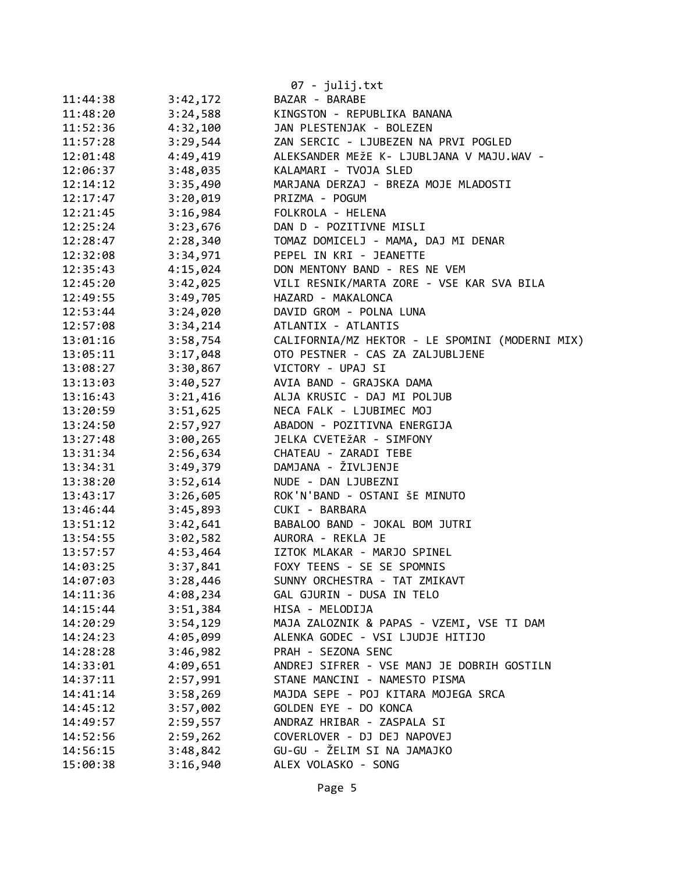|          |          | 07 - julij.txt                                  |
|----------|----------|-------------------------------------------------|
| 11:44:38 | 3:42,172 | BAZAR - BARABE                                  |
| 11:48:20 | 3:24,588 | KINGSTON - REPUBLIKA BANANA                     |
| 11:52:36 | 4:32,100 | JAN PLESTENJAK - BOLEZEN                        |
| 11:57:28 | 3:29,544 | ZAN SERCIC - LJUBEZEN NA PRVI POGLED            |
| 12:01:48 | 4:49,419 | ALEKSANDER MEŽE K- LJUBLJANA V MAJU.WAV -       |
| 12:06:37 | 3:48,035 | KALAMARI - TVOJA SLED                           |
| 12:14:12 | 3:35,490 | MARJANA DERZAJ - BREZA MOJE MLADOSTI            |
| 12:17:47 | 3:20,019 | PRIZMA - POGUM                                  |
| 12:21:45 | 3:16,984 | FOLKROLA - HELENA                               |
| 12:25:24 | 3:23,676 | DAN D - POZITIVNE MISLI                         |
| 12:28:47 | 2:28,340 | TOMAZ DOMICELJ - MAMA, DAJ MI DENAR             |
| 12:32:08 | 3:34,971 | PEPEL IN KRI - JEANETTE                         |
| 12:35:43 | 4:15,024 | DON MENTONY BAND - RES NE VEM                   |
| 12:45:20 | 3:42,025 | VILI RESNIK/MARTA ZORE - VSE KAR SVA BILA       |
| 12:49:55 | 3:49,705 | HAZARD - MAKALONCA                              |
| 12:53:44 | 3:24,020 | DAVID GROM - POLNA LUNA                         |
| 12:57:08 | 3:34,214 | ATLANTIX - ATLANTIS                             |
| 13:01:16 | 3:58,754 | CALIFORNIA/MZ HEKTOR - LE SPOMINI (MODERNI MIX) |
| 13:05:11 | 3:17,048 | OTO PESTNER - CAS ZA ZALJUBLJENE                |
| 13:08:27 | 3:30,867 | VICTORY - UPAJ SI                               |
| 13:13:03 | 3:40,527 | AVIA BAND - GRAJSKA DAMA                        |
| 13:16:43 | 3:21,416 | ALJA KRUSIC - DAJ MI POLJUB                     |
| 13:20:59 | 3:51,625 | NECA FALK - LJUBIMEC MOJ                        |
| 13:24:50 | 2:57,927 | ABADON - POZITIVNA ENERGIJA                     |
| 13:27:48 | 3:00,265 | JELKA CVETEŽAR - SIMFONY                        |
| 13:31:34 | 2:56,634 | CHATEAU - ZARADI TEBE                           |
| 13:34:31 | 3:49,379 | DAMJANA - ŽIVLJENJE                             |
| 13:38:20 | 3:52,614 | NUDE - DAN LJUBEZNI                             |
| 13:43:17 | 3:26,605 | ROK'N'BAND - OSTANI ŠE MINUTO                   |
| 13:46:44 | 3:45,893 | CUKI - BARBARA                                  |
| 13:51:12 | 3:42,641 | BABALOO BAND - JOKAL BOM JUTRI                  |
| 13:54:55 | 3:02,582 | AURORA - REKLA JE                               |
| 13:57:57 | 4:53,464 | IZTOK MLAKAR - MARJO SPINEL                     |
| 14:03:25 | 3:37,841 | FOXY TEENS - SE SE SPOMNIS                      |
| 14:07:03 | 3:28,446 | SUNNY ORCHESTRA - TAT ZMIKAVT                   |
| 14:11:36 | 4:08,234 | GAL GJURIN - DUSA IN TELO                       |
| 14:15:44 | 3:51,384 | HISA - MELODIJA                                 |
| 14:20:29 | 3:54,129 | MAJA ZALOZNIK & PAPAS - VZEMI, VSE TI DAM       |
| 14:24:23 | 4:05,099 | ALENKA GODEC - VSI LJUDJE HITIJO                |
| 14:28:28 | 3:46,982 | PRAH - SEZONA SENC                              |
| 14:33:01 | 4:09,651 | ANDREJ SIFRER - VSE MANJ JE DOBRIH GOSTILN      |
| 14:37:11 | 2:57,991 | STANE MANCINI - NAMESTO PISMA                   |
| 14:41:14 | 3:58,269 | MAJDA SEPE - POJ KITARA MOJEGA SRCA             |
| 14:45:12 | 3:57,002 | GOLDEN EYE - DO KONCA                           |
| 14:49:57 | 2:59,557 | ANDRAZ HRIBAR - ZASPALA SI                      |
| 14:52:56 | 2:59,262 | COVERLOVER - DJ DEJ NAPOVEJ                     |
| 14:56:15 | 3:48,842 | GU-GU - ŽELIM SI NA JAMAJKO                     |
| 15:00:38 | 3:16,940 | ALEX VOLASKO - SONG                             |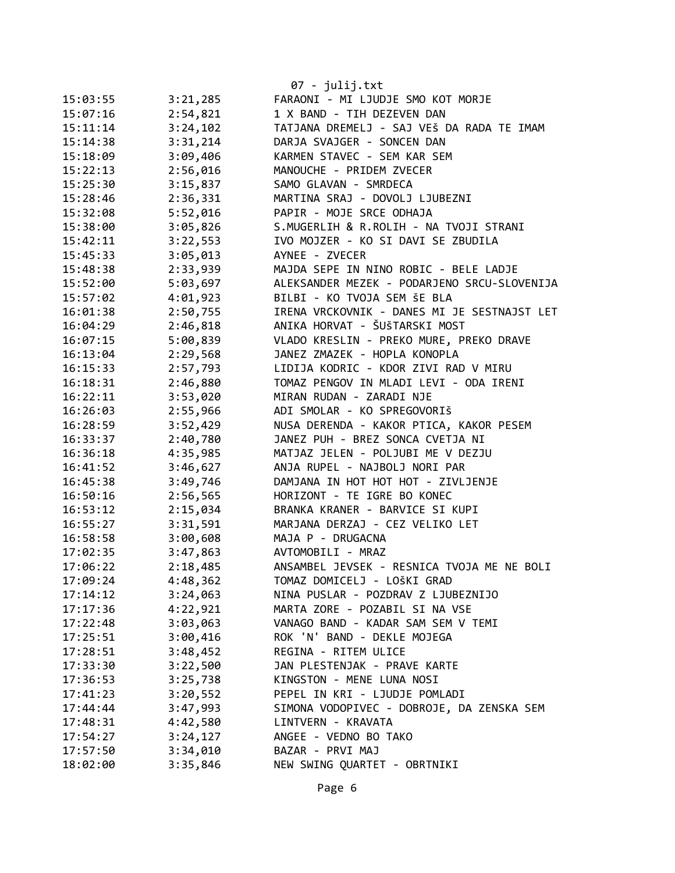|          |          | $07 - julij.txt$                            |
|----------|----------|---------------------------------------------|
| 15:03:55 | 3:21,285 | FARAONI - MI LJUDJE SMO KOT MORJE           |
| 15:07:16 | 2:54,821 | 1 X BAND - TIH DEZEVEN DAN                  |
| 15:11:14 | 3:24,102 | TATJANA DREMELJ - SAJ VEŠ DA RADA TE IMAM   |
| 15:14:38 | 3:31,214 | DARJA SVAJGER - SONCEN DAN                  |
| 15:18:09 | 3:09,406 | KARMEN STAVEC - SEM KAR SEM                 |
| 15:22:13 | 2:56,016 | MANOUCHE - PRIDEM ZVECER                    |
| 15:25:30 | 3:15,837 | SAMO GLAVAN - SMRDECA                       |
| 15:28:46 | 2:36,331 | MARTINA SRAJ - DOVOLJ LJUBEZNI              |
| 15:32:08 | 5:52,016 | PAPIR - MOJE SRCE ODHAJA                    |
| 15:38:00 | 3:05,826 | S.MUGERLIH & R.ROLIH - NA TVOJI STRANI      |
| 15:42:11 | 3:22,553 | IVO MOJZER - KO SI DAVI SE ZBUDILA          |
| 15:45:33 | 3:05,013 | AYNEE - ZVECER                              |
| 15:48:38 | 2:33,939 | MAJDA SEPE IN NINO ROBIC - BELE LADJE       |
| 15:52:00 | 5:03,697 | ALEKSANDER MEZEK - PODARJENO SRCU-SLOVENIJA |
| 15:57:02 | 4:01,923 | BILBI - KO TVOJA SEM ŠE BLA                 |
| 16:01:38 | 2:50,755 | IRENA VRCKOVNIK - DANES MI JE SESTNAJST LET |
| 16:04:29 | 2:46,818 | ANIKA HORVAT - ŠUŠTARSKI MOST               |
| 16:07:15 | 5:00,839 | VLADO KRESLIN - PREKO MURE, PREKO DRAVE     |
| 16:13:04 | 2:29,568 | JANEZ ZMAZEK - HOPLA KONOPLA                |
| 16:15:33 | 2:57,793 | LIDIJA KODRIC - KDOR ZIVI RAD V MIRU        |
| 16:18:31 | 2:46,880 | TOMAZ PENGOV IN MLADI LEVI - ODA IRENI      |
| 16:22:11 | 3:53,020 | MIRAN RUDAN - ZARADI NJE                    |
| 16:26:03 | 2:55,966 | ADI SMOLAR - KO SPREGOVORIŠ                 |
| 16:28:59 | 3:52,429 | NUSA DERENDA - KAKOR PTICA, KAKOR PESEM     |
| 16:33:37 | 2:40,780 | JANEZ PUH - BREZ SONCA CVETJA NI            |
| 16:36:18 | 4:35,985 | MATJAZ JELEN - POLJUBI ME V DEZJU           |
| 16:41:52 | 3:46,627 | ANJA RUPEL - NAJBOLJ NORI PAR               |
| 16:45:38 | 3:49,746 | DAMJANA IN HOT HOT HOT - ZIVLJENJE          |
| 16:50:16 | 2:56,565 | HORIZONT - TE IGRE BO KONEC                 |
| 16:53:12 | 2:15,034 | BRANKA KRANER - BARVICE SI KUPI             |
| 16:55:27 | 3:31,591 | MARJANA DERZAJ - CEZ VELIKO LET             |
| 16:58:58 | 3:00,608 | MAJA P - DRUGACNA                           |
| 17:02:35 | 3:47,863 | AVTOMOBILI - MRAZ                           |
| 17:06:22 | 2:18,485 | ANSAMBEL JEVSEK - RESNICA TVOJA ME NE BOLI  |
| 17:09:24 | 4:48,362 | TOMAZ DOMICELJ - LOŠKI GRAD                 |
| 17:14:12 | 3:24,063 | NINA PUSLAR - POZDRAV Z LJUBEZNIJO          |
| 17:17:36 | 4:22,921 | MARTA ZORE - POZABIL SI NA VSE              |
| 17:22:48 | 3:03,063 | VANAGO BAND - KADAR SAM SEM V TEMI          |
| 17:25:51 | 3:00,416 | ROK 'N' BAND - DEKLE MOJEGA                 |
| 17:28:51 | 3:48,452 | REGINA - RITEM ULICE                        |
| 17:33:30 | 3:22,500 | JAN PLESTENJAK - PRAVE KARTE                |
| 17:36:53 | 3:25,738 | KINGSTON - MENE LUNA NOSI                   |
| 17:41:23 | 3:20,552 | PEPEL IN KRI - LJUDJE POMLADI               |
| 17:44:44 | 3:47,993 | SIMONA VODOPIVEC - DOBROJE, DA ZENSKA SEM   |
| 17:48:31 | 4:42,580 | LINTVERN - KRAVATA                          |
| 17:54:27 | 3:24,127 | ANGEE - VEDNO BO TAKO                       |
| 17:57:50 | 3:34,010 | BAZAR - PRVI MAJ                            |
| 18:02:00 | 3:35,846 | NEW SWING QUARTET - OBRTNIKI                |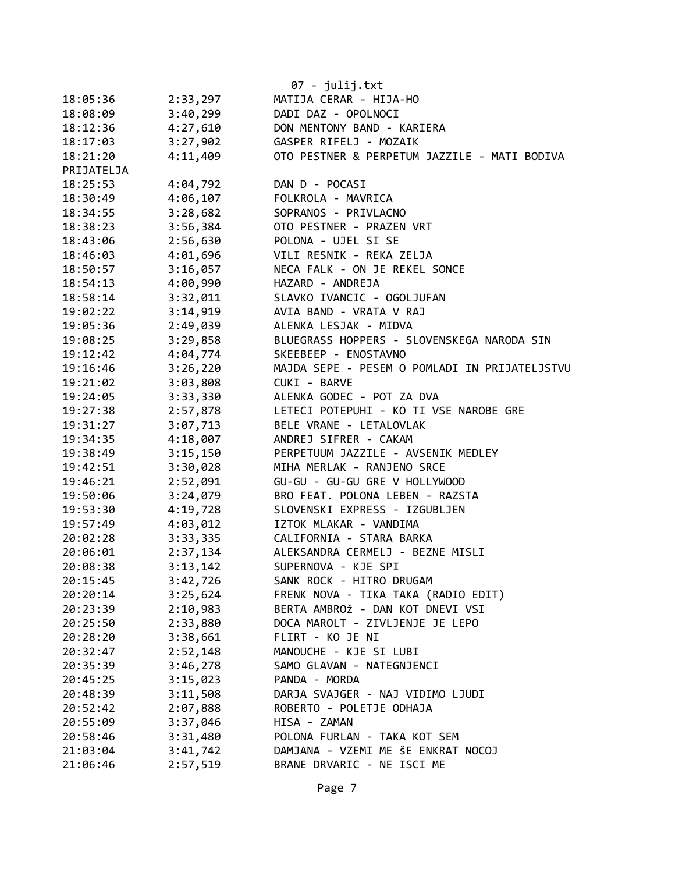|            |          | 07 - julij.txt                                |
|------------|----------|-----------------------------------------------|
| 18:05:36   | 2:33,297 | MATIJA CERAR - HIJA-HO                        |
| 18:08:09   | 3:40,299 | DADI DAZ - OPOLNOCI                           |
| 18:12:36   | 4:27,610 | DON MENTONY BAND - KARIERA                    |
| 18:17:03   | 3:27,902 | GASPER RIFELJ - MOZAIK                        |
| 18:21:20   | 4:11,409 | OTO PESTNER & PERPETUM JAZZILE - MATI BODIVA  |
| PRIJATELJA |          |                                               |
| 18:25:53   | 4:04,792 | DAN D - POCASI                                |
| 18:30:49   | 4:06,107 | FOLKROLA - MAVRICA                            |
| 18:34:55   | 3:28,682 | SOPRANOS - PRIVLACNO                          |
| 18:38:23   | 3:56,384 | OTO PESTNER - PRAZEN VRT                      |
| 18:43:06   | 2:56,630 | POLONA - UJEL SI SE                           |
| 18:46:03   | 4:01,696 | VILI RESNIK - REKA ZELJA                      |
| 18:50:57   | 3:16,057 | NECA FALK - ON JE REKEL SONCE                 |
| 18:54:13   | 4:00,990 | HAZARD - ANDREJA                              |
| 18:58:14   | 3:32,011 | SLAVKO IVANCIC - OGOLJUFAN                    |
| 19:02:22   | 3:14,919 | AVIA BAND - VRATA V RAJ                       |
| 19:05:36   | 2:49,039 | ALENKA LESJAK - MIDVA                         |
| 19:08:25   | 3:29,858 | BLUEGRASS HOPPERS - SLOVENSKEGA NARODA SIN    |
| 19:12:42   | 4:04,774 | SKEEBEEP - ENOSTAVNO                          |
| 19:16:46   | 3:26,220 | MAJDA SEPE - PESEM O POMLADI IN PRIJATELJSTVU |
| 19:21:02   | 3:03,808 | CUKI - BARVE                                  |
| 19:24:05   | 3:33,330 | ALENKA GODEC - POT ZA DVA                     |
| 19:27:38   | 2:57,878 | LETECI POTEPUHI - KO TI VSE NAROBE GRE        |
| 19:31:27   | 3:07,713 | BELE VRANE - LETALOVLAK                       |
| 19:34:35   | 4:18,007 | ANDREJ SIFRER - CAKAM                         |
| 19:38:49   | 3:15,150 | PERPETUUM JAZZILE - AVSENIK MEDLEY            |
| 19:42:51   | 3:30,028 | MIHA MERLAK - RANJENO SRCE                    |
| 19:46:21   | 2:52,091 | GU-GU - GU-GU GRE V HOLLYWOOD                 |
| 19:50:06   | 3:24,079 | BRO FEAT. POLONA LEBEN - RAZSTA               |
| 19:53:30   | 4:19,728 | SLOVENSKI EXPRESS - IZGUBLJEN                 |
| 19:57:49   | 4:03,012 | IZTOK MLAKAR - VANDIMA                        |
| 20:02:28   | 3:33,335 | CALIFORNIA - STARA BARKA                      |
| 20:06:01   | 2:37,134 | ALEKSANDRA CERMELJ - BEZNE MISLI              |
| 20:08:38   | 3:13,142 | SUPERNOVA - KJE SPI                           |
| 20:15:45   | 3:42,726 | SANK ROCK - HITRO DRUGAM                      |
| 20:20:14   | 3:25,624 | FRENK NOVA - TIKA TAKA (RADIO EDIT)           |
| 20:23:39   | 2:10,983 | BERTA AMBROŽ - DAN KOT DNEVI VSI              |
| 20:25:50   | 2:33,880 | DOCA MAROLT - ZIVLJENJE JE LEPO               |
| 20:28:20   | 3:38,661 | FLIRT - KO JE NI                              |
| 20:32:47   | 2:52,148 | MANOUCHE - KJE SI LUBI                        |
| 20:35:39   | 3:46,278 | SAMO GLAVAN - NATEGNJENCI                     |
| 20:45:25   | 3:15,023 | PANDA - MORDA                                 |
| 20:48:39   | 3:11,508 | DARJA SVAJGER - NAJ VIDIMO LJUDI              |
| 20:52:42   | 2:07,888 | ROBERTO - POLETJE ODHAJA                      |
| 20:55:09   | 3:37,046 | HISA - ZAMAN                                  |
| 20:58:46   | 3:31,480 | POLONA FURLAN - TAKA KOT SEM                  |
| 21:03:04   | 3:41,742 | DAMJANA - VZEMI ME ŠE ENKRAT NOCOJ            |
| 21:06:46   | 2:57,519 | BRANE DRVARIC - NE ISCI ME                    |
|            |          |                                               |
|            |          | $D \cap \cap \cap \cap \cap \cap \cap$        |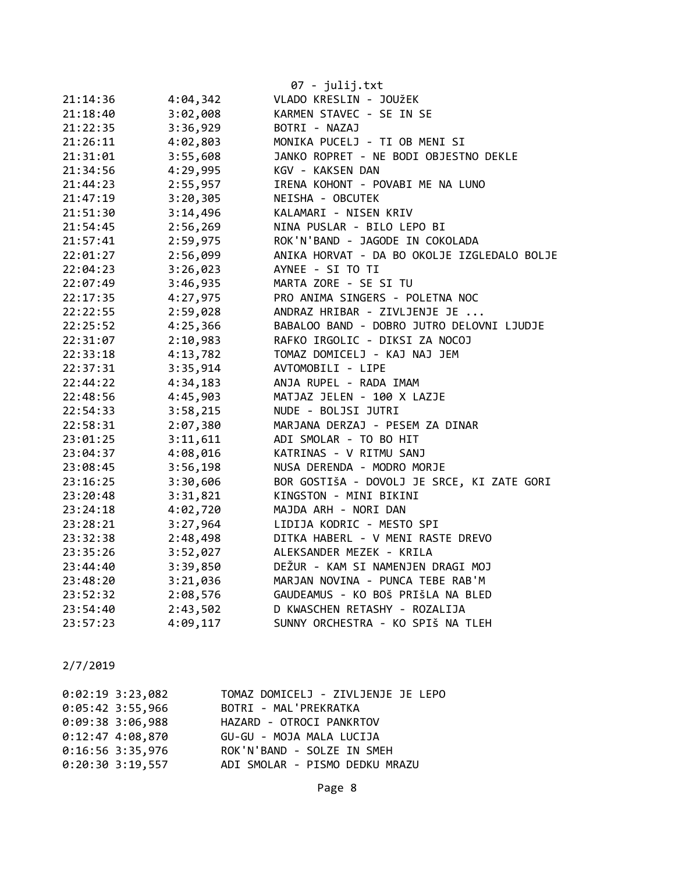|          |          | 07 - julij.txt                              |
|----------|----------|---------------------------------------------|
| 21:14:36 | 4:04,342 | VLADO KRESLIN - JOUŽEK                      |
| 21:18:40 | 3:02,008 | KARMEN STAVEC - SE IN SE                    |
| 21:22:35 | 3:36,929 | BOTRI - NAZAJ                               |
| 21:26:11 | 4:02,803 | MONIKA PUCELJ - TI OB MENI SI               |
| 21:31:01 | 3:55,608 | JANKO ROPRET - NE BODI OBJESTNO DEKLE       |
| 21:34:56 | 4:29,995 | KGV - KAKSEN DAN                            |
| 21:44:23 | 2:55,957 | IRENA KOHONT - POVABI ME NA LUNO            |
| 21:47:19 | 3:20,305 | NEISHA - OBCUTEK                            |
| 21:51:30 | 3:14,496 | KALAMARI - NISEN KRIV                       |
| 21:54:45 | 2:56,269 | NINA PUSLAR - BILO LEPO BI                  |
| 21:57:41 | 2:59,975 | ROK'N'BAND - JAGODE IN COKOLADA             |
| 22:01:27 | 2:56,099 | ANIKA HORVAT - DA BO OKOLJE IZGLEDALO BOLJE |
| 22:04:23 | 3:26,023 | AYNEE - SI TO TI                            |
| 22:07:49 | 3:46,935 | MARTA ZORE - SE SI TU                       |
| 22:17:35 | 4:27,975 | PRO ANIMA SINGERS - POLETNA NOC             |
| 22:22:55 | 2:59,028 | ANDRAZ HRIBAR - ZIVLJENJE JE                |
| 22:25:52 | 4:25,366 | BABALOO BAND - DOBRO JUTRO DELOVNI LJUDJE   |
| 22:31:07 | 2:10,983 | RAFKO IRGOLIC - DIKSI ZA NOCOJ              |
| 22:33:18 | 4:13,782 | TOMAZ DOMICELJ - KAJ NAJ JEM                |
| 22:37:31 | 3:35,914 | AVTOMOBILI - LIPE                           |
| 22:44:22 | 4:34,183 | ANJA RUPEL - RADA IMAM                      |
| 22:48:56 | 4:45,903 | MATJAZ JELEN - 100 X LAZJE                  |
| 22:54:33 | 3:58,215 | NUDE - BOLJSI JUTRI                         |
| 22:58:31 | 2:07,380 | MARJANA DERZAJ - PESEM ZA DINAR             |
| 23:01:25 | 3:11,611 | ADI SMOLAR - TO BO HIT                      |
| 23:04:37 | 4:08,016 | KATRINAS - V RITMU SANJ                     |
| 23:08:45 | 3:56,198 | NUSA DERENDA - MODRO MORJE                  |
| 23:16:25 | 3:30,606 | BOR GOSTIŠA - DOVOLJ JE SRCE, KI ZATE GORI  |
| 23:20:48 | 3:31,821 | KINGSTON - MINI BIKINI                      |
| 23:24:18 | 4:02,720 | MAJDA ARH - NORI DAN                        |
| 23:28:21 | 3:27,964 | LIDIJA KODRIC - MESTO SPI                   |
| 23:32:38 | 2:48,498 | DITKA HABERL - V MENI RASTE DREVO           |
| 23:35:26 | 3:52,027 | ALEKSANDER MEZEK - KRILA                    |
| 23:44:40 | 3:39,850 | DEŽUR - KAM SI NAMENJEN DRAGI MOJ           |
| 23:48:20 | 3:21,036 | MARJAN NOVINA - PUNCA TEBE RAB'M            |
| 23:52:32 | 2:08,576 | GAUDEAMUS - KO BOŠ PRIŠLA NA BLED           |
| 23:54:40 | 2:43,502 | D KWASCHEN RETASHY - ROZALIJA               |
| 23:57:23 | 4:09,117 | SUNNY ORCHESTRA - KO SPIŠ NA TLEH           |

| $0:02:19$ 3:23,082 | TOMAZ DOMICELJ - ZIVLJENJE JE LEPO |
|--------------------|------------------------------------|
| $0:05:42$ 3:55,966 | BOTRI - MAL'PREKRATKA              |
| $0:09:38$ 3:06,988 | HAZARD - OTROCI PANKRTOV           |
| $0:12:47$ 4:08,870 | GU-GU - MOJA MALA LUCIJA           |
| $0:16:56$ 3:35,976 | ROK'N'BAND - SOLZE IN SMEH         |
| $0:20:30$ 3:19,557 | ADI SMOLAR - PISMO DEDKU MRAZU     |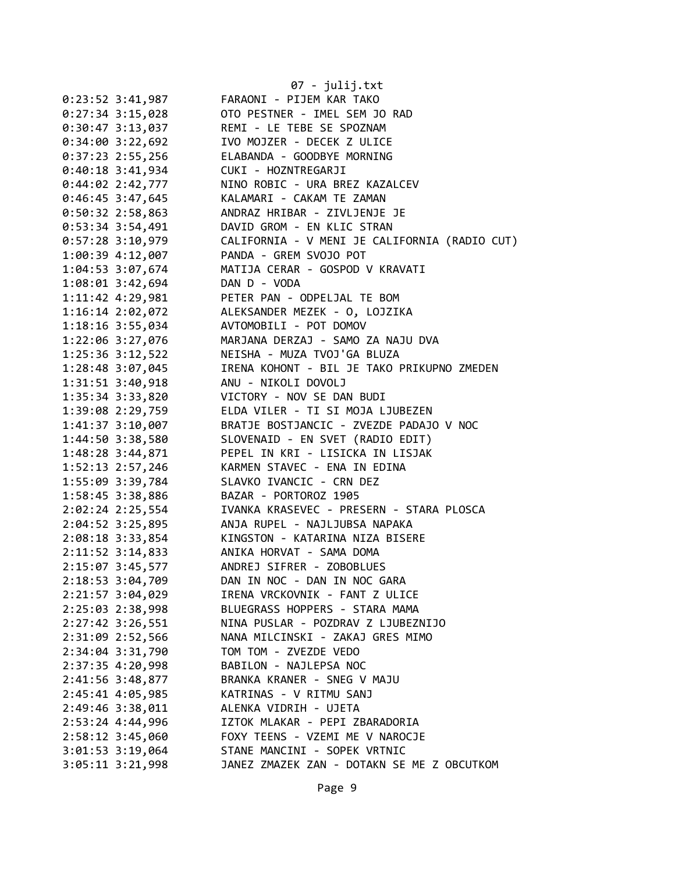|                      | $07 - julij.txt$                              |
|----------------------|-----------------------------------------------|
| $0:23:52 \ 3:41,987$ | FARAONI - PIJEM KAR TAKO                      |
| $0:27:34$ 3:15,028   | OTO PESTNER - IMEL SEM JO RAD                 |
| $0:30:47$ 3:13,037   | REMI - LE TEBE SE SPOZNAM                     |
| 0:34:00 3:22,692     | IVO MOJZER - DECEK Z ULICE                    |
| $0:37:23$ 2:55,256   | ELABANDA - GOODBYE MORNING                    |
| $0:40:18$ 3:41,934   | CUKI - HOZNTREGARJI                           |
| 0:44:02 2:42,777     | NINO ROBIC - URA BREZ KAZALCEV                |
| $0:46:45$ 3:47,645   | KALAMARI - CAKAM TE ZAMAN                     |
| $0:50:32$ 2:58,863   | ANDRAZ HRIBAR - ZIVLJENJE JE                  |
| 0:53:34 3:54,491     | DAVID GROM - EN KLIC STRAN                    |
| 0:57:28 3:10,979     | CALIFORNIA - V MENI JE CALIFORNIA (RADIO CUT) |
| 1:00:39 4:12,007     | PANDA - GREM SVOJO POT                        |
| 1:04:53 3:07,674     | MATIJA CERAR - GOSPOD V KRAVATI               |
| 1:08:01 3:42,694     | DAN D - VODA                                  |
| 1:11:42 4:29,981     | PETER PAN - ODPELJAL TE BOM                   |
| 1:16:14 2:02,072     | ALEKSANDER MEZEK - 0, LOJZIKA                 |
| 1:18:16 3:55,034     | AVTOMOBILI - POT DOMOV                        |
| 1:22:06 3:27,076     | MARJANA DERZAJ - SAMO ZA NAJU DVA             |
| 1:25:36 3:12,522     | NEISHA - MUZA TVOJ'GA BLUZA                   |
| 1:28:48 3:07,045     | IRENA KOHONT - BIL JE TAKO PRIKUPNO ZMEDEN    |
| 1:31:51 3:40,918     | ANU - NIKOLI DOVOLJ                           |
| 1:35:34 3:33,820     | VICTORY - NOV SE DAN BUDI                     |
| 1:39:08 2:29,759     | ELDA VILER - TI SI MOJA LJUBEZEN              |
| 1:41:37 3:10,007     | BRATJE BOSTJANCIC - ZVEZDE PADAJO V NOC       |
| 1:44:50 3:38,580     | SLOVENAID - EN SVET (RADIO EDIT)              |
| 1:48:28 3:44,871     | PEPEL IN KRI - LISICKA IN LISJAK              |
| 1:52:13 2:57,246     | KARMEN STAVEC - ENA IN EDINA                  |
| 1:55:09 3:39,784     | SLAVKO IVANCIC - CRN DEZ                      |
| 1:58:45 3:38,886     | BAZAR - PORTOROZ 1905                         |
| 2:02:24 2:25,554     | IVANKA KRASEVEC - PRESERN - STARA PLOSCA      |
| $2:04:52$ 3:25,895   | ANJA RUPEL - NAJLJUBSA NAPAKA                 |
| 2:08:18 3:33,854     | KINGSTON - KATARINA NIZA BISERE               |
| 2:11:52 3:14,833     | ANIKA HORVAT - SAMA DOMA                      |
| 2:15:07 3:45,577     | ANDREJ SIFRER - ZOBOBLUES                     |
| 2:18:53 3:04,709     | DAN IN NOC - DAN IN NOC GARA                  |
| 2:21:57 3:04,029     | IRENA VRCKOVNIK - FANT Z ULICE                |
| 2:25:03 2:38,998     | BLUEGRASS HOPPERS - STARA MAMA                |
| 2:27:42 3:26,551     | NINA PUSLAR - POZDRAV Z LJUBEZNIJO            |
| 2:31:09 2:52,566     | NANA MILCINSKI - ZAKAJ GRES MIMO              |
| 2:34:04 3:31,790     | TOM TOM - ZVEZDE VEDO                         |
| 2:37:35 4:20,998     | BABILON - NAJLEPSA NOC                        |
| 2:41:56 3:48,877     | BRANKA KRANER - SNEG V MAJU                   |
| 2:45:41 4:05,985     | KATRINAS - V RITMU SANJ                       |
| 2:49:46 3:38,011     | ALENKA VIDRIH - UJETA                         |
| 2:53:24 4:44,996     | IZTOK MLAKAR - PEPI ZBARADORIA                |
| 2:58:12 3:45,060     | FOXY TEENS - VZEMI ME V NAROCJE               |
| 3:01:53 3:19,064     | STANE MANCINI - SOPEK VRTNIC                  |
| 3:05:11 3:21,998     | JANEZ ZMAZEK ZAN - DOTAKN SE ME Z OBCUTKOM    |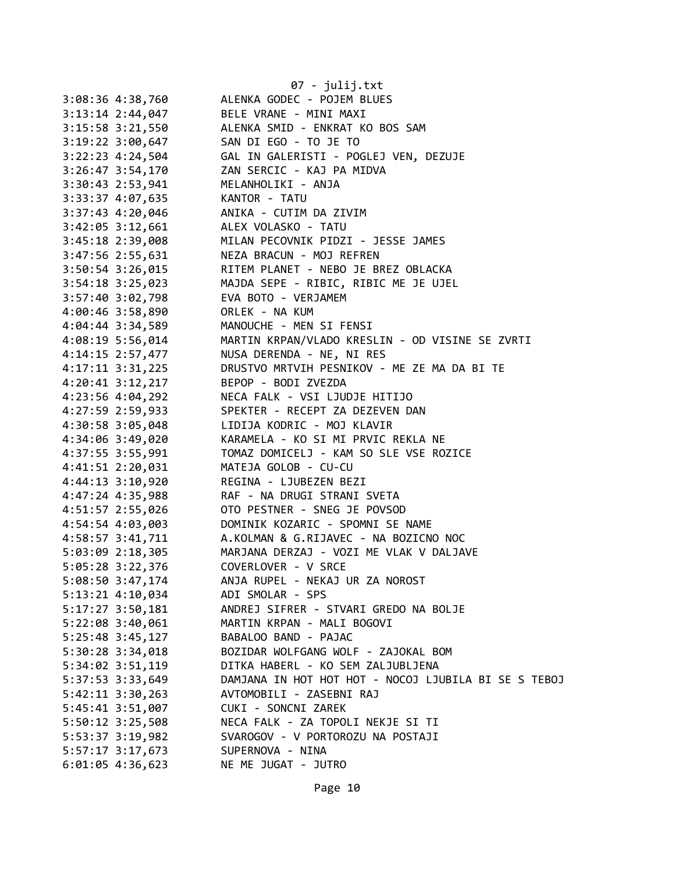|                      | 07 - julij.txt                                       |
|----------------------|------------------------------------------------------|
| 3:08:36 4:38,760     | ALENKA GODEC - POJEM BLUES                           |
| $3:13:14$ $2:44,047$ | BELE VRANE - MINI MAXI                               |
| $3:15:58$ $3:21,550$ | ALENKA SMID - ENKRAT KO BOS SAM                      |
| $3:19:22$ $3:00,647$ | SAN DI EGO - TO JE TO                                |
| 3:22:23 4:24,504     | GAL IN GALERISTI - POGLEJ VEN, DEZUJE                |
| $3:26:47$ $3:54,170$ | ZAN SERCIC - KAJ PA MIDVA                            |
| 3:30:43 2:53,941     | MELANHOLIKI - ANJA                                   |
| 3:33:37 4:07,635     | KANTOR - TATU                                        |
| 3:37:43 4:20,046     | ANIKA - CUTIM DA ZIVIM                               |
| $3:42:05$ $3:12,661$ | ALEX VOLASKO - TATU                                  |
| 3:45:18 2:39,008     | MILAN PECOVNIK PIDZI - JESSE JAMES                   |
| 3:47:56 2:55,631     | NEZA BRACUN - MOJ REFREN                             |
| $3:50:54$ $3:26,015$ | RITEM PLANET - NEBO JE BREZ OBLACKA                  |
| $3:54:18$ $3:25,023$ | MAJDA SEPE - RIBIC, RIBIC ME JE UJEL                 |
| 3:57:40 3:02,798     | EVA BOTO - VERJAMEM                                  |
| 4:00:46 3:58,890     | ORLEK - NA KUM                                       |
|                      |                                                      |
| 4:04:44 3:34,589     | MANOUCHE - MEN SI FENSI                              |
| 4:08:19 5:56,014     | MARTIN KRPAN/VLADO KRESLIN - OD VISINE SE ZVRTI      |
| $4:14:15$ 2:57,477   | NUSA DERENDA - NE, NI RES                            |
| $4:17:11$ $3:31,225$ | DRUSTVO MRTVIH PESNIKOV - ME ZE MA DA BI TE          |
| $4:20:41$ $3:12,217$ | BEPOP - BODI ZVEZDA                                  |
| 4:23:56 4:04,292     | NECA FALK - VSI LJUDJE HITIJO                        |
| 4:27:59 2:59,933     | SPEKTER - RECEPT ZA DEZEVEN DAN                      |
| 4:30:58 3:05,048     | LIDIJA KODRIC - MOJ KLAVIR                           |
| 4:34:06 3:49,020     | KARAMELA - KO SI MI PRVIC REKLA NE                   |
| 4:37:55 3:55,991     | TOMAZ DOMICELJ - KAM SO SLE VSE ROZICE               |
| 4:41:51 2:20,031     | MATEJA GOLOB - CU-CU                                 |
| 4:44:13 3:10,920     | REGINA - LJUBEZEN BEZI                               |
| 4:47:24 4:35,988     | RAF - NA DRUGI STRANI SVETA                          |
| 4:51:57 2:55,026     | OTO PESTNER - SNEG JE POVSOD                         |
| 4:54:54 4:03,003     | DOMINIK KOZARIC - SPOMNI SE NAME                     |
| 4:58:57 3:41,711     | A.KOLMAN & G.RIJAVEC - NA BOZICNO NOC                |
| $5:03:09$ 2:18,305   | MARJANA DERZAJ - VOZI ME VLAK V DALJAVE              |
| 5:05:28 3:22,376     | COVERLOVER - V SRCE                                  |
| 5:08:50 3:47,174     | ANJA RUPEL - NEKAJ UR ZA NOROST                      |
| $5:13:21$ 4:10,034   | ADI SMOLAR - SPS                                     |
| $5:17:27$ 3:50,181   | ANDREJ SIFRER - STVARI GREDO NA BOLJE                |
| $5:22:08$ 3:40,061   | MARTIN KRPAN - MALI BOGOVI                           |
| 5:25:48 3:45,127     | BABALOO BAND - PAJAC                                 |
| 5:30:28 3:34,018     | BOZIDAR WOLFGANG WOLF - ZAJOKAL BOM                  |
| 5:34:02 3:51,119     | DITKA HABERL - KO SEM ZALJUBLJENA                    |
| 5:37:53 3:33,649     | DAMJANA IN HOT HOT HOT - NOCOJ LJUBILA BI SE S TEBOJ |
| $5:42:11$ $3:30,263$ | AVTOMOBILI - ZASEBNI RAJ                             |
| 5:45:41 3:51,007     | CUKI - SONCNI ZAREK                                  |
| $5:50:12$ 3:25,508   | NECA FALK - ZA TOPOLI NEKJE SI TI                    |
| 5:53:37 3:19,982     | SVAROGOV - V PORTOROZU NA POSTAJI                    |
| 5:57:17 3:17,673     | SUPERNOVA - NINA                                     |
| $6:01:05$ 4:36,623   | NE ME JUGAT - JUTRO                                  |
|                      |                                                      |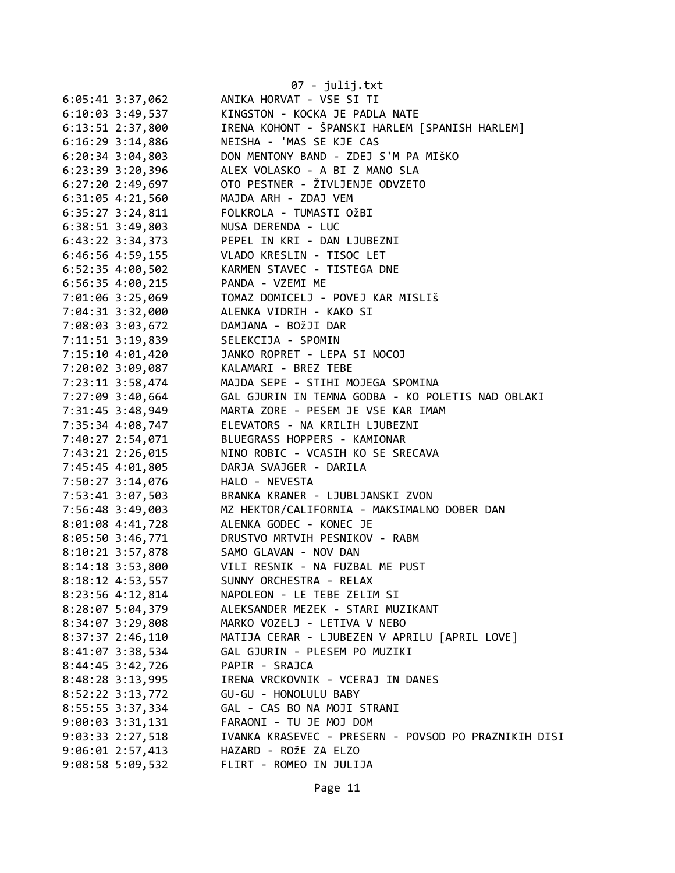|                      | 07 - julij.txt                                       |
|----------------------|------------------------------------------------------|
| 6:05:41 3:37,062     | ANIKA HORVAT - VSE SI TI                             |
| 6:10:03 3:49,537     | KINGSTON - KOCKA JE PADLA NATE                       |
| 6:13:51 2:37,800     | IRENA KOHONT - ŠPANSKI HARLEM [SPANISH HARLEM]       |
| $6:16:29$ 3:14,886   | NEISHA - 'MAS SE KJE CAS                             |
| $6:20:34$ 3:04,803   | DON MENTONY BAND - ZDEJ S'M PA MIŠKO                 |
| 6:23:39 3:20,396     | ALEX VOLASKO - A BI Z MANO SLA                       |
| $6:27:20$ 2:49,697   | OTO PESTNER - ŽIVLJENJE ODVZETO                      |
| 6:31:05 4:21,560     | MAJDA ARH - ZDAJ VEM                                 |
| $6:35:27$ 3:24,811   | FOLKROLA - TUMASTI OŽBI                              |
| 6:38:51 3:49,803     | NUSA DERENDA - LUC                                   |
| $6:43:22$ $3:34,373$ | PEPEL IN KRI - DAN LJUBEZNI                          |
| $6:46:56$ $4:59,155$ | VLADO KRESLIN - TISOC LET                            |
| $6:52:35$ 4:00,502   | KARMEN STAVEC - TISTEGA DNE                          |
| $6:56:35$ 4:00,215   | PANDA - VZEMI ME                                     |
| 7:01:06 3:25,069     | TOMAZ DOMICELJ - POVEJ KAR MISLIŠ                    |
| 7:04:31 3:32,000     | ALENKA VIDRIH - KAKO SI                              |
| 7:08:03 3:03,672     | DAMJANA - BOŽJI DAR                                  |
| 7:11:51 3:19,839     | SELEKCIJA - SPOMIN                                   |
| 7:15:10 4:01,420     | JANKO ROPRET - LEPA SI NOCOJ                         |
| 7:20:02 3:09,087     | KALAMARI - BREZ TEBE                                 |
| 7:23:11 3:58,474     | MAJDA SEPE - STIHI MOJEGA SPOMINA                    |
| 7:27:09 3:40,664     | GAL GJURIN IN TEMNA GODBA - KO POLETIS NAD OBLAKI    |
| 7:31:45 3:48,949     | MARTA ZORE - PESEM JE VSE KAR IMAM                   |
| 7:35:34 4:08,747     | ELEVATORS - NA KRILIH LJUBEZNI                       |
| 7:40:27 2:54,071     | BLUEGRASS HOPPERS - KAMIONAR                         |
| 7:43:21 2:26,015     | NINO ROBIC - VCASIH KO SE SRECAVA                    |
| 7:45:45 4:01,805     | DARJA SVAJGER - DARILA                               |
| 7:50:27 3:14,076     | HALO - NEVESTA                                       |
| 7:53:41 3:07,503     | BRANKA KRANER - LJUBLJANSKI ZVON                     |
| 7:56:48 3:49,003     | MZ HEKTOR/CALIFORNIA - MAKSIMALNO DOBER DAN          |
| 8:01:08 4:41,728     | ALENKA GODEC - KONEC JE                              |
| 8:05:50 3:46,771     | DRUSTVO MRTVIH PESNIKOV - RABM                       |
| 8:10:21 3:57,878     | SAMO GLAVAN - NOV DAN                                |
| 8:14:18 3:53,800     | VILI RESNIK - NA FUZBAL ME PUST                      |
| 8:18:12 4:53,557     | SUNNY ORCHESTRA - RELAX                              |
| 8:23:56 4:12,814     | NAPOLEON - LE TEBE ZELIM SI                          |
| 8:28:07 5:04,379     | ALEKSANDER MEZEK - STARI MUZIKANT                    |
| $8:34:07$ 3:29,808   | MARKO VOZELJ - LETIVA V NEBO                         |
| $8:37:37$ 2:46,110   | MATIJA CERAR - LJUBEZEN V APRILU [APRIL LOVE]        |
| 8:41:07 3:38,534     | GAL GJURIN - PLESEM PO MUZIKI                        |
| 8:44:45 3:42,726     | PAPIR - SRAJCA                                       |
| 8:48:28 3:13,995     | IRENA VRCKOVNIK - VCERAJ IN DANES                    |
| 8:52:22 3:13,772     | GU-GU - HONOLULU BABY                                |
| 8:55:55 3:37,334     | GAL - CAS BO NA MOJI STRANI                          |
| $9:00:03$ 3:31,131   | FARAONI - TU JE MOJ DOM                              |
| $9:03:33$ $2:27,518$ | IVANKA KRASEVEC - PRESERN - POVSOD PO PRAZNIKIH DISI |
| $9:06:01$ 2:57,413   | HAZARD - ROŽE ZA ELZO                                |
| 9:08:58 5:09,532     | FLIRT - ROMEO IN JULIJA                              |
|                      |                                                      |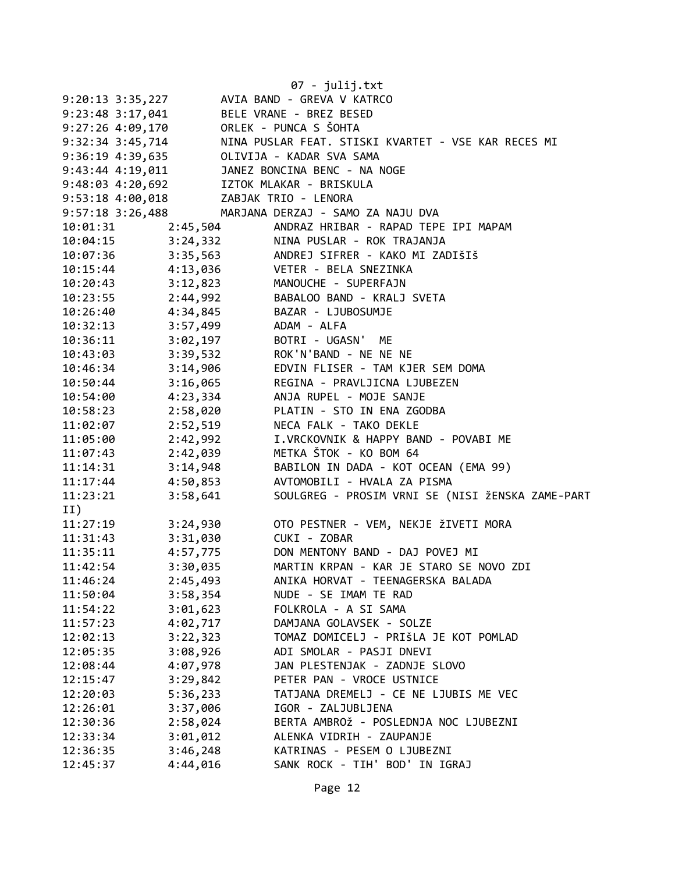|                                      |                          | $07 - julij.txt$                                                                                                                                                                                                                                                                       |
|--------------------------------------|--------------------------|----------------------------------------------------------------------------------------------------------------------------------------------------------------------------------------------------------------------------------------------------------------------------------------|
| 9:20:13 3:35,227                     |                          | AVIA BAND - GREVA V KATRCO                                                                                                                                                                                                                                                             |
| 9:23:48 3:17,041                     |                          | BELE VRANE - BREZ BESED                                                                                                                                                                                                                                                                |
| 9:27:26 4:09,170                     |                          | ORLEK - PUNCA S ŠOHTA                                                                                                                                                                                                                                                                  |
| 9:32:34 3:45,714                     |                          | NINA PUSLAR FEAT. STISKI KVARTET - VSE KAR RECES MI                                                                                                                                                                                                                                    |
| 9:36:19 4:39,635                     |                          | OLIVIJA - KADAR SVA SAMA                                                                                                                                                                                                                                                               |
| 9:43:44 4:19,011<br>9:48:03 4:20,692 |                          | JANEZ BONCINA BENC - NA NOGE                                                                                                                                                                                                                                                           |
|                                      |                          | IZTOK MLAKAR - BRISKULA                                                                                                                                                                                                                                                                |
| 9:53:18 4:00,018                     |                          | ZABJAK TRIO - LENORA                                                                                                                                                                                                                                                                   |
| 9:57:18 3:26,488                     |                          | MARJANA DERZAJ - SAMO ZA NAJU DVA                                                                                                                                                                                                                                                      |
| 10:01:31                             | 2:45,504                 | ANDRAZ HRIBAR - RAPAD TEPE IPI MAPAM                                                                                                                                                                                                                                                   |
| 10:04:15 3:24,332                    |                          | NINA PUSLAR - ROK TRAJANJA                                                                                                                                                                                                                                                             |
|                                      |                          | 10:07:36<br>10:07:36<br>10:15:44<br>4:13,036<br>2:12,823<br>MANOUCHE - SUPERFAJN<br>2:20:43<br>2:44.000<br>2:44.000<br>2:44.000<br>2:44<br>2:44<br>2:44<br>2:45<br>2:44<br>2:45<br>2:45<br>2:45<br>2:45<br>2:45<br>2:45<br>2:45<br>2:45<br>2:45<br>2:45<br>2:45<br>2:45<br>2:45<br>2:4 |
|                                      |                          |                                                                                                                                                                                                                                                                                        |
|                                      |                          |                                                                                                                                                                                                                                                                                        |
|                                      |                          | 10:23:55 2:44,992 BABALOO BAND - KRALJ SVETA                                                                                                                                                                                                                                           |
|                                      |                          | 10:26:40  4:34,845  BAZAR - LJUBOSUMJE                                                                                                                                                                                                                                                 |
| 10:32:13 3:57,499 ADAM - ALFA        |                          |                                                                                                                                                                                                                                                                                        |
| $10:36:11$ $3:02,197$                |                          | BOTRI - UGASN' ME                                                                                                                                                                                                                                                                      |
| 10:43:03 3:39,532                    |                          | ROK'N'BAND - NE NE NE                                                                                                                                                                                                                                                                  |
| 10:46:34                             | $3:14,906$<br>$3:16,065$ | EDVIN FLISER - TAM KJER SEM DOMA                                                                                                                                                                                                                                                       |
| 10:50:44                             |                          | REGINA - PRAVLJICNA LJUBEZEN                                                                                                                                                                                                                                                           |
| 10:54:00                             | 4:23,334                 | ANJA RUPEL - MOJE SANJE                                                                                                                                                                                                                                                                |
| 10:58:23                             | 2:58,020                 | PLATIN - STO IN ENA ZGODBA                                                                                                                                                                                                                                                             |
| 11:02:07                             | 2:52,519                 | NECA FALK - TAKO DEKLE                                                                                                                                                                                                                                                                 |
| 11:05:00                             | 2:42,992                 | I.VRCKOVNIK & HAPPY BAND - POVABI ME                                                                                                                                                                                                                                                   |
| 11:07:43                             | 2:42,039                 | METKA ŠTOK - KO BOM 64                                                                                                                                                                                                                                                                 |
| 11:14:31                             |                          | BABILON IN DADA - KOT OCEAN (EMA 99)                                                                                                                                                                                                                                                   |
| 11:17:44                             | $3:14,948$<br>$4:50,853$ | AVTOMOBILI - HVALA ZA PISMA                                                                                                                                                                                                                                                            |
| 11:23:21                             | 3:58,641                 | SOULGREG - PROSIM VRNI SE (NISI ŽENSKA ZAME-PART                                                                                                                                                                                                                                       |
| II)                                  |                          |                                                                                                                                                                                                                                                                                        |
| $11:27:19$ $3:24,930$                |                          | OTO PESTNER - VEM, NEKJE ŽIVETI MORA                                                                                                                                                                                                                                                   |
| 11:31:43                             | 3:31,030                 | CUKI - ZOBAR                                                                                                                                                                                                                                                                           |
| 11:35:11                             | 4:57,775                 | DON MENTONY BAND - DAJ POVEJ MI                                                                                                                                                                                                                                                        |
| 11:42:54                             | 3:30,035                 | MARTIN KRPAN - KAR JE STARO SE NOVO ZDI                                                                                                                                                                                                                                                |
| 11:46:24                             | 2:45,493                 | ANIKA HORVAT - TEENAGERSKA BALADA                                                                                                                                                                                                                                                      |
| 11:50:04                             | 3:58,354                 | NUDE - SE IMAM TE RAD                                                                                                                                                                                                                                                                  |
| 11:54:22                             | 3:01,623                 | FOLKROLA - A SI SAMA                                                                                                                                                                                                                                                                   |
| 11:57:23                             | 4:02,717                 | DAMJANA GOLAVSEK - SOLZE                                                                                                                                                                                                                                                               |
| 12:02:13                             | 3:22,323                 | TOMAZ DOMICELJ - PRIŠLA JE KOT POMLAD                                                                                                                                                                                                                                                  |
| 12:05:35                             | 3:08,926                 | ADI SMOLAR - PASJI DNEVI                                                                                                                                                                                                                                                               |
| 12:08:44                             | 4:07,978                 | JAN PLESTENJAK - ZADNJE SLOVO                                                                                                                                                                                                                                                          |
| 12:15:47                             | 3:29,842                 | PETER PAN - VROCE USTNICE                                                                                                                                                                                                                                                              |
| 12:20:03                             | 5:36,233                 | TATJANA DREMELJ - CE NE LJUBIS ME VEC                                                                                                                                                                                                                                                  |
| 12:26:01                             | 3:37,006                 | IGOR - ZALJUBLJENA                                                                                                                                                                                                                                                                     |
| 12:30:36                             | 2:58,024                 | BERTA AMBROŽ - POSLEDNJA NOC LJUBEZNI                                                                                                                                                                                                                                                  |
| 12:33:34                             | 3:01,012                 | ALENKA VIDRIH - ZAUPANJE                                                                                                                                                                                                                                                               |
| 12:36:35                             | 3:46,248                 | KATRINAS - PESEM O LJUBEZNI                                                                                                                                                                                                                                                            |
| 12:45:37                             | 4:44,016                 | SANK ROCK - TIH' BOD' IN IGRAJ                                                                                                                                                                                                                                                         |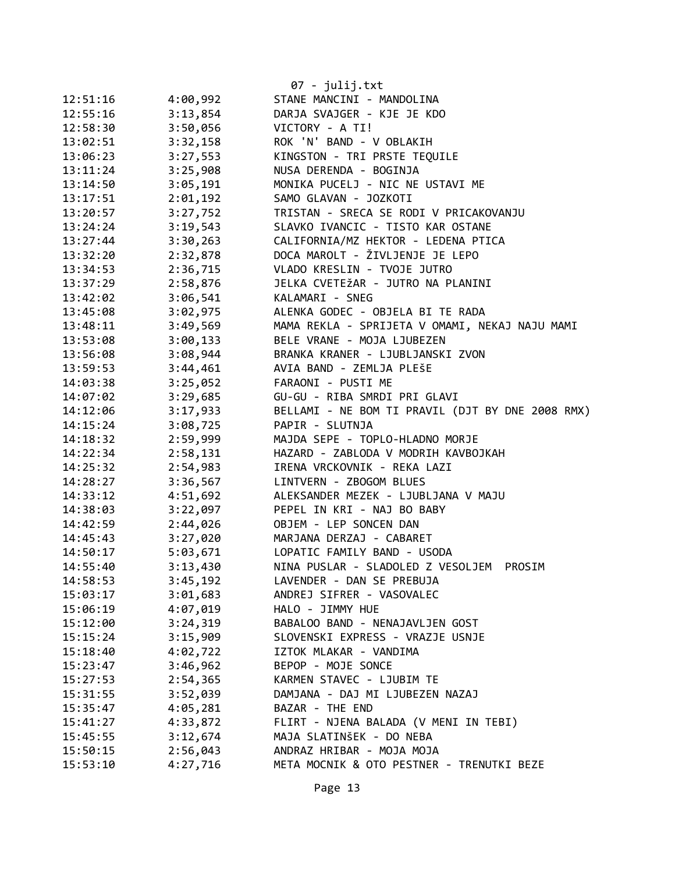|          |          | $07 - julij.txt$                                 |
|----------|----------|--------------------------------------------------|
| 12:51:16 | 4:00,992 | STANE MANCINI - MANDOLINA                        |
| 12:55:16 | 3:13,854 | DARJA SVAJGER - KJE JE KDO                       |
| 12:58:30 | 3:50,056 | VICTORY - A TI!                                  |
| 13:02:51 | 3:32,158 | ROK 'N' BAND - V OBLAKIH                         |
| 13:06:23 | 3:27,553 | KINGSTON - TRI PRSTE TEQUILE                     |
| 13:11:24 | 3:25,908 | NUSA DERENDA - BOGINJA                           |
| 13:14:50 | 3:05,191 | MONIKA PUCELJ - NIC NE USTAVI ME                 |
| 13:17:51 | 2:01,192 | SAMO GLAVAN - JOZKOTI                            |
| 13:20:57 | 3:27,752 | TRISTAN - SRECA SE RODI V PRICAKOVANJU           |
| 13:24:24 | 3:19,543 | SLAVKO IVANCIC - TISTO KAR OSTANE                |
| 13:27:44 | 3:30,263 | CALIFORNIA/MZ HEKTOR - LEDENA PTICA              |
| 13:32:20 | 2:32,878 | DOCA MAROLT - ŽIVLJENJE JE LEPO                  |
| 13:34:53 | 2:36,715 | VLADO KRESLIN - TVOJE JUTRO                      |
| 13:37:29 | 2:58,876 | JELKA CVETEŽAR - JUTRO NA PLANINI                |
| 13:42:02 | 3:06,541 | KALAMARI - SNEG                                  |
| 13:45:08 | 3:02,975 | ALENKA GODEC - OBJELA BI TE RADA                 |
| 13:48:11 | 3:49,569 | MAMA REKLA - SPRIJETA V OMAMI, NEKAJ NAJU MAMI   |
| 13:53:08 | 3:00,133 | BELE VRANE - MOJA LJUBEZEN                       |
| 13:56:08 | 3:08,944 | BRANKA KRANER - LJUBLJANSKI ZVON                 |
| 13:59:53 | 3:44,461 | AVIA BAND - ZEMLJA PLEŠE                         |
| 14:03:38 | 3:25,052 | FARAONI - PUSTI ME                               |
| 14:07:02 | 3:29,685 | GU-GU - RIBA SMRDI PRI GLAVI                     |
| 14:12:06 | 3:17,933 | BELLAMI - NE BOM TI PRAVIL (DJT BY DNE 2008 RMX) |
| 14:15:24 | 3:08,725 | PAPIR - SLUTNJA                                  |
| 14:18:32 | 2:59,999 | MAJDA SEPE - TOPLO-HLADNO MORJE                  |
| 14:22:34 | 2:58,131 | HAZARD - ZABLODA V MODRIH KAVBOJKAH              |
| 14:25:32 | 2:54,983 | IRENA VRCKOVNIK - REKA LAZI                      |
| 14:28:27 | 3:36,567 | LINTVERN - ZBOGOM BLUES                          |
| 14:33:12 | 4:51,692 | ALEKSANDER MEZEK - LJUBLJANA V MAJU              |
| 14:38:03 | 3:22,097 | PEPEL IN KRI - NAJ BO BABY                       |
| 14:42:59 | 2:44,026 | OBJEM - LEP SONCEN DAN                           |
| 14:45:43 | 3:27,020 | MARJANA DERZAJ - CABARET                         |
| 14:50:17 | 5:03,671 | LOPATIC FAMILY BAND - USODA                      |
| 14:55:40 | 3:13,430 | NINA PUSLAR - SLADOLED Z VESOLJEM<br>PROSIM      |
| 14:58:53 | 3:45,192 | LAVENDER - DAN SE PREBUJA                        |
| 15:03:17 | 3:01,683 | ANDREJ SIFRER - VASOVALEC                        |
| 15:06:19 | 4:07,019 | HALO - JIMMY HUE                                 |
| 15:12:00 | 3:24,319 | BABALOO BAND - NENAJAVLJEN GOST                  |
| 15:15:24 | 3:15,909 | SLOVENSKI EXPRESS - VRAZJE USNJE                 |
| 15:18:40 | 4:02,722 | IZTOK MLAKAR - VANDIMA                           |
| 15:23:47 | 3:46,962 | BEPOP - MOJE SONCE                               |
| 15:27:53 | 2:54,365 | KARMEN STAVEC - LJUBIM TE                        |
| 15:31:55 | 3:52,039 | DAMJANA - DAJ MI LJUBEZEN NAZAJ                  |
| 15:35:47 | 4:05,281 | BAZAR - THE END                                  |
| 15:41:27 | 4:33,872 | FLIRT - NJENA BALADA (V MENI IN TEBI)            |
| 15:45:55 | 3:12,674 | MAJA SLATINŠEK - DO NEBA                         |
| 15:50:15 | 2:56,043 | ANDRAZ HRIBAR - MOJA MOJA                        |
| 15:53:10 | 4:27,716 | META MOCNIK & OTO PESTNER - TRENUTKI BEZE        |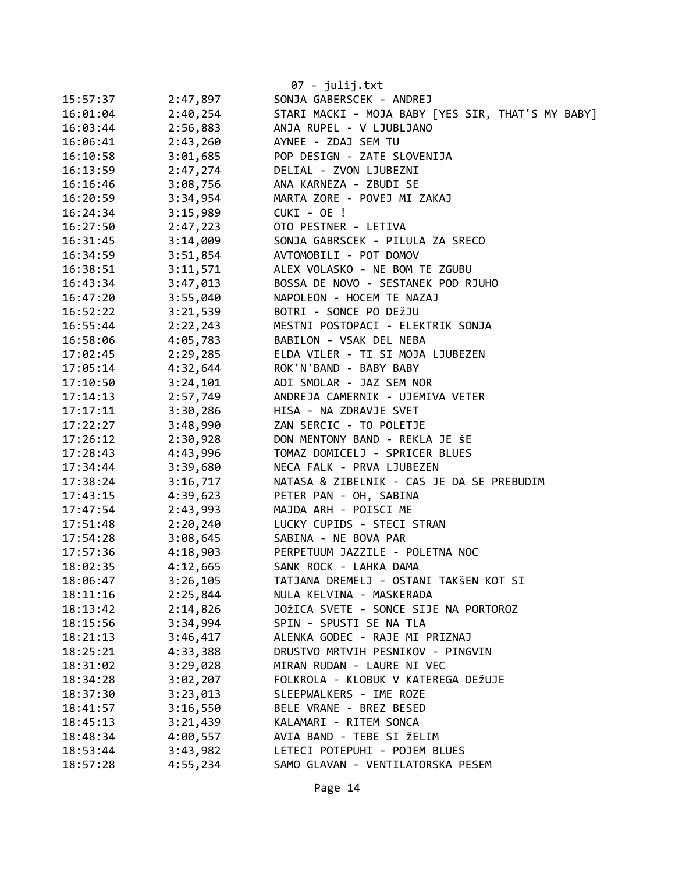|          |          | 07 - julij.txt                                    |
|----------|----------|---------------------------------------------------|
| 15:57:37 | 2:47,897 | SONJA GABERSCEK - ANDREJ                          |
| 16:01:04 | 2:40,254 | STARI MACKI - MOJA BABY [YES SIR, THAT'S MY BABY] |
| 16:03:44 | 2:56,883 | ANJA RUPEL - V LJUBLJANO                          |
| 16:06:41 | 2:43,260 | AYNEE - ZDAJ SEM TU                               |
| 16:10:58 | 3:01,685 | POP DESIGN - ZATE SLOVENIJA                       |
| 16:13:59 | 2:47,274 | DELIAL - ZVON LJUBEZNI                            |
| 16:16:46 | 3:08,756 | ANA KARNEZA - ZBUDI SE                            |
| 16:20:59 | 3:34,954 | MARTA ZORE - POVEJ MI ZAKAJ                       |
| 16:24:34 | 3:15,989 | CUKI - OE !                                       |
| 16:27:50 | 2:47,223 | OTO PESTNER - LETIVA                              |
| 16:31:45 | 3:14,009 | SONJA GABRSCEK - PILULA ZA SRECO                  |
| 16:34:59 | 3:51,854 | AVTOMOBILI - POT DOMOV                            |
| 16:38:51 | 3:11,571 | ALEX VOLASKO - NE BOM TE ZGUBU                    |
| 16:43:34 | 3:47,013 | BOSSA DE NOVO - SESTANEK POD RJUHO                |
| 16:47:20 | 3:55,040 | NAPOLEON - HOCEM TE NAZAJ                         |
| 16:52:22 | 3:21,539 | BOTRI - SONCE PO DEŽJU                            |
| 16:55:44 | 2:22,243 | MESTNI POSTOPACI - ELEKTRIK SONJA                 |
| 16:58:06 | 4:05,783 | BABILON - VSAK DEL NEBA                           |
| 17:02:45 | 2:29,285 | ELDA VILER - TI SI MOJA LJUBEZEN                  |
| 17:05:14 | 4:32,644 | ROK'N'BAND - BABY BABY                            |
| 17:10:50 | 3:24,101 | ADI SMOLAR - JAZ SEM NOR                          |
| 17:14:13 | 2:57,749 | ANDREJA CAMERNIK - UJEMIVA VETER                  |
| 17:17:11 | 3:30,286 | HISA - NA ZDRAVJE SVET                            |
| 17:22:27 | 3:48,990 | ZAN SERCIC - TO POLETJE                           |
| 17:26:12 | 2:30,928 | DON MENTONY BAND - REKLA JE ŠE                    |
| 17:28:43 | 4:43,996 | TOMAZ DOMICELJ - SPRICER BLUES                    |
| 17:34:44 | 3:39,680 | NECA FALK - PRVA LJUBEZEN                         |
| 17:38:24 | 3:16,717 | NATASA & ZIBELNIK - CAS JE DA SE PREBUDIM         |
| 17:43:15 | 4:39,623 | PETER PAN - OH, SABINA                            |
| 17:47:54 | 2:43,993 | MAJDA ARH - POISCI ME                             |
| 17:51:48 | 2:20,240 | LUCKY CUPIDS - STECI STRAN                        |
| 17:54:28 | 3:08,645 | SABINA - NE BOVA PAR                              |
| 17:57:36 | 4:18,903 | PERPETUUM JAZZILE - POLETNA NOC                   |
| 18:02:35 | 4:12,665 | SANK ROCK - LAHKA DAMA                            |
| 18:06:47 | 3:26,105 | TATJANA DREMELJ - OSTANI TAKŠEN KOT SI            |
| 18:11:16 | 2:25,844 | NULA KELVINA - MASKERADA                          |
| 18:13:42 | 2:14,826 | JOŽICA SVETE - SONCE SIJE NA PORTOROZ             |
| 18:15:56 | 3:34,994 | SPIN - SPUSTI SE NA TLA                           |
| 18:21:13 | 3:46,417 | ALENKA GODEC - RAJE MI PRIZNAJ                    |
| 18:25:21 | 4:33,388 | DRUSTVO MRTVIH PESNIKOV - PINGVIN                 |
| 18:31:02 | 3:29,028 | MIRAN RUDAN - LAURE NI VEC                        |
| 18:34:28 | 3:02,207 | FOLKROLA - KLOBUK V KATEREGA DEŽUJE               |
| 18:37:30 | 3:23,013 | SLEEPWALKERS - IME ROZE                           |
| 18:41:57 | 3:16,550 | BELE VRANE - BREZ BESED                           |
| 18:45:13 | 3:21,439 | KALAMARI - RITEM SONCA                            |
| 18:48:34 | 4:00,557 | AVIA BAND - TEBE SI ŽELIM                         |
| 18:53:44 | 3:43,982 | LETECI POTEPUHI - POJEM BLUES                     |
| 18:57:28 | 4:55,234 | SAMO GLAVAN - VENTILATORSKA PESEM                 |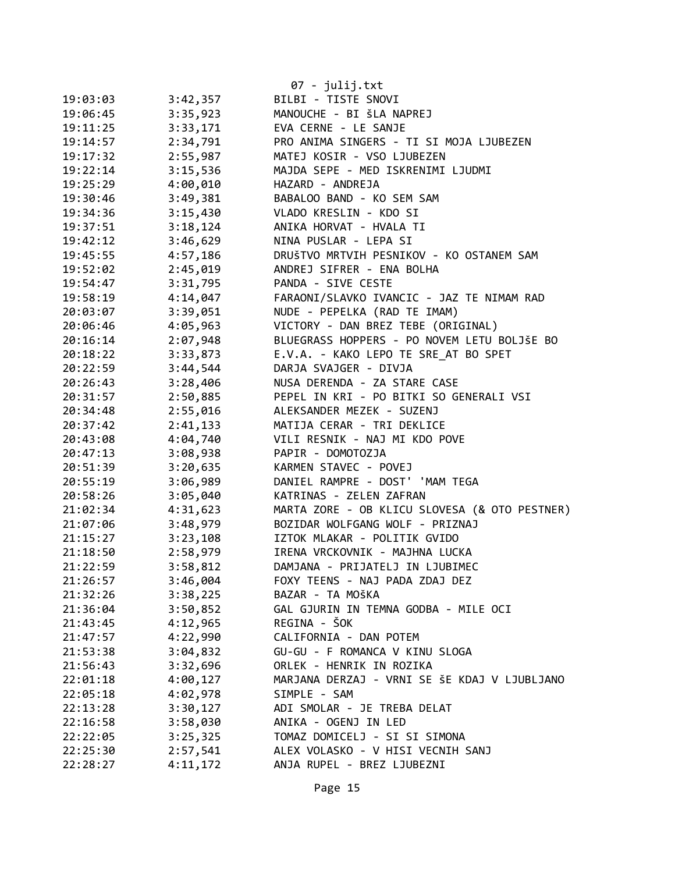|          |          | $07 - julij.txt$                              |
|----------|----------|-----------------------------------------------|
| 19:03:03 | 3:42,357 | BILBI - TISTE SNOVI                           |
| 19:06:45 | 3:35,923 | MANOUCHE - BI ŠLA NAPREJ                      |
| 19:11:25 | 3:33,171 | EVA CERNE - LE SANJE                          |
| 19:14:57 | 2:34,791 | PRO ANIMA SINGERS - TI SI MOJA LJUBEZEN       |
| 19:17:32 | 2:55,987 | MATEJ KOSIR - VSO LJUBEZEN                    |
| 19:22:14 | 3:15,536 | MAJDA SEPE - MED ISKRENIMI LJUDMI             |
| 19:25:29 | 4:00,010 | HAZARD - ANDREJA                              |
| 19:30:46 | 3:49,381 | BABALOO BAND - KO SEM SAM                     |
| 19:34:36 | 3:15,430 | VLADO KRESLIN - KDO SI                        |
| 19:37:51 | 3:18,124 | ANIKA HORVAT - HVALA TI                       |
| 19:42:12 | 3:46,629 | NINA PUSLAR - LEPA SI                         |
| 19:45:55 | 4:57,186 | DRUŠTVO MRTVIH PESNIKOV - KO OSTANEM SAM      |
| 19:52:02 | 2:45,019 | ANDREJ SIFRER - ENA BOLHA                     |
| 19:54:47 | 3:31,795 | PANDA - SIVE CESTE                            |
| 19:58:19 | 4:14,047 | FARAONI/SLAVKO IVANCIC - JAZ TE NIMAM RAD     |
| 20:03:07 | 3:39,051 | NUDE - PEPELKA (RAD TE IMAM)                  |
| 20:06:46 | 4:05,963 | VICTORY - DAN BREZ TEBE (ORIGINAL)            |
| 20:16:14 | 2:07,948 | BLUEGRASS HOPPERS - PO NOVEM LETU BOLJŠE BO   |
| 20:18:22 | 3:33,873 | E.V.A. - KAKO LEPO TE SRE AT BO SPET          |
| 20:22:59 | 3:44,544 | DARJA SVAJGER - DIVJA                         |
| 20:26:43 | 3:28,406 | NUSA DERENDA - ZA STARE CASE                  |
| 20:31:57 | 2:50,885 | PEPEL IN KRI - PO BITKI SO GENERALI VSI       |
| 20:34:48 | 2:55,016 | ALEKSANDER MEZEK - SUZENJ                     |
| 20:37:42 | 2:41,133 | MATIJA CERAR - TRI DEKLICE                    |
| 20:43:08 | 4:04,740 | VILI RESNIK - NAJ MI KDO POVE                 |
| 20:47:13 | 3:08,938 | PAPIR - DOMOTOZJA                             |
| 20:51:39 | 3:20,635 | KARMEN STAVEC - POVEJ                         |
| 20:55:19 | 3:06,989 | DANIEL RAMPRE - DOST' 'MAM TEGA               |
| 20:58:26 | 3:05,040 | KATRINAS - ZELEN ZAFRAN                       |
| 21:02:34 | 4:31,623 | MARTA ZORE - OB KLICU SLOVESA (& OTO PESTNER) |
| 21:07:06 | 3:48,979 | BOZIDAR WOLFGANG WOLF - PRIZNAJ               |
| 21:15:27 | 3:23,108 | IZTOK MLAKAR - POLITIK GVIDO                  |
| 21:18:50 | 2:58,979 | IRENA VRCKOVNIK - MAJHNA LUCKA                |
| 21:22:59 | 3:58,812 | DAMJANA - PRIJATELJ IN LJUBIMEC               |
| 21:26:57 | 3:46,004 | FOXY TEENS - NAJ PADA ZDAJ DEZ                |
| 21:32:26 | 3:38,225 | BAZAR - TA MOŠKA                              |
| 21:36:04 | 3:50,852 | GAL GJURIN IN TEMNA GODBA - MILE OCI          |
| 21:43:45 | 4:12,965 | REGINA - ŠOK                                  |
| 21:47:57 | 4:22,990 | CALIFORNIA - DAN POTEM                        |
| 21:53:38 | 3:04,832 | GU-GU - F ROMANCA V KINU SLOGA                |
| 21:56:43 | 3:32,696 | ORLEK - HENRIK IN ROZIKA                      |
| 22:01:18 | 4:00,127 | MARJANA DERZAJ - VRNI SE ŠE KDAJ V LJUBLJANO  |
| 22:05:18 | 4:02,978 | SIMPLE - SAM                                  |
| 22:13:28 | 3:30,127 | ADI SMOLAR - JE TREBA DELAT                   |
| 22:16:58 | 3:58,030 | ANIKA - OGENJ IN LED                          |
| 22:22:05 | 3:25,325 | TOMAZ DOMICELJ - SI SI SIMONA                 |
| 22:25:30 | 2:57,541 | ALEX VOLASKO - V HISI VECNIH SANJ             |
| 22:28:27 | 4:11,172 | ANJA RUPEL - BREZ LJUBEZNI                    |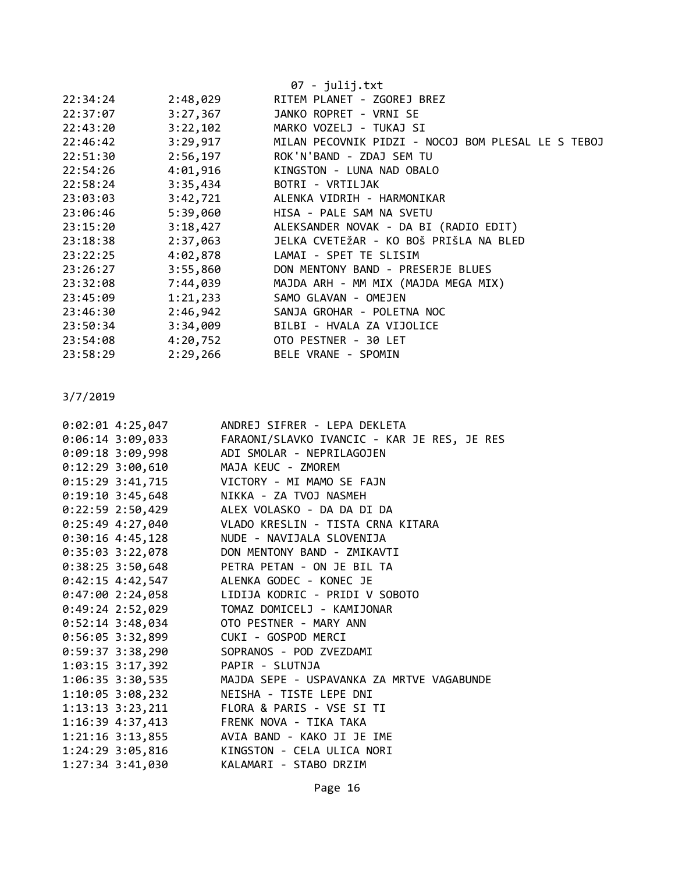|          |          | $07 - julij.txt$                                            |
|----------|----------|-------------------------------------------------------------|
| 22:34:24 | 2:48,029 | RITEM PLANET - ZGOREJ BREZ                                  |
| 22:37:07 | 3:27,367 | JANKO ROPRET - VRNI SE                                      |
| 22:43:20 | 3:22,102 | MARKO VOZELJ - TUKAJ SI                                     |
| 22:46:42 |          | 3:29,917 MILAN PECOVNIK PIDZI - NOCOJ BOM PLESAL LE S TEBOJ |
| 22:51:30 |          | 2:56,197 ROK'N'BAND - ZDAJ SEM TU                           |
| 22:54:26 |          | 4:01,916 KINGSTON - LUNA NAD OBALO                          |
| 22:58:24 | 3:35,434 | BOTRI - VRTILJAK                                            |
| 23:03:03 | 3:42,721 | ALENKA VIDRIH - HARMONIKAR                                  |
| 23:06:46 | 5:39,060 | HISA - PALE SAM NA SVETU                                    |
| 23:15:20 |          | 3:18,427 ALEKSANDER NOVAK - DA BI (RADIO EDIT)              |
| 23:18:38 |          | 2:37,063 JELKA CVETEŽAR - KO BOŠ PRIŠLA NA BLED             |
| 23:22:25 |          | 4:02,878 LAMAI - SPET TE SLISIM                             |
| 23:26:27 | 3:55,860 | DON MENTONY BAND - PRESERJE BLUES                           |
| 23:32:08 | 7:44,039 | MAJDA ARH - MM MIX (MAJDA MEGA MIX)                         |
| 23:45:09 | 1:21,233 | SAMO GLAVAN - OMEJEN                                        |
| 23:46:30 | 2:46,942 | SANJA GROHAR - POLETNA NOC                                  |
| 23:50:34 |          | 3:34,009 BILBI - HVALA ZA VIJOLICE                          |
| 23:54:08 |          | 4:20,752 OTO PESTNER - 30 LET                               |
| 23:58:29 | 2:29,266 | BELE VRANE - SPOMIN                                         |
|          |          |                                                             |

| $0:02:01$ 4:25,047                      | ANDREJ SIFRER - LEPA DEKLETA                               |
|-----------------------------------------|------------------------------------------------------------|
|                                         |                                                            |
|                                         | 0:09:18 3:09,998 ADI SMOLAR - NEPRILAGOJEN                 |
| 0:12:29 3:00,610 MAJA KEUC - ZMOREM     |                                                            |
|                                         | 0:15:29 3:41,715 VICTORY - MI MAMO SE FAJN                 |
| 0:19:10 3:45,648 NIKKA - ZA TVOJ NASMEH |                                                            |
|                                         | 0:22:59 2:50,429 ALEX VOLASKO - DA DA DI DA                |
|                                         | 0:25:49 4:27,040 VLADO KRESLIN - TISTA CRNA KITARA         |
| $0:30:16$ 4:45,128                      | NUDE - NAVIJALA SLOVENIJA                                  |
|                                         | 0:35:03 3:22,078 DON MENTONY BAND - ZMIKAVTI               |
|                                         | 0:38:25 3:50,648 PETRA PETAN - ON JE BIL TA                |
|                                         | 0:42:15 4:42,547 ALENKA GODEC - KONEC JE                   |
|                                         | 0:47:00 2:24,058 LIDIJA KODRIC - PRIDI V SOBOTO            |
|                                         | 0:49:24 2:52,029 TOMAZ DOMICELJ - KAMIJONAR                |
| 0:52:14 3:48,034 OTO PESTNER - MARY ANN |                                                            |
| 0:56:05 3:32,899 CUKI - GOSPOD MERCI    |                                                            |
|                                         | 0:59:37 3:38,290 SOPRANOS - POD ZVEZDAMI                   |
| 1:03:15 3:17,392 PAPIR - SLUTNJA        |                                                            |
|                                         | 1:06:35 3:30,535 MAJDA SEPE - USPAVANKA ZA MRTVE VAGABUNDE |
|                                         | 1:10:05 3:08,232 NEISHA - TISTE LEPE DNI                   |
|                                         | 1:13:13 3:23,211 FLORA & PARIS - VSE SI TI                 |
| 1:16:39 4:37,413 FRENK NOVA - TIKA TAKA |                                                            |
|                                         | 1:21:16 3:13,855 AVIA BAND - KAKO JI JE IME                |
|                                         | 1:24:29 3:05,816 KINGSTON - CELA ULICA NORI                |
| $1:27:34$ $3:41,030$                    | KALAMARI - STABO DRZIM                                     |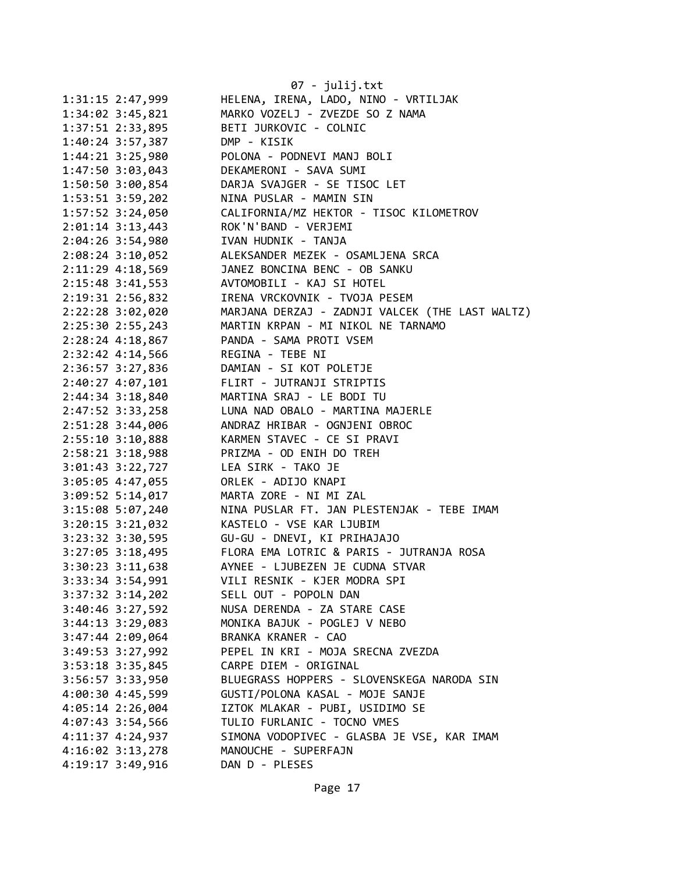|                      | 07 - julij.txt                                  |
|----------------------|-------------------------------------------------|
| 1:31:15 2:47,999     | HELENA, IRENA, LADO, NINO - VRTILJAK            |
| $1:34:02$ 3:45,821   | MARKO VOZELJ - ZVEZDE SO Z NAMA                 |
| 1:37:51 2:33,895     | BETI JURKOVIC - COLNIC                          |
| $1:40:24$ 3:57,387   | DMP - KISIK                                     |
| 1:44:21 3:25,980     | POLONA - PODNEVI MANJ BOLI                      |
| 1:47:50 3:03,043     | DEKAMERONI - SAVA SUMI                          |
| 1:50:50 3:00,854     | DARJA SVAJGER - SE TISOC LET                    |
| 1:53:51 3:59,202     | NINA PUSLAR - MAMIN SIN                         |
| 1:57:52 3:24,050     | CALIFORNIA/MZ HEKTOR - TISOC KILOMETROV         |
| 2:01:14 3:13,443     | ROK'N'BAND - VERJEMI                            |
| $2:04:26$ 3:54,980   | IVAN HUDNIK - TANJA                             |
| $2:08:24$ 3:10,052   | ALEKSANDER MEZEK - OSAMLJENA SRCA               |
| 2:11:29 4:18,569     | JANEZ BONCINA BENC - OB SANKU                   |
| 2:15:48 3:41,553     | AVTOMOBILI - KAJ SI HOTEL                       |
| 2:19:31 2:56,832     | IRENA VRCKOVNIK - TVOJA PESEM                   |
| 2:22:28 3:02,020     | MARJANA DERZAJ - ZADNJI VALCEK (THE LAST WALTZ) |
| 2:25:30 2:55,243     | MARTIN KRPAN - MI NIKOL NE TARNAMO              |
| $2:28:24$ 4:18,867   | PANDA - SAMA PROTI VSEM                         |
| 2:32:42 4:14,566     | REGINA - TEBE NI                                |
| 2:36:57 3:27,836     | DAMIAN - SI KOT POLETJE                         |
| 2:40:27 4:07,101     | FLIRT - JUTRANJI STRIPTIS                       |
| 2:44:34 3:18,840     | MARTINA SRAJ - LE BODI TU                       |
| 2:47:52 3:33,258     | LUNA NAD OBALO - MARTINA MAJERLE                |
| 2:51:28 3:44,006     | ANDRAZ HRIBAR - OGNJENI OBROC                   |
| 2:55:10 3:10,888     | KARMEN STAVEC - CE SI PRAVI                     |
| 2:58:21 3:18,988     | PRIZMA - OD ENIH DO TREH                        |
| 3:01:43 3:22,727     | LEA SIRK - TAKO JE                              |
| 3:05:05 4:47,055     | ORLEK - ADIJO KNAPI                             |
| $3:09:52$ 5:14,017   | MARTA ZORE - NI MI ZAL                          |
| 3:15:08 5:07,240     | NINA PUSLAR FT. JAN PLESTENJAK - TEBE IMAM      |
| $3:20:15$ $3:21,032$ | KASTELO - VSE KAR LJUBIM                        |
| 3:23:32 3:30,595     | GU-GU - DNEVI, KI PRIHAJAJO                     |
| $3:27:05$ 3:18,495   | FLORA EMA LOTRIC & PARIS - JUTRANJA ROSA        |
| $3:30:23$ $3:11,638$ | AYNEE - LJUBEZEN JE CUDNA STVAR                 |
| 3:33:34 3:54,991     | VILI RESNIK - KJER MODRA SPI                    |
| $3:37:32$ $3:14,202$ | SELL OUT - POPOLN DAN                           |
| $3:40:46$ $3:27,592$ | NUSA DERENDA - ZA STARE CASE                    |
| $3:44:13$ $3:29,083$ | MONIKA BAJUK - POGLEJ V NEBO                    |
| 3:47:44 2:09,064     | BRANKA KRANER - CAO                             |
| $3:49:53$ $3:27,992$ | PEPEL IN KRI - MOJA SRECNA ZVEZDA               |
| $3:53:18$ $3:35,845$ | CARPE DIEM - ORIGINAL                           |
| 3:56:57 3:33,950     | BLUEGRASS HOPPERS - SLOVENSKEGA NARODA SIN      |
| 4:00:30 4:45,599     | GUSTI/POLONA KASAL - MOJE SANJE                 |
| 4:05:14 2:26,004     | IZTOK MLAKAR - PUBI, USIDIMO SE                 |
| 4:07:43 3:54,566     | TULIO FURLANIC - TOCNO VMES                     |
| 4:11:37 4:24,937     | SIMONA VODOPIVEC - GLASBA JE VSE, KAR IMAM      |
| 4:16:02 3:13,278     | MANOUCHE - SUPERFAJN                            |
| 4:19:17 3:49,916     | DAN D - PLESES                                  |
|                      |                                                 |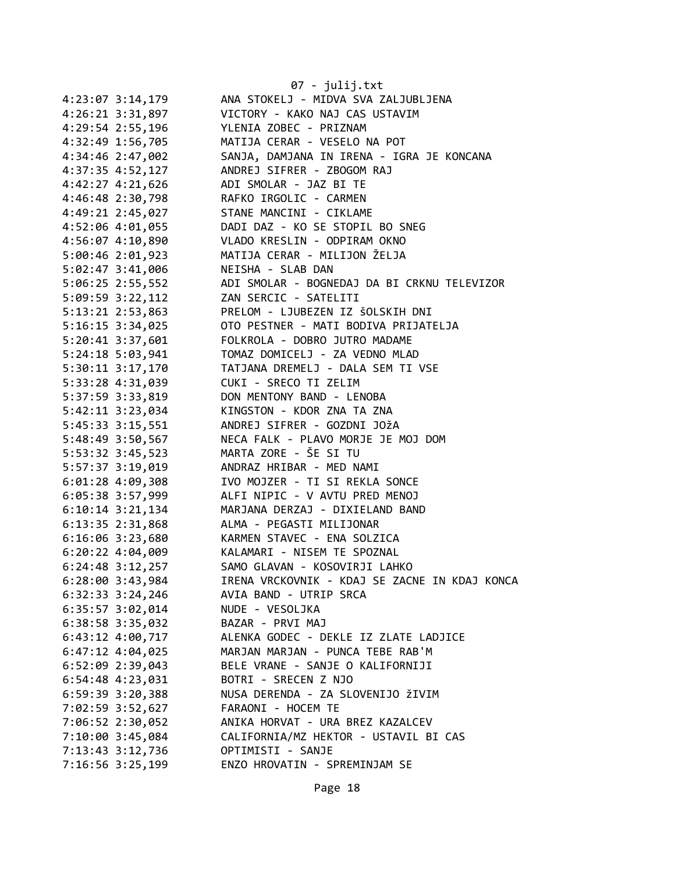|                                          | 07 - julij.txt                                            |
|------------------------------------------|-----------------------------------------------------------|
| 4:23:07 3:14,179                         | ANA STOKELJ - MIDVA SVA ZALJUBLJENA                       |
| 4:26:21 3:31,897                         | VICTORY - KAKO NAJ CAS USTAVIM                            |
| 4:29:54 2:55,196                         | YLENIA ZOBEC - PRIZNAM                                    |
| 4:32:49 1:56,705                         | MATIJA CERAR - VESELO NA POT                              |
| 4:34:46 2:47,002                         | SANJA, DAMJANA IN IRENA - IGRA JE KONCANA                 |
| 4:37:35 4:52,127                         | ANDREJ SIFRER - ZBOGOM RAJ                                |
| 4:42:27 4:21,626                         | ADI SMOLAR - JAZ BI TE                                    |
| 4:46:48 2:30,798                         | RAFKO IRGOLIC - CARMEN                                    |
| 4:49:21 2:45,027                         | STANE MANCINI - CIKLAME                                   |
| 4:52:06 4:01,055                         | DADI DAZ - KO SE STOPIL BO SNEG                           |
| 4:56:07 4:10,890                         | VLADO KRESLIN - ODPIRAM OKNO                              |
| 5:00:46 2:01,923                         | MATIJA CERAR - MILIJON ŽELJA                              |
| 5:02:47 3:41,006                         | NEISHA - SLAB DAN                                         |
| 5:06:25 2:55,552                         | ADI SMOLAR - BOGNEDAJ DA BI CRKNU TELEVIZOR               |
| 5:09:59 3:22,112                         | ZAN SERCIC - SATELITI                                     |
| 5:13:21 2:53,863                         | PRELOM - LJUBEZEN IZ ŠOLSKIH DNI                          |
| 5:16:15 3:34,025                         | OTO PESTNER - MATI BODIVA PRIJATELJA                      |
| 5:20:41 3:37,601                         | FOLKROLA - DOBRO JUTRO MADAME                             |
| 5:24:18 5:03,941                         | TOMAZ DOMICELJ - ZA VEDNO MLAD                            |
| 5:30:11 3:17,170                         | TATJANA DREMELJ - DALA SEM TI VSE                         |
| 5:33:28 4:31,039                         | CUKI - SRECO TI ZELIM                                     |
| 5:37:59 3:33,819                         | DON MENTONY BAND - LENOBA                                 |
| 5:42:11 3:23,034                         | KINGSTON - KDOR ZNA TA ZNA                                |
| 5:45:33 3:15,551                         | ANDREJ SIFRER - GOZDNI JOŽA                               |
| 5:48:49 3:50,567                         | NECA FALK - PLAVO MORJE JE MOJ DOM                        |
| 5:53:32 3:45,523                         | MARTA ZORE - ŠE SI TU                                     |
| 5:57:37 3:19,019                         | ANDRAZ HRIBAR - MED NAMI                                  |
| $6:01:28$ 4:09,308                       | IVO MOJZER - TI SI REKLA SONCE                            |
| 6:05:38 3:57,999                         | ALFI NIPIC - V AVTU PRED MENOJ                            |
| 6:10:14 3:21,134                         | MARJANA DERZAJ - DIXIELAND BAND                           |
| 6:13:35 2:31,868                         | ALMA - PEGASTI MILIJONAR                                  |
|                                          | KARMEN STAVEC - ENA SOLZICA                               |
| $6:16:06$ 3:23,680                       | KALAMARI - NISEM TE SPOZNAL                               |
| $6:20:22$ 4:04,009                       | SAMO GLAVAN - KOSOVIRJI LAHKO                             |
| 6:24:48 3:12,257<br>$6:28:00$ 3:43,984   | IRENA VRCKOVNIK - KDAJ SE ZACNE IN KDAJ KONCA             |
| $6:32:33$ $3:24,246$                     | AVIA BAND - UTRIP SRCA                                    |
|                                          | NUDE - VESOLJKA                                           |
| 6:35:57 3:02,014                         | BAZAR - PRVI MAJ                                          |
| 6:38:58 3:35,032                         | ALENKA GODEC - DEKLE IZ ZLATE LADJICE                     |
| 6:43:12 4:00,717                         | MARJAN MARJAN - PUNCA TEBE RAB'M                          |
| 6:47:12 4:04,025                         | BELE VRANE - SANJE O KALIFORNIJI                          |
| 6:52:09 2:39,043                         |                                                           |
| $6:54:48$ $4:23,031$<br>6:59:39 3:20,388 | BOTRI - SRECEN Z NJO<br>NUSA DERENDA - ZA SLOVENIJO ŽIVIM |
|                                          | FARAONI - HOCEM TE                                        |
| 7:02:59 3:52,627                         | ANIKA HORVAT - URA BREZ KAZALCEV                          |
| 7:06:52 2:30,052                         |                                                           |
| 7:10:00 3:45,084                         | CALIFORNIA/MZ HEKTOR - USTAVIL BI CAS                     |
| 7:13:43 3:12,736                         | OPTIMISTI - SANJE                                         |
| 7:16:56 3:25,199                         | ENZO HROVATIN - SPREMINJAM SE                             |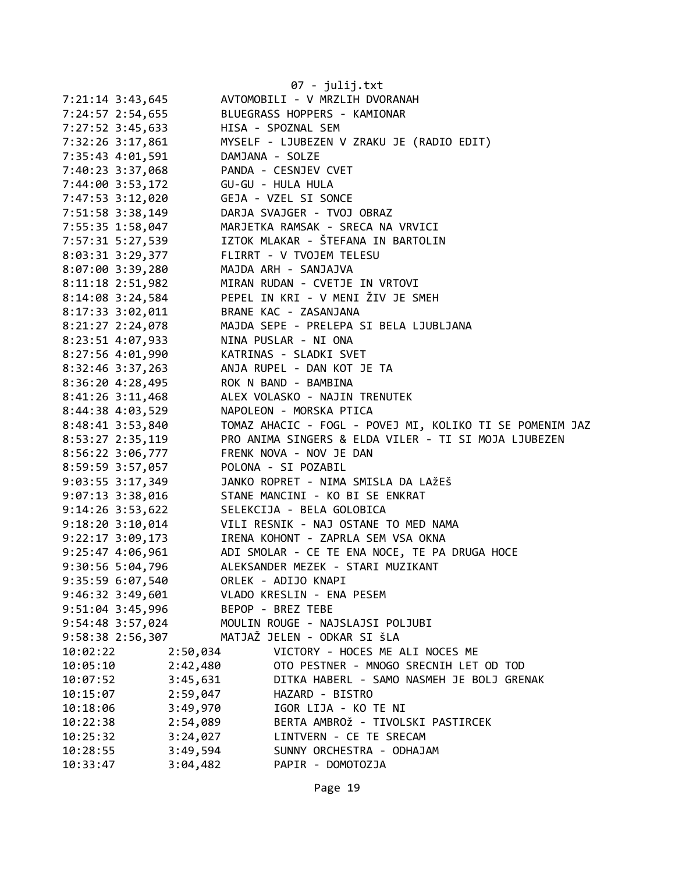|                                          |          | 07 - julij.txt<br>AVTOMOBILI - V MRZLIH DVORANAH                          |
|------------------------------------------|----------|---------------------------------------------------------------------------|
| 7:21:14 3:43,645                         |          | BLUEGRASS HOPPERS - KAMIONAR                                              |
| 7:24:57 2:54,655                         |          |                                                                           |
| 7:27:52 3:45,633 HISA - SPOZNAL SEM      |          |                                                                           |
|                                          |          | 7:32:26 3:17,861 MYSELF - LJUBEZEN V ZRAKU JE (RADIO EDIT)                |
| 7:35:43  4:01,591   DAMJANA - SOLZE      |          |                                                                           |
| 7:40:23 3:37,068 PANDA - CESNJEV CVET    |          |                                                                           |
| 7:44:00 3:53,172                         |          | GU-GU - HULA HULA                                                         |
| 7:47:53 3:12,020                         |          | GEJA - VZEL SI SONCE                                                      |
| 7:51:58 3:38,149                         |          | DARJA SVAJGER - TVOJ OBRAZ                                                |
| 7:55:35 1:58,047                         |          | MARJETKA RAMSAK - SRECA NA VRVICI                                         |
|                                          |          | 7:57:31 5:27,539 IZTOK MLAKAR - ŠTEFANA IN BARTOLIN                       |
| 8:03:31 3:29,377                         |          | FLIRRT - V TVOJEM TELESU                                                  |
| 8:07:00 3:39,280                         |          | MAJDA ARH - SANJAJVA                                                      |
| 8:11:18 2:51,982                         |          | MIRAN RUDAN - CVETJE IN VRTOVI                                            |
| $8:14:08$ 3:24,584                       |          | PEPEL IN KRI - V MENI ŽIV JE SMEH                                         |
| $8:17:33$ $3:02,011$                     |          | BRANE KAC - ZASANJANA                                                     |
| 8:21:27 2:24,078                         |          | MAJDA SEPE - PRELEPA SI BELA LJUBLJANA                                    |
| 8:23:51 4:07,933                         |          | NINA PUSLAR - NI ONA                                                      |
| 8:27:56 4:01,990 KATRINAS - SLADKI SVET  |          |                                                                           |
|                                          |          | 8:32:46 3:37,263 ANJA RUPEL - DAN KOT JE TA                               |
| 8:36:20 4:28,495 ROK N BAND - BAMBINA    |          |                                                                           |
| $8:41:26$ 3:11,468                       |          | ALEX VOLASKO - NAJIN TRENUTEK                                             |
| 8:44:38 4:03,529                         |          | NAPOLEON - MORSKA PTICA                                                   |
| 8:48:41 3:53,840                         |          | TOMAZ AHACIC - FOGL - POVEJ MI, KOLIKO TI SE POMENIM JAZ                  |
|                                          |          | 8:53:27 2:35,119 PRO ANIMA SINGERS & ELDA VILER - TI SI MOJA LJUBEZEN     |
| 8:56:22 3:06,777 FRENK NOVA - NOV JE DAN |          |                                                                           |
| 8:59:59 3:57,057 POLONA - SI POZABIL     |          |                                                                           |
|                                          |          | 9:03:55 3:17,349 JANKO ROPRET - NIMA SMISLA DA LAŽEŠ                      |
|                                          |          | 9:07:13 3:38,016 STANE MANCINI - KO BI SE ENKRAT                          |
|                                          |          |                                                                           |
|                                          |          | 9:14:26 3:53,622<br>9:18:20 3:10,014 VILI RESNIK - NAJ OSTANE TO MED NAMA |
|                                          |          |                                                                           |
|                                          |          | 9:22:17 3:09,173 IRENA KOHONT - ZAPRLA SEM VSA OKNA                       |
| $9:25:47$ $4:06,961$                     |          | ADI SMOLAR - CE TE ENA NOCE, TE PA DRUGA HOCE                             |
| 9:30:56 5:04,796                         |          | ALEKSANDER MEZEK - STARI MUZIKANT                                         |
| 9:35:59 6:07,540                         |          | ORLEK - ADIJO KNAPI                                                       |
| $9:46:32$ $3:49,601$                     |          | VLADO KRESLIN - ENA PESEM                                                 |
| 9:51:04 3:45,996                         |          | BEPOP - BREZ TEBE                                                         |
| 9:54:48 3:57,024                         |          | MOULIN ROUGE - NAJSLAJSI POLJUBI                                          |
| 9:58:38 2:56,307                         |          | MATJAŽ JELEN - ODKAR SI ŠLA                                               |
| 10:02:22                                 | 2:50,034 | VICTORY - HOCES ME ALI NOCES ME                                           |
| 10:05:10                                 | 2:42,480 | OTO PESTNER - MNOGO SRECNIH LET OD TOD                                    |
| 10:07:52                                 | 3:45,631 | DITKA HABERL - SAMO NASMEH JE BOLJ GRENAK                                 |
| 10:15:07                                 | 2:59,047 | HAZARD - BISTRO                                                           |
| 10:18:06                                 | 3:49,970 | IGOR LIJA - KO TE NI                                                      |
| 10:22:38                                 | 2:54,089 | BERTA AMBROŽ - TIVOLSKI PASTIRCEK                                         |
| 10:25:32                                 | 3:24,027 | LINTVERN - CE TE SRECAM                                                   |
| 10:28:55                                 | 3:49,594 | SUNNY ORCHESTRA - ODHAJAM                                                 |
| 10:33:47                                 | 3:04,482 | PAPIR - DOMOTOZJA                                                         |
|                                          |          |                                                                           |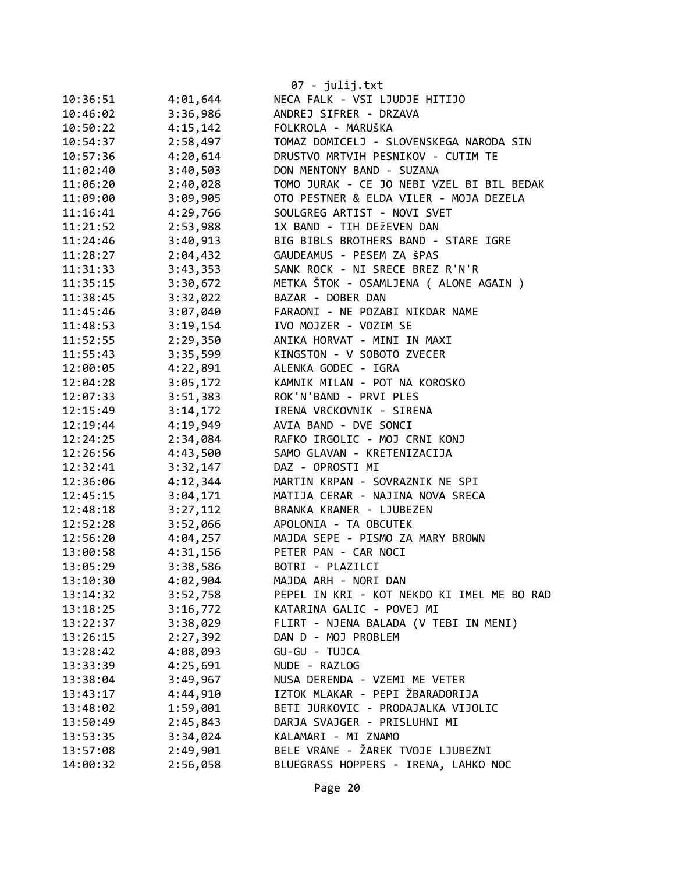|          |          | $07 - julij.txt$                           |
|----------|----------|--------------------------------------------|
| 10:36:51 | 4:01,644 | NECA FALK - VSI LJUDJE HITIJO              |
| 10:46:02 | 3:36,986 | ANDREJ SIFRER - DRZAVA                     |
| 10:50:22 | 4:15,142 | FOLKROLA - MARUŠKA                         |
| 10:54:37 | 2:58,497 | TOMAZ DOMICELJ - SLOVENSKEGA NARODA SIN    |
| 10:57:36 | 4:20,614 | DRUSTVO MRTVIH PESNIKOV - CUTIM TE         |
| 11:02:40 | 3:40,503 | DON MENTONY BAND - SUZANA                  |
| 11:06:20 | 2:40,028 | TOMO JURAK - CE JO NEBI VZEL BI BIL BEDAK  |
| 11:09:00 | 3:09,905 | OTO PESTNER & ELDA VILER - MOJA DEZELA     |
| 11:16:41 | 4:29,766 | SOULGREG ARTIST - NOVI SVET                |
| 11:21:52 | 2:53,988 | 1X BAND - TIH DEŽEVEN DAN                  |
| 11:24:46 | 3:40,913 | BIG BIBLS BROTHERS BAND - STARE IGRE       |
| 11:28:27 | 2:04,432 | GAUDEAMUS - PESEM ZA ŠPAS                  |
| 11:31:33 | 3:43,353 | SANK ROCK - NI SRECE BREZ R'N'R            |
| 11:35:15 | 3:30,672 | METKA ŠTOK - OSAMLJENA ( ALONE AGAIN )     |
| 11:38:45 | 3:32,022 | BAZAR - DOBER DAN                          |
| 11:45:46 | 3:07,040 | FARAONI - NE POZABI NIKDAR NAME            |
| 11:48:53 | 3:19,154 | IVO MOJZER - VOZIM SE                      |
| 11:52:55 | 2:29,350 | ANIKA HORVAT - MINI IN MAXI                |
| 11:55:43 | 3:35,599 | KINGSTON - V SOBOTO ZVECER                 |
| 12:00:05 | 4:22,891 | ALENKA GODEC - IGRA                        |
| 12:04:28 | 3:05,172 | KAMNIK MILAN - POT NA KOROSKO              |
| 12:07:33 | 3:51,383 | ROK'N'BAND - PRVI PLES                     |
| 12:15:49 | 3:14,172 | IRENA VRCKOVNIK - SIRENA                   |
| 12:19:44 | 4:19,949 | AVIA BAND - DVE SONCI                      |
| 12:24:25 | 2:34,084 | RAFKO IRGOLIC - MOJ CRNI KONJ              |
| 12:26:56 | 4:43,500 | SAMO GLAVAN - KRETENIZACIJA                |
| 12:32:41 | 3:32,147 | DAZ - OPROSTI MI                           |
| 12:36:06 | 4:12,344 | MARTIN KRPAN - SOVRAZNIK NE SPI            |
| 12:45:15 | 3:04,171 | MATIJA CERAR - NAJINA NOVA SRECA           |
| 12:48:18 | 3:27,112 | BRANKA KRANER - LJUBEZEN                   |
| 12:52:28 | 3:52,066 | APOLONIA - TA OBCUTEK                      |
| 12:56:20 | 4:04,257 | MAJDA SEPE - PISMO ZA MARY BROWN           |
| 13:00:58 | 4:31,156 | PETER PAN - CAR NOCI                       |
| 13:05:29 | 3:38,586 | BOTRI - PLAZILCI                           |
| 13:10:30 | 4:02,904 | MAJDA ARH - NORI DAN                       |
| 13:14:32 | 3:52,758 | PEPEL IN KRI - KOT NEKDO KI IMEL ME BO RAD |
| 13:18:25 | 3:16,772 | KATARINA GALIC - POVEJ MI                  |
| 13:22:37 | 3:38,029 | FLIRT - NJENA BALADA (V TEBI IN MENI)      |
| 13:26:15 | 2:27,392 | DAN D - MOJ PROBLEM                        |
| 13:28:42 | 4:08,093 | GU-GU - TUJCA                              |
| 13:33:39 | 4:25,691 | NUDE - RAZLOG                              |
| 13:38:04 | 3:49,967 | NUSA DERENDA - VZEMI ME VETER              |
| 13:43:17 | 4:44,910 | IZTOK MLAKAR - PEPI ŽBARADORIJA            |
| 13:48:02 | 1:59,001 | BETI JURKOVIC - PRODAJALKA VIJOLIC         |
| 13:50:49 | 2:45,843 | DARJA SVAJGER - PRISLUHNI MI               |
| 13:53:35 | 3:34,024 | KALAMARI - MI ZNAMO                        |
| 13:57:08 | 2:49,901 | BELE VRANE - ŽAREK TVOJE LJUBEZNI          |
| 14:00:32 | 2:56,058 | BLUEGRASS HOPPERS - IRENA, LAHKO NOC       |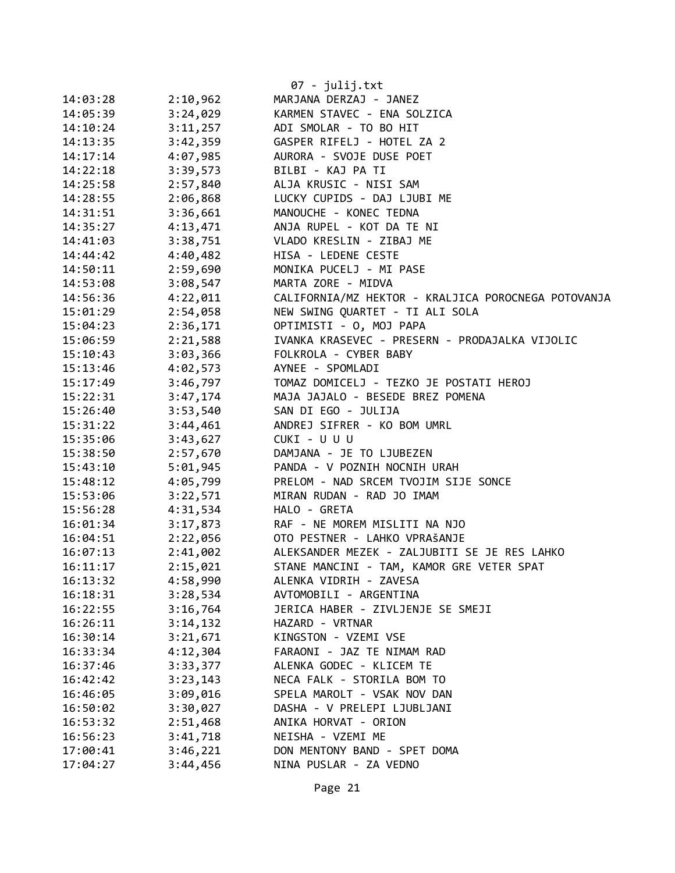|          |          | $07 - julij.txt$                                    |
|----------|----------|-----------------------------------------------------|
| 14:03:28 | 2:10,962 | MARJANA DERZAJ - JANEZ                              |
| 14:05:39 | 3:24,029 | KARMEN STAVEC - ENA SOLZICA                         |
| 14:10:24 | 3:11,257 | ADI SMOLAR - TO BO HIT                              |
| 14:13:35 | 3:42,359 | GASPER RIFELJ - HOTEL ZA 2                          |
| 14:17:14 | 4:07,985 | AURORA - SVOJE DUSE POET                            |
| 14:22:18 | 3:39,573 | BILBI - KAJ PA TI                                   |
| 14:25:58 | 2:57,840 | ALJA KRUSIC - NISI SAM                              |
| 14:28:55 | 2:06,868 | LUCKY CUPIDS - DAJ LJUBI ME                         |
| 14:31:51 | 3:36,661 | MANOUCHE - KONEC TEDNA                              |
| 14:35:27 | 4:13,471 | ANJA RUPEL - KOT DA TE NI                           |
| 14:41:03 | 3:38,751 | VLADO KRESLIN - ZIBAJ ME                            |
| 14:44:42 | 4:40,482 | HISA - LEDENE CESTE                                 |
| 14:50:11 | 2:59,690 | MONIKA PUCELJ - MI PASE                             |
| 14:53:08 | 3:08,547 | MARTA ZORE - MIDVA                                  |
| 14:56:36 | 4:22,011 | CALIFORNIA/MZ HEKTOR - KRALJICA POROCNEGA POTOVANJA |
| 15:01:29 | 2:54,058 | NEW SWING QUARTET - TI ALI SOLA                     |
| 15:04:23 | 2:36,171 | OPTIMISTI - 0, MOJ PAPA                             |
| 15:06:59 | 2:21,588 | IVANKA KRASEVEC - PRESERN - PRODAJALKA VIJOLIC      |
| 15:10:43 | 3:03,366 | FOLKROLA - CYBER BABY                               |
| 15:13:46 | 4:02,573 | AYNEE - SPOMLADI                                    |
| 15:17:49 | 3:46,797 | TOMAZ DOMICELJ - TEZKO JE POSTATI HEROJ             |
| 15:22:31 | 3:47,174 | MAJA JAJALO - BESEDE BREZ POMENA                    |
| 15:26:40 | 3:53,540 | SAN DI EGO - JULIJA                                 |
| 15:31:22 | 3:44,461 | ANDREJ SIFRER - KO BOM UMRL                         |
| 15:35:06 | 3:43,627 | CUKI - U U U                                        |
| 15:38:50 | 2:57,670 | DAMJANA - JE TO LJUBEZEN                            |
| 15:43:10 | 5:01,945 | PANDA - V POZNIH NOCNIH URAH                        |
| 15:48:12 | 4:05,799 | PRELOM - NAD SRCEM TVOJIM SIJE SONCE                |
| 15:53:06 | 3:22,571 | MIRAN RUDAN - RAD JO IMAM                           |
| 15:56:28 | 4:31,534 | HALO - GRETA                                        |
| 16:01:34 | 3:17,873 | RAF - NE MOREM MISLITI NA NJO                       |
| 16:04:51 | 2:22,056 | OTO PESTNER - LAHKO VPRAŠANJE                       |
| 16:07:13 | 2:41,002 | ALEKSANDER MEZEK - ZALJUBITI SE JE RES LAHKO        |
| 16:11:17 | 2:15,021 | STANE MANCINI - TAM, KAMOR GRE VETER SPAT           |
| 16:13:32 | 4:58,990 | ALENKA VIDRIH - ZAVESA                              |
| 16:18:31 | 3:28,534 | AVTOMOBILI - ARGENTINA                              |
| 16:22:55 | 3:16,764 | JERICA HABER - ZIVLJENJE SE SMEJI                   |
| 16:26:11 | 3:14,132 | HAZARD - VRTNAR                                     |
| 16:30:14 | 3:21,671 | KINGSTON - VZEMI VSE                                |
| 16:33:34 | 4:12,304 | FARAONI - JAZ TE NIMAM RAD                          |
| 16:37:46 | 3:33,377 | ALENKA GODEC - KLICEM TE                            |
| 16:42:42 | 3:23,143 | NECA FALK - STORILA BOM TO                          |
| 16:46:05 | 3:09,016 | SPELA MAROLT - VSAK NOV DAN                         |
| 16:50:02 | 3:30,027 | DASHA - V PRELEPI LJUBLJANI                         |
| 16:53:32 | 2:51,468 | ANIKA HORVAT - ORION                                |
| 16:56:23 | 3:41,718 | NEISHA - VZEMI ME                                   |
| 17:00:41 | 3:46,221 | DON MENTONY BAND - SPET DOMA                        |
| 17:04:27 | 3:44,456 | NINA PUSLAR - ZA VEDNO                              |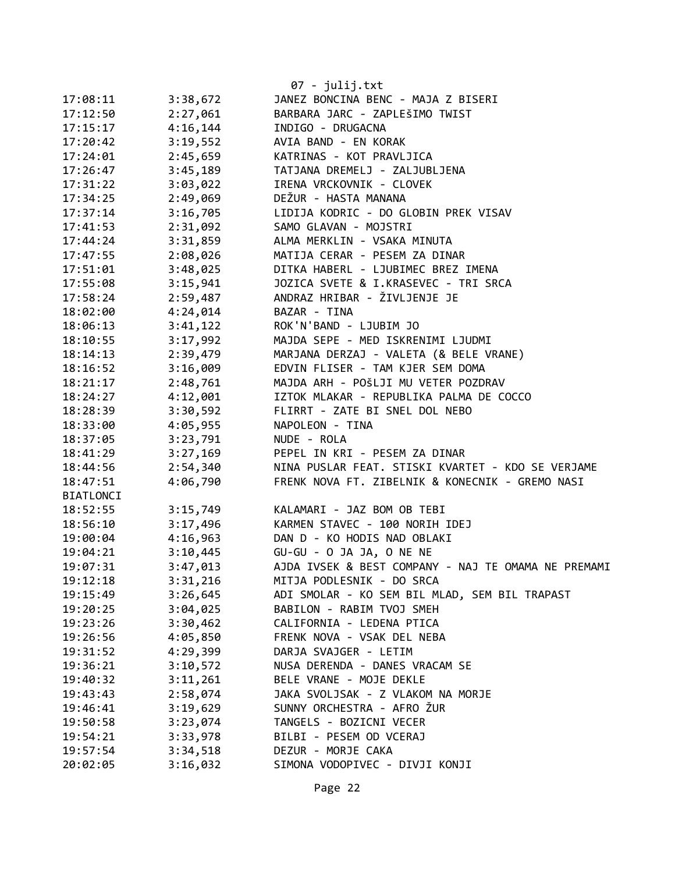|           |          | 07 - julij.txt                                      |
|-----------|----------|-----------------------------------------------------|
| 17:08:11  | 3:38,672 | JANEZ BONCINA BENC - MAJA Z BISERI                  |
| 17:12:50  | 2:27,061 | BARBARA JARC - ZAPLEŠIMO TWIST                      |
| 17:15:17  | 4:16,144 | INDIGO - DRUGACNA                                   |
| 17:20:42  | 3:19,552 | AVIA BAND - EN KORAK                                |
| 17:24:01  | 2:45,659 | KATRINAS - KOT PRAVLJICA                            |
| 17:26:47  | 3:45,189 | TATJANA DREMELJ - ZALJUBLJENA                       |
| 17:31:22  | 3:03,022 | IRENA VRCKOVNIK - CLOVEK                            |
| 17:34:25  | 2:49,069 | DEŽUR - HASTA MANANA                                |
| 17:37:14  | 3:16,705 | LIDIJA KODRIC - DO GLOBIN PREK VISAV                |
| 17:41:53  | 2:31,092 | SAMO GLAVAN - MOJSTRI                               |
| 17:44:24  | 3:31,859 | ALMA MERKLIN - VSAKA MINUTA                         |
| 17:47:55  | 2:08,026 | MATIJA CERAR - PESEM ZA DINAR                       |
| 17:51:01  | 3:48,025 | DITKA HABERL - LJUBIMEC BREZ IMENA                  |
| 17:55:08  | 3:15,941 | JOZICA SVETE & I.KRASEVEC - TRI SRCA                |
| 17:58:24  | 2:59,487 | ANDRAZ HRIBAR - ŽIVLJENJE JE                        |
| 18:02:00  | 4:24,014 | BAZAR - TINA                                        |
| 18:06:13  | 3:41,122 | ROK'N'BAND - LJUBIM JO                              |
| 18:10:55  | 3:17,992 | MAJDA SEPE - MED ISKRENIMI LJUDMI                   |
| 18:14:13  | 2:39,479 | MARJANA DERZAJ - VALETA (& BELE VRANE)              |
| 18:16:52  | 3:16,009 | EDVIN FLISER - TAM KJER SEM DOMA                    |
| 18:21:17  | 2:48,761 | MAJDA ARH - POŠLJI MU VETER POZDRAV                 |
| 18:24:27  | 4:12,001 | IZTOK MLAKAR - REPUBLIKA PALMA DE COCCO             |
| 18:28:39  | 3:30,592 | FLIRRT - ZATE BI SNEL DOL NEBO                      |
| 18:33:00  | 4:05,955 | NAPOLEON - TINA                                     |
| 18:37:05  | 3:23,791 | NUDE - ROLA                                         |
| 18:41:29  | 3:27,169 | PEPEL IN KRI - PESEM ZA DINAR                       |
| 18:44:56  | 2:54,340 | NINA PUSLAR FEAT. STISKI KVARTET - KDO SE VERJAME   |
| 18:47:51  | 4:06,790 | FRENK NOVA FT. ZIBELNIK & KONECNIK - GREMO NASI     |
| BIATLONCI |          |                                                     |
| 18:52:55  | 3:15,749 | KALAMARI - JAZ BOM OB TEBI                          |
| 18:56:10  | 3:17,496 | KARMEN STAVEC - 100 NORIH IDEJ                      |
| 19:00:04  | 4:16,963 | DAN D - KO HODIS NAD OBLAKI                         |
| 19:04:21  | 3:10,445 | GU-GU - O JA JA, O NE NE                            |
| 19:07:31  | 3:47,013 | AJDA IVSEK & BEST COMPANY - NAJ TE OMAMA NE PREMAMI |
| 19:12:18  | 3:31,216 | MITJA PODLESNIK - DO SRCA                           |
| 19:15:49  | 3:26,645 | ADI SMOLAR - KO SEM BIL MLAD, SEM BIL TRAPAST       |
| 19:20:25  | 3:04,025 | BABILON - RABIM TVOJ SMEH                           |
| 19:23:26  | 3:30,462 | CALIFORNIA - LEDENA PTICA                           |
| 19:26:56  | 4:05,850 | FRENK NOVA - VSAK DEL NEBA                          |
| 19:31:52  | 4:29,399 | DARJA SVAJGER - LETIM                               |
| 19:36:21  | 3:10,572 | NUSA DERENDA - DANES VRACAM SE                      |
| 19:40:32  | 3:11,261 | BELE VRANE - MOJE DEKLE                             |
| 19:43:43  | 2:58,074 | JAKA SVOLJSAK - Z VLAKOM NA MORJE                   |
| 19:46:41  | 3:19,629 | SUNNY ORCHESTRA - AFRO ŽUR                          |
| 19:50:58  | 3:23,074 | TANGELS - BOZICNI VECER                             |
| 19:54:21  | 3:33,978 | BILBI - PESEM OD VCERAJ                             |
| 19:57:54  | 3:34,518 | DEZUR - MORJE CAKA                                  |
| 20:02:05  | 3:16,032 | SIMONA VODOPIVEC - DIVJI KONJI                      |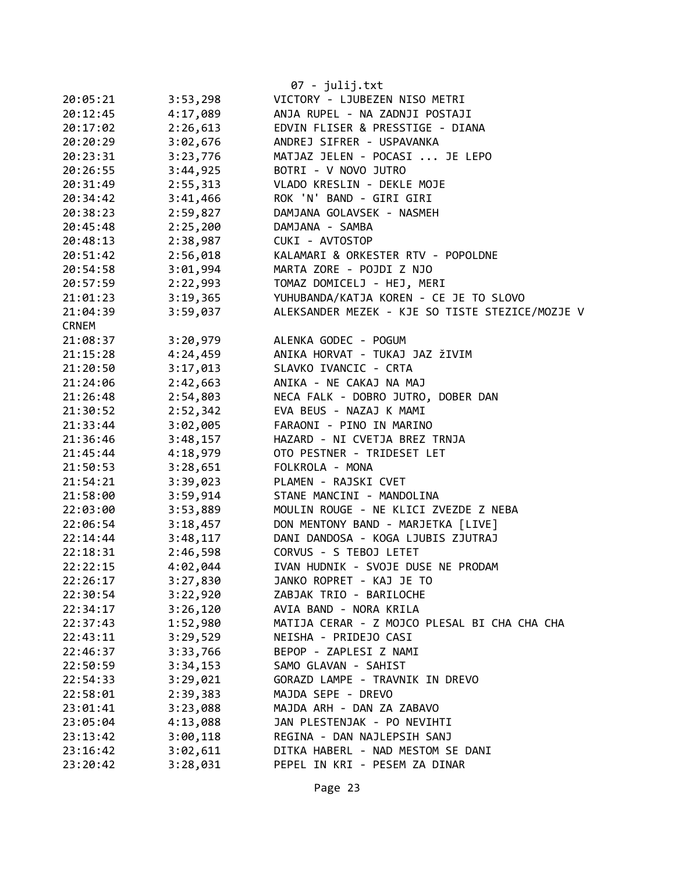|              |          | 07 - julij.txt                                  |
|--------------|----------|-------------------------------------------------|
| 20:05:21     | 3:53,298 | VICTORY - LJUBEZEN NISO METRI                   |
| 20:12:45     | 4:17,089 | ANJA RUPEL - NA ZADNJI POSTAJI                  |
| 20:17:02     | 2:26,613 | EDVIN FLISER & PRESSTIGE - DIANA                |
| 20:20:29     | 3:02,676 | ANDREJ SIFRER - USPAVANKA                       |
| 20:23:31     | 3:23,776 | MATJAZ JELEN - POCASI  JE LEPO                  |
| 20:26:55     | 3:44,925 | BOTRI - V NOVO JUTRO                            |
| 20:31:49     | 2:55,313 | VLADO KRESLIN - DEKLE MOJE                      |
| 20:34:42     | 3:41,466 | ROK 'N' BAND - GIRI GIRI                        |
| 20:38:23     | 2:59,827 | DAMJANA GOLAVSEK - NASMEH                       |
| 20:45:48     | 2:25,200 | DAMJANA - SAMBA                                 |
| 20:48:13     | 2:38,987 | CUKI - AVTOSTOP                                 |
| 20:51:42     | 2:56,018 | KALAMARI & ORKESTER RTV - POPOLDNE              |
| 20:54:58     | 3:01,994 | MARTA ZORE - POJDI Z NJO                        |
| 20:57:59     | 2:22,993 | TOMAZ DOMICELJ - HEJ, MERI                      |
| 21:01:23     | 3:19,365 | YUHUBANDA/KATJA KOREN - CE JE TO SLOVO          |
| 21:04:39     | 3:59,037 | ALEKSANDER MEZEK - KJE SO TISTE STEZICE/MOZJE V |
| <b>CRNEM</b> |          |                                                 |
| 21:08:37     | 3:20,979 | ALENKA GODEC - POGUM                            |
| 21:15:28     | 4:24,459 | ANIKA HORVAT - TUKAJ JAZ ŽIVIM                  |
| 21:20:50     | 3:17,013 | SLAVKO IVANCIC - CRTA                           |
| 21:24:06     | 2:42,663 | ANIKA - NE CAKAJ NA MAJ                         |
| 21:26:48     | 2:54,803 | NECA FALK - DOBRO JUTRO, DOBER DAN              |
| 21:30:52     | 2:52,342 | EVA BEUS - NAZAJ K MAMI                         |
| 21:33:44     | 3:02,005 | FARAONI - PINO IN MARINO                        |
| 21:36:46     | 3:48,157 | HAZARD - NI CVETJA BREZ TRNJA                   |
| 21:45:44     | 4:18,979 | OTO PESTNER - TRIDESET LET                      |
| 21:50:53     | 3:28,651 | FOLKROLA - MONA                                 |
| 21:54:21     | 3:39,023 | PLAMEN - RAJSKI CVET                            |
| 21:58:00     | 3:59,914 | STANE MANCINI - MANDOLINA                       |
| 22:03:00     | 3:53,889 | MOULIN ROUGE - NE KLICI ZVEZDE Z NEBA           |
| 22:06:54     | 3:18,457 | DON MENTONY BAND - MARJETKA [LIVE]              |
| 22:14:44     | 3:48,117 | DANI DANDOSA - KOGA LJUBIS ZJUTRAJ              |
| 22:18:31     | 2:46,598 | CORVUS - S TEBOJ LETET                          |
| 22:22:15     | 4:02,044 | IVAN HUDNIK - SVOJE DUSE NE PRODAM              |
| 22:26:17     | 3:27,830 | JANKO ROPRET - KAJ JE TO                        |
| 22:30:54     | 3:22,920 | ZABJAK TRIO - BARILOCHE                         |
| 22:34:17     | 3:26,120 | AVIA BAND - NORA KRILA                          |
| 22:37:43     | 1:52,980 | MATIJA CERAR - Z MOJCO PLESAL BI CHA CHA CHA    |
| 22:43:11     | 3:29,529 | NEISHA - PRIDEJO CASI                           |
| 22:46:37     | 3:33,766 | BEPOP - ZAPLESI Z NAMI                          |
| 22:50:59     | 3:34,153 | SAMO GLAVAN - SAHIST                            |
| 22:54:33     | 3:29,021 | GORAZD LAMPE - TRAVNIK IN DREVO                 |
| 22:58:01     | 2:39,383 | MAJDA SEPE - DREVO                              |
| 23:01:41     | 3:23,088 | MAJDA ARH - DAN ZA ZABAVO                       |
| 23:05:04     | 4:13,088 | JAN PLESTENJAK - PO NEVIHTI                     |
| 23:13:42     | 3:00,118 | REGINA - DAN NAJLEPSIH SANJ                     |
| 23:16:42     | 3:02,611 | DITKA HABERL - NAD MESTOM SE DANI               |
| 23:20:42     | 3:28,031 | PEPEL IN KRI - PESEM ZA DINAR                   |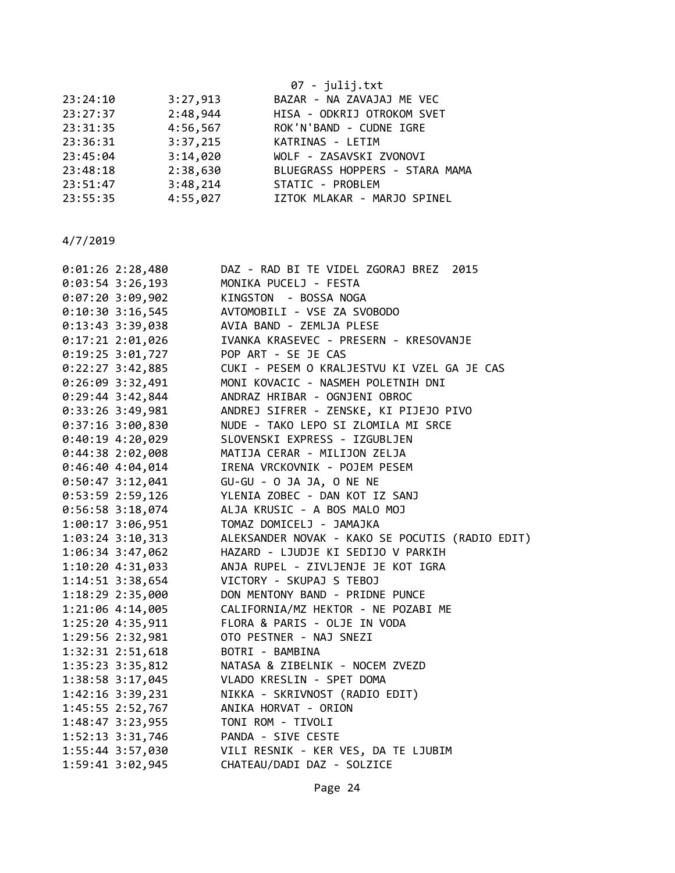| 07 - julij.txt                 |
|--------------------------------|
| BAZAR - NA ZAVAJAJ ME VEC      |
| HISA - ODKRIJ OTROKOM SVET     |
| ROK'N'BAND - CUDNE IGRE        |
| KATRINAS - LETIM               |
| WOLF - ZASAVSKI ZVONOVI        |
| BLUEGRASS HOPPERS - STARA MAMA |
| STATIC - PROBLEM               |
| IZTOK MLAKAR - MARJO SPINEL    |
|                                |

| $0:01:26$ 2:28,480   | DAZ - RAD BI TE VIDEL ZGORAJ BREZ 2015          |
|----------------------|-------------------------------------------------|
| $0:03:54$ 3:26,193   | MONIKA PUCELJ - FESTA                           |
| $0:07:20$ 3:09,902   | KINGSTON - BOSSA NOGA                           |
| $0:10:30$ 3:16,545   | AVTOMOBILI - VSE ZA SVOBODO                     |
| $0:13:43$ 3:39,038   | AVIA BAND - ZEMLJA PLESE                        |
| $0:17:21$ 2:01,026   | IVANKA KRASEVEC - PRESERN - KRESOVANJE          |
| $0:19:25$ 3:01,727   | POP ART - SE JE CAS                             |
| $0:22:27$ 3:42,885   | CUKI - PESEM O KRALJESTVU KI VZEL GA JE CAS     |
| $0:26:09$ 3:32,491   | MONI KOVACIC - NASMEH POLETNIH DNI              |
| $0:29:44$ 3:42,844   | ANDRAZ HRIBAR - OGNJENI OBROC                   |
| 0:33:26 3:49,981     | ANDREJ SIFRER - ZENSKE, KI PIJEJO PIVO          |
| 0:37:16 3:00,830     | NUDE - TAKO LEPO SI ZLOMILA MI SRCE             |
| $0:40:19$ 4:20,029   | SLOVENSKI EXPRESS - IZGUBLJEN                   |
| $0:44:38$ 2:02,008   | MATIJA CERAR - MILIJON ZELJA                    |
| 0:46:404:04,014      | IRENA VRCKOVNIK - POJEM PESEM                   |
| $0:50:47$ 3:12,041   | GU-GU - O JA JA, O NE NE                        |
| $0:53:59$ 2:59,126   | YLENIA ZOBEC - DAN KOT IZ SANJ                  |
| $0:56:58$ 3:18,074   | ALJA KRUSIC - A BOS MALO MOJ                    |
| 1:00:17 3:06,951     | TOMAZ DOMICELJ - JAMAJKA                        |
| $1:03:24$ 3:10,313   | ALEKSANDER NOVAK - KAKO SE POCUTIS (RADIO EDIT) |
| 1:06:34 3:47,062     | HAZARD - LJUDJE KI SEDIJO V PARKIH              |
| 1:10:20 4:31,033     | ANJA RUPEL - ZIVLJENJE JE KOT IGRA              |
| 1:14:51 3:38,654     | VICTORY - SKUPAJ S TEBOJ                        |
| 1:18:29 2:35,000     | DON MENTONY BAND - PRIDNE PUNCE                 |
| 1:21:06 4:14,005     | CALIFORNIA/MZ HEKTOR - NE POZABI ME             |
| 1:25:20 4:35,911     | FLORA & PARIS - OLJE IN VODA                    |
| 1:29:56 2:32,981     | OTO PESTNER - NAJ SNEZI                         |
| $1:32:31$ $2:51,618$ | BOTRI - BAMBINA                                 |
| 1:35:23 3:35,812     | NATASA & ZIBELNIK - NOCEM ZVEZD                 |
| 1:38:58 3:17,045     | VLADO KRESLIN - SPET DOMA                       |
| 1:42:16 3:39,231     | NIKKA - SKRIVNOST (RADIO EDIT)                  |
| 1:45:55 2:52,767     | ANIKA HORVAT - ORION                            |
| $1:48:47$ 3:23,955   | TONI ROM - TIVOLI                               |
| 1:52:13 3:31,746     | PANDA - SIVE CESTE                              |
| 1:55:44 3:57,030     | VILI RESNIK - KER VES, DA TE LJUBIM             |
| 1:59:41 3:02,945     | CHATEAU/DADI DAZ - SOLZICE                      |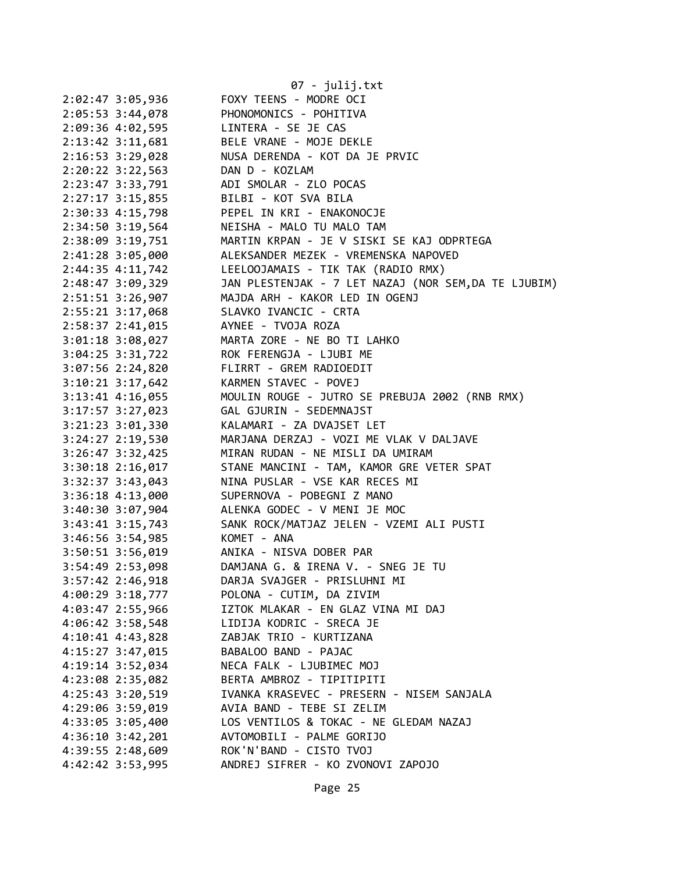|                      | 07 - julij.txt                                       |
|----------------------|------------------------------------------------------|
| 2:02:47 3:05,936     | FOXY TEENS - MODRE OCI                               |
| 2:05:53 3:44,078     | PHONOMONICS - POHITIVA                               |
| 2:09:36 4:02,595     | LINTERA - SE JE CAS                                  |
| 2:13:42 3:11,681     | BELE VRANE - MOJE DEKLE                              |
| 2:16:53 3:29,028     | NUSA DERENDA - KOT DA JE PRVIC                       |
| 2:20:22 3:22,563     | DAN D - KOZLAM                                       |
| 2:23:47 3:33,791     | ADI SMOLAR - ZLO POCAS                               |
| $2:27:17$ 3:15,855   | BILBI - KOT SVA BILA                                 |
| 2:30:33 4:15,798     | PEPEL IN KRI - ENAKONOCJE                            |
| 2:34:50 3:19,564     | NEISHA - MALO TU MALO TAM                            |
| 2:38:09 3:19,751     | MARTIN KRPAN - JE V SISKI SE KAJ ODPRTEGA            |
| 2:41:28 3:05,000     | ALEKSANDER MEZEK - VREMENSKA NAPOVED                 |
| 2:44:35 4:11,742     | LEELOOJAMAIS - TIK TAK (RADIO RMX)                   |
| 2:48:47 3:09,329     | JAN PLESTENJAK - 7 LET NAZAJ (NOR SEM, DA TE LJUBIM) |
| 2:51:51 3:26,907     | MAJDA ARH - KAKOR LED IN OGENJ                       |
| 2:55:21 3:17,068     | SLAVKO IVANCIC - CRTA                                |
| 2:58:37 2:41,015     | AYNEE - TVOJA ROZA                                   |
| 3:01:18 3:08,027     | MARTA ZORE - NE BO TI LAHKO                          |
| $3:04:25$ $3:31,722$ | ROK FERENGJA - LJUBI ME                              |
| 3:07:56 2:24,820     | FLIRRT - GREM RADIOEDIT                              |
| 3:10:21 3:17,642     | KARMEN STAVEC - POVEJ                                |
| 3:13:41 4:16,055     | MOULIN ROUGE - JUTRO SE PREBUJA 2002 (RNB RMX)       |
| 3:17:57 3:27,023     | GAL GJURIN - SEDEMNAJST                              |
| 3:21:23 3:01,330     | KALAMARI - ZA DVAJSET LET                            |
| $3:24:27$ $2:19,530$ | MARJANA DERZAJ - VOZI ME VLAK V DALJAVE              |
| 3:26:47 3:32,425     | MIRAN RUDAN - NE MISLI DA UMIRAM                     |
| $3:30:18$ $2:16,017$ | STANE MANCINI - TAM, KAMOR GRE VETER SPAT            |
| 3:32:37 3:43,043     | NINA PUSLAR - VSE KAR RECES MI                       |
| $3:36:18$ 4:13,000   | SUPERNOVA - POBEGNI Z MANO                           |
| 3:40:30 3:07,904     | ALENKA GODEC - V MENI JE MOC                         |
| $3:43:41$ $3:15,743$ | SANK ROCK/MATJAZ JELEN - VZEMI ALI PUSTI             |
| 3:46:56 3:54,985     | KOMET - ANA                                          |
| 3:50:51 3:56,019     | ANIKA - NISVA DOBER PAR                              |
| 3:54:49 2:53,098     | DAMJANA G. & IRENA V. - SNEG JE TU                   |
| 3:57:42 2:46,918     | DARJA SVAJGER - PRISLUHNI MI                         |
| 4:00:29 3:18,777     | POLONA - CUTIM, DA ZIVIM                             |
| 4:03:47 2:55,966     | IZTOK MLAKAR - EN GLAZ VINA MI DAJ                   |
| 4:06:42 3:58,548     | LIDIJA KODRIC - SRECA JE                             |
| 4:10:41 4:43,828     | ZABJAK TRIO - KURTIZANA                              |
| 4:15:27 3:47,015     | BABALOO BAND - PAJAC                                 |
| 4:19:14 3:52,034     | NECA FALK - LJUBIMEC MOJ                             |
| 4:23:08 2:35,082     | BERTA AMBROZ - TIPITIPITI                            |
| 4:25:43 3:20,519     | IVANKA KRASEVEC - PRESERN - NISEM SANJALA            |
| 4:29:06 3:59,019     | AVIA BAND - TEBE SI ZELIM                            |
| 4:33:05 3:05,400     | LOS VENTILOS & TOKAC - NE GLEDAM NAZAJ               |
| 4:36:10 3:42,201     | AVTOMOBILI - PALME GORIJO                            |
| 4:39:55 2:48,609     | ROK'N'BAND - CISTO TVOJ                              |
| 4:42:42 3:53,995     | ANDREJ SIFRER - KO ZVONOVI ZAPOJO                    |
|                      |                                                      |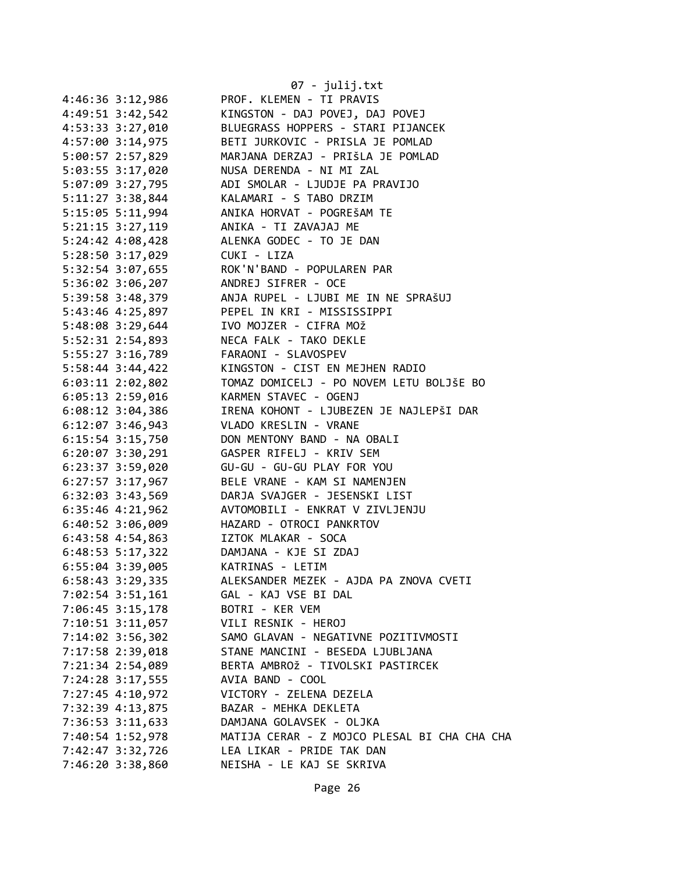|                      | 07 - julij.txt                               |
|----------------------|----------------------------------------------|
| 4:46:36 3:12,986     | PROF. KLEMEN - TI PRAVIS                     |
| 4:49:51 3:42,542     | KINGSTON - DAJ POVEJ, DAJ POVEJ              |
| 4:53:33 3:27,010     | BLUEGRASS HOPPERS - STARI PIJANCEK           |
| 4:57:00 3:14,975     | BETI JURKOVIC - PRISLA JE POMLAD             |
| 5:00:57 2:57,829     | MARJANA DERZAJ - PRIŠLA JE POMLAD            |
| 5:03:55 3:17,020     | NUSA DERENDA - NI MI ZAL                     |
| 5:07:09 3:27,795     | ADI SMOLAR - LJUDJE PA PRAVIJO               |
| 5:11:27 3:38,844     | KALAMARI - S TABO DRZIM                      |
| 5:15:05 5:11,994     | ANIKA HORVAT - POGREŠAM TE                   |
| $5:21:15$ $3:27,119$ | ANIKA - TI ZAVAJAJ ME                        |
| 5:24:42 4:08,428     | ALENKA GODEC - TO JE DAN                     |
| 5:28:50 3:17,029     | CUKI - LIZA                                  |
| 5:32:54 3:07,655     | ROK'N'BAND - POPULAREN PAR                   |
| 5:36:02 3:06,207     | ANDREJ SIFRER - OCE                          |
| 5:39:58 3:48,379     | ANJA RUPEL - LJUBI ME IN NE SPRAŠUJ          |
| 5:43:46 4:25,897     | PEPEL IN KRI - MISSISSIPPI                   |
| 5:48:08 3:29,644     | IVO MOJZER - CIFRA MOŽ                       |
| 5:52:31 2:54,893     | NECA FALK - TAKO DEKLE                       |
| 5:55:27 3:16,789     | FARAONI - SLAVOSPEV                          |
| 5:58:44 3:44,422     | KINGSTON - CIST EN MEJHEN RADIO              |
| $6:03:11$ 2:02,802   | TOMAZ DOMICELJ - PO NOVEM LETU BOLJŠE BO     |
| $6:05:13$ 2:59,016   | KARMEN STAVEC - OGENJ                        |
| $6:08:12$ 3:04,386   | IRENA KOHONT - LJUBEZEN JE NAJLEPŠI DAR      |
| $6:12:07$ 3:46,943   | VLADO KRESLIN - VRANE                        |
| 6:15:54 3:15,750     | DON MENTONY BAND - NA OBALI                  |
| $6:20:07$ 3:30,291   | GASPER RIFELJ - KRIV SEM                     |
| 6:23:37 3:59,020     | GU-GU - GU-GU PLAY FOR YOU                   |
| $6:27:57$ 3:17,967   | BELE VRANE - KAM SI NAMENJEN                 |
| $6:32:03$ $3:43,569$ | DARJA SVAJGER - JESENSKI LIST                |
| $6:35:46$ $4:21,962$ | AVTOMOBILI - ENKRAT V ZIVLJENJU              |
| 6:40:52 3:06,009     | HAZARD - OTROCI PANKRTOV                     |
| 6:43:58 4:54,863     | IZTOK MLAKAR - SOCA                          |
| 6:48:53 5:17,322     | DAMJANA - KJE SI ZDAJ                        |
| $6:55:04$ 3:39,005   | KATRINAS - LETIM                             |
| 6:58:43 3:29,335     | ALEKSANDER MEZEK - AJDA PA ZNOVA CVETI       |
| 7:02:54 3:51,161     | GAL - KAJ VSE BI DAL                         |
| 7:06:45 3:15,178     | BOTRI - KER VEM                              |
| 7:10:51 3:11,057     | VILI RESNIK - HEROJ                          |
| 7:14:02 3:56,302     | SAMO GLAVAN - NEGATIVNE POZITIVMOSTI         |
| 7:17:58 2:39,018     | STANE MANCINI - BESEDA LJUBLJANA             |
| 7:21:34 2:54,089     | BERTA AMBROŽ - TIVOLSKI PASTIRCEK            |
| 7:24:28 3:17,555     | AVIA BAND - COOL                             |
| 7:27:45 4:10,972     | VICTORY - ZELENA DEZELA                      |
| 7:32:39 4:13,875     | BAZAR - MEHKA DEKLETA                        |
| 7:36:53 3:11,633     | DAMJANA GOLAVSEK - OLJKA                     |
| 7:40:54 1:52,978     | MATIJA CERAR - Z MOJCO PLESAL BI CHA CHA CHA |
| 7:42:47 3:32,726     | LEA LIKAR - PRIDE TAK DAN                    |
| 7:46:20 3:38,860     | NEISHA - LE KAJ SE SKRIVA                    |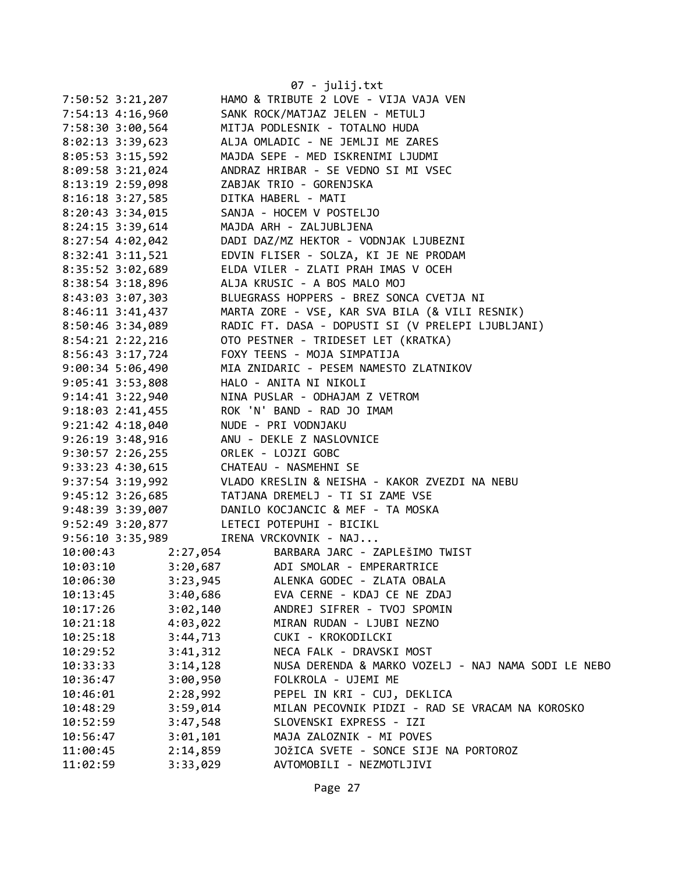|                                        |          | 07 - julij.txt                                      |
|----------------------------------------|----------|-----------------------------------------------------|
| 7:50:52 3:21,207                       |          | HAMO & TRIBUTE 2 LOVE - VIJA VAJA VEN               |
| 7:54:13 4:16,960                       |          | SANK ROCK/MATJAZ JELEN - METULJ                     |
| 7:58:30 3:00,564                       |          | MITJA PODLESNIK - TOTALNO HUDA                      |
| $8:02:13$ 3:39,623                     |          | ALJA OMLADIC - NE JEMLJI ME ZARES                   |
| $8:05:53$ 3:15,592                     |          | MAJDA SEPE - MED ISKRENIMI LJUDMI                   |
| $8:09:58$ 3:21,024                     |          | ANDRAZ HRIBAR - SE VEDNO SI MI VSEC                 |
| 8:13:19 2:59,098                       |          | ZABJAK TRIO - GORENJSKA                             |
| 8:16:18 3:27,585                       |          | DITKA HABERL - MATI                                 |
| $8:20:43$ 3:34,015                     |          | SANJA - HOCEM V POSTELJO                            |
| 8:24:15 3:39,614                       |          | MAJDA ARH - ZALJUBLJENA                             |
| 8:27:54 4:02,042                       |          | DADI DAZ/MZ HEKTOR - VODNJAK LJUBEZNI               |
| 8:32:41 3:11,521                       |          | EDVIN FLISER - SOLZA, KI JE NE PRODAM               |
| 8:35:52 3:02,689                       |          | ELDA VILER - ZLATI PRAH IMAS V OCEH                 |
| 8:38:54 3:18,896                       |          | ALJA KRUSIC - A BOS MALO MOJ                        |
| 8:43:03 3:07,303                       |          | BLUEGRASS HOPPERS - BREZ SONCA CVETJA NI            |
| 8:46:11 3:41,437                       |          | MARTA ZORE - VSE, KAR SVA BILA (& VILI RESNIK)      |
| 8:50:46 3:34,089                       |          | RADIC FT. DASA - DOPUSTI SI (V PRELEPI LJUBLJANI)   |
| $8:54:21$ $2:22,216$                   |          | OTO PESTNER - TRIDESET LET (KRATKA)                 |
| 8:56:43 3:17,724                       |          | FOXY TEENS - MOJA SIMPATIJA                         |
| 9:00:34 5:06,490                       |          | MIA ZNIDARIC - PESEM NAMESTO ZLATNIKOV              |
| $9:05:41$ 3:53,808                     |          | HALO - ANITA NI NIKOLI                              |
| 9:14:41 3:22,940                       |          | NINA PUSLAR - ODHAJAM Z VETROM                      |
| $9:18:03$ $2:41,455$                   |          | ROK 'N' BAND - RAD JO IMAM                          |
| $9:21:42$ $4:18,040$                   |          | NUDE - PRI VODNJAKU                                 |
| 9:26:19 3:48,916                       |          | ANU - DEKLE Z NASLOVNICE                            |
| $9:30:57$ 2:26,255                     |          | ORLEK - LOJZI GOBC                                  |
| 9:33:23 4:30,615 CHATEAU - NASMEHNI SE |          |                                                     |
| $9:37:54$ 3:19,992                     |          | VLADO KRESLIN & NEISHA - KAKOR ZVEZDI NA NEBU       |
| $9:45:12$ $3:26,685$                   |          | TATJANA DREMELJ - TI SI ZAME VSE                    |
| 9:48:39 3:39,007                       |          | DANILO KOCJANCIC & MEF - TA MOSKA                   |
| $9:52:49$ $3:20,877$                   |          | LETECI POTEPUHI - BICIKL                            |
| $9:56:10$ 3:35,989                     |          | IRENA VRCKOVNIK - NAJ                               |
| 10:00:43                               |          | 2:27,054 BARBARA JARC - ZAPLEŠIMO TWIST             |
| 10:03:10                               |          | 3:20,687 ADI SMOLAR - EMPERARTRICE                  |
| 10:06:30                               | 3:23,945 | ALENKA GODEC - ZLATA OBALA                          |
| 10:13:45                               | 3:40,686 | EVA CERNE - KDAJ CE NE ZDAJ                         |
| 10:17:26                               | 3:02,140 | ANDREJ SIFRER - TVOJ SPOMIN                         |
| 10:21:18                               | 4:03,022 | MIRAN RUDAN - LJUBI NEZNO                           |
| 10:25:18                               | 3:44,713 | CUKI - KROKODILCKI                                  |
| 10:29:52                               | 3:41,312 | NECA FALK - DRAVSKI MOST                            |
| 10:33:33                               | 3:14,128 | NUSA DERENDA & MARKO VOZELJ - NAJ NAMA SODI LE NEBO |
| 10:36:47                               | 3:00,950 | FOLKROLA - UJEMI ME                                 |
| 10:46:01                               | 2:28,992 | PEPEL IN KRI - CUJ, DEKLICA                         |
| 10:48:29                               | 3:59,014 | MILAN PECOVNIK PIDZI - RAD SE VRACAM NA KOROSKO     |
| 10:52:59                               | 3:47,548 | SLOVENSKI EXPRESS - IZI                             |
| 10:56:47                               | 3:01,101 | MAJA ZALOZNIK - MI POVES                            |
| 11:00:45                               | 2:14,859 | JOŽICA SVETE - SONCE SIJE NA PORTOROZ               |
| 11:02:59                               | 3:33,029 | AVTOMOBILI - NEZMOTLJIVI                            |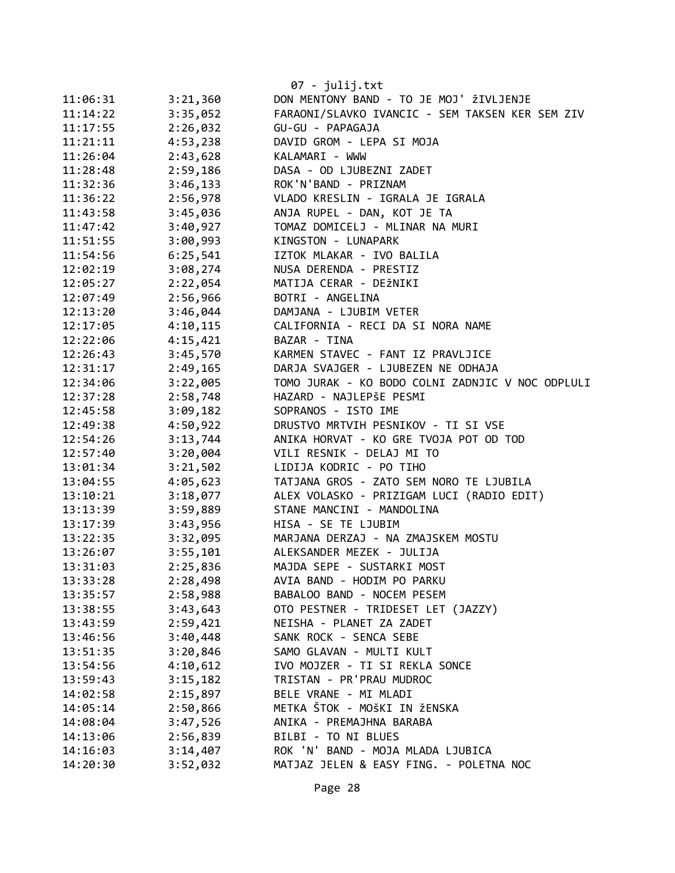|                      |                      | $07 - julij.txt$                                           |
|----------------------|----------------------|------------------------------------------------------------|
| 11:06:31             | 3:21,360             | DON MENTONY BAND - TO JE MOJ' ŽIVLJENJE                    |
| 11:14:22             | 3:35,052             | FARAONI/SLAVKO IVANCIC - SEM TAKSEN KER SEM ZIV            |
| 11:17:55             | 2:26,032             | GU-GU - PAPAGAJA                                           |
| 11:21:11             | 4:53,238             | DAVID GROM - LEPA SI MOJA                                  |
| 11:26:04             | 2:43,628             | KALAMARI - WWW                                             |
| 11:28:48             | 2:59,186             | DASA - OD LJUBEZNI ZADET                                   |
| 11:32:36             | 3:46,133             | ROK'N'BAND - PRIZNAM                                       |
| 11:36:22             | 2:56,978             | VLADO KRESLIN - IGRALA JE IGRALA                           |
| 11:43:58             | 3:45,036             | ANJA RUPEL - DAN, KOT JE TA                                |
| 11:47:42             | 3:40,927             | TOMAZ DOMICELJ - MLINAR NA MURI                            |
| 11:51:55             | 3:00,993             | KINGSTON - LUNAPARK                                        |
| 11:54:56             | 6:25,541             | IZTOK MLAKAR - IVO BALILA                                  |
| 12:02:19             | 3:08,274             | NUSA DERENDA - PRESTIZ                                     |
| 12:05:27             | 2:22,054             | MATIJA CERAR - DEŽNIKI                                     |
| 12:07:49             | 2:56,966             | BOTRI - ANGELINA                                           |
| 12:13:20             | 3:46,044             | DAMJANA - LJUBIM VETER                                     |
| 12:17:05             | 4:10,115             | CALIFORNIA - RECI DA SI NORA NAME                          |
| 12:22:06             | 4:15,421             | BAZAR - TINA                                               |
| 12:26:43             | 3:45,570             | KARMEN STAVEC - FANT IZ PRAVLJICE                          |
| 12:31:17             | 2:49,165             | DARJA SVAJGER - LJUBEZEN NE ODHAJA                         |
| 12:34:06             | 3:22,005             | TOMO JURAK - KO BODO COLNI ZADNJIC V NOC ODPLULI           |
| 12:37:28             | 2:58,748             | HAZARD - NAJLEPŠE PESMI                                    |
| 12:45:58             | 3:09,182             | SOPRANOS - ISTO IME                                        |
| 12:49:38             | 4:50,922             | DRUSTVO MRTVIH PESNIKOV - TI SI VSE                        |
| 12:54:26             | 3:13,744             | ANIKA HORVAT - KO GRE TVOJA POT OD TOD                     |
| 12:57:40             | 3:20,004             | VILI RESNIK - DELAJ MI TO                                  |
| 13:01:34             | 3:21,502             | LIDIJA KODRIC - PO TIHO                                    |
| 13:04:55             | 4:05,623             | TATJANA GROS - ZATO SEM NORO TE LJUBILA                    |
| 13:10:21             | 3:18,077             | ALEX VOLASKO - PRIZIGAM LUCI (RADIO EDIT)                  |
| 13:13:39             | 3:59,889             | STANE MANCINI - MANDOLINA                                  |
| 13:17:39             | 3:43,956             | HISA - SE TE LJUBIM                                        |
| 13:22:35             | 3:32,095             | MARJANA DERZAJ - NA ZMAJSKEM MOSTU                         |
| 13:26:07             | 3:55,101             | ALEKSANDER MEZEK - JULIJA                                  |
| 13:31:03             | 2:25,836             | MAJDA SEPE - SUSTARKI MOST                                 |
| 13:33:28             | 2:28,498             | AVIA BAND - HODIM PO PARKU                                 |
| 13:35:57             | 2:58,988             | BABALOO BAND - NOCEM PESEM                                 |
| 13:38:55             | 3:43,643             | OTO PESTNER - TRIDESET LET (JAZZY)                         |
| 13:43:59             | 2:59,421             | NEISHA - PLANET ZA ZADET                                   |
| 13:46:56             | 3:40,448             | SANK ROCK - SENCA SEBE                                     |
| 13:51:35             | 3:20,846             | SAMO GLAVAN - MULTI KULT<br>IVO MOJZER - TI SI REKLA SONCE |
| 13:54:56             | 4:10,612             | TRISTAN - PR'PRAU MUDROC                                   |
| 13:59:43<br>14:02:58 | 3:15,182<br>2:15,897 | BELE VRANE - MI MLADI                                      |
| 14:05:14             | 2:50,866             | METKA ŠTOK - MOŠKI IN ŽENSKA                               |
| 14:08:04             | 3:47,526             | ANIKA - PREMAJHNA BARABA                                   |
| 14:13:06             | 2:56,839             | BILBI - TO NI BLUES                                        |
| 14:16:03             | 3:14,407             | ROK 'N' BAND - MOJA MLADA LJUBICA                          |
| 14:20:30             | 3:52,032             | MATJAZ JELEN & EASY FING. - POLETNA NOC                    |
|                      |                      |                                                            |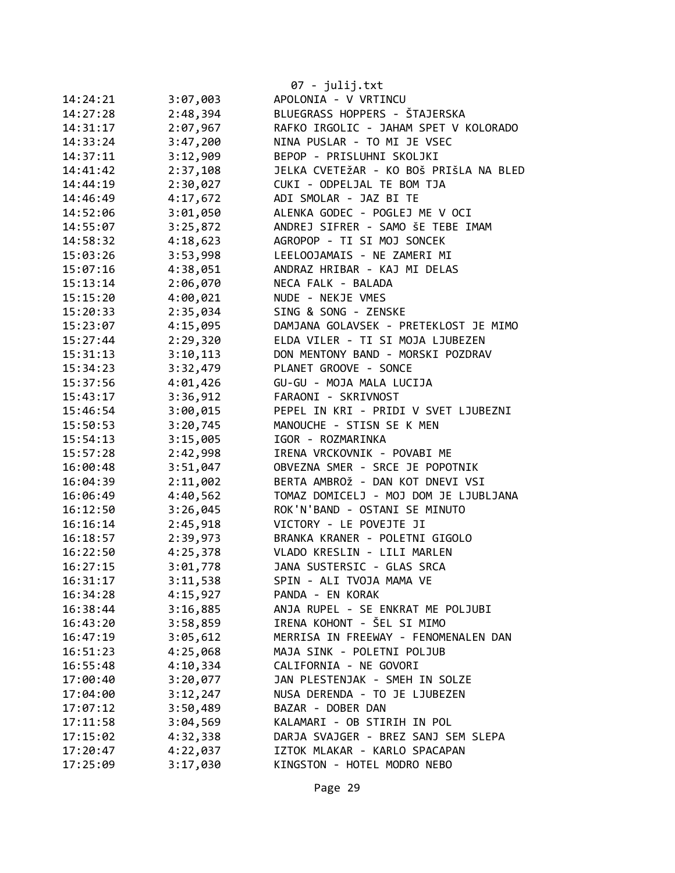|          |          | 07 - julij.txt                         |
|----------|----------|----------------------------------------|
| 14:24:21 | 3:07,003 | APOLONIA - V VRTINCU                   |
| 14:27:28 | 2:48,394 | BLUEGRASS HOPPERS - ŠTAJERSKA          |
| 14:31:17 | 2:07,967 | RAFKO IRGOLIC - JAHAM SPET V KOLORADO  |
| 14:33:24 | 3:47,200 | NINA PUSLAR - TO MI JE VSEC            |
| 14:37:11 | 3:12,909 | BEPOP - PRISLUHNI SKOLJKI              |
| 14:41:42 | 2:37,108 | JELKA CVETEŽAR - KO BOŠ PRIŠLA NA BLED |
| 14:44:19 | 2:30,027 | CUKI - ODPELJAL TE BOM TJA             |
| 14:46:49 | 4:17,672 | ADI SMOLAR - JAZ BI TE                 |
| 14:52:06 | 3:01,050 | ALENKA GODEC - POGLEJ ME V OCI         |
| 14:55:07 | 3:25,872 | ANDREJ SIFRER - SAMO ŠE TEBE IMAM      |
| 14:58:32 | 4:18,623 | AGROPOP - TI SI MOJ SONCEK             |
| 15:03:26 | 3:53,998 | LEELOOJAMAIS - NE ZAMERI MI            |
| 15:07:16 | 4:38,051 | ANDRAZ HRIBAR - KAJ MI DELAS           |
| 15:13:14 | 2:06,070 | NECA FALK - BALADA                     |
| 15:15:20 | 4:00,021 | NUDE - NEKJE VMES                      |
| 15:20:33 | 2:35,034 | SING & SONG - ZENSKE                   |
| 15:23:07 | 4:15,095 | DAMJANA GOLAVSEK - PRETEKLOST JE MIMO  |
| 15:27:44 | 2:29,320 | ELDA VILER - TI SI MOJA LJUBEZEN       |
| 15:31:13 | 3:10,113 | DON MENTONY BAND - MORSKI POZDRAV      |
| 15:34:23 | 3:32,479 | PLANET GROOVE - SONCE                  |
| 15:37:56 | 4:01,426 | GU-GU - MOJA MALA LUCIJA               |
| 15:43:17 | 3:36,912 | FARAONI - SKRIVNOST                    |
| 15:46:54 | 3:00,015 | PEPEL IN KRI - PRIDI V SVET LJUBEZNI   |
| 15:50:53 | 3:20,745 | MANOUCHE - STISN SE K MEN              |
| 15:54:13 | 3:15,005 | IGOR - ROZMARINKA                      |
| 15:57:28 | 2:42,998 | IRENA VRCKOVNIK - POVABI ME            |
| 16:00:48 | 3:51,047 | OBVEZNA SMER - SRCE JE POPOTNIK        |
| 16:04:39 | 2:11,002 | BERTA AMBROŽ - DAN KOT DNEVI VSI       |
| 16:06:49 | 4:40,562 | TOMAZ DOMICELJ - MOJ DOM JE LJUBLJANA  |
| 16:12:50 | 3:26,045 | ROK'N'BAND - OSTANI SE MINUTO          |
| 16:16:14 | 2:45,918 | VICTORY - LE POVEJTE JI                |
| 16:18:57 | 2:39,973 | BRANKA KRANER - POLETNI GIGOLO         |
| 16:22:50 | 4:25,378 | VLADO KRESLIN - LILI MARLEN            |
| 16:27:15 | 3:01,778 | JANA SUSTERSIC - GLAS SRCA             |
| 16:31:17 | 3:11,538 | SPIN - ALI TVOJA MAMA VE               |
| 16:34:28 | 4:15,927 | PANDA - EN KORAK                       |
| 16:38:44 | 3:16,885 | ANJA RUPEL - SE ENKRAT ME POLJUBI      |
| 16:43:20 | 3:58,859 | IRENA KOHONT - ŠEL SI MIMO             |
| 16:47:19 | 3:05,612 | MERRISA IN FREEWAY - FENOMENALEN DAN   |
| 16:51:23 | 4:25,068 | MAJA SINK - POLETNI POLJUB             |
| 16:55:48 | 4:10,334 | CALIFORNIA - NE GOVORI                 |
| 17:00:40 | 3:20,077 | JAN PLESTENJAK - SMEH IN SOLZE         |
| 17:04:00 | 3:12,247 | NUSA DERENDA - TO JE LJUBEZEN          |
| 17:07:12 | 3:50,489 | BAZAR - DOBER DAN                      |
| 17:11:58 | 3:04,569 | KALAMARI - OB STIRIH IN POL            |
| 17:15:02 | 4:32,338 | DARJA SVAJGER - BREZ SANJ SEM SLEPA    |
| 17:20:47 | 4:22,037 | IZTOK MLAKAR - KARLO SPACAPAN          |
| 17:25:09 | 3:17,030 | KINGSTON - HOTEL MODRO NEBO            |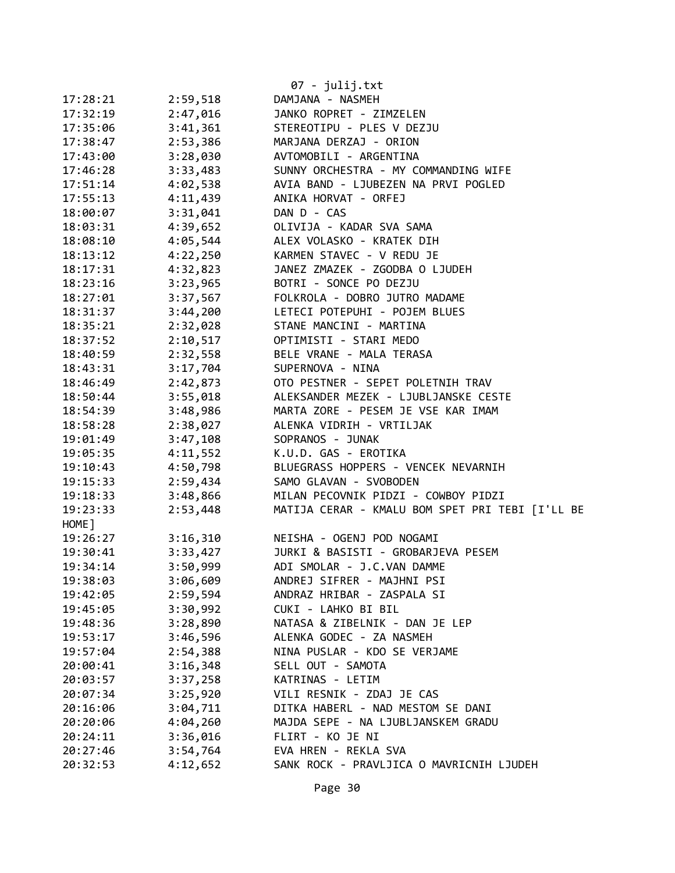| 07 - julij.txt |          |                                                 |  |
|----------------|----------|-------------------------------------------------|--|
| 17:28:21       | 2:59,518 | DAMJANA - NASMEH                                |  |
| 17:32:19       | 2:47,016 | JANKO ROPRET - ZIMZELEN                         |  |
| 17:35:06       | 3:41,361 | STEREOTIPU - PLES V DEZJU                       |  |
| 17:38:47       | 2:53,386 | MARJANA DERZAJ - ORION                          |  |
| 17:43:00       | 3:28,030 | AVTOMOBILI - ARGENTINA                          |  |
| 17:46:28       | 3:33,483 | SUNNY ORCHESTRA - MY COMMANDING WIFE            |  |
| 17:51:14       | 4:02,538 | AVIA BAND - LJUBEZEN NA PRVI POGLED             |  |
| 17:55:13       | 4:11,439 | ANIKA HORVAT - ORFEJ                            |  |
| 18:00:07       | 3:31,041 | DAN D - CAS                                     |  |
| 18:03:31       | 4:39,652 | OLIVIJA - KADAR SVA SAMA                        |  |
| 18:08:10       | 4:05,544 | ALEX VOLASKO - KRATEK DIH                       |  |
| 18:13:12       | 4:22,250 | KARMEN STAVEC - V REDU JE                       |  |
| 18:17:31       | 4:32,823 | JANEZ ZMAZEK - ZGODBA O LJUDEH                  |  |
| 18:23:16       | 3:23,965 | BOTRI - SONCE PO DEZJU                          |  |
| 18:27:01       | 3:37,567 | FOLKROLA - DOBRO JUTRO MADAME                   |  |
| 18:31:37       | 3:44,200 | LETECI POTEPUHI - POJEM BLUES                   |  |
| 18:35:21       | 2:32,028 | STANE MANCINI - MARTINA                         |  |
| 18:37:52       | 2:10,517 | OPTIMISTI - STARI MEDO                          |  |
| 18:40:59       | 2:32,558 | BELE VRANE - MALA TERASA                        |  |
| 18:43:31       | 3:17,704 | SUPERNOVA - NINA                                |  |
| 18:46:49       | 2:42,873 | OTO PESTNER - SEPET POLETNIH TRAV               |  |
| 18:50:44       | 3:55,018 | ALEKSANDER MEZEK - LJUBLJANSKE CESTE            |  |
| 18:54:39       | 3:48,986 | MARTA ZORE - PESEM JE VSE KAR IMAM              |  |
| 18:58:28       | 2:38,027 | ALENKA VIDRIH - VRTILJAK                        |  |
| 19:01:49       | 3:47,108 | SOPRANOS - JUNAK                                |  |
| 19:05:35       | 4:11,552 | K.U.D. GAS - EROTIKA                            |  |
| 19:10:43       | 4:50,798 | BLUEGRASS HOPPERS - VENCEK NEVARNIH             |  |
| 19:15:33       | 2:59,434 | SAMO GLAVAN - SVOBODEN                          |  |
| 19:18:33       | 3:48,866 | MILAN PECOVNIK PIDZI - COWBOY PIDZI             |  |
| 19:23:33       | 2:53,448 | MATIJA CERAR - KMALU BOM SPET PRI TEBI [I'LL BE |  |
| HOME ]         |          |                                                 |  |
| 19:26:27       | 3:16,310 | NEISHA - OGENJ POD NOGAMI                       |  |
| 19:30:41       | 3:33,427 | JURKI & BASISTI - GROBARJEVA PESEM              |  |
| 19:34:14       | 3:50,999 | ADI SMOLAR - J.C.VAN DAMME                      |  |
| 19:38:03       | 3:06,609 | ANDREJ SIFRER - MAJHNI PSI                      |  |
| 19:42:05       | 2:59,594 | ANDRAZ HRIBAR - ZASPALA SI                      |  |
| 19:45:05       | 3:30,992 | CUKI - LAHKO BI BIL                             |  |
| 19:48:36       | 3:28,890 | NATASA & ZIBELNIK - DAN JE LEP                  |  |
| 19:53:17       | 3:46,596 | ALENKA GODEC - ZA NASMEH                        |  |
| 19:57:04       | 2:54,388 | NINA PUSLAR - KDO SE VERJAME                    |  |
| 20:00:41       | 3:16,348 | SELL OUT - SAMOTA                               |  |
| 20:03:57       | 3:37,258 | KATRINAS - LETIM                                |  |
| 20:07:34       | 3:25,920 | VILI RESNIK - ZDAJ JE CAS                       |  |
| 20:16:06       | 3:04,711 | DITKA HABERL - NAD MESTOM SE DANI               |  |
| 20:20:06       | 4:04,260 | MAJDA SEPE - NA LJUBLJANSKEM GRADU              |  |
| 20:24:11       | 3:36,016 | FLIRT - KO JE NI                                |  |
| 20:27:46       | 3:54,764 | EVA HREN - REKLA SVA                            |  |
| 20:32:53       | 4:12,652 | SANK ROCK - PRAVLJICA O MAVRICNIH LJUDEH        |  |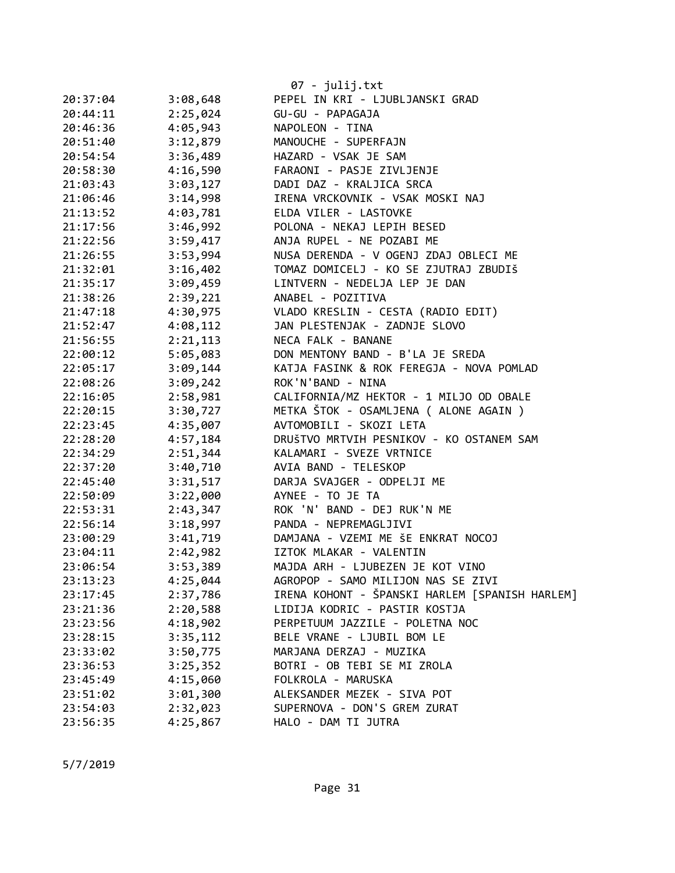|          |          | 07 - julij.txt                                 |
|----------|----------|------------------------------------------------|
| 20:37:04 | 3:08,648 | PEPEL IN KRI - LJUBLJANSKI GRAD                |
| 20:44:11 | 2:25,024 | GU-GU - PAPAGAJA                               |
| 20:46:36 | 4:05,943 | NAPOLEON - TINA                                |
| 20:51:40 | 3:12,879 | MANOUCHE - SUPERFAJN                           |
| 20:54:54 | 3:36,489 | HAZARD - VSAK JE SAM                           |
| 20:58:30 | 4:16,590 | FARAONI - PASJE ZIVLJENJE                      |
| 21:03:43 | 3:03,127 | DADI DAZ - KRALJICA SRCA                       |
| 21:06:46 | 3:14,998 | IRENA VRCKOVNIK - VSAK MOSKI NAJ               |
| 21:13:52 | 4:03,781 | ELDA VILER - LASTOVKE                          |
| 21:17:56 | 3:46,992 | POLONA - NEKAJ LEPIH BESED                     |
| 21:22:56 | 3:59,417 | ANJA RUPEL - NE POZABI ME                      |
| 21:26:55 | 3:53,994 | NUSA DERENDA - V OGENJ ZDAJ OBLECI ME          |
| 21:32:01 | 3:16,402 | TOMAZ DOMICELJ - KO SE ZJUTRAJ ZBUDIŠ          |
| 21:35:17 | 3:09,459 | LINTVERN - NEDELJA LEP JE DAN                  |
| 21:38:26 | 2:39,221 | ANABEL - POZITIVA                              |
| 21:47:18 | 4:30,975 | VLADO KRESLIN - CESTA (RADIO EDIT)             |
| 21:52:47 | 4:08,112 | JAN PLESTENJAK - ZADNJE SLOVO                  |
| 21:56:55 | 2:21,113 | NECA FALK - BANANE                             |
| 22:00:12 | 5:05,083 | DON MENTONY BAND - B'LA JE SREDA               |
| 22:05:17 | 3:09,144 | KATJA FASINK & ROK FEREGJA - NOVA POMLAD       |
| 22:08:26 | 3:09,242 | ROK'N'BAND - NINA                              |
| 22:16:05 | 2:58,981 | CALIFORNIA/MZ HEKTOR - 1 MILJO OD OBALE        |
| 22:20:15 | 3:30,727 | METKA ŠTOK - OSAMLJENA ( ALONE AGAIN )         |
| 22:23:45 | 4:35,007 | AVTOMOBILI - SKOZI LETA                        |
| 22:28:20 | 4:57,184 | DRUŠTVO MRTVIH PESNIKOV - KO OSTANEM SAM       |
| 22:34:29 | 2:51,344 | KALAMARI - SVEZE VRTNICE                       |
| 22:37:20 | 3:40,710 | AVIA BAND - TELESKOP                           |
| 22:45:40 | 3:31,517 | DARJA SVAJGER - ODPELJI ME                     |
| 22:50:09 | 3:22,000 | AYNEE - TO JE TA                               |
| 22:53:31 | 2:43,347 | ROK 'N' BAND - DEJ RUK'N ME                    |
| 22:56:14 | 3:18,997 | PANDA - NEPREMAGLJIVI                          |
| 23:00:29 | 3:41,719 | DAMJANA - VZEMI ME ŠE ENKRAT NOCOJ             |
| 23:04:11 | 2:42,982 | IZTOK MLAKAR - VALENTIN                        |
| 23:06:54 | 3:53,389 | MAJDA ARH - LJUBEZEN JE KOT VINO               |
| 23:13:23 | 4:25,044 | AGROPOP - SAMO MILIJON NAS SE ZIVI             |
| 23:17:45 | 2:37,786 | IRENA KOHONT - ŠPANSKI HARLEM [SPANISH HARLEM] |
| 23:21:36 | 2:20,588 | LIDIJA KODRIC - PASTIR KOSTJA                  |
| 23:23:56 | 4:18,902 | PERPETUUM JAZZILE - POLETNA NOC                |
| 23:28:15 | 3:35,112 | BELE VRANE - LJUBIL BOM LE                     |
| 23:33:02 | 3:50,775 | MARJANA DERZAJ - MUZIKA                        |
| 23:36:53 | 3:25,352 | BOTRI - OB TEBI SE MI ZROLA                    |
| 23:45:49 | 4:15,060 | FOLKROLA - MARUSKA                             |
| 23:51:02 | 3:01,300 | ALEKSANDER MEZEK - SIVA POT                    |
| 23:54:03 | 2:32,023 | SUPERNOVA - DON'S GREM ZURAT                   |
| 23:56:35 | 4:25,867 | HALO - DAM TI JUTRA                            |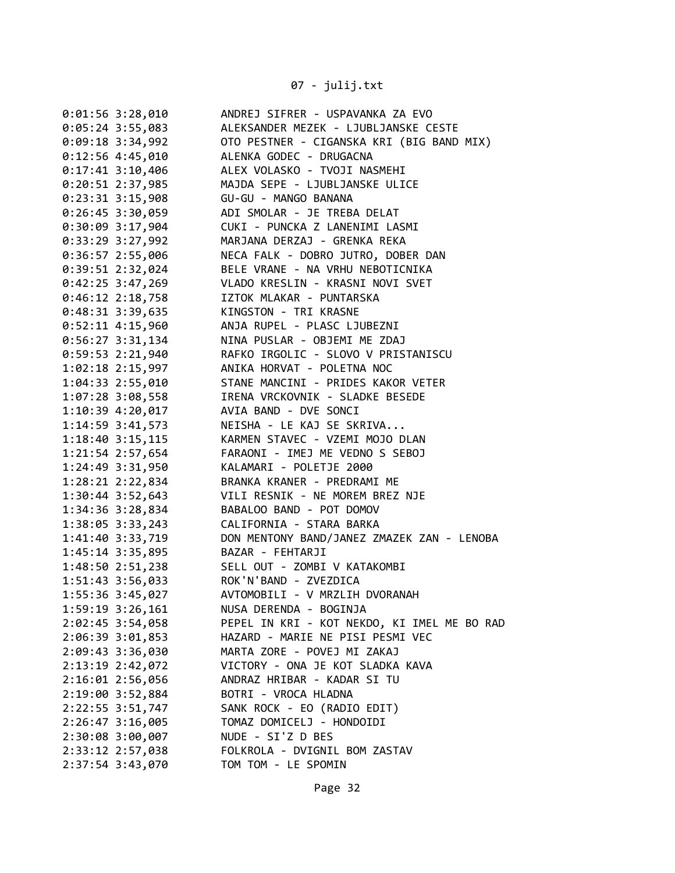07 - julij.txt

| $0:01:56$ 3:28,010   | ANDREJ SIFRER - USPAVANKA ZA EVO            |
|----------------------|---------------------------------------------|
| $0:05:24$ 3:55,083   | ALEKSANDER MEZEK - LJUBLJANSKE CESTE        |
| $0:09:18$ 3:34,992   | OTO PESTNER - CIGANSKA KRI (BIG BAND MIX)   |
| $0:12:56$ 4:45,010   | ALENKA GODEC - DRUGACNA                     |
| $0:17:41$ 3:10,406   | ALEX VOLASKO - TVOJI NASMEHI                |
| $0:20:51$ 2:37,985   | MAJDA SEPE - LJUBLJANSKE ULICE              |
| $0:23:31$ 3:15,908   | GU-GU - MANGO BANANA                        |
| $0:26:45$ 3:30,059   | ADI SMOLAR - JE TREBA DELAT                 |
| $0:30:09$ 3:17,904   | CUKI - PUNCKA Z LANENIMI LASMI              |
| $0:33:29$ 3:27,992   | MARJANA DERZAJ - GRENKA REKA                |
| $0:36:57$ 2:55,006   | NECA FALK - DOBRO JUTRO, DOBER DAN          |
| 0:39:51 2:32,024     | BELE VRANE - NA VRHU NEBOTICNIKA            |
| 0:42:25 3:47,269     | VLADO KRESLIN - KRASNI NOVI SVET            |
| $0:46:12$ 2:18,758   | IZTOK MLAKAR - PUNTARSKA                    |
| $0:48:31$ 3:39,635   | KINGSTON - TRI KRASNE                       |
| $0:52:11$ 4:15,960   | ANJA RUPEL - PLASC LJUBEZNI                 |
| $0:56:27$ 3:31,134   | NINA PUSLAR - OBJEMI ME ZDAJ                |
| $0:59:53$ 2:21,940   | RAFKO IRGOLIC - SLOVO V PRISTANISCU         |
| $1:02:18$ $2:15,997$ | ANIKA HORVAT - POLETNA NOC                  |
| 1:04:33 2:55,010     | STANE MANCINI - PRIDES KAKOR VETER          |
| $1:07:28$ 3:08,558   | IRENA VRCKOVNIK - SLADKE BESEDE             |
| $1:10:39$ $4:20,017$ | AVIA BAND - DVE SONCI                       |
| $1:14:59$ 3:41,573   | NEISHA - LE KAJ SE SKRIVA                   |
| $1:18:40$ $3:15,115$ | KARMEN STAVEC - VZEMI MOJO DLAN             |
| 1:21:54 2:57,654     | FARAONI - IMEJ ME VEDNO S SEBOJ             |
| 1:24:49 3:31,950     | KALAMARI - POLETJE 2000                     |
| 1:28:21 2:22,834     | BRANKA KRANER - PREDRAMI ME                 |
| 1:30:44 3:52,643     | VILI RESNIK - NE MOREM BREZ NJE             |
| 1:34:36 3:28,834     | BABALOO BAND - POT DOMOV                    |
| 1:38:05 3:33,243     | CALIFORNIA - STARA BARKA                    |
| 1:41:40 3:33,719     | DON MENTONY BAND/JANEZ ZMAZEK ZAN - LENOBA  |
| 1:45:14 3:35,895     | BAZAR - FEHTARJI                            |
| 1:48:50 2:51,238     | SELL OUT - ZOMBI V KATAKOMBI                |
| $1:51:43$ 3:56,033   | ROK'N'BAND - ZVEZDICA                       |
| 1:55:36 3:45,027     | AVTOMOBILI - V MRZLIH DVORANAH              |
| 1:59:19 3:26,161     | NUSA DERENDA - BOGINJA                      |
| $2:02:45$ 3:54,058   | PEPEL IN KRI - KOT NEKDO, KI IMEL ME BO RAD |
| 2:06:39 3:01,853     | HAZARD - MARIE NE PISI PESMI VEC            |
| 2:09:43 3:36,030     | MARTA ZORE - POVEJ MI ZAKAJ                 |
| 2:13:19 2:42,072     | VICTORY - ONA JE KOT SLADKA KAVA            |
| 2:16:01 2:56,056     | ANDRAZ HRIBAR - KADAR SI TU                 |
| 2:19:00 3:52,884     | BOTRI - VROCA HLADNA                        |
| 2:22:55 3:51,747     | SANK ROCK - EO (RADIO EDIT)                 |
| 2:26:47 3:16,005     | TOMAZ DOMICELJ - HONDOIDI                   |
| 2:30:08 3:00,007     | NUDE - SI'Z D BES                           |
| 2:33:12 2:57,038     | FOLKROLA - DVIGNIL BOM ZASTAV               |
| 2:37:54 3:43,070     | TOM TOM - LE SPOMIN                         |
|                      |                                             |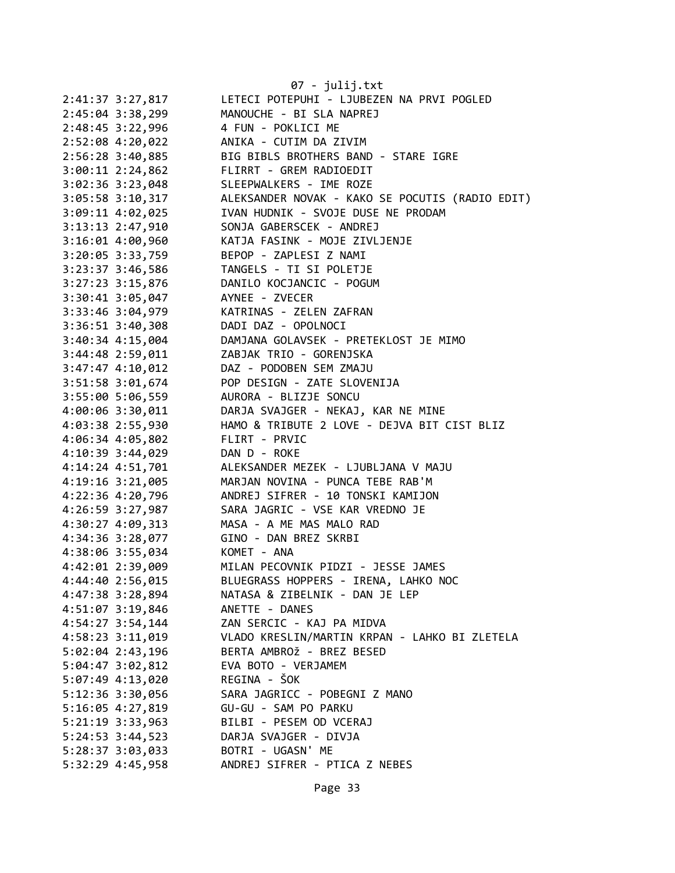|                      | 07 - julij.txt                                  |
|----------------------|-------------------------------------------------|
| 2:41:37 3:27,817     | LETECI POTEPUHI - LJUBEZEN NA PRVI POGLED       |
| 2:45:04 3:38,299     | MANOUCHE - BI SLA NAPREJ                        |
| 2:48:45 3:22,996     | 4 FUN - POKLICI ME                              |
| 2:52:08 4:20,022     | ANIKA - CUTIM DA ZIVIM                          |
| 2:56:28 3:40,885     | BIG BIBLS BROTHERS BAND - STARE IGRE            |
| $3:00:11$ 2:24,862   | FLIRRT - GREM RADIOEDIT                         |
| $3:02:36$ $3:23,048$ | SLEEPWALKERS - IME ROZE                         |
| 3:05:58 3:10,317     | ALEKSANDER NOVAK - KAKO SE POCUTIS (RADIO EDIT) |
| 3:09:11 4:02,025     | IVAN HUDNIK - SVOJE DUSE NE PRODAM              |
| 3:13:13 2:47,910     | SONJA GABERSCEK - ANDREJ                        |
| 3:16:01 4:00,960     | KATJA FASINK - MOJE ZIVLJENJE                   |
| 3:20:05 3:33,759     | BEPOP - ZAPLESI Z NAMI                          |
| 3:23:37 3:46,586     | TANGELS - TI SI POLETJE                         |
| 3:27:23 3:15,876     | DANILO KOCJANCIC - POGUM                        |
| 3:30:41 3:05,047     | AYNEE - ZVECER                                  |
| 3:33:46 3:04,979     | KATRINAS - ZELEN ZAFRAN                         |
| 3:36:51 3:40,308     | DADI DAZ - OPOLNOCI                             |
| 3:40:34 4:15,004     | DAMJANA GOLAVSEK - PRETEKLOST JE MIMO           |
| 3:44:48 2:59,011     | ZABJAK TRIO - GORENJSKA                         |
| $3:47:47$ 4:10,012   | DAZ - PODOBEN SEM ZMAJU                         |
| 3:51:58 3:01,674     | POP DESIGN - ZATE SLOVENIJA                     |
| 3:55:00 5:06,559     | AURORA - BLIZJE SONCU                           |
| 4:00:06 3:30,011     | DARJA SVAJGER - NEKAJ, KAR NE MINE              |
| 4:03:38 2:55,930     | HAMO & TRIBUTE 2 LOVE - DEJVA BIT CIST BLIZ     |
| 4:06:34 4:05,802     | FLIRT - PRVIC                                   |
| 4:10:39 3:44,029     | DAN D - ROKE                                    |
| 4:14:24 4:51,701     | ALEKSANDER MEZEK - LJUBLJANA V MAJU             |
| 4:19:16 3:21,005     | MARJAN NOVINA - PUNCA TEBE RAB'M                |
| 4:22:36 4:20,796     | ANDREJ SIFRER - 10 TONSKI KAMIJON               |
| 4:26:59 3:27,987     | SARA JAGRIC - VSE KAR VREDNO JE                 |
| 4:30:27 4:09,313     | MASA - A ME MAS MALO RAD                        |
| 4:34:36 3:28,077     | GINO - DAN BREZ SKRBI                           |
| 4:38:06 3:55,034     | KOMET - ANA                                     |
| 4:42:01 2:39,009     | MILAN PECOVNIK PIDZI - JESSE JAMES              |
| 4:44:40 2:56,015     | BLUEGRASS HOPPERS - IRENA, LAHKO NOC            |
| 4:47:38 3:28,894     | NATASA & ZIBELNIK - DAN JE LEP                  |
| 4:51:07 3:19,846     | ANETTE - DANES                                  |
| $4:54:27$ 3:54,144   | ZAN SERCIC - KAJ PA MIDVA                       |
| $4:58:23$ $3:11,019$ | VLADO KRESLIN/MARTIN KRPAN - LAHKO BI ZLETELA   |
| $5:02:04$ 2:43,196   | BERTA AMBROŽ - BREZ BESED                       |
| $5:04:47$ $3:02,812$ | EVA BOTO - VERJAMEM                             |
| 5:07:49 4:13,020     | REGINA - ŠOK                                    |
| 5:12:36 3:30,056     | SARA JAGRICC - POBEGNI Z MANO                   |
| $5:16:05$ 4:27,819   | GU-GU - SAM PO PARKU                            |
| 5:21:19 3:33,963     | BILBI - PESEM OD VCERAJ                         |
| 5:24:53 3:44,523     | DARJA SVAJGER - DIVJA                           |
| 5:28:37 3:03,033     | BOTRI - UGASN' ME                               |
| 5:32:29 4:45,958     | ANDREJ SIFRER - PTICA Z NEBES                   |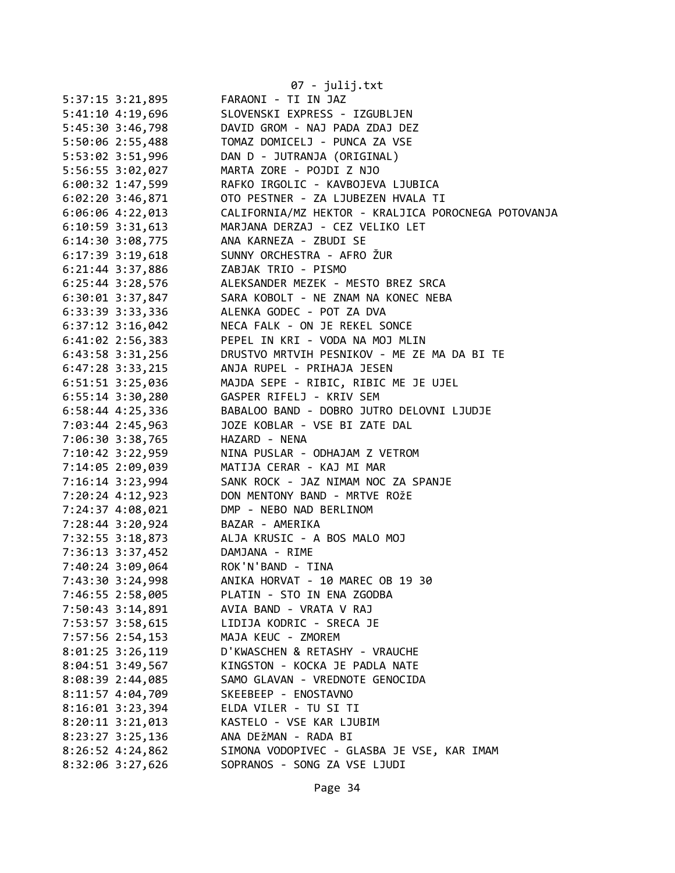|                      | 07 - julij.txt                                      |  |  |
|----------------------|-----------------------------------------------------|--|--|
| 5:37:15 3:21,895     | FARAONI - TI IN JAZ                                 |  |  |
| 5:41:10 4:19,696     | SLOVENSKI EXPRESS - IZGUBLJEN                       |  |  |
| 5:45:30 3:46,798     | DAVID GROM - NAJ PADA ZDAJ DEZ                      |  |  |
| 5:50:06 2:55,488     | TOMAZ DOMICELJ - PUNCA ZA VSE                       |  |  |
| 5:53:02 3:51,996     | DAN D - JUTRANJA (ORIGINAL)                         |  |  |
| 5:56:55 3:02,027     | MARTA ZORE - POJDI Z NJO                            |  |  |
| $6:00:32$ 1:47,599   | RAFKO IRGOLIC - KAVBOJEVA LJUBICA                   |  |  |
| $6:02:20$ 3:46,871   | OTO PESTNER - ZA LJUBEZEN HVALA TI                  |  |  |
| $6:06:06$ 4:22,013   | CALIFORNIA/MZ HEKTOR - KRALJICA POROCNEGA POTOVANJA |  |  |
| $6:10:59$ 3:31,613   | MARJANA DERZAJ - CEZ VELIKO LET                     |  |  |
| 6:14:30 3:08,775     | ANA KARNEZA - ZBUDI SE                              |  |  |
| $6:17:39$ $3:19,618$ | SUNNY ORCHESTRA - AFRO ŽUR                          |  |  |
| 6:21:44 3:37,886     | ZABJAK TRIO - PISMO                                 |  |  |
| 6:25:44 3:28,576     | ALEKSANDER MEZEK - MESTO BREZ SRCA                  |  |  |
| $6:30:01$ $3:37,847$ | SARA KOBOLT - NE ZNAM NA KONEC NEBA                 |  |  |
| 6:33:39 3:33,336     | ALENKA GODEC - POT ZA DVA                           |  |  |
| $6:37:12$ $3:16,042$ | NECA FALK - ON JE REKEL SONCE                       |  |  |
| $6:41:02$ $2:56,383$ | PEPEL IN KRI - VODA NA MOJ MLIN                     |  |  |
| $6:43:58$ $3:31,256$ | DRUSTVO MRTVIH PESNIKOV - ME ZE MA DA BI TE         |  |  |
| $6:47:28$ 3:33,215   | ANJA RUPEL - PRIHAJA JESEN                          |  |  |
| 6:51:51 3:25,036     | MAJDA SEPE - RIBIC, RIBIC ME JE UJEL                |  |  |
| $6:55:14$ 3:30,280   | GASPER RIFELJ - KRIV SEM                            |  |  |
| 6:58:44 4:25,336     | BABALOO BAND - DOBRO JUTRO DELOVNI LJUDJE           |  |  |
| 7:03:44 2:45,963     | JOZE KOBLAR - VSE BI ZATE DAL                       |  |  |
| 7:06:30 3:38,765     | HAZARD - NENA                                       |  |  |
| 7:10:42 3:22,959     | NINA PUSLAR - ODHAJAM Z VETROM                      |  |  |
| 7:14:05 2:09,039     | MATIJA CERAR - KAJ MI MAR                           |  |  |
| 7:16:14 3:23,994     | SANK ROCK - JAZ NIMAM NOC ZA SPANJE                 |  |  |
| 7:20:24 4:12,923     | DON MENTONY BAND - MRTVE ROŽE                       |  |  |
| 7:24:37 4:08,021     | DMP - NEBO NAD BERLINOM                             |  |  |
| 7:28:44 3:20,924     | BAZAR - AMERIKA                                     |  |  |
| 7:32:55 3:18,873     | ALJA KRUSIC - A BOS MALO MOJ                        |  |  |
| 7:36:13 3:37,452     | DAMJANA - RIME                                      |  |  |
| 7:40:24 3:09,064     | ROK'N'BAND - TINA                                   |  |  |
| 7:43:30 3:24,998     | ANIKA HORVAT - 10 MAREC OB 19 30                    |  |  |
| 7:46:55 2:58,005     | PLATIN - STO IN ENA ZGODBA                          |  |  |
| 7:50:43 3:14,891     | AVIA BAND - VRATA V RAJ                             |  |  |
| 7:53:57 3:58,615     | LIDIJA KODRIC - SRECA JE                            |  |  |
| 7:57:56 2:54,153     | MAJA KEUC - ZMOREM                                  |  |  |
| 8:01:25 3:26,119     | D'KWASCHEN & RETASHY - VRAUCHE                      |  |  |
| 8:04:51 3:49,567     | KINGSTON - KOCKA JE PADLA NATE                      |  |  |
| 8:08:39 2:44,085     | SAMO GLAVAN - VREDNOTE GENOCIDA                     |  |  |
| 8:11:57 4:04,709     | SKEEBEEP - ENOSTAVNO                                |  |  |
| 8:16:01 3:23,394     | ELDA VILER - TU SI TI                               |  |  |
| 8:20:11 3:21,013     | KASTELO - VSE KAR LJUBIM                            |  |  |
| 8:23:27 3:25,136     | ANA DEŽMAN - RADA BI                                |  |  |
| 8:26:52 4:24,862     | SIMONA VODOPIVEC - GLASBA JE VSE, KAR IMAM          |  |  |
| 8:32:06 3:27,626     | SOPRANOS - SONG ZA VSE LJUDI                        |  |  |
|                      |                                                     |  |  |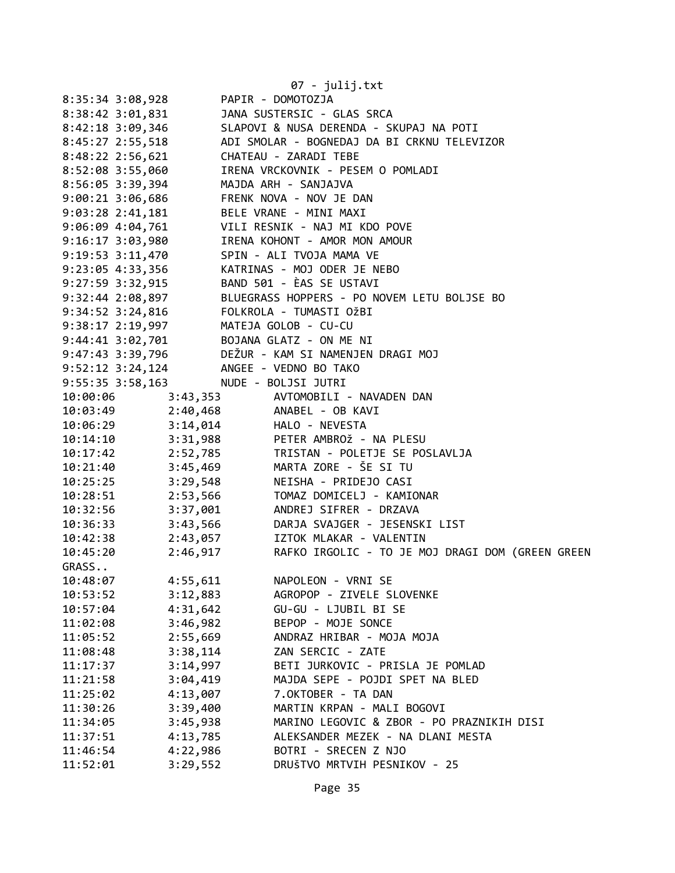| 07 - julij.txt       |                                                                                                           |  |  |  |
|----------------------|-----------------------------------------------------------------------------------------------------------|--|--|--|
| 8:35:34 3:08,928     | PAPIR - DOMOTOZJA                                                                                         |  |  |  |
| 8:38:42 3:01,831     | JANA SUSTERSIC - GLAS SRCA                                                                                |  |  |  |
| 8:42:18 3:09,346     | SLAPOVI & NUSA DERENDA - SKUPAJ NA POTI                                                                   |  |  |  |
| 8:45:27 2:55,518     | ADI SMOLAR - BOGNEDAJ DA BI CRKNU TELEVIZOR                                                               |  |  |  |
| $8:48:22$ 2:56,621   | CHATEAU - ZARADI TEBE                                                                                     |  |  |  |
| 8:52:08 3:55,060     | IRENA VRCKOVNIK - PESEM O POMLADI                                                                         |  |  |  |
| 8:56:05 3:39,394     | MAJDA ARH - SANJAJVA                                                                                      |  |  |  |
| 9:00:21 3:06,686     | FRENK NOVA - NOV JE DAN                                                                                   |  |  |  |
| $9:03:28$ 2:41,181   | BELE VRANE - MINI MAXI                                                                                    |  |  |  |
| 9:06:09 4:04,761     | VILI RESNIK - NAJ MI KDO POVE                                                                             |  |  |  |
| 9:16:17 3:03,980     | IRENA KOHONT - AMOR MON AMOUR                                                                             |  |  |  |
| 9:19:53 3:11,470     | SPIN - ALI TVOJA MAMA VE                                                                                  |  |  |  |
| 9:23:05 4:33,356     | KATRINAS - MOJ ODER JE NEBO                                                                               |  |  |  |
| 9:27:59 3:32,915     | BAND 501 - ÈAS SE USTAVI                                                                                  |  |  |  |
| 9:32:44 2:08,897     | BLUEGRASS HOPPERS - PO NOVEM LETU BOLJSE BO                                                               |  |  |  |
| 9:34:52 3:24,816     | FOLKROLA - TUMASTI OŽBI                                                                                   |  |  |  |
| 9:38:17 2:19,997     | MATEJA GOLOB - CU-CU                                                                                      |  |  |  |
|                      | 9:44:41 3:02,701 BOJANA GLATZ - ON ME NI                                                                  |  |  |  |
| 9:47:43 3:39,796     | DEŽUR - KAM SI NAMENJEN DRAGI MOJ                                                                         |  |  |  |
| $9:52:12$ $3:24,124$ | ANGEE - VEDNO BO TAKO                                                                                     |  |  |  |
| 9:55:35 3:58,163     | NUDE - BOLJSI JUTRI                                                                                       |  |  |  |
| 10:00:06             | 3:43,353 AVTOMOBILI - NAVADEN DAN                                                                         |  |  |  |
|                      | 10:03:49 2:40,468 ANABEL - OB KAVI                                                                        |  |  |  |
|                      | 10:06:29 3:14,014 HALO - NEVESTA                                                                          |  |  |  |
|                      | 10:00:23<br>10:14:10 3:31,988 PETER AMBROŽ - NA PLESU<br>10:17:42 2:52,785 TRISTAN - POLETJE SE POSLAVLJA |  |  |  |
|                      |                                                                                                           |  |  |  |
|                      | 10:21:40 3:45,469 MARTA ZORE - ŠE SI TU                                                                   |  |  |  |
| $10:25:25$ 3:29,548  | NEISHA - PRIDEJO CASI                                                                                     |  |  |  |
| 10:28:51             | 2:53,566<br>TOMAZ DOMICELJ - KAMIONAR                                                                     |  |  |  |
| 10:32:56             | 3:37,001<br>ANDREJ SIFRER - DRZAVA                                                                        |  |  |  |
| 10:36:33             | 3:43,566 DARJA SVAJGER - JESENSKI LIST                                                                    |  |  |  |
| 10:42:38             | 2:43,057<br>IZTOK MLAKAR - VALENTIN                                                                       |  |  |  |
| 2:46,917<br>10:45:20 | RAFKO IRGOLIC - TO JE MOJ DRAGI DOM (GREEN GREEN                                                          |  |  |  |
| GRASS                |                                                                                                           |  |  |  |
| 10:48:07<br>4:55,611 | NAPOLEON - VRNI SE                                                                                        |  |  |  |
| 3:12,883<br>10:53:52 | AGROPOP - ZIVELE SLOVENKE                                                                                 |  |  |  |
| 4:31,642<br>10:57:04 | GU-GU - LJUBIL BI SE                                                                                      |  |  |  |
| 3:46,982<br>11:02:08 | BEPOP - MOJE SONCE                                                                                        |  |  |  |
| 2:55,669<br>11:05:52 | ANDRAZ HRIBAR - MOJA MOJA                                                                                 |  |  |  |
| 3:38,114<br>11:08:48 | ZAN SERCIC - ZATE                                                                                         |  |  |  |
| 3:14,997<br>11:17:37 | BETI JURKOVIC - PRISLA JE POMLAD                                                                          |  |  |  |
| 3:04,419<br>11:21:58 | MAJDA SEPE - POJDI SPET NA BLED                                                                           |  |  |  |
| 4:13,007<br>11:25:02 | 7.OKTOBER - TA DAN                                                                                        |  |  |  |
| 3:39,400<br>11:30:26 | MARTIN KRPAN - MALI BOGOVI                                                                                |  |  |  |
| 3:45,938<br>11:34:05 | MARINO LEGOVIC & ZBOR - PO PRAZNIKIH DISI                                                                 |  |  |  |
| 4:13,785<br>11:37:51 | ALEKSANDER MEZEK - NA DLANI MESTA                                                                         |  |  |  |
| 4:22,986<br>11:46:54 | BOTRI - SRECEN Z NJO                                                                                      |  |  |  |
| 11:52:01<br>3:29,552 | DRUŠTVO MRTVIH PESNIKOV - 25                                                                              |  |  |  |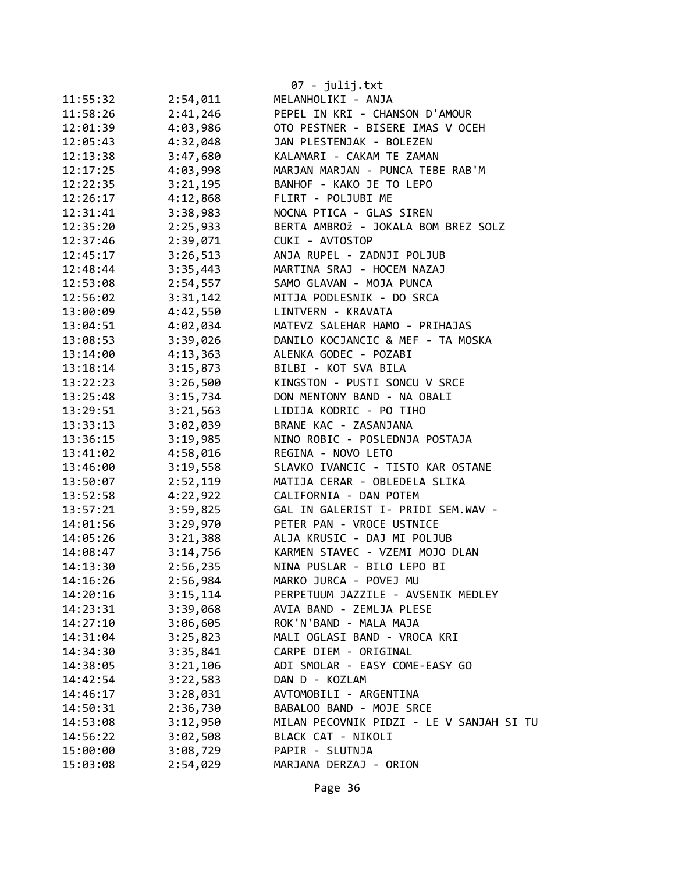|          |          | 07 - julij.txt                           |
|----------|----------|------------------------------------------|
| 11:55:32 | 2:54,011 | MELANHOLIKI - ANJA                       |
| 11:58:26 | 2:41,246 | PEPEL IN KRI - CHANSON D'AMOUR           |
| 12:01:39 | 4:03,986 | OTO PESTNER - BISERE IMAS V OCEH         |
| 12:05:43 | 4:32,048 | JAN PLESTENJAK - BOLEZEN                 |
| 12:13:38 | 3:47,680 | KALAMARI - CAKAM TE ZAMAN                |
| 12:17:25 | 4:03,998 | MARJAN MARJAN - PUNCA TEBE RAB'M         |
| 12:22:35 | 3:21,195 | BANHOF - KAKO JE TO LEPO                 |
| 12:26:17 | 4:12,868 | FLIRT - POLJUBI ME                       |
| 12:31:41 | 3:38,983 | NOCNA PTICA - GLAS SIREN                 |
|          |          |                                          |
| 12:35:20 | 2:25,933 | BERTA AMBROŽ - JOKALA BOM BREZ SOLZ      |
| 12:37:46 | 2:39,071 | CUKI - AVTOSTOP                          |
| 12:45:17 | 3:26,513 | ANJA RUPEL - ZADNJI POLJUB               |
| 12:48:44 | 3:35,443 | MARTINA SRAJ - HOCEM NAZAJ               |
| 12:53:08 | 2:54,557 | SAMO GLAVAN - MOJA PUNCA                 |
| 12:56:02 | 3:31,142 | MITJA PODLESNIK - DO SRCA                |
| 13:00:09 | 4:42,550 | LINTVERN - KRAVATA                       |
| 13:04:51 | 4:02,034 | MATEVZ SALEHAR HAMO - PRIHAJAS           |
| 13:08:53 | 3:39,026 | DANILO KOCJANCIC & MEF - TA MOSKA        |
| 13:14:00 | 4:13,363 | ALENKA GODEC - POZABI                    |
| 13:18:14 | 3:15,873 | BILBI - KOT SVA BILA                     |
| 13:22:23 | 3:26,500 | KINGSTON - PUSTI SONCU V SRCE            |
| 13:25:48 | 3:15,734 | DON MENTONY BAND - NA OBALI              |
| 13:29:51 | 3:21,563 | LIDIJA KODRIC - PO TIHO                  |
| 13:33:13 | 3:02,039 | BRANE KAC - ZASANJANA                    |
| 13:36:15 | 3:19,985 | NINO ROBIC - POSLEDNJA POSTAJA           |
| 13:41:02 | 4:58,016 | REGINA - NOVO LETO                       |
| 13:46:00 | 3:19,558 | SLAVKO IVANCIC - TISTO KAR OSTANE        |
| 13:50:07 | 2:52,119 | MATIJA CERAR - OBLEDELA SLIKA            |
| 13:52:58 | 4:22,922 | CALIFORNIA - DAN POTEM                   |
| 13:57:21 | 3:59,825 | GAL IN GALERIST I- PRIDI SEM.WAV -       |
| 14:01:56 | 3:29,970 | PETER PAN - VROCE USTNICE                |
| 14:05:26 | 3:21,388 | ALJA KRUSIC - DAJ MI POLJUB              |
| 14:08:47 | 3:14,756 | KARMEN STAVEC - VZEMI MOJO DLAN          |
| 14:13:30 | 2:56,235 | NINA PUSLAR - BILO LEPO BI               |
| 14:16:26 | 2:56,984 | MARKO JURCA - POVEJ MU                   |
| 14:20:16 | 3:15,114 | PERPETUUM JAZZILE - AVSENIK MEDLEY       |
| 14:23:31 | 3:39,068 | AVIA BAND - ZEMLJA PLESE                 |
| 14:27:10 | 3:06,605 | ROK'N'BAND - MALA MAJA                   |
| 14:31:04 | 3:25,823 | MALI OGLASI BAND - VROCA KRI             |
| 14:34:30 | 3:35,841 | CARPE DIEM - ORIGINAL                    |
| 14:38:05 | 3:21,106 | ADI SMOLAR - EASY COME-EASY GO           |
| 14:42:54 | 3:22,583 | DAN D - KOZLAM                           |
| 14:46:17 | 3:28,031 | AVTOMOBILI - ARGENTINA                   |
| 14:50:31 | 2:36,730 | BABALOO BAND - MOJE SRCE                 |
| 14:53:08 | 3:12,950 | MILAN PECOVNIK PIDZI - LE V SANJAH SI TU |
| 14:56:22 | 3:02,508 | BLACK CAT - NIKOLI                       |
| 15:00:00 | 3:08,729 | PAPIR - SLUTNJA                          |
| 15:03:08 | 2:54,029 | MARJANA DERZAJ - ORION                   |
|          |          |                                          |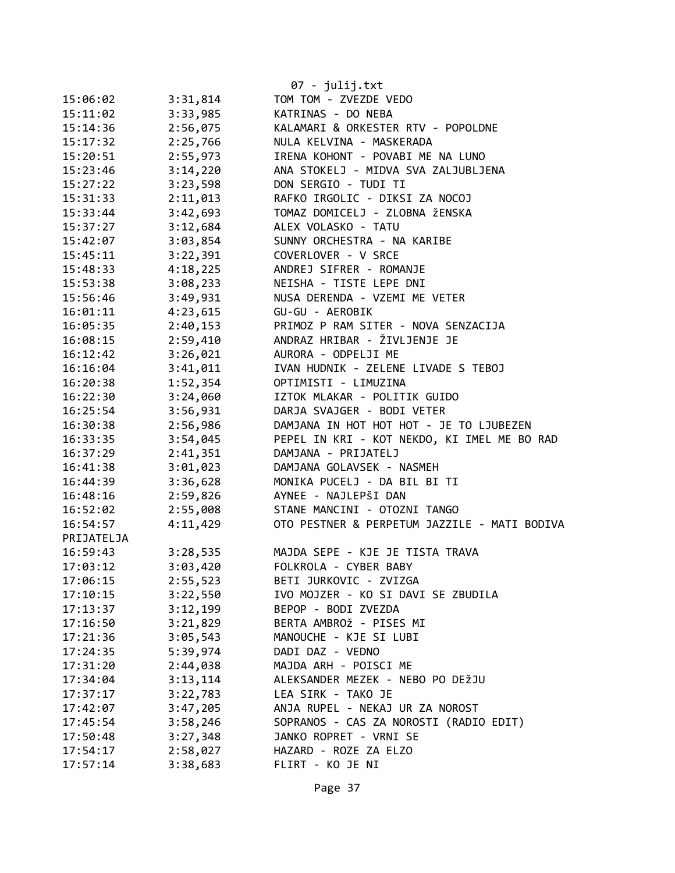|            |          | 07 - julij.txt                               |
|------------|----------|----------------------------------------------|
| 15:06:02   | 3:31,814 | TOM TOM - ZVEZDE VEDO                        |
| 15:11:02   | 3:33,985 | KATRINAS - DO NEBA                           |
| 15:14:36   | 2:56,075 | KALAMARI & ORKESTER RTV - POPOLDNE           |
| 15:17:32   | 2:25,766 | NULA KELVINA - MASKERADA                     |
| 15:20:51   | 2:55,973 | IRENA KOHONT - POVABI ME NA LUNO             |
| 15:23:46   | 3:14,220 | ANA STOKELJ - MIDVA SVA ZALJUBLJENA          |
| 15:27:22   | 3:23,598 | DON SERGIO - TUDI TI                         |
| 15:31:33   | 2:11,013 | RAFKO IRGOLIC - DIKSI ZA NOCOJ               |
| 15:33:44   | 3:42,693 | TOMAZ DOMICELJ - ZLOBNA ŽENSKA               |
| 15:37:27   | 3:12,684 | ALEX VOLASKO - TATU                          |
| 15:42:07   | 3:03,854 | SUNNY ORCHESTRA - NA KARIBE                  |
| 15:45:11   | 3:22,391 | COVERLOVER - V SRCE                          |
| 15:48:33   | 4:18,225 | ANDREJ SIFRER - ROMANJE                      |
| 15:53:38   | 3:08,233 | NEISHA - TISTE LEPE DNI                      |
| 15:56:46   | 3:49,931 | NUSA DERENDA - VZEMI ME VETER                |
| 16:01:11   | 4:23,615 | GU-GU - AEROBIK                              |
| 16:05:35   | 2:40,153 | PRIMOZ P RAM SITER - NOVA SENZACIJA          |
| 16:08:15   | 2:59,410 | ANDRAZ HRIBAR - ŽIVLJENJE JE                 |
| 16:12:42   | 3:26,021 | AURORA - ODPELJI ME                          |
| 16:16:04   | 3:41,011 | IVAN HUDNIK - ZELENE LIVADE S TEBOJ          |
| 16:20:38   | 1:52,354 | OPTIMISTI - LIMUZINA                         |
| 16:22:30   | 3:24,060 | IZTOK MLAKAR - POLITIK GUIDO                 |
| 16:25:54   | 3:56,931 | DARJA SVAJGER - BODI VETER                   |
| 16:30:38   | 2:56,986 | DAMJANA IN HOT HOT HOT - JE TO LJUBEZEN      |
| 16:33:35   | 3:54,045 | PEPEL IN KRI - KOT NEKDO, KI IMEL ME BO RAD  |
| 16:37:29   | 2:41,351 | DAMJANA - PRIJATELJ                          |
| 16:41:38   | 3:01,023 | DAMJANA GOLAVSEK - NASMEH                    |
| 16:44:39   | 3:36,628 | MONIKA PUCELJ - DA BIL BI TI                 |
| 16:48:16   | 2:59,826 | AYNEE - NAJLEPŠI DAN                         |
| 16:52:02   | 2:55,008 | STANE MANCINI - OTOZNI TANGO                 |
| 16:54:57   | 4:11,429 | OTO PESTNER & PERPETUM JAZZILE - MATI BODIVA |
| PRIJATELJA |          |                                              |
| 16:59:43   | 3:28,535 | MAJDA SEPE - KJE JE TISTA TRAVA              |
| 17:03:12   | 3:03,420 | FOLKROLA - CYBER BABY                        |
| 17:06:15   | 2:55,523 | BETI JURKOVIC - ZVIZGA                       |
| 17:10:15   | 3:22,550 | IVO MOJZER - KO SI DAVI SE ZBUDILA           |
| 17:13:37   | 3:12,199 | BEPOP - BODI ZVEZDA                          |
| 17:16:50   | 3:21,829 | BERTA AMBROŽ - PISES MI                      |
| 17:21:36   | 3:05,543 | MANOUCHE - KJE SI LUBI                       |
| 17:24:35   | 5:39,974 | DADI DAZ - VEDNO                             |
| 17:31:20   | 2:44,038 | MAJDA ARH - POISCI ME                        |
| 17:34:04   | 3:13,114 | ALEKSANDER MEZEK - NEBO PO DEŽJU             |
| 17:37:17   | 3:22,783 | LEA SIRK - TAKO JE                           |
| 17:42:07   | 3:47,205 | ANJA RUPEL - NEKAJ UR ZA NOROST              |
| 17:45:54   | 3:58,246 | SOPRANOS - CAS ZA NOROSTI (RADIO EDIT)       |
| 17:50:48   | 3:27,348 | JANKO ROPRET - VRNI SE                       |
| 17:54:17   | 2:58,027 | HAZARD - ROZE ZA ELZO                        |
| 17:57:14   | 3:38,683 | FLIRT - KO JE NI                             |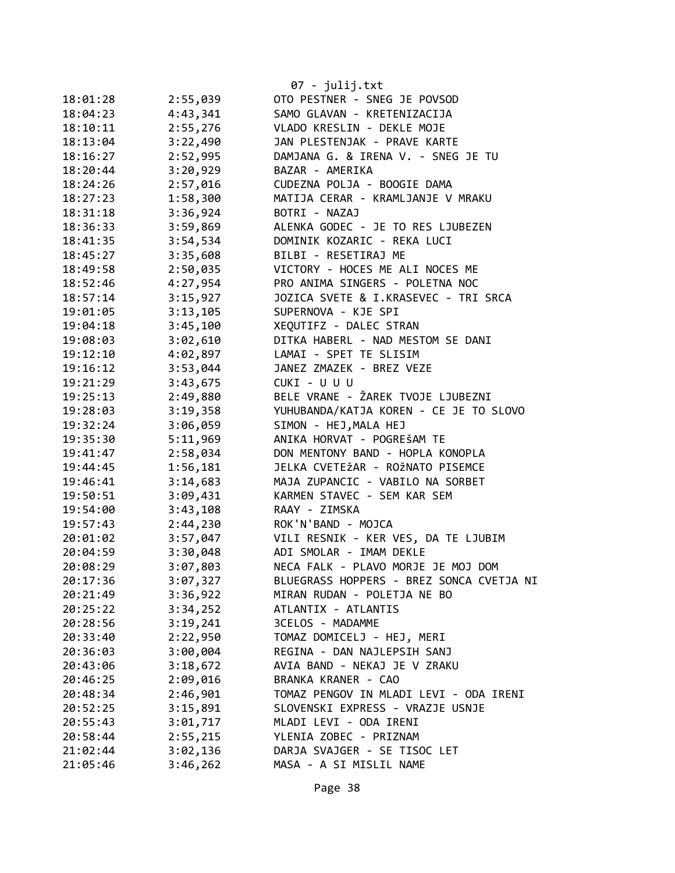|          |          | 07 - julij.txt<br>OTO PESTNER - SNEG JE POVSOD |
|----------|----------|------------------------------------------------|
| 18:01:28 | 2:55,039 | SAMO GLAVAN - KRETENIZACIJA                    |
| 18:04:23 | 4:43,341 |                                                |
| 18:10:11 | 2:55,276 | VLADO KRESLIN - DEKLE MOJE                     |
| 18:13:04 | 3:22,490 | JAN PLESTENJAK - PRAVE KARTE                   |
| 18:16:27 | 2:52,995 | DAMJANA G. & IRENA V. - SNEG JE TU             |
| 18:20:44 | 3:20,929 | BAZAR - AMERIKA                                |
| 18:24:26 | 2:57,016 | CUDEZNA POLJA - BOOGIE DAMA                    |
| 18:27:23 | 1:58,300 | MATIJA CERAR - KRAMLJANJE V MRAKU              |
| 18:31:18 | 3:36,924 | BOTRI - NAZAJ                                  |
| 18:36:33 | 3:59,869 | ALENKA GODEC - JE TO RES LJUBEZEN              |
| 18:41:35 | 3:54,534 | DOMINIK KOZARIC - REKA LUCI                    |
| 18:45:27 | 3:35,608 | BILBI - RESETIRAJ ME                           |
| 18:49:58 | 2:50,035 | VICTORY - HOCES ME ALI NOCES ME                |
| 18:52:46 | 4:27,954 | PRO ANIMA SINGERS - POLETNA NOC                |
| 18:57:14 | 3:15,927 | JOZICA SVETE & I.KRASEVEC - TRI SRCA           |
| 19:01:05 | 3:13,105 | SUPERNOVA - KJE SPI                            |
| 19:04:18 | 3:45,100 | XEQUTIFZ - DALEC STRAN                         |
| 19:08:03 | 3:02,610 | DITKA HABERL - NAD MESTOM SE DANI              |
| 19:12:10 | 4:02,897 | LAMAI - SPET TE SLISIM                         |
| 19:16:12 | 3:53,044 | JANEZ ZMAZEK - BREZ VEZE                       |
| 19:21:29 | 3:43,675 | CUKI - U U U                                   |
| 19:25:13 | 2:49,880 | BELE VRANE - ŽAREK TVOJE LJUBEZNI              |
| 19:28:03 | 3:19,358 | YUHUBANDA/KATJA KOREN - CE JE TO SLOVO         |
| 19:32:24 | 3:06,059 | SIMON - HEJ, MALA HEJ                          |
| 19:35:30 | 5:11,969 | ANIKA HORVAT - POGREŠAM TE                     |
| 19:41:47 | 2:58,034 | DON MENTONY BAND - HOPLA KONOPLA               |
| 19:44:45 | 1:56,181 | JELKA CVETEŽAR - ROŽNATO PISEMCE               |
| 19:46:41 | 3:14,683 | MAJA ZUPANCIC - VABILO NA SORBET               |
| 19:50:51 | 3:09,431 | KARMEN STAVEC - SEM KAR SEM                    |
| 19:54:00 | 3:43,108 | RAAY - ZIMSKA                                  |
| 19:57:43 | 2:44,230 | ROK'N'BAND - MOJCA                             |
| 20:01:02 | 3:57,047 | VILI RESNIK - KER VES, DA TE LJUBIM            |
| 20:04:59 | 3:30,048 | ADI SMOLAR - IMAM DEKLE                        |
| 20:08:29 | 3:07,803 | NECA FALK - PLAVO MORJE JE MOJ DOM             |
| 20:17:36 | 3:07,327 | BLUEGRASS HOPPERS - BREZ SONCA CVETJA NI       |
| 20:21:49 | 3:36,922 | MIRAN RUDAN - POLETJA NE BO                    |
| 20:25:22 | 3:34,252 | ATLANTIX - ATLANTIS                            |
| 20:28:56 | 3:19,241 | 3CELOS - MADAMME                               |
| 20:33:40 | 2:22,950 | TOMAZ DOMICELJ - HEJ, MERI                     |
| 20:36:03 | 3:00,004 | REGINA - DAN NAJLEPSIH SANJ                    |
| 20:43:06 | 3:18,672 | AVIA BAND - NEKAJ JE V ZRAKU                   |
| 20:46:25 | 2:09,016 | BRANKA KRANER - CAO                            |
| 20:48:34 | 2:46,901 | TOMAZ PENGOV IN MLADI LEVI - ODA IRENI         |
| 20:52:25 | 3:15,891 | SLOVENSKI EXPRESS - VRAZJE USNJE               |
| 20:55:43 | 3:01,717 | MLADI LEVI - ODA IRENI                         |
| 20:58:44 | 2:55,215 | YLENIA ZOBEC - PRIZNAM                         |
| 21:02:44 | 3:02,136 | DARJA SVAJGER - SE TISOC LET                   |
| 21:05:46 | 3:46,262 | MASA - A SI MISLIL NAME                        |
|          |          |                                                |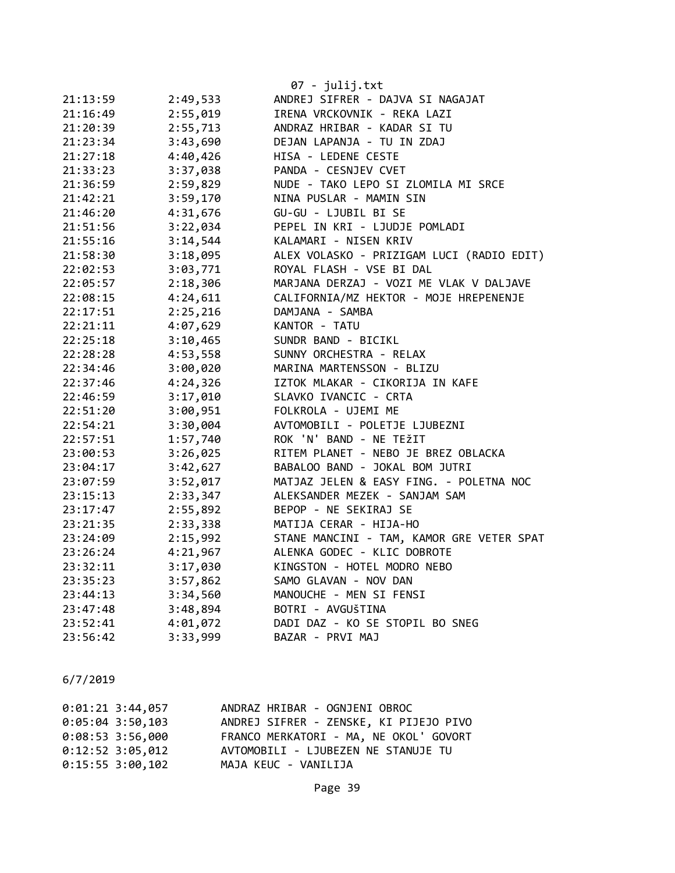|          |          | $07 - julij.txt$                          |
|----------|----------|-------------------------------------------|
| 21:13:59 | 2:49,533 | ANDREJ SIFRER - DAJVA SI NAGAJAT          |
| 21:16:49 | 2:55,019 | IRENA VRCKOVNIK - REKA LAZI               |
| 21:20:39 | 2:55,713 | ANDRAZ HRIBAR - KADAR SI TU               |
| 21:23:34 | 3:43,690 | DEJAN LAPANJA - TU IN ZDAJ                |
| 21:27:18 | 4:40,426 | HISA - LEDENE CESTE                       |
| 21:33:23 | 3:37,038 | PANDA - CESNJEV CVET                      |
| 21:36:59 | 2:59,829 | NUDE - TAKO LEPO SI ZLOMILA MI SRCE       |
| 21:42:21 | 3:59,170 | NINA PUSLAR - MAMIN SIN                   |
| 21:46:20 | 4:31,676 | GU-GU - LJUBIL BI SE                      |
| 21:51:56 | 3:22,034 | PEPEL IN KRI - LJUDJE POMLADI             |
| 21:55:16 | 3:14,544 | KALAMARI - NISEN KRIV                     |
| 21:58:30 | 3:18,095 | ALEX VOLASKO - PRIZIGAM LUCI (RADIO EDIT) |
| 22:02:53 | 3:03,771 | ROYAL FLASH - VSE BI DAL                  |
| 22:05:57 | 2:18,306 | MARJANA DERZAJ - VOZI ME VLAK V DALJAVE   |
| 22:08:15 | 4:24,611 | CALIFORNIA/MZ HEKTOR - MOJE HREPENENJE    |
| 22:17:51 | 2:25,216 | DAMJANA - SAMBA                           |
| 22:21:11 | 4:07,629 | KANTOR - TATU                             |
| 22:25:18 | 3:10,465 | SUNDR BAND - BICIKL                       |
| 22:28:28 | 4:53,558 | SUNNY ORCHESTRA - RELAX                   |
| 22:34:46 | 3:00,020 | MARINA MARTENSSON - BLIZU                 |
| 22:37:46 | 4:24,326 | IZTOK MLAKAR - CIKORIJA IN KAFE           |
| 22:46:59 | 3:17,010 | SLAVKO IVANCIC - CRTA                     |
| 22:51:20 | 3:00,951 | FOLKROLA - UJEMI ME                       |
| 22:54:21 | 3:30,004 | AVTOMOBILI - POLETJE LJUBEZNI             |
| 22:57:51 | 1:57,740 | ROK 'N' BAND - NE TEŽIT                   |
| 23:00:53 | 3:26,025 | RITEM PLANET - NEBO JE BREZ OBLACKA       |
| 23:04:17 | 3:42,627 | BABALOO BAND - JOKAL BOM JUTRI            |
| 23:07:59 | 3:52,017 | MATJAZ JELEN & EASY FING. - POLETNA NOC   |
| 23:15:13 | 2:33,347 | ALEKSANDER MEZEK - SANJAM SAM             |
| 23:17:47 | 2:55,892 | BEPOP - NE SEKIRAJ SE                     |
| 23:21:35 | 2:33,338 | MATIJA CERAR - HIJA-HO                    |
| 23:24:09 | 2:15,992 | STANE MANCINI - TAM, KAMOR GRE VETER SPAT |
| 23:26:24 | 4:21,967 | ALENKA GODEC - KLIC DOBROTE               |
| 23:32:11 | 3:17,030 | KINGSTON - HOTEL MODRO NEBO               |
| 23:35:23 | 3:57,862 | SAMO GLAVAN - NOV DAN                     |
| 23:44:13 | 3:34,560 | MANOUCHE - MEN SI FENSI                   |
| 23:47:48 | 3:48,894 | BOTRI - AVGUŠTINA                         |
| 23:52:41 | 4:01,072 | DADI DAZ - KO SE STOPIL BO SNEG           |
| 23:56:42 | 3:33,999 | BAZAR - PRVI MAJ                          |

| $0:01:21$ 3:44,057 | ANDRAZ HRIBAR - OGNJENI OBROC          |
|--------------------|----------------------------------------|
| $0:05:04$ 3:50,103 | ANDREJ SIFRER - ZENSKE, KI PIJEJO PIVO |
| $0:08:53$ 3:56,000 | FRANCO MERKATORI - MA, NE OKOL' GOVORT |
| $0:12:52$ 3:05,012 | AVTOMOBILI - LJUBEZEN NE STANUJE TU    |
| $0:15:55$ 3:00,102 | MAJA KEUC - VANILIJA                   |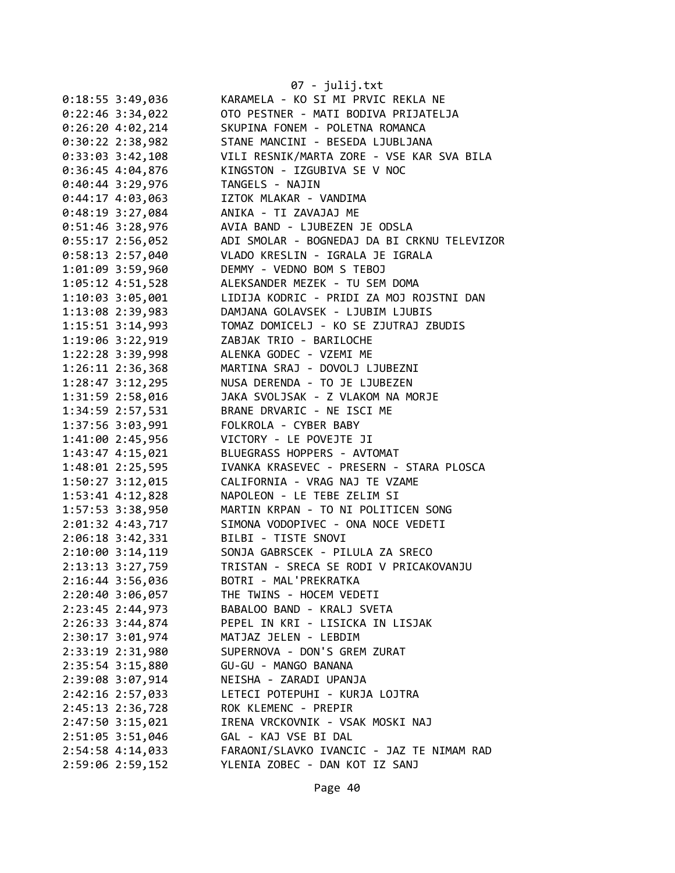|                      | 07 - julij.txt                              |
|----------------------|---------------------------------------------|
| $0:18:55$ 3:49,036   | KARAMELA - KO SI MI PRVIC REKLA NE          |
| $0:22:46$ 3:34,022   | OTO PESTNER - MATI BODIVA PRIJATELJA        |
| 0:26:204:02,214      | SKUPINA FONEM - POLETNA ROMANCA             |
| $0:30:22$ 2:38,982   | STANE MANCINI - BESEDA LJUBLJANA            |
| $0:33:03$ 3:42,108   | VILI RESNIK/MARTA ZORE - VSE KAR SVA BILA   |
| 0:36:45 4:04,876     | KINGSTON - IZGUBIVA SE V NOC                |
| $0:40:44$ 3:29,976   | TANGELS - NAJIN                             |
| $0:44:17$ 4:03,063   | IZTOK MLAKAR - VANDIMA                      |
| 0:48:19 3:27,084     | ANIKA - TI ZAVAJAJ ME                       |
| $0:51:46$ 3:28,976   | AVIA BAND - LJUBEZEN JE ODSLA               |
| $0:55:17$ 2:56,052   | ADI SMOLAR - BOGNEDAJ DA BI CRKNU TELEVIZOR |
| 0:58:13 2:57,040     | VLADO KRESLIN - IGRALA JE IGRALA            |
| 1:01:09 3:59,960     | DEMMY - VEDNO BOM S TEBOJ                   |
| $1:05:12$ $4:51,528$ | ALEKSANDER MEZEK - TU SEM DOMA              |
| 1:10:03 3:05,001     | LIDIJA KODRIC - PRIDI ZA MOJ ROJSTNI DAN    |
| 1:13:08 2:39,983     | DAMJANA GOLAVSEK - LJUBIM LJUBIS            |
| 1:15:51 3:14,993     | TOMAZ DOMICELJ - KO SE ZJUTRAJ ZBUDIS       |
| 1:19:06 3:22,919     | ZABJAK TRIO - BARILOCHE                     |
| 1:22:28 3:39,998     | ALENKA GODEC - VZEMI ME                     |
| 1:26:11 2:36,368     | MARTINA SRAJ - DOVOLJ LJUBEZNI              |
| 1:28:47 3:12,295     | NUSA DERENDA - TO JE LJUBEZEN               |
| 1:31:59 2:58,016     | JAKA SVOLJSAK - Z VLAKOM NA MORJE           |
| 1:34:59 2:57,531     | BRANE DRVARIC - NE ISCI ME                  |
| 1:37:56 3:03,991     | FOLKROLA - CYBER BABY                       |
| 1:41:00 2:45,956     | VICTORY - LE POVEJTE JI                     |
| 1:43:47 4:15,021     | BLUEGRASS HOPPERS - AVTOMAT                 |
| 1:48:01 2:25,595     | IVANKA KRASEVEC - PRESERN - STARA PLOSCA    |
| 1:50:27 3:12,015     | CALIFORNIA - VRAG NAJ TE VZAME              |
| 1:53:41 4:12,828     | NAPOLEON - LE TEBE ZELIM SI                 |
| 1:57:53 3:38,950     | MARTIN KRPAN - TO NI POLITICEN SONG         |
| 2:01:32 4:43,717     | SIMONA VODOPIVEC - ONA NOCE VEDETI          |
| $2:06:18$ 3:42,331   | BILBI - TISTE SNOVI                         |
| 2:10:00 3:14,119     | SONJA GABRSCEK - PILULA ZA SRECO            |
| 2:13:13 3:27,759     | TRISTAN - SRECA SE RODI V PRICAKOVANJU      |
| 2:16:44 3:56,036     | BOTRI - MAL'PREKRATKA                       |
| $2:20:40$ 3:06,057   | THE TWINS - HOCEM VEDETI                    |
| 2:23:45 2:44,973     | BABALOO BAND - KRALJ SVETA                  |
| 2:26:33 3:44,874     | PEPEL IN KRI - LISICKA IN LISJAK            |
| 2:30:17 3:01,974     | MATJAZ JELEN - LEBDIM                       |
| 2:33:19 2:31,980     | SUPERNOVA - DON'S GREM ZURAT                |
| 2:35:54 3:15,880     | GU-GU - MANGO BANANA                        |
| 2:39:08 3:07,914     | NEISHA - ZARADI UPANJA                      |
| 2:42:16 2:57,033     | LETECI POTEPUHI - KURJA LOJTRA              |
| 2:45:13 2:36,728     | ROK KLEMENC - PREPIR                        |
| 2:47:50 3:15,021     | IRENA VRCKOVNIK - VSAK MOSKI NAJ            |
| 2:51:05 3:51,046     | GAL - KAJ VSE BI DAL                        |
| 2:54:58 4:14,033     | FARAONI/SLAVKO IVANCIC - JAZ TE NIMAM RAD   |
| 2:59:06 2:59,152     | YLENIA ZOBEC - DAN KOT IZ SANJ              |

Page 40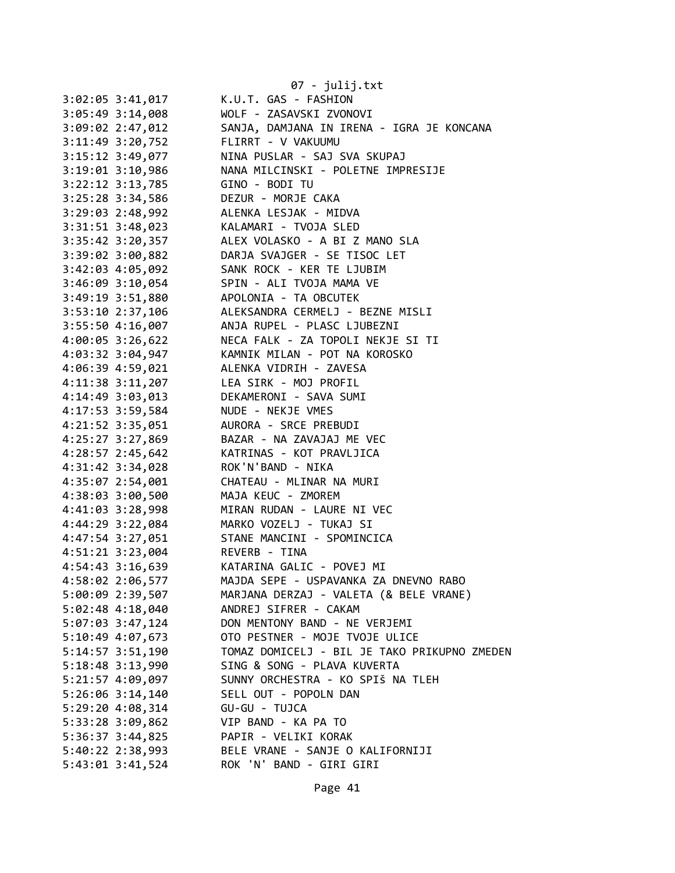|                      | $07 - julij.txt$                             |
|----------------------|----------------------------------------------|
| $3:02:05$ 3:41,017   | K.U.T. GAS - FASHION                         |
| 3:05:49 3:14,008     | WOLF - ZASAVSKI ZVONOVI                      |
| 3:09:02 2:47,012     | SANJA, DAMJANA IN IRENA - IGRA JE KONCANA    |
| 3:11:49 3:20,752     | FLIRRT - V VAKUUMU                           |
| $3:15:12$ $3:49,077$ | NINA PUSLAR - SAJ SVA SKUPAJ                 |
| $3:19:01$ $3:10,986$ | NANA MILCINSKI - POLETNE IMPRESIJE           |
| 3:22:12 3:13,785     | GINO - BODI TU                               |
| 3:25:28 3:34,586     | DEZUR - MORJE CAKA                           |
| $3:29:03$ 2:48,992   | ALENKA LESJAK - MIDVA                        |
| 3:31:51 3:48,023     | KALAMARI - TVOJA SLED                        |
| 3:35:42 3:20,357     | ALEX VOLASKO - A BI Z MANO SLA               |
| 3:39:02 3:00,882     | DARJA SVAJGER - SE TISOC LET                 |
| 3:42:03 4:05,092     | SANK ROCK - KER TE LJUBIM                    |
| $3:46:09$ $3:10,054$ | SPIN - ALI TVOJA MAMA VE                     |
| 3:49:19 3:51,880     | APOLONIA - TA OBCUTEK                        |
| $3:53:10$ 2:37,106   | ALEKSANDRA CERMELJ - BEZNE MISLI             |
| 3:55:50 4:16,007     | ANJA RUPEL - PLASC LJUBEZNI                  |
| $4:00:05$ 3:26,622   | NECA FALK - ZA TOPOLI NEKJE SI TI            |
| 4:03:32 3:04,947     | KAMNIK MILAN - POT NA KOROSKO                |
| 4:06:39 4:59,021     | ALENKA VIDRIH - ZAVESA                       |
| $4:11:38$ $3:11,207$ | LEA SIRK - MOJ PROFIL                        |
|                      | DEKAMERONI - SAVA SUMI                       |
| 4:14:49 3:03,013     |                                              |
| 4:17:53 3:59,584     | NUDE - NEKJE VMES                            |
| 4:21:52 3:35,051     | AURORA - SRCE PREBUDI                        |
| 4:25:27 3:27,869     | BAZAR - NA ZAVAJAJ ME VEC                    |
| 4:28:57 2:45,642     | KATRINAS - KOT PRAVLJICA                     |
| 4:31:42 3:34,028     | ROK'N'BAND - NIKA                            |
| 4:35:07 2:54,001     | CHATEAU - MLINAR NA MURI                     |
| 4:38:03 3:00,500     | MAJA KEUC - ZMOREM                           |
| 4:41:03 3:28,998     | MIRAN RUDAN - LAURE NI VEC                   |
| 4:44:29 3:22,084     | MARKO VOZELJ - TUKAJ SI                      |
| 4:47:54 3:27,051     | STANE MANCINI - SPOMINCICA                   |
| 4:51:21 3:23,004     | REVERB - TINA                                |
| 4:54:43 3:16,639     | KATARINA GALIC - POVEJ MI                    |
| 4:58:02 2:06,577     | MAJDA SEPE - USPAVANKA ZA DNEVNO RABO        |
| 5:00:09 2:39,507     | MARJANA DERZAJ - VALETA (& BELE VRANE)       |
| 5:02:48 4:18,040     | ANDREJ SIFRER - CAKAM                        |
| 5:07:03 3:47,124     | DON MENTONY BAND - NE VERJEMI                |
| 5:10:49 4:07,673     | OTO PESTNER - MOJE TVOJE ULICE               |
| $5:14:57$ $3:51,190$ | TOMAZ DOMICELJ - BIL JE TAKO PRIKUPNO ZMEDEN |
| 5:18:48 3:13,990     | SING & SONG - PLAVA KUVERTA                  |
| 5:21:57 4:09,097     | SUNNY ORCHESTRA - KO SPIŠ NA TLEH            |
| 5:26:06 3:14,140     | SELL OUT - POPOLN DAN                        |
| 5:29:20 4:08,314     | GU-GU - TUJCA                                |
| 5:33:28 3:09,862     | VIP BAND - KA PA TO                          |
| 5:36:37 3:44,825     | PAPIR - VELIKI KORAK                         |
| 5:40:22 2:38,993     | BELE VRANE - SANJE O KALIFORNIJI             |
| 5:43:01 3:41,524     | ROK 'N' BAND - GIRI GIRI                     |
|                      |                                              |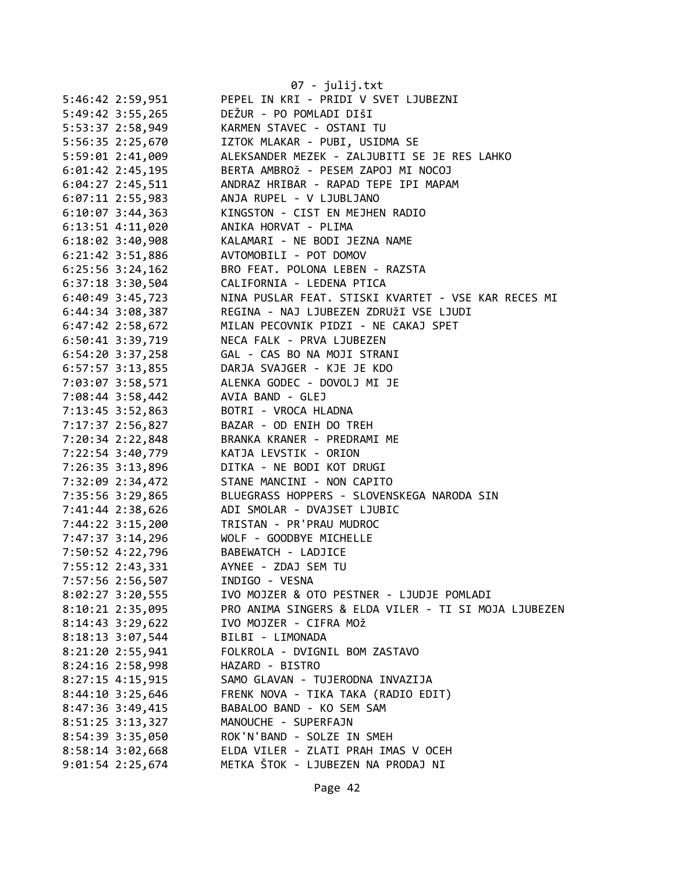|                                      | $07 - julij.txt$                                                 |
|--------------------------------------|------------------------------------------------------------------|
| 5:46:42 2:59,951                     | PEPEL IN KRI - PRIDI V SVET LJUBEZNI                             |
| 5:49:42 3:55,265                     | DEŽUR - PO POMLADI DIŠI                                          |
| 5:53:37 2:58,949                     | KARMEN STAVEC - OSTANI TU                                        |
| 5:56:35 2:25,670                     | IZTOK MLAKAR - PUBI, USIDMA SE                                   |
| 5:59:01 2:41,009                     | ALEKSANDER MEZEK - ZALJUBITI SE JE RES LAHKO                     |
| 6:01:42 2:45,195                     | BERTA AMBROŽ - PESEM ZAPOJ MI NOCOJ                              |
| 6:04:27 2:45,511                     | ANDRAZ HRIBAR - RAPAD TEPE IPI MAPAM                             |
| $6:07:11$ 2:55,983                   | ANJA RUPEL - V LJUBLJANO                                         |
| $6:10:07$ 3:44,363                   | KINGSTON - CIST EN MEJHEN RADIO                                  |
| $6:13:51$ $4:11,020$                 | ANIKA HORVAT - PLIMA                                             |
| $6:18:02$ 3:40,908                   | KALAMARI - NE BODI JEZNA NAME                                    |
| $6:21:42$ 3:51,886                   | AVTOMOBILI - POT DOMOV                                           |
| $6:25:56$ $3:24,162$                 | BRO FEAT. POLONA LEBEN - RAZSTA                                  |
| $6:37:18$ 3:30,504                   | CALIFORNIA - LEDENA PTICA                                        |
| $6:40:49$ 3:45,723                   | NINA PUSLAR FEAT. STISKI KVARTET - VSE KAR RECES MI              |
| 6:44:34 3:08,387                     | REGINA - NAJ LJUBEZEN ZDRUŽI VSE LJUDI                           |
| 6:47:42 2:58,672                     | MILAN PECOVNIK PIDZI - NE CAKAJ SPET                             |
| 6:50:41 3:39,719                     | NECA FALK - PRVA LJUBEZEN                                        |
| $6:54:20$ 3:37,258                   | GAL - CAS BO NA MOJI STRANI                                      |
| 6:57:57 3:13,855                     | DARJA SVAJGER - KJE JE KDO                                       |
| 7:03:07 3:58,571                     | ALENKA GODEC - DOVOLJ MI JE                                      |
| 7:08:44 3:58,442                     | AVIA BAND - GLEJ                                                 |
|                                      | BOTRI - VROCA HLADNA                                             |
| 7:13:45 3:52,863<br>7:17:37 2:56,827 | BAZAR - OD ENIH DO TREH                                          |
|                                      | BRANKA KRANER - PREDRAMI ME                                      |
| 7:20:34 2:22,848                     | KATJA LEVSTIK - ORION                                            |
| 7:22:54 3:40,779<br>7:26:35 3:13,896 | DITKA - NE BODI KOT DRUGI                                        |
| 7:32:09 2:34,472                     | STANE MANCINI - NON CAPITO                                       |
| 7:35:56 3:29,865                     | BLUEGRASS HOPPERS - SLOVENSKEGA NARODA SIN                       |
| 7:41:44 2:38,626                     | ADI SMOLAR - DVAJSET LJUBIC                                      |
| 7:44:22 3:15,200                     | TRISTAN - PR'PRAU MUDROC                                         |
| 7:47:37 3:14,296                     | WOLF - GOODBYE MICHELLE                                          |
| 7:50:52 4:22,796                     | BABEWATCH - LADJICE                                              |
| 7:55:12 2:43,331                     | AYNEE - ZDAJ SEM TU                                              |
| 7:57:56 2:56,507                     | INDIGO - VESNA                                                   |
| $8:02:27$ 3:20,555                   | IVO MOJZER & OTO PESTNER - LJUDJE POMLADI                        |
| $8:10:21$ 2:35,095                   | PRO ANIMA SINGERS & ELDA VILER - TI SI MOJA LJUBEZEN             |
|                                      | IVO MOJZER - CIFRA MOŽ                                           |
| $8:14:43$ 3:29,622                   |                                                                  |
| $8:18:13$ 3:07,544                   | BILBI - LIMONADA<br>FOLKROLA - DVIGNIL BOM ZASTAVO               |
| $8:21:20$ 2:55,941                   |                                                                  |
| $8:24:16$ 2:58,998                   | HAZARD - BISTRO                                                  |
| $8:27:15$ 4:15,915                   | SAMO GLAVAN - TUJERODNA INVAZIJA                                 |
| $8:44:10$ 3:25,646                   | FRENK NOVA - TIKA TAKA (RADIO EDIT)<br>BABALOO BAND - KO SEM SAM |
| 8:47:36 3:49,415                     | MANOUCHE - SUPERFAJN                                             |
| 8:51:25 3:13,327                     |                                                                  |
| 8:54:39 3:35,050                     | ROK'N'BAND - SOLZE IN SMEH                                       |
| $8:58:14$ 3:02,668                   | ELDA VILER - ZLATI PRAH IMAS V OCEH                              |
| $9:01:54$ 2:25,674                   | METKA ŠTOK - LJUBEZEN NA PRODAJ NI                               |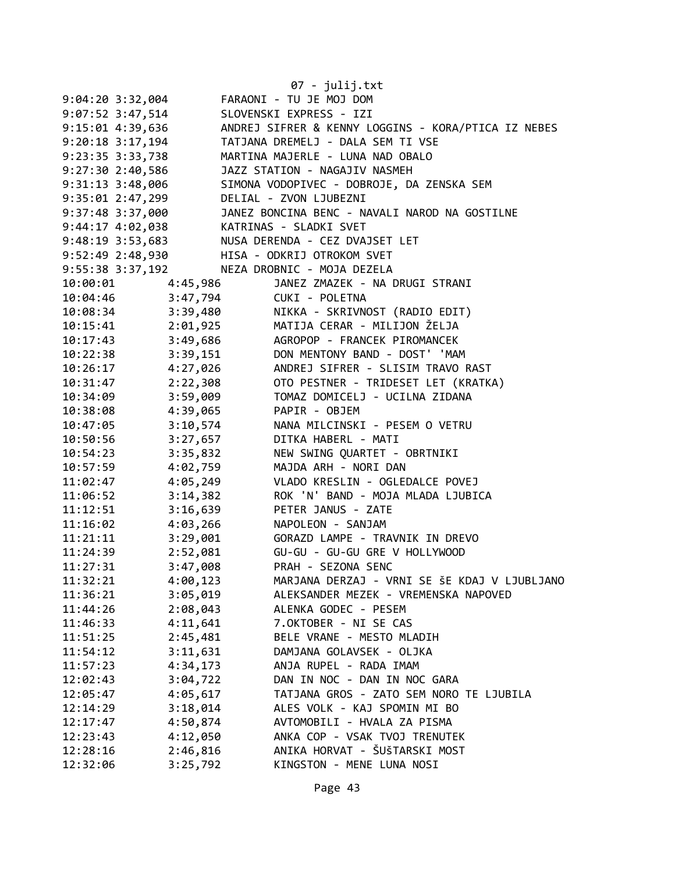|                      |                      | 07 - julij.txt                                      |
|----------------------|----------------------|-----------------------------------------------------|
| $9:04:20$ 3:32,004   |                      | FARAONI - TU JE MOJ DOM                             |
| 9:07:52 3:47,514     |                      | SLOVENSKI EXPRESS - IZI                             |
| 9:15:01 4:39,636     |                      | ANDREJ SIFRER & KENNY LOGGINS - KORA/PTICA IZ NEBES |
| $9:20:18$ 3:17,194   |                      | TATJANA DREMELJ - DALA SEM TI VSE                   |
| 9:23:35 3:33,738     |                      | MARTINA MAJERLE - LUNA NAD OBALO                    |
| 9:27:302:40,586      |                      | JAZZ STATION - NAGAJIV NASMEH                       |
| $9:31:13$ $3:48,006$ |                      | SIMONA VODOPIVEC - DOBROJE, DA ZENSKA SEM           |
| $9:35:01$ 2:47,299   |                      | DELIAL - ZVON LJUBEZNI                              |
| 9:37:48 3:37,000     |                      | JANEZ BONCINA BENC - NAVALI NAROD NA GOSTILNE       |
| $9:44:17$ $4:02,038$ |                      | KATRINAS - SLADKI SVET                              |
| $9:48:19$ 3:53,683   |                      | NUSA DERENDA - CEZ DVAJSET LET                      |
| 9:52:49 2:48,930     |                      | HISA - ODKRIJ OTROKOM SVET                          |
| 9:55:38 3:37,192     |                      | NEZA DROBNIC - MOJA DEZELA                          |
| 10:00:01             | 4:45,986             | JANEZ ZMAZEK - NA DRUGI STRANI                      |
| 10:04:46             | 3:47,794             | CUKI - POLETNA                                      |
| 10:08:34             |                      | NIKKA - SKRIVNOST (RADIO EDIT)                      |
| 10:15:41             | 3:39,480<br>2:01,925 | MATIJA CERAR - MILIJON ŽELJA                        |
| 10:17:43             | 3:49,686             | AGROPOP - FRANCEK PIROMANCEK                        |
| 10:22:38             | 3:39,151             | DON MENTONY BAND - DOST' 'MAM                       |
| 10:26:17             | 4:27,026             | ANDREJ SIFRER - SLISIM TRAVO RAST                   |
| 10:31:47             | 2:22,308             | OTO PESTNER - TRIDESET LET (KRATKA)                 |
| 10:34:09             | 3:59,009             | TOMAZ DOMICELJ - UCILNA ZIDANA                      |
| 10:38:08             | 4:39,065             | PAPIR - OBJEM                                       |
| 10:47:05             | 3:10,574             | NANA MILCINSKI - PESEM O VETRU                      |
| 10:50:56             | 3:27,657             | DITKA HABERL - MATI                                 |
| 10:54:23             | 3:35,832             | NEW SWING QUARTET - OBRTNIKI                        |
| 10:57:59             | 4:02,759             | MAJDA ARH - NORI DAN                                |
| 11:02:47             | 4:05,249             | VLADO KRESLIN - OGLEDALCE POVEJ                     |
| 11:06:52             | 3:14,382             | ROK 'N' BAND - MOJA MLADA LJUBICA                   |
| 11:12:51             | 3:16,639             | PETER JANUS - ZATE                                  |
| 11:16:02             | 4:03,266             | NAPOLEON - SANJAM                                   |
| 11:21:11             | 3:29,001             | GORAZD LAMPE - TRAVNIK IN DREVO                     |
| 11:24:39             | 2:52,081             | GU-GU - GU-GU GRE V HOLLYWOOD                       |
| 11:27:31             | 3:47,008             | PRAH - SEZONA SENC                                  |
| 11:32:21             | 4:00,123             | MARJANA DERZAJ - VRNI SE ŠE KDAJ V LJUBLJANO        |
| 11:36:21             | 3:05,019             | ALEKSANDER MEZEK - VREMENSKA NAPOVED                |
| 11:44:26             | 2:08,043             | ALENKA GODEC - PESEM                                |
| 11:46:33             | 4:11,641             | 7.OKTOBER - NI SE CAS                               |
| 11:51:25             | 2:45,481             | BELE VRANE - MESTO MLADIH                           |
| 11:54:12             | 3:11,631             | DAMJANA GOLAVSEK - OLJKA                            |
| 11:57:23             | 4:34,173             | ANJA RUPEL - RADA IMAM                              |
| 12:02:43             | 3:04,722             | DAN IN NOC - DAN IN NOC GARA                        |
| 12:05:47             | 4:05,617             | TATJANA GROS - ZATO SEM NORO TE LJUBILA             |
| 12:14:29             | 3:18,014             | ALES VOLK - KAJ SPOMIN MI BO                        |
| 12:17:47             | 4:50,874             | AVTOMOBILI - HVALA ZA PISMA                         |
| 12:23:43             | 4:12,050             | ANKA COP - VSAK TVOJ TRENUTEK                       |
| 12:28:16             | 2:46,816             | ANIKA HORVAT - ŠUŠTARSKI MOST                       |
| 12:32:06             | 3:25,792             | KINGSTON - MENE LUNA NOSI                           |
|                      |                      |                                                     |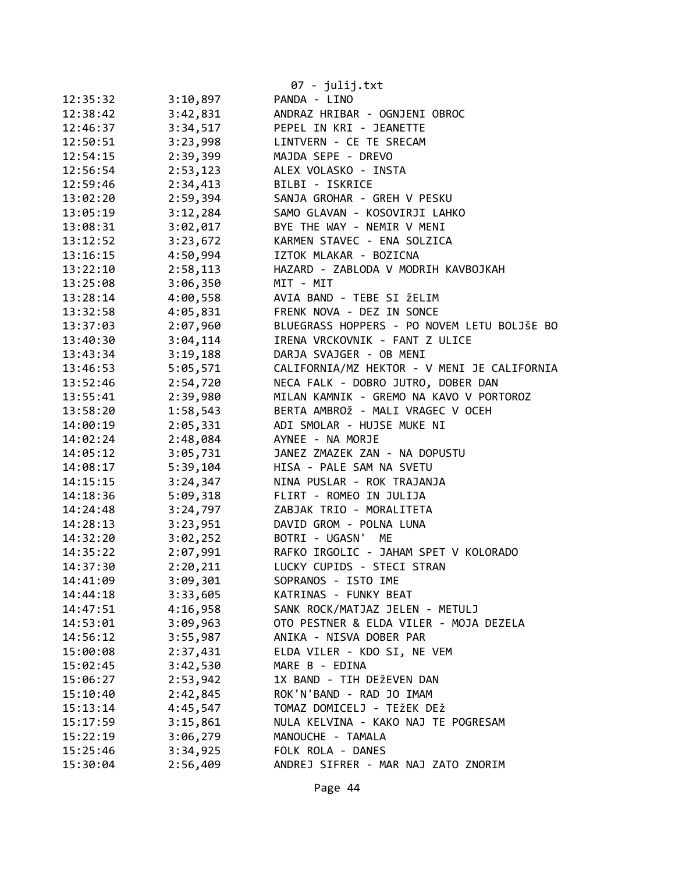|          |          | 07 - julij.txt                              |
|----------|----------|---------------------------------------------|
| 12:35:32 | 3:10,897 | PANDA - LINO                                |
| 12:38:42 | 3:42,831 | ANDRAZ HRIBAR - OGNJENI OBROC               |
| 12:46:37 | 3:34,517 | PEPEL IN KRI - JEANETTE                     |
| 12:50:51 | 3:23,998 | LINTVERN - CE TE SRECAM                     |
| 12:54:15 | 2:39,399 | MAJDA SEPE - DREVO                          |
| 12:56:54 | 2:53,123 | ALEX VOLASKO - INSTA                        |
| 12:59:46 | 2:34,413 | BILBI - ISKRICE                             |
| 13:02:20 | 2:59,394 | SANJA GROHAR - GREH V PESKU                 |
| 13:05:19 | 3:12,284 | SAMO GLAVAN - KOSOVIRJI LAHKO               |
| 13:08:31 | 3:02,017 | BYE THE WAY - NEMIR V MENI                  |
| 13:12:52 | 3:23,672 | KARMEN STAVEC - ENA SOLZICA                 |
| 13:16:15 | 4:50,994 | IZTOK MLAKAR - BOZICNA                      |
| 13:22:10 | 2:58,113 | HAZARD - ZABLODA V MODRIH KAVBOJKAH         |
| 13:25:08 | 3:06,350 | MIT - MIT                                   |
| 13:28:14 | 4:00,558 | AVIA BAND - TEBE SI ŽELIM                   |
| 13:32:58 | 4:05,831 | FRENK NOVA - DEZ IN SONCE                   |
| 13:37:03 | 2:07,960 | BLUEGRASS HOPPERS - PO NOVEM LETU BOLJŠE BO |
| 13:40:30 | 3:04,114 | IRENA VRCKOVNIK - FANT Z ULICE              |
| 13:43:34 | 3:19,188 | DARJA SVAJGER - OB MENI                     |
| 13:46:53 | 5:05,571 | CALIFORNIA/MZ HEKTOR - V MENI JE CALIFORNIA |
| 13:52:46 | 2:54,720 | NECA FALK - DOBRO JUTRO, DOBER DAN          |
| 13:55:41 | 2:39,980 | MILAN KAMNIK - GREMO NA KAVO V PORTOROZ     |
| 13:58:20 | 1:58,543 | BERTA AMBROŽ - MALI VRAGEC V OCEH           |
| 14:00:19 | 2:05,331 | ADI SMOLAR - HUJSE MUKE NI                  |
| 14:02:24 | 2:48,084 | AYNEE - NA MORJE                            |
| 14:05:12 | 3:05,731 | JANEZ ZMAZEK ZAN - NA DOPUSTU               |
| 14:08:17 | 5:39,104 | HISA - PALE SAM NA SVETU                    |
| 14:15:15 | 3:24,347 | NINA PUSLAR - ROK TRAJANJA                  |
| 14:18:36 | 5:09,318 | FLIRT - ROMEO IN JULIJA                     |
| 14:24:48 | 3:24,797 | ZABJAK TRIO - MORALITETA                    |
| 14:28:13 | 3:23,951 | DAVID GROM - POLNA LUNA                     |
| 14:32:20 | 3:02,252 | BOTRI - UGASN'<br>ME                        |
| 14:35:22 | 2:07,991 | RAFKO IRGOLIC - JAHAM SPET V KOLORADO       |
| 14:37:30 | 2:20,211 | LUCKY CUPIDS - STECI STRAN                  |
| 14:41:09 | 3:09,301 | SOPRANOS - ISTO IME                         |
| 14:44:18 | 3:33,605 | KATRINAS - FUNKY BEAT                       |
| 14:47:51 | 4:16,958 | SANK ROCK/MATJAZ JELEN - METULJ             |
| 14:53:01 | 3:09,963 | OTO PESTNER & ELDA VILER - MOJA DEZELA      |
| 14:56:12 | 3:55,987 | ANIKA - NISVA DOBER PAR                     |
| 15:00:08 | 2:37,431 | ELDA VILER - KDO SI, NE VEM                 |
| 15:02:45 | 3:42,530 | MARE B - EDINA                              |
| 15:06:27 | 2:53,942 | 1X BAND - TIH DEŽEVEN DAN                   |
| 15:10:40 | 2:42,845 | ROK'N'BAND - RAD JO IMAM                    |
| 15:13:14 | 4:45,547 | TOMAZ DOMICELJ - TEŽEK DEŽ                  |
| 15:17:59 | 3:15,861 | NULA KELVINA - KAKO NAJ TE POGRESAM         |
| 15:22:19 | 3:06,279 | MANOUCHE - TAMALA                           |
| 15:25:46 | 3:34,925 | FOLK ROLA - DANES                           |
| 15:30:04 | 2:56,409 | ANDREJ SIFRER - MAR NAJ ZATO ZNORIM         |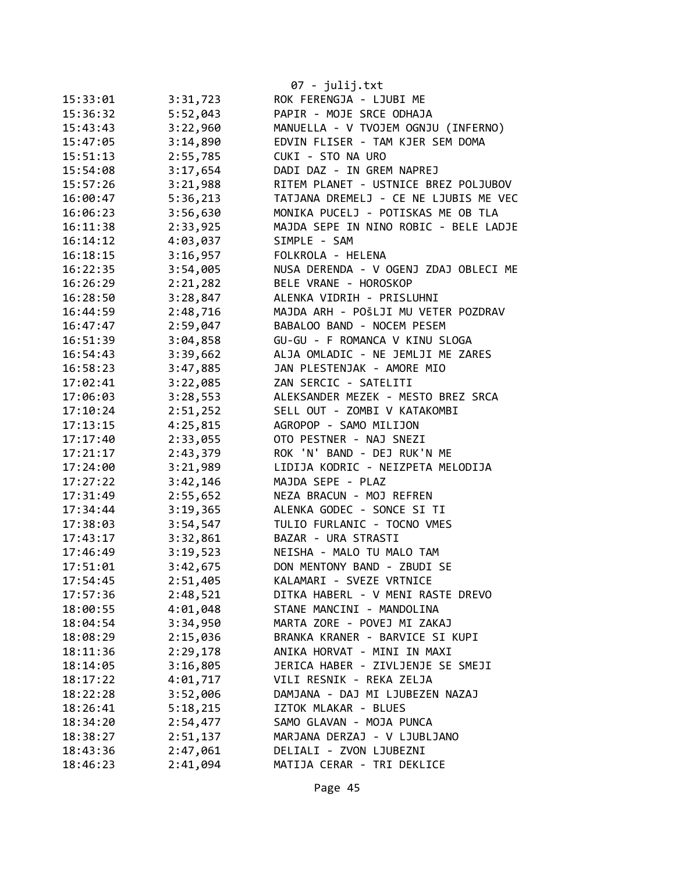| 15:33:01 | 3:31,723             | $07 - julij.txt$<br>ROK FERENGJA - LJUBI ME |
|----------|----------------------|---------------------------------------------|
| 15:36:32 | 5:52,043             | PAPIR - MOJE SRCE ODHAJA                    |
| 15:43:43 | 3:22,960             | MANUELLA - V TVOJEM OGNJU (INFERNO)         |
| 15:47:05 | 3:14,890             | EDVIN FLISER - TAM KJER SEM DOMA            |
| 15:51:13 | 2:55,785             | CUKI - STO NA URO                           |
| 15:54:08 | 3:17,654             | DADI DAZ - IN GREM NAPREJ                   |
| 15:57:26 |                      | RITEM PLANET - USTNICE BREZ POLJUBOV        |
|          | 3:21,988<br>5:36,213 | TATJANA DREMELJ - CE NE LJUBIS ME VEC       |
| 16:00:47 |                      | MONIKA PUCELJ - POTISKAS ME OB TLA          |
| 16:06:23 | 3:56,630             |                                             |
| 16:11:38 | 2:33,925             | MAJDA SEPE IN NINO ROBIC - BELE LADJE       |
| 16:14:12 | 4:03,037             | SIMPLE - SAM                                |
| 16:18:15 | 3:16,957             | FOLKROLA - HELENA                           |
| 16:22:35 | 3:54,005             | NUSA DERENDA - V OGENJ ZDAJ OBLECI ME       |
| 16:26:29 | 2:21,282             | BELE VRANE - HOROSKOP                       |
| 16:28:50 | 3:28,847             | ALENKA VIDRIH - PRISLUHNI                   |
| 16:44:59 | 2:48,716             | MAJDA ARH - POŠLJI MU VETER POZDRAV         |
| 16:47:47 | 2:59,047             | BABALOO BAND - NOCEM PESEM                  |
| 16:51:39 | 3:04,858             | GU-GU - F ROMANCA V KINU SLOGA              |
| 16:54:43 | 3:39,662             | ALJA OMLADIC - NE JEMLJI ME ZARES           |
| 16:58:23 | 3:47,885             | JAN PLESTENJAK - AMORE MIO                  |
| 17:02:41 | 3:22,085             | ZAN SERCIC - SATELITI                       |
| 17:06:03 | 3:28,553             | ALEKSANDER MEZEK - MESTO BREZ SRCA          |
| 17:10:24 | 2:51,252             | SELL OUT - ZOMBI V KATAKOMBI                |
| 17:13:15 | 4:25,815             | AGROPOP - SAMO MILIJON                      |
| 17:17:40 | 2:33,055             | OTO PESTNER - NAJ SNEZI                     |
| 17:21:17 | 2:43,379             | ROK 'N' BAND - DEJ RUK'N ME                 |
| 17:24:00 | 3:21,989             | LIDIJA KODRIC - NEIZPETA MELODIJA           |
| 17:27:22 | 3:42,146             | MAJDA SEPE - PLAZ                           |
| 17:31:49 | 2:55,652             | NEZA BRACUN - MOJ REFREN                    |
| 17:34:44 | 3:19,365             | ALENKA GODEC - SONCE SI TI                  |
| 17:38:03 | 3:54,547             | TULIO FURLANIC - TOCNO VMES                 |
| 17:43:17 | 3:32,861             | BAZAR - URA STRASTI                         |
| 17:46:49 | 3:19,523             | NEISHA - MALO TU MALO TAM                   |
| 17:51:01 | 3:42,675             | DON MENTONY BAND - ZBUDI SE                 |
| 17:54:45 | 2:51,405             | KALAMARI - SVEZE VRTNICE                    |
| 17:57:36 | 2:48,521             | DITKA HABERL - V MENI RASTE DREVO           |
| 18:00:55 | 4:01,048             | STANE MANCINI - MANDOLINA                   |
| 18:04:54 | 3:34,950             | MARTA ZORE - POVEJ MI ZAKAJ                 |
| 18:08:29 | 2:15,036             | BRANKA KRANER - BARVICE SI KUPI             |
| 18:11:36 | 2:29,178             | ANIKA HORVAT - MINI IN MAXI                 |
| 18:14:05 | 3:16,805             | JERICA HABER - ZIVLJENJE SE SMEJI           |
| 18:17:22 | 4:01,717             | VILI RESNIK - REKA ZELJA                    |
| 18:22:28 | 3:52,006             | DAMJANA - DAJ MI LJUBEZEN NAZAJ             |
| 18:26:41 | 5:18,215             | IZTOK MLAKAR - BLUES                        |
| 18:34:20 | 2:54,477             | SAMO GLAVAN - MOJA PUNCA                    |
| 18:38:27 | 2:51,137             | MARJANA DERZAJ - V LJUBLJANO                |
| 18:43:36 | 2:47,061             | DELIALI - ZVON LJUBEZNI                     |
| 18:46:23 | 2:41,094             | MATIJA CERAR - TRI DEKLICE                  |
|          |                      |                                             |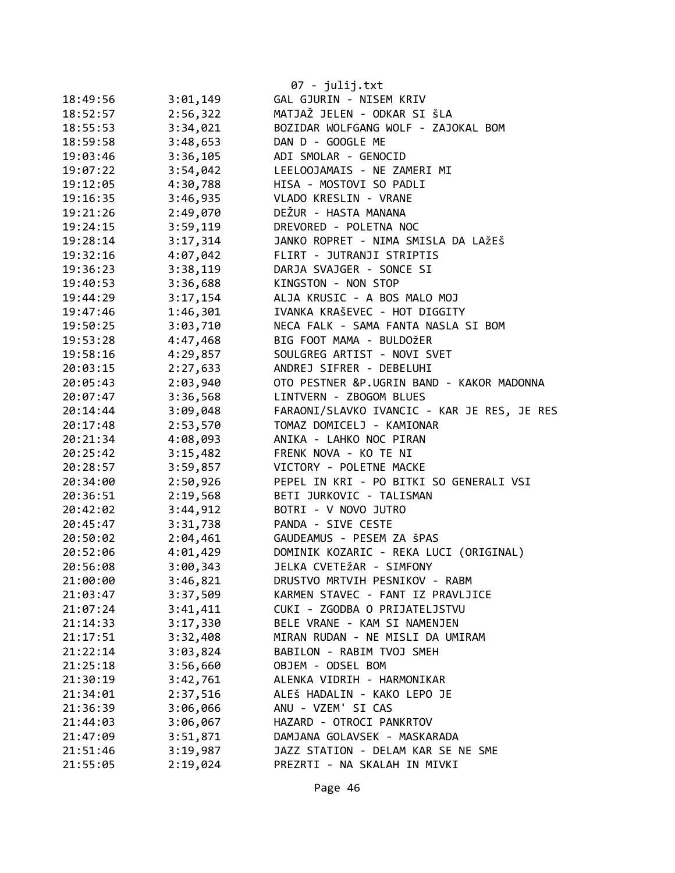|          |          | 07 - julij.txt                              |
|----------|----------|---------------------------------------------|
| 18:49:56 | 3:01,149 | GAL GJURIN - NISEM KRIV                     |
| 18:52:57 | 2:56,322 | MATJAŽ JELEN - ODKAR SI ŠLA                 |
| 18:55:53 | 3:34,021 | BOZIDAR WOLFGANG WOLF - ZAJOKAL BOM         |
| 18:59:58 | 3:48,653 | DAN D - GOOGLE ME                           |
| 19:03:46 | 3:36,105 | ADI SMOLAR - GENOCID                        |
| 19:07:22 | 3:54,042 | LEELOOJAMAIS - NE ZAMERI MI                 |
| 19:12:05 | 4:30,788 | HISA - MOSTOVI SO PADLI                     |
| 19:16:35 | 3:46,935 | VLADO KRESLIN - VRANE                       |
| 19:21:26 | 2:49,070 | DEŽUR - HASTA MANANA                        |
| 19:24:15 | 3:59,119 | DREVORED - POLETNA NOC                      |
| 19:28:14 | 3:17,314 | JANKO ROPRET - NIMA SMISLA DA LAŽEŠ         |
| 19:32:16 | 4:07,042 | FLIRT - JUTRANJI STRIPTIS                   |
| 19:36:23 | 3:38,119 | DARJA SVAJGER - SONCE SI                    |
| 19:40:53 | 3:36,688 | KINGSTON - NON STOP                         |
| 19:44:29 | 3:17,154 | ALJA KRUSIC - A BOS MALO MOJ                |
| 19:47:46 | 1:46,301 | IVANKA KRAŠEVEC - HOT DIGGITY               |
| 19:50:25 | 3:03,710 | NECA FALK - SAMA FANTA NASLA SI BOM         |
| 19:53:28 | 4:47,468 | BIG FOOT MAMA - BULDOŽER                    |
| 19:58:16 | 4:29,857 | SOULGREG ARTIST - NOVI SVET                 |
| 20:03:15 | 2:27,633 | ANDREJ SIFRER - DEBELUHI                    |
| 20:05:43 | 2:03,940 | OTO PESTNER &P.UGRIN BAND - KAKOR MADONNA   |
| 20:07:47 | 3:36,568 | LINTVERN - ZBOGOM BLUES                     |
| 20:14:44 | 3:09,048 | FARAONI/SLAVKO IVANCIC - KAR JE RES, JE RES |
| 20:17:48 | 2:53,570 | TOMAZ DOMICELJ - KAMIONAR                   |
| 20:21:34 | 4:08,093 | ANIKA - LAHKO NOC PIRAN                     |
| 20:25:42 | 3:15,482 | FRENK NOVA - KO TE NI                       |
| 20:28:57 | 3:59,857 | VICTORY - POLETNE MACKE                     |
| 20:34:00 | 2:50,926 | PEPEL IN KRI - PO BITKI SO GENERALI VSI     |
| 20:36:51 | 2:19,568 | BETI JURKOVIC - TALISMAN                    |
| 20:42:02 | 3:44,912 | BOTRI - V NOVO JUTRO                        |
| 20:45:47 | 3:31,738 | PANDA - SIVE CESTE                          |
| 20:50:02 | 2:04,461 | GAUDEAMUS - PESEM ZA ŠPAS                   |
| 20:52:06 | 4:01,429 | DOMINIK KOZARIC - REKA LUCI (ORIGINAL)      |
| 20:56:08 | 3:00,343 | JELKA CVETEŽAR - SIMFONY                    |
| 21:00:00 | 3:46,821 | DRUSTVO MRTVIH PESNIKOV - RABM              |
| 21:03:47 | 3:37,509 | KARMEN STAVEC - FANT IZ PRAVLJICE           |
| 21:07:24 | 3:41,411 | CUKI - ZGODBA O PRIJATELJSTVU               |
| 21:14:33 | 3:17,330 | BELE VRANE - KAM SI NAMENJEN                |
| 21:17:51 | 3:32,408 | MIRAN RUDAN - NE MISLI DA UMIRAM            |
| 21:22:14 | 3:03,824 | BABILON - RABIM TVOJ SMEH                   |
| 21:25:18 | 3:56,660 | OBJEM - ODSEL BOM                           |
| 21:30:19 | 3:42,761 | ALENKA VIDRIH - HARMONIKAR                  |
| 21:34:01 | 2:37,516 | ALEŠ HADALIN - KAKO LEPO JE                 |
| 21:36:39 | 3:06,066 | ANU - VZEM' SI CAS                          |
| 21:44:03 | 3:06,067 | HAZARD - OTROCI PANKRTOV                    |
| 21:47:09 | 3:51,871 | DAMJANA GOLAVSEK - MASKARADA                |
| 21:51:46 | 3:19,987 | JAZZ STATION - DELAM KAR SE NE SME          |
| 21:55:05 | 2:19,024 | PREZRTI - NA SKALAH IN MIVKI                |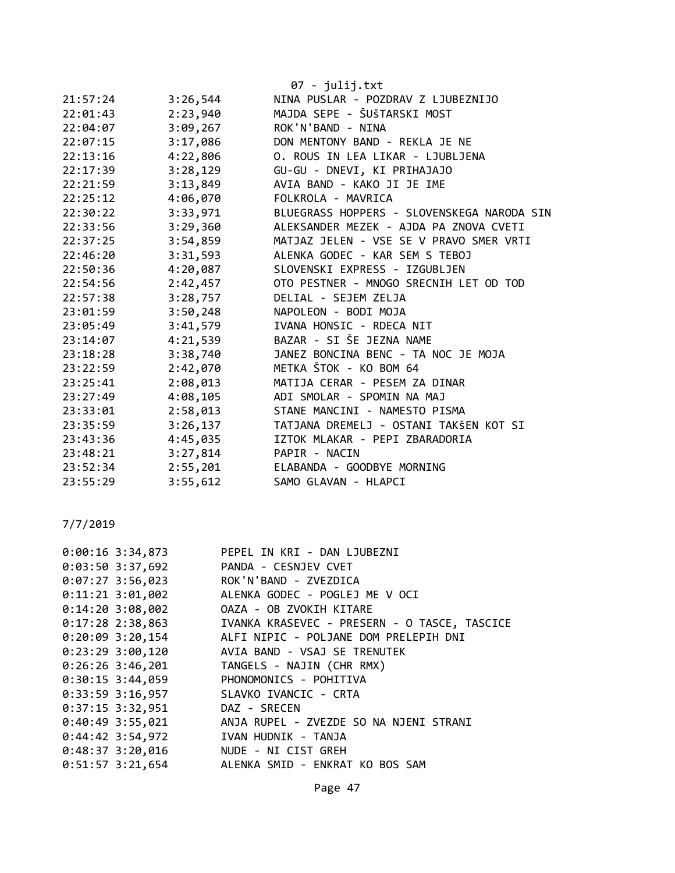|          |          | $07 - julij.txt$                           |
|----------|----------|--------------------------------------------|
| 21:57:24 | 3:26,544 | NINA PUSLAR - POZDRAV Z LJUBEZNIJO         |
| 22:01:43 | 2:23,940 | MAJDA SEPE - ŠUŠTARSKI MOST                |
| 22:04:07 | 3:09,267 | ROK'N'BAND - NINA                          |
| 22:07:15 | 3:17,086 | DON MENTONY BAND - REKLA JE NE             |
| 22:13:16 | 4:22,806 | O. ROUS IN LEA LIKAR - LJUBLJENA           |
| 22:17:39 | 3:28,129 | GU-GU - DNEVI, KI PRIHAJAJO                |
| 22:21:59 | 3:13,849 | AVIA BAND - KAKO JI JE IME                 |
| 22:25:12 | 4:06,070 | FOLKROLA - MAVRICA                         |
| 22:30:22 | 3:33,971 | BLUEGRASS HOPPERS - SLOVENSKEGA NARODA SIN |
| 22:33:56 | 3:29,360 | ALEKSANDER MEZEK - AJDA PA ZNOVA CVETI     |
| 22:37:25 | 3:54,859 | MATJAZ JELEN - VSE SE V PRAVO SMER VRTI    |
| 22:46:20 | 3:31,593 | ALENKA GODEC - KAR SEM S TEBOJ             |
| 22:50:36 | 4:20,087 | SLOVENSKI EXPRESS - IZGUBLJEN              |
| 22:54:56 | 2:42,457 | OTO PESTNER - MNOGO SRECNIH LET OD TOD     |
| 22:57:38 | 3:28,757 | DELIAL - SEJEM ZELJA                       |
| 23:01:59 | 3:50,248 | NAPOLEON - BODI MOJA                       |
| 23:05:49 | 3:41,579 | IVANA HONSIC - RDECA NIT                   |
| 23:14:07 | 4:21,539 | BAZAR - SI ŠE JEZNA NAME                   |
| 23:18:28 | 3:38,740 | JANEZ BONCINA BENC - TA NOC JE MOJA        |
| 23:22:59 | 2:42,070 | METKA ŠTOK - KO BOM 64                     |
| 23:25:41 | 2:08,013 | MATIJA CERAR - PESEM ZA DINAR              |
| 23:27:49 | 4:08,105 | ADI SMOLAR - SPOMIN NA MAJ                 |
| 23:33:01 | 2:58,013 | STANE MANCINI - NAMESTO PISMA              |
| 23:35:59 | 3:26,137 | TATJANA DREMELJ - OSTANI TAKŠEN KOT SI     |
| 23:43:36 | 4:45,035 | IZTOK MLAKAR - PEPI ZBARADORIA             |
| 23:48:21 | 3:27,814 | PAPIR - NACIN                              |
| 23:52:34 | 2:55,201 | ELABANDA - GOODBYE MORNING                 |
| 23:55:29 | 3:55,612 | SAMO GLAVAN - HLAPCI                       |

| 0:00:16 3:34,873                       | PEPEL IN KRI - DAN LJUBEZNI                                           |
|----------------------------------------|-----------------------------------------------------------------------|
| 0:03:50 3:37,692 PANDA - CESNJEV CVET  |                                                                       |
| 0:07:27 3:56,023 ROK'N'BAND - ZVEZDICA |                                                                       |
|                                        | 0:11:21 3:01,002 ALENKA GODEC - POGLEJ ME V OCI                       |
|                                        |                                                                       |
|                                        | 0:17:28 2:38,863         IVANKA KRASEVEC - PRESERN - O TASCE, TASCICE |
|                                        | 0:20:09 3:20,154 ALFI NIPIC - POLJANE DOM PRELEPIH DNI                |
|                                        | 0:23:29 3:00,120 AVIA BAND - VSAJ SE TRENUTEK                         |
|                                        | 0:26:26 3:46,201 TANGELS - NAJIN (CHR RMX)                            |
|                                        | 0:30:15 3:44,059 PHONOMONICS - POHITIVA                               |
| 0:33:59 3:16,957 SLAVKO IVANCIC - CRTA |                                                                       |
| 0:37:15 3:32,951 DAZ - SRECEN          |                                                                       |
|                                        | 0:40:49 3:55,021 ANJA RUPEL - ZVEZDE SO NA NJENI STRANI               |
| 0:44:42 3:54,972 IVAN HUDNIK - TANJA   |                                                                       |
| 0:48:37 3:20,016 NUDE - NI CIST GREH   |                                                                       |
|                                        | 0:51:57 3:21,654 ALENKA SMID - ENKRAT KO BOS SAM                      |
|                                        |                                                                       |

Page 47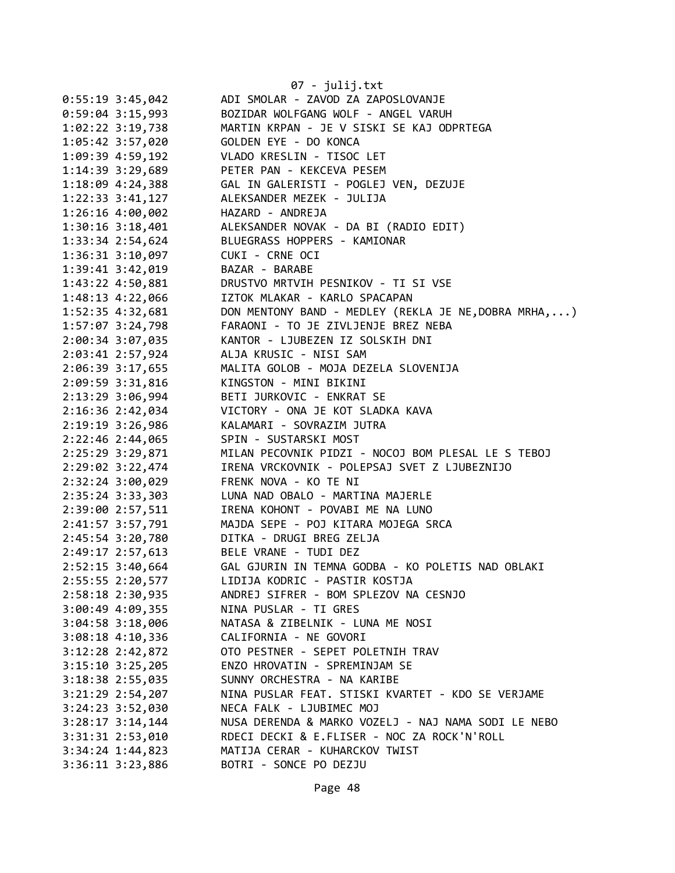|                        | 07 - julij.txt                                        |
|------------------------|-------------------------------------------------------|
| $0:55:19$ 3:45,042     | ADI SMOLAR - ZAVOD ZA ZAPOSLOVANJE                    |
| $0:59:04$ 3:15,993     | BOZIDAR WOLFGANG WOLF - ANGEL VARUH                   |
| 1:02:22 3:19,738       | MARTIN KRPAN - JE V SISKI SE KAJ ODPRTEGA             |
| 1:05:42 3:57,020       | GOLDEN EYE - DO KONCA                                 |
| 1:09:39 4:59,192       | VLADO KRESLIN - TISOC LET                             |
| 1:14:39 3:29,689       | PETER PAN - KEKCEVA PESEM                             |
| 1:18:09 4:24,388       | GAL IN GALERISTI - POGLEJ VEN, DEZUJE                 |
| $1:22:33$ $3:41,127$   | ALEKSANDER MEZEK - JULIJA                             |
| $1:26:16$ 4:00,002     | HAZARD - ANDREJA                                      |
| $1:30:16$ $3:18,401$   | ALEKSANDER NOVAK - DA BI (RADIO EDIT)                 |
| 1:33:34 2:54,624       | BLUEGRASS HOPPERS - KAMIONAR                          |
| 1:36:31 3:10,097       | CUKI - CRNE OCI                                       |
| 1:39:41 3:42,019       | BAZAR - BARABE                                        |
| 1:43:22 4:50,881       | DRUSTVO MRTVIH PESNIKOV - TI SI VSE                   |
| 1:48:13 4:22,066       | IZTOK MLAKAR - KARLO SPACAPAN                         |
| 1:52:35 4:32,681       | DON MENTONY BAND - MEDLEY (REKLA JE NE, DOBRA MRHA, ) |
| 1:57:07 3:24,798       | FARAONI - TO JE ZIVLJENJE BREZ NEBA                   |
| 2:00:34 3:07,035       | KANTOR - LJUBEZEN IZ SOLSKIH DNI                      |
| 2:03:41 2:57,924       | ALJA KRUSIC - NISI SAM                                |
| 2:06:39 3:17,655       | MALITA GOLOB - MOJA DEZELA SLOVENIJA                  |
| 2:09:59 3:31,816       | KINGSTON - MINI BIKINI                                |
| 2:13:29 3:06,994       | BETI JURKOVIC - ENKRAT SE                             |
| 2:16:36 2:42,034       | VICTORY - ONA JE KOT SLADKA KAVA                      |
| 2:19:19 3:26,986       | KALAMARI - SOVRAZIM JUTRA                             |
| 2:22:46 2:44,065       | SPIN - SUSTARSKI MOST                                 |
| 2:25:29 3:29,871       | MILAN PECOVNIK PIDZI - NOCOJ BOM PLESAL LE S TEBOJ    |
| 2:29:02 3:22,474       | IRENA VRCKOVNIK - POLEPSAJ SVET Z LJUBEZNIJO          |
| 2:32:24 3:00,029       | FRENK NOVA - KO TE NI                                 |
| 2:35:24 3:33,303       | LUNA NAD OBALO - MARTINA MAJERLE                      |
| 2:39:00 2:57,511       | IRENA KOHONT - POVABI ME NA LUNO                      |
| 2:41:57 3:57,791       | MAJDA SEPE - POJ KITARA MOJEGA SRCA                   |
| 2:45:54 3:20,780       | DITKA - DRUGI BREG ZELJA                              |
| 2:49:17 2:57,613       | BELE VRANE - TUDI DEZ                                 |
| 2:52:15 3:40,664       | GAL GJURIN IN TEMNA GODBA - KO POLETIS NAD OBLAKI     |
| 2:55:55 2:20,577       | LIDIJA KODRIC - PASTIR KOSTJA                         |
| 2:58:18 2:30,935       | ANDREJ SIFRER - BOM SPLEZOV NA CESNJO                 |
| $3:00:49$ 4:09,355     | NINA PUSLAR - TI GRES                                 |
| $3:04:58$ $3:18,006$   | NATASA & ZIBELNIK - LUNA ME NOSI                      |
| $3:08:18$ 4:10,336     | CALIFORNIA - NE GOVORI                                |
| $3:12:28$ $2:42,872$   | OTO PESTNER - SEPET POLETNIH TRAV                     |
| $3:15:10$ $3:25,205$   | ENZO HROVATIN - SPREMINJAM SE                         |
| $3:18:38$ $2:55,035$   | SUNNY ORCHESTRA - NA KARIBE                           |
| $3:21:29$ $2:54,207$   | NINA PUSLAR FEAT. STISKI KVARTET - KDO SE VERJAME     |
| 3:24:23 3:52,030       | NECA FALK - LJUBIMEC MOJ                              |
| $3:28:17$ $3:14$ , 144 | NUSA DERENDA & MARKO VOZELJ - NAJ NAMA SODI LE NEBO   |
| 3:31:31 2:53,010       | RDECI DECKI & E.FLISER - NOC ZA ROCK'N'ROLL           |
| $3:34:24$ 1:44,823     | MATIJA CERAR - KUHARCKOV TWIST                        |
| $3:36:11$ $3:23,886$   | BOTRI - SONCE PO DEZJU                                |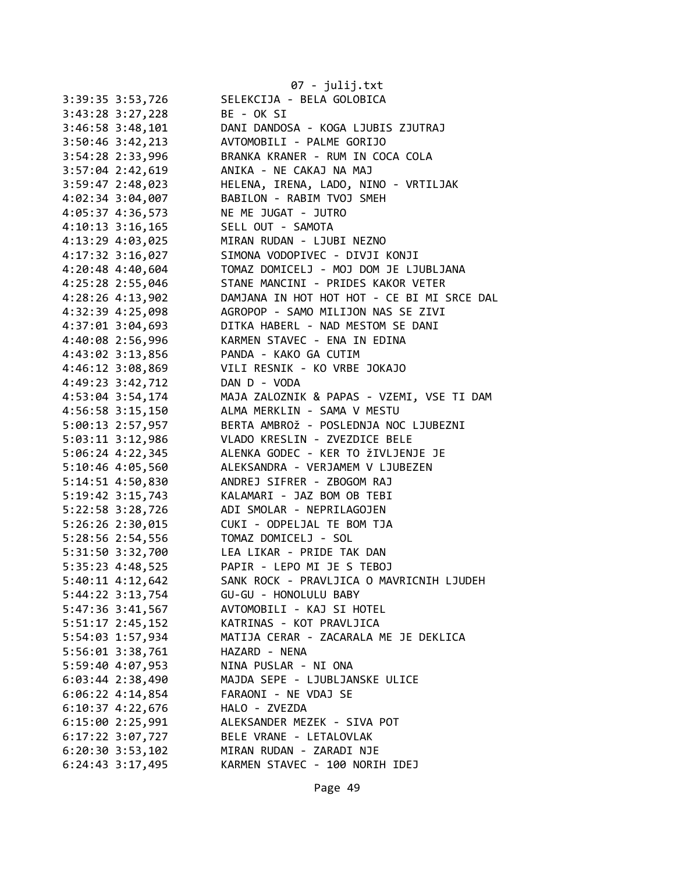|                      | $07 - julij.txt$                           |
|----------------------|--------------------------------------------|
| 3:39:35 3:53,726     | SELEKCIJA - BELA GOLOBICA                  |
| 3:43:28 3:27,228     | BE - OK SI                                 |
| $3:46:58$ $3:48,101$ | DANI DANDOSA - KOGA LJUBIS ZJUTRAJ         |
| 3:50:46 3:42,213     | AVTOMOBILI - PALME GORIJO                  |
| 3:54:28 2:33,996     | BRANKA KRANER - RUM IN COCA COLA           |
| 3:57:04 2:42,619     | ANIKA - NE CAKAJ NA MAJ                    |
| 3:59:47 2:48,023     | HELENA, IRENA, LADO, NINO - VRTILJAK       |
| 4:02:34 3:04,007     | BABILON - RABIM TVOJ SMEH                  |
| 4:05:37 4:36,573     | NE ME JUGAT - JUTRO                        |
| 4:10:13 3:16,165     | SELL OUT - SAMOTA                          |
| 4:13:29 4:03,025     | MIRAN RUDAN - LJUBI NEZNO                  |
| 4:17:32 3:16,027     | SIMONA VODOPIVEC - DIVJI KONJI             |
| 4:20:48 4:40,604     | TOMAZ DOMICELJ - MOJ DOM JE LJUBLJANA      |
| 4:25:28 2:55,046     | STANE MANCINI - PRIDES KAKOR VETER         |
| 4:28:26 4:13,902     | DAMJANA IN HOT HOT HOT - CE BI MI SRCE DAL |
| 4:32:39 4:25,098     | AGROPOP - SAMO MILIJON NAS SE ZIVI         |
| 4:37:01 3:04,693     | DITKA HABERL - NAD MESTOM SE DANI          |
| 4:40:08 2:56,996     | KARMEN STAVEC - ENA IN EDINA               |
| 4:43:02 3:13,856     | PANDA - KAKO GA CUTIM                      |
| 4:46:12 3:08,869     | VILI RESNIK - KO VRBE JOKAJO               |
| 4:49:23 3:42,712     | DAN D - VODA                               |
| 4:53:04 3:54,174     | MAJA ZALOZNIK & PAPAS - VZEMI, VSE TI DAM  |
| 4:56:58 3:15,150     | ALMA MERKLIN - SAMA V MESTU                |
| 5:00:13 2:57,957     | BERTA AMBROŽ - POSLEDNJA NOC LJUBEZNI      |
| 5:03:11 3:12,986     | VLADO KRESLIN - ZVEZDICE BELE              |
| 5:06:24 4:22,345     | ALENKA GODEC - KER TO ŽIVLJENJE JE         |
| 5:10:46 4:05,560     | ALEKSANDRA - VERJAMEM V LJUBEZEN           |
|                      | ANDREJ SIFRER - ZBOGOM RAJ                 |
| 5:14:51 4:50,830     | KALAMARI - JAZ BOM OB TEBI                 |
| 5:19:42 3:15,743     | ADI SMOLAR - NEPRILAGOJEN                  |
| 5:22:58 3:28,726     | CUKI - ODPELJAL TE BOM TJA                 |
| $5:26:26$ 2:30,015   |                                            |
| 5:28:56 2:54,556     | TOMAZ DOMICELJ - SOL                       |
| 5:31:50 3:32,700     | LEA LIKAR - PRIDE TAK DAN                  |
| 5:35:23 4:48,525     | PAPIR - LEPO MI JE S TEBOJ                 |
| $5:40:11$ $4:12,642$ | SANK ROCK - PRAVLJICA O MAVRICNIH LJUDEH   |
| 5:44:22 3:13,754     | GU-GU - HONOLULU BABY                      |
| 5:47:36 3:41,567     | AVTOMOBILI - KAJ SI HOTEL                  |
| $5:51:17$ 2:45,152   | KATRINAS - KOT PRAVLJICA                   |
| 5:54:03 1:57,934     | MATIJA CERAR - ZACARALA ME JE DEKLICA      |
| 5:56:01 3:38,761     | HAZARD - NENA                              |
| 5:59:40 4:07,953     | NINA PUSLAR - NI ONA                       |
| $6:03:44$ 2:38,490   | MAJDA SEPE - LJUBLJANSKE ULICE             |
| $6:06:22$ 4:14,854   | FARAONI - NE VDAJ SE                       |
| $6:10:37$ 4:22,676   | HALO - ZVEZDA                              |
| $6:15:00$ 2:25,991   | ALEKSANDER MEZEK - SIVA POT                |
| 6:17:22 3:07,727     | BELE VRANE - LETALOVLAK                    |
| $6:20:30$ 3:53,102   | MIRAN RUDAN - ZARADI NJE                   |
| 6:24:43 3:17,495     | KARMEN STAVEC - 100 NORIH IDEJ             |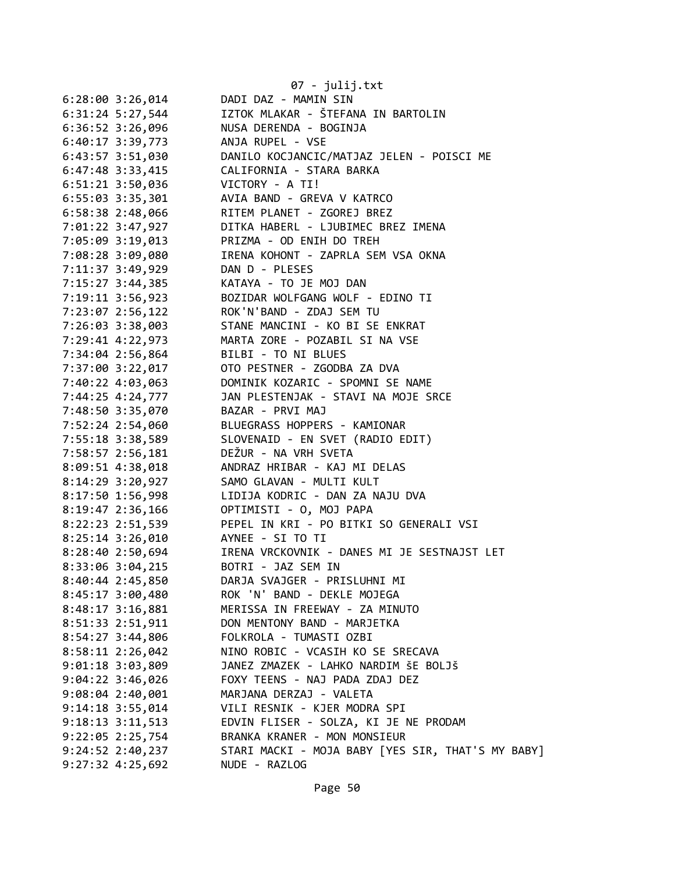|                                 | 07 - julij.txt                                                                                                                                     |
|---------------------------------|----------------------------------------------------------------------------------------------------------------------------------------------------|
| $6:28:00$ 3:26,014              | DADI DAZ - MAMIN SIN                                                                                                                               |
|                                 | 6:31:24 5:27,544 IZTOK MLAKAR - ŠTEFANA IN BARTOLIN                                                                                                |
|                                 | 6:36:52 3:26,096 NUSA DERENDA - BOGINJA                                                                                                            |
|                                 | 6:40:17 3:39,773 ANJA RUPEL - VSE                                                                                                                  |
|                                 | 6:43:57 3:51,030 DANILO KOCJANCIC/MATJAZ JELEN - POISCI ME                                                                                         |
|                                 | 6:47:48 3:33,415 CALIFORNIA - STARA BARKA                                                                                                          |
|                                 | 6:51:21 3:50,036<br>6:55:03 3:35,301<br>6:58:38 2:48,066<br>RITEM PLANET - ZGOREJ BREZ<br>RITEM PLANET - ZGOREJ BREZ<br>RITEM PLANET - ZGOREJ BREZ |
|                                 |                                                                                                                                                    |
|                                 |                                                                                                                                                    |
|                                 | 7:01:22 3:47,927 DITKA HABERL - LJUBIMEC BREZ IMENA                                                                                                |
|                                 | 7:05:09 3:19,013 PRIZMA - OD ENIH DO TREH                                                                                                          |
|                                 | 7:08:28 3:09,080 IRENA KOHONT - ZAPRLA SEM VSA OKNA                                                                                                |
| 7:11:37 3:49,929 DAN D - PLESES |                                                                                                                                                    |
|                                 |                                                                                                                                                    |
|                                 |                                                                                                                                                    |
|                                 | 7:15:27 3:44,385<br>7:19:11 3:56,923<br>7:23:07 2:56,122<br>ROK'N'BAND - ZDAJ SEM TU<br>ROK'N'BAND - ZDAJ SEM TU                                   |
|                                 | 7:26:03 3:38,003 STANE MANCINI - KO BI SE ENKRAT                                                                                                   |
|                                 | 7:29:41 4:22,973 MARTA ZORE - POZABIL SI NA VSE                                                                                                    |
|                                 | 7:34:04 2:56,864 BILBI - TO NI BLUES                                                                                                               |
|                                 | 7:37:00 3:22,017 OTO PESTNER - ZGODBA ZA DVA                                                                                                       |
|                                 |                                                                                                                                                    |
|                                 |                                                                                                                                                    |
|                                 | 7:40:22 4:03,063<br>7:44:25 4:24,777<br>7:48:50 3:35,070<br>BAZAR - PRVI MAJ<br>BAZAR - PRVI MAJ<br>PAZAR - PRVI MAJ                               |
|                                 | 7:52:24 2:54,060 BLUEGRASS HOPPERS - KAMIONAR                                                                                                      |
|                                 | 7:55:18 3:38,589 SLOVENAID - EN SVET (RADIO EDIT)                                                                                                  |
| 7:58:57 2:56,181                | DEŽUR - NA VRH SVETA                                                                                                                               |
|                                 | 8:09:51 4:38,018 ANDRAZ HRIBAR - KAJ MI DELAS                                                                                                      |
| 8:14:29 3:20,927                | SAMO GLAVAN - MULTI KULT                                                                                                                           |
| 8:17:50 1:56,998                | LIDIJA KODRIC - DAN ZA NAJU DVA                                                                                                                    |
|                                 |                                                                                                                                                    |
|                                 | 8:22:23 2:51,539 PEPEL IN KRI - PO BITKI SO GENERALI VSI                                                                                           |
|                                 | 8:25:14 3:26,010 AYNEE - SI TO TI                                                                                                                  |
|                                 | 8:28:40 2:50,694 IRENA VRCKOVNIK - DANES MI JE SESTNAJST LET                                                                                       |
| 8:33:06 3:04,215                | BOTRI - JAZ SEM IN                                                                                                                                 |
| 8:40:44 2:45,850                | DARJA SVAJGER - PRISLUHNI MI                                                                                                                       |
| 8:45:17 3:00,480                | ROK 'N' BAND - DEKLE MOJEGA                                                                                                                        |
| 8:48:17 3:16,881                | MERISSA IN FREEWAY - ZA MINUTO                                                                                                                     |
| 8:51:33 2:51,911                | DON MENTONY BAND - MARJETKA                                                                                                                        |
| $8:54:27$ 3:44,806              | FOLKROLA - TUMASTI OZBI                                                                                                                            |
| 8:58:11 2:26,042                | NINO ROBIC - VCASIH KO SE SRECAVA                                                                                                                  |
| $9:01:18$ 3:03,809              | JANEZ ZMAZEK - LAHKO NARDIM ŠE BOLJŠ                                                                                                               |
| 9:04:22 3:46,026                | FOXY TEENS - NAJ PADA ZDAJ DEZ                                                                                                                     |
| $9:08:04$ 2:40,001              | MARJANA DERZAJ - VALETA                                                                                                                            |
| $9:14:18$ 3:55,014              | VILI RESNIK - KJER MODRA SPI                                                                                                                       |
| $9:18:13$ $3:11,513$            | EDVIN FLISER - SOLZA, KI JE NE PRODAM                                                                                                              |
| $9:22:05$ $2:25,754$            | BRANKA KRANER - MON MONSIEUR                                                                                                                       |
| $9:24:52$ $2:40,237$            | STARI MACKI - MOJA BABY [YES SIR, THAT'S MY BABY]                                                                                                  |
| $9:27:32$ 4:25,692              | NUDE - RAZLOG                                                                                                                                      |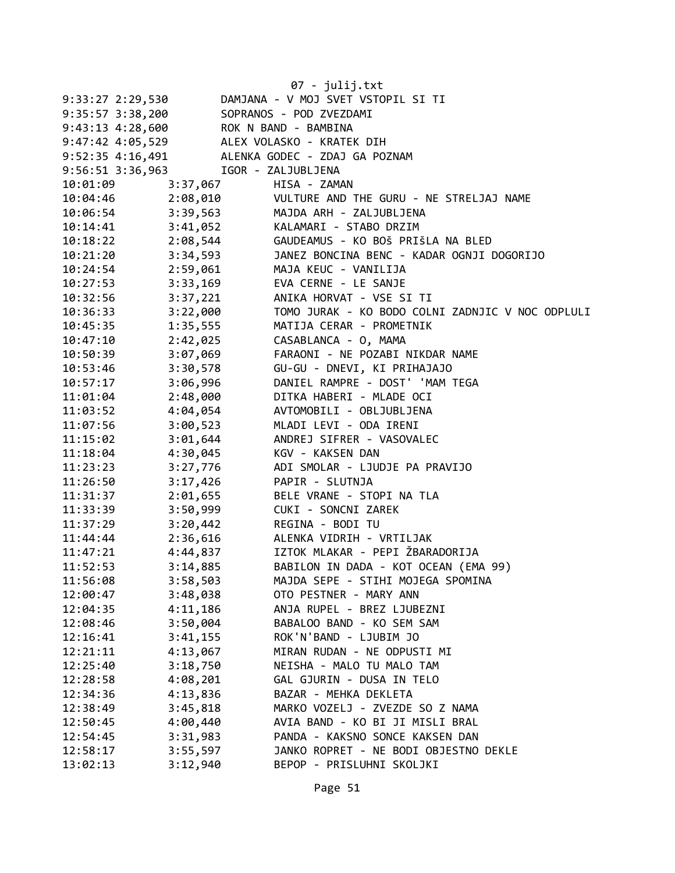|                  |                                      | 07 - julij.txt                                                              |
|------------------|--------------------------------------|-----------------------------------------------------------------------------|
| 9:33:27 2:29,530 |                                      | DAMJANA - V MOJ SVET VSTOPIL SI TI                                          |
|                  | 9:35:57 3:38,200                     | SOPRANOS - POD ZVEZDAMI                                                     |
|                  | $9:43:13$ $4:28,600$                 | ROK N BAND - BAMBINA                                                        |
|                  |                                      |                                                                             |
|                  |                                      | 9:47:42 4:05,529 ALEX VOLASKO - KRATEK DIH<br>ALENKA GODEC - ZDAJ GA POZNAM |
|                  | 9:52:35 4:16,491<br>9:56:51 3:36,963 | IGOR - ZALJUBLJENA                                                          |
|                  |                                      |                                                                             |
| 10:01:09         | 3:37,067<br>2:08,010                 | HISA - ZAMAN<br>VULTURE AND THE GURU - NE STRELJAJ NAME                     |
| 10:04:46         |                                      | MAJDA ARH - ZALJUBLJENA                                                     |
| 10:06:54         | 3:39,563                             | KALAMARI - STABO DRZIM                                                      |
| 10:14:41         | 3:41,052                             |                                                                             |
| 10:18:22         | 2:08,544                             | GAUDEAMUS - KO BOŠ PRIŠLA NA BLED                                           |
| 10:21:20         | 3:34,593                             | JANEZ BONCINA BENC - KADAR OGNJI DOGORIJO                                   |
| 10:24:54         | 2:59,061                             | MAJA KEUC - VANILIJA                                                        |
| 10:27:53         | 3:33,169                             | EVA CERNE - LE SANJE                                                        |
| 10:32:56         | 3:37,221                             | ANIKA HORVAT - VSE SI TI                                                    |
| 10:36:33         | 3:22,000                             | TOMO JURAK - KO BODO COLNI ZADNJIC V NOC ODPLULI                            |
| 10:45:35         | 1:35,555                             | MATIJA CERAR - PROMETNIK                                                    |
| 10:47:10         | 2:42,025                             | CASABLANCA - 0, MAMA                                                        |
| 10:50:39         | 3:07,069                             | FARAONI - NE POZABI NIKDAR NAME                                             |
| 10:53:46         | 3:30,578                             | GU-GU - DNEVI, KI PRIHAJAJO                                                 |
| 10:57:17         | 3:06,996                             | DANIEL RAMPRE - DOST' 'MAM TEGA                                             |
| 11:01:04         | 2:48,000                             | DITKA HABERI - MLADE OCI                                                    |
| 11:03:52         | 4:04,054                             | AVTOMOBILI - OBLJUBLJENA                                                    |
| 11:07:56         | 3:00,523                             | MLADI LEVI - ODA IRENI                                                      |
| 11:15:02         | 3:01,644                             | ANDREJ SIFRER - VASOVALEC                                                   |
| 11:18:04         | 4:30,045                             | KGV - KAKSEN DAN                                                            |
| 11:23:23         | 3:27,776                             | ADI SMOLAR - LJUDJE PA PRAVIJO                                              |
| 11:26:50         | 3:17,426                             | PAPIR - SLUTNJA                                                             |
| 11:31:37         | 2:01,655                             | BELE VRANE - STOPI NA TLA                                                   |
| 11:33:39         | 3:50,999                             | CUKI - SONCNI ZAREK                                                         |
| 11:37:29         | 3:20,442                             | REGINA - BODI TU                                                            |
| 11:44:44         | 2:36,616                             | ALENKA VIDRIH - VRTILJAK                                                    |
| 11:47:21         | 4:44,837                             | IZTOK MLAKAR - PEPI ŽBARADORIJA                                             |
| 11:52:53         | 3:14,885                             | BABILON IN DADA - KOT OCEAN (EMA 99)                                        |
| 11:56:08         | 3:58,503                             | MAJDA SEPE - STIHI MOJEGA SPOMINA                                           |
| 12:00:47         | 3:48,038                             | OTO PESTNER - MARY ANN                                                      |
| 12:04:35         | 4:11,186                             | ANJA RUPEL - BREZ LJUBEZNI                                                  |
| 12:08:46         | 3:50,004                             | BABALOO BAND - KO SEM SAM                                                   |
| 12:16:41         | 3:41,155                             | ROK'N'BAND - LJUBIM JO                                                      |
| 12:21:11         | 4:13,067                             | MIRAN RUDAN - NE ODPUSTI MI                                                 |
| 12:25:40         | 3:18,750                             | NEISHA - MALO TU MALO TAM                                                   |
| 12:28:58         | 4:08,201                             | GAL GJURIN - DUSA IN TELO                                                   |
| 12:34:36         | 4:13,836                             | BAZAR - MEHKA DEKLETA                                                       |
| 12:38:49         | 3:45,818                             | MARKO VOZELJ - ZVEZDE SO Z NAMA                                             |
| 12:50:45         | 4:00,440                             | AVIA BAND - KO BI JI MISLI BRAL                                             |
| 12:54:45         | 3:31,983                             | PANDA - KAKSNO SONCE KAKSEN DAN                                             |
| 12:58:17         | 3:55,597                             | JANKO ROPRET - NE BODI OBJESTNO DEKLE                                       |
| 13:02:13         | 3:12,940                             | BEPOP - PRISLUHNI SKOLJKI                                                   |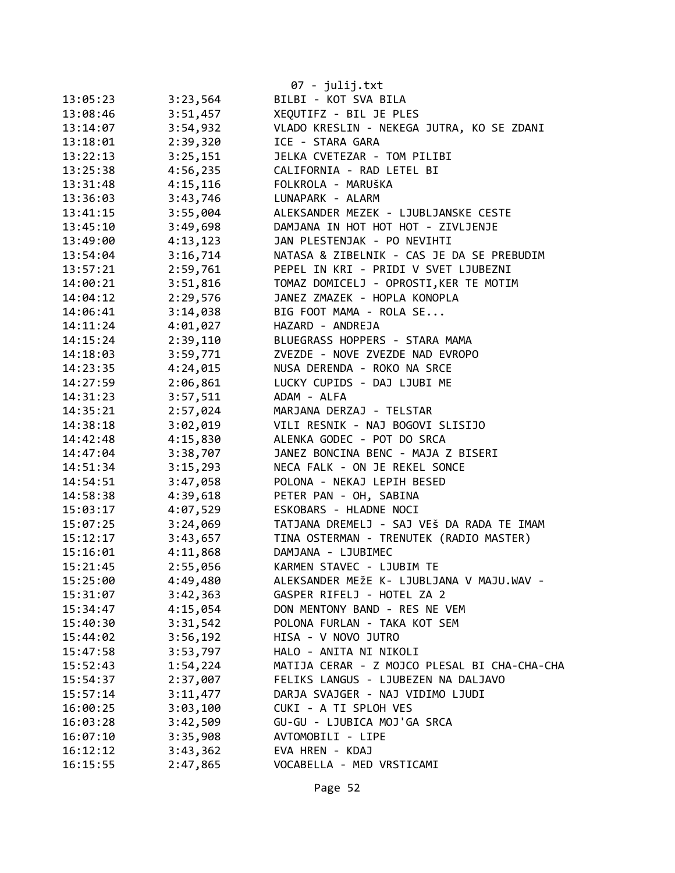|          |          | 07 - julij.txt                               |
|----------|----------|----------------------------------------------|
| 13:05:23 | 3:23,564 | BILBI - KOT SVA BILA                         |
| 13:08:46 | 3:51,457 | XEQUTIFZ - BIL JE PLES                       |
| 13:14:07 | 3:54,932 | VLADO KRESLIN - NEKEGA JUTRA, KO SE ZDANI    |
| 13:18:01 | 2:39,320 | ICE - STARA GARA                             |
| 13:22:13 | 3:25,151 | JELKA CVETEZAR - TOM PILIBI                  |
| 13:25:38 | 4:56,235 | CALIFORNIA - RAD LETEL BI                    |
| 13:31:48 | 4:15,116 | FOLKROLA - MARUŠKA                           |
| 13:36:03 | 3:43,746 | LUNAPARK - ALARM                             |
| 13:41:15 | 3:55,004 | ALEKSANDER MEZEK - LJUBLJANSKE CESTE         |
| 13:45:10 | 3:49,698 | DAMJANA IN HOT HOT HOT - ZIVLJENJE           |
| 13:49:00 | 4:13,123 | JAN PLESTENJAK - PO NEVIHTI                  |
| 13:54:04 | 3:16,714 | NATASA & ZIBELNIK - CAS JE DA SE PREBUDIM    |
| 13:57:21 | 2:59,761 | PEPEL IN KRI - PRIDI V SVET LJUBEZNI         |
| 14:00:21 | 3:51,816 | TOMAZ DOMICELJ - OPROSTI, KER TE MOTIM       |
| 14:04:12 | 2:29,576 | JANEZ ZMAZEK - HOPLA KONOPLA                 |
| 14:06:41 | 3:14,038 | BIG FOOT MAMA - ROLA SE                      |
| 14:11:24 | 4:01,027 | HAZARD - ANDREJA                             |
| 14:15:24 | 2:39,110 | BLUEGRASS HOPPERS - STARA MAMA               |
| 14:18:03 | 3:59,771 | ZVEZDE - NOVE ZVEZDE NAD EVROPO              |
| 14:23:35 | 4:24,015 | NUSA DERENDA - ROKO NA SRCE                  |
| 14:27:59 | 2:06,861 | LUCKY CUPIDS - DAJ LJUBI ME                  |
| 14:31:23 | 3:57,511 | ADAM - ALFA                                  |
| 14:35:21 | 2:57,024 | MARJANA DERZAJ - TELSTAR                     |
| 14:38:18 | 3:02,019 | VILI RESNIK - NAJ BOGOVI SLISIJO             |
| 14:42:48 | 4:15,830 | ALENKA GODEC - POT DO SRCA                   |
| 14:47:04 | 3:38,707 | JANEZ BONCINA BENC - MAJA Z BISERI           |
| 14:51:34 | 3:15,293 | NECA FALK - ON JE REKEL SONCE                |
| 14:54:51 | 3:47,058 | POLONA - NEKAJ LEPIH BESED                   |
| 14:58:38 | 4:39,618 | PETER PAN - OH, SABINA                       |
| 15:03:17 | 4:07,529 | ESKOBARS - HLADNE NOCI                       |
| 15:07:25 | 3:24,069 | TATJANA DREMELJ - SAJ VEŠ DA RADA TE IMAM    |
| 15:12:17 | 3:43,657 | TINA OSTERMAN - TRENUTEK (RADIO MASTER)      |
| 15:16:01 | 4:11,868 | DAMJANA - LJUBIMEC                           |
| 15:21:45 | 2:55,056 | KARMEN STAVEC - LJUBIM TE                    |
| 15:25:00 | 4:49,480 | ALEKSANDER MEŽE K- LJUBLJANA V MAJU.WAV -    |
| 15:31:07 | 3:42,363 | GASPER RIFELJ - HOTEL ZA 2                   |
| 15:34:47 | 4:15,054 | DON MENTONY BAND - RES NE VEM                |
| 15:40:30 | 3:31,542 | POLONA FURLAN - TAKA KOT SEM                 |
| 15:44:02 | 3:56,192 | HISA - V NOVO JUTRO                          |
| 15:47:58 | 3:53,797 | HALO - ANITA NI NIKOLI                       |
| 15:52:43 | 1:54,224 | MATIJA CERAR - Z MOJCO PLESAL BI CHA-CHA-CHA |
| 15:54:37 | 2:37,007 | FELIKS LANGUS - LJUBEZEN NA DALJAVO          |
| 15:57:14 | 3:11,477 | DARJA SVAJGER - NAJ VIDIMO LJUDI             |
| 16:00:25 | 3:03,100 | CUKI - A TI SPLOH VES                        |
| 16:03:28 | 3:42,509 | GU-GU - LJUBICA MOJ'GA SRCA                  |
| 16:07:10 | 3:35,908 | AVTOMOBILI - LIPE                            |
| 16:12:12 | 3:43,362 | EVA HREN - KDAJ                              |
| 16:15:55 | 2:47,865 | VOCABELLA - MED VRSTICAMI                    |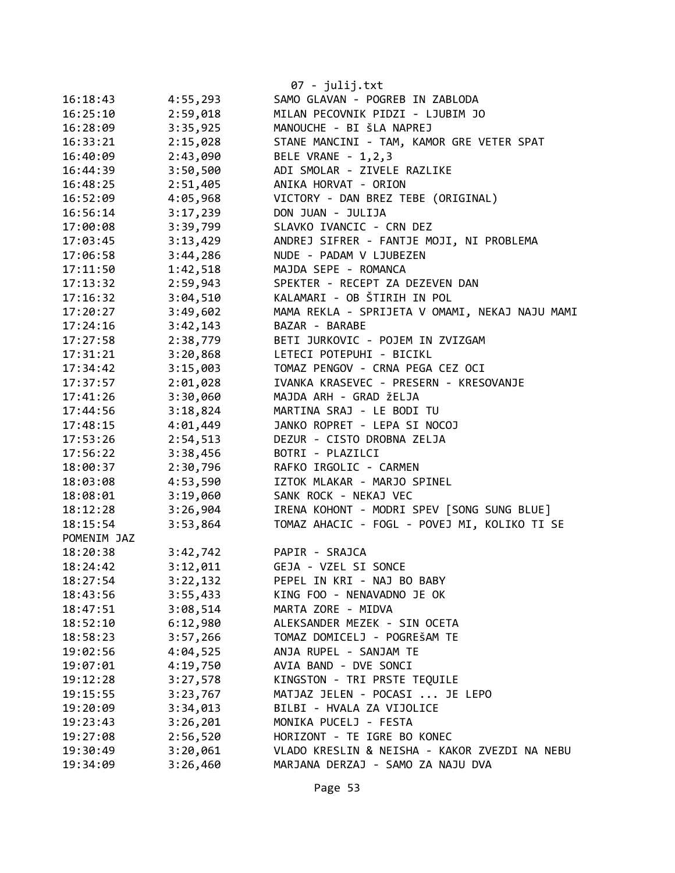|             |          | $07 - julij.txt$                               |
|-------------|----------|------------------------------------------------|
| 16:18:43    | 4:55,293 | SAMO GLAVAN - POGREB IN ZABLODA                |
| 16:25:10    | 2:59,018 | MILAN PECOVNIK PIDZI - LJUBIM JO               |
| 16:28:09    | 3:35,925 | MANOUCHE - BI ŠLA NAPREJ                       |
| 16:33:21    | 2:15,028 | STANE MANCINI - TAM, KAMOR GRE VETER SPAT      |
| 16:40:09    | 2:43,090 | BELE VRANE - 1,2,3                             |
| 16:44:39    | 3:50,500 | ADI SMOLAR - ZIVELE RAZLIKE                    |
| 16:48:25    | 2:51,405 | ANIKA HORVAT - ORION                           |
| 16:52:09    | 4:05,968 | VICTORY - DAN BREZ TEBE (ORIGINAL)             |
| 16:56:14    | 3:17,239 | DON JUAN - JULIJA                              |
| 17:00:08    | 3:39,799 | SLAVKO IVANCIC - CRN DEZ                       |
| 17:03:45    | 3:13,429 | ANDREJ SIFRER - FANTJE MOJI, NI PROBLEMA       |
| 17:06:58    | 3:44,286 | NUDE - PADAM V LJUBEZEN                        |
| 17:11:50    | 1:42,518 | MAJDA SEPE - ROMANCA                           |
| 17:13:32    | 2:59,943 | SPEKTER - RECEPT ZA DEZEVEN DAN                |
| 17:16:32    | 3:04,510 | KALAMARI - OB ŠTIRIH IN POL                    |
| 17:20:27    | 3:49,602 | MAMA REKLA - SPRIJETA V OMAMI, NEKAJ NAJU MAMI |
| 17:24:16    | 3:42,143 | BAZAR - BARABE                                 |
| 17:27:58    | 2:38,779 | BETI JURKOVIC - POJEM IN ZVIZGAM               |
| 17:31:21    | 3:20,868 | LETECI POTEPUHI - BICIKL                       |
| 17:34:42    | 3:15,003 | TOMAZ PENGOV - CRNA PEGA CEZ OCI               |
| 17:37:57    | 2:01,028 | IVANKA KRASEVEC - PRESERN - KRESOVANJE         |
| 17:41:26    | 3:30,060 | MAJDA ARH - GRAD ŽELJA                         |
| 17:44:56    | 3:18,824 | MARTINA SRAJ - LE BODI TU                      |
| 17:48:15    | 4:01,449 | JANKO ROPRET - LEPA SI NOCOJ                   |
| 17:53:26    | 2:54,513 | DEZUR - CISTO DROBNA ZELJA                     |
| 17:56:22    | 3:38,456 | BOTRI - PLAZILCI                               |
| 18:00:37    | 2:30,796 | RAFKO IRGOLIC - CARMEN                         |
| 18:03:08    | 4:53,590 | IZTOK MLAKAR - MARJO SPINEL                    |
| 18:08:01    | 3:19,060 | SANK ROCK - NEKAJ VEC                          |
| 18:12:28    | 3:26,904 | IRENA KOHONT - MODRI SPEV [SONG SUNG BLUE]     |
| 18:15:54    | 3:53,864 | TOMAZ AHACIC - FOGL - POVEJ MI, KOLIKO TI SE   |
| POMENIM JAZ |          |                                                |
| 18:20:38    | 3:42,742 | PAPIR - SRAJCA                                 |
| 18:24:42    | 3:12,011 | GEJA - VZEL SI SONCE                           |
| 18:27:54    | 3:22,132 | PEPEL IN KRI - NAJ BO BABY                     |
| 18:43:56    | 3:55,433 | KING FOO - NENAVADNO JE OK                     |
| 18:47:51    | 3:08,514 | MARTA ZORE - MIDVA                             |
| 18:52:10    | 6:12,980 | ALEKSANDER MEZEK - SIN OCETA                   |
| 18:58:23    | 3:57,266 | TOMAZ DOMICELJ - POGREŠAM TE                   |
| 19:02:56    | 4:04,525 | ANJA RUPEL - SANJAM TE                         |
| 19:07:01    | 4:19,750 | AVIA BAND - DVE SONCI                          |
| 19:12:28    | 3:27,578 | KINGSTON - TRI PRSTE TEQUILE                   |
| 19:15:55    | 3:23,767 | MATJAZ JELEN - POCASI  JE LEPO                 |
| 19:20:09    | 3:34,013 | BILBI - HVALA ZA VIJOLICE                      |
| 19:23:43    | 3:26,201 | MONIKA PUCELJ - FESTA                          |
| 19:27:08    | 2:56,520 | HORIZONT - TE IGRE BO KONEC                    |
| 19:30:49    | 3:20,061 | VLADO KRESLIN & NEISHA - KAKOR ZVEZDI NA NEBU  |
| 19:34:09    | 3:26,460 | MARJANA DERZAJ - SAMO ZA NAJU DVA              |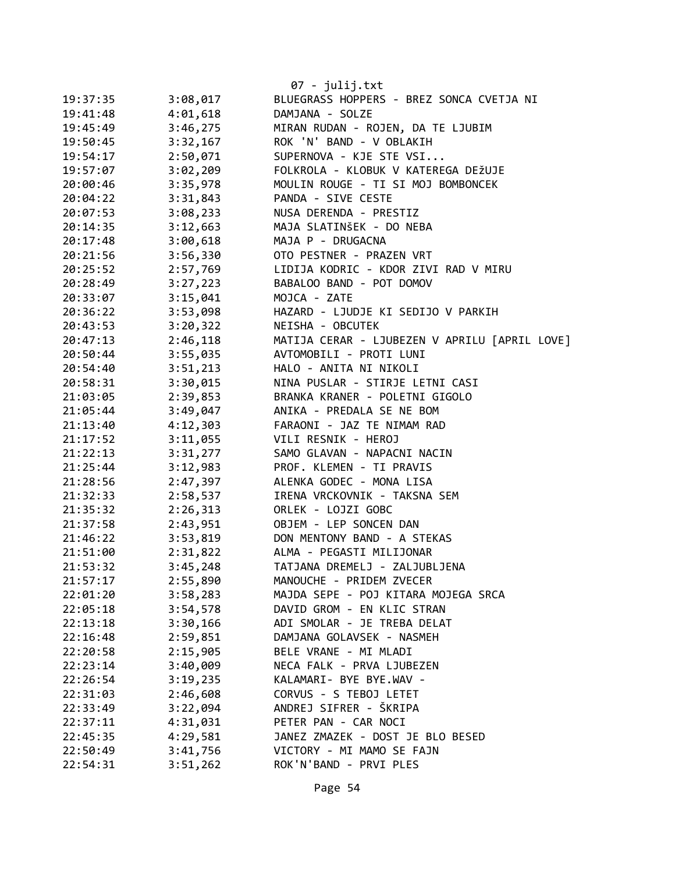|          |          | 07 - julij.txt                                |
|----------|----------|-----------------------------------------------|
| 19:37:35 | 3:08,017 | BLUEGRASS HOPPERS - BREZ SONCA CVETJA NI      |
| 19:41:48 | 4:01,618 | DAMJANA - SOLZE                               |
| 19:45:49 | 3:46,275 | MIRAN RUDAN - ROJEN, DA TE LJUBIM             |
| 19:50:45 | 3:32,167 | ROK 'N' BAND - V OBLAKIH                      |
| 19:54:17 | 2:50,071 | SUPERNOVA - KJE STE VSI                       |
| 19:57:07 | 3:02,209 | FOLKROLA - KLOBUK V KATEREGA DEŽUJE           |
| 20:00:46 | 3:35,978 | MOULIN ROUGE - TI SI MOJ BOMBONCEK            |
| 20:04:22 | 3:31,843 | PANDA - SIVE CESTE                            |
| 20:07:53 | 3:08,233 | NUSA DERENDA - PRESTIZ                        |
| 20:14:35 | 3:12,663 | MAJA SLATINŠEK - DO NEBA                      |
| 20:17:48 | 3:00,618 | MAJA P - DRUGACNA                             |
| 20:21:56 | 3:56,330 | OTO PESTNER - PRAZEN VRT                      |
| 20:25:52 | 2:57,769 | LIDIJA KODRIC - KDOR ZIVI RAD V MIRU          |
| 20:28:49 | 3:27,223 | BABALOO BAND - POT DOMOV                      |
| 20:33:07 | 3:15,041 | MOJCA - ZATE                                  |
| 20:36:22 | 3:53,098 | HAZARD - LJUDJE KI SEDIJO V PARKIH            |
| 20:43:53 | 3:20,322 | NEISHA - OBCUTEK                              |
| 20:47:13 | 2:46,118 | MATIJA CERAR - LJUBEZEN V APRILU [APRIL LOVE] |
| 20:50:44 | 3:55,035 | AVTOMOBILI - PROTI LUNI                       |
| 20:54:40 | 3:51,213 | HALO - ANITA NI NIKOLI                        |
| 20:58:31 | 3:30,015 | NINA PUSLAR - STIRJE LETNI CASI               |
| 21:03:05 | 2:39,853 | BRANKA KRANER - POLETNI GIGOLO                |
| 21:05:44 | 3:49,047 | ANIKA - PREDALA SE NE BOM                     |
| 21:13:40 | 4:12,303 | FARAONI - JAZ TE NIMAM RAD                    |
| 21:17:52 | 3:11,055 | VILI RESNIK - HEROJ                           |
| 21:22:13 | 3:31,277 | SAMO GLAVAN - NAPACNI NACIN                   |
| 21:25:44 | 3:12,983 | PROF. KLEMEN - TI PRAVIS                      |
| 21:28:56 | 2:47,397 | ALENKA GODEC - MONA LISA                      |
| 21:32:33 | 2:58,537 | IRENA VRCKOVNIK - TAKSNA SEM                  |
| 21:35:32 | 2:26,313 | ORLEK - LOJZI GOBC                            |
| 21:37:58 | 2:43,951 | OBJEM - LEP SONCEN DAN                        |
| 21:46:22 | 3:53,819 | DON MENTONY BAND - A STEKAS                   |
| 21:51:00 | 2:31,822 | ALMA - PEGASTI MILIJONAR                      |
| 21:53:32 | 3:45,248 | TATJANA DREMELJ - ZALJUBLJENA                 |
| 21:57:17 | 2:55,890 | MANOUCHE - PRIDEM ZVECER                      |
| 22:01:20 | 3:58,283 | MAJDA SEPE - POJ KITARA MOJEGA SRCA           |
| 22:05:18 | 3:54,578 | DAVID GROM - EN KLIC STRAN                    |
| 22:13:18 | 3:30,166 | ADI SMOLAR - JE TREBA DELAT                   |
| 22:16:48 | 2:59,851 | DAMJANA GOLAVSEK - NASMEH                     |
| 22:20:58 | 2:15,905 | BELE VRANE - MI MLADI                         |
| 22:23:14 | 3:40,009 | NECA FALK - PRVA LJUBEZEN                     |
| 22:26:54 | 3:19,235 | KALAMARI- BYE BYE.WAV -                       |
| 22:31:03 | 2:46,608 | CORVUS - S TEBOJ LETET                        |
| 22:33:49 | 3:22,094 | ANDREJ SIFRER - ŠKRIPA                        |
| 22:37:11 | 4:31,031 | PETER PAN - CAR NOCI                          |
| 22:45:35 | 4:29,581 | JANEZ ZMAZEK - DOST JE BLO BESED              |
| 22:50:49 | 3:41,756 | VICTORY - MI MAMO SE FAJN                     |
| 22:54:31 | 3:51,262 | ROK'N'BAND - PRVI PLES                        |
|          |          |                                               |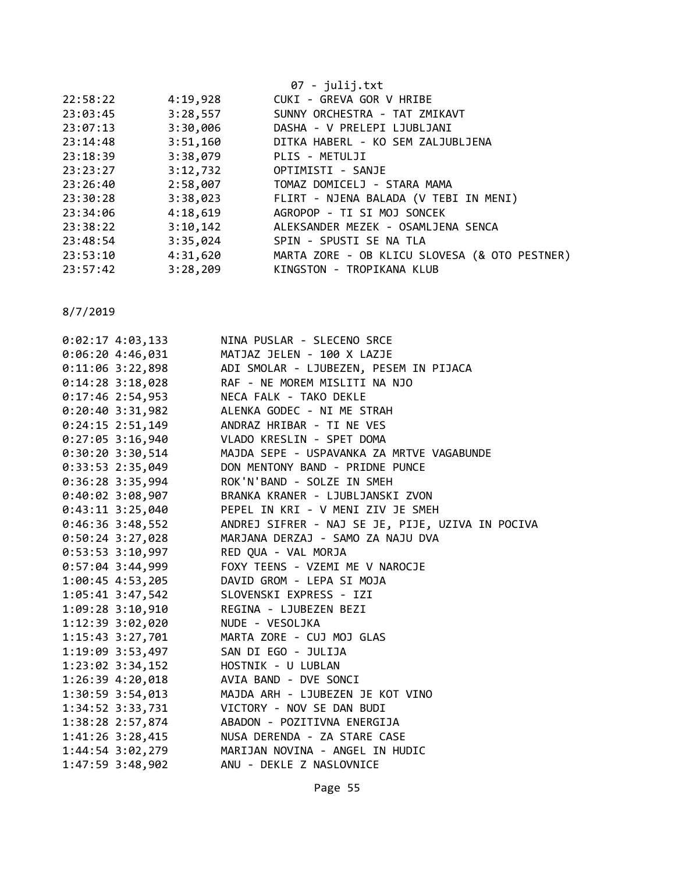|          |          | 07 - julij.txt                                |
|----------|----------|-----------------------------------------------|
| 22:58:22 | 4:19,928 | CUKI - GREVA GOR V HRIBE                      |
| 23:03:45 | 3:28,557 | SUNNY ORCHESTRA - TAT ZMIKAVT                 |
| 23:07:13 | 3:30,006 | DASHA - V PRELEPI LJUBLJANI                   |
| 23:14:48 | 3:51,160 | DITKA HABERL - KO SEM ZALJUBLJENA             |
| 23:18:39 | 3:38,079 | PLIS - METULJI                                |
| 23:23:27 | 3:12,732 | OPTIMISTI - SANJE                             |
| 23:26:40 | 2:58,007 | TOMAZ DOMICELJ - STARA MAMA                   |
| 23:30:28 | 3:38,023 | FLIRT - NJENA BALADA (V TEBI IN MENI)         |
| 23:34:06 | 4:18,619 | AGROPOP - TI SI MOJ SONCEK                    |
| 23:38:22 | 3:10,142 | ALEKSANDER MEZEK - OSAMLJENA SENCA            |
| 23:48:54 | 3:35,024 | SPIN - SPUSTI SE NA TLA                       |
| 23:53:10 | 4:31,620 | MARTA ZORE - OB KLICU SLOVESA (& OTO PESTNER) |
| 23:57:42 | 3:28,209 | KINGSTON - TROPIKANA KLUB                     |
|          |          |                                               |

| $0:02:17$ 4:03,133                      | NINA PUSLAR - SLECENO SRCE                        |
|-----------------------------------------|---------------------------------------------------|
| 0:06:204:36,031                         | MATJAZ JELEN - 100 X LAZJE                        |
| $0:11:06$ 3:22,898                      | ADI SMOLAR - LJUBEZEN, PESEM IN PIJACA            |
| $0:14:28$ 3:18,028                      | RAF - NE MOREM MISLITI NA NJO                     |
| $0:17:46$ 2:54,953                      | NECA FALK - TAKO DEKLE                            |
|                                         | 0:20:40 3:31,982 ALENKA GODEC - NI ME STRAH       |
| $0:24:15$ 2:51,149                      | ANDRAZ HRIBAR - TI NE VES                         |
| $0:27:05$ 3:16,940                      | VLADO KRESLIN - SPET DOMA                         |
| $0:30:20$ 3:30,514                      | MAJDA SEPE - USPAVANKA ZA MRTVE VAGABUNDE         |
| $0:33:53$ 2:35,049                      | DON MENTONY BAND - PRIDNE PUNCE                   |
|                                         | 0:36:28 3:35,994 ROK'N'BAND - SOLZE IN SMEH       |
| $0:40:02$ 3:08,907                      | BRANKA KRANER - LJUBLJANSKI ZVON                  |
| $0:43:11$ 3:25,040                      | PEPEL IN KRI - V MENI ZIV JE SMEH                 |
| $0:46:36$ 3:48,552                      | ANDREJ SIFRER - NAJ SE JE, PIJE, UZIVA IN POCIVA  |
| $0:50:24$ 3:27,028                      | MARJANA DERZAJ - SAMO ZA NAJU DVA                 |
| 0:53:53 3:10,997 RED QUA - VAL MORJA    |                                                   |
| $0:57:04$ 3:44,999                      | FOXY TEENS - VZEMI ME V NAROCJE                   |
| 1:00:45 4:53,205                        | DAVID GROM - LEPA SI MOJA                         |
| $1:05:41$ 3:47,542                      | SLOVENSKI EXPRESS - IZI                           |
| 1:09:28 3:10,910 REGINA - LJUBEZEN BEZI |                                                   |
| 1:12:39 3:02,020                        | NUDE - VESOLJKA                                   |
|                                         | 1:15:43 3:27,701 MARTA ZORE - CUJ MOJ GLAS        |
| 1:19:09 3:53,497 SAN DI EGO - JULIJA    |                                                   |
| 1:23:02 3:34,152 HOSTNIK - U LUBLAN     |                                                   |
| 1:26:39 4:20,018 AVIA BAND - DVE SONCI  |                                                   |
|                                         | 1:30:59 3:54,013 MAJDA ARH - LJUBEZEN JE KOT VINO |
| $1:34:52$ $3:33,731$                    | VICTORY - NOV SE DAN BUDI                         |
|                                         | 1:38:28 2:57,874 ABADON - POZITIVNA ENERGIJA      |
|                                         | 1:41:26 3:28,415 NUSA DERENDA - ZA STARE CASE     |
|                                         | 1:44:54 3:02,279 MARIJAN NOVINA - ANGEL IN HUDIC  |
| 1:47:59 3:48,902                        | ANU - DEKLE Z NASLOVNICE                          |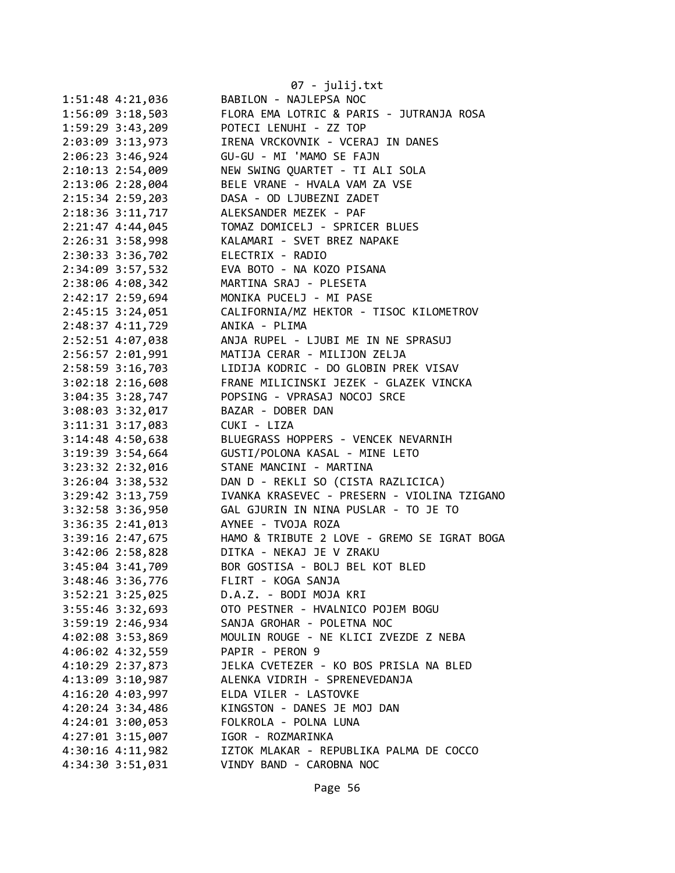|                      | 07 - julij.txt                              |
|----------------------|---------------------------------------------|
| 1:51:48 4:21,036     | BABILON - NAJLEPSA NOC                      |
| 1:56:09 3:18,503     | FLORA EMA LOTRIC & PARIS - JUTRANJA ROSA    |
| 1:59:29 3:43,209     | POTECI LENUHI - ZZ TOP                      |
| 2:03:09 3:13,973     | IRENA VRCKOVNIK - VCERAJ IN DANES           |
| 2:06:23 3:46,924     | GU-GU - MI 'MAMO SE FAJN                    |
| 2:10:13 2:54,009     | NEW SWING QUARTET - TI ALI SOLA             |
| 2:13:06 2:28,004     | BELE VRANE - HVALA VAM ZA VSE               |
| 2:15:34 2:59,203     | DASA - OD LJUBEZNI ZADET                    |
| 2:18:36 3:11,717     | ALEKSANDER MEZEK - PAF                      |
| 2:21:47 4:44,045     | TOMAZ DOMICELJ - SPRICER BLUES              |
| 2:26:31 3:58,998     | KALAMARI - SVET BREZ NAPAKE                 |
| 2:30:33 3:36,702     | ELECTRIX - RADIO                            |
| 2:34:09 3:57,532     | EVA BOTO - NA KOZO PISANA                   |
| 2:38:06 4:08,342     | MARTINA SRAJ - PLESETA                      |
| 2:42:17 2:59,694     | MONIKA PUCELJ - MI PASE                     |
| 2:45:15 3:24,051     | CALIFORNIA/MZ HEKTOR - TISOC KILOMETROV     |
| 2:48:37 4:11,729     | ANIKA - PLIMA                               |
| 2:52:51 4:07,038     | ANJA RUPEL - LJUBI ME IN NE SPRASUJ         |
| 2:56:57 2:01,991     | MATIJA CERAR - MILIJON ZELJA                |
| 2:58:59 3:16,703     | LIDIJA KODRIC - DO GLOBIN PREK VISAV        |
| $3:02:18$ 2:16,608   | FRANE MILICINSKI JEZEK - GLAZEK VINCKA      |
| 3:04:35 3:28,747     | POPSING - VPRASAJ NOCOJ SRCE                |
| 3:08:03 3:32,017     | BAZAR - DOBER DAN                           |
| 3:11:31 3:17,083     | CUKI - LIZA                                 |
| 3:14:48 4:50,638     | BLUEGRASS HOPPERS - VENCEK NEVARNIH         |
| 3:19:39 3:54,664     | GUSTI/POLONA KASAL - MINE LETO              |
| 3:23:32 2:32,016     | STANE MANCINI - MARTINA                     |
| $3:26:04$ 3:38,532   | DAN D - REKLI SO (CISTA RAZLICICA)          |
| 3:29:42 3:13,759     | IVANKA KRASEVEC - PRESERN - VIOLINA TZIGANO |
| 3:32:58 3:36,950     | GAL GJURIN IN NINA PUSLAR - TO JE TO        |
| $3:36:35$ $2:41,013$ | AYNEE - TVOJA ROZA                          |
| 3:39:16 2:47,675     | HAMO & TRIBUTE 2 LOVE - GREMO SE IGRAT BOGA |
| 3:42:06 2:58,828     | DITKA - NEKAJ JE V ZRAKU                    |
|                      |                                             |
| 3:45:04 3:41,709     | BOR GOSTISA - BOLJ BEL KOT BLED             |
| 3:48:46 3:36,776     | FLIRT - KOGA SANJA                          |
| $3:52:21$ $3:25,025$ | D.A.Z. - BODI MOJA KRI                      |
| 3:55:46 3:32,693     | OTO PESTNER - HVALNICO POJEM BOGU           |
| 3:59:19 2:46,934     | SANJA GROHAR - POLETNA NOC                  |
| 4:02:08 3:53,869     | MOULIN ROUGE - NE KLICI ZVEZDE Z NEBA       |
| 4:06:02 4:32,559     | PAPIR - PERON 9                             |
| 4:10:29 2:37,873     | JELKA CVETEZER - KO BOS PRISLA NA BLED      |
| 4:13:09 3:10,987     | ALENKA VIDRIH - SPRENEVEDANJA               |
| 4:16:20 4:03,997     | ELDA VILER - LASTOVKE                       |
| 4:20:24 3:34,486     | KINGSTON - DANES JE MOJ DAN                 |
| 4:24:01 3:00,053     | FOLKROLA - POLNA LUNA                       |
| 4:27:01 3:15,007     | IGOR - ROZMARINKA                           |
| $4:30:16$ $4:11,982$ | IZTOK MLAKAR - REPUBLIKA PALMA DE COCCO     |
| 4:34:30 3:51,031     | VINDY BAND - CAROBNA NOC                    |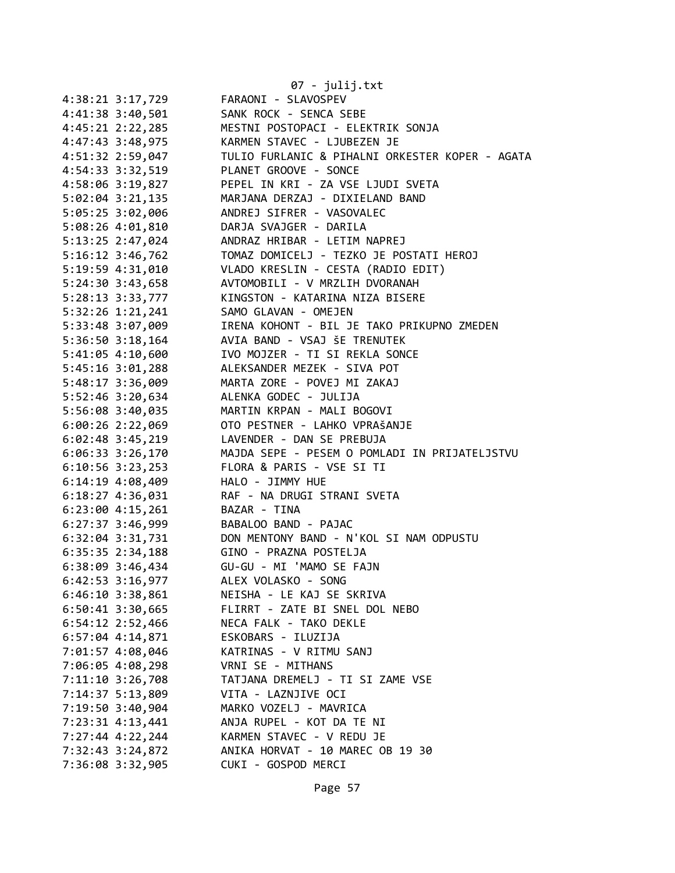|                      | $07 - julij.txt$                                |
|----------------------|-------------------------------------------------|
| 4:38:21 3:17,729     | FARAONI - SLAVOSPEV                             |
| 4:41:38 3:40,501     | SANK ROCK - SENCA SEBE                          |
| 4:45:21 2:22,285     | MESTNI POSTOPACI - ELEKTRIK SONJA               |
| 4:47:43 3:48,975     | KARMEN STAVEC - LJUBEZEN JE                     |
| 4:51:32 2:59,047     | TULIO FURLANIC & PIHALNI ORKESTER KOPER - AGATA |
| 4:54:33 3:32,519     | PLANET GROOVE - SONCE                           |
| 4:58:06 3:19,827     | PEPEL IN KRI - ZA VSE LJUDI SVETA               |
| 5:02:04 3:21,135     | MARJANA DERZAJ - DIXIELAND BAND                 |
| 5:05:25 3:02,006     | ANDREJ SIFRER - VASOVALEC                       |
| 5:08:26 4:01,810     | DARJA SVAJGER - DARILA                          |
| 5:13:25 2:47,024     | ANDRAZ HRIBAR - LETIM NAPREJ                    |
| $5:16:12$ $3:46,762$ | TOMAZ DOMICELJ - TEZKO JE POSTATI HEROJ         |
| 5:19:59 4:31,010     | VLADO KRESLIN - CESTA (RADIO EDIT)              |
| 5:24:30 3:43,658     | AVTOMOBILI - V MRZLIH DVORANAH                  |
| 5:28:13 3:33,777     | KINGSTON - KATARINA NIZA BISERE                 |
| $5:32:26$ 1:21,241   | SAMO GLAVAN - OMEJEN                            |
| 5:33:48 3:07,009     | IRENA KOHONT - BIL JE TAKO PRIKUPNO ZMEDEN      |
| $5:36:50$ $3:18,164$ | AVIA BAND - VSAJ ŠE TRENUTEK                    |
| 5:41:05 4:10,600     | IVO MOJZER - TI SI REKLA SONCE                  |
| 5:45:16 3:01,288     | ALEKSANDER MEZEK - SIVA POT                     |
| 5:48:17 3:36,009     | MARTA ZORE - POVEJ MI ZAKAJ                     |
| 5:52:46 3:20,634     | ALENKA GODEC - JULIJA                           |
| 5:56:08 3:40,035     | MARTIN KRPAN - MALI BOGOVI                      |
| $6:00:26$ 2:22,069   | OTO PESTNER - LAHKO VPRAŠANJE                   |
| $6:02:48$ 3:45,219   | LAVENDER - DAN SE PREBUJA                       |
| $6:06:33$ 3:26,170   | MAJDA SEPE - PESEM O POMLADI IN PRIJATELJSTVU   |
| $6:10:56$ 3:23,253   | FLORA & PARIS - VSE SI TI                       |
| $6:14:19$ 4:08,409   | HALO - JIMMY HUE                                |
| 6:18:27 4:36,031     | RAF - NA DRUGI STRANI SVETA                     |
| $6:23:00$ 4:15,261   | BAZAR - TINA                                    |
| 6:27:37 3:46,999     | BABALOO BAND - PAJAC                            |
| 6:32:04 3:31,731     | DON MENTONY BAND - N'KOL SI NAM ODPUSTU         |
| $6:35:35$ 2:34,188   | GINO - PRAZNA POSTELJA                          |
| $6:38:09$ 3:46,434   | GU-GU - MI 'MAMO SE FAJN                        |
| 6:42:53 3:16,977     | ALEX VOLASKO - SONG                             |
| $6:46:10$ 3:38,861   | NEISHA - LE KAJ SE SKRIVA                       |
| $6:50:41$ 3:30,665   | FLIRRT - ZATE BI SNEL DOL NEBO                  |
| $6:54:12$ $2:52,466$ | NECA FALK - TAKO DEKLE                          |
| $6:57:04$ 4:14,871   | ESKOBARS - ILUZIJA                              |
| 7:01:57 4:08,046     | KATRINAS - V RITMU SANJ                         |
| 7:06:05 4:08,298     | VRNI SE - MITHANS                               |
| $7:11:10$ 3:26,708   | TATJANA DREMELJ - TI SI ZAME VSE                |
| 7:14:37 5:13,809     | VITA - LAZNJIVE OCI                             |
| 7:19:50 3:40,904     | MARKO VOZELJ - MAVRICA                          |
| 7:23:31 4:13,441     | ANJA RUPEL - KOT DA TE NI                       |
| 7:27:44 4:22,244     | KARMEN STAVEC - V REDU JE                       |
| 7:32:43 3:24,872     | ANIKA HORVAT - 10 MAREC OB 19 30                |
| 7:36:08 3:32,905     | CUKI - GOSPOD MERCI                             |
|                      |                                                 |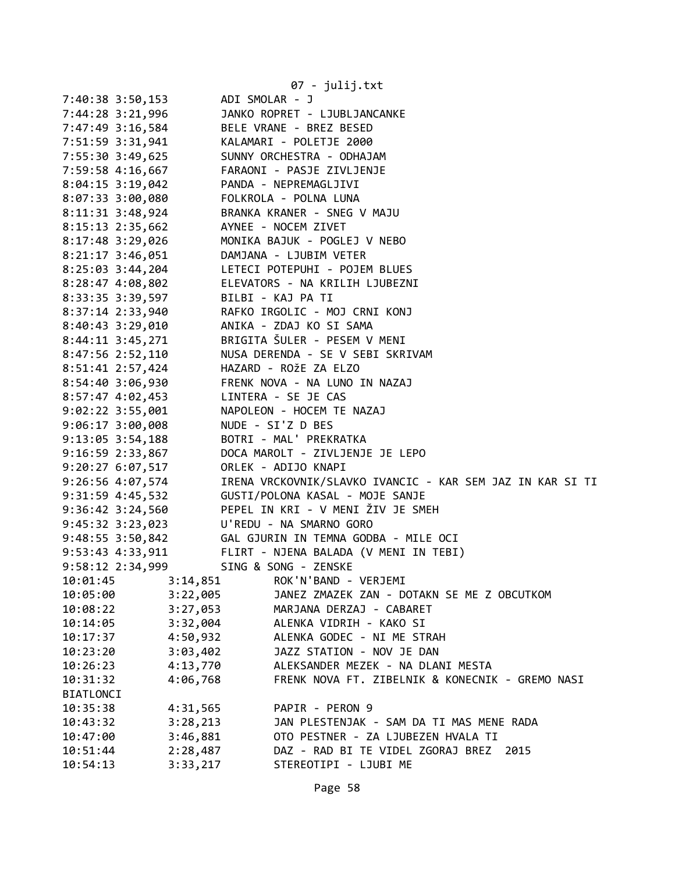|                      | 07 - julij.txt                                            |
|----------------------|-----------------------------------------------------------|
| 7:40:38 3:50,153     | ADI SMOLAR - J                                            |
| 7:44:28 3:21,996     | JANKO ROPRET - LJUBLJANCANKE                              |
| 7:47:49 3:16,584     | BELE VRANE - BREZ BESED                                   |
| 7:51:59 3:31,941     | KALAMARI - POLETJE 2000                                   |
| 7:55:30 3:49,625     | SUNNY ORCHESTRA - ODHAJAM                                 |
| 7:59:58 4:16,667     | FARAONI - PASJE ZIVLJENJE                                 |
| 8:04:15 3:19,042     | PANDA - NEPREMAGLJIVI                                     |
| 8:07:33 3:00,080     | FOLKROLA - POLNA LUNA                                     |
| 8:11:31 3:48,924     | BRANKA KRANER - SNEG V MAJU                               |
| 8:15:13 2:35,662     | AYNEE - NOCEM ZIVET                                       |
| $8:17:48$ 3:29,026   | MONIKA BAJUK - POGLEJ V NEBO                              |
| $8:21:17$ 3:46,051   | DAMJANA - LJUBIM VETER                                    |
| $8:25:03$ 3:44,204   | LETECI POTEPUHI - POJEM BLUES                             |
| $8:28:47$ 4:08,802   | ELEVATORS - NA KRILIH LJUBEZNI                            |
| 8:33:35 3:39,597     | BILBI - KAJ PA TI                                         |
| 8:37:14 2:33,940     | RAFKO IRGOLIC - MOJ CRNI KONJ                             |
| 8:40:43 3:29,010     | ANIKA - ZDAJ KO SI SAMA                                   |
| 8:44:11 3:45,271     | BRIGITA ŠULER - PESEM V MENI                              |
| 8:47:56 2:52,110     | NUSA DERENDA - SE V SEBI SKRIVAM                          |
| 8:51:41 2:57,424     | HAZARD - ROŽE ZA ELZO                                     |
| 8:54:40 3:06,930     | FRENK NOVA - NA LUNO IN NAZAJ                             |
| 8:57:47 4:02,453     | LINTERA - SE JE CAS                                       |
| $9:02:22$ 3:55,001   | NAPOLEON - HOCEM TE NAZAJ                                 |
| $9:06:17$ 3:00,008   | NUDE - SI'Z D BES                                         |
| $9:13:05$ 3:54,188   | BOTRI - MAL' PREKRATKA                                    |
| 9:16:59 2:33,867     | DOCA MAROLT - ZIVLJENJE JE LEPO                           |
| 9:20:27 6:07,517     | ORLEK - ADIJO KNAPI                                       |
| 9:26:56 4:07,574     | IRENA VRCKOVNIK/SLAVKO IVANCIC - KAR SEM JAZ IN KAR SI TI |
| 9:31:59 4:45,532     | GUSTI/POLONA KASAL - MOJE SANJE                           |
| $9:36:42 \ 3:24,560$ | PEPEL IN KRI - V MENI ŽIV JE SMEH                         |
| $9:45:32 \ 3:23,023$ | U'REDU - NA SMARNO GORO                                   |
| $9:48:55$ 3:50,842   | GAL GJURIN IN TEMNA GODBA - MILE OCI                      |
| 9:53:43 4:33,911     | FLIRT - NJENA BALADA (V MENI IN TEBI)                     |
| 9:58:12 2:34,999     | SING & SONG - ZENSKE                                      |
| 3:14,851<br>10:01:45 | ROK'N'BAND - VERJEMI                                      |
| 3:22,005<br>10:05:00 | JANEZ ZMAZEK ZAN - DOTAKN SE ME Z OBCUTKOM                |
| 3:27,053<br>10:08:22 | MARJANA DERZAJ - CABARET                                  |
| 3:32,004<br>10:14:05 | ALENKA VIDRIH - KAKO SI                                   |
| 4:50,932<br>10:17:37 | ALENKA GODEC - NI ME STRAH                                |
| 3:03,402<br>10:23:20 | JAZZ STATION - NOV JE DAN                                 |
| 4:13,770<br>10:26:23 | ALEKSANDER MEZEK - NA DLANI MESTA                         |
| 10:31:32<br>4:06,768 | FRENK NOVA FT. ZIBELNIK & KONECNIK - GREMO NASI           |
| BIATLONCI            |                                                           |
| 10:35:38<br>4:31,565 | PAPIR - PERON 9                                           |
| 3:28,213<br>10:43:32 | JAN PLESTENJAK - SAM DA TI MAS MENE RADA                  |
| 10:47:00<br>3:46,881 | OTO PESTNER - ZA LJUBEZEN HVALA TI                        |
| 2:28,487<br>10:51:44 | DAZ - RAD BI TE VIDEL ZGORAJ BREZ<br>2015                 |
| 3:33,217<br>10:54:13 | STEREOTIPI - LJUBI ME                                     |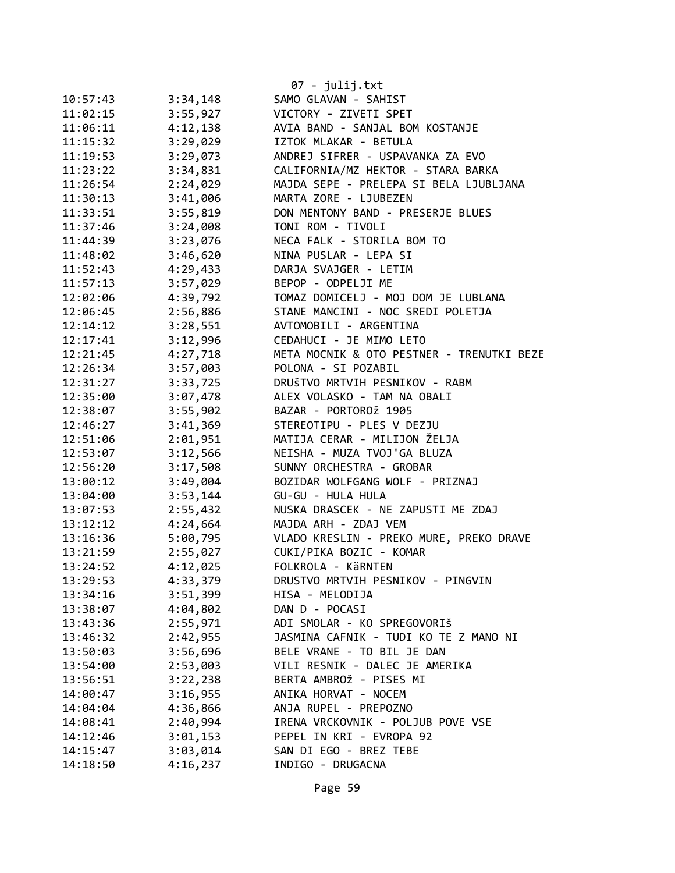|          |          | 07 - julij.txt                            |
|----------|----------|-------------------------------------------|
| 10:57:43 | 3:34,148 | SAMO GLAVAN - SAHIST                      |
| 11:02:15 | 3:55,927 | VICTORY - ZIVETI SPET                     |
| 11:06:11 | 4:12,138 | AVIA BAND - SANJAL BOM KOSTANJE           |
| 11:15:32 | 3:29,029 | IZTOK MLAKAR - BETULA                     |
| 11:19:53 | 3:29,073 | ANDREJ SIFRER - USPAVANKA ZA EVO          |
| 11:23:22 | 3:34,831 | CALIFORNIA/MZ HEKTOR - STARA BARKA        |
| 11:26:54 | 2:24,029 | MAJDA SEPE - PRELEPA SI BELA LJUBLJANA    |
| 11:30:13 | 3:41,006 | MARTA ZORE - LJUBEZEN                     |
| 11:33:51 | 3:55,819 | DON MENTONY BAND - PRESERJE BLUES         |
| 11:37:46 | 3:24,008 | TONI ROM - TIVOLI                         |
| 11:44:39 | 3:23,076 | NECA FALK - STORILA BOM TO                |
| 11:48:02 | 3:46,620 | NINA PUSLAR - LEPA SI                     |
| 11:52:43 | 4:29,433 | DARJA SVAJGER - LETIM                     |
| 11:57:13 | 3:57,029 | BEPOP - ODPELJI ME                        |
| 12:02:06 | 4:39,792 | TOMAZ DOMICELJ - MOJ DOM JE LUBLANA       |
| 12:06:45 | 2:56,886 | STANE MANCINI - NOC SREDI POLETJA         |
| 12:14:12 | 3:28,551 | AVTOMOBILI - ARGENTINA                    |
| 12:17:41 | 3:12,996 | CEDAHUCI - JE MIMO LETO                   |
| 12:21:45 | 4:27,718 | META MOCNIK & OTO PESTNER - TRENUTKI BEZE |
| 12:26:34 | 3:57,003 | POLONA - SI POZABIL                       |
| 12:31:27 | 3:33,725 | DRUŠTVO MRTVIH PESNIKOV - RABM            |
| 12:35:00 | 3:07,478 | ALEX VOLASKO - TAM NA OBALI               |
| 12:38:07 | 3:55,902 | BAZAR - PORTOROŽ 1905                     |
| 12:46:27 | 3:41,369 | STEREOTIPU - PLES V DEZJU                 |
| 12:51:06 | 2:01,951 | MATIJA CERAR - MILIJON ŽELJA              |
| 12:53:07 | 3:12,566 | NEISHA - MUZA TVOJ'GA BLUZA               |
| 12:56:20 | 3:17,508 | SUNNY ORCHESTRA - GROBAR                  |
| 13:00:12 | 3:49,004 | BOZIDAR WOLFGANG WOLF - PRIZNAJ           |
| 13:04:00 | 3:53,144 | GU-GU - HULA HULA                         |
| 13:07:53 | 2:55,432 | NUSKA DRASCEK - NE ZAPUSTI ME ZDAJ        |
| 13:12:12 | 4:24,664 | MAJDA ARH - ZDAJ VEM                      |
| 13:16:36 | 5:00,795 | VLADO KRESLIN - PREKO MURE, PREKO DRAVE   |
| 13:21:59 | 2:55,027 | CUKI/PIKA BOZIC - KOMAR                   |
| 13:24:52 | 4:12,025 | FOLKROLA - KÄRNTEN                        |
| 13:29:53 | 4:33,379 | DRUSTVO MRTVIH PESNIKOV - PINGVIN         |
| 13:34:16 | 3:51,399 | HISA - MELODIJA                           |
| 13:38:07 | 4:04,802 | DAN D - POCASI                            |
| 13:43:36 | 2:55,971 | ADI SMOLAR - KO SPREGOVORIŠ               |
| 13:46:32 | 2:42,955 | JASMINA CAFNIK - TUDI KO TE Z MANO NI     |
| 13:50:03 | 3:56,696 | BELE VRANE - TO BIL JE DAN                |
| 13:54:00 | 2:53,003 | VILI RESNIK - DALEC JE AMERIKA            |
| 13:56:51 | 3:22,238 | BERTA AMBROŽ - PISES MI                   |
| 14:00:47 | 3:16,955 | ANIKA HORVAT - NOCEM                      |
| 14:04:04 | 4:36,866 | ANJA RUPEL - PREPOZNO                     |
| 14:08:41 | 2:40,994 | IRENA VRCKOVNIK - POLJUB POVE VSE         |
| 14:12:46 | 3:01,153 | PEPEL IN KRI - EVROPA 92                  |
| 14:15:47 | 3:03,014 | SAN DI EGO - BREZ TEBE                    |
| 14:18:50 | 4:16,237 | INDIGO - DRUGACNA                         |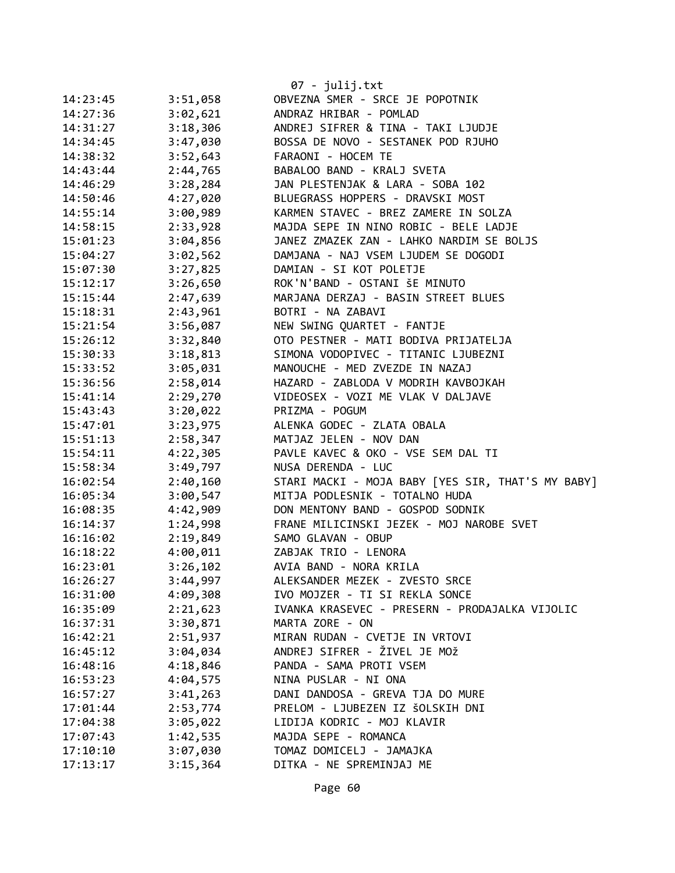|          |          | 07 - julij.txt                                    |
|----------|----------|---------------------------------------------------|
| 14:23:45 | 3:51,058 | OBVEZNA SMER - SRCE JE POPOTNIK                   |
| 14:27:36 | 3:02,621 | ANDRAZ HRIBAR - POMLAD                            |
| 14:31:27 | 3:18,306 | ANDREJ SIFRER & TINA - TAKI LJUDJE                |
| 14:34:45 | 3:47,030 | BOSSA DE NOVO - SESTANEK POD RJUHO                |
| 14:38:32 | 3:52,643 | FARAONI - HOCEM TE                                |
| 14:43:44 | 2:44,765 | BABALOO BAND - KRALJ SVETA                        |
| 14:46:29 | 3:28,284 | JAN PLESTENJAK & LARA - SOBA 102                  |
| 14:50:46 | 4:27,020 | BLUEGRASS HOPPERS - DRAVSKI MOST                  |
| 14:55:14 | 3:00,989 | KARMEN STAVEC - BREZ ZAMERE IN SOLZA              |
| 14:58:15 | 2:33,928 | MAJDA SEPE IN NINO ROBIC - BELE LADJE             |
| 15:01:23 | 3:04,856 | JANEZ ZMAZEK ZAN - LAHKO NARDIM SE BOLJS          |
| 15:04:27 | 3:02,562 | DAMJANA - NAJ VSEM LJUDEM SE DOGODI               |
| 15:07:30 | 3:27,825 | DAMIAN - SI KOT POLETJE                           |
| 15:12:17 | 3:26,650 | ROK'N'BAND - OSTANI ŠE MINUTO                     |
| 15:15:44 | 2:47,639 | MARJANA DERZAJ - BASIN STREET BLUES               |
| 15:18:31 | 2:43,961 | BOTRI - NA ZABAVI                                 |
| 15:21:54 | 3:56,087 | NEW SWING QUARTET - FANTJE                        |
| 15:26:12 | 3:32,840 | OTO PESTNER - MATI BODIVA PRIJATELJA              |
| 15:30:33 | 3:18,813 | SIMONA VODOPIVEC - TITANIC LJUBEZNI               |
| 15:33:52 | 3:05,031 | MANOUCHE - MED ZVEZDE IN NAZAJ                    |
| 15:36:56 | 2:58,014 | HAZARD - ZABLODA V MODRIH KAVBOJKAH               |
| 15:41:14 | 2:29,270 | VIDEOSEX - VOZI ME VLAK V DALJAVE                 |
| 15:43:43 | 3:20,022 | PRIZMA - POGUM                                    |
| 15:47:01 | 3:23,975 | ALENKA GODEC - ZLATA OBALA                        |
| 15:51:13 | 2:58,347 | MATJAZ JELEN - NOV DAN                            |
| 15:54:11 | 4:22,305 | PAVLE KAVEC & OKO - VSE SEM DAL TI                |
| 15:58:34 | 3:49,797 | NUSA DERENDA - LUC                                |
| 16:02:54 | 2:40,160 | STARI MACKI - MOJA BABY [YES SIR, THAT'S MY BABY] |
| 16:05:34 | 3:00,547 | MITJA PODLESNIK - TOTALNO HUDA                    |
| 16:08:35 | 4:42,909 | DON MENTONY BAND - GOSPOD SODNIK                  |
| 16:14:37 | 1:24,998 | FRANE MILICINSKI JEZEK - MOJ NAROBE SVET          |
| 16:16:02 | 2:19,849 | SAMO GLAVAN - OBUP                                |
| 16:18:22 | 4:00,011 | ZABJAK TRIO - LENORA                              |
| 16:23:01 | 3:26,102 | AVIA BAND - NORA KRILA                            |
| 16:26:27 | 3:44,997 | ALEKSANDER MEZEK - ZVESTO SRCE                    |
| 16:31:00 | 4:09,308 | IVO MOJZER - TI SI REKLA SONCE                    |
| 16:35:09 | 2:21,623 | IVANKA KRASEVEC - PRESERN - PRODAJALKA VIJOLIC    |
| 16:37:31 | 3:30,871 | MARTA ZORE - ON                                   |
| 16:42:21 | 2:51,937 | MIRAN RUDAN - CVETJE IN VRTOVI                    |
| 16:45:12 | 3:04,034 | ANDREJ SIFRER - ŽIVEL JE MOŽ                      |
| 16:48:16 | 4:18,846 | PANDA - SAMA PROTI VSEM                           |
| 16:53:23 | 4:04,575 | NINA PUSLAR - NI ONA                              |
| 16:57:27 | 3:41,263 | DANI DANDOSA - GREVA TJA DO MURE                  |
| 17:01:44 | 2:53,774 | PRELOM - LJUBEZEN IZ ŠOLSKIH DNI                  |
| 17:04:38 | 3:05,022 | LIDIJA KODRIC - MOJ KLAVIR                        |
| 17:07:43 | 1:42,535 | MAJDA SEPE - ROMANCA                              |
| 17:10:10 | 3:07,030 | TOMAZ DOMICELJ - JAMAJKA                          |
| 17:13:17 | 3:15,364 | DITKA - NE SPREMINJAJ ME                          |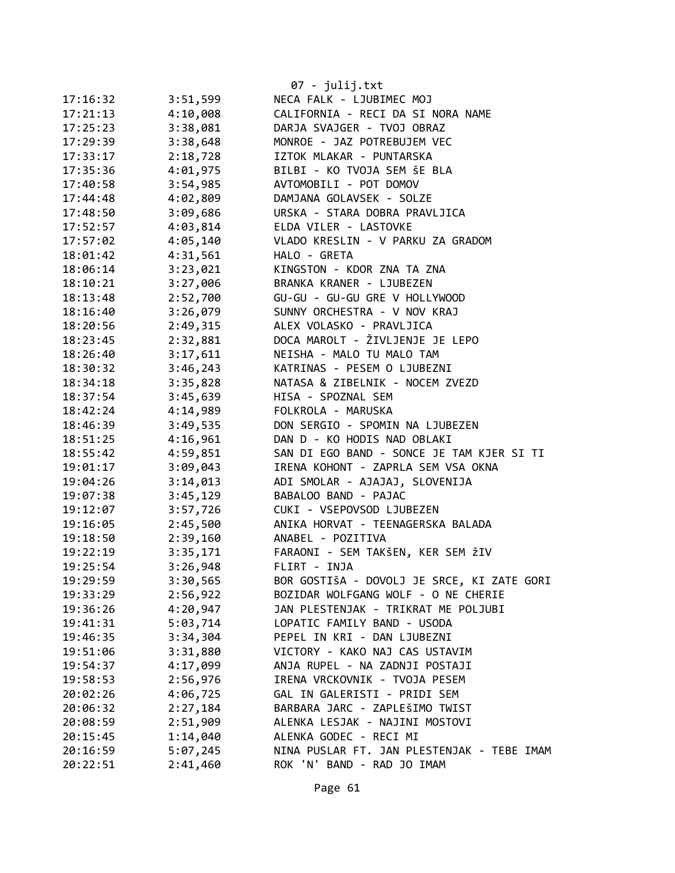|          |          | $07 - julij.txt$                           |
|----------|----------|--------------------------------------------|
| 17:16:32 | 3:51,599 | NECA FALK - LJUBIMEC MOJ                   |
| 17:21:13 | 4:10,008 | CALIFORNIA - RECI DA SI NORA NAME          |
| 17:25:23 | 3:38,081 | DARJA SVAJGER - TVOJ OBRAZ                 |
| 17:29:39 | 3:38,648 | MONROE - JAZ POTREBUJEM VEC                |
| 17:33:17 | 2:18,728 | IZTOK MLAKAR - PUNTARSKA                   |
| 17:35:36 | 4:01,975 | BILBI - KO TVOJA SEM ŠE BLA                |
| 17:40:58 | 3:54,985 | AVTOMOBILI - POT DOMOV                     |
| 17:44:48 | 4:02,809 | DAMJANA GOLAVSEK - SOLZE                   |
| 17:48:50 | 3:09,686 | URSKA - STARA DOBRA PRAVLJICA              |
| 17:52:57 | 4:03,814 | ELDA VILER - LASTOVKE                      |
| 17:57:02 | 4:05,140 | VLADO KRESLIN - V PARKU ZA GRADOM          |
| 18:01:42 | 4:31,561 | HALO - GRETA                               |
| 18:06:14 | 3:23,021 | KINGSTON - KDOR ZNA TA ZNA                 |
| 18:10:21 | 3:27,006 | BRANKA KRANER - LJUBEZEN                   |
| 18:13:48 | 2:52,700 | GU-GU - GU-GU GRE V HOLLYWOOD              |
| 18:16:40 | 3:26,079 | SUNNY ORCHESTRA - V NOV KRAJ               |
| 18:20:56 | 2:49,315 | ALEX VOLASKO - PRAVLJICA                   |
| 18:23:45 | 2:32,881 | DOCA MAROLT - ŽIVLJENJE JE LEPO            |
| 18:26:40 | 3:17,611 | NEISHA - MALO TU MALO TAM                  |
| 18:30:32 | 3:46,243 | KATRINAS - PESEM O LJUBEZNI                |
| 18:34:18 | 3:35,828 | NATASA & ZIBELNIK - NOCEM ZVEZD            |
| 18:37:54 | 3:45,639 | HISA - SPOZNAL SEM                         |
| 18:42:24 | 4:14,989 | FOLKROLA - MARUSKA                         |
| 18:46:39 | 3:49,535 | DON SERGIO - SPOMIN NA LJUBEZEN            |
| 18:51:25 | 4:16,961 | DAN D - KO HODIS NAD OBLAKI                |
| 18:55:42 | 4:59,851 | SAN DI EGO BAND - SONCE JE TAM KJER SI TI  |
| 19:01:17 | 3:09,043 | IRENA KOHONT - ZAPRLA SEM VSA OKNA         |
| 19:04:26 | 3:14,013 | ADI SMOLAR - AJAJAJ, SLOVENIJA             |
| 19:07:38 | 3:45,129 | BABALOO BAND - PAJAC                       |
| 19:12:07 | 3:57,726 | CUKI - VSEPOVSOD LJUBEZEN                  |
| 19:16:05 | 2:45,500 | ANIKA HORVAT - TEENAGERSKA BALADA          |
| 19:18:50 | 2:39,160 | ANABEL - POZITIVA                          |
| 19:22:19 | 3:35,171 | FARAONI - SEM TAKŠEN, KER SEM ŽIV          |
| 19:25:54 | 3:26,948 | FLIRT - INJA                               |
| 19:29:59 | 3:30,565 | BOR GOSTIŠA - DOVOLJ JE SRCE, KI ZATE GORI |
| 19:33:29 | 2:56,922 | BOZIDAR WOLFGANG WOLF - O NE CHERIE        |
| 19:36:26 | 4:20,947 | JAN PLESTENJAK - TRIKRAT ME POLJUBI        |
| 19:41:31 | 5:03,714 | LOPATIC FAMILY BAND - USODA                |
| 19:46:35 | 3:34,304 | PEPEL IN KRI - DAN LJUBEZNI                |
| 19:51:06 | 3:31,880 | VICTORY - KAKO NAJ CAS USTAVIM             |
| 19:54:37 | 4:17,099 | ANJA RUPEL - NA ZADNJI POSTAJI             |
| 19:58:53 | 2:56,976 | IRENA VRCKOVNIK - TVOJA PESEM              |
| 20:02:26 | 4:06,725 | GAL IN GALERISTI - PRIDI SEM               |
| 20:06:32 | 2:27,184 | BARBARA JARC - ZAPLEŠIMO TWIST             |
| 20:08:59 | 2:51,909 | ALENKA LESJAK - NAJINI MOSTOVI             |
| 20:15:45 | 1:14,040 | ALENKA GODEC - RECI MI                     |
| 20:16:59 | 5:07,245 | NINA PUSLAR FT. JAN PLESTENJAK - TEBE IMAM |
| 20:22:51 | 2:41,460 | ROK 'N' BAND - RAD JO IMAM                 |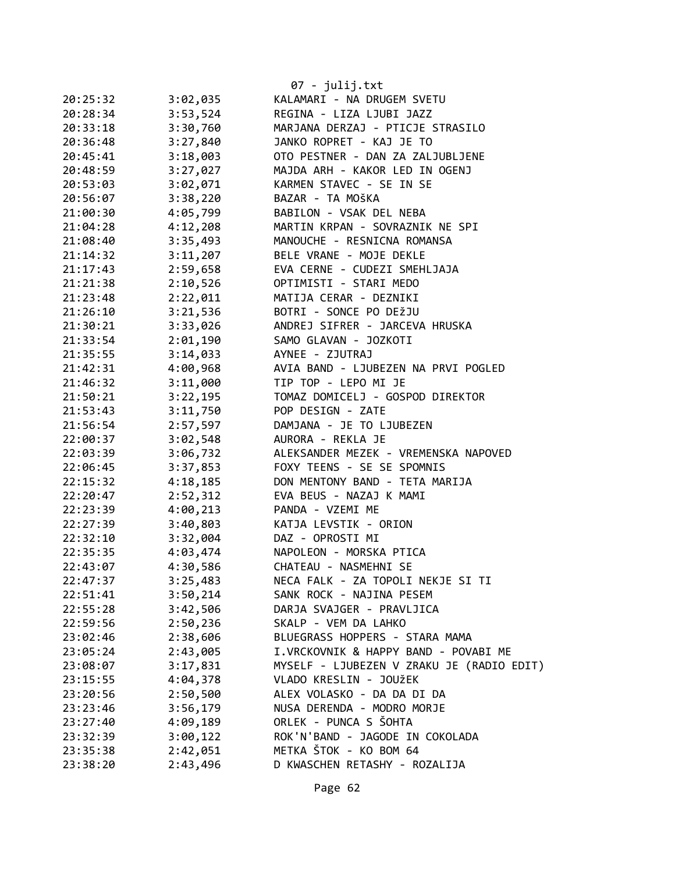|          |          | 07 - julij.txt                            |
|----------|----------|-------------------------------------------|
| 20:25:32 | 3:02,035 | KALAMARI - NA DRUGEM SVETU                |
| 20:28:34 | 3:53,524 | REGINA - LIZA LJUBI JAZZ                  |
| 20:33:18 | 3:30,760 | MARJANA DERZAJ - PTICJE STRASILO          |
| 20:36:48 | 3:27,840 | JANKO ROPRET - KAJ JE TO                  |
| 20:45:41 | 3:18,003 | OTO PESTNER - DAN ZA ZALJUBLJENE          |
| 20:48:59 | 3:27,027 | MAJDA ARH - KAKOR LED IN OGENJ            |
| 20:53:03 | 3:02,071 | KARMEN STAVEC - SE IN SE                  |
| 20:56:07 | 3:38,220 | BAZAR - TA MOŠKA                          |
| 21:00:30 | 4:05,799 | BABILON - VSAK DEL NEBA                   |
| 21:04:28 | 4:12,208 | MARTIN KRPAN - SOVRAZNIK NE SPI           |
| 21:08:40 | 3:35,493 | MANOUCHE - RESNICNA ROMANSA               |
| 21:14:32 |          | 3:11,207 BELE VRANE - MOJE DEKLE          |
| 21:17:43 | 2:59,658 | EVA CERNE - CUDEZI SMEHLJAJA              |
| 21:21:38 | 2:10,526 | OPTIMISTI - STARI MEDO                    |
| 21:23:48 | 2:22,011 | MATIJA CERAR - DEZNIKI                    |
| 21:26:10 | 3:21,536 | BOTRI - SONCE PO DEŽJU                    |
| 21:30:21 | 3:33,026 | ANDREJ SIFRER - JARCEVA HRUSKA            |
| 21:33:54 | 2:01,190 | SAMO GLAVAN - JOZKOTI                     |
| 21:35:55 | 3:14,033 | AYNEE - ZJUTRAJ                           |
| 21:42:31 | 4:00,968 | AVIA BAND - LJUBEZEN NA PRVI POGLED       |
| 21:46:32 | 3:11,000 | TIP TOP - LEPO MI JE                      |
| 21:50:21 | 3:22,195 | TOMAZ DOMICELJ - GOSPOD DIREKTOR          |
| 21:53:43 | 3:11,750 | POP DESIGN - ZATE                         |
| 21:56:54 | 2:57,597 | DAMJANA - JE TO LJUBEZEN                  |
| 22:00:37 | 3:02,548 | AURORA - REKLA JE                         |
| 22:03:39 | 3:06,732 | ALEKSANDER MEZEK - VREMENSKA NAPOVED      |
| 22:06:45 | 3:37,853 | FOXY TEENS - SE SE SPOMNIS                |
| 22:15:32 | 4:18,185 | DON MENTONY BAND - TETA MARIJA            |
| 22:20:47 | 2:52,312 | EVA BEUS - NAZAJ K MAMI                   |
| 22:23:39 | 4:00,213 | PANDA - VZEMI ME                          |
| 22:27:39 | 3:40,803 | KATJA LEVSTIK - ORION                     |
| 22:32:10 | 3:32,004 | DAZ - OPROSTI MI                          |
| 22:35:35 |          |                                           |
|          | 4:03,474 | NAPOLEON - MORSKA PTICA                   |
| 22:43:07 | 4:30,586 | CHATEAU - NASMEHNI SE                     |
| 22:47:37 | 3:25,483 | NECA FALK - ZA TOPOLI NEKJE SI TI         |
| 22:51:41 | 3:50,214 | SANK ROCK - NAJINA PESEM                  |
| 22:55:28 | 3:42,506 | DARJA SVAJGER - PRAVLJICA                 |
| 22:59:56 | 2:50,236 | SKALP - VEM DA LAHKO                      |
| 23:02:46 | 2:38,606 | BLUEGRASS HOPPERS - STARA MAMA            |
| 23:05:24 | 2:43,005 | I.VRCKOVNIK & HAPPY BAND - POVABI ME      |
| 23:08:07 | 3:17,831 | MYSELF - LJUBEZEN V ZRAKU JE (RADIO EDIT) |
| 23:15:55 | 4:04,378 | VLADO KRESLIN - JOUŽEK                    |
| 23:20:56 | 2:50,500 | ALEX VOLASKO - DA DA DI DA                |
| 23:23:46 | 3:56,179 | NUSA DERENDA - MODRO MORJE                |
| 23:27:40 | 4:09,189 | ORLEK - PUNCA S ŠOHTA                     |
| 23:32:39 | 3:00,122 | ROK'N'BAND - JAGODE IN COKOLADA           |
| 23:35:38 | 2:42,051 | METKA ŠTOK - KO BOM 64                    |
| 23:38:20 | 2:43,496 | D KWASCHEN RETASHY - ROZALIJA             |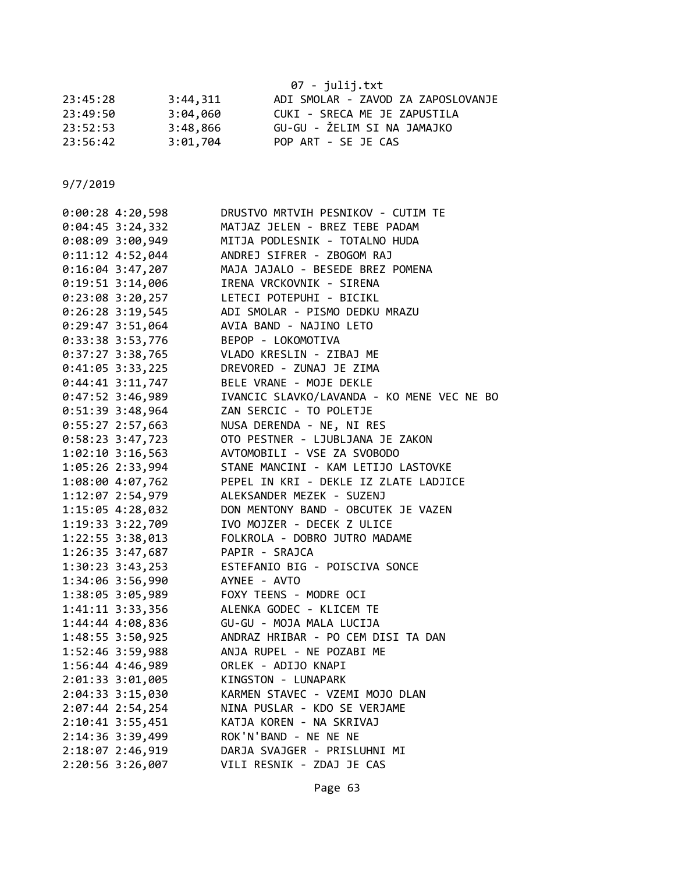|          |          | 07 - julij.txt                     |
|----------|----------|------------------------------------|
| 23:45:28 | 3:44.311 | ADI SMOLAR - ZAVOD ZA ZAPOSLOVANJE |
| 23:49:50 | 3:04,060 | CUKI - SRECA ME JE ZAPUSTILA       |
| 23:52:53 | 3:48,866 | GU-GU - ŽELIM SI NA JAMAJKO        |
| 23:56:42 | 3:01,704 | POP ART - SE JE CAS                |

| $0:00:28$ 4:20,598   | DRUSTVO MRTVIH PESNIKOV - CUTIM TE         |
|----------------------|--------------------------------------------|
| $0:04:45$ 3:24,332   | MATJAZ JELEN - BREZ TEBE PADAM             |
| 0:08:09 3:00,949     | MITJA PODLESNIK - TOTALNO HUDA             |
| 0:11:12 4:52,044     | ANDREJ SIFRER - ZBOGOM RAJ                 |
| $0:16:04$ 3:47,207   | MAJA JAJALO - BESEDE BREZ POMENA           |
| $0:19:51$ 3:14,006   | IRENA VRCKOVNIK - SIRENA                   |
| $0:23:08$ 3:20,257   | LETECI POTEPUHI - BICIKL                   |
| $0:26:28$ 3:19,545   | ADI SMOLAR - PISMO DEDKU MRAZU             |
| 0:29:47 3:51,064     | AVIA BAND - NAJINO LETO                    |
| 0:33:38 3:53,776     | BEPOP - LOKOMOTIVA                         |
| $0:37:27$ 3:38,765   | VLADO KRESLIN - ZIBAJ ME                   |
| $0:41:05$ 3:33,225   | DREVORED - ZUNAJ JE ZIMA                   |
| $0:44:41$ 3:11,747   | BELE VRANE - MOJE DEKLE                    |
| $0:47:52$ 3:46,989   | IVANCIC SLAVKO/LAVANDA - KO MENE VEC NE BO |
| $0:51:39$ 3:48,964   | ZAN SERCIC - TO POLETJE                    |
| $0:55:27$ 2:57,663   | NUSA DERENDA - NE, NI RES                  |
| 0:58:23 3:47,723     | OTO PESTNER - LJUBLJANA JE ZAKON           |
| 1:02:10 3:16,563     | AVTOMOBILI - VSE ZA SVOBODO                |
| 1:05:26 2:33,994     | STANE MANCINI - KAM LETIJO LASTOVKE        |
| 1:08:00 4:07,762     | PEPEL IN KRI - DEKLE IZ ZLATE LADJICE      |
| 1:12:07 2:54,979     | ALEKSANDER MEZEK - SUZENJ                  |
| 1:15:05 4:28,032     | DON MENTONY BAND - OBCUTEK JE VAZEN        |
| 1:19:33 3:22,709     | IVO MOJZER - DECEK Z ULICE                 |
| 1:22:55 3:38,013     | FOLKROLA - DOBRO JUTRO MADAME              |
| 1:26:35 3:47,687     | PAPIR - SRAJCA                             |
| $1:30:23$ 3:43,253   | ESTEFANIO BIG - POISCIVA SONCE             |
| 1:34:06 3:56,990     | AYNEE - AVTO                               |
|                      | 1:38:05 3:05,989 FOXY TEENS - MODRE OCI    |
| $1:41:11$ $3:33,356$ | ALENKA GODEC - KLICEM TE                   |
| 1:44:44 4:08,836     | GU-GU - MOJA MALA LUCIJA                   |
| 1:48:55 3:50,925     | ANDRAZ HRIBAR - PO CEM DISI TA DAN         |
| 1:52:46 3:59,988     | ANJA RUPEL - NE POZABI ME                  |
| 1:56:44 4:46,989     | ORLEK - ADIJO KNAPI                        |
| 2:01:33 3:01,005     | KINGSTON - LUNAPARK                        |
| 2:04:33 3:15,030     | KARMEN STAVEC - VZEMI MOJO DLAN            |
| 2:07:44 2:54,254     | NINA PUSLAR - KDO SE VERJAME               |
| 2:10:41 3:55,451     | KATJA KOREN - NA SKRIVAJ                   |
| 2:14:36 3:39,499     | ROK'N'BAND - NE NE NE                      |
| 2:18:07 2:46,919     | DARJA SVAJGER - PRISLUHNI MI               |
| 2:20:56 3:26,007     | VILI RESNIK - ZDAJ JE CAS                  |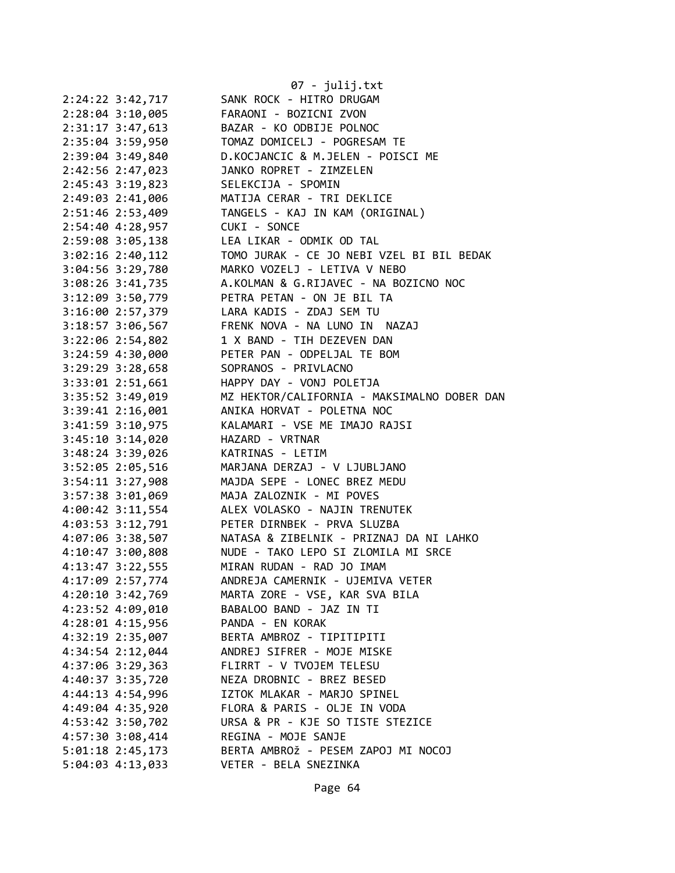|                                      | 07 - julij.txt                                                            |
|--------------------------------------|---------------------------------------------------------------------------|
| 2:24:22 3:42,717                     | SANK ROCK - HITRO DRUGAM                                                  |
| 2:28:04 3:10,005                     | FARAONI - BOZICNI ZVON                                                    |
| 2:31:17 3:47,613                     | BAZAR - KO ODBIJE POLNOC                                                  |
| 2:35:04 3:59,950                     | TOMAZ DOMICELJ - POGRESAM TE                                              |
| 2:39:04 3:49,840                     | D.KOCJANCIC & M.JELEN - POISCI ME                                         |
| 2:42:56 2:47,023                     | JANKO ROPRET - ZIMZELEN                                                   |
| 2:45:43 3:19,823                     | SELEKCIJA - SPOMIN                                                        |
| 2:49:03 2:41,006                     | MATIJA CERAR - TRI DEKLICE                                                |
| 2:51:46 2:53,409                     | TANGELS - KAJ IN KAM (ORIGINAL)                                           |
| 2:54:40 4:28,957                     | CUKI - SONCE                                                              |
| 2:59:08 3:05,138                     | LEA LIKAR - ODMIK OD TAL                                                  |
| $3:02:16$ 2:40,112                   | TOMO JURAK - CE JO NEBI VZEL BI BIL BEDAK                                 |
| 3:04:56 3:29,780                     | MARKO VOZELJ - LETIVA V NEBO                                              |
| 3:08:26 3:41,735                     | A.KOLMAN & G.RIJAVEC - NA BOZICNO NOC                                     |
| 3:12:09 3:50,779                     | PETRA PETAN - ON JE BIL TA                                                |
| 3:16:00 2:57,379                     | LARA KADIS - ZDAJ SEM TU                                                  |
| 3:18:57 3:06,567                     | FRENK NOVA - NA LUNO IN NAZAJ                                             |
| 3:22:06 2:54,802                     | 1 X BAND - TIH DEZEVEN DAN                                                |
|                                      | PETER PAN - ODPELJAL TE BOM                                               |
| 3:24:59 4:30,000<br>3:29:29 3:28,658 | SOPRANOS - PRIVLACNO                                                      |
|                                      | HAPPY DAY - VONJ POLETJA                                                  |
| 3:33:01 2:51,661                     |                                                                           |
| 3:35:52 3:49,019                     | MZ HEKTOR/CALIFORNIA - MAKSIMALNO DOBER DAN<br>ANIKA HORVAT - POLETNA NOC |
| 3:39:41 2:16,001                     |                                                                           |
| 3:41:59 3:10,975                     | KALAMARI - VSE ME IMAJO RAJSI                                             |
| 3:45:10 3:14,020                     | HAZARD - VRTNAR                                                           |
| 3:48:24 3:39,026                     | KATRINAS - LETIM                                                          |
| 3:52:05 2:05,516                     | MARJANA DERZAJ - V LJUBLJANO                                              |
| $3:54:11$ $3:27,908$                 | MAJDA SEPE - LONEC BREZ MEDU                                              |
| 3:57:38 3:01,069                     | MAJA ZALOZNIK - MI POVES                                                  |
| 4:00:42 3:11,554                     | ALEX VOLASKO - NAJIN TRENUTEK                                             |
| 4:03:53 3:12,791                     | PETER DIRNBEK - PRVA SLUZBA                                               |
| 4:07:06 3:38,507                     | NATASA & ZIBELNIK - PRIZNAJ DA NI LAHKO                                   |
| 4:10:47 3:00,808                     | NUDE - TAKO LEPO SI ZLOMILA MI SRCE                                       |
| 4:13:47 3:22,555                     | MIRAN RUDAN - RAD JO IMAM                                                 |
| 4:17:09 2:57,774                     | ANDREJA CAMERNIK - UJEMIVA VETER                                          |
| $4:20:10$ 3:42,769                   | MARTA ZORE - VSE, KAR SVA BILA                                            |
| 4:23:52 4:09,010                     | BABALOO BAND - JAZ IN TI                                                  |
| 4:28:01 4:15,956                     | PANDA - EN KORAK                                                          |
| 4:32:19 2:35,007                     | BERTA AMBROZ - TIPITIPITI                                                 |
| 4:34:54 2:12,044                     | ANDREJ SIFRER - MOJE MISKE                                                |
| 4:37:06 3:29,363                     | FLIRRT - V TVOJEM TELESU                                                  |
| 4:40:37 3:35,720                     | NEZA DROBNIC - BREZ BESED                                                 |
| 4:44:13 4:54,996                     | IZTOK MLAKAR - MARJO SPINEL                                               |
| 4:49:04 4:35,920                     | FLORA & PARIS - OLJE IN VODA                                              |
| 4:53:42 3:50,702                     | URSA & PR - KJE SO TISTE STEZICE                                          |
| 4:57:30 3:08,414                     | REGINA - MOJE SANJE                                                       |
| 5:01:18 2:45,173                     | BERTA AMBROŽ - PESEM ZAPOJ MI NOCOJ                                       |
| $5:04:03$ 4:13,033                   | VETER - BELA SNEZINKA                                                     |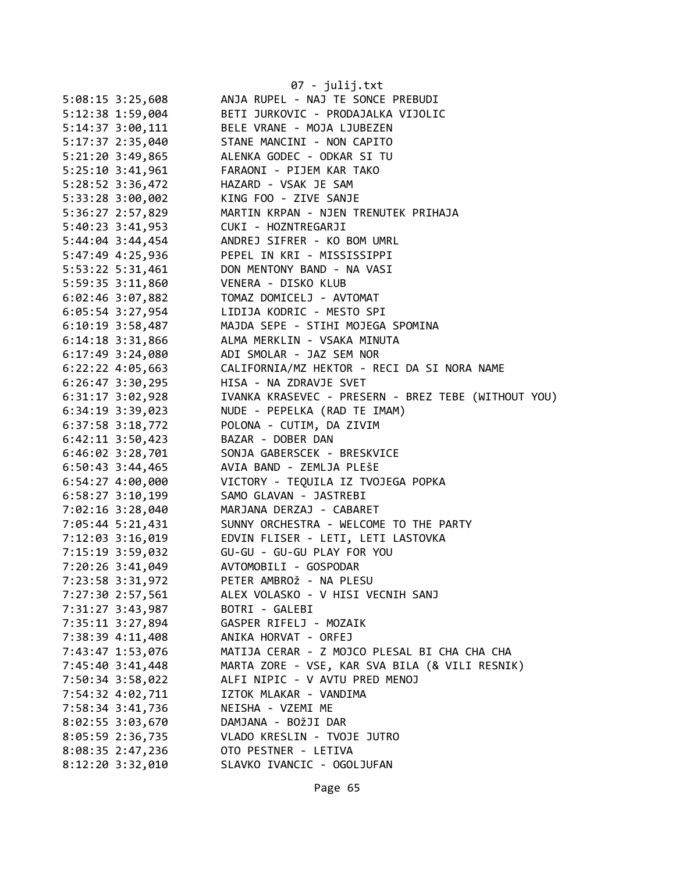|                      | 07 - julij.txt                                      |
|----------------------|-----------------------------------------------------|
| $5:08:15$ 3:25,608   | ANJA RUPEL - NAJ TE SONCE PREBUDI                   |
| 5:12:38 1:59,004     | BETI JURKOVIC - PRODAJALKA VIJOLIC                  |
| $5:14:37$ $3:00,111$ | BELE VRANE - MOJA LJUBEZEN                          |
| 5:17:37 2:35,040     | STANE MANCINI - NON CAPITO                          |
| 5:21:20 3:49,865     | ALENKA GODEC - ODKAR SI TU                          |
| $5:25:10$ $3:41,961$ | FARAONI - PIJEM KAR TAKO                            |
| 5:28:52 3:36,472     | HAZARD - VSAK JE SAM                                |
| 5:33:28 3:00,002     | KING FOO - ZIVE SANJE                               |
| 5:36:27 2:57,829     | MARTIN KRPAN - NJEN TRENUTEK PRIHAJA                |
| 5:40:23 3:41,953     | CUKI - HOZNTREGARJI                                 |
| $5:44:04$ 3:44,454   | ANDREJ SIFRER - KO BOM UMRL                         |
| 5:47:49 4:25,936     | PEPEL IN KRI - MISSISSIPPI                          |
| 5:53:22 5:31,461     | DON MENTONY BAND - NA VASI                          |
| 5:59:35 3:11,860     | VENERA - DISKO KLUB                                 |
| $6:02:46$ 3:07,882   | TOMAZ DOMICELJ - AVTOMAT                            |
| $6:05:54$ 3:27,954   | LIDIJA KODRIC - MESTO SPI                           |
| $6:10:19$ 3:58,487   | MAJDA SEPE - STIHI MOJEGA SPOMINA                   |
| $6:14:18$ 3:31,866   | ALMA MERKLIN - VSAKA MINUTA                         |
| $6:17:49$ 3:24,080   | ADI SMOLAR - JAZ SEM NOR                            |
| $6:22:22$ 4:05,663   | CALIFORNIA/MZ HEKTOR - RECI DA SI NORA NAME         |
| $6:26:47$ 3:30,295   | HISA - NA ZDRAVJE SVET                              |
| $6:31:17$ $3:02,928$ | IVANKA KRASEVEC - PRESERN - BREZ TEBE (WITHOUT YOU) |
| $6:34:19$ $3:39,023$ | NUDE - PEPELKA (RAD TE IMAM)                        |
|                      |                                                     |
| $6:37:58$ $3:18,772$ | POLONA - CUTIM, DA ZIVIM                            |
| $6:42:11$ $3:50,423$ | BAZAR - DOBER DAN                                   |
| $6:46:02$ 3:28,701   | SONJA GABERSCEK - BRESKVICE                         |
| $6:50:43$ 3:44,465   | AVIA BAND - ZEMLJA PLEŠE                            |
| $6:54:27$ $4:00,000$ | VICTORY - TEQUILA IZ TVOJEGA POPKA                  |
| $6:58:27$ 3:10,199   | SAMO GLAVAN - JASTREBI                              |
| 7:02:16 3:28,040     | MARJANA DERZAJ - CABARET                            |
| 7:05:44 5:21,431     | SUNNY ORCHESTRA - WELCOME TO THE PARTY              |
| 7:12:03 3:16,019     | EDVIN FLISER - LETI, LETI LASTOVKA                  |
| 7:15:19 3:59,032     | GU-GU - GU-GU PLAY FOR YOU                          |
| 7:20:26 3:41,049     | AVTOMOBILI - GOSPODAR                               |
| 7:23:58 3:31,972     | PETER AMBROŽ - NA PLESU                             |
| 7:27:30 2:57,561     | ALEX VOLASKO - V HISI VECNIH SANJ                   |
| 7:31:27 3:43,987     | BOTRI - GALEBI                                      |
| 7:35:11 3:27,894     | GASPER RIFELJ - MOZAIK                              |
| 7:38:39 4:11,408     | ANIKA HORVAT - ORFEJ                                |
| 7:43:47 1:53,076     | MATIJA CERAR - Z MOJCO PLESAL BI CHA CHA CHA        |
| 7:45:40 3:41,448     | MARTA ZORE - VSE, KAR SVA BILA (& VILI RESNIK)      |
| 7:50:34 3:58,022     | ALFI NIPIC - V AVTU PRED MENOJ                      |
| 7:54:32 4:02,711     | IZTOK MLAKAR - VANDIMA                              |
| 7:58:34 3:41,736     | NEISHA - VZEMI ME                                   |
| 8:02:55 3:03,670     | DAMJANA - BOŽJI DAR                                 |
| 8:05:59 2:36,735     | VLADO KRESLIN - TVOJE JUTRO                         |
| 8:08:35 2:47,236     | OTO PESTNER - LETIVA                                |
| 8:12:20 3:32,010     | SLAVKO IVANCIC - OGOLJUFAN                          |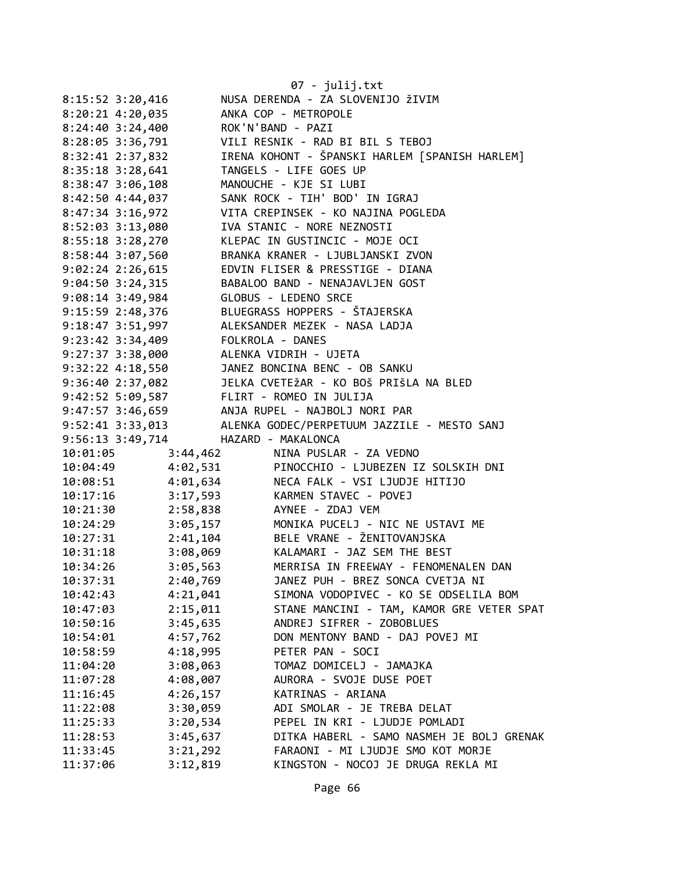|                    |                                        | 07 - julij.txt                                                                                                                                                                                                                                                             |
|--------------------|----------------------------------------|----------------------------------------------------------------------------------------------------------------------------------------------------------------------------------------------------------------------------------------------------------------------------|
|                    |                                        | 8:15:52 3:20,416 NUSA DERENDA - ZA SLOVENIJO ŽIVIM                                                                                                                                                                                                                         |
| $8:20:21$ 4:20,035 |                                        | ANKA COP - METROPOLE                                                                                                                                                                                                                                                       |
| $8:24:40$ 3:24,400 | ROK'N'BAND - PAZI                      |                                                                                                                                                                                                                                                                            |
| 8:28:05 3:36,791   |                                        | VILI RESNIK - RAD BI BIL S TEBOJ                                                                                                                                                                                                                                           |
| 8:32:41 2:37,832   |                                        | IRENA KOHONT - ŠPANSKI HARLEM [SPANISH HARLEM]                                                                                                                                                                                                                             |
| 8:35:18 3:28,641   |                                        | TANGELS - LIFE GOES UP                                                                                                                                                                                                                                                     |
| 8:38:47 3:06,108   |                                        | MANOUCHE - KJE SI LUBI                                                                                                                                                                                                                                                     |
| 8:42:50 4:44,037   |                                        | SANK ROCK - TIH' BOD' IN IGRAJ<br>VITA CREPINSEK - KO NAJINA POGLEDA                                                                                                                                                                                                       |
| 8:47:34 3:16,972   |                                        |                                                                                                                                                                                                                                                                            |
| 8:52:03 3:13,080   |                                        | IVA STANIC - NORE NEZNOSTI                                                                                                                                                                                                                                                 |
| 8:55:18 3:28,270   |                                        | KLEPAC IN GUSTINCIC - MOJE OCI                                                                                                                                                                                                                                             |
|                    |                                        | 8:58:44 3:07,560 BRANKA KRANER - LJUBLJANSKI ZVON                                                                                                                                                                                                                          |
|                    |                                        | 9:02:24 2:26,615 EDVIN FLISER & PRESSTIGE - DIANA                                                                                                                                                                                                                          |
|                    |                                        | 9:04:50 3:24,315 BABALOO BAND - NENAJAVLJEN GOST                                                                                                                                                                                                                           |
|                    |                                        |                                                                                                                                                                                                                                                                            |
|                    |                                        | 9:08:14 3:49,984<br>9:15:59 2:48,376<br>9:18:47 3:51,997<br>ALEKSANDER MEZEK - NASA LADJA                                                                                                                                                                                  |
|                    |                                        |                                                                                                                                                                                                                                                                            |
|                    | 9:23:42 3:34,409 FOLKROLA - DANES      |                                                                                                                                                                                                                                                                            |
|                    | 9:27:37 3:38,000 ALENKA VIDRIH - UJETA |                                                                                                                                                                                                                                                                            |
|                    |                                        | 9:32:22 4:18,550 JANEZ BONCINA BENC - OB SANKU                                                                                                                                                                                                                             |
|                    |                                        | 9:36:40 2:37,082 JELKA CVETEŽAR - KO BOŠ PRIŠLA NA BLED                                                                                                                                                                                                                    |
|                    |                                        |                                                                                                                                                                                                                                                                            |
|                    |                                        | 9:42:52 5:09,587<br>9:42:52 5:09,587<br>9:47:57 3:46,659<br>9:52:41 3:33,013<br>ALENKA GODEC/PERPETUUM JAZZILE - MESTO SANJ                                                                                                                                                |
|                    |                                        |                                                                                                                                                                                                                                                                            |
|                    | 9:56:13 3:49,714 HAZARD - MAKALONCA    |                                                                                                                                                                                                                                                                            |
| 10:01:05           |                                        | 3:44,462 NINA PUSLAR - ZA VEDNO                                                                                                                                                                                                                                            |
|                    |                                        |                                                                                                                                                                                                                                                                            |
|                    |                                        | 10:04:49<br>10:08:51<br>10:17:16<br>10:17:16<br>10:21:30<br>2:58,838<br>10:24:29<br>10:24:29<br>10:24:29<br>10:24:29<br>10:41:104<br>2:41:104<br>10:17:29<br>2:41:104<br>2:41:104<br>2:41:104<br>2:41:104<br>2:41:104<br>2:41:104<br>2:41:104<br>2:41:104<br>2:41:104<br>2 |
|                    |                                        |                                                                                                                                                                                                                                                                            |
|                    |                                        |                                                                                                                                                                                                                                                                            |
|                    |                                        |                                                                                                                                                                                                                                                                            |
|                    |                                        | 10:27:31 2:41,104 BELE VRANE - ŽENITOVANJSKA                                                                                                                                                                                                                               |
| 10:31:18           |                                        |                                                                                                                                                                                                                                                                            |
| 10:34:26           | 3:05,563                               | MERRISA IN FREEWAY - FENOMENALEN DAN                                                                                                                                                                                                                                       |
| 10:37:31           | 2:40,769                               | JANEZ PUH - BREZ SONCA CVETJA NI                                                                                                                                                                                                                                           |
| 10:42:43           | 4:21,041                               | SIMONA VODOPIVEC - KO SE ODSELILA BOM                                                                                                                                                                                                                                      |
| 10:47:03           | 2:15,011                               | STANE MANCINI - TAM, KAMOR GRE VETER SPAT                                                                                                                                                                                                                                  |
| 10:50:16           | 3:45,635                               | ANDREJ SIFRER - ZOBOBLUES                                                                                                                                                                                                                                                  |
| 10:54:01           | 4:57,762                               | DON MENTONY BAND - DAJ POVEJ MI                                                                                                                                                                                                                                            |
| 10:58:59           | 4:18,995                               | PETER PAN - SOCI                                                                                                                                                                                                                                                           |
| 11:04:20           | 3:08,063                               | TOMAZ DOMICELJ - JAMAJKA                                                                                                                                                                                                                                                   |
| 11:07:28           | 4:08,007                               | AURORA - SVOJE DUSE POET                                                                                                                                                                                                                                                   |
| 11:16:45           | 4:26,157                               | KATRINAS - ARIANA                                                                                                                                                                                                                                                          |
| 11:22:08           | 3:30,059                               | ADI SMOLAR - JE TREBA DELAT                                                                                                                                                                                                                                                |
| 11:25:33           | 3:20,534                               | PEPEL IN KRI - LJUDJE POMLADI                                                                                                                                                                                                                                              |
| 11:28:53           | 3:45,637                               | DITKA HABERL - SAMO NASMEH JE BOLJ GRENAK                                                                                                                                                                                                                                  |
| 11:33:45           | 3:21,292                               | FARAONI - MI LJUDJE SMO KOT MORJE                                                                                                                                                                                                                                          |
| 11:37:06           | 3:12,819                               | KINGSTON - NOCOJ JE DRUGA REKLA MI                                                                                                                                                                                                                                         |
|                    |                                        |                                                                                                                                                                                                                                                                            |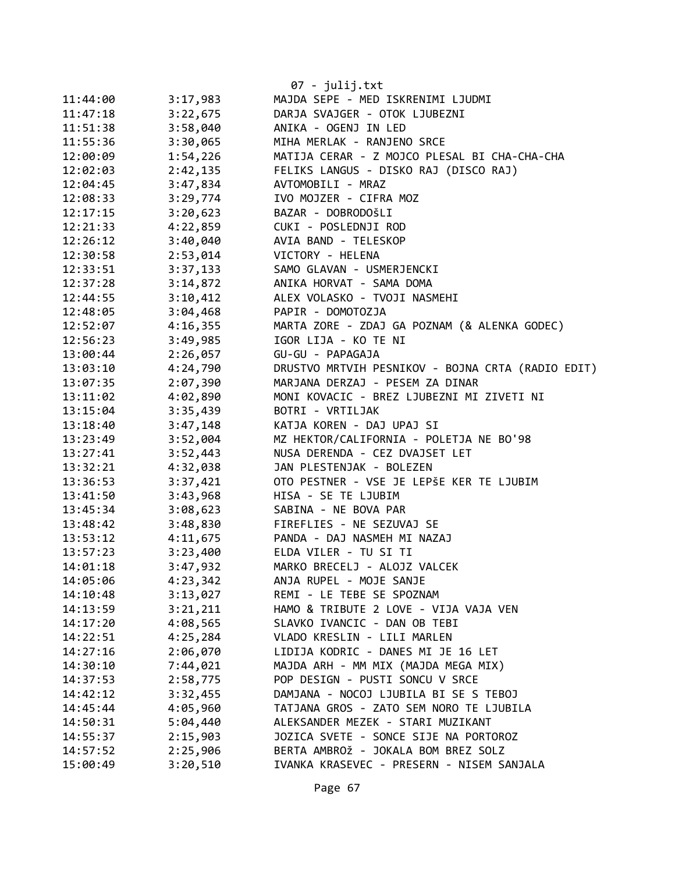|          |          | 07 - julij.txt                                    |
|----------|----------|---------------------------------------------------|
| 11:44:00 | 3:17,983 | MAJDA SEPE - MED ISKRENIMI LJUDMI                 |
| 11:47:18 | 3:22,675 | DARJA SVAJGER - OTOK LJUBEZNI                     |
| 11:51:38 | 3:58,040 | ANIKA - OGENJ IN LED                              |
| 11:55:36 | 3:30,065 | MIHA MERLAK - RANJENO SRCE                        |
| 12:00:09 | 1:54,226 | MATIJA CERAR - Z MOJCO PLESAL BI CHA-CHA-CHA      |
| 12:02:03 | 2:42,135 | FELIKS LANGUS - DISKO RAJ (DISCO RAJ)             |
| 12:04:45 | 3:47,834 | AVTOMOBILI - MRAZ                                 |
| 12:08:33 | 3:29,774 | IVO MOJZER - CIFRA MOZ                            |
| 12:17:15 | 3:20,623 | BAZAR - DOBRODOŠLI                                |
| 12:21:33 | 4:22,859 | CUKI - POSLEDNJI ROD                              |
| 12:26:12 | 3:40,040 | AVIA BAND - TELESKOP                              |
| 12:30:58 | 2:53,014 | VICTORY - HELENA                                  |
| 12:33:51 | 3:37,133 | SAMO GLAVAN - USMERJENCKI                         |
| 12:37:28 | 3:14,872 | ANIKA HORVAT - SAMA DOMA                          |
| 12:44:55 | 3:10,412 | ALEX VOLASKO - TVOJI NASMEHI                      |
| 12:48:05 | 3:04,468 | PAPIR - DOMOTOZJA                                 |
| 12:52:07 | 4:16,355 | MARTA ZORE - ZDAJ GA POZNAM (& ALENKA GODEC)      |
| 12:56:23 | 3:49,985 | IGOR LIJA - KO TE NI                              |
| 13:00:44 | 2:26,057 | GU-GU - PAPAGAJA                                  |
| 13:03:10 | 4:24,790 | DRUSTVO MRTVIH PESNIKOV - BOJNA CRTA (RADIO EDIT) |
| 13:07:35 | 2:07,390 | MARJANA DERZAJ - PESEM ZA DINAR                   |
| 13:11:02 | 4:02,890 | MONI KOVACIC - BREZ LJUBEZNI MI ZIVETI NI         |
| 13:15:04 | 3:35,439 | BOTRI - VRTILJAK                                  |
| 13:18:40 | 3:47,148 | KATJA KOREN - DAJ UPAJ SI                         |
| 13:23:49 | 3:52,004 | MZ HEKTOR/CALIFORNIA - POLETJA NE BO'98           |
| 13:27:41 | 3:52,443 | NUSA DERENDA - CEZ DVAJSET LET                    |
| 13:32:21 | 4:32,038 | JAN PLESTENJAK - BOLEZEN                          |
| 13:36:53 | 3:37,421 | OTO PESTNER - VSE JE LEPŠE KER TE LJUBIM          |
| 13:41:50 | 3:43,968 | HISA - SE TE LJUBIM                               |
| 13:45:34 | 3:08,623 | SABINA - NE BOVA PAR                              |
| 13:48:42 | 3:48,830 | FIREFLIES - NE SEZUVAJ SE                         |
| 13:53:12 | 4:11,675 | PANDA - DAJ NASMEH MI NAZAJ                       |
| 13:57:23 | 3:23,400 | ELDA VILER - TU SI TI                             |
| 14:01:18 | 3:47,932 | MARKO BRECELJ - ALOJZ VALCEK                      |
| 14:05:06 | 4:23,342 | ANJA RUPEL - MOJE SANJE                           |
| 14:10:48 | 3:13,027 | REMI - LE TEBE SE SPOZNAM                         |
| 14:13:59 | 3:21,211 | HAMO & TRIBUTE 2 LOVE - VIJA VAJA VEN             |
| 14:17:20 | 4:08,565 | SLAVKO IVANCIC - DAN OB TEBI                      |
| 14:22:51 | 4:25,284 | VLADO KRESLIN - LILI MARLEN                       |
| 14:27:16 | 2:06,070 | LIDIJA KODRIC - DANES MI JE 16 LET                |
| 14:30:10 | 7:44,021 | MAJDA ARH - MM MIX (MAJDA MEGA MIX)               |
| 14:37:53 | 2:58,775 | POP DESIGN - PUSTI SONCU V SRCE                   |
| 14:42:12 | 3:32,455 | DAMJANA - NOCOJ LJUBILA BI SE S TEBOJ             |
| 14:45:44 | 4:05,960 | TATJANA GROS - ZATO SEM NORO TE LJUBILA           |
| 14:50:31 | 5:04,440 | ALEKSANDER MEZEK - STARI MUZIKANT                 |
| 14:55:37 | 2:15,903 | JOZICA SVETE - SONCE SIJE NA PORTOROZ             |
| 14:57:52 | 2:25,906 | BERTA AMBROŽ - JOKALA BOM BREZ SOLZ               |
| 15:00:49 | 3:20,510 | IVANKA KRASEVEC - PRESERN - NISEM SANJALA         |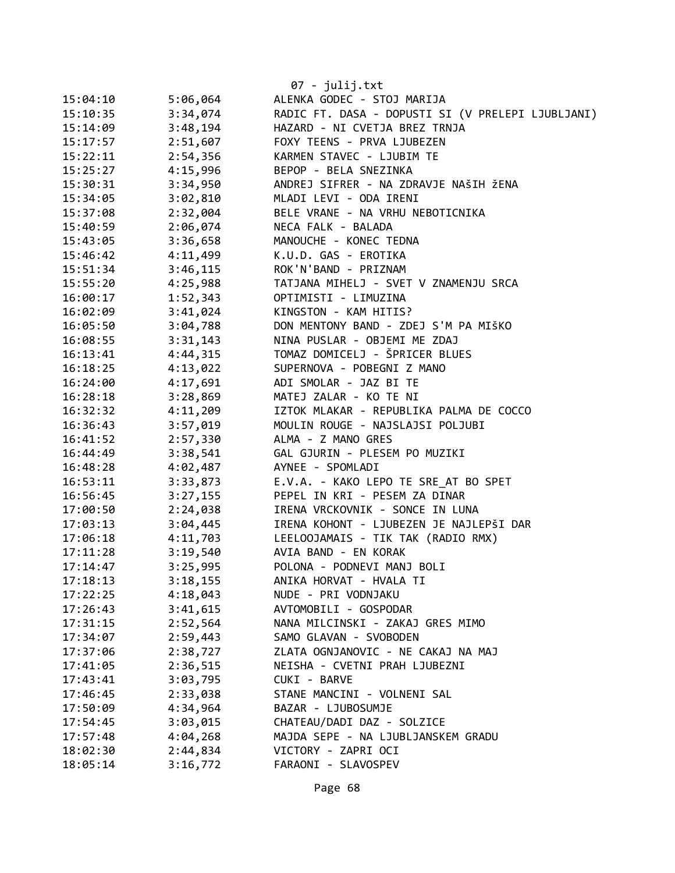|          |          | 07 - julij.txt                                    |
|----------|----------|---------------------------------------------------|
| 15:04:10 | 5:06,064 | ALENKA GODEC - STOJ MARIJA                        |
| 15:10:35 | 3:34,074 | RADIC FT. DASA - DOPUSTI SI (V PRELEPI LJUBLJANI) |
| 15:14:09 | 3:48,194 | HAZARD - NI CVETJA BREZ TRNJA                     |
| 15:17:57 | 2:51,607 | FOXY TEENS - PRVA LJUBEZEN                        |
| 15:22:11 | 2:54,356 | KARMEN STAVEC - LJUBIM TE                         |
| 15:25:27 | 4:15,996 | BEPOP - BELA SNEZINKA                             |
| 15:30:31 | 3:34,950 | ANDREJ SIFRER - NA ZDRAVJE NAŠIH ŽENA             |
| 15:34:05 | 3:02,810 | MLADI LEVI - ODA IRENI                            |
| 15:37:08 | 2:32,004 | BELE VRANE - NA VRHU NEBOTICNIKA                  |
| 15:40:59 | 2:06,074 | NECA FALK - BALADA                                |
| 15:43:05 | 3:36,658 | MANOUCHE - KONEC TEDNA                            |
| 15:46:42 | 4:11,499 | K.U.D. GAS - EROTIKA                              |
| 15:51:34 | 3:46,115 | ROK'N'BAND - PRIZNAM                              |
| 15:55:20 | 4:25,988 | TATJANA MIHELJ - SVET V ZNAMENJU SRCA             |
| 16:00:17 | 1:52,343 | OPTIMISTI - LIMUZINA                              |
| 16:02:09 | 3:41,024 | KINGSTON - KAM HITIS?                             |
| 16:05:50 | 3:04,788 | DON MENTONY BAND - ZDEJ S'M PA MIŠKO              |
| 16:08:55 | 3:31,143 | NINA PUSLAR - OBJEMI ME ZDAJ                      |
| 16:13:41 | 4:44,315 | TOMAZ DOMICELJ - ŠPRICER BLUES                    |
| 16:18:25 | 4:13,022 | SUPERNOVA - POBEGNI Z MANO                        |
| 16:24:00 | 4:17,691 | ADI SMOLAR - JAZ BI TE                            |
| 16:28:18 | 3:28,869 | MATEJ ZALAR - KO TE NI                            |
| 16:32:32 | 4:11,209 | IZTOK MLAKAR - REPUBLIKA PALMA DE COCCO           |
| 16:36:43 | 3:57,019 | MOULIN ROUGE - NAJSLAJSI POLJUBI                  |
| 16:41:52 | 2:57,330 | ALMA - Z MANO GRES                                |
| 16:44:49 | 3:38,541 | GAL GJURIN - PLESEM PO MUZIKI                     |
| 16:48:28 | 4:02,487 | AYNEE - SPOMLADI                                  |
| 16:53:11 | 3:33,873 | E.V.A. - KAKO LEPO TE SRE AT BO SPET              |
| 16:56:45 | 3:27,155 | PEPEL IN KRI - PESEM ZA DINAR                     |
| 17:00:50 | 2:24,038 | IRENA VRCKOVNIK - SONCE IN LUNA                   |
| 17:03:13 | 3:04,445 | IRENA KOHONT - LJUBEZEN JE NAJLEPŠI DAR           |
| 17:06:18 | 4:11,703 | LEELOOJAMAIS - TIK TAK (RADIO RMX)                |
| 17:11:28 | 3:19,540 | AVIA BAND - EN KORAK                              |
| 17:14:47 | 3:25,995 | POLONA - PODNEVI MANJ BOLI                        |
| 17:18:13 | 3:18,155 | ANIKA HORVAT - HVALA TI                           |
| 17:22:25 | 4:18,043 | NUDE - PRI VODNJAKU                               |
| 17:26:43 | 3:41,615 | AVTOMOBILI - GOSPODAR                             |
| 17:31:15 | 2:52,564 | NANA MILCINSKI - ZAKAJ GRES MIMO                  |
| 17:34:07 | 2:59,443 | SAMO GLAVAN - SVOBODEN                            |
| 17:37:06 | 2:38,727 | ZLATA OGNJANOVIC - NE CAKAJ NA MAJ                |
| 17:41:05 | 2:36,515 | NEISHA - CVETNI PRAH LJUBEZNI                     |
| 17:43:41 | 3:03,795 | CUKI - BARVE                                      |
| 17:46:45 | 2:33,038 | STANE MANCINI - VOLNENI SAL                       |
| 17:50:09 | 4:34,964 | BAZAR - LJUBOSUMJE                                |
| 17:54:45 | 3:03,015 | CHATEAU/DADI DAZ - SOLZICE                        |
| 17:57:48 | 4:04,268 | MAJDA SEPE - NA LJUBLJANSKEM GRADU                |
| 18:02:30 | 2:44,834 | VICTORY - ZAPRI OCI                               |
| 18:05:14 | 3:16,772 | FARAONI - SLAVOSPEV                               |
|          |          |                                                   |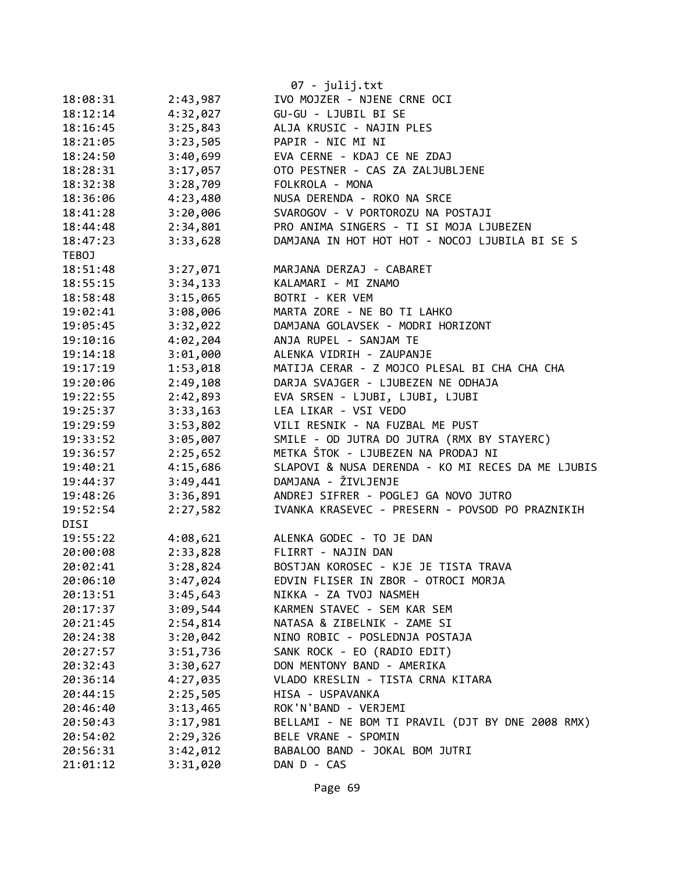|          |          | $07 - julij.txt$                                  |
|----------|----------|---------------------------------------------------|
| 18:08:31 | 2:43,987 | IVO MOJZER - NJENE CRNE OCI                       |
| 18:12:14 | 4:32,027 | GU-GU - LJUBIL BI SE                              |
| 18:16:45 | 3:25,843 | ALJA KRUSIC - NAJIN PLES                          |
| 18:21:05 | 3:23,505 | PAPIR - NIC MI NI                                 |
| 18:24:50 | 3:40,699 | EVA CERNE - KDAJ CE NE ZDAJ                       |
| 18:28:31 | 3:17,057 | OTO PESTNER - CAS ZA ZALJUBLJENE                  |
| 18:32:38 | 3:28,709 | FOLKROLA - MONA                                   |
| 18:36:06 | 4:23,480 | NUSA DERENDA - ROKO NA SRCE                       |
| 18:41:28 | 3:20,006 | SVAROGOV - V PORTOROZU NA POSTAJI                 |
| 18:44:48 | 2:34,801 | PRO ANIMA SINGERS - TI SI MOJA LJUBEZEN           |
| 18:47:23 | 3:33,628 | DAMJANA IN HOT HOT HOT - NOCOJ LJUBILA BI SE S    |
| TEBOJ    |          |                                                   |
| 18:51:48 | 3:27,071 | MARJANA DERZAJ - CABARET                          |
| 18:55:15 | 3:34,133 | KALAMARI - MI ZNAMO                               |
| 18:58:48 | 3:15,065 | BOTRI - KER VEM                                   |
| 19:02:41 | 3:08,006 | MARTA ZORE - NE BO TI LAHKO                       |
| 19:05:45 | 3:32,022 | DAMJANA GOLAVSEK - MODRI HORIZONT                 |
| 19:10:16 | 4:02,204 | ANJA RUPEL - SANJAM TE                            |
| 19:14:18 | 3:01,000 | ALENKA VIDRIH - ZAUPANJE                          |
| 19:17:19 | 1:53,018 | MATIJA CERAR - Z MOJCO PLESAL BI CHA CHA CHA      |
| 19:20:06 | 2:49,108 | DARJA SVAJGER - LJUBEZEN NE ODHAJA                |
| 19:22:55 | 2:42,893 | EVA SRSEN - LJUBI, LJUBI, LJUBI                   |
| 19:25:37 | 3:33,163 | LEA LIKAR - VSI VEDO                              |
| 19:29:59 | 3:53,802 | VILI RESNIK - NA FUZBAL ME PUST                   |
| 19:33:52 | 3:05,007 | SMILE - OD JUTRA DO JUTRA (RMX BY STAYERC)        |
| 19:36:57 | 2:25,652 | METKA ŠTOK - LJUBEZEN NA PRODAJ NI                |
| 19:40:21 | 4:15,686 | SLAPOVI & NUSA DERENDA - KO MI RECES DA ME LJUBIS |
| 19:44:37 | 3:49,441 | DAMJANA - ŽIVLJENJE                               |
| 19:48:26 | 3:36,891 | ANDREJ SIFRER - POGLEJ GA NOVO JUTRO              |
| 19:52:54 | 2:27,582 | IVANKA KRASEVEC - PRESERN - POVSOD PO PRAZNIKIH   |
| DISI     |          |                                                   |
| 19:55:22 | 4:08,621 | ALENKA GODEC - TO JE DAN                          |
| 20:00:08 | 2:33,828 | FLIRRT - NAJIN DAN                                |
| 20:02:41 | 3:28,824 | BOSTJAN KOROSEC - KJE JE TISTA TRAVA              |
| 20:06:10 | 3:47,024 | EDVIN FLISER IN ZBOR - OTROCI MORJA               |
| 20:13:51 | 3:45,643 | NIKKA - ZA TVOJ NASMEH                            |
| 20:17:37 | 3:09,544 | KARMEN STAVEC - SEM KAR SEM                       |
| 20:21:45 | 2:54,814 | NATASA & ZIBELNIK - ZAME SI                       |
| 20:24:38 | 3:20,042 | NINO ROBIC - POSLEDNJA POSTAJA                    |
| 20:27:57 | 3:51,736 | SANK ROCK - EO (RADIO EDIT)                       |
| 20:32:43 | 3:30,627 | DON MENTONY BAND - AMERIKA                        |
| 20:36:14 | 4:27,035 | VLADO KRESLIN - TISTA CRNA KITARA                 |
| 20:44:15 | 2:25,505 | HISA - USPAVANKA                                  |
| 20:46:40 | 3:13,465 | ROK'N'BAND - VERJEMI                              |
| 20:50:43 | 3:17,981 | BELLAMI - NE BOM TI PRAVIL (DJT BY DNE 2008 RMX)  |
| 20:54:02 | 2:29,326 | BELE VRANE - SPOMIN                               |
| 20:56:31 | 3:42,012 | BABALOO BAND - JOKAL BOM JUTRI                    |
| 21:01:12 | 3:31,020 | DAN D - CAS                                       |
|          |          |                                                   |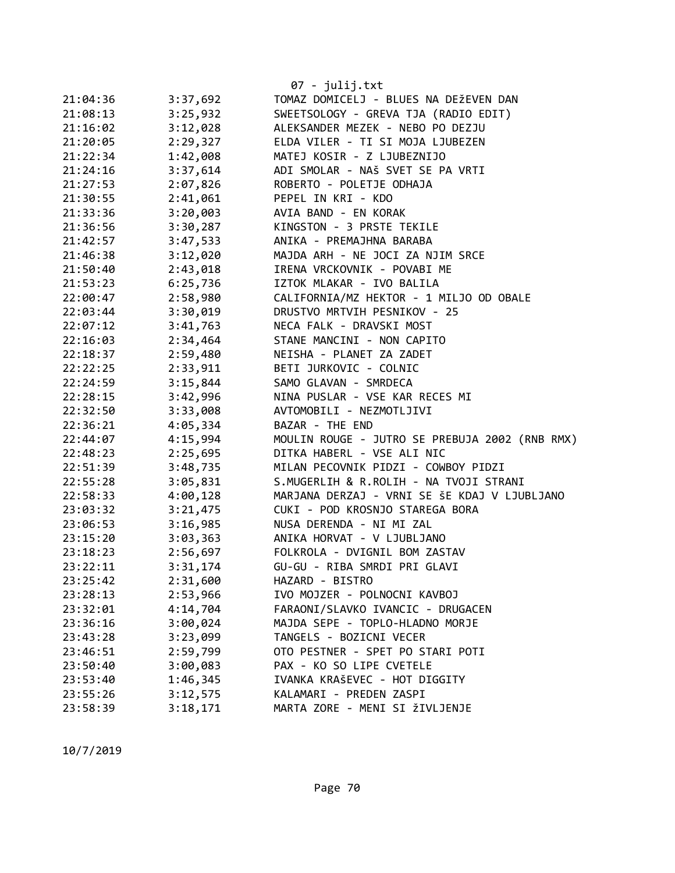|          |          | 07 - julij.txt                                 |
|----------|----------|------------------------------------------------|
| 21:04:36 | 3:37,692 | TOMAZ DOMICELJ - BLUES NA DEŽEVEN DAN          |
| 21:08:13 | 3:25,932 | SWEETSOLOGY - GREVA TJA (RADIO EDIT)           |
| 21:16:02 | 3:12,028 | ALEKSANDER MEZEK - NEBO PO DEZJU               |
| 21:20:05 | 2:29,327 | ELDA VILER - TI SI MOJA LJUBEZEN               |
| 21:22:34 | 1:42,008 | MATEJ KOSIR - Z LJUBEZNIJO                     |
| 21:24:16 | 3:37,614 | ADI SMOLAR - NAŠ SVET SE PA VRTI               |
| 21:27:53 | 2:07,826 | ROBERTO - POLETJE ODHAJA                       |
| 21:30:55 | 2:41,061 | PEPEL IN KRI - KDO                             |
| 21:33:36 | 3:20,003 | AVIA BAND - EN KORAK                           |
| 21:36:56 | 3:30,287 | KINGSTON - 3 PRSTE TEKILE                      |
| 21:42:57 | 3:47,533 | ANIKA - PREMAJHNA BARABA                       |
| 21:46:38 | 3:12,020 | MAJDA ARH - NE JOCI ZA NJIM SRCE               |
| 21:50:40 | 2:43,018 | IRENA VRCKOVNIK - POVABI ME                    |
| 21:53:23 | 6:25,736 | IZTOK MLAKAR - IVO BALILA                      |
| 22:00:47 | 2:58,980 | CALIFORNIA/MZ HEKTOR - 1 MILJO OD OBALE        |
| 22:03:44 | 3:30,019 | DRUSTVO MRTVIH PESNIKOV - 25                   |
| 22:07:12 | 3:41,763 | NECA FALK - DRAVSKI MOST                       |
| 22:16:03 | 2:34,464 | STANE MANCINI - NON CAPITO                     |
| 22:18:37 | 2:59,480 | NEISHA - PLANET ZA ZADET                       |
| 22:22:25 | 2:33,911 | BETI JURKOVIC - COLNIC                         |
| 22:24:59 | 3:15,844 | SAMO GLAVAN - SMRDECA                          |
| 22:28:15 | 3:42,996 | NINA PUSLAR - VSE KAR RECES MI                 |
| 22:32:50 | 3:33,008 | AVTOMOBILI - NEZMOTLJIVI                       |
| 22:36:21 | 4:05,334 | BAZAR - THE END                                |
| 22:44:07 | 4:15,994 | MOULIN ROUGE - JUTRO SE PREBUJA 2002 (RNB RMX) |
| 22:48:23 | 2:25,695 | DITKA HABERL - VSE ALI NIC                     |
| 22:51:39 | 3:48,735 | MILAN PECOVNIK PIDZI - COWBOY PIDZI            |
| 22:55:28 | 3:05,831 | S.MUGERLIH & R.ROLIH - NA TVOJI STRANI         |
| 22:58:33 | 4:00,128 | MARJANA DERZAJ - VRNI SE ŠE KDAJ V LJUBLJANO   |
| 23:03:32 | 3:21,475 | CUKI - POD KROSNJO STAREGA BORA                |
| 23:06:53 | 3:16,985 | NUSA DERENDA - NI MI ZAL                       |
| 23:15:20 | 3:03,363 | ANIKA HORVAT - V LJUBLJANO                     |
| 23:18:23 | 2:56,697 | FOLKROLA - DVIGNIL BOM ZASTAV                  |
| 23:22:11 | 3:31,174 | GU-GU - RIBA SMRDI PRI GLAVI                   |
| 23:25:42 | 2:31,600 | HAZARD - BISTRO                                |
| 23:28:13 | 2:53,966 | IVO MOJZER - POLNOCNI KAVBOJ                   |
| 23:32:01 | 4:14,704 | FARAONI/SLAVKO IVANCIC - DRUGACEN              |
| 23:36:16 | 3:00,024 | MAJDA SEPE - TOPLO-HLADNO MORJE                |
| 23:43:28 | 3:23,099 | TANGELS - BOZICNI VECER                        |
| 23:46:51 | 2:59,799 | OTO PESTNER - SPET PO STARI POTI               |
| 23:50:40 | 3:00,083 | PAX - KO SO LIPE CVETELE                       |
| 23:53:40 | 1:46,345 | IVANKA KRAŠEVEC - HOT DIGGITY                  |
| 23:55:26 | 3:12,575 | KALAMARI - PREDEN ZASPI                        |
| 23:58:39 | 3:18,171 | MARTA ZORE - MENI SI ŽIVLJENJE                 |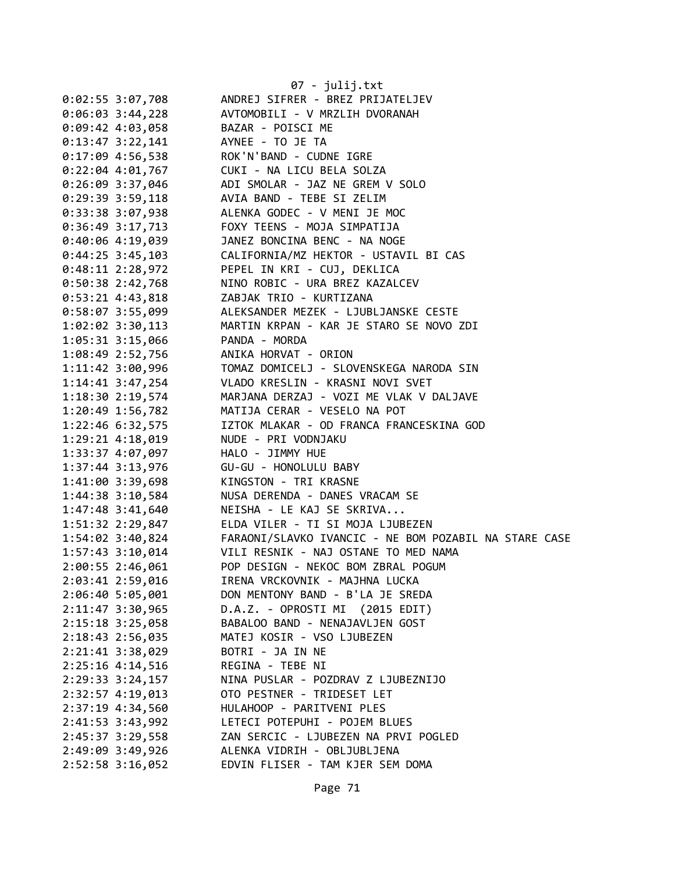|                      | 07 - julij.txt                                                         |
|----------------------|------------------------------------------------------------------------|
| $0:02:55$ 3:07,708   | ANDREJ SIFRER - BREZ PRIJATELJEV                                       |
| $0:06:03$ 3:44,228   | AVTOMOBILI - V MRZLIH DVORANAH                                         |
| $0:09:42$ 4:03,058   | BAZAR - POISCI ME                                                      |
| $0:13:47$ 3:22,141   | AYNEE - TO JE TA                                                       |
| 0:17:09 4:56,538     | ROK'N'BAND - CUDNE IGRE                                                |
| $0:22:04$ 4:01,767   | CUKI - NA LICU BELA SOLZA                                              |
| $0:26:09$ 3:37,046   | ADI SMOLAR - JAZ NE GREM V SOLO                                        |
| $0:29:39$ 3:59,118   | AVIA BAND - TEBE SI ZELIM                                              |
| $0:33:38$ 3:07,938   | ALENKA GODEC - V MENI JE MOC                                           |
| $0:36:49$ 3:17,713   | FOXY TEENS - MOJA SIMPATIJA                                            |
| $0:40:06$ 4:19,039   | JANEZ BONCINA BENC - NA NOGE                                           |
| $0:44:25$ 3:45,103   | CALIFORNIA/MZ HEKTOR - USTAVIL BI CAS                                  |
| $0:48:11$ 2:28,972   | PEPEL IN KRI - CUJ, DEKLICA                                            |
| $0:50:38$ 2:42,768   | NINO ROBIC - URA BREZ KAZALCEV                                         |
| $0:53:21$ 4:43,818   | ZABJAK TRIO - KURTIZANA                                                |
| $0:58:07$ 3:55,099   | ALEKSANDER MEZEK - LJUBLJANSKE CESTE                                   |
| 1:02:02 3:30,113     | MARTIN KRPAN - KAR JE STARO SE NOVO ZDI                                |
| 1:05:31 3:15,066     | PANDA - MORDA                                                          |
| 1:08:49 2:52,756     | ANIKA HORVAT - ORION                                                   |
| $1:11:42$ $3:00,996$ | TOMAZ DOMICELJ - SLOVENSKEGA NARODA SIN                                |
| $1:14:41$ $3:47,254$ | VLADO KRESLIN - KRASNI NOVI SVET                                       |
| 1:18:30 2:19,574     | MARJANA DERZAJ - VOZI ME VLAK V DALJAVE                                |
| 1:20:49 1:56,782     | MATIJA CERAR - VESELO NA POT                                           |
| 1:22:46 6:32,575     | IZTOK MLAKAR - OD FRANCA FRANCESKINA GOD                               |
|                      | NUDE - PRI VODNJAKU                                                    |
| 1:29:21 4:18,019     |                                                                        |
| 1:33:37 4:07,097     | HALO - JIMMY HUE<br>GU-GU - HONOLULU BABY                              |
| 1:37:44 3:13,976     |                                                                        |
| 1:41:00 3:39,698     | KINGSTON - TRI KRASNE                                                  |
| 1:44:38 3:10,584     | NUSA DERENDA - DANES VRACAM SE                                         |
| 1:47:48 3:41,640     | NEISHA - LE KAJ SE SKRIVA                                              |
| 1:51:32 2:29,847     | ELDA VILER - TI SI MOJA LJUBEZEN                                       |
|                      | 1:54:02 3:40,824 FARAONI/SLAVKO IVANCIC - NE BOM POZABIL NA STARE CASE |
| $1:57:43$ $3:10,014$ | VILI RESNIK - NAJ OSTANE TO MED NAMA                                   |
| 2:00:55 2:46,061     | POP DESIGN - NEKOC BOM ZBRAL POGUM                                     |
| 2:03:41 2:59,016     | IRENA VRCKOVNIK - MAJHNA LUCKA                                         |
| 2:06:40 5:05,001     | DON MENTONY BAND - B'LA JE SREDA                                       |
| $2:11:47$ 3:30,965   | D.A.Z. - OPROSTI MI (2015 EDIT)                                        |
| $2:15:18$ 3:25,058   | BABALOO BAND - NENAJAVLJEN GOST                                        |
| 2:18:43 2:56,035     | MATEJ KOSIR - VSO LJUBEZEN                                             |
| 2:21:41 3:38,029     | BOTRI - JA IN NE                                                       |
| 2:25:16 4:14,516     | REGINA - TEBE NI                                                       |
| $2:29:33$ $3:24,157$ | NINA PUSLAR - POZDRAV Z LJUBEZNIJO                                     |
| 2:32:57 4:19,013     | OTO PESTNER - TRIDESET LET                                             |
| 2:37:19 4:34,560     | HULAHOOP - PARITVENI PLES                                              |
| 2:41:53 3:43,992     | LETECI POTEPUHI - POJEM BLUES                                          |
| 2:45:37 3:29,558     | ZAN SERCIC - LJUBEZEN NA PRVI POGLED                                   |
| 2:49:09 3:49,926     | ALENKA VIDRIH - OBLJUBLJENA                                            |
| $2:52:58$ 3:16,052   | EDVIN FLISER - TAM KJER SEM DOMA                                       |
|                      |                                                                        |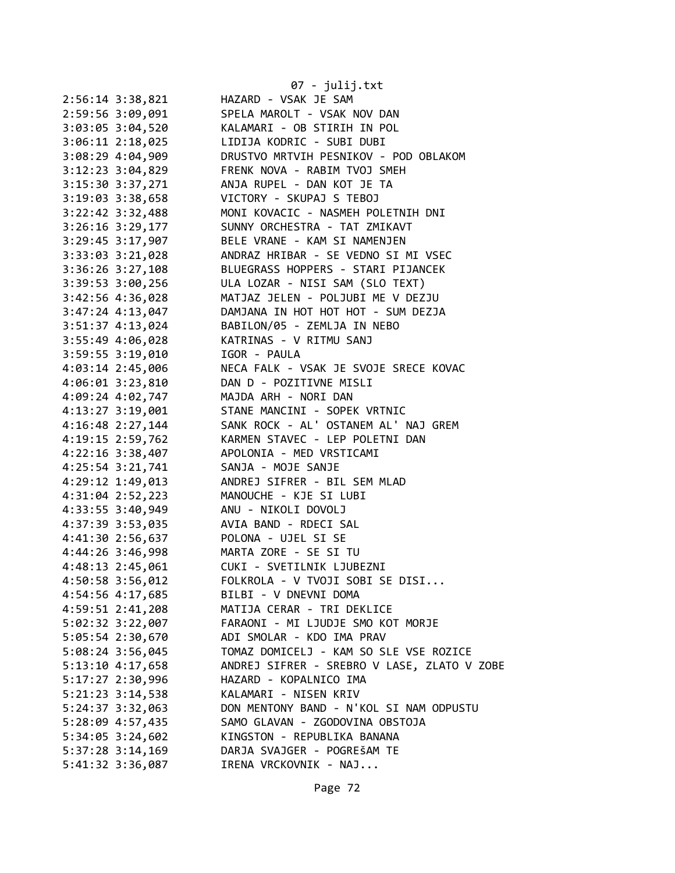| 07 - julij.txt                              |
|---------------------------------------------|
| HAZARD - VSAK JE SAM                        |
| SPELA MAROLT - VSAK NOV DAN                 |
| KALAMARI - OB STIRIH IN POL                 |
| LIDIJA KODRIC - SUBI DUBI                   |
| DRUSTVO MRTVIH PESNIKOV - POD OBLAKOM       |
| FRENK NOVA - RABIM TVOJ SMEH                |
| ANJA RUPEL - DAN KOT JE TA                  |
| VICTORY - SKUPAJ S TEBOJ                    |
| MONI KOVACIC - NASMEH POLETNIH DNI          |
| SUNNY ORCHESTRA - TAT ZMIKAVT               |
| BELE VRANE - KAM SI NAMENJEN                |
| ANDRAZ HRIBAR - SE VEDNO SI MI VSEC         |
| BLUEGRASS HOPPERS - STARI PIJANCEK          |
| ULA LOZAR - NISI SAM (SLO TEXT)             |
| MATJAZ JELEN - POLJUBI ME V DEZJU           |
| DAMJANA IN HOT HOT HOT - SUM DEZJA          |
| BABILON/05 - ZEMLJA IN NEBO                 |
| KATRINAS - V RITMU SANJ                     |
| IGOR - PAULA                                |
| NECA FALK - VSAK JE SVOJE SRECE KOVAC       |
| DAN D - POZITIVNE MISLI                     |
| MAJDA ARH - NORI DAN                        |
| STANE MANCINI - SOPEK VRTNIC                |
| SANK ROCK - AL' OSTANEM AL' NAJ GREM        |
| KARMEN STAVEC - LEP POLETNI DAN             |
| APOLONIA - MED VRSTICAMI                    |
|                                             |
| SANJA - MOJE SANJE                          |
| ANDREJ SIFRER - BIL SEM MLAD                |
| MANOUCHE - KJE SI LUBI                      |
| ANU - NIKOLI DOVOLJ                         |
| AVIA BAND - RDECI SAL                       |
| POLONA - UJEL SI SE                         |
| MARTA ZORE - SE SI TU                       |
| CUKI - SVETILNIK LJUBEZNI                   |
| FOLKROLA - V TVOJI SOBI SE DISI             |
| BILBI - V DNEVNI DOMA                       |
| MATIJA CERAR - TRI DEKLICE                  |
| FARAONI - MI LJUDJE SMO KOT MORJE           |
| ADI SMOLAR - KDO IMA PRAV                   |
| TOMAZ DOMICELJ - KAM SO SLE VSE ROZICE      |
| ANDREJ SIFRER - SREBRO V LASE, ZLATO V ZOBE |
| HAZARD - KOPALNICO IMA                      |
| KALAMARI - NISEN KRIV                       |
| DON MENTONY BAND - N'KOL SI NAM ODPUSTU     |
| SAMO GLAVAN - ZGODOVINA OBSTOJA             |
| KINGSTON - REPUBLIKA BANANA                 |
| DARJA SVAJGER - POGREŠAM TE                 |
| IRENA VRCKOVNIK - NAJ                       |
| 4:41:30 2:56,637                            |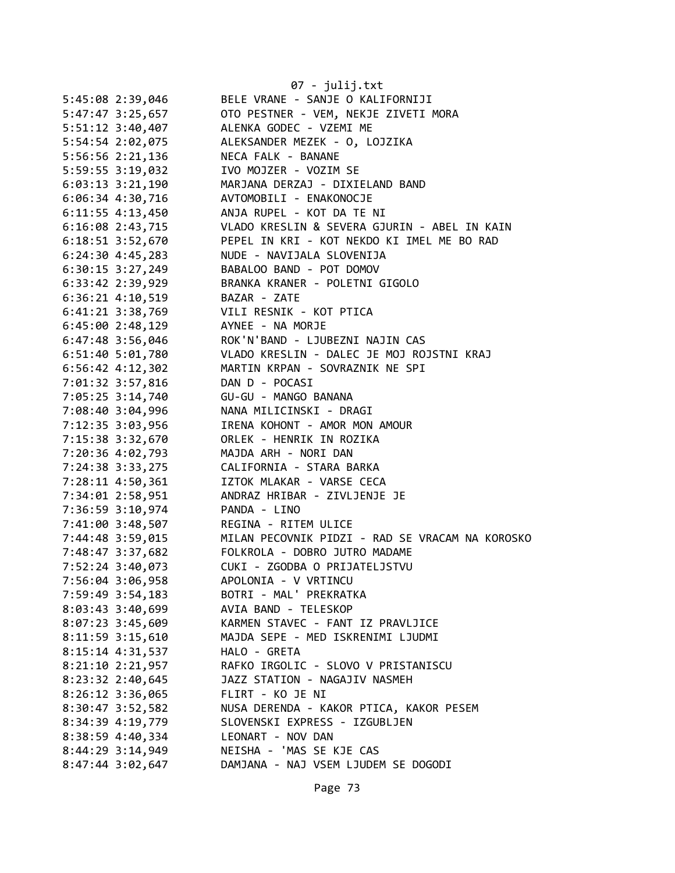|                      | 07 - julij.txt                                  |
|----------------------|-------------------------------------------------|
| 5:45:08 2:39,046     | BELE VRANE - SANJE O KALIFORNIJI                |
| 5:47:47 3:25,657     | OTO PESTNER - VEM, NEKJE ZIVETI MORA            |
| 5:51:12 3:40,407     | ALENKA GODEC - VZEMI ME                         |
| 5:54:54 2:02,075     | ALEKSANDER MEZEK - 0, LOJZIKA                   |
| 5:56:56 2:21,136     | NECA FALK - BANANE                              |
| 5:59:55 3:19,032     | IVO MOJZER - VOZIM SE                           |
| $6:03:13$ $3:21,190$ | MARJANA DERZAJ - DIXIELAND BAND                 |
| 6:06:34 4:30,716     | AVTOMOBILI - ENAKONOCJE                         |
| $6:11:55$ 4:13,450   | ANJA RUPEL - KOT DA TE NI                       |
| $6:16:08$ 2:43,715   | VLADO KRESLIN & SEVERA GJURIN - ABEL IN KAIN    |
| 6:18:51 3:52,670     | PEPEL IN KRI - KOT NEKDO KI IMEL ME BO RAD      |
| $6:24:30$ $4:45,283$ | NUDE - NAVIJALA SLOVENIJA                       |
| $6:30:15$ 3:27,249   | BABALOO BAND - POT DOMOV                        |
| 6:33:42 2:39,929     | BRANKA KRANER - POLETNI GIGOLO                  |
| $6:36:21$ 4:10,519   | BAZAR - ZATE                                    |
| 6:41:21 3:38,769     | VILI RESNIK - KOT PTICA                         |
| $6:45:00$ 2:48,129   | AYNEE - NA MORJE                                |
| $6:47:48$ 3:56,046   | ROK'N'BAND - LJUBEZNI NAJIN CAS                 |
| $6:51:40$ $5:01,780$ | VLADO KRESLIN - DALEC JE MOJ ROJSTNI KRAJ       |
| $6:56:42$ $4:12,302$ | MARTIN KRPAN - SOVRAZNIK NE SPI                 |
| 7:01:32 3:57,816     | DAN D - POCASI                                  |
| 7:05:25 3:14,740     | GU-GU - MANGO BANANA                            |
| 7:08:40 3:04,996     | NANA MILICINSKI - DRAGI                         |
| 7:12:35 3:03,956     | IRENA KOHONT - AMOR MON AMOUR                   |
| 7:15:38 3:32,670     | ORLEK - HENRIK IN ROZIKA                        |
| 7:20:36 4:02,793     | MAJDA ARH - NORI DAN                            |
| 7:24:38 3:33,275     | CALIFORNIA - STARA BARKA                        |
| 7:28:11 4:50,361     | IZTOK MLAKAR - VARSE CECA                       |
| 7:34:01 2:58,951     | ANDRAZ HRIBAR - ZIVLJENJE JE                    |
| 7:36:59 3:10,974     | PANDA - LINO                                    |
| 7:41:00 3:48,507     | REGINA - RITEM ULICE                            |
| 7:44:48 3:59,015     | MILAN PECOVNIK PIDZI - RAD SE VRACAM NA KOROSKO |
| 7:48:47 3:37,682     | FOLKROLA - DOBRO JUTRO MADAME                   |
| 7:52:24 3:40,073     | CUKI - ZGODBA O PRIJATELJSTVU                   |
| 7:56:04 3:06,958     | APOLONIA - V VRTINCU                            |
| 7:59:49 3:54,183     | BOTRI - MAL' PREKRATKA                          |
| $8:03:43$ 3:40,699   | AVIA BAND - TELESKOP                            |
| $8:07:23$ 3:45,609   | KARMEN STAVEC - FANT IZ PRAVLJICE               |
| $8:11:59$ $3:15,610$ | MAJDA SEPE - MED ISKRENIMI LJUDMI               |
| $8:15:14$ 4:31,537   | HALO - GRETA                                    |
| $8:21:10$ $2:21,957$ | RAFKO IRGOLIC - SLOVO V PRISTANISCU             |
| 8:23:32 2:40,645     | JAZZ STATION - NAGAJIV NASMEH                   |
| $8:26:12$ 3:36,065   | FLIRT - KO JE NI                                |
| 8:30:47 3:52,582     | NUSA DERENDA - KAKOR PTICA, KAKOR PESEM         |
| 8:34:39 4:19,779     | SLOVENSKI EXPRESS - IZGUBLJEN                   |
| 8:38:59 4:40,334     | LEONART - NOV DAN                               |
| 8:44:29 3:14,949     | NEISHA - 'MAS SE KJE CAS                        |
| 8:47:44 3:02,647     | DAMJANA - NAJ VSEM LJUDEM SE DOGODI             |
|                      |                                                 |

Page 73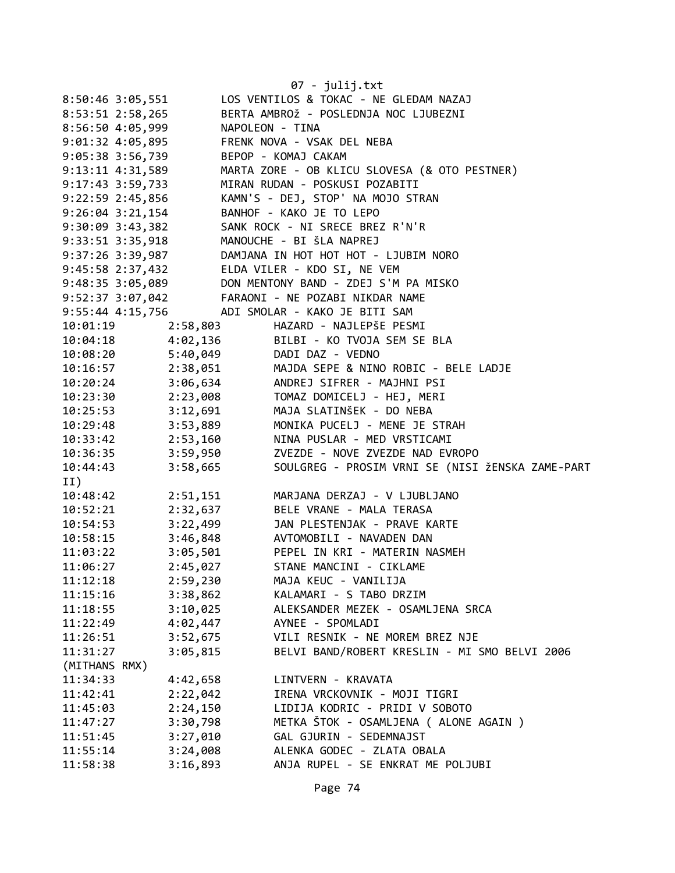|                       |          | 07 - julij.txt                                                                                                                                                                       |
|-----------------------|----------|--------------------------------------------------------------------------------------------------------------------------------------------------------------------------------------|
| 8:50:46 3:05,551      |          | LOS VENTILOS & TOKAC - NE GLEDAM NAZAJ                                                                                                                                               |
| 8:53:51 2:58,265      |          | BERTA AMBROŽ - POSLEDNJA NOC LJUBEZNI                                                                                                                                                |
| 8:56:50 4:05,999      |          | NAPOLEON - TINA                                                                                                                                                                      |
| 9:01:32 4:05,895      |          | FRENK NOVA - VSAK DEL NEBA                                                                                                                                                           |
| 9:05:38 3:56,739      |          | BEPOP - KOMAJ CAKAM                                                                                                                                                                  |
| 9:13:11 4:31,589      |          | MARTA ZORE - OB KLICU SLOVESA (& OTO PESTNER)                                                                                                                                        |
| $9:17:43$ 3:59,733    |          | MIRAN RUDAN - POSKUSI POZABITI                                                                                                                                                       |
| 9:22:59 2:45,856      |          | KAMN'S - DEJ, STOP' NA MOJO STRAN                                                                                                                                                    |
| 9:26:04 3:21,154      |          | BANHOF - KAKO JE TO LEPO                                                                                                                                                             |
| 9:30:09 3:43,382      |          | SANK ROCK - NI SRECE BREZ R'N'R                                                                                                                                                      |
| 9:33:51 3:35,918      |          | MANOUCHE - BI ŠLA NAPREJ                                                                                                                                                             |
| 9:37:26 3:39,987      |          | DAMJANA IN HOT HOT HOT - LJUBIM NORO                                                                                                                                                 |
| 9:45:58 2:37,432      |          | ELDA VILER - KDO SI, NE VEM                                                                                                                                                          |
|                       |          | DON MENTONY BAND - ZDEJ S'M PA MISKO                                                                                                                                                 |
|                       |          | 9.43.38 2.37, -32<br>9.48:35 3.05, 089 DON MENTONY BAND - ZDEJ S'M PA N<br>9.52:37 3.07, 042 FARAONI - NE POZABI NIKDAR NAME                                                         |
|                       |          | 9:55:44 4:15,756 ADI SMOLAR - KAKO JE BITI SAM                                                                                                                                       |
| 10:01:19              | 2:58,803 | HAZARD - NAJLEPŠE PESMI                                                                                                                                                              |
|                       |          | 10:04:18  4:02,136  BILBI - KO TVOJA SEM SE BLA                                                                                                                                      |
|                       |          | 10:08:20 5:40,049 DADI DAZ - VEDNO                                                                                                                                                   |
|                       |          |                                                                                                                                                                                      |
|                       |          | 10:16:57<br>10:20:24<br>10:29:24<br>10:23:30<br>2:23,008<br>10:25:53<br>3:12,691<br>MAJA SLATINŠEK - DO NEBA<br>10:25:53<br>10:25:40<br>2:53<br>2:23,008<br>MAJA SLATINŠEK - DO NEBA |
|                       |          |                                                                                                                                                                                      |
|                       |          |                                                                                                                                                                                      |
|                       |          | 10:29:48 3:53,889 MONIKA PUCELJ - MENE JE STRAH                                                                                                                                      |
|                       |          | 10:33:42   2:53,160   NINA PUSLAR - MED VRSTICAMI                                                                                                                                    |
|                       |          | 10:36:35 3:59,950 ZVEZDE - NOVE ZVEZDE NAD EVROPO                                                                                                                                    |
| 10:44:43 3:58,665     |          | SOULGREG - PROSIM VRNI SE (NISI ŽENSKA ZAME-PART                                                                                                                                     |
| II)                   |          |                                                                                                                                                                                      |
| 10:48:42 2:51,151     |          | MARJANA DERZAJ - V LJUBLJANO                                                                                                                                                         |
| $10:52:21$ $2:32,637$ |          | BELE VRANE - MALA TERASA                                                                                                                                                             |
| 10:54:53 3:22,499     |          | JAN PLESTENJAK - PRAVE KARTE                                                                                                                                                         |
|                       |          | 10:58:15 3:46,848 AVTOMOBILI - NAVADEN DAN                                                                                                                                           |
| 11:03:22              |          | 3:05,501 PEPEL IN KRI - MATERIN NASMEH                                                                                                                                               |
| 11:06:27              | 2:45,027 | STANE MANCINI - CIKLAME                                                                                                                                                              |
| 11:12:18              | 2:59,230 | MAJA KEUC - VANILIJA                                                                                                                                                                 |
| 11:15:16              | 3:38,862 | KALAMARI - S TABO DRZIM                                                                                                                                                              |
| 11:18:55              | 3:10,025 | ALEKSANDER MEZEK - OSAMLJENA SRCA                                                                                                                                                    |
| 11:22:49              | 4:02,447 | AYNEE - SPOMLADI                                                                                                                                                                     |
| 11:26:51              | 3:52,675 | VILI RESNIK - NE MOREM BREZ NJE                                                                                                                                                      |
| 11:31:27              | 3:05,815 | BELVI BAND/ROBERT KRESLIN - MI SMO BELVI 2006                                                                                                                                        |
| (MITHANS RMX)         |          |                                                                                                                                                                                      |
| 11:34:33              | 4:42,658 | LINTVERN - KRAVATA                                                                                                                                                                   |
| 11:42:41              | 2:22,042 | IRENA VRCKOVNIK - MOJI TIGRI                                                                                                                                                         |
| 11:45:03              | 2:24,150 | LIDIJA KODRIC - PRIDI V SOBOTO                                                                                                                                                       |
| 11:47:27              | 3:30,798 | METKA ŠTOK - OSAMLJENA ( ALONE AGAIN )                                                                                                                                               |
| 11:51:45              | 3:27,010 | GAL GJURIN - SEDEMNAJST                                                                                                                                                              |
| 11:55:14              | 3:24,008 | ALENKA GODEC - ZLATA OBALA                                                                                                                                                           |
| 11:58:38              | 3:16,893 | ANJA RUPEL - SE ENKRAT ME POLJUBI                                                                                                                                                    |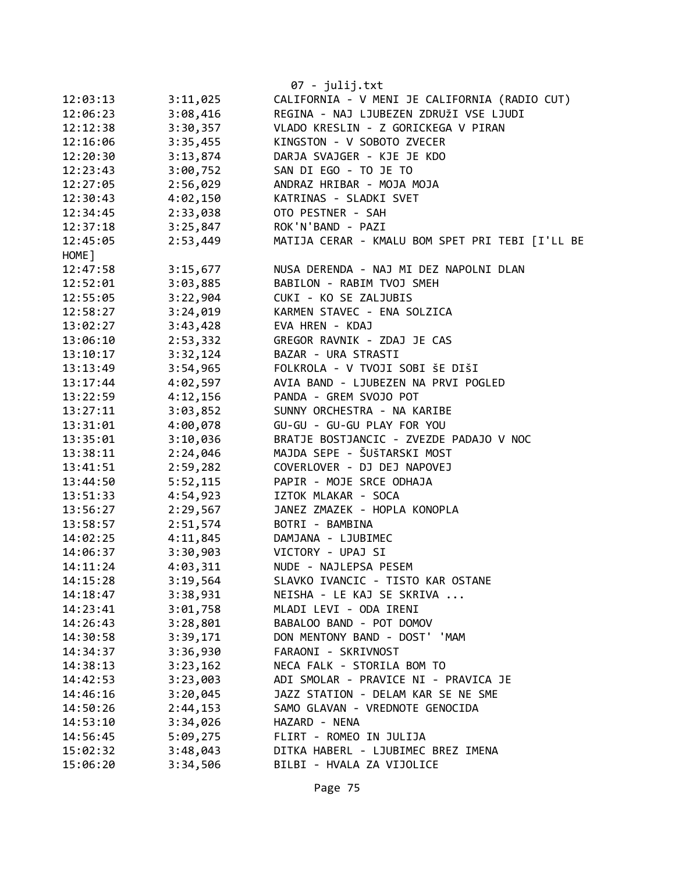|          |          | 07 - julij.txt                                  |
|----------|----------|-------------------------------------------------|
| 12:03:13 | 3:11,025 | CALIFORNIA - V MENI JE CALIFORNIA (RADIO CUT)   |
| 12:06:23 | 3:08,416 | REGINA - NAJ LJUBEZEN ZDRUŽI VSE LJUDI          |
| 12:12:38 | 3:30,357 | VLADO KRESLIN - Z GORICKEGA V PIRAN             |
| 12:16:06 | 3:35,455 | KINGSTON - V SOBOTO ZVECER                      |
| 12:20:30 | 3:13,874 | DARJA SVAJGER - KJE JE KDO                      |
| 12:23:43 | 3:00,752 | SAN DI EGO - TO JE TO                           |
| 12:27:05 | 2:56,029 | ANDRAZ HRIBAR - MOJA MOJA                       |
| 12:30:43 | 4:02,150 | KATRINAS - SLADKI SVET                          |
| 12:34:45 | 2:33,038 | OTO PESTNER - SAH                               |
| 12:37:18 | 3:25,847 | ROK'N'BAND - PAZI                               |
| 12:45:05 | 2:53,449 | MATIJA CERAR - KMALU BOM SPET PRI TEBI [I'LL BE |
| HOME ]   |          |                                                 |
| 12:47:58 | 3:15,677 | NUSA DERENDA - NAJ MI DEZ NAPOLNI DLAN          |
| 12:52:01 | 3:03,885 | BABILON - RABIM TVOJ SMEH                       |
| 12:55:05 | 3:22,904 | CUKI - KO SE ZALJUBIS                           |
| 12:58:27 | 3:24,019 | KARMEN STAVEC - ENA SOLZICA                     |
| 13:02:27 | 3:43,428 | EVA HREN - KDAJ                                 |
| 13:06:10 | 2:53,332 | GREGOR RAVNIK - ZDAJ JE CAS                     |
| 13:10:17 | 3:32,124 | BAZAR - URA STRASTI                             |
| 13:13:49 | 3:54,965 | FOLKROLA - V TVOJI SOBI ŠE DIŠI                 |
| 13:17:44 | 4:02,597 | AVIA BAND - LJUBEZEN NA PRVI POGLED             |
| 13:22:59 | 4:12,156 | PANDA - GREM SVOJO POT                          |
| 13:27:11 | 3:03,852 | SUNNY ORCHESTRA - NA KARIBE                     |
| 13:31:01 | 4:00,078 | GU-GU - GU-GU PLAY FOR YOU                      |
| 13:35:01 | 3:10,036 | BRATJE BOSTJANCIC - ZVEZDE PADAJO V NOC         |
| 13:38:11 | 2:24,046 | MAJDA SEPE - ŠUŠTARSKI MOST                     |
| 13:41:51 | 2:59,282 | COVERLOVER - DJ DEJ NAPOVEJ                     |
| 13:44:50 | 5:52,115 | PAPIR - MOJE SRCE ODHAJA                        |
| 13:51:33 | 4:54,923 | IZTOK MLAKAR - SOCA                             |
| 13:56:27 | 2:29,567 | JANEZ ZMAZEK - HOPLA KONOPLA                    |
| 13:58:57 | 2:51,574 | BOTRI - BAMBINA                                 |
| 14:02:25 | 4:11,845 | DAMJANA - LJUBIMEC                              |
| 14:06:37 | 3:30,903 | VICTORY - UPAJ SI                               |
| 14:11:24 | 4:03,311 | NUDE - NAJLEPSA PESEM                           |
| 14:15:28 | 3:19,564 | SLAVKO IVANCIC - TISTO KAR OSTANE               |
| 14:18:47 | 3:38,931 | NEISHA - LE KAJ SE SKRIVA                       |
| 14:23:41 | 3:01,758 | MLADI LEVI - ODA IRENI                          |
| 14:26:43 | 3:28,801 | BABALOO BAND - POT DOMOV                        |
| 14:30:58 | 3:39,171 | DON MENTONY BAND - DOST' 'MAM                   |
| 14:34:37 | 3:36,930 | FARAONI - SKRIVNOST                             |
| 14:38:13 | 3:23,162 | NECA FALK - STORILA BOM TO                      |
| 14:42:53 | 3:23,003 | ADI SMOLAR - PRAVICE NI - PRAVICA JE            |
| 14:46:16 | 3:20,045 | JAZZ STATION - DELAM KAR SE NE SME              |
| 14:50:26 | 2:44,153 | SAMO GLAVAN - VREDNOTE GENOCIDA                 |
| 14:53:10 | 3:34,026 | HAZARD - NENA                                   |
| 14:56:45 | 5:09,275 | FLIRT - ROMEO IN JULIJA                         |
| 15:02:32 | 3:48,043 | DITKA HABERL - LJUBIMEC BREZ IMENA              |
| 15:06:20 | 3:34,506 | BILBI - HVALA ZA VIJOLICE                       |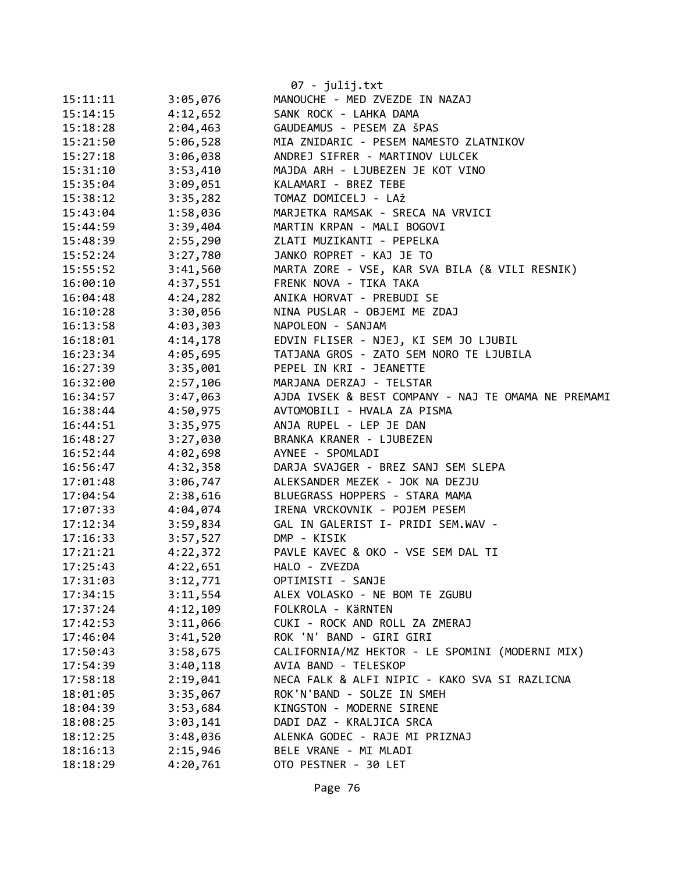|          |          | 07 - julij.txt                                      |
|----------|----------|-----------------------------------------------------|
| 15:11:11 | 3:05,076 | MANOUCHE - MED ZVEZDE IN NAZAJ                      |
| 15:14:15 | 4:12,652 | SANK ROCK - LAHKA DAMA                              |
| 15:18:28 | 2:04,463 | GAUDEAMUS - PESEM ZA ŠPAS                           |
| 15:21:50 | 5:06,528 | MIA ZNIDARIC - PESEM NAMESTO ZLATNIKOV              |
| 15:27:18 | 3:06,038 | ANDREJ SIFRER - MARTINOV LULCEK                     |
| 15:31:10 | 3:53,410 | MAJDA ARH - LJUBEZEN JE KOT VINO                    |
| 15:35:04 | 3:09,051 | KALAMARI - BREZ TEBE                                |
| 15:38:12 | 3:35,282 | TOMAZ DOMICELJ - LAŽ                                |
| 15:43:04 | 1:58,036 | MARJETKA RAMSAK - SRECA NA VRVICI                   |
| 15:44:59 | 3:39,404 | MARTIN KRPAN - MALI BOGOVI                          |
| 15:48:39 | 2:55,290 | ZLATI MUZIKANTI - PEPELKA                           |
| 15:52:24 | 3:27,780 | JANKO ROPRET - KAJ JE TO                            |
| 15:55:52 | 3:41,560 | MARTA ZORE - VSE, KAR SVA BILA (& VILI RESNIK)      |
| 16:00:10 | 4:37,551 | FRENK NOVA - TIKA TAKA                              |
| 16:04:48 | 4:24,282 | ANIKA HORVAT - PREBUDI SE                           |
| 16:10:28 | 3:30,056 | NINA PUSLAR - OBJEMI ME ZDAJ                        |
| 16:13:58 | 4:03,303 | NAPOLEON - SANJAM                                   |
| 16:18:01 | 4:14,178 | EDVIN FLISER - NJEJ, KI SEM JO LJUBIL               |
| 16:23:34 | 4:05,695 | TATJANA GROS - ZATO SEM NORO TE LJUBILA             |
| 16:27:39 | 3:35,001 | PEPEL IN KRI - JEANETTE                             |
| 16:32:00 | 2:57,106 | MARJANA DERZAJ - TELSTAR                            |
| 16:34:57 | 3:47,063 | AJDA IVSEK & BEST COMPANY - NAJ TE OMAMA NE PREMAMI |
| 16:38:44 | 4:50,975 | AVTOMOBILI - HVALA ZA PISMA                         |
| 16:44:51 | 3:35,975 | ANJA RUPEL - LEP JE DAN                             |
| 16:48:27 | 3:27,030 | BRANKA KRANER - LJUBEZEN                            |
| 16:52:44 | 4:02,698 | AYNEE - SPOMLADI                                    |
| 16:56:47 | 4:32,358 | DARJA SVAJGER - BREZ SANJ SEM SLEPA                 |
| 17:01:48 | 3:06,747 | ALEKSANDER MEZEK - JOK NA DEZJU                     |
| 17:04:54 | 2:38,616 | BLUEGRASS HOPPERS - STARA MAMA                      |
| 17:07:33 | 4:04,074 | IRENA VRCKOVNIK - POJEM PESEM                       |
| 17:12:34 | 3:59,834 | GAL IN GALERIST I- PRIDI SEM.WAV -                  |
| 17:16:33 | 3:57,527 | DMP - KISIK                                         |
| 17:21:21 | 4:22,372 | PAVLE KAVEC & OKO - VSE SEM DAL TI                  |
| 17:25:43 | 4:22,651 | HALO - ZVEZDA                                       |
| 17:31:03 | 3:12,771 | OPTIMISTI - SANJE                                   |
| 17:34:15 | 3:11,554 | ALEX VOLASKO - NE BOM TE ZGUBU                      |
| 17:37:24 | 4:12,109 | FOLKROLA - KÄRNTEN                                  |
| 17:42:53 | 3:11,066 | CUKI - ROCK AND ROLL ZA ZMERAJ                      |
| 17:46:04 | 3:41,520 | ROK 'N' BAND - GIRI GIRI                            |
| 17:50:43 | 3:58,675 | CALIFORNIA/MZ HEKTOR - LE SPOMINI (MODERNI MIX)     |
| 17:54:39 | 3:40,118 | AVIA BAND - TELESKOP                                |
| 17:58:18 | 2:19,041 | NECA FALK & ALFI NIPIC - KAKO SVA SI RAZLICNA       |
| 18:01:05 | 3:35,067 | ROK'N'BAND - SOLZE IN SMEH                          |
| 18:04:39 | 3:53,684 | KINGSTON - MODERNE SIRENE                           |
| 18:08:25 | 3:03,141 | DADI DAZ - KRALJICA SRCA                            |
| 18:12:25 | 3:48,036 | ALENKA GODEC - RAJE MI PRIZNAJ                      |
| 18:16:13 | 2:15,946 | BELE VRANE - MI MLADI                               |
| 18:18:29 | 4:20,761 | OTO PESTNER - 30 LET                                |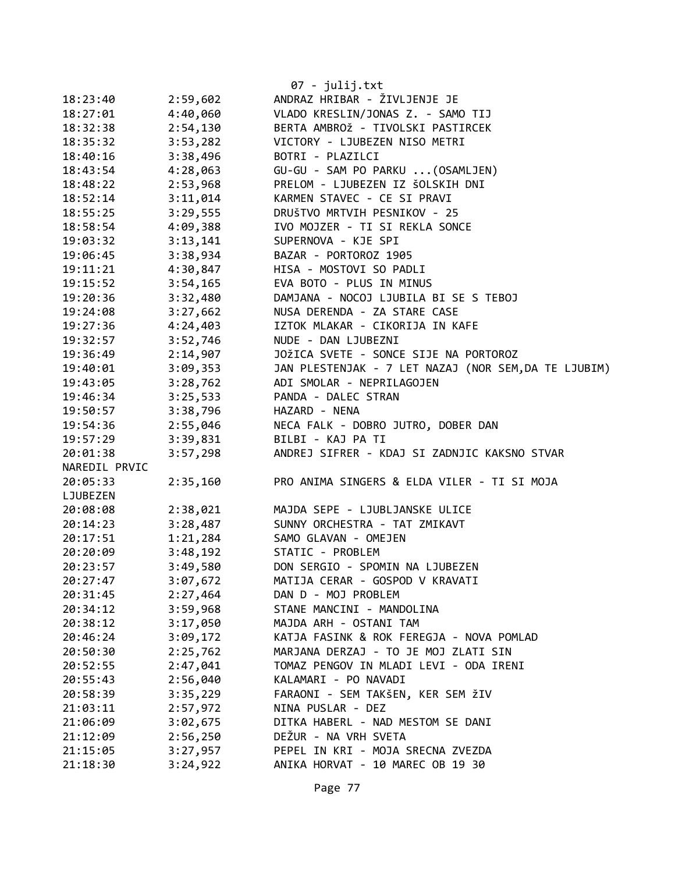|               |          | 07 - julij.txt                                       |
|---------------|----------|------------------------------------------------------|
| 18:23:40      | 2:59,602 | ANDRAZ HRIBAR - ŽIVLJENJE JE                         |
| 18:27:01      | 4:40,060 | VLADO KRESLIN/JONAS Z. - SAMO TIJ                    |
| 18:32:38      | 2:54,130 | BERTA AMBROŽ - TIVOLSKI PASTIRCEK                    |
| 18:35:32      | 3:53,282 | VICTORY - LJUBEZEN NISO METRI                        |
| 18:40:16      | 3:38,496 | BOTRI - PLAZILCI                                     |
| 18:43:54      | 4:28,063 | GU-GU - SAM PO PARKU  (OSAMLJEN)                     |
| 18:48:22      | 2:53,968 | PRELOM - LJUBEZEN IZ ŠOLSKIH DNI                     |
| 18:52:14      | 3:11,014 | KARMEN STAVEC - CE SI PRAVI                          |
| 18:55:25      | 3:29,555 | DRUŠTVO MRTVIH PESNIKOV - 25                         |
| 18:58:54      | 4:09,388 | IVO MOJZER - TI SI REKLA SONCE                       |
| 19:03:32      | 3:13,141 | SUPERNOVA - KJE SPI                                  |
| 19:06:45      | 3:38,934 | BAZAR - PORTOROZ 1905                                |
| 19:11:21      | 4:30,847 | HISA - MOSTOVI SO PADLI                              |
| 19:15:52      | 3:54,165 | EVA BOTO - PLUS IN MINUS                             |
| 19:20:36      | 3:32,480 | DAMJANA - NOCOJ LJUBILA BI SE S TEBOJ                |
| 19:24:08      | 3:27,662 | NUSA DERENDA - ZA STARE CASE                         |
| 19:27:36      | 4:24,403 | IZTOK MLAKAR - CIKORIJA IN KAFE                      |
| 19:32:57      | 3:52,746 | NUDE - DAN LJUBEZNI                                  |
| 19:36:49      | 2:14,907 | JOŽICA SVETE - SONCE SIJE NA PORTOROZ                |
| 19:40:01      | 3:09,353 | JAN PLESTENJAK - 7 LET NAZAJ (NOR SEM, DA TE LJUBIM) |
| 19:43:05      | 3:28,762 | ADI SMOLAR - NEPRILAGOJEN                            |
| 19:46:34      | 3:25,533 | PANDA - DALEC STRAN                                  |
| 19:50:57      | 3:38,796 | HAZARD - NENA                                        |
| 19:54:36      | 2:55,046 | NECA FALK - DOBRO JUTRO, DOBER DAN                   |
| 19:57:29      | 3:39,831 | BILBI - KAJ PA TI                                    |
| 20:01:38      | 3:57,298 | ANDREJ SIFRER - KDAJ SI ZADNJIC KAKSNO STVAR         |
| NAREDIL PRVIC |          |                                                      |
| 20:05:33      | 2:35,160 | PRO ANIMA SINGERS & ELDA VILER - TI SI MOJA          |
| LJUBEZEN      |          |                                                      |
| 20:08:08      | 2:38,021 | MAJDA SEPE - LJUBLJANSKE ULICE                       |
| 20:14:23      | 3:28,487 | SUNNY ORCHESTRA - TAT ZMIKAVT                        |
| 20:17:51      | 1:21,284 | SAMO GLAVAN - OMEJEN                                 |
| 20:20:09      | 3:48,192 | STATIC - PROBLEM                                     |
| 20:23:57      | 3:49,580 | DON SERGIO - SPOMIN NA LJUBEZEN                      |
| 20:27:47      | 3:07,672 | MATIJA CERAR - GOSPOD V KRAVATI                      |
| 20:31:45      | 2:27,464 | DAN D - MOJ PROBLEM                                  |
| 20:34:12      | 3:59,968 | STANE MANCINI - MANDOLINA                            |
| 20:38:12      | 3:17,050 | MAJDA ARH - OSTANI TAM                               |
| 20:46:24      | 3:09,172 | KATJA FASINK & ROK FEREGJA - NOVA POMLAD             |
| 20:50:30      | 2:25,762 | MARJANA DERZAJ - TO JE MOJ ZLATI SIN                 |
| 20:52:55      | 2:47,041 | TOMAZ PENGOV IN MLADI LEVI - ODA IRENI               |
| 20:55:43      | 2:56,040 | KALAMARI - PO NAVADI                                 |
| 20:58:39      | 3:35,229 | FARAONI - SEM TAKŠEN, KER SEM ŽIV                    |
| 21:03:11      | 2:57,972 | NINA PUSLAR - DEZ                                    |
| 21:06:09      | 3:02,675 | DITKA HABERL - NAD MESTOM SE DANI                    |
| 21:12:09      | 2:56,250 | DEŽUR - NA VRH SVETA                                 |
| 21:15:05      | 3:27,957 | PEPEL IN KRI - MOJA SRECNA ZVEZDA                    |
| 21:18:30      | 3:24,922 | ANIKA HORVAT - 10 MAREC OB 19 30                     |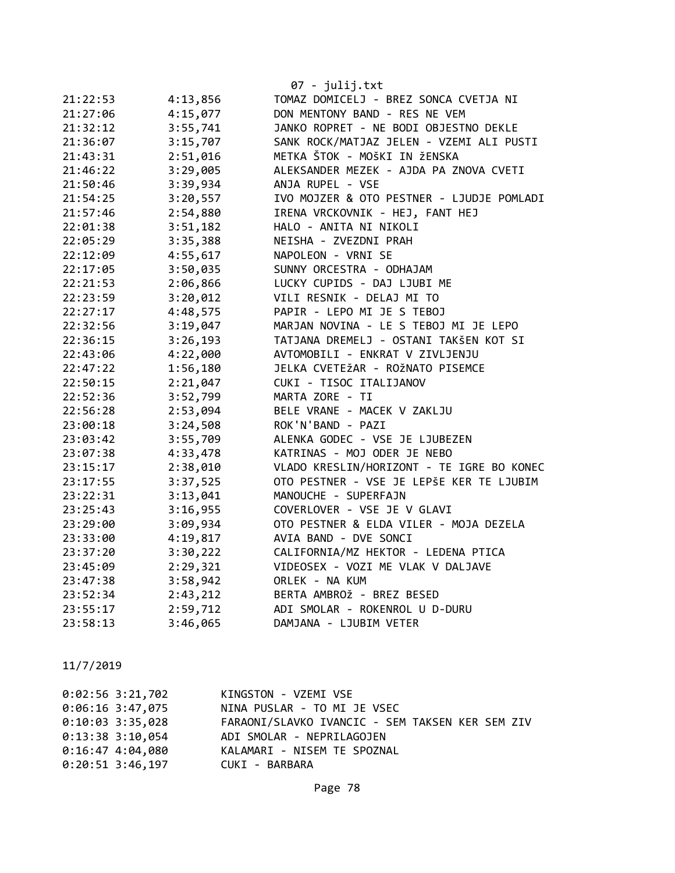|          |          | 07 - julij.txt                            |
|----------|----------|-------------------------------------------|
| 21:22:53 | 4:13,856 | TOMAZ DOMICELJ - BREZ SONCA CVETJA NI     |
| 21:27:06 | 4:15,077 | DON MENTONY BAND - RES NE VEM             |
| 21:32:12 | 3:55,741 | JANKO ROPRET - NE BODI OBJESTNO DEKLE     |
| 21:36:07 | 3:15,707 | SANK ROCK/MATJAZ JELEN - VZEMI ALI PUSTI  |
| 21:43:31 | 2:51,016 | METKA ŠTOK - MOŠKI IN ŽENSKA              |
| 21:46:22 | 3:29,005 | ALEKSANDER MEZEK - AJDA PA ZNOVA CVETI    |
| 21:50:46 | 3:39,934 | ANJA RUPEL - VSE                          |
| 21:54:25 | 3:20,557 | IVO MOJZER & OTO PESTNER - LJUDJE POMLADI |
| 21:57:46 | 2:54,880 | IRENA VRCKOVNIK - HEJ, FANT HEJ           |
| 22:01:38 | 3:51,182 | HALO - ANITA NI NIKOLI                    |
| 22:05:29 | 3:35,388 | NEISHA - ZVEZDNI PRAH                     |
| 22:12:09 | 4:55,617 | NAPOLEON - VRNI SE                        |
| 22:17:05 | 3:50,035 | SUNNY ORCESTRA - ODHAJAM                  |
| 22:21:53 | 2:06,866 | LUCKY CUPIDS - DAJ LJUBI ME               |
| 22:23:59 | 3:20,012 | VILI RESNIK - DELAJ MI TO                 |
| 22:27:17 | 4:48,575 | PAPIR - LEPO MI JE S TEBOJ                |
| 22:32:56 | 3:19,047 | MARJAN NOVINA - LE S TEBOJ MI JE LEPO     |
| 22:36:15 | 3:26,193 | TATJANA DREMELJ - OSTANI TAKŠEN KOT SI    |
| 22:43:06 | 4:22,000 | AVTOMOBILI - ENKRAT V ZIVLJENJU           |
| 22:47:22 | 1:56,180 | JELKA CVETEŽAR - ROŽNATO PISEMCE          |
| 22:50:15 | 2:21,047 | CUKI - TISOC ITALIJANOV                   |
| 22:52:36 | 3:52,799 | MARTA ZORE - TI                           |
| 22:56:28 | 2:53,094 | BELE VRANE - MACEK V ZAKLJU               |
| 23:00:18 | 3:24,508 | ROK'N'BAND - PAZI                         |
| 23:03:42 | 3:55,709 | ALENKA GODEC - VSE JE LJUBEZEN            |
| 23:07:38 | 4:33,478 | KATRINAS - MOJ ODER JE NEBO               |
| 23:15:17 | 2:38,010 | VLADO KRESLIN/HORIZONT - TE IGRE BO KONEC |
| 23:17:55 | 3:37,525 | OTO PESTNER - VSE JE LEPŠE KER TE LJUBIM  |
| 23:22:31 | 3:13,041 | MANOUCHE - SUPERFAJN                      |
| 23:25:43 | 3:16,955 | COVERLOVER - VSE JE V GLAVI               |
| 23:29:00 | 3:09,934 | OTO PESTNER & ELDA VILER - MOJA DEZELA    |
| 23:33:00 | 4:19,817 | AVIA BAND - DVE SONCI                     |
| 23:37:20 | 3:30,222 | CALIFORNIA/MZ HEKTOR - LEDENA PTICA       |
| 23:45:09 | 2:29,321 | VIDEOSEX - VOZI ME VLAK V DALJAVE         |
| 23:47:38 | 3:58,942 | ORLEK - NA KUM                            |
| 23:52:34 | 2:43,212 | BERTA AMBROŽ - BREZ BESED                 |
| 23:55:17 | 2:59,712 | ADI SMOLAR - ROKENROL U D-DURU            |
| 23:58:13 | 3:46,065 | DAMJANA - LJUBIM VETER                    |

| $0:02:56$ 3:21,702 | KINGSTON - VZEMI VSE                            |
|--------------------|-------------------------------------------------|
| $0:06:16$ 3:47,075 | NINA PUSLAR - TO MI JE VSEC                     |
| $0:10:03$ 3:35,028 | FARAONI/SLAVKO IVANCIC - SEM TAKSEN KER SEM ZIV |
| $0:13:38$ 3:10,054 | ADI SMOLAR - NEPRILAGOJEN                       |
| $0:16:47$ 4:04,080 | KALAMARI - NISEM TE SPOZNAL                     |
| $0:20:51$ 3:46,197 | CUKI - BARBARA                                  |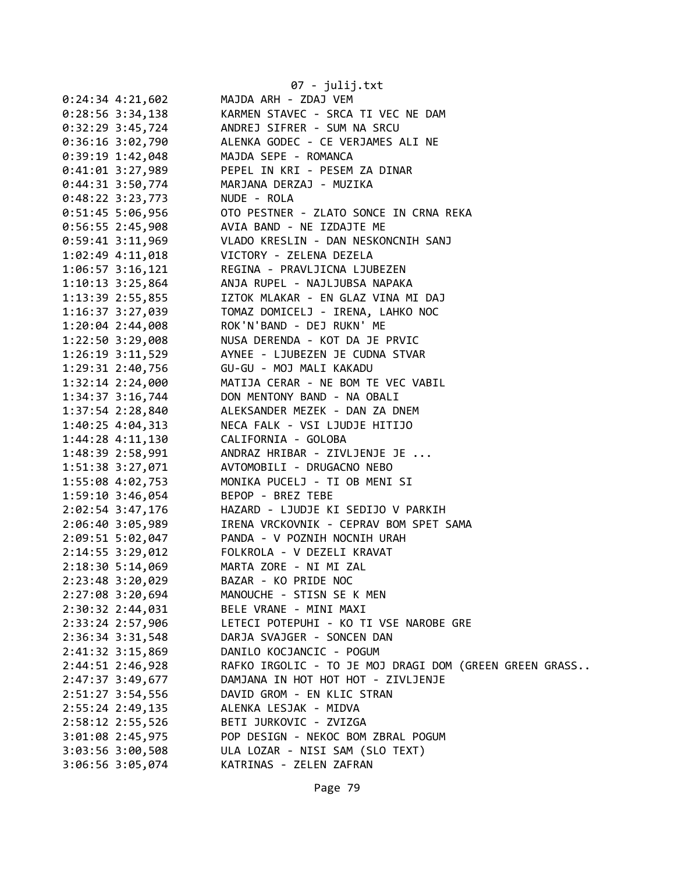|                    | 07 - julij.txt                                                                                                                                                                                                                                                                                                                                                                                                                                                                                                                                                                                                                                                                                                                                                                                                                       |
|--------------------|--------------------------------------------------------------------------------------------------------------------------------------------------------------------------------------------------------------------------------------------------------------------------------------------------------------------------------------------------------------------------------------------------------------------------------------------------------------------------------------------------------------------------------------------------------------------------------------------------------------------------------------------------------------------------------------------------------------------------------------------------------------------------------------------------------------------------------------|
| $0:24:34$ 4:21,602 | MAJDA ARH - ZDAJ VEM                                                                                                                                                                                                                                                                                                                                                                                                                                                                                                                                                                                                                                                                                                                                                                                                                 |
|                    | 0:28:56 3:34,138 KARMEN STAVEC - SRCA TI VEC NE DAM                                                                                                                                                                                                                                                                                                                                                                                                                                                                                                                                                                                                                                                                                                                                                                                  |
|                    | 0:32:29 3:45,724 ANDREJ SIFRER - SUM NA SRCU                                                                                                                                                                                                                                                                                                                                                                                                                                                                                                                                                                                                                                                                                                                                                                                         |
|                    | 0:36:16 3:02,790 ALENKA GODEC - CE VERJAMES ALI NE                                                                                                                                                                                                                                                                                                                                                                                                                                                                                                                                                                                                                                                                                                                                                                                   |
|                    | 0:39:19 1:42,048 MAJDA SEPE - ROMANCA                                                                                                                                                                                                                                                                                                                                                                                                                                                                                                                                                                                                                                                                                                                                                                                                |
|                    | 0:41:01 3:27,989 PEPEL IN KRI - PESEM ZA DINAR                                                                                                                                                                                                                                                                                                                                                                                                                                                                                                                                                                                                                                                                                                                                                                                       |
|                    |                                                                                                                                                                                                                                                                                                                                                                                                                                                                                                                                                                                                                                                                                                                                                                                                                                      |
|                    |                                                                                                                                                                                                                                                                                                                                                                                                                                                                                                                                                                                                                                                                                                                                                                                                                                      |
|                    |                                                                                                                                                                                                                                                                                                                                                                                                                                                                                                                                                                                                                                                                                                                                                                                                                                      |
|                    | 0:56:55 2:45,908 AVIA BAND - NE IZDAJTE ME                                                                                                                                                                                                                                                                                                                                                                                                                                                                                                                                                                                                                                                                                                                                                                                           |
|                    | 0:59:41 3:11,969 VLADO KRESLIN - DAN NESKONCNIH SANJ                                                                                                                                                                                                                                                                                                                                                                                                                                                                                                                                                                                                                                                                                                                                                                                 |
|                    | 1:02:49 4:11,018 VICTORY - ZELENA DEZELA                                                                                                                                                                                                                                                                                                                                                                                                                                                                                                                                                                                                                                                                                                                                                                                             |
|                    | 1:06:57 3:16,121 REGINA - PRAVLJICNA LJUBEZEN                                                                                                                                                                                                                                                                                                                                                                                                                                                                                                                                                                                                                                                                                                                                                                                        |
|                    |                                                                                                                                                                                                                                                                                                                                                                                                                                                                                                                                                                                                                                                                                                                                                                                                                                      |
|                    |                                                                                                                                                                                                                                                                                                                                                                                                                                                                                                                                                                                                                                                                                                                                                                                                                                      |
|                    |                                                                                                                                                                                                                                                                                                                                                                                                                                                                                                                                                                                                                                                                                                                                                                                                                                      |
|                    | 1:20:04 2:44,008 ROK'N'BAND - DEJ RUKN' ME                                                                                                                                                                                                                                                                                                                                                                                                                                                                                                                                                                                                                                                                                                                                                                                           |
|                    | 1:22:50 3:29,008 NUSA DERENDA - KOT DA JE PRVIC                                                                                                                                                                                                                                                                                                                                                                                                                                                                                                                                                                                                                                                                                                                                                                                      |
|                    | 1:26:19 3:11,529 AYNEE - LJUBEZEN JE CUDNA STVAR                                                                                                                                                                                                                                                                                                                                                                                                                                                                                                                                                                                                                                                                                                                                                                                     |
|                    |                                                                                                                                                                                                                                                                                                                                                                                                                                                                                                                                                                                                                                                                                                                                                                                                                                      |
|                    |                                                                                                                                                                                                                                                                                                                                                                                                                                                                                                                                                                                                                                                                                                                                                                                                                                      |
|                    |                                                                                                                                                                                                                                                                                                                                                                                                                                                                                                                                                                                                                                                                                                                                                                                                                                      |
|                    |                                                                                                                                                                                                                                                                                                                                                                                                                                                                                                                                                                                                                                                                                                                                                                                                                                      |
|                    | 1:40:25 4:04,313 NECA FALK - VSI LJUDJE HITIJO                                                                                                                                                                                                                                                                                                                                                                                                                                                                                                                                                                                                                                                                                                                                                                                       |
|                    |                                                                                                                                                                                                                                                                                                                                                                                                                                                                                                                                                                                                                                                                                                                                                                                                                                      |
|                    | 1:48:39 2:58,991 ANDRAZ HRIBAR - ZIVLJENJE JE                                                                                                                                                                                                                                                                                                                                                                                                                                                                                                                                                                                                                                                                                                                                                                                        |
|                    | 1:51:38 3:27,071 AVTOMOBILI - DRUGACNO NEBO                                                                                                                                                                                                                                                                                                                                                                                                                                                                                                                                                                                                                                                                                                                                                                                          |
|                    |                                                                                                                                                                                                                                                                                                                                                                                                                                                                                                                                                                                                                                                                                                                                                                                                                                      |
|                    | BEPOP - BREZ TEBE                                                                                                                                                                                                                                                                                                                                                                                                                                                                                                                                                                                                                                                                                                                                                                                                                    |
|                    | 2:02:54 3:47,176 HAZARD - LJUDJE KI SEDIJO V PARKIH                                                                                                                                                                                                                                                                                                                                                                                                                                                                                                                                                                                                                                                                                                                                                                                  |
|                    | 2:06:40 3:05,989 IRENA VRCKOVNIK - CEPRAV BOM SPET SAMA                                                                                                                                                                                                                                                                                                                                                                                                                                                                                                                                                                                                                                                                                                                                                                              |
|                    | 2:09:51 5:02,047 PANDA - V POZNIH NOCNIH URAH                                                                                                                                                                                                                                                                                                                                                                                                                                                                                                                                                                                                                                                                                                                                                                                        |
|                    | 2:14:55 3:29,012 FOLKROLA - V DEZELI KRAVAT                                                                                                                                                                                                                                                                                                                                                                                                                                                                                                                                                                                                                                                                                                                                                                                          |
|                    | MARTA ZORE - NI MI ZAL                                                                                                                                                                                                                                                                                                                                                                                                                                                                                                                                                                                                                                                                                                                                                                                                               |
|                    | BAZAR - KO PRIDE NOC                                                                                                                                                                                                                                                                                                                                                                                                                                                                                                                                                                                                                                                                                                                                                                                                                 |
|                    | MANOUCHE - STISN SE K MEN                                                                                                                                                                                                                                                                                                                                                                                                                                                                                                                                                                                                                                                                                                                                                                                                            |
|                    | BELE VRANE - MINI MAXI                                                                                                                                                                                                                                                                                                                                                                                                                                                                                                                                                                                                                                                                                                                                                                                                               |
|                    | LETECI POTEPUHI - KO TI VSE NAROBE GRE                                                                                                                                                                                                                                                                                                                                                                                                                                                                                                                                                                                                                                                                                                                                                                                               |
|                    | DARJA SVAJGER - SONCEN DAN                                                                                                                                                                                                                                                                                                                                                                                                                                                                                                                                                                                                                                                                                                                                                                                                           |
|                    | DANILO KOCJANCIC - POGUM                                                                                                                                                                                                                                                                                                                                                                                                                                                                                                                                                                                                                                                                                                                                                                                                             |
|                    | RAFKO IRGOLIC - TO JE MOJ DRAGI DOM (GREEN GREEN GRASS                                                                                                                                                                                                                                                                                                                                                                                                                                                                                                                                                                                                                                                                                                                                                                               |
|                    | DAMJANA IN HOT HOT HOT - ZIVLJENJE                                                                                                                                                                                                                                                                                                                                                                                                                                                                                                                                                                                                                                                                                                                                                                                                   |
|                    | DAVID GROM - EN KLIC STRAN                                                                                                                                                                                                                                                                                                                                                                                                                                                                                                                                                                                                                                                                                                                                                                                                           |
|                    | ALENKA LESJAK - MIDVA                                                                                                                                                                                                                                                                                                                                                                                                                                                                                                                                                                                                                                                                                                                                                                                                                |
|                    | BETI JURKOVIC - ZVIZGA                                                                                                                                                                                                                                                                                                                                                                                                                                                                                                                                                                                                                                                                                                                                                                                                               |
|                    | POP DESIGN - NEKOC BOM ZBRAL POGUM                                                                                                                                                                                                                                                                                                                                                                                                                                                                                                                                                                                                                                                                                                                                                                                                   |
|                    | ULA LOZAR - NISI SAM (SLO TEXT)                                                                                                                                                                                                                                                                                                                                                                                                                                                                                                                                                                                                                                                                                                                                                                                                      |
|                    | KATRINAS - ZELEN ZAFRAN                                                                                                                                                                                                                                                                                                                                                                                                                                                                                                                                                                                                                                                                                                                                                                                                              |
|                    |                                                                                                                                                                                                                                                                                                                                                                                                                                                                                                                                                                                                                                                                                                                                                                                                                                      |
|                    | 0:44:31 3:50,774<br>0:48:22 3:23,773<br>0:51:45 5:06,956<br>0:51:45 5:06,956<br>0:51:45 2:45<br>0:51:45<br>0:51:45<br>0:52<br>0:52<br>0:52<br>0:42<br>0:42<br>0:42<br>0:42<br>0:42<br>0:42<br>0:42<br>0:45<br>0:45<br>0:45<br>0:45<br>0:45<br>0:45<br>0:45<br>0:45<br>0:50<br>0:50<br>1:32:14 2:24,000<br>1:34:37 3:16,744 DON MENTONY BAND - NA OBALI<br>1:37:54 2:28,840 ALEKSANDER MEZEK - DAN ZA DNEM<br>1:37:54 2:28,840 ALEKSANDER MEZEK - DAN ZA DNEM<br>1:44:28 4:11,130 CALIFORNIA - GOLOBA<br>1:59:10 3:46,054<br>2:18:30 5:14,069<br>2:23:48 3:20,029<br>2:27:08 3:20,694<br>2:30:32 2:44,031<br>2:33:24 2:57,906<br>2:36:34 3:31,548<br>2:41:32 3:15,869<br>2:44:51 2:46,928<br>2:47:37 3:49,677<br>2:51:27 3:54,556<br>2:55:24 2:49,135<br>2:58:12 2:55,526<br>3:01:08 2:45,975<br>3:03:56 3:00,508<br>3:06:56 3:05,074 |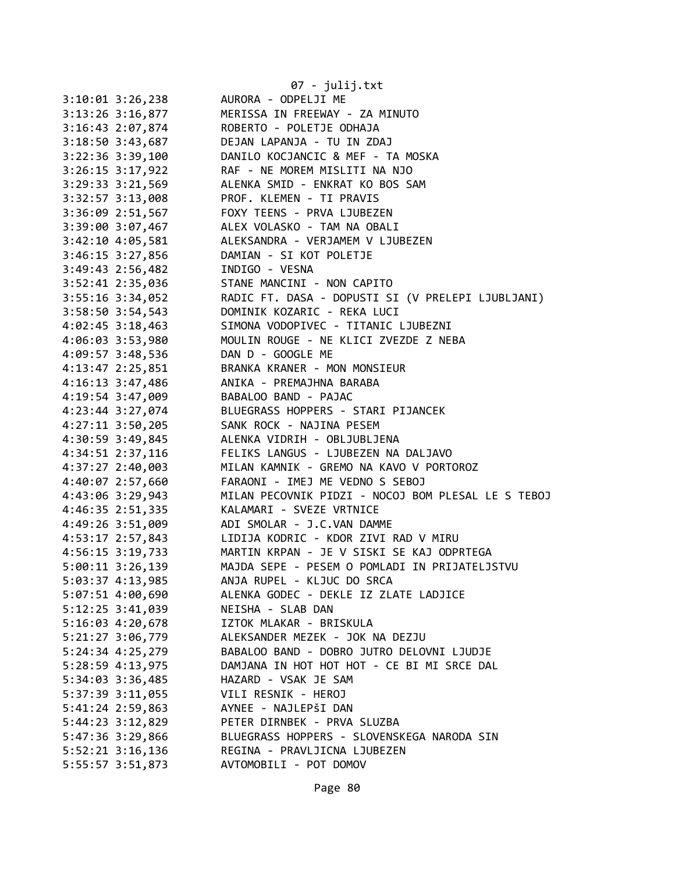|                                        | 07 - julij.txt                                     |
|----------------------------------------|----------------------------------------------------|
| $3:10:01$ $3:26,238$                   | AURORA - ODPELJI ME                                |
| $3:13:26$ $3:16,877$                   | MERISSA IN FREEWAY - ZA MINUTO                     |
| 3:16:43 2:07,874                       | ROBERTO - POLETJE ODHAJA                           |
| 3:18:50 3:43,687                       | DEJAN LAPANJA - TU IN ZDAJ                         |
| 3:22:36 3:39,100                       | DANILO KOCJANCIC & MEF - TA MOSKA                  |
| $3:26:15$ $3:17,922$                   | RAF - NE MOREM MISLITI NA NJO                      |
| $3:29:33$ $3:21,569$                   | ALENKA SMID - ENKRAT KO BOS SAM                    |
| 3:32:57 3:13,008                       | PROF. KLEMEN - TI PRAVIS                           |
| 3:36:09 2:51,567                       | FOXY TEENS - PRVA LJUBEZEN                         |
| 3:39:00 3:07,467                       | ALEX VOLASKO - TAM NA OBALI                        |
| 3:42:10 4:05,581                       | ALEKSANDRA - VERJAMEM V LJUBEZEN                   |
| 3:46:15 3:27,856                       | DAMIAN - SI KOT POLETJE                            |
| 3:49:43 2:56,482                       | INDIGO - VESNA                                     |
| 3:52:41 2:35,036                       | STANE MANCINI - NON CAPITO                         |
| 3:55:16 3:34,052                       | RADIC FT. DASA - DOPUSTI SI (V PRELEPI LJUBLJANI)  |
| 3:58:50 3:54,543                       | DOMINIK KOZARIC - REKA LUCI                        |
| $4:02:45$ 3:18,463                     | SIMONA VODOPIVEC - TITANIC LJUBEZNI                |
| 4:06:03 3:53,980                       | MOULIN ROUGE - NE KLICI ZVEZDE Z NEBA              |
| 4:09:57 3:48,536                       | DAN D - GOOGLE ME                                  |
|                                        | BRANKA KRANER - MON MONSIEUR                       |
| 4:13:47 2:25,851<br>$4:16:13$ 3:47,486 |                                                    |
|                                        | ANIKA - PREMAJHNA BARABA                           |
| 4:19:54 3:47,009                       | BABALOO BAND - PAJAC                               |
| 4:23:44 3:27,074                       | BLUEGRASS HOPPERS - STARI PIJANCEK                 |
| $4:27:11$ $3:50,205$                   | SANK ROCK - NAJINA PESEM                           |
| 4:30:59 3:49,845                       | ALENKA VIDRIH - OBLJUBLJENA                        |
| 4:34:51 2:37,116                       | FELIKS LANGUS - LJUBEZEN NA DALJAVO                |
| 4:37:27 2:40,003                       | MILAN KAMNIK - GREMO NA KAVO V PORTOROZ            |
| 4:40:07 2:57,660                       | FARAONI - IMEJ ME VEDNO S SEBOJ                    |
| 4:43:06 3:29,943                       | MILAN PECOVNIK PIDZI - NOCOJ BOM PLESAL LE S TEBOJ |
| 4:46:35 2:51,335                       | KALAMARI - SVEZE VRTNICE                           |
| 4:49:26 3:51,009                       | ADI SMOLAR - J.C.VAN DAMME                         |
| 4:53:17 2:57,843                       | LIDIJA KODRIC - KDOR ZIVI RAD V MIRU               |
| 4:56:15 3:19,733                       | MARTIN KRPAN - JE V SISKI SE KAJ ODPRTEGA          |
| 5:00:11 3:26,139                       | MAJDA SEPE - PESEM O POMLADI IN PRIJATELJSTVU      |
| 5:03:37 4:13,985                       | ANJA RUPEL - KLJUC DO SRCA                         |
| 5:07:51 4:00,690                       | ALENKA GODEC - DEKLE IZ ZLATE LADJICE              |
| 5:12:25 3:41,039                       | NEISHA - SLAB DAN                                  |
| 5:16:03 4:20,678                       | IZTOK MLAKAR - BRISKULA                            |
| 5:21:27 3:06,779                       | ALEKSANDER MEZEK - JOK NA DEZJU                    |
| 5:24:34 4:25,279                       | BABALOO BAND - DOBRO JUTRO DELOVNI LJUDJE          |
| 5:28:59 4:13,975                       | DAMJANA IN HOT HOT HOT - CE BI MI SRCE DAL         |
| 5:34:03 3:36,485                       | HAZARD - VSAK JE SAM                               |
| 5:37:39 3:11,055                       | VILI RESNIK - HEROJ                                |
| 5:41:24 2:59,863                       | AYNEE - NAJLEPŠI DAN                               |
| 5:44:23 3:12,829                       | PETER DIRNBEK - PRVA SLUZBA                        |
| 5:47:36 3:29,866                       | BLUEGRASS HOPPERS - SLOVENSKEGA NARODA SIN         |
| 5:52:21 3:16,136                       | REGINA - PRAVLJICNA LJUBEZEN                       |
| 5:55:57 3:51,873                       | AVTOMOBILI - POT DOMOV                             |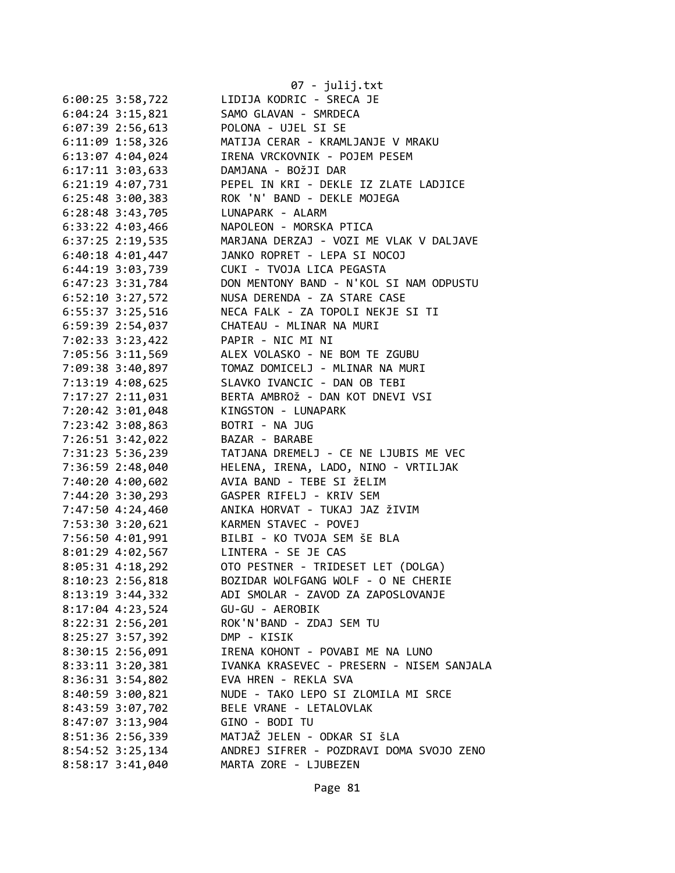|                      | 07 - julij.txt                            |
|----------------------|-------------------------------------------|
| $6:00:25$ 3:58,722   | LIDIJA KODRIC - SRECA JE                  |
| $6:04:24$ 3:15,821   | SAMO GLAVAN - SMRDECA                     |
| $6:07:39$ 2:56,613   | POLONA - UJEL SI SE                       |
| 6:11:09 1:58,326     | MATIJA CERAR - KRAMLJANJE V MRAKU         |
|                      | IRENA VRCKOVNIK - POJEM PESEM             |
| 6:13:07 4:04,024     | DAMJANA - BOŽJI DAR                       |
| 6:17:11 3:03,633     | PEPEL IN KRI - DEKLE IZ ZLATE LADJICE     |
| 6:21:19 4:07,731     |                                           |
| 6:25:48 3:00,383     | ROK 'N' BAND - DEKLE MOJEGA               |
| 6:28:48 3:43,705     | LUNAPARK - ALARM                          |
| 6:33:22 4:03,466     | NAPOLEON - MORSKA PTICA                   |
| 6:37:25 2:19,535     | MARJANA DERZAJ - VOZI ME VLAK V DALJAVE   |
| $6:40:18$ $4:01,447$ | JANKO ROPRET - LEPA SI NOCOJ              |
| 6:44:19 3:03,739     | CUKI - TVOJA LICA PEGASTA                 |
| 6:47:23 3:31,784     | DON MENTONY BAND - N'KOL SI NAM ODPUSTU   |
| $6:52:10$ 3:27,572   | NUSA DERENDA - ZA STARE CASE              |
| 6:55:37 3:25,516     | NECA FALK - ZA TOPOLI NEKJE SI TI         |
| 6:59:39 2:54,037     | CHATEAU - MLINAR NA MURI                  |
| 7:02:33 3:23,422     | PAPIR - NIC MI NI                         |
| 7:05:56 3:11,569     | ALEX VOLASKO - NE BOM TE ZGUBU            |
| 7:09:38 3:40,897     | TOMAZ DOMICELJ - MLINAR NA MURI           |
| 7:13:19 4:08,625     | SLAVKO IVANCIC - DAN OB TEBI              |
| 7:17:27 2:11,031     | BERTA AMBROŽ - DAN KOT DNEVI VSI          |
| 7:20:42 3:01,048     | KINGSTON - LUNAPARK                       |
| 7:23:42 3:08,863     | BOTRI - NA JUG                            |
| 7:26:51 3:42,022     | BAZAR - BARABE                            |
| 7:31:23 5:36,239     | TATJANA DREMELJ - CE NE LJUBIS ME VEC     |
| 7:36:59 2:48,040     | HELENA, IRENA, LADO, NINO - VRTILJAK      |
| 7:40:20 4:00,602     | AVIA BAND - TEBE SI ŽELIM                 |
| 7:44:20 3:30,293     | GASPER RIFELJ - KRIV SEM                  |
| 7:47:50 4:24,460     | ANIKA HORVAT - TUKAJ JAZ ŽIVIM            |
| 7:53:30 3:20,621     | KARMEN STAVEC - POVEJ                     |
| 7:56:50 4:01,991     | BILBI - KO TVOJA SEM ŠE BLA               |
| 8:01:29 4:02,567     | LINTERA - SE JE CAS                       |
| 8:05:31 4:18,292     | OTO PESTNER - TRIDESET LET (DOLGA)        |
| $8:10:23$ 2:56,818   | BOZIDAR WOLFGANG WOLF - O NE CHERIE       |
| $8:13:19$ 3:44,332   | ADI SMOLAR - ZAVOD ZA ZAPOSLOVANJE        |
| 8:17:04 4:23,524     | GU-GU - AEROBIK                           |
| $8:22:31$ $2:56,201$ | ROK'N'BAND - ZDAJ SEM TU                  |
| 8:25:27 3:57,392     | DMP - KISIK                               |
| 8:30:15 2:56,091     | IRENA KOHONT - POVABI ME NA LUNO          |
| 8:33:11 3:20,381     | IVANKA KRASEVEC - PRESERN - NISEM SANJALA |
| 8:36:31 3:54,802     | EVA HREN - REKLA SVA                      |
| 8:40:59 3:00,821     | NUDE - TAKO LEPO SI ZLOMILA MI SRCE       |
| 8:43:59 3:07,702     | BELE VRANE - LETALOVLAK                   |
| 8:47:07 3:13,904     | GINO - BODI TU                            |
|                      |                                           |
| 8:51:36 2:56,339     | MATJAŽ JELEN - ODKAR SI ŠLA               |
| 8:54:52 3:25,134     | ANDREJ SIFRER - POZDRAVI DOMA SVOJO ZENO  |
| 8:58:17 3:41,040     | MARTA ZORE - LJUBEZEN                     |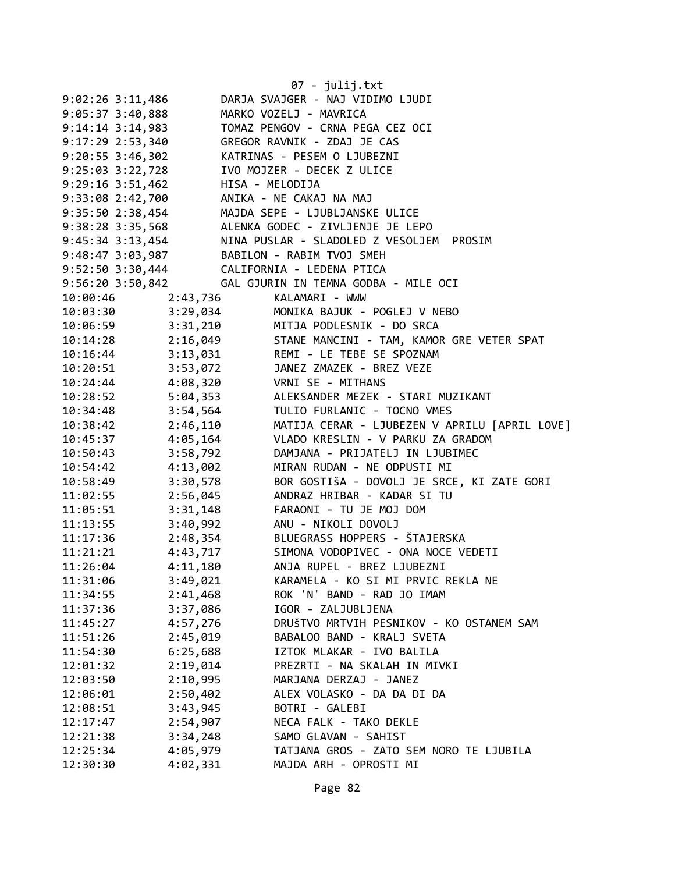|                                  |          | 07 - julij.txt                                                                                                  |
|----------------------------------|----------|-----------------------------------------------------------------------------------------------------------------|
| $9:02:26$ 3:11,486               |          | DARJA SVAJGER - NAJ VIDIMO LJUDI                                                                                |
| 9:05:37 3:40,888                 |          | MARKO VOZELJ - MAVRICA                                                                                          |
| $9:14:14$ 3:14,983               |          | TOMAZ PENGOV - CRNA PEGA CEZ OCI                                                                                |
| 9:17:29 2:53,340                 |          | GREGOR RAVNIK - ZDAJ JE CAS                                                                                     |
| $9:20:55$ 3:46,302               |          | KATRINAS - PESEM O LJUBEZNI                                                                                     |
| 9:25:03 3:22,728                 |          | IVO MOJZER - DECEK Z ULICE                                                                                      |
| 9:29:16 3:51,462 HISA - MELODIJA |          |                                                                                                                 |
|                                  |          |                                                                                                                 |
|                                  |          | 9:33:08 2:42,700<br>9:33:08 2:42,700 ANIKA - NE CAKAJ NA MAJ<br>9:35:50 2:38,454 MAJDA SEPE - LJUBLJANSKE ULICE |
|                                  |          | 9:38:28 3:35,568 ALENKA GODEC - ZIVLJENJE JE LEPO                                                               |
|                                  |          | 9:45:34 3:13,454 NINA PUSLAR - SLADOLED Z VESOLJEM PROSIM                                                       |
|                                  |          | 9:48:47 3:03,987 BABILON - RABIM TVOJ SMEH                                                                      |
|                                  |          | 9:52:50 3:30,444 CALIFORNIA - LEDENA PTICA                                                                      |
|                                  |          | 9:56:20 3:50,842 GAL GJURIN IN TEMNA GODBA - MILE OCI                                                           |
| 10:00:46                         | 2:43,736 | KALAMARI - WWW                                                                                                  |
| 10:03:30                         | 3:29,034 | MONIKA BAJUK - POGLEJ V NEBO                                                                                    |
| 10:06:59                         |          | 3:31,210 MITJA PODLESNIK - DO SRCA                                                                              |
| 10:14:28                         |          | 2:16,049 STANE MANCINI - TAM, KAMOR GRE VETER SPAT                                                              |
| 10:16:44                         |          | 3:13,031 REMI - LE TEBE SE SPOZNAM                                                                              |
| 10:20:51                         |          | 3:53,072 JANEZ ZMAZEK - BREZ VEZE                                                                               |
| 10:24:44                         |          | 4:08,320 VRNI SE - MITHANS                                                                                      |
| 10:28:52                         |          | 5:04,353 ALEKSANDER MEZEK - STARI MUZIKANT                                                                      |
| 10:34:48                         |          | 3:54,564 TULIO FURLANIC - TOCNO VMES                                                                            |
| 10:38:42                         |          | 2:46,110 MATIJA CERAR - LJUBEZEN V APRILU [APRIL LOVE]                                                          |
| 10:45:37                         |          | 4:05,164 VLADO KRESLIN - V PARKU ZA GRADOM                                                                      |
| 10:50:43                         | 3:58,792 | DAMJANA - PRIJATELJ IN LJUBIMEC                                                                                 |
| 10:54:42                         | 4:13,002 | MIRAN RUDAN - NE ODPUSTI MI                                                                                     |
| 10:58:49                         | 3:30,578 | BOR GOSTIŠA - DOVOLJ JE SRCE, KI ZATE GORI                                                                      |
| 11:02:55                         | 2:56,045 | ANDRAZ HRIBAR - KADAR SI TU                                                                                     |
| 11:05:51                         |          | 3:31,148 FARAONI - TU JE MOJ DOM                                                                                |
| 11:13:55                         |          | 3:40,992 ANU - NIKOLI DOVOLJ                                                                                    |
| 11:17:36                         |          | 2:48,354 BLUEGRASS HOPPERS - ŠTAJERSKA                                                                          |
| 11:21:21                         |          | 4:43,717 SIMONA VODOPIVEC - ONA NOCE VEDETI                                                                     |
| 11:26:04                         | 4:11,180 | ANJA RUPEL - BREZ LJUBEZNI                                                                                      |
| 11:31:06                         | 3:49,021 | KARAMELA - KO SI MI PRVIC REKLA NE                                                                              |
| 11:34:55                         | 2:41,468 | ROK 'N' BAND - RAD JO IMAM                                                                                      |
| 11:37:36                         | 3:37,086 | IGOR - ZALJUBLJENA                                                                                              |
| 11:45:27                         | 4:57,276 | DRUŠTVO MRTVIH PESNIKOV - KO OSTANEM SAM                                                                        |
| 11:51:26                         | 2:45,019 | BABALOO BAND - KRALJ SVETA                                                                                      |
| 11:54:30                         | 6:25,688 | IZTOK MLAKAR - IVO BALILA                                                                                       |
| 12:01:32                         | 2:19,014 | PREZRTI - NA SKALAH IN MIVKI                                                                                    |
| 12:03:50                         | 2:10,995 | MARJANA DERZAJ - JANEZ                                                                                          |
| 12:06:01                         | 2:50,402 | ALEX VOLASKO - DA DA DI DA                                                                                      |
| 12:08:51                         | 3:43,945 | BOTRI - GALEBI                                                                                                  |
| 12:17:47                         | 2:54,907 | NECA FALK - TAKO DEKLE                                                                                          |
| 12:21:38                         | 3:34,248 | SAMO GLAVAN - SAHIST                                                                                            |
| 12:25:34                         | 4:05,979 | TATJANA GROS - ZATO SEM NORO TE LJUBILA                                                                         |
| 12:30:30                         | 4:02,331 | MAJDA ARH - OPROSTI MI                                                                                          |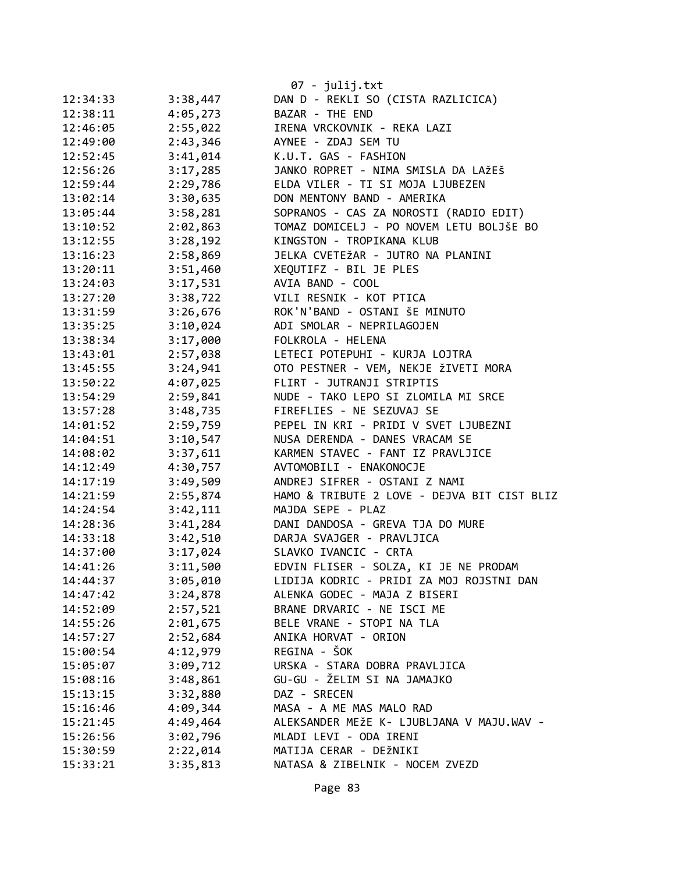|          |          | 07 - julij.txt                              |
|----------|----------|---------------------------------------------|
| 12:34:33 | 3:38,447 | DAN D - REKLI SO (CISTA RAZLICICA)          |
| 12:38:11 | 4:05,273 | BAZAR - THE END                             |
| 12:46:05 | 2:55,022 | IRENA VRCKOVNIK - REKA LAZI                 |
| 12:49:00 | 2:43,346 | AYNEE - ZDAJ SEM TU                         |
| 12:52:45 | 3:41,014 | K.U.T. GAS - FASHION                        |
| 12:56:26 | 3:17,285 | JANKO ROPRET - NIMA SMISLA DA LAŽEŠ         |
| 12:59:44 | 2:29,786 | ELDA VILER - TI SI MOJA LJUBEZEN            |
| 13:02:14 | 3:30,635 | DON MENTONY BAND - AMERIKA                  |
| 13:05:44 | 3:58,281 | SOPRANOS - CAS ZA NOROSTI (RADIO EDIT)      |
| 13:10:52 | 2:02,863 | TOMAZ DOMICELJ - PO NOVEM LETU BOLJŠE BO    |
| 13:12:55 | 3:28,192 | KINGSTON - TROPIKANA KLUB                   |
| 13:16:23 | 2:58,869 | JELKA CVETEŽAR - JUTRO NA PLANINI           |
| 13:20:11 | 3:51,460 | XEQUTIFZ - BIL JE PLES                      |
| 13:24:03 | 3:17,531 | AVIA BAND - COOL                            |
| 13:27:20 | 3:38,722 | VILI RESNIK - KOT PTICA                     |
| 13:31:59 | 3:26,676 | ROK'N'BAND - OSTANI ŠE MINUTO               |
| 13:35:25 | 3:10,024 | ADI SMOLAR - NEPRILAGOJEN                   |
| 13:38:34 | 3:17,000 | FOLKROLA - HELENA                           |
| 13:43:01 | 2:57,038 | LETECI POTEPUHI - KURJA LOJTRA              |
| 13:45:55 | 3:24,941 | OTO PESTNER - VEM, NEKJE ŽIVETI MORA        |
| 13:50:22 | 4:07,025 | FLIRT - JUTRANJI STRIPTIS                   |
| 13:54:29 | 2:59,841 | NUDE - TAKO LEPO SI ZLOMILA MI SRCE         |
| 13:57:28 | 3:48,735 | FIREFLIES - NE SEZUVAJ SE                   |
| 14:01:52 | 2:59,759 | PEPEL IN KRI - PRIDI V SVET LJUBEZNI        |
| 14:04:51 | 3:10,547 | NUSA DERENDA - DANES VRACAM SE              |
| 14:08:02 | 3:37,611 | KARMEN STAVEC - FANT IZ PRAVLJICE           |
| 14:12:49 | 4:30,757 | AVTOMOBILI - ENAKONOCJE                     |
| 14:17:19 | 3:49,509 | ANDREJ SIFRER - OSTANI Z NAMI               |
| 14:21:59 | 2:55,874 | HAMO & TRIBUTE 2 LOVE - DEJVA BIT CIST BLIZ |
| 14:24:54 | 3:42,111 | MAJDA SEPE - PLAZ                           |
| 14:28:36 | 3:41,284 | DANI DANDOSA - GREVA TJA DO MURE            |
| 14:33:18 | 3:42,510 | DARJA SVAJGER - PRAVLJICA                   |
| 14:37:00 | 3:17,024 | SLAVKO IVANCIC - CRTA                       |
| 14:41:26 | 3:11,500 | EDVIN FLISER - SOLZA, KI JE NE PRODAM       |
| 14:44:37 | 3:05,010 | LIDIJA KODRIC - PRIDI ZA MOJ ROJSTNI DAN    |
| 14:47:42 | 3:24,878 | ALENKA GODEC - MAJA Z BISERI                |
| 14:52:09 | 2:57,521 | BRANE DRVARIC - NE ISCI ME                  |
| 14:55:26 | 2:01,675 | BELE VRANE - STOPI NA TLA                   |
| 14:57:27 | 2:52,684 | ANIKA HORVAT - ORION                        |
| 15:00:54 | 4:12,979 | REGINA - ŠOK                                |
| 15:05:07 | 3:09,712 | URSKA - STARA DOBRA PRAVLJICA               |
| 15:08:16 | 3:48,861 | GU-GU - ŽELIM SI NA JAMAJKO                 |
| 15:13:15 | 3:32,880 | DAZ - SRECEN                                |
| 15:16:46 | 4:09,344 | MASA - A ME MAS MALO RAD                    |
| 15:21:45 | 4:49,464 | ALEKSANDER MEŽE K- LJUBLJANA V MAJU.WAV -   |
| 15:26:56 | 3:02,796 | MLADI LEVI - ODA IRENI                      |
| 15:30:59 | 2:22,014 | MATIJA CERAR - DEŽNIKI                      |
| 15:33:21 | 3:35,813 | NATASA & ZIBELNIK - NOCEM ZVEZD             |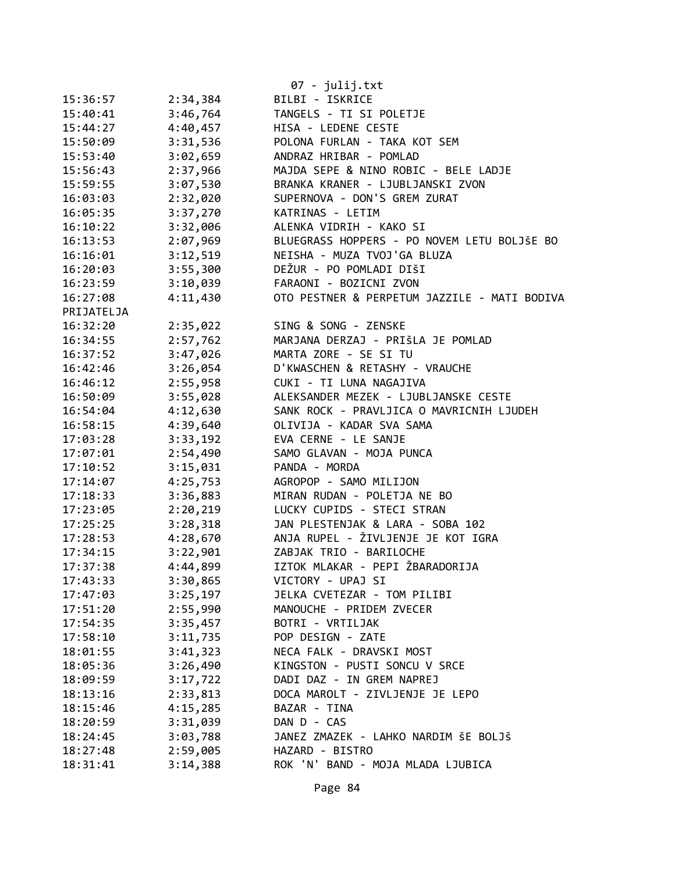|            |          | 07 - julij.txt                               |
|------------|----------|----------------------------------------------|
| 15:36:57   | 2:34,384 | BILBI - ISKRICE                              |
| 15:40:41   | 3:46,764 | TANGELS - TI SI POLETJE                      |
| 15:44:27   | 4:40,457 | HISA - LEDENE CESTE                          |
| 15:50:09   | 3:31,536 | POLONA FURLAN - TAKA KOT SEM                 |
| 15:53:40   | 3:02,659 | ANDRAZ HRIBAR - POMLAD                       |
| 15:56:43   | 2:37,966 | MAJDA SEPE & NINO ROBIC - BELE LADJE         |
| 15:59:55   | 3:07,530 | BRANKA KRANER - LJUBLJANSKI ZVON             |
| 16:03:03   | 2:32,020 | SUPERNOVA - DON'S GREM ZURAT                 |
| 16:05:35   | 3:37,270 | KATRINAS - LETIM                             |
| 16:10:22   | 3:32,006 | ALENKA VIDRIH - KAKO SI                      |
| 16:13:53   | 2:07,969 | BLUEGRASS HOPPERS - PO NOVEM LETU BOLJŠE BO  |
| 16:16:01   | 3:12,519 | NEISHA - MUZA TVOJ'GA BLUZA                  |
| 16:20:03   | 3:55,300 | DEŽUR - PO POMLADI DIŠI                      |
| 16:23:59   | 3:10,039 | FARAONI - BOZICNI ZVON                       |
| 16:27:08   | 4:11,430 | OTO PESTNER & PERPETUM JAZZILE - MATI BODIVA |
| PRIJATELJA |          |                                              |
| 16:32:20   | 2:35,022 | SING & SONG - ZENSKE                         |
| 16:34:55   | 2:57,762 | MARJANA DERZAJ - PRIŠLA JE POMLAD            |
| 16:37:52   | 3:47,026 | MARTA ZORE - SE SI TU                        |
| 16:42:46   | 3:26,054 | D'KWASCHEN & RETASHY - VRAUCHE               |
| 16:46:12   | 2:55,958 | CUKI - TI LUNA NAGAJIVA                      |
| 16:50:09   | 3:55,028 | ALEKSANDER MEZEK - LJUBLJANSKE CESTE         |
| 16:54:04   | 4:12,630 | SANK ROCK - PRAVLJICA O MAVRICNIH LJUDEH     |
| 16:58:15   | 4:39,640 | OLIVIJA - KADAR SVA SAMA                     |
| 17:03:28   | 3:33,192 | EVA CERNE - LE SANJE                         |
| 17:07:01   | 2:54,490 | SAMO GLAVAN - MOJA PUNCA                     |
| 17:10:52   | 3:15,031 | PANDA - MORDA                                |
| 17:14:07   | 4:25,753 | AGROPOP - SAMO MILIJON                       |
| 17:18:33   | 3:36,883 | MIRAN RUDAN - POLETJA NE BO                  |
| 17:23:05   | 2:20,219 | LUCKY CUPIDS - STECI STRAN                   |
| 17:25:25   | 3:28,318 | JAN PLESTENJAK & LARA - SOBA 102             |
| 17:28:53   | 4:28,670 | ANJA RUPEL - ŽIVLJENJE JE KOT IGRA           |
| 17:34:15   | 3:22,901 | ZABJAK TRIO - BARILOCHE                      |
| 17:37:38   | 4:44,899 | IZTOK MLAKAR - PEPI ŽBARADORIJA              |
| 17:43:33   | 3:30,865 | VICTORY - UPAJ SI                            |
| 17:47:03   | 3:25,197 | JELKA CVETEZAR - TOM PILIBI                  |
| 17:51:20   | 2:55,990 | MANOUCHE - PRIDEM ZVECER                     |
| 17:54:35   | 3:35,457 | BOTRI - VRTILJAK                             |
| 17:58:10   | 3:11,735 | POP DESIGN - ZATE                            |
| 18:01:55   | 3:41,323 | NECA FALK - DRAVSKI MOST                     |
| 18:05:36   | 3:26,490 | KINGSTON - PUSTI SONCU V SRCE                |
| 18:09:59   | 3:17,722 | DADI DAZ - IN GREM NAPREJ                    |
| 18:13:16   | 2:33,813 | DOCA MAROLT - ZIVLJENJE JE LEPO              |
| 18:15:46   | 4:15,285 | BAZAR - TINA                                 |
| 18:20:59   | 3:31,039 | DAN D - CAS                                  |
| 18:24:45   | 3:03,788 | JANEZ ZMAZEK - LAHKO NARDIM ŠE BOLJŠ         |
| 18:27:48   | 2:59,005 | HAZARD - BISTRO                              |
| 18:31:41   | 3:14,388 | ROK 'N' BAND - MOJA MLADA LJUBICA            |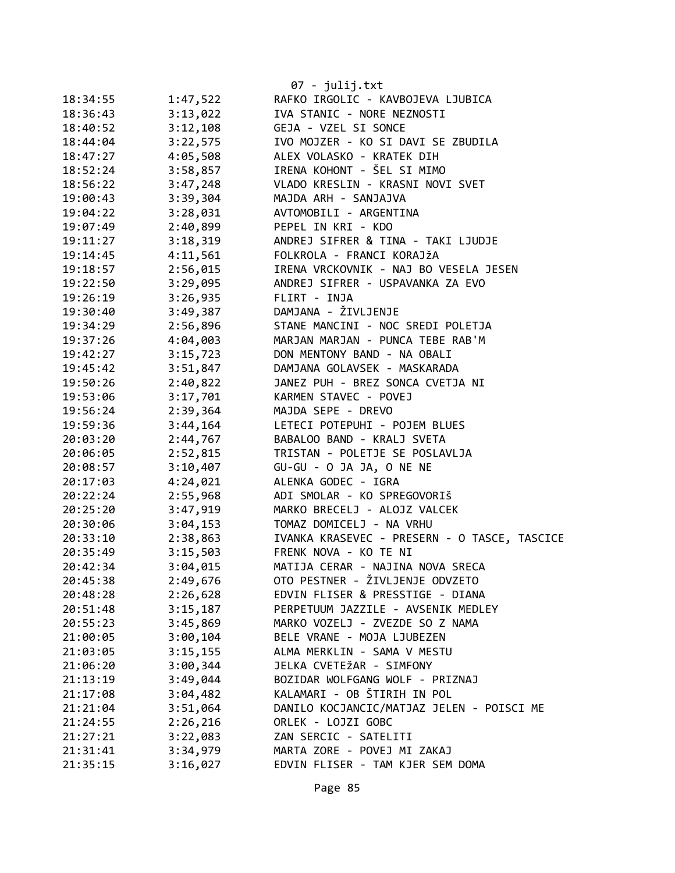| 18:34:55             | 1:47,522             | 07 - julij.txt<br>RAFKO IRGOLIC - KAVBOJEVA LJUBICA                   |
|----------------------|----------------------|-----------------------------------------------------------------------|
| 18:36:43             | 3:13,022             | IVA STANIC - NORE NEZNOSTI                                            |
| 18:40:52             | 3:12,108             | GEJA - VZEL SI SONCE                                                  |
| 18:44:04             | 3:22,575             | IVO MOJZER - KO SI DAVI SE ZBUDILA                                    |
| 18:47:27             | 4:05,508             | ALEX VOLASKO - KRATEK DIH                                             |
| 18:52:24             | 3:58,857             | IRENA KOHONT - ŠEL SI MIMO                                            |
| 18:56:22             | 3:47,248             | VLADO KRESLIN - KRASNI NOVI SVET                                      |
| 19:00:43             | 3:39,304             | MAJDA ARH - SANJAJVA                                                  |
| 19:04:22             | 3:28,031             | AVTOMOBILI - ARGENTINA                                                |
| 19:07:49             | 2:40,899             | PEPEL IN KRI - KDO                                                    |
| 19:11:27             | 3:18,319             | ANDREJ SIFRER & TINA - TAKI LJUDJE                                    |
| 19:14:45             | 4:11,561             | FOLKROLA - FRANCI KORAJŽA                                             |
| 19:18:57             | 2:56,015             | IRENA VRCKOVNIK - NAJ BO VESELA JESEN                                 |
| 19:22:50             | 3:29,095             | ANDREJ SIFRER - USPAVANKA ZA EVO                                      |
|                      |                      | FLIRT - INJA                                                          |
| 19:26:19             | 3:26,935             | DAMJANA - ŽIVLJENJE                                                   |
| 19:30:40             | 3:49,387             | STANE MANCINI - NOC SREDI POLETJA                                     |
| 19:34:29             | 2:56,896             | MARJAN MARJAN - PUNCA TEBE RAB'M                                      |
| 19:37:26<br>19:42:27 | 4:04,003             | DON MENTONY BAND - NA OBALI                                           |
|                      | 3:15,723<br>3:51,847 | DAMJANA GOLAVSEK - MASKARADA                                          |
| 19:45:42             |                      |                                                                       |
| 19:50:26             | 2:40,822             | JANEZ PUH - BREZ SONCA CVETJA NI<br>KARMEN STAVEC - POVEJ             |
| 19:53:06             | 3:17,701             |                                                                       |
| 19:56:24             | 2:39,364             | MAJDA SEPE - DREVO                                                    |
| 19:59:36             | 3:44,164             | LETECI POTEPUHI - POJEM BLUES                                         |
| 20:03:20             | 2:44,767             | BABALOO BAND - KRALJ SVETA<br>TRISTAN - POLETJE SE POSLAVLJA          |
| 20:06:05             | 2:52,815             |                                                                       |
| 20:08:57             | 3:10,407             | GU-GU - O JA JA, O NE NE<br>ALENKA GODEC - IGRA                       |
| 20:17:03<br>20:22:24 | 4:24,021<br>2:55,968 | ADI SMOLAR - KO SPREGOVORIŠ                                           |
| 20:25:20             | 3:47,919             | MARKO BRECELJ - ALOJZ VALCEK                                          |
| 20:30:06             | 3:04,153             | TOMAZ DOMICELJ - NA VRHU                                              |
| 20:33:10             | 2:38,863             |                                                                       |
| 20:35:49             | 3:15,503             | IVANKA KRASEVEC - PRESERN - O TASCE, TASCICE<br>FRENK NOVA - KO TE NI |
| 20:42:34             | 3:04,015             | MATIJA CERAR - NAJINA NOVA SRECA                                      |
| 20:45:38             | 2:49,676             | OTO PESTNER - ŽIVLJENJE ODVZETO                                       |
| 20:48:28             | 2:26,628             | EDVIN FLISER & PRESSTIGE - DIANA                                      |
| 20:51:48             | 3:15,187             | PERPETUUM JAZZILE - AVSENIK MEDLEY                                    |
| 20:55:23             | 3:45,869             | MARKO VOZELJ - ZVEZDE SO Z NAMA                                       |
| 21:00:05             | 3:00,104             | BELE VRANE - MOJA LJUBEZEN                                            |
| 21:03:05             | 3:15,155             | ALMA MERKLIN - SAMA V MESTU                                           |
| 21:06:20             | 3:00,344             | JELKA CVETEŽAR - SIMFONY                                              |
| 21:13:19             | 3:49,044             | BOZIDAR WOLFGANG WOLF - PRIZNAJ                                       |
| 21:17:08             | 3:04,482             | KALAMARI - OB ŠTIRIH IN POL                                           |
| 21:21:04             | 3:51,064             | DANILO KOCJANCIC/MATJAZ JELEN - POISCI ME                             |
| 21:24:55             | 2:26,216             | ORLEK - LOJZI GOBC                                                    |
| 21:27:21             | 3:22,083             | ZAN SERCIC - SATELITI                                                 |
| 21:31:41             | 3:34,979             | MARTA ZORE - POVEJ MI ZAKAJ                                           |
| 21:35:15             | 3:16,027             | EDVIN FLISER - TAM KJER SEM DOMA                                      |
|                      |                      |                                                                       |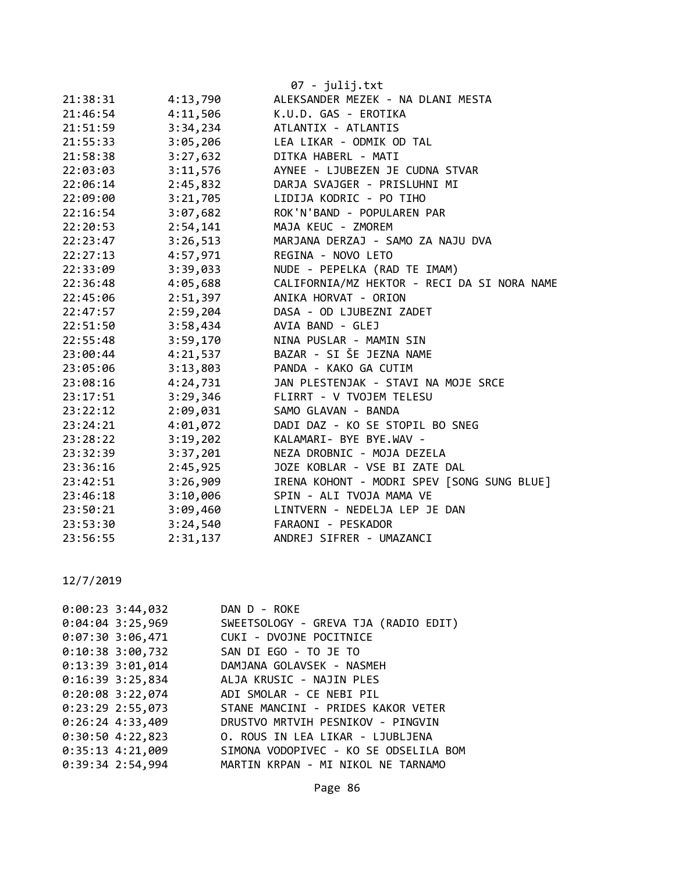|          |          | 07 - julij.txt                              |
|----------|----------|---------------------------------------------|
| 21:38:31 | 4:13,790 | ALEKSANDER MEZEK - NA DLANI MESTA           |
| 21:46:54 | 4:11,506 | K.U.D. GAS - EROTIKA                        |
| 21:51:59 | 3:34,234 | ATLANTIX - ATLANTIS                         |
| 21:55:33 | 3:05,206 | LEA LIKAR - ODMIK OD TAL                    |
| 21:58:38 | 3:27,632 | DITKA HABERL - MATI                         |
| 22:03:03 | 3:11,576 | AYNEE - LJUBEZEN JE CUDNA STVAR             |
| 22:06:14 | 2:45,832 | DARJA SVAJGER - PRISLUHNI MI                |
| 22:09:00 | 3:21,705 | LIDIJA KODRIC - PO TIHO                     |
| 22:16:54 | 3:07,682 | ROK'N'BAND - POPULAREN PAR                  |
| 22:20:53 | 2:54,141 | MAJA KEUC - ZMOREM                          |
| 22:23:47 | 3:26,513 | MARJANA DERZAJ - SAMO ZA NAJU DVA           |
| 22:27:13 | 4:57,971 | REGINA - NOVO LETO                          |
| 22:33:09 | 3:39,033 | NUDE - PEPELKA (RAD TE IMAM)                |
| 22:36:48 | 4:05,688 | CALIFORNIA/MZ HEKTOR - RECI DA SI NORA NAME |
| 22:45:06 | 2:51,397 | ANIKA HORVAT - ORION                        |
| 22:47:57 | 2:59,204 | DASA - OD LJUBEZNI ZADET                    |
| 22:51:50 | 3:58,434 | AVIA BAND - GLEJ                            |
| 22:55:48 | 3:59,170 | NINA PUSLAR - MAMIN SIN                     |
| 23:00:44 | 4:21,537 | BAZAR - SI ŠE JEZNA NAME                    |
| 23:05:06 | 3:13,803 | PANDA - KAKO GA CUTIM                       |
| 23:08:16 | 4:24,731 | JAN PLESTENJAK - STAVI NA MOJE SRCE         |
| 23:17:51 | 3:29,346 | FLIRRT - V TVOJEM TELESU                    |
| 23:22:12 | 2:09,031 | SAMO GLAVAN - BANDA                         |
| 23:24:21 | 4:01,072 | DADI DAZ - KO SE STOPIL BO SNEG             |
| 23:28:22 | 3:19,202 | KALAMARI- BYE BYE.WAV -                     |
| 23:32:39 | 3:37,201 | NEZA DROBNIC - MOJA DEZELA                  |
| 23:36:16 | 2:45,925 | JOZE KOBLAR - VSE BI ZATE DAL               |
| 23:42:51 | 3:26,909 | IRENA KOHONT - MODRI SPEV [SONG SUNG BLUE]  |
| 23:46:18 | 3:10,006 | SPIN - ALI TVOJA MAMA VE                    |
| 23:50:21 | 3:09,460 | LINTVERN - NEDELJA LEP JE DAN               |
| 23:53:30 | 3:24,540 | FARAONI - PESKADOR                          |
| 23:56:55 | 2:31,137 | ANDREJ SIFRER - UMAZANCI                    |

| $0:00:23$ 3:44,032 | DAN D - ROKE                               |
|--------------------|--------------------------------------------|
| $0:04:04$ 3:25,969 | SWEETSOLOGY - GREVA TJA (RADIO EDIT)       |
|                    | 0:07:30 3:06,471 CUKI - DVOJNE POCITNICE   |
| $0:10:38$ 3:00,732 | SAN DI EGO - TO JE TO                      |
|                    | 0:13:39 3:01,014 DAMJANA GOLAVSEK - NASMEH |
|                    | 0:16:39 3:25,834 ALJA KRUSIC - NAJIN PLES  |
|                    | 0:20:08 3:22,074 ADI SMOLAR - CE NEBI PIL  |
| $0:23:29$ 2:55,073 | STANE MANCINI - PRIDES KAKOR VETER         |
| $0:26:24$ 4:33,409 | DRUSTVO MRTVIH PESNIKOV - PINGVIN          |
| $0:30:50$ 4:22,823 | O. ROUS IN LEA LIKAR - LJUBLJENA           |
| $0:35:13$ 4:21,009 | SIMONA VODOPIVEC - KO SE ODSELILA BOM      |
| $0:39:34$ 2:54,994 | MARTIN KRPAN - MI NIKOL NE TARNAMO         |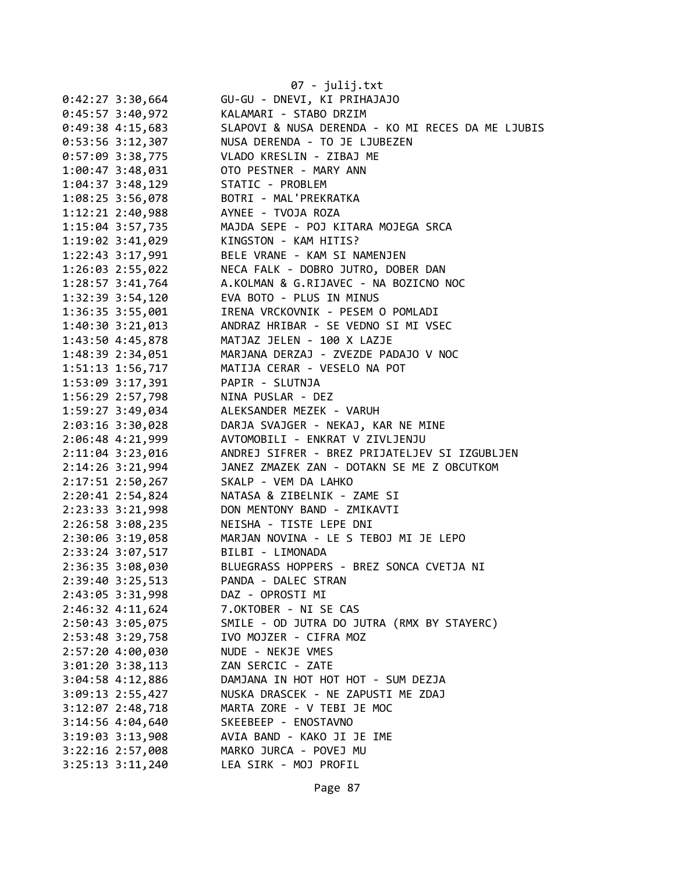|                      | 07 - julij.txt                                         |
|----------------------|--------------------------------------------------------|
| $0:42:27$ 3:30,664   | GU-GU - DNEVI, KI PRIHAJAJO                            |
| $0:45:57$ 3:40,972   | KALAMARI - STABO DRZIM                                 |
| $0:49:38$ 4:15,683   | SLAPOVI & NUSA DERENDA - KO MI RECES DA ME LJUBIS      |
| $0:53:56$ 3:12,307   | NUSA DERENDA - TO JE LJUBEZEN                          |
| $0:57:09$ 3:38,775   | VLADO KRESLIN - ZIBAJ ME                               |
| 1:00:47 3:48,031     | OTO PESTNER - MARY ANN                                 |
| $1:04:37$ 3:48,129   | STATIC - PROBLEM                                       |
| $1:08:25$ 3:56,078   | BOTRI - MAL'PREKRATKA                                  |
| $1:12:21$ $2:40,988$ | AYNEE - TVOJA ROZA                                     |
| 1:15:04 3:57,735     | MAJDA SEPE - POJ KITARA MOJEGA SRCA                    |
| 1:19:02 3:41,029     | KINGSTON - KAM HITIS?                                  |
| 1:22:43 3:17,991     | BELE VRANE - KAM SI NAMENJEN                           |
| 1:26:03 2:55,022     | NECA FALK - DOBRO JUTRO, DOBER DAN                     |
|                      | 1:28:57 3:41,764 A.KOLMAN & G.RIJAVEC - NA BOZICNO NOC |
|                      | 1:32:39 3:54,120 EVA BOTO - PLUS IN MINUS              |
| 1:36:35 3:55,001     | IRENA VRCKOVNIK - PESEM O POMLADI                      |
| $1:40:30$ $3:21,013$ | ANDRAZ HRIBAR - SE VEDNO SI MI VSEC                    |
| 1:43:50 4:45,878     | MATJAZ JELEN - 100 X LAZJE                             |
| 1:48:39 2:34,051     | MARJANA DERZAJ - ZVEZDE PADAJO V NOC                   |
| 1:51:13 1:56,717     | MATIJA CERAR - VESELO NA POT                           |
| $1:53:09$ $3:17,391$ | PAPIR - SLUTNJA                                        |
| 1:56:29 2:57,798     | NINA PUSLAR - DEZ                                      |
| 1:59:27 3:49,034     | ALEKSANDER MEZEK - VARUH                               |
| 2:03:16 3:30,028     | DARJA SVAJGER - NEKAJ, KAR NE MINE                     |
| 2:06:48 4:21,999     | AVTOMOBILI - ENKRAT V ZIVLJENJU                        |
| 2:11:04 3:23,016     | ANDREJ SIFRER - BREZ PRIJATELJEV SI IZGUBLJEN          |
| 2:14:26 3:21,994     | JANEZ ZMAZEK ZAN - DOTAKN SE ME Z OBCUTKOM             |
| 2:17:51 2:50,267     | SKALP - VEM DA LAHKO                                   |
| 2:20:41 2:54,824     | NATASA & ZIBELNIK - ZAME SI                            |
| 2:23:33 3:21,998     | DON MENTONY BAND - ZMIKAVTI                            |
| $2:26:58$ 3:08,235   | NEISHA - TISTE LEPE DNI                                |
| 2:30:06 3:19,058     | MARJAN NOVINA - LE S TEBOJ MI JE LEPO                  |
| 2:33:24 3:07,517     | BILBI - LIMONADA                                       |
| 2:36:35 3:08,030     | BLUEGRASS HOPPERS - BREZ SONCA CVETJA NI               |
| 2:39:40 3:25,513     | PANDA - DALEC STRAN                                    |
| 2:43:05 3:31,998     | DAZ - OPROSTI MI                                       |
| $2:46:32$ 4:11,624   | 7.OKTOBER - NI SE CAS                                  |
| 2:50:43 3:05,075     | SMILE - OD JUTRA DO JUTRA (RMX BY STAYERC)             |
| 2:53:48 3:29,758     | IVO MOJZER - CIFRA MOZ                                 |
| 2:57:20 4:00,030     | NUDE - NEKJE VMES                                      |
| 3:01:20 3:38,113     | ZAN SERCIC - ZATE                                      |
| $3:04:58$ 4:12,886   | DAMJANA IN HOT HOT HOT - SUM DEZJA                     |
| 3:09:13 2:55,427     | NUSKA DRASCEK - NE ZAPUSTI ME ZDAJ                     |
| 3:12:07 2:48,718     | MARTA ZORE - V TEBI JE MOC                             |
| 3:14:56 4:04,640     | SKEEBEEP - ENOSTAVNO                                   |
| 3:19:03 3:13,908     | AVIA BAND - KAKO JI JE IME                             |
| 3:22:16 2:57,008     | MARKO JURCA - POVEJ MU                                 |
| 3:25:13 3:11,240     | LEA SIRK - MOJ PROFIL                                  |
|                      |                                                        |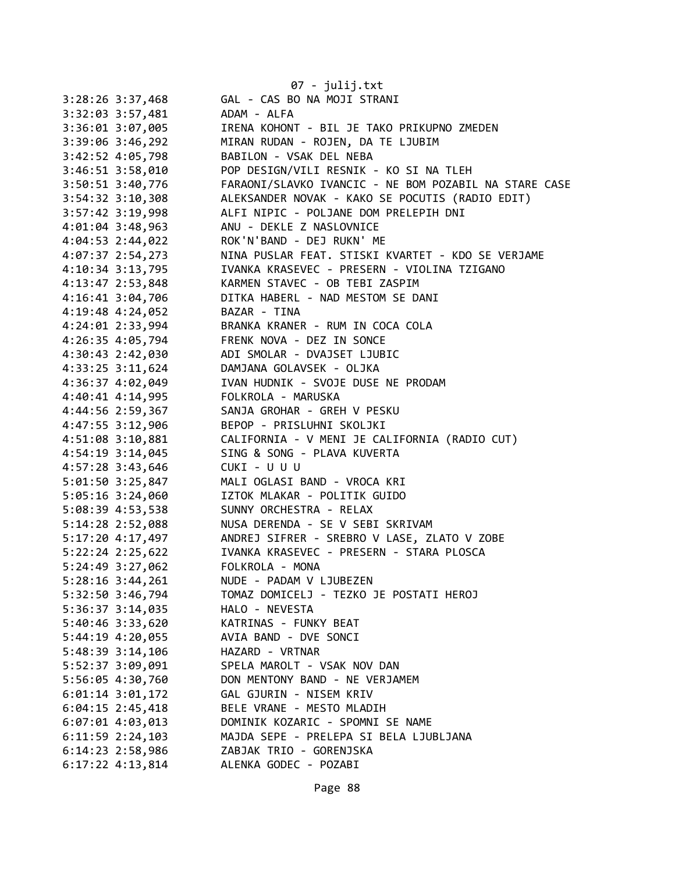|                      | 07 - julij.txt                                        |
|----------------------|-------------------------------------------------------|
| 3:28:26 3:37,468     | GAL - CAS BO NA MOJI STRANI                           |
| 3:32:03 3:57,481     | ADAM - ALFA                                           |
| 3:36:01 3:07,005     | IRENA KOHONT - BIL JE TAKO PRIKUPNO ZMEDEN            |
| 3:39:06 3:46,292     | MIRAN RUDAN - ROJEN, DA TE LJUBIM                     |
| 3:42:52 4:05,798     | BABILON - VSAK DEL NEBA                               |
| $3:46:51$ $3:58,010$ | POP DESIGN/VILI RESNIK - KO SI NA TLEH                |
| 3:50:51 3:40,776     | FARAONI/SLAVKO IVANCIC - NE BOM POZABIL NA STARE CASE |
| $3:54:32$ $3:10,308$ | ALEKSANDER NOVAK - KAKO SE POCUTIS (RADIO EDIT)       |
| 3:57:42 3:19,998     | ALFI NIPIC - POLJANE DOM PRELEPIH DNI                 |
| 4:01:04 3:48,963     | ANU - DEKLE Z NASLOVNICE                              |
| $4:04:53$ 2:44,022   | ROK'N'BAND - DEJ RUKN' ME                             |
| 4:07:37 2:54,273     | NINA PUSLAR FEAT. STISKI KVARTET - KDO SE VERJAME     |
| 4:10:34 3:13,795     | IVANKA KRASEVEC - PRESERN - VIOLINA TZIGANO           |
| 4:13:47 2:53,848     | KARMEN STAVEC - OB TEBI ZASPIM                        |
| 4:16:41 3:04,706     | DITKA HABERL - NAD MESTOM SE DANI                     |
| $4:19:48$ $4:24,052$ | BAZAR - TINA                                          |
| 4:24:01 2:33,994     | BRANKA KRANER - RUM IN COCA COLA                      |
| 4:26:35 4:05,794     | FRENK NOVA - DEZ IN SONCE                             |
| $4:30:43$ $2:42,030$ | ADI SMOLAR - DVAJSET LJUBIC                           |
| $4:33:25$ $3:11,624$ | DAMJANA GOLAVSEK - OLJKA                              |
| 4:36:37 4:02,049     | IVAN HUDNIK - SVOJE DUSE NE PRODAM                    |
| $4:40:41$ $4:14,995$ | FOLKROLA - MARUSKA                                    |
| 4:44:56 2:59,367     | SANJA GROHAR - GREH V PESKU                           |
| 4:47:55 3:12,906     | BEPOP - PRISLUHNI SKOLJKI                             |
| 4:51:08 3:10,881     | CALIFORNIA - V MENI JE CALIFORNIA (RADIO CUT)         |
| 4:54:19 3:14,045     | SING & SONG - PLAVA KUVERTA                           |
| 4:57:28 3:43,646     | CUKI - U U U                                          |
| $5:01:50$ 3:25,847   | MALI OGLASI BAND - VROCA KRI                          |
| $5:05:16$ 3:24,060   | IZTOK MLAKAR - POLITIK GUIDO                          |
| 5:08:39 4:53,538     | SUNNY ORCHESTRA - RELAX                               |
| 5:14:28 2:52,088     | NUSA DERENDA - SE V SEBI SKRIVAM                      |
| 5:17:20 4:17,497     | ANDREJ SIFRER - SREBRO V LASE, ZLATO V ZOBE           |
| $5:22:24$ $2:25,622$ | IVANKA KRASEVEC - PRESERN - STARA PLOSCA              |
| 5:24:49 3:27,062     | FOLKROLA - MONA                                       |
| 5:28:16 3:44,261     | NUDE - PADAM V LJUBEZEN                               |
| 5:32:50 3:46,794     | TOMAZ DOMICELJ - TEZKO JE POSTATI HEROJ               |
| 5:36:37 3:14,035     | HALO - NEVESTA                                        |
| 5:40:46 3:33,620     | KATRINAS - FUNKY BEAT                                 |
| 5:44:19 4:20,055     | AVIA BAND - DVE SONCI                                 |
| 5:48:39 3:14,106     | HAZARD - VRTNAR                                       |
| 5:52:37 3:09,091     | SPELA MAROLT - VSAK NOV DAN                           |
| 5:56:05 4:30,760     | DON MENTONY BAND - NE VERJAMEM                        |
| $6:01:14$ 3:01,172   | GAL GJURIN - NISEM KRIV                               |
| $6:04:15$ 2:45,418   | BELE VRANE - MESTO MLADIH                             |
| $6:07:01$ 4:03,013   | DOMINIK KOZARIC - SPOMNI SE NAME                      |
| $6:11:59$ $2:24,103$ | MAJDA SEPE - PRELEPA SI BELA LJUBLJANA                |
| 6:14:23 2:58,986     | ZABJAK TRIO - GORENJSKA                               |
| $6:17:22$ 4:13,814   | ALENKA GODEC - POZABI                                 |
|                      |                                                       |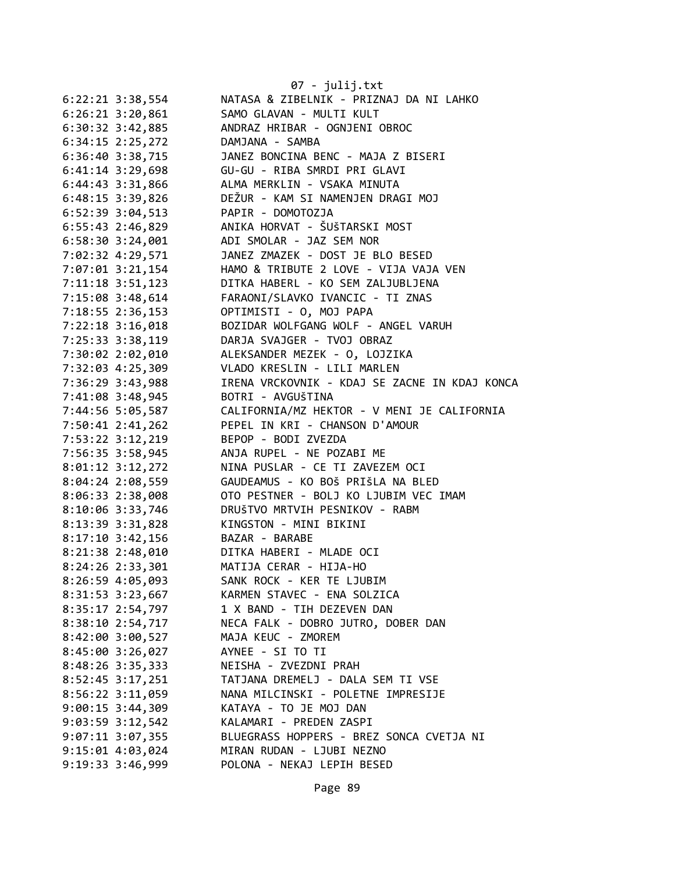|                      | $07 - julij.txt$                              |
|----------------------|-----------------------------------------------|
| $6:22:21$ 3:38,554   | NATASA & ZIBELNIK - PRIZNAJ DA NI LAHKO       |
| $6:26:21$ $3:20,861$ | SAMO GLAVAN - MULTI KULT                      |
| 6:30:32 3:42,885     | ANDRAZ HRIBAR - OGNJENI OBROC                 |
| 6:34:15 2:25,272     | DAMJANA - SAMBA                               |
| 6:36:40 3:38,715     | JANEZ BONCINA BENC - MAJA Z BISERI            |
| 6:41:14 3:29,698     | GU-GU - RIBA SMRDI PRI GLAVI                  |
| 6:44:43 3:31,866     | ALMA MERKLIN - VSAKA MINUTA                   |
| 6:48:15 3:39,826     | DEŽUR - KAM SI NAMENJEN DRAGI MOJ             |
| 6:52:39 3:04,513     | PAPIR - DOMOTOZJA                             |
| 6:55:43 2:46,829     | ANIKA HORVAT - ŠUŠTARSKI MOST                 |
| $6:58:30$ $3:24,001$ | ADI SMOLAR - JAZ SEM NOR                      |
| 7:02:32 4:29,571     | JANEZ ZMAZEK - DOST JE BLO BESED              |
| 7:07:01 3:21,154     | HAMO & TRIBUTE 2 LOVE - VIJA VAJA VEN         |
| 7:11:18 3:51,123     | DITKA HABERL - KO SEM ZALJUBLJENA             |
| 7:15:08 3:48,614     | FARAONI/SLAVKO IVANCIC - TI ZNAS              |
| 7:18:55 2:36,153     | OPTIMISTI - O, MOJ PAPA                       |
| 7:22:18 3:16,018     | BOZIDAR WOLFGANG WOLF - ANGEL VARUH           |
| 7:25:33 3:38,119     | DARJA SVAJGER - TVOJ OBRAZ                    |
| 7:30:02 2:02,010     | ALEKSANDER MEZEK - 0, LOJZIKA                 |
| 7:32:03 4:25,309     | VLADO KRESLIN - LILI MARLEN                   |
| 7:36:29 3:43,988     | IRENA VRCKOVNIK - KDAJ SE ZACNE IN KDAJ KONCA |
| 7:41:08 3:48,945     | BOTRI - AVGUŠTINA                             |
| 7:44:56 5:05,587     | CALIFORNIA/MZ HEKTOR - V MENI JE CALIFORNIA   |
| 7:50:41 2:41,262     | PEPEL IN KRI - CHANSON D'AMOUR                |
| 7:53:22 3:12,219     | BEPOP - BODI ZVEZDA                           |
| 7:56:35 3:58,945     | ANJA RUPEL - NE POZABI ME                     |
| 8:01:12 3:12,272     | NINA PUSLAR - CE TI ZAVEZEM OCI               |
| 8:04:24 2:08,559     | GAUDEAMUS - KO BOŠ PRIŠLA NA BLED             |
| 8:06:33 2:38,008     | OTO PESTNER - BOLJ KO LJUBIM VEC IMAM         |
| 8:10:06 3:33,746     | DRUŠTVO MRTVIH PESNIKOV - RABM                |
| 8:13:39 3:31,828     | KINGSTON - MINI BIKINI                        |
| $8:17:10$ 3:42,156   | BAZAR - BARABE                                |
| 8:21:38 2:48,010     | DITKA HABERI - MLADE OCI                      |
| 8:24:26 2:33,301     | MATIJA CERAR - HIJA-HO                        |
| 8:26:59 4:05,093     | SANK ROCK - KER TE LJUBIM                     |
| 8:31:53 3:23,667     | KARMEN STAVEC - ENA SOLZICA                   |
| 8:35:17 2:54,797     | 1 X BAND - TIH DEZEVEN DAN                    |
| 8:38:10 2:54,717     | NECA FALK - DOBRO JUTRO, DOBER DAN            |
| 8:42:00 3:00,527     | MAJA KEUC - ZMOREM                            |
| 8:45:00 3:26,027     | AYNEE - SI TO TI                              |
| 8:48:26 3:35,333     | NEISHA - ZVEZDNI PRAH                         |
| 8:52:45 3:17,251     | TATJANA DREMELJ - DALA SEM TI VSE             |
| 8:56:22 3:11,059     | NANA MILCINSKI - POLETNE IMPRESIJE            |
| 9:00:15 3:44,309     | KATAYA - TO JE MOJ DAN                        |
| $9:03:59$ 3:12,542   | KALAMARI - PREDEN ZASPI                       |
| $9:07:11$ 3:07,355   | BLUEGRASS HOPPERS - BREZ SONCA CVETJA NI      |
| 9:15:01 4:03,024     | MIRAN RUDAN - LJUBI NEZNO                     |
| 9:19:33 3:46,999     | POLONA - NEKAJ LEPIH BESED                    |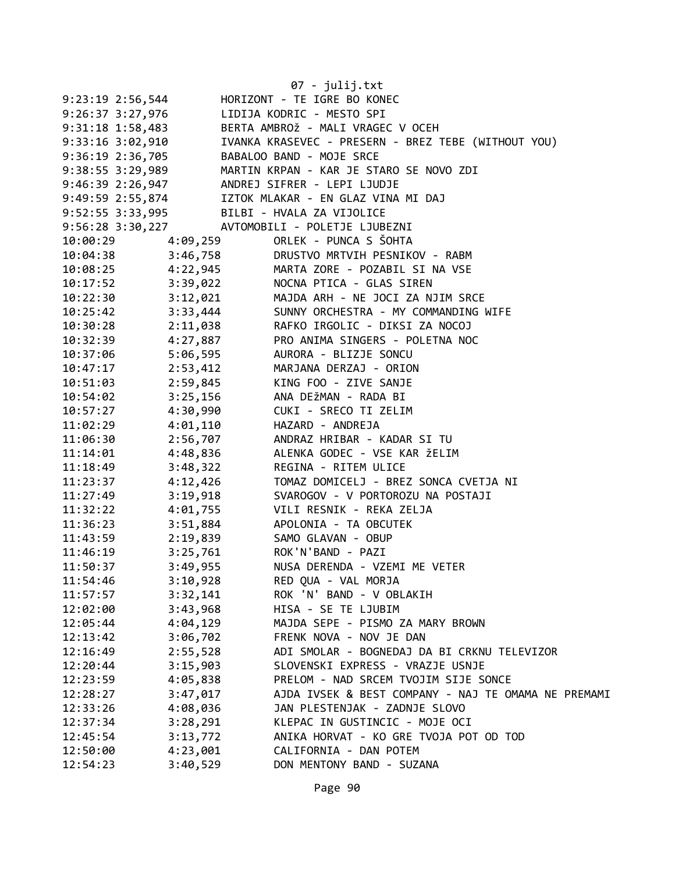|                      |                   | 07 - julij.txt                                                                                                                                                                                    |
|----------------------|-------------------|---------------------------------------------------------------------------------------------------------------------------------------------------------------------------------------------------|
| $9:23:19$ $2:56,544$ |                   | HORIZONT - TE IGRE BO KONEC                                                                                                                                                                       |
| $9:26:37$ $3:27,976$ |                   | LIDIJA KODRIC - MESTO SPI                                                                                                                                                                         |
| $9:31:18$ 1:58,483   |                   | BERTA AMBROŽ - MALI VRAGEC V OCEH                                                                                                                                                                 |
| 9:33:16 3:02,910     |                   | IVANKA KRASEVEC - PRESERN - BREZ TEBE (WITHOUT YOU)                                                                                                                                               |
| 9:36:19 2:36,705     |                   | BABALOO BAND - MOJE SRCE                                                                                                                                                                          |
| 9:38:55 3:29,989     |                   | MARTIN KRPAN - KAR JE STARO SE NOVO ZDI                                                                                                                                                           |
|                      |                   |                                                                                                                                                                                                   |
|                      |                   | 9:30:33 3:23,332<br>9:46:39 2:26,947 ANDREJ SIFRER - LEPI LJUDJE<br>9:49:59 2:55,874 IZTOK MLAKAR - EN GLAZ VINA<br>IZTOK MLAKAR - EN GLAZ VINA MI DAJ                                            |
|                      |                   | 9:52:55 3:33,995 BILBI - HVALA ZA VIJOLICE                                                                                                                                                        |
|                      |                   | 9:56:28 3:30,227 AVTOMOBILI - POLETJE LJUBEZNI                                                                                                                                                    |
|                      | 10:00:29 4:09,259 | ORLEK - PUNCA S ŠOHTA                                                                                                                                                                             |
|                      |                   | 10:04:38 3:46,758 DRUSTVO MRTVIH PESNIKOV - RABM                                                                                                                                                  |
|                      |                   | 10:08:25 4:22,945 MARTA ZORE - POZABIL SI NA VSE                                                                                                                                                  |
|                      |                   |                                                                                                                                                                                                   |
|                      |                   |                                                                                                                                                                                                   |
|                      |                   | 10:17:52<br>10:22:30<br>10:25:42<br>10:25:42<br>10:25:42<br>10:25:42<br>10:25:42<br>10:25:42<br>10:25:42<br>10:25:42<br>10:25:42<br>10:25:42<br>20:33,444<br>SUNNY ORCHESTRA - MY COMMANDING WIFE |
|                      |                   | 10:30:28 2:11,038 RAFKO IRGOLIC - DIKSI ZA NOCOJ                                                                                                                                                  |
|                      |                   | 10:32:39 4:27,887 PRO ANIMA SINGERS - POLETNA NOC                                                                                                                                                 |
| 10:37:06             |                   |                                                                                                                                                                                                   |
| 10:47:17             |                   | 2:53,412 MARJANA DERZAJ - ORION                                                                                                                                                                   |
| 10:51:03             | 2:59,845          | KING FOO - ZIVE SANJE                                                                                                                                                                             |
| 10:54:02             | 3:25,156          | ANA DEŽMAN - RADA BI                                                                                                                                                                              |
| 10:57:27             | 4:30,990          | CUKI - SRECO TI ZELIM                                                                                                                                                                             |
| 11:02:29             | 4:01,110          | HAZARD - ANDREJA                                                                                                                                                                                  |
| 11:06:30             |                   | 2:56,707 ANDRAZ HRIBAR - KADAR SI TU                                                                                                                                                              |
| 11:14:01             | 4:48,836          | ALENKA GODEC - VSE KAR ŽELIM                                                                                                                                                                      |
| 11:18:49             | 3:48,322          | REGINA - RITEM ULICE                                                                                                                                                                              |
| 11:23:37             | 4:12,426          | TOMAZ DOMICELJ - BREZ SONCA CVETJA NI                                                                                                                                                             |
| 11:27:49             | 3:19,918          | SVAROGOV - V PORTOROZU NA POSTAJI                                                                                                                                                                 |
| 11:32:22             |                   | 4:01,755 VILI RESNIK - REKA ZELJA                                                                                                                                                                 |
| 11:36:23             |                   | 3:51,884 APOLONIA - TA OBCUTEK                                                                                                                                                                    |
| 11:43:59             |                   | 2:19,839 SAMO GLAVAN - OBUP                                                                                                                                                                       |
| 11:46:19             |                   | 3:25,761 ROK'N'BAND - PAZI                                                                                                                                                                        |
| 11:50:37             | 3:49,955          | NUSA DERENDA - VZEMI ME VETER                                                                                                                                                                     |
| 11:54:46             | 3:10,928          | RED QUA - VAL MORJA                                                                                                                                                                               |
| 11:57:57             | 3:32,141          | ROK 'N' BAND - V OBLAKIH                                                                                                                                                                          |
| 12:02:00             | 3:43,968          | HISA - SE TE LJUBIM                                                                                                                                                                               |
| 12:05:44             | 4:04,129          | MAJDA SEPE - PISMO ZA MARY BROWN                                                                                                                                                                  |
| 12:13:42             | 3:06,702          | FRENK NOVA - NOV JE DAN                                                                                                                                                                           |
| 12:16:49             | 2:55,528          | ADI SMOLAR - BOGNEDAJ DA BI CRKNU TELEVIZOR                                                                                                                                                       |
| 12:20:44             | 3:15,903          | SLOVENSKI EXPRESS - VRAZJE USNJE                                                                                                                                                                  |
| 12:23:59             | 4:05,838          | PRELOM - NAD SRCEM TVOJIM SIJE SONCE                                                                                                                                                              |
| 12:28:27             | 3:47,017          | AJDA IVSEK & BEST COMPANY - NAJ TE OMAMA NE PREMAMI                                                                                                                                               |
| 12:33:26             | 4:08,036          | JAN PLESTENJAK - ZADNJE SLOVO                                                                                                                                                                     |
| 12:37:34             | 3:28,291          | KLEPAC IN GUSTINCIC - MOJE OCI                                                                                                                                                                    |
| 12:45:54             | 3:13,772          | ANIKA HORVAT - KO GRE TVOJA POT OD TOD                                                                                                                                                            |
| 12:50:00             | 4:23,001          | CALIFORNIA - DAN POTEM                                                                                                                                                                            |
| 12:54:23             | 3:40,529          | DON MENTONY BAND - SUZANA                                                                                                                                                                         |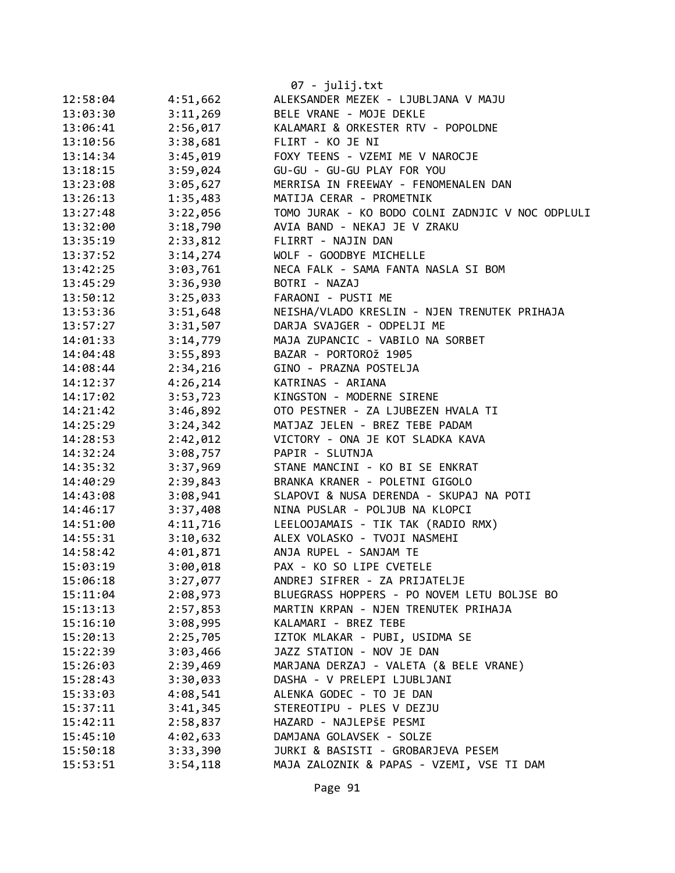|          |          | 07 - julij.txt                                                             |
|----------|----------|----------------------------------------------------------------------------|
| 12:58:04 | 4:51,662 | ALEKSANDER MEZEK - LJUBLJANA V MAJU                                        |
| 13:03:30 | 3:11,269 | BELE VRANE - MOJE DEKLE                                                    |
| 13:06:41 | 2:56,017 | KALAMARI & ORKESTER RTV - POPOLDNE                                         |
| 13:10:56 | 3:38,681 | FLIRT - KO JE NI                                                           |
| 13:14:34 | 3:45,019 | FOXY TEENS - VZEMI ME V NAROCJE                                            |
| 13:18:15 | 3:59,024 | GU-GU - GU-GU PLAY FOR YOU                                                 |
| 13:23:08 | 3:05,627 | MERRISA IN FREEWAY - FENOMENALEN DAN                                       |
| 13:26:13 | 1:35,483 | MATIJA CERAR - PROMETNIK                                                   |
| 13:27:48 | 3:22,056 | TOMO JURAK - KO BODO COLNI ZADNJIC V NOC ODPLULI                           |
| 13:32:00 | 3:18,790 | AVIA BAND - NEKAJ JE V ZRAKU                                               |
| 13:35:19 | 2:33,812 | FLIRRT - NAJIN DAN                                                         |
| 13:37:52 | 3:14,274 | WOLF - GOODBYE MICHELLE                                                    |
|          | 3:03,761 | NECA FALK - SAMA FANTA NASLA SI BOM                                        |
| 13:42:25 |          |                                                                            |
| 13:45:29 | 3:36,930 | BOTRI - NAZAJ                                                              |
| 13:50:12 | 3:25,033 | FARAONI - PUSTI ME                                                         |
| 13:53:36 | 3:51,648 | NEISHA/VLADO KRESLIN - NJEN TRENUTEK PRIHAJA<br>DARJA SVAJGER - ODPELJI ME |
| 13:57:27 | 3:31,507 |                                                                            |
| 14:01:33 | 3:14,779 | MAJA ZUPANCIC - VABILO NA SORBET                                           |
| 14:04:48 | 3:55,893 | BAZAR - PORTOROŽ 1905                                                      |
| 14:08:44 | 2:34,216 | GINO - PRAZNA POSTELJA                                                     |
| 14:12:37 | 4:26,214 | KATRINAS - ARIANA                                                          |
| 14:17:02 | 3:53,723 | KINGSTON - MODERNE SIRENE                                                  |
| 14:21:42 | 3:46,892 | OTO PESTNER - ZA LJUBEZEN HVALA TI                                         |
| 14:25:29 | 3:24,342 | MATJAZ JELEN - BREZ TEBE PADAM                                             |
| 14:28:53 | 2:42,012 | VICTORY - ONA JE KOT SLADKA KAVA                                           |
| 14:32:24 | 3:08,757 | PAPIR - SLUTNJA                                                            |
| 14:35:32 | 3:37,969 | STANE MANCINI - KO BI SE ENKRAT                                            |
| 14:40:29 | 2:39,843 | BRANKA KRANER - POLETNI GIGOLO                                             |
| 14:43:08 | 3:08,941 | SLAPOVI & NUSA DERENDA - SKUPAJ NA POTI                                    |
| 14:46:17 | 3:37,408 | NINA PUSLAR - POLJUB NA KLOPCI                                             |
| 14:51:00 | 4:11,716 | LEELOOJAMAIS - TIK TAK (RADIO RMX)                                         |
| 14:55:31 | 3:10,632 | ALEX VOLASKO - TVOJI NASMEHI                                               |
| 14:58:42 | 4:01,871 | ANJA RUPEL - SANJAM TE                                                     |
| 15:03:19 | 3:00,018 | PAX - KO SO LIPE CVETELE                                                   |
| 15:06:18 | 3:27,077 | ANDREJ SIFRER - ZA PRIJATELJE                                              |
| 15:11:04 | 2:08,973 | BLUEGRASS HOPPERS - PO NOVEM LETU BOLJSE BO                                |
| 15:13:13 | 2:57,853 | MARTIN KRPAN - NJEN TRENUTEK PRIHAJA                                       |
| 15:16:10 | 3:08,995 | KALAMARI - BREZ TEBE                                                       |
| 15:20:13 | 2:25,705 | IZTOK MLAKAR - PUBI, USIDMA SE                                             |
| 15:22:39 | 3:03,466 | JAZZ STATION - NOV JE DAN                                                  |
| 15:26:03 | 2:39,469 | MARJANA DERZAJ - VALETA (& BELE VRANE)                                     |
| 15:28:43 | 3:30,033 | DASHA - V PRELEPI LJUBLJANI                                                |
| 15:33:03 | 4:08,541 | ALENKA GODEC - TO JE DAN                                                   |
| 15:37:11 | 3:41,345 | STEREOTIPU - PLES V DEZJU                                                  |
| 15:42:11 | 2:58,837 | HAZARD - NAJLEPŠE PESMI                                                    |
| 15:45:10 | 4:02,633 | DAMJANA GOLAVSEK - SOLZE                                                   |
| 15:50:18 | 3:33,390 | JURKI & BASISTI - GROBARJEVA PESEM                                         |
| 15:53:51 | 3:54,118 | MAJA ZALOZNIK & PAPAS - VZEMI, VSE TI DAM                                  |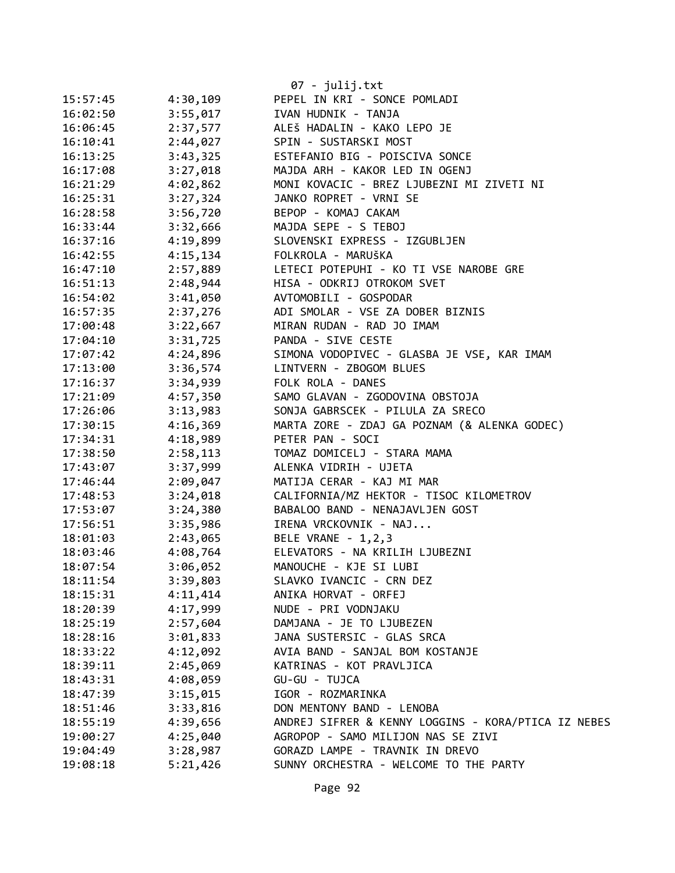|          |          | 07 - julij.txt                                      |
|----------|----------|-----------------------------------------------------|
| 15:57:45 | 4:30,109 | PEPEL IN KRI - SONCE POMLADI                        |
| 16:02:50 | 3:55,017 | IVAN HUDNIK - TANJA                                 |
| 16:06:45 | 2:37,577 | ALEŠ HADALIN - KAKO LEPO JE                         |
| 16:10:41 | 2:44,027 | SPIN - SUSTARSKI MOST                               |
| 16:13:25 | 3:43,325 | ESTEFANIO BIG - POISCIVA SONCE                      |
| 16:17:08 | 3:27,018 | MAJDA ARH - KAKOR LED IN OGENJ                      |
| 16:21:29 | 4:02,862 | MONI KOVACIC - BREZ LJUBEZNI MI ZIVETI NI           |
| 16:25:31 | 3:27,324 | JANKO ROPRET - VRNI SE                              |
| 16:28:58 | 3:56,720 | BEPOP - KOMAJ CAKAM                                 |
| 16:33:44 | 3:32,666 | MAJDA SEPE - S TEBOJ                                |
| 16:37:16 | 4:19,899 | SLOVENSKI EXPRESS - IZGUBLJEN                       |
| 16:42:55 | 4:15,134 | FOLKROLA - MARUŠKA                                  |
|          | 2:57,889 | LETECI POTEPUHI - KO TI VSE NAROBE GRE              |
| 16:47:10 | 2:48,944 |                                                     |
| 16:51:13 | 3:41,050 | HISA - ODKRIJ OTROKOM SVET                          |
| 16:54:02 | 2:37,276 | AVTOMOBILI - GOSPODAR                               |
| 16:57:35 |          | ADI SMOLAR - VSE ZA DOBER BIZNIS                    |
| 17:00:48 | 3:22,667 | MIRAN RUDAN - RAD JO IMAM                           |
| 17:04:10 | 3:31,725 | PANDA - SIVE CESTE                                  |
| 17:07:42 | 4:24,896 | SIMONA VODOPIVEC - GLASBA JE VSE, KAR IMAM          |
| 17:13:00 | 3:36,574 | LINTVERN - ZBOGOM BLUES                             |
| 17:16:37 | 3:34,939 | FOLK ROLA - DANES                                   |
| 17:21:09 | 4:57,350 | SAMO GLAVAN - ZGODOVINA OBSTOJA                     |
| 17:26:06 | 3:13,983 | SONJA GABRSCEK - PILULA ZA SRECO                    |
| 17:30:15 | 4:16,369 | MARTA ZORE - ZDAJ GA POZNAM (& ALENKA GODEC)        |
| 17:34:31 | 4:18,989 | PETER PAN - SOCI                                    |
| 17:38:50 | 2:58,113 | TOMAZ DOMICELJ - STARA MAMA                         |
| 17:43:07 | 3:37,999 | ALENKA VIDRIH - UJETA                               |
| 17:46:44 | 2:09,047 | MATIJA CERAR - KAJ MI MAR                           |
| 17:48:53 | 3:24,018 | CALIFORNIA/MZ HEKTOR - TISOC KILOMETROV             |
| 17:53:07 | 3:24,380 | BABALOO BAND - NENAJAVLJEN GOST                     |
| 17:56:51 | 3:35,986 | IRENA VRCKOVNIK - NAJ                               |
| 18:01:03 | 2:43,065 | BELE VRANE - 1, 2, 3                                |
| 18:03:46 | 4:08,764 | ELEVATORS - NA KRILIH LJUBEZNI                      |
| 18:07:54 | 3:06,052 | MANOUCHE - KJE SI LUBI                              |
| 18:11:54 | 3:39,803 | SLAVKO IVANCIC - CRN DEZ                            |
| 18:15:31 | 4:11,414 | ANIKA HORVAT - ORFEJ                                |
| 18:20:39 | 4:17,999 | NUDE - PRI VODNJAKU                                 |
| 18:25:19 | 2:57,604 | DAMJANA - JE TO LJUBEZEN                            |
| 18:28:16 | 3:01,833 | JANA SUSTERSIC - GLAS SRCA                          |
| 18:33:22 | 4:12,092 | AVIA BAND - SANJAL BOM KOSTANJE                     |
| 18:39:11 | 2:45,069 | KATRINAS - KOT PRAVLJICA                            |
| 18:43:31 | 4:08,059 | GU-GU - TUJCA                                       |
| 18:47:39 | 3:15,015 | IGOR - ROZMARINKA                                   |
| 18:51:46 | 3:33,816 | DON MENTONY BAND - LENOBA                           |
| 18:55:19 | 4:39,656 | ANDREJ SIFRER & KENNY LOGGINS - KORA/PTICA IZ NEBES |
| 19:00:27 | 4:25,040 | AGROPOP - SAMO MILIJON NAS SE ZIVI                  |
| 19:04:49 | 3:28,987 | GORAZD LAMPE - TRAVNIK IN DREVO                     |
| 19:08:18 | 5:21,426 | SUNNY ORCHESTRA - WELCOME TO THE PARTY              |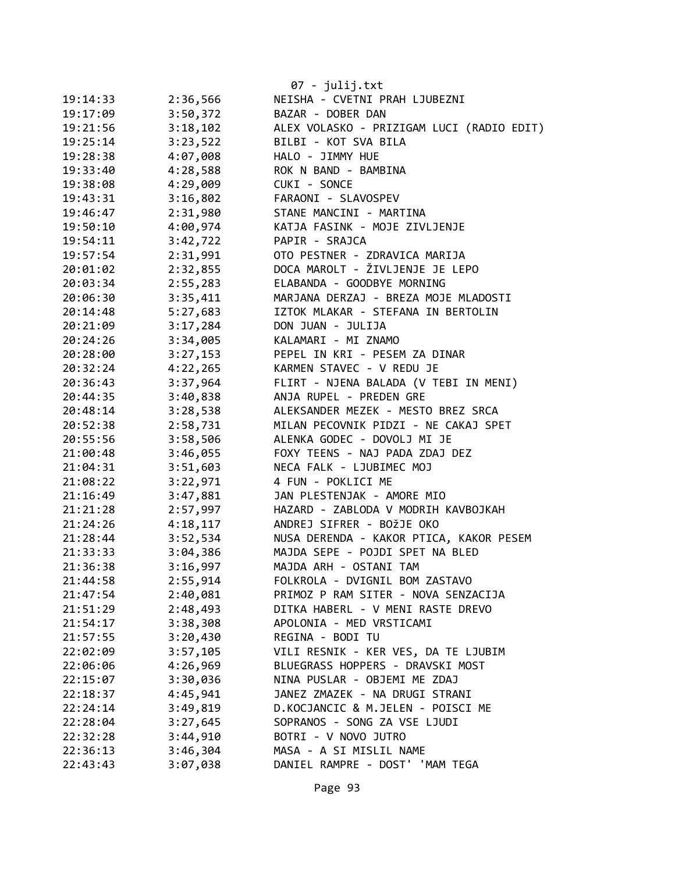|          |          | 07 - julij.txt                            |
|----------|----------|-------------------------------------------|
| 19:14:33 | 2:36,566 | NEISHA - CVETNI PRAH LJUBEZNI             |
| 19:17:09 | 3:50,372 | BAZAR - DOBER DAN                         |
| 19:21:56 | 3:18,102 | ALEX VOLASKO - PRIZIGAM LUCI (RADIO EDIT) |
| 19:25:14 | 3:23,522 | BILBI - KOT SVA BILA                      |
| 19:28:38 | 4:07,008 | HALO - JIMMY HUE                          |
| 19:33:40 | 4:28,588 | ROK N BAND - BAMBINA                      |
| 19:38:08 | 4:29,009 | CUKI - SONCE                              |
| 19:43:31 | 3:16,802 | FARAONI - SLAVOSPEV                       |
| 19:46:47 | 2:31,980 | STANE MANCINI - MARTINA                   |
| 19:50:10 | 4:00,974 | KATJA FASINK - MOJE ZIVLJENJE             |
| 19:54:11 | 3:42,722 | PAPIR - SRAJCA                            |
| 19:57:54 | 2:31,991 | OTO PESTNER - ZDRAVICA MARIJA             |
| 20:01:02 | 2:32,855 | DOCA MAROLT - ŽIVLJENJE JE LEPO           |
| 20:03:34 | 2:55,283 | ELABANDA - GOODBYE MORNING                |
| 20:06:30 | 3:35,411 | MARJANA DERZAJ - BREZA MOJE MLADOSTI      |
| 20:14:48 | 5:27,683 | IZTOK MLAKAR - STEFANA IN BERTOLIN        |
| 20:21:09 | 3:17,284 | DON JUAN - JULIJA                         |
| 20:24:26 | 3:34,005 | KALAMARI - MI ZNAMO                       |
| 20:28:00 | 3:27,153 | PEPEL IN KRI - PESEM ZA DINAR             |
| 20:32:24 | 4:22,265 | KARMEN STAVEC - V REDU JE                 |
| 20:36:43 | 3:37,964 | FLIRT - NJENA BALADA (V TEBI IN MENI)     |
| 20:44:35 | 3:40,838 | ANJA RUPEL - PREDEN GRE                   |
| 20:48:14 | 3:28,538 | ALEKSANDER MEZEK - MESTO BREZ SRCA        |
| 20:52:38 | 2:58,731 | MILAN PECOVNIK PIDZI - NE CAKAJ SPET      |
| 20:55:56 | 3:58,506 | ALENKA GODEC - DOVOLJ MI JE               |
| 21:00:48 | 3:46,055 | FOXY TEENS - NAJ PADA ZDAJ DEZ            |
| 21:04:31 | 3:51,603 | NECA FALK - LJUBIMEC MOJ                  |
| 21:08:22 | 3:22,971 | 4 FUN - POKLICI ME                        |
| 21:16:49 | 3:47,881 | JAN PLESTENJAK - AMORE MIO                |
| 21:21:28 | 2:57,997 | HAZARD - ZABLODA V MODRIH KAVBOJKAH       |
| 21:24:26 | 4:18,117 | ANDREJ SIFRER - BOŽJE OKO                 |
| 21:28:44 | 3:52,534 | NUSA DERENDA - KAKOR PTICA, KAKOR PESEM   |
| 21:33:33 | 3:04,386 | MAJDA SEPE - POJDI SPET NA BLED           |
| 21:36:38 | 3:16,997 | MAJDA ARH - OSTANI TAM                    |
| 21:44:58 | 2:55,914 | FOLKROLA - DVIGNIL BOM ZASTAVO            |
| 21:47:54 | 2:40,081 | PRIMOZ P RAM SITER - NOVA SENZACIJA       |
| 21:51:29 | 2:48,493 | DITKA HABERL - V MENI RASTE DREVO         |
| 21:54:17 | 3:38,308 | APOLONIA - MED VRSTICAMI                  |
| 21:57:55 | 3:20,430 | REGINA - BODI TU                          |
| 22:02:09 | 3:57,105 | VILI RESNIK - KER VES, DA TE LJUBIM       |
| 22:06:06 | 4:26,969 | BLUEGRASS HOPPERS - DRAVSKI MOST          |
| 22:15:07 | 3:30,036 | NINA PUSLAR - OBJEMI ME ZDAJ              |
| 22:18:37 | 4:45,941 | JANEZ ZMAZEK - NA DRUGI STRANI            |
| 22:24:14 | 3:49,819 | D.KOCJANCIC & M.JELEN - POISCI ME         |
| 22:28:04 | 3:27,645 | SOPRANOS - SONG ZA VSE LJUDI              |
| 22:32:28 | 3:44,910 | BOTRI - V NOVO JUTRO                      |
| 22:36:13 | 3:46,304 | MASA - A SI MISLIL NAME                   |
| 22:43:43 | 3:07,038 | DANIEL RAMPRE - DOST' 'MAM TEGA           |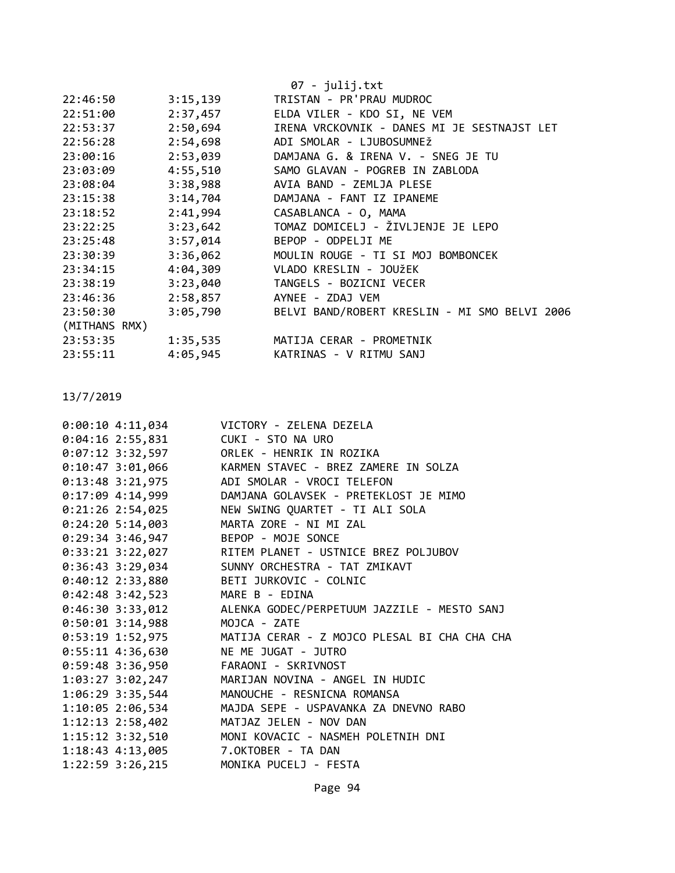|                      | $07 - julij.txt$                              |
|----------------------|-----------------------------------------------|
| 3:15,139             | TRISTAN - PR'PRAU MUDROC                      |
| 2:37,457             | ELDA VILER - KDO SI, NE VEM                   |
| 2:50,694             | IRENA VRCKOVNIK - DANES MI JE SESTNAJST LET   |
| 2:54,698             | ADI SMOLAR - LJUBOSUMNEŽ                      |
| 23:00:16             | 2:53,039 DAMJANA G. & IRENA V. - SNEG JE TU   |
| 23:03:09             | 4:55,510 SAMO GLAVAN - POGREB IN ZABLODA      |
| 3:38,988             | AVIA BAND - ZEMLJA PLESE                      |
| 3:14,704<br>23:15:38 | DAMJANA - FANT IZ IPANEME                     |
| 2:41,994             | CASABLANCA - 0, MAMA                          |
| 3:23,642             | TOMAZ DOMICELJ - ŽIVLJENJE JE LEPO            |
| 3:57,014<br>23:25:48 | BEPOP - ODPELJI ME                            |
| 3:36,062<br>23:30:39 | MOULIN ROUGE - TI SI MOJ BOMBONCEK            |
| 23:34:15             | 4:04,309 VLADO KRESLIN - JOUŽEK               |
| 3:23,040             | TANGELS - BOZICNI VECER                       |
| 2:58,857             | AYNEE - ZDAJ VEM                              |
| 3:05,790             | BELVI BAND/ROBERT KRESLIN - MI SMO BELVI 2006 |
| (MITHANS RMX)        |                                               |
| 1:35,535             | MATIJA CERAR - PROMETNIK                      |
| 4:05,945             | KATRINAS - V RITMU SANJ                       |
|                      |                                               |

| $0:00:10$ 4:11,034                      | VICTORY - ZELENA DEZELA                                       |
|-----------------------------------------|---------------------------------------------------------------|
| $0:04:16$ 2:55,831                      | CUKI - STO NA URO                                             |
| $0:07:12$ 3:32,597                      | ORLEK - HENRIK IN ROZIKA                                      |
|                                         | 0:10:47 3:01,066 KARMEN STAVEC - BREZ ZAMERE IN SOLZA         |
| $0:13:48$ 3:21,975                      | ADI SMOLAR - VROCI TELEFON                                    |
|                                         | 0:17:09 4:14,999 DAMJANA GOLAVSEK - PRETEKLOST JE MIMO        |
| $0:21:26$ 2:54,025                      | NEW SWING QUARTET - TI ALI SOLA                               |
| $0:24:20$ 5:14,003                      | MARTA ZORE - NI MI ZAL                                        |
| 0:29:34 3:46,947 BEPOP - MOJE SONCE     |                                                               |
|                                         | 0:33:21 3:22,027 RITEM PLANET - USTNICE BREZ POLJUBOV         |
|                                         | 0:36:43 3:29,034 SUNNY ORCHESTRA - TAT ZMIKAVT                |
| 0:40:12 2:33,880 BETI JURKOVIC - COLNIC |                                                               |
| $0:42:48$ 3:42,523                      | MARE B - EDINA                                                |
| $0:46:30$ 3:33,012                      | ALENKA GODEC/PERPETUUM JAZZILE - MESTO SANJ                   |
| $0:50:01$ 3:14,988                      | MOJCA - ZATE                                                  |
|                                         | 0:53:19 1:52,975 MATIJA CERAR - Z MOJCO PLESAL BI CHA CHA CHA |
| $0:55:11$ 4:36,630                      | NE ME JUGAT - JUTRO                                           |
| 0:59:48 3:36,950 FARAONI - SKRIVNOST    |                                                               |
| 1:03:27 3:02,247                        | MARIJAN NOVINA - ANGEL IN HUDIC                               |
| 1:06:29 3:35,544                        | MANOUCHE - RESNICNA ROMANSA                                   |
| 1:10:05 2:06,534                        | MAJDA SEPE - USPAVANKA ZA DNEVNO RABO                         |
| $1:12:13$ $2:58,402$                    | MATJAZ JELEN - NOV DAN                                        |
| 1:15:12 3:32,510                        | MONI KOVACIC - NASMEH POLETNIH DNI                            |
| 1:18:43 4:13,005 7. OKTOBER - TA DAN    |                                                               |
| 1:22:59 3:26,215                        | MONIKA PUCELJ - FESTA                                         |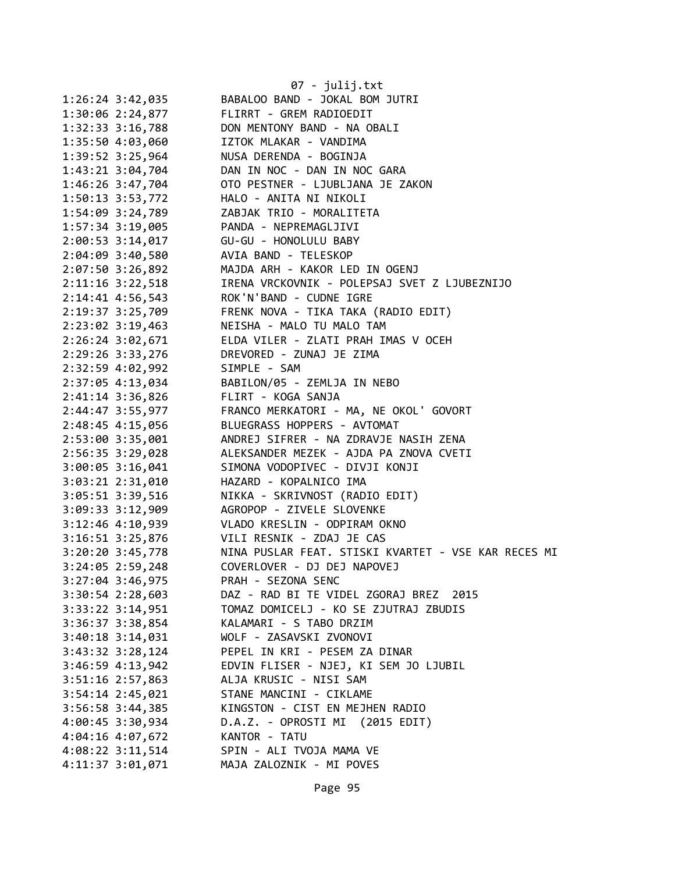|                      | 07 - julij.txt                                      |
|----------------------|-----------------------------------------------------|
| $1:26:24$ 3:42,035   | BABALOO BAND - JOKAL BOM JUTRI                      |
| 1:30:06 2:24,877     | FLIRRT - GREM RADIOEDIT                             |
| $1:32:33$ $3:16,788$ | DON MENTONY BAND - NA OBALI                         |
| 1:35:50 4:03,060     | IZTOK MLAKAR - VANDIMA                              |
| 1:39:52 3:25,964     | NUSA DERENDA - BOGINJA                              |
| 1:43:21 3:04,704     | DAN IN NOC - DAN IN NOC GARA                        |
| 1:46:26 3:47,704     | OTO PESTNER - LJUBLJANA JE ZAKON                    |
| 1:50:13 3:53,772     | HALO - ANITA NI NIKOLI                              |
| 1:54:09 3:24,789     | ZABJAK TRIO - MORALITETA                            |
| 1:57:34 3:19,005     | PANDA - NEPREMAGLJIVI                               |
| $2:00:53$ 3:14,017   | GU-GU - HONOLULU BABY                               |
| $2:04:09$ 3:40,580   | AVIA BAND - TELESKOP                                |
| 2:07:50 3:26,892     | MAJDA ARH - KAKOR LED IN OGENJ                      |
| 2:11:16 3:22,518     | IRENA VRCKOVNIK - POLEPSAJ SVET Z LJUBEZNIJO        |
| $2:14:41$ $4:56,543$ | ROK'N'BAND - CUDNE IGRE                             |
| 2:19:37 3:25,709     | FRENK NOVA - TIKA TAKA (RADIO EDIT)                 |
| 2:23:02 3:19,463     | NEISHA - MALO TU MALO TAM                           |
| $2:26:24$ $3:02,671$ | ELDA VILER - ZLATI PRAH IMAS V OCEH                 |
| 2:29:26 3:33,276     | DREVORED - ZUNAJ JE ZIMA                            |
| 2:32:59 4:02,992     | SIMPLE - SAM                                        |
| 2:37:05 4:13,034     | BABILON/05 - ZEMLJA IN NEBO                         |
| 2:41:14 3:36,826     | FLIRT - KOGA SANJA                                  |
| 2:44:47 3:55,977     | FRANCO MERKATORI - MA, NE OKOL' GOVORT              |
| 2:48:45 4:15,056     | BLUEGRASS HOPPERS - AVTOMAT                         |
| 2:53:00 3:35,001     | ANDREJ SIFRER - NA ZDRAVJE NASIH ZENA               |
| 2:56:35 3:29,028     | ALEKSANDER MEZEK - AJDA PA ZNOVA CVETI              |
| 3:00:05 3:16,041     | SIMONA VODOPIVEC - DIVJI KONJI                      |
| 3:03:21 2:31,010     | HAZARD - KOPALNICO IMA                              |
| 3:05:51 3:39,516     | NIKKA - SKRIVNOST (RADIO EDIT)                      |
| 3:09:33 3:12,909     | AGROPOP - ZIVELE SLOVENKE                           |
| $3:12:46$ 4:10,939   | VLADO KRESLIN - ODPIRAM OKNO                        |
| $3:16:51$ $3:25,876$ | VILI RESNIK - ZDAJ JE CAS                           |
| 3:20:20 3:45,778     | NINA PUSLAR FEAT. STISKI KVARTET - VSE KAR RECES MI |
| 3:24:05 2:59,248     | COVERLOVER - DJ DEJ NAPOVEJ                         |
| $3:27:04$ 3:46,975   | PRAH - SEZONA SENC                                  |
| $3:30:54$ 2:28,603   | DAZ - RAD BI TE VIDEL ZGORAJ BREZ 2015              |
| 3:33:22 3:14,951     | TOMAZ DOMICELJ - KO SE ZJUTRAJ ZBUDIS               |
| 3:36:37 3:38,854     | KALAMARI - S TABO DRZIM                             |
| 3:40:18 3:14,031     | WOLF - ZASAVSKI ZVONOVI                             |
| 3:43:32 3:28,124     | PEPEL IN KRI - PESEM ZA DINAR                       |
| 3:46:59 4:13,942     | EDVIN FLISER - NJEJ, KI SEM JO LJUBIL               |
| 3:51:16 2:57,863     | ALJA KRUSIC - NISI SAM                              |
| 3:54:14 2:45,021     | STANE MANCINI - CIKLAME                             |
|                      | KINGSTON - CIST EN MEJHEN RADIO                     |
| 3:56:58 3:44,385     |                                                     |
| 4:00:45 3:30,934     | D.A.Z. - OPROSTI MI (2015 EDIT)                     |
| 4:04:16 4:07,672     | KANTOR - TATU                                       |
| 4:08:22 3:11,514     | SPIN - ALI TVOJA MAMA VE                            |
| 4:11:37 3:01,071     | MAJA ZALOZNIK - MI POVES                            |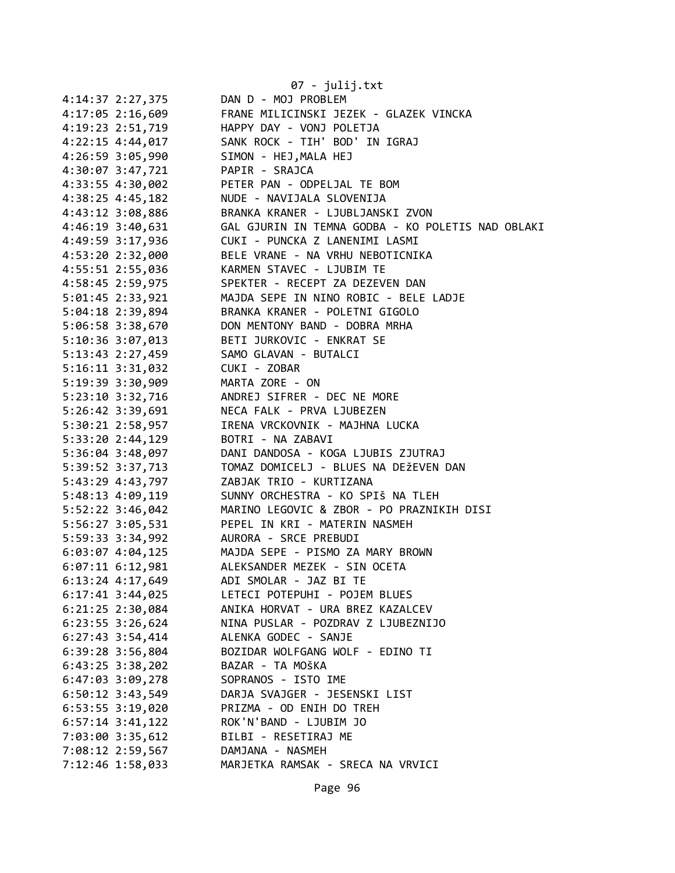|                                        | 07 - julij.txt                                                                    |
|----------------------------------------|-----------------------------------------------------------------------------------|
| 4:14:37 2:27,375                       | DAN D - MOJ PROBLEM                                                               |
| $4:17:05$ 2:16,609                     | FRANE MILICINSKI JEZEK - GLAZEK VINCKA                                            |
| 4:19:23 2:51,719                       | HAPPY DAY - VONJ POLETJA                                                          |
| $4:22:15$ $4:44,017$                   | SANK ROCK - TIH' BOD' IN IGRAJ                                                    |
| 4:26:59 3:05,990                       | SIMON - HEJ, MALA HEJ                                                             |
| 4:30:07 3:47,721                       | PAPIR - SRAJCA                                                                    |
| 4:33:55 4:30,002                       | PETER PAN - ODPELJAL TE BOM                                                       |
| $4:38:25$ $4:45,182$                   | NUDE - NAVIJALA SLOVENIJA                                                         |
| 4:43:12 3:08,886                       | BRANKA KRANER - LJUBLJANSKI ZVON                                                  |
| $4:46:19$ 3:40,631                     | GAL GJURIN IN TEMNA GODBA - KO POLETIS NAD OBLAKI                                 |
| 4:49:59 3:17,936                       | CUKI - PUNCKA Z LANENIMI LASMI                                                    |
| 4:53:20 2:32,000                       | BELE VRANE - NA VRHU NEBOTICNIKA                                                  |
| 4:55:51 2:55,036                       | KARMEN STAVEC - LJUBIM TE                                                         |
| 4:58:45 2:59,975                       | SPEKTER - RECEPT ZA DEZEVEN DAN                                                   |
| 5:01:45 2:33,921                       | MAJDA SEPE IN NINO ROBIC - BELE LADJE                                             |
| 5:04:18 2:39,894                       | BRANKA KRANER - POLETNI GIGOLO                                                    |
| 5:06:58 3:38,670                       | DON MENTONY BAND - DOBRA MRHA                                                     |
| 5:10:36 3:07,013                       | BETI JURKOVIC - ENKRAT SE                                                         |
| 5:13:43 2:27,459                       | SAMO GLAVAN - BUTALCI                                                             |
| $5:16:11$ $3:31,032$                   | CUKI - ZOBAR                                                                      |
| 5:19:39 3:30,909                       | MARTA ZORE - ON                                                                   |
| 5:23:10 3:32,716                       | ANDREJ SIFRER - DEC NE MORE                                                       |
| 5:26:42 3:39,691                       | NECA FALK - PRVA LJUBEZEN                                                         |
| 5:30:21 2:58,957                       | IRENA VRCKOVNIK - MAJHNA LUCKA                                                    |
| 5:33:20 2:44,129                       | BOTRI - NA ZABAVI                                                                 |
| 5:36:04 3:48,097                       | DANI DANDOSA - KOGA LJUBIS ZJUTRAJ                                                |
| 5:39:52 3:37,713                       | TOMAZ DOMICELJ - BLUES NA DEŽEVEN DAN                                             |
| 5:43:29 4:43,797                       | ZABJAK TRIO - KURTIZANA                                                           |
| 5:48:13 4:09,119                       | SUNNY ORCHESTRA - KO SPIŠ NA TLEH                                                 |
| $5:52:22$ $3:46,042$                   | MARINO LEGOVIC & ZBOR - PO PRAZNIKIH DISI                                         |
|                                        |                                                                                   |
|                                        | 5:56:27 3:05,531 PEPEL IN KRI - MATERIN NASMEH                                    |
| 5:59:33 3:34,992 AURORA - SRCE PREBUDI |                                                                                   |
|                                        | 6:03:07 4:04,125 MAJDA SEPE - PISMO ZA MARY BROWN<br>ALEKSANDER MEZEK - SIN OCETA |
| $6:07:11$ $6:12,981$                   | ADI SMOLAR - JAZ BI TE                                                            |
| 6:13:24 4:17,649                       |                                                                                   |
| $6:17:41$ 3:44,025                     | LETECI POTEPUHI - POJEM BLUES                                                     |
| $6:21:25$ $2:30,084$                   | ANIKA HORVAT - URA BREZ KAZALCEV                                                  |
| $6:23:55$ 3:26,624                     | NINA PUSLAR - POZDRAV Z LJUBEZNIJO                                                |
| $6:27:43$ 3:54,414                     | ALENKA GODEC - SANJE                                                              |
| $6:39:28$ 3:56,804                     | BOZIDAR WOLFGANG WOLF - EDINO TI                                                  |
| $6:43:25$ 3:38,202                     | BAZAR - TA MOŠKA                                                                  |
| $6:47:03$ 3:09,278                     | SOPRANOS - ISTO IME                                                               |
| $6:50:12$ 3:43,549                     | DARJA SVAJGER - JESENSKI LIST                                                     |
| $6:53:55$ 3:19,020                     | PRIZMA - OD ENIH DO TREH                                                          |
| $6:57:14$ $3:41,122$                   | ROK'N'BAND - LJUBIM JO                                                            |
| 7:03:00 3:35,612                       | BILBI - RESETIRAJ ME                                                              |
| 7:08:12 2:59,567                       | DAMJANA - NASMEH                                                                  |
| 7:12:46 1:58,033                       | MARJETKA RAMSAK - SRECA NA VRVICI                                                 |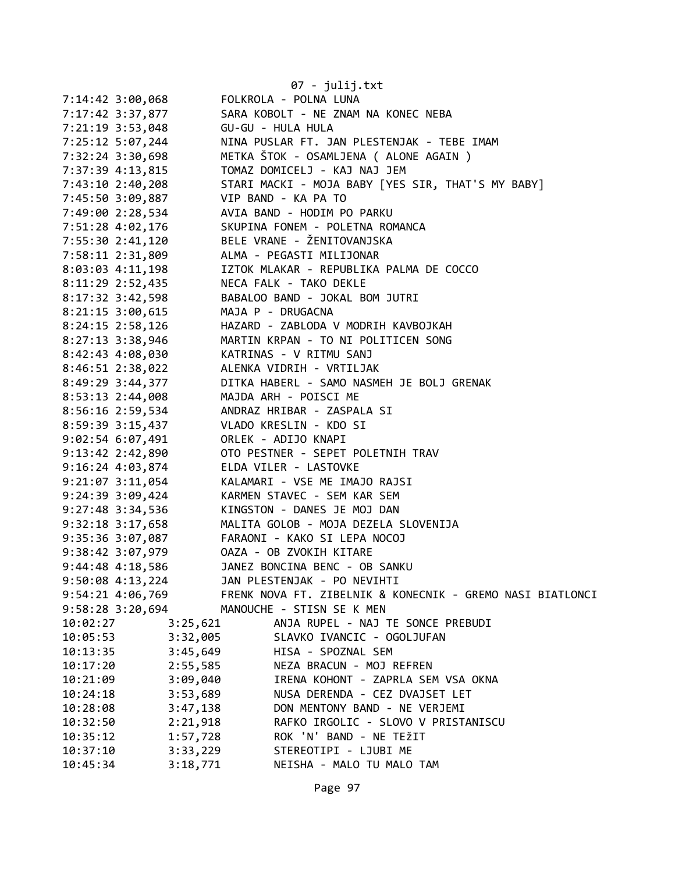| 7:14:42 3:00,068     |          | $07 - julij.txt$<br>FOLKROLA - POLNA LUNA                 |
|----------------------|----------|-----------------------------------------------------------|
| 7:17:42 3:37,877     |          | SARA KOBOLT - NE ZNAM NA KONEC NEBA                       |
|                      |          | GU-GU - HULA HULA                                         |
| 7:21:19 3:53,048     |          |                                                           |
| 7:25:12 5:07,244     |          | NINA PUSLAR FT. JAN PLESTENJAK - TEBE IMAM                |
| 7:32:24 3:30,698     |          | METKA ŠTOK - OSAMLJENA ( ALONE AGAIN )                    |
| 7:37:39 4:13,815     |          | TOMAZ DOMICELJ - KAJ NAJ JEM                              |
| 7:43:10 2:40,208     |          | STARI MACKI - MOJA BABY [YES SIR, THAT'S MY BABY]         |
| 7:45:50 3:09,887     |          | VIP BAND - KA PA TO                                       |
| 7:49:00 2:28,534     |          | AVIA BAND - HODIM PO PARKU                                |
| 7:51:28 4:02,176     |          | SKUPINA FONEM - POLETNA ROMANCA                           |
| 7:55:30 2:41,120     |          | BELE VRANE - ŽENITOVANJSKA                                |
| 7:58:11 2:31,809     |          | ALMA - PEGASTI MILIJONAR                                  |
| 8:03:03 4:11,198     |          | IZTOK MLAKAR - REPUBLIKA PALMA DE COCCO                   |
| 8:11:29 2:52,435     |          | NECA FALK - TAKO DEKLE                                    |
| 8:17:32 3:42,598     |          | BABALOO BAND - JOKAL BOM JUTRI                            |
| $8:21:15$ 3:00,615   |          | MAJA P - DRUGACNA                                         |
| $8:24:15$ 2:58,126   |          | HAZARD - ZABLODA V MODRIH KAVBOJKAH                       |
| 8:27:13 3:38,946     |          | MARTIN KRPAN - TO NI POLITICEN SONG                       |
| 8:42:43 4:08,030     |          | KATRINAS - V RITMU SANJ                                   |
| 8:46:51 2:38,022     |          | ALENKA VIDRIH - VRTILJAK                                  |
| 8:49:29 3:44,377     |          | DITKA HABERL - SAMO NASMEH JE BOLJ GRENAK                 |
| 8:53:13 2:44,008     |          | MAJDA ARH - POISCI ME                                     |
| 8:56:16 2:59,534     |          | ANDRAZ HRIBAR - ZASPALA SI                                |
| 8:59:39 3:15,437     |          | VLADO KRESLIN - KDO SI                                    |
| 9:02:54 6:07,491     |          | ORLEK - ADIJO KNAPI                                       |
| 9:13:42 2:42,890     |          | OTO PESTNER - SEPET POLETNIH TRAV                         |
| 9:16:24 4:03,874     |          | ELDA VILER - LASTOVKE                                     |
| $9:21:07$ $3:11,054$ |          | KALAMARI - VSE ME IMAJO RAJSI                             |
| 9:24:39 3:09,424     |          | KARMEN STAVEC - SEM KAR SEM                               |
| 9:27:48 3:34,536     |          | KINGSTON - DANES JE MOJ DAN                               |
| 9:32:18 3:17,658     |          | MALITA GOLOB - MOJA DEZELA SLOVENIJA                      |
|                      |          | 9:35:36 3:07,087 FARAONI - KAKO SI LEPA NOCOJ             |
| 9:38:42 3:07,979     |          | OAZA - OB ZVOKIH KITARE                                   |
| 9:44:48 4:18,586     |          | JANEZ BONCINA BENC - OB SANKU                             |
| 9:50:08 4:13,224     |          | JAN PLESTENJAK - PO NEVIHTI                               |
|                      |          | FRENK NOVA FT. ZIBELNIK & KONECNIK - GREMO NASI BIATLONCI |
| 9:54:21 4:06,769     |          |                                                           |
| 9:58:28 3:20,694     |          | MANOUCHE - STISN SE K MEN                                 |
| 10:02:27             | 3:25,621 | ANJA RUPEL - NAJ TE SONCE PREBUDI                         |
| 10:05:53             | 3:32,005 | SLAVKO IVANCIC - OGOLJUFAN                                |
| 10:13:35             | 3:45,649 | HISA - SPOZNAL SEM                                        |
| 10:17:20             | 2:55,585 | NEZA BRACUN - MOJ REFREN                                  |
| 10:21:09             | 3:09,040 | IRENA KOHONT - ZAPRLA SEM VSA OKNA                        |
| 10:24:18             | 3:53,689 | NUSA DERENDA - CEZ DVAJSET LET                            |
| 10:28:08             | 3:47,138 | DON MENTONY BAND - NE VERJEMI                             |
| 10:32:50             | 2:21,918 | RAFKO IRGOLIC - SLOVO V PRISTANISCU                       |
| 10:35:12             | 1:57,728 | ROK 'N' BAND - NE TEŽIT                                   |
| 10:37:10             | 3:33,229 | STEREOTIPI - LJUBI ME                                     |
| 10:45:34             | 3:18,771 | NEISHA - MALO TU MALO TAM                                 |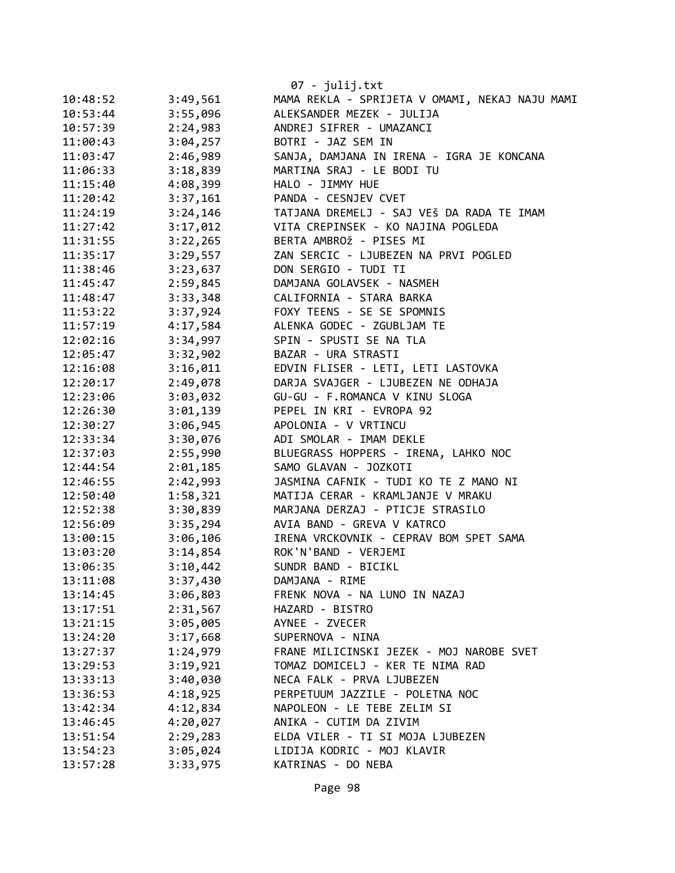|          |          | 07 - julij.txt                                 |
|----------|----------|------------------------------------------------|
| 10:48:52 | 3:49,561 | MAMA REKLA - SPRIJETA V OMAMI, NEKAJ NAJU MAMI |
| 10:53:44 | 3:55,096 | ALEKSANDER MEZEK - JULIJA                      |
| 10:57:39 | 2:24,983 | ANDREJ SIFRER - UMAZANCI                       |
| 11:00:43 | 3:04,257 | BOTRI - JAZ SEM IN                             |
| 11:03:47 | 2:46,989 | SANJA, DAMJANA IN IRENA - IGRA JE KONCANA      |
| 11:06:33 | 3:18,839 | MARTINA SRAJ - LE BODI TU                      |
| 11:15:40 | 4:08,399 | HALO - JIMMY HUE                               |
| 11:20:42 | 3:37,161 | PANDA - CESNJEV CVET                           |
| 11:24:19 | 3:24,146 | TATJANA DREMELJ - SAJ VEŠ DA RADA TE IMAM      |
| 11:27:42 | 3:17,012 | VITA CREPINSEK - KO NAJINA POGLEDA             |
| 11:31:55 | 3:22,265 | BERTA AMBROŽ - PISES MI                        |
| 11:35:17 | 3:29,557 | ZAN SERCIC - LJUBEZEN NA PRVI POGLED           |
| 11:38:46 | 3:23,637 | DON SERGIO - TUDI TI                           |
| 11:45:47 | 2:59,845 | DAMJANA GOLAVSEK - NASMEH                      |
| 11:48:47 | 3:33,348 | CALIFORNIA - STARA BARKA                       |
| 11:53:22 | 3:37,924 | FOXY TEENS - SE SE SPOMNIS                     |
| 11:57:19 | 4:17,584 | ALENKA GODEC - ZGUBLJAM TE                     |
| 12:02:16 | 3:34,997 | SPIN - SPUSTI SE NA TLA                        |
| 12:05:47 | 3:32,902 | BAZAR - URA STRASTI                            |
| 12:16:08 | 3:16,011 | EDVIN FLISER - LETI, LETI LASTOVKA             |
| 12:20:17 | 2:49,078 | DARJA SVAJGER - LJUBEZEN NE ODHAJA             |
| 12:23:06 | 3:03,032 | GU-GU - F.ROMANCA V KINU SLOGA                 |
| 12:26:30 | 3:01,139 | PEPEL IN KRI - EVROPA 92                       |
| 12:30:27 | 3:06,945 | APOLONIA - V VRTINCU                           |
| 12:33:34 | 3:30,076 | ADI SMOLAR - IMAM DEKLE                        |
| 12:37:03 | 2:55,990 | BLUEGRASS HOPPERS - IRENA, LAHKO NOC           |
| 12:44:54 | 2:01,185 | SAMO GLAVAN - JOZKOTI                          |
| 12:46:55 | 2:42,993 | JASMINA CAFNIK - TUDI KO TE Z MANO NI          |
| 12:50:40 | 1:58,321 | MATIJA CERAR - KRAMLJANJE V MRAKU              |
| 12:52:38 | 3:30,839 | MARJANA DERZAJ - PTICJE STRASILO               |
| 12:56:09 | 3:35,294 | AVIA BAND - GREVA V KATRCO                     |
| 13:00:15 | 3:06,106 | IRENA VRCKOVNIK - CEPRAV BOM SPET SAMA         |
| 13:03:20 | 3:14,854 | ROK'N'BAND - VERJEMI                           |
| 13:06:35 | 3:10,442 | SUNDR BAND - BICIKL                            |
| 13:11:08 | 3:37,430 | DAMJANA - RIME                                 |
| 13:14:45 | 3:06,803 | FRENK NOVA - NA LUNO IN NAZAJ                  |
| 13:17:51 | 2:31,567 | HAZARD - BISTRO                                |
| 13:21:15 | 3:05,005 | AYNEE - ZVECER                                 |
| 13:24:20 | 3:17,668 | SUPERNOVA - NINA                               |
| 13:27:37 | 1:24,979 | FRANE MILICINSKI JEZEK - MOJ NAROBE SVET       |
| 13:29:53 | 3:19,921 | TOMAZ DOMICELJ - KER TE NIMA RAD               |
| 13:33:13 | 3:40,030 | NECA FALK - PRVA LJUBEZEN                      |
| 13:36:53 | 4:18,925 | PERPETUUM JAZZILE - POLETNA NOC                |
| 13:42:34 | 4:12,834 | NAPOLEON - LE TEBE ZELIM SI                    |
| 13:46:45 | 4:20,027 | ANIKA - CUTIM DA ZIVIM                         |
| 13:51:54 | 2:29,283 | ELDA VILER - TI SI MOJA LJUBEZEN               |
| 13:54:23 | 3:05,024 | LIDIJA KODRIC - MOJ KLAVIR                     |
| 13:57:28 | 3:33,975 | KATRINAS - DO NEBA                             |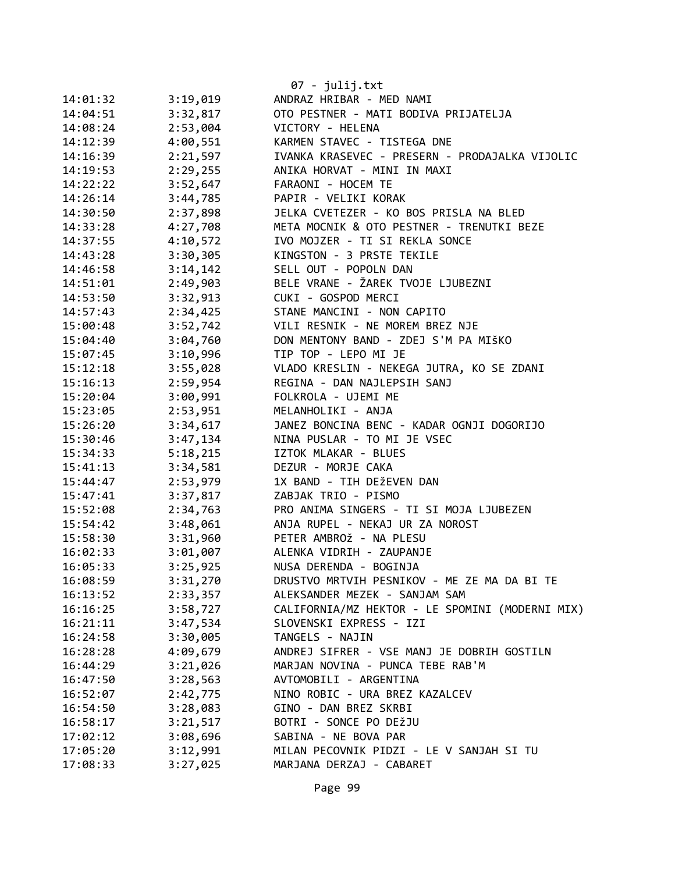|          |          | 07 - julij.txt                                  |
|----------|----------|-------------------------------------------------|
| 14:01:32 | 3:19,019 | ANDRAZ HRIBAR - MED NAMI                        |
| 14:04:51 | 3:32,817 | OTO PESTNER - MATI BODIVA PRIJATELJA            |
| 14:08:24 | 2:53,004 | VICTORY - HELENA                                |
| 14:12:39 | 4:00,551 | KARMEN STAVEC - TISTEGA DNE                     |
| 14:16:39 | 2:21,597 | IVANKA KRASEVEC - PRESERN - PRODAJALKA VIJOLIC  |
| 14:19:53 | 2:29,255 | ANIKA HORVAT - MINI IN MAXI                     |
| 14:22:22 | 3:52,647 | FARAONI - HOCEM TE                              |
| 14:26:14 | 3:44,785 | PAPIR - VELIKI KORAK                            |
| 14:30:50 | 2:37,898 | JELKA CVETEZER - KO BOS PRISLA NA BLED          |
| 14:33:28 | 4:27,708 | META MOCNIK & OTO PESTNER - TRENUTKI BEZE       |
| 14:37:55 | 4:10,572 | IVO MOJZER - TI SI REKLA SONCE                  |
| 14:43:28 | 3:30,305 | KINGSTON - 3 PRSTE TEKILE                       |
| 14:46:58 | 3:14,142 | SELL OUT - POPOLN DAN                           |
| 14:51:01 | 2:49,903 | BELE VRANE - ŽAREK TVOJE LJUBEZNI               |
| 14:53:50 | 3:32,913 | CUKI - GOSPOD MERCI                             |
| 14:57:43 | 2:34,425 | STANE MANCINI - NON CAPITO                      |
| 15:00:48 | 3:52,742 | VILI RESNIK - NE MOREM BREZ NJE                 |
| 15:04:40 | 3:04,760 | DON MENTONY BAND - ZDEJ S'M PA MIŠKO            |
| 15:07:45 | 3:10,996 | TIP TOP - LEPO MI JE                            |
| 15:12:18 | 3:55,028 | VLADO KRESLIN - NEKEGA JUTRA, KO SE ZDANI       |
| 15:16:13 | 2:59,954 | REGINA - DAN NAJLEPSIH SANJ                     |
| 15:20:04 | 3:00,991 | FOLKROLA - UJEMI ME                             |
| 15:23:05 | 2:53,951 | MELANHOLIKI - ANJA                              |
| 15:26:20 | 3:34,617 | JANEZ BONCINA BENC - KADAR OGNJI DOGORIJO       |
| 15:30:46 | 3:47,134 | NINA PUSLAR - TO MI JE VSEC                     |
| 15:34:33 | 5:18,215 | IZTOK MLAKAR - BLUES                            |
| 15:41:13 | 3:34,581 | DEZUR - MORJE CAKA                              |
| 15:44:47 | 2:53,979 | 1X BAND - TIH DEŽEVEN DAN                       |
| 15:47:41 | 3:37,817 | ZABJAK TRIO - PISMO                             |
| 15:52:08 | 2:34,763 | PRO ANIMA SINGERS - TI SI MOJA LJUBEZEN         |
| 15:54:42 | 3:48,061 | ANJA RUPEL - NEKAJ UR ZA NOROST                 |
| 15:58:30 | 3:31,960 | PETER AMBROŽ - NA PLESU                         |
| 16:02:33 | 3:01,007 | ALENKA VIDRIH - ZAUPANJE                        |
| 16:05:33 | 3:25,925 | NUSA DERENDA - BOGINJA                          |
| 16:08:59 | 3:31,270 | DRUSTVO MRTVIH PESNIKOV - ME ZE MA DA BI TE     |
| 16:13:52 | 2:33,357 | ALEKSANDER MEZEK - SANJAM SAM                   |
| 16:16:25 | 3:58,727 | CALIFORNIA/MZ HEKTOR - LE SPOMINI (MODERNI MIX) |
| 16:21:11 | 3:47,534 | SLOVENSKI EXPRESS - IZI                         |
| 16:24:58 | 3:30,005 | TANGELS - NAJIN                                 |
| 16:28:28 | 4:09,679 | ANDREJ SIFRER - VSE MANJ JE DOBRIH GOSTILN      |
| 16:44:29 | 3:21,026 | MARJAN NOVINA - PUNCA TEBE RAB'M                |
| 16:47:50 | 3:28,563 | AVTOMOBILI - ARGENTINA                          |
| 16:52:07 | 2:42,775 | NINO ROBIC - URA BREZ KAZALCEV                  |
| 16:54:50 | 3:28,083 | GINO - DAN BREZ SKRBI                           |
| 16:58:17 | 3:21,517 | BOTRI - SONCE PO DEŽJU                          |
| 17:02:12 | 3:08,696 | SABINA - NE BOVA PAR                            |
| 17:05:20 | 3:12,991 | MILAN PECOVNIK PIDZI - LE V SANJAH SI TU        |
| 17:08:33 | 3:27,025 | MARJANA DERZAJ - CABARET                        |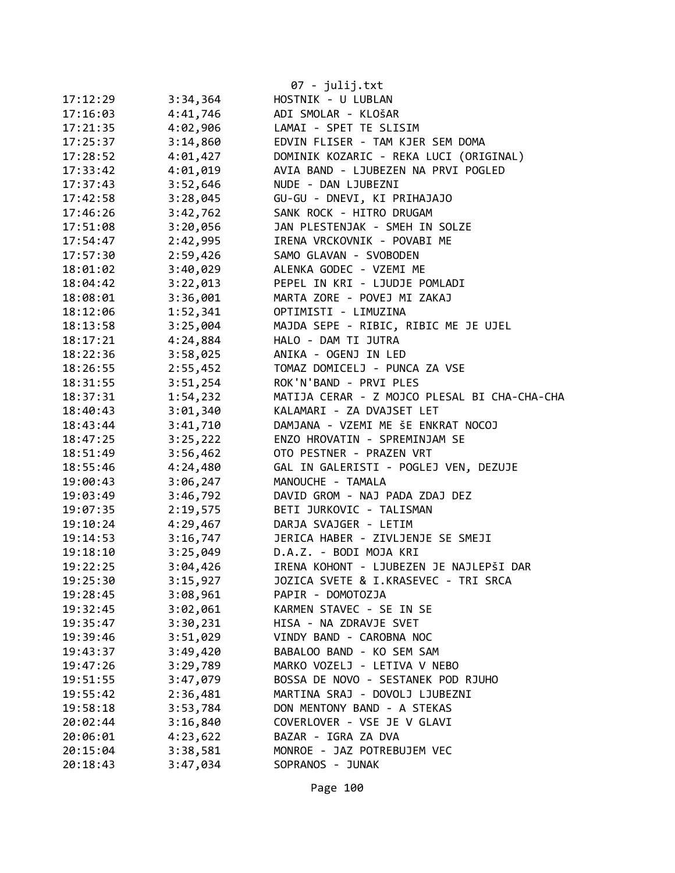|          |          | $07 - julij.txt$                             |
|----------|----------|----------------------------------------------|
| 17:12:29 | 3:34,364 | HOSTNIK - U LUBLAN                           |
| 17:16:03 | 4:41,746 | ADI SMOLAR - KLOŠAR                          |
| 17:21:35 | 4:02,906 | LAMAI - SPET TE SLISIM                       |
| 17:25:37 | 3:14,860 | EDVIN FLISER - TAM KJER SEM DOMA             |
| 17:28:52 | 4:01,427 | DOMINIK KOZARIC - REKA LUCI (ORIGINAL)       |
| 17:33:42 | 4:01,019 | AVIA BAND - LJUBEZEN NA PRVI POGLED          |
| 17:37:43 | 3:52,646 | NUDE - DAN LJUBEZNI                          |
| 17:42:58 | 3:28,045 | GU-GU - DNEVI, KI PRIHAJAJO                  |
| 17:46:26 | 3:42,762 | SANK ROCK - HITRO DRUGAM                     |
| 17:51:08 | 3:20,056 | JAN PLESTENJAK - SMEH IN SOLZE               |
| 17:54:47 | 2:42,995 | IRENA VRCKOVNIK - POVABI ME                  |
| 17:57:30 | 2:59,426 | SAMO GLAVAN - SVOBODEN                       |
| 18:01:02 | 3:40,029 | ALENKA GODEC - VZEMI ME                      |
| 18:04:42 | 3:22,013 | PEPEL IN KRI - LJUDJE POMLADI                |
| 18:08:01 | 3:36,001 | MARTA ZORE - POVEJ MI ZAKAJ                  |
| 18:12:06 | 1:52,341 | OPTIMISTI - LIMUZINA                         |
| 18:13:58 | 3:25,004 | MAJDA SEPE - RIBIC, RIBIC ME JE UJEL         |
| 18:17:21 | 4:24,884 | HALO - DAM TI JUTRA                          |
| 18:22:36 | 3:58,025 | ANIKA - OGENJ IN LED                         |
| 18:26:55 | 2:55,452 | TOMAZ DOMICELJ - PUNCA ZA VSE                |
| 18:31:55 | 3:51,254 | ROK'N'BAND - PRVI PLES                       |
| 18:37:31 | 1:54,232 | MATIJA CERAR - Z MOJCO PLESAL BI CHA-CHA-CHA |
| 18:40:43 | 3:01,340 | KALAMARI - ZA DVAJSET LET                    |
| 18:43:44 | 3:41,710 | DAMJANA - VZEMI ME ŠE ENKRAT NOCOJ           |
| 18:47:25 | 3:25,222 | ENZO HROVATIN - SPREMINJAM SE                |
| 18:51:49 | 3:56,462 | OTO PESTNER - PRAZEN VRT                     |
| 18:55:46 | 4:24,480 | GAL IN GALERISTI - POGLEJ VEN, DEZUJE        |
| 19:00:43 | 3:06,247 | MANOUCHE - TAMALA                            |
| 19:03:49 | 3:46,792 | DAVID GROM - NAJ PADA ZDAJ DEZ               |
| 19:07:35 | 2:19,575 | BETI JURKOVIC - TALISMAN                     |
| 19:10:24 | 4:29,467 | DARJA SVAJGER - LETIM                        |
| 19:14:53 | 3:16,747 | JERICA HABER - ZIVLJENJE SE SMEJI            |
| 19:18:10 | 3:25,049 | D.A.Z. - BODI MOJA KRI                       |
| 19:22:25 | 3:04,426 | IRENA KOHONT - LJUBEZEN JE NAJLEPŠI DAR      |
| 19:25:30 | 3:15,927 | JOZICA SVETE & I.KRASEVEC - TRI SRCA         |
| 19:28:45 | 3:08,961 | PAPIR - DOMOTOZJA                            |
| 19:32:45 | 3:02,061 | KARMEN STAVEC - SE IN SE                     |
| 19:35:47 | 3:30,231 | HISA - NA ZDRAVJE SVET                       |
| 19:39:46 | 3:51,029 | VINDY BAND - CAROBNA NOC                     |
| 19:43:37 | 3:49,420 | BABALOO BAND - KO SEM SAM                    |
| 19:47:26 | 3:29,789 | MARKO VOZELJ - LETIVA V NEBO                 |
| 19:51:55 | 3:47,079 | BOSSA DE NOVO - SESTANEK POD RJUHO           |
| 19:55:42 | 2:36,481 | MARTINA SRAJ - DOVOLJ LJUBEZNI               |
| 19:58:18 | 3:53,784 | DON MENTONY BAND - A STEKAS                  |
| 20:02:44 | 3:16,840 | COVERLOVER - VSE JE V GLAVI                  |
| 20:06:01 | 4:23,622 | BAZAR - IGRA ZA DVA                          |
| 20:15:04 | 3:38,581 | MONROE - JAZ POTREBUJEM VEC                  |
| 20:18:43 | 3:47,034 | SOPRANOS - JUNAK                             |
|          |          |                                              |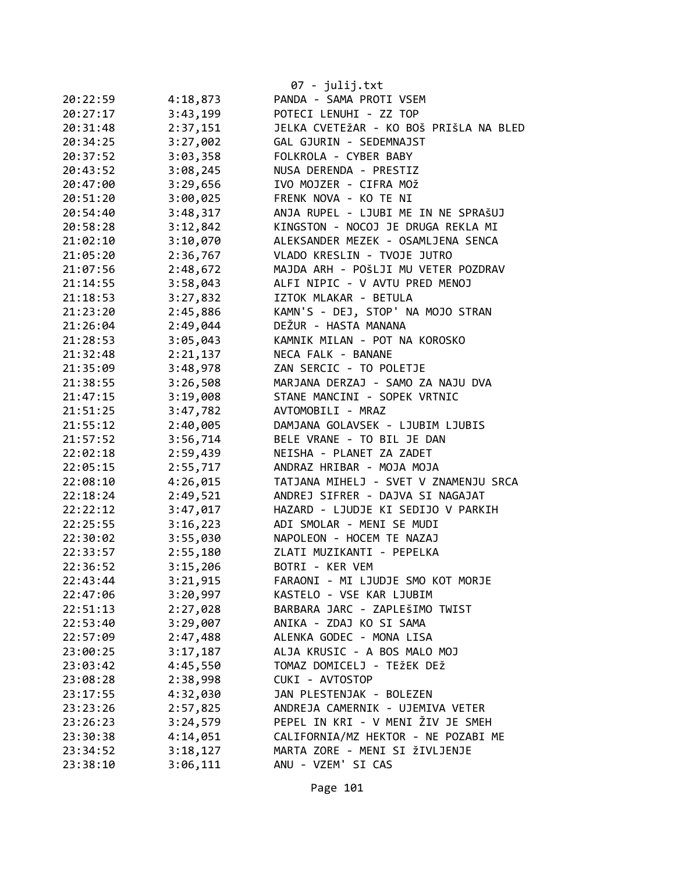|          |          | $07 - julij.txt$                       |
|----------|----------|----------------------------------------|
| 20:22:59 | 4:18,873 | PANDA - SAMA PROTI VSEM                |
| 20:27:17 | 3:43,199 | POTECI LENUHI - ZZ TOP                 |
| 20:31:48 | 2:37,151 | JELKA CVETEŽAR - KO BOŠ PRIŠLA NA BLED |
| 20:34:25 | 3:27,002 | GAL GJURIN - SEDEMNAJST                |
| 20:37:52 | 3:03,358 | FOLKROLA - CYBER BABY                  |
| 20:43:52 | 3:08,245 | NUSA DERENDA - PRESTIZ                 |
| 20:47:00 | 3:29,656 | IVO MOJZER - CIFRA MOŽ                 |
| 20:51:20 | 3:00,025 | FRENK NOVA - KO TE NI                  |
| 20:54:40 | 3:48,317 | ANJA RUPEL - LJUBI ME IN NE SPRAŠUJ    |
| 20:58:28 | 3:12,842 | KINGSTON - NOCOJ JE DRUGA REKLA MI     |
| 21:02:10 | 3:10,070 | ALEKSANDER MEZEK - OSAMLJENA SENCA     |
| 21:05:20 | 2:36,767 | VLADO KRESLIN - TVOJE JUTRO            |
| 21:07:56 | 2:48,672 | MAJDA ARH - POŠLJI MU VETER POZDRAV    |
| 21:14:55 | 3:58,043 | ALFI NIPIC - V AVTU PRED MENOJ         |
| 21:18:53 | 3:27,832 | IZTOK MLAKAR - BETULA                  |
| 21:23:20 | 2:45,886 | KAMN'S - DEJ, STOP' NA MOJO STRAN      |
| 21:26:04 | 2:49,044 | DEŽUR - HASTA MANANA                   |
| 21:28:53 | 3:05,043 | KAMNIK MILAN - POT NA KOROSKO          |
| 21:32:48 | 2:21,137 | NECA FALK - BANANE                     |
| 21:35:09 | 3:48,978 | ZAN SERCIC - TO POLETJE                |
| 21:38:55 | 3:26,508 | MARJANA DERZAJ - SAMO ZA NAJU DVA      |
| 21:47:15 | 3:19,008 | STANE MANCINI - SOPEK VRTNIC           |
| 21:51:25 | 3:47,782 | AVTOMOBILI - MRAZ                      |
| 21:55:12 | 2:40,005 | DAMJANA GOLAVSEK - LJUBIM LJUBIS       |
| 21:57:52 | 3:56,714 | BELE VRANE - TO BIL JE DAN             |
| 22:02:18 | 2:59,439 | NEISHA - PLANET ZA ZADET               |
| 22:05:15 | 2:55,717 | ANDRAZ HRIBAR - MOJA MOJA              |
| 22:08:10 | 4:26,015 | TATJANA MIHELJ - SVET V ZNAMENJU SRCA  |
| 22:18:24 | 2:49,521 | ANDREJ SIFRER - DAJVA SI NAGAJAT       |
| 22:22:12 | 3:47,017 | HAZARD - LJUDJE KI SEDIJO V PARKIH     |
| 22:25:55 | 3:16,223 | ADI SMOLAR - MENI SE MUDI              |
| 22:30:02 | 3:55,030 | NAPOLEON - HOCEM TE NAZAJ              |
| 22:33:57 | 2:55,180 | ZLATI MUZIKANTI - PEPELKA              |
| 22:36:52 | 3:15,206 | BOTRI - KER VEM                        |
| 22:43:44 | 3:21,915 | FARAONI - MI LJUDJE SMO KOT MORJE      |
| 22:47:06 | 3:20,997 | KASTELO - VSE KAR LJUBIM               |
| 22:51:13 | 2:27,028 | BARBARA JARC - ZAPLEŠIMO TWIST         |
| 22:53:40 | 3:29,007 | ANIKA - ZDAJ KO SI SAMA                |
| 22:57:09 | 2:47,488 | ALENKA GODEC - MONA LISA               |
| 23:00:25 | 3:17,187 | ALJA KRUSIC - A BOS MALO MOJ           |
| 23:03:42 | 4:45,550 | TOMAZ DOMICELJ - TEŽEK DEŽ             |
| 23:08:28 | 2:38,998 | CUKI - AVTOSTOP                        |
| 23:17:55 | 4:32,030 | JAN PLESTENJAK - BOLEZEN               |
| 23:23:26 | 2:57,825 | ANDREJA CAMERNIK - UJEMIVA VETER       |
| 23:26:23 | 3:24,579 | PEPEL IN KRI - V MENI ŽIV JE SMEH      |
| 23:30:38 | 4:14,051 | CALIFORNIA/MZ HEKTOR - NE POZABI ME    |
| 23:34:52 | 3:18,127 | MARTA ZORE - MENI SI ŽIVLJENJE         |
| 23:38:10 | 3:06,111 | ANU - VZEM' SI CAS                     |
|          |          |                                        |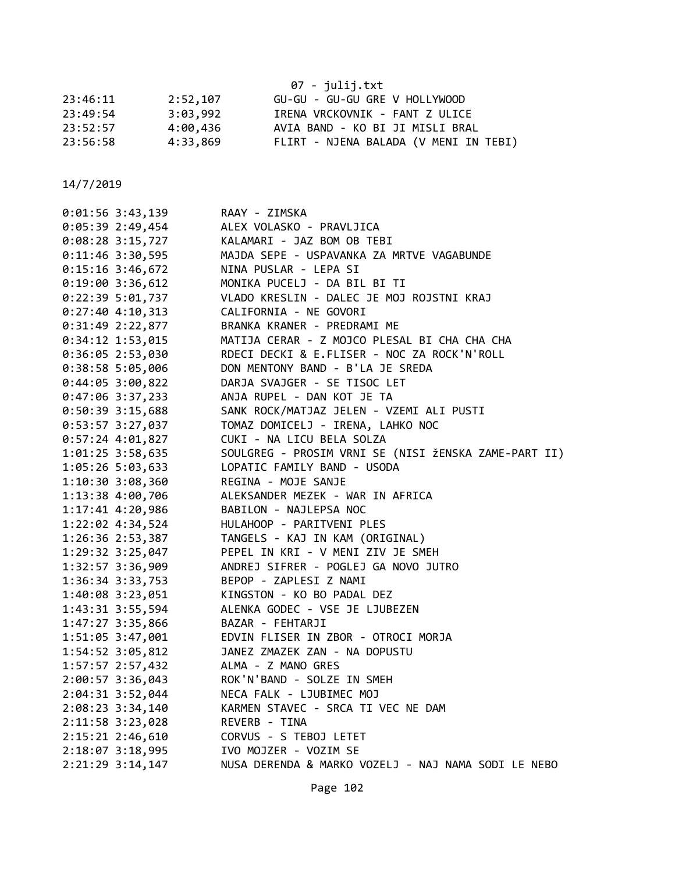|          |          | 07 - julij.txt                        |
|----------|----------|---------------------------------------|
| 23:46:11 | 2:52,107 | GU-GU - GU-GU GRE V HOLLYWOOD         |
| 23:49:54 | 3:03,992 | IRENA VRCKOVNIK - FANT Z ULICE        |
| 23:52:57 | 4:00,436 | AVIA BAND - KO BI JI MISLI BRAL       |
| 23:56:58 | 4:33,869 | FLIRT - NJENA BALADA (V MENI IN TEBI) |

| $0:01:56$ 3:43,139   | RAAY - ZIMSKA                                        |
|----------------------|------------------------------------------------------|
| $0:05:39$ 2:49,454   | ALEX VOLASKO - PRAVLJICA                             |
| $0:08:28$ 3:15,727   | KALAMARI - JAZ BOM OB TEBI                           |
| $0:11:46$ 3:30,595   | MAJDA SEPE - USPAVANKA ZA MRTVE VAGABUNDE            |
| $0:15:16$ 3:46,672   | NINA PUSLAR - LEPA SI                                |
| 0:19:00 3:36,612     | MONIKA PUCELJ - DA BIL BI TI                         |
| 0:22:395:01,737      | VLADO KRESLIN - DALEC JE MOJ ROJSTNI KRAJ            |
| $0:27:40$ 4:10,313   | CALIFORNIA - NE GOVORI                               |
| $0:31:49$ 2:22,877   | BRANKA KRANER - PREDRAMI ME                          |
| $0:34:12$ 1:53,015   | MATIJA CERAR - Z MOJCO PLESAL BI CHA CHA CHA         |
| $0:36:05$ 2:53,030   | RDECI DECKI & E.FLISER - NOC ZA ROCK'N'ROLL          |
| $0:38:58$ 5:05,006   | DON MENTONY BAND - B'LA JE SREDA                     |
| $0:44:05$ 3:00,822   | DARJA SVAJGER - SE TISOC LET                         |
| $0:47:06$ 3:37,233   | ANJA RUPEL - DAN KOT JE TA                           |
| $0:50:39$ 3:15,688   | SANK ROCK/MATJAZ JELEN - VZEMI ALI PUSTI             |
| $0:53:57$ 3:27,037   | TOMAZ DOMICELJ - IRENA, LAHKO NOC                    |
| $0:57:24$ 4:01,827   | CUKI - NA LICU BELA SOLZA                            |
| 1:01:25 3:58,635     | SOULGREG - PROSIM VRNI SE (NISI ŽENSKA ZAME-PART II) |
| $1:05:26$ 5:03,633   | LOPATIC FAMILY BAND - USODA                          |
| $1:10:30$ $3:08,360$ | REGINA - MOJE SANJE                                  |
| 1:13:38 4:00,706     | ALEKSANDER MEZEK - WAR IN AFRICA                     |
| $1:17:41$ $4:20,986$ | BABILON - NAJLEPSA NOC                               |
| 1:22:02 4:34,524     | HULAHOOP - PARITVENI PLES                            |
| $1:26:36$ $2:53,387$ | TANGELS - KAJ IN KAM (ORIGINAL)                      |
| 1:29:32 3:25,047     | PEPEL IN KRI - V MENI ZIV JE SMEH                    |
| $1:32:57$ 3:36,909   | ANDREJ SIFRER - POGLEJ GA NOVO JUTRO                 |
| $1:36:34$ $3:33,753$ | BEPOP - ZAPLESI Z NAMI                               |
| $1:40:08$ 3:23,051   | KINGSTON - KO BO PADAL DEZ                           |
| 1:43:31 3:55,594     | ALENKA GODEC - VSE JE LJUBEZEN                       |
| 1:47:27 3:35,866     | BAZAR - FEHTARJI                                     |
| 1:51:05 3:47,001     | EDVIN FLISER IN ZBOR - OTROCI MORJA                  |
| 1:54:52 3:05,812     | JANEZ ZMAZEK ZAN - NA DOPUSTU                        |
| 1:57:57 2:57,432     | ALMA - Z MANO GRES                                   |
| 2:00:57 3:36,043     | ROK'N'BAND - SOLZE IN SMEH                           |
| $2:04:31$ 3:52,044   | NECA FALK - LJUBIMEC MOJ                             |
| $2:08:23$ 3:34,140   | KARMEN STAVEC - SRCA TI VEC NE DAM                   |
| 2:11:58 3:23,028     | REVERB - TINA                                        |
| 2:15:21 2:46,610     | CORVUS - S TEBOJ LETET                               |
| 2:18:07 3:18,995     | IVO MOJZER - VOZIM SE                                |
| 2:21:29 3:14,147     | NUSA DERENDA & MARKO VOZELJ - NAJ NAMA SODI LE NEBO  |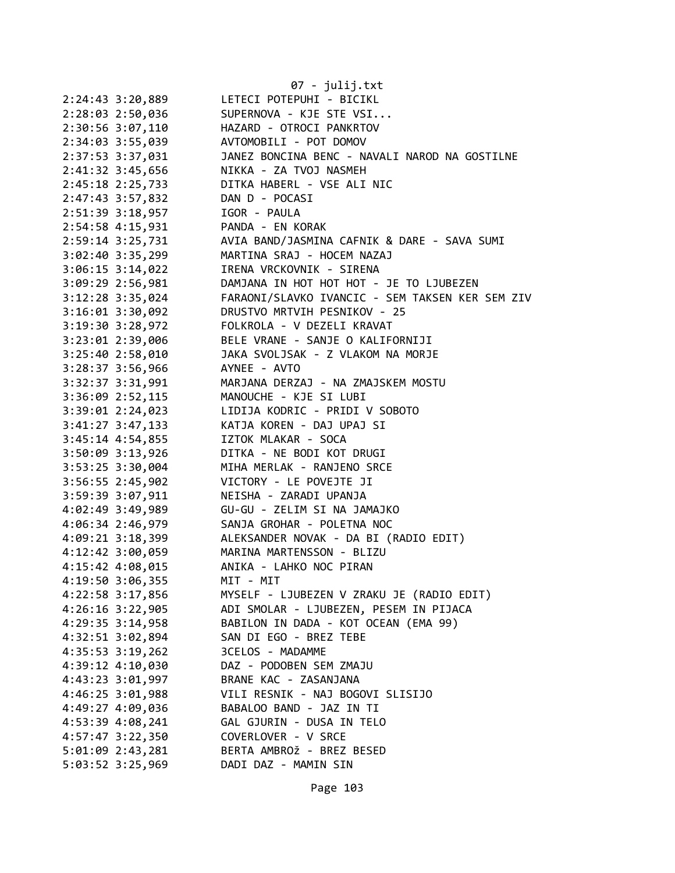| 2:24:43 3:20,889     | 07 - julij.txt<br>LETECI POTEPUHI - BICIKL      |
|----------------------|-------------------------------------------------|
| 2:28:03 2:50,036     | SUPERNOVA - KJE STE VSI                         |
| 2:30:56 3:07,110     | HAZARD - OTROCI PANKRTOV                        |
| 2:34:03 3:55,039     | AVTOMOBILI - POT DOMOV                          |
| 2:37:53 3:37,031     | JANEZ BONCINA BENC - NAVALI NAROD NA GOSTILNE   |
| 2:41:32 3:45,656     | NIKKA - ZA TVOJ NASMEH                          |
| 2:45:18 2:25,733     | DITKA HABERL - VSE ALI NIC                      |
| 2:47:43 3:57,832     | DAN D - POCASI                                  |
| 2:51:39 3:18,957     | IGOR - PAULA                                    |
| 2:54:58 4:15,931     | PANDA - EN KORAK                                |
| 2:59:14 3:25,731     | AVIA BAND/JASMINA CAFNIK & DARE - SAVA SUMI     |
| 3:02:40 3:35,299     | MARTINA SRAJ - HOCEM NAZAJ                      |
| 3:06:15 3:14,022     | IRENA VRCKOVNIK - SIRENA                        |
| 3:09:29 2:56,981     | DAMJANA IN HOT HOT HOT - JE TO LJUBEZEN         |
| 3:12:28 3:35,024     | FARAONI/SLAVKO IVANCIC - SEM TAKSEN KER SEM ZIV |
| 3:16:01 3:30,092     | DRUSTVO MRTVIH PESNIKOV - 25                    |
| 3:19:30 3:28,972     | FOLKROLA - V DEZELI KRAVAT                      |
| 3:23:01 2:39,006     | BELE VRANE - SANJE O KALIFORNIJI                |
| 3:25:40 2:58,010     | JAKA SVOLJSAK - Z VLAKOM NA MORJE               |
| 3:28:37 3:56,966     | AYNEE - AVTO                                    |
| 3:32:37 3:31,991     | MARJANA DERZAJ - NA ZMAJSKEM MOSTU              |
| 3:36:09 2:52,115     | MANOUCHE - KJE SI LUBI                          |
| $3:39:01$ $2:24,023$ | LIDIJA KODRIC - PRIDI V SOBOTO                  |
| $3:41:27$ $3:47,133$ | KATJA KOREN - DAJ UPAJ SI                       |
| $3:45:14$ 4:54,855   | IZTOK MLAKAR - SOCA                             |
| 3:50:09 3:13,926     | DITKA - NE BODI KOT DRUGI                       |
| 3:53:25 3:30,004     | MIHA MERLAK - RANJENO SRCE                      |
| 3:56:55 2:45,902     | VICTORY - LE POVEJTE JI                         |
| 3:59:39 3:07,911     | NEISHA - ZARADI UPANJA                          |
| 4:02:49 3:49,989     | GU-GU - ZELIM SI NA JAMAJKO                     |
| 4:06:34 2:46,979     | SANJA GROHAR - POLETNA NOC                      |
| 4:09:21 3:18,399     | ALEKSANDER NOVAK - DA BI (RADIO EDIT)           |
| 4:12:42 3:00,059     | MARINA MARTENSSON - BLIZU                       |
| 4:15:42 4:08,015     | ANIKA - LAHKO NOC PIRAN                         |
| 4:19:50 3:06,355     | MIT - MIT                                       |
| 4:22:58 3:17,856     | MYSELF - LJUBEZEN V ZRAKU JE (RADIO EDIT)       |
| $4:26:16$ 3:22,905   | ADI SMOLAR - LJUBEZEN, PESEM IN PIJACA          |
| 4:29:35 3:14,958     | BABILON IN DADA - KOT OCEAN (EMA 99)            |
| 4:32:51 3:02,894     | SAN DI EGO - BREZ TEBE                          |
| 4:35:53 3:19,262     | 3CELOS - MADAMME                                |
| 4:39:12 4:10,030     | DAZ - PODOBEN SEM ZMAJU                         |
| 4:43:23 3:01,997     | BRANE KAC - ZASANJANA                           |
| 4:46:25 3:01,988     | VILI RESNIK - NAJ BOGOVI SLISIJO                |
| 4:49:27 4:09,036     | BABALOO BAND - JAZ IN TI                        |
| 4:53:39 4:08,241     | GAL GJURIN - DUSA IN TELO                       |
| 4:57:47 3:22,350     | COVERLOVER - V SRCE                             |
| $5:01:09$ 2:43,281   | BERTA AMBROŽ - BREZ BESED                       |
| 5:03:52 3:25,969     | DADI DAZ - MAMIN SIN                            |
|                      |                                                 |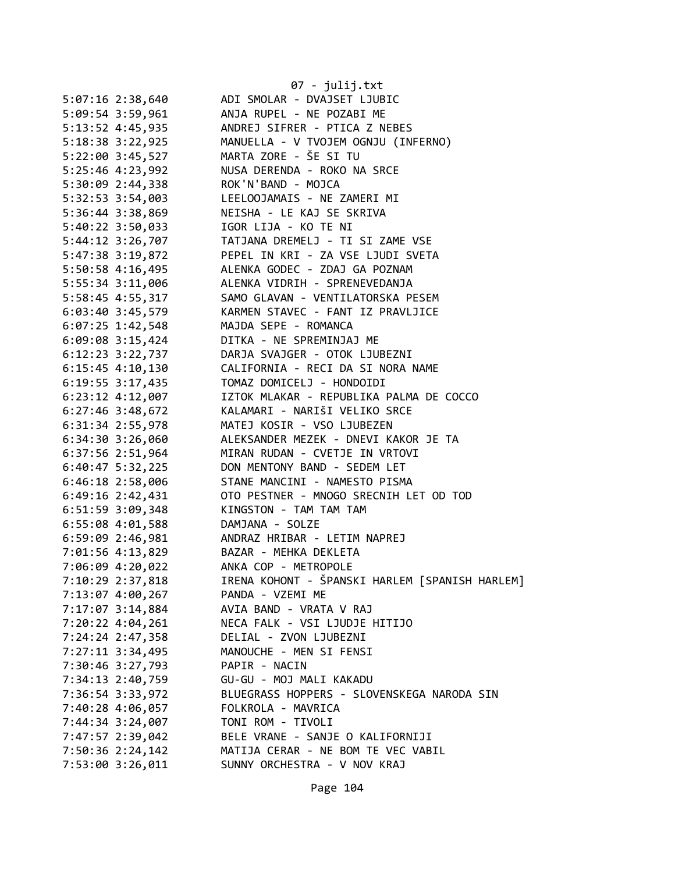|                                        | 07 - julij.txt                                    |
|----------------------------------------|---------------------------------------------------|
| $5:07:16$ 2:38,640                     | ADI SMOLAR - DVAJSET LJUBIC                       |
| 5:09:54 3:59,961                       | ANJA RUPEL - NE POZABI ME                         |
| 5:13:52 4:45,935                       | ANDREJ SIFRER - PTICA Z NEBES                     |
| 5:18:38 3:22,925                       | MANUELLA - V TVOJEM OGNJU (INFERNO)               |
| 5:22:00 3:45,527                       | MARTA ZORE - ŠE SI TU                             |
| 5:25:46 4:23,992                       | NUSA DERENDA - ROKO NA SRCE                       |
| 5:30:09 2:44,338                       | ROK'N'BAND - MOJCA                                |
| 5:32:53 3:54,003                       | LEELOOJAMAIS - NE ZAMERI MI                       |
| 5:36:44 3:38,869                       | NEISHA - LE KAJ SE SKRIVA                         |
| 5:40:22 3:50,033                       | IGOR LIJA - KO TE NI                              |
|                                        | 5:44:12 3:26,707 TATJANA DREMELJ - TI SI ZAME VSE |
| 5:47:38 3:19,872                       | PEPEL IN KRI - ZA VSE LJUDI SVETA                 |
| 5:50:58 4:16,495                       | ALENKA GODEC - ZDAJ GA POZNAM                     |
| 5:55:34 3:11,006                       | ALENKA VIDRIH - SPRENEVEDANJA                     |
| 5:58:45 4:55,317                       | SAMO GLAVAN - VENTILATORSKA PESEM                 |
| 6:03:40 3:45,579                       | KARMEN STAVEC - FANT IZ PRAVLJICE                 |
| 6:07:25 1:42,548                       | MAJDA SEPE - ROMANCA                              |
| 6:09:08 3:15,424                       | DITKA - NE SPREMINJAJ ME                          |
| $6:12:23$ $3:22,737$                   | DARJA SVAJGER - OTOK LJUBEZNI                     |
| $6:15:45$ 4:10,130                     | CALIFORNIA - RECI DA SI NORA NAME                 |
| $6:19:55$ 3:17,435                     | TOMAZ DOMICELJ - HONDOIDI                         |
| $6:23:12$ $4:12,007$                   | IZTOK MLAKAR - REPUBLIKA PALMA DE COCCO           |
| $6:27:46$ 3:48,672                     | KALAMARI - NARIŠI VELIKO SRCE                     |
| 6:31:34 2:55,978                       | MATEJ KOSIR - VSO LJUBEZEN                        |
| $6:34:30$ $3:26,060$                   | ALEKSANDER MEZEK - DNEVI KAKOR JE TA              |
| 6:37:56 2:51,964                       | MIRAN RUDAN - CVETJE IN VRTOVI                    |
| $6:40:47$ 5:32,225                     | DON MENTONY BAND - SEDEM LET                      |
| 6:46:18 2:58,006                       | STANE MANCINI - NAMESTO PISMA                     |
| $6:49:16$ $2:42,431$                   | OTO PESTNER - MNOGO SRECNIH LET OD TOD            |
| 6:51:59 3:09,348                       | KINGSTON - TAM TAM TAM                            |
| 6:55:08 4:01,588                       | DAMJANA - SOLZE                                   |
|                                        | 6:59:09 2:46,981 ANDRAZ HRIBAR - LETIM NAPREJ     |
| 7:01:56 4:13,829 BAZAR - MEHKA DEKLETA |                                                   |
| 7:06:09 4:20,022                       | ANKA COP - METROPOLE                              |
| 7:10:29 2:37,818                       | IRENA KOHONT - ŠPANSKI HARLEM [SPANISH HARLEM]    |
| 7:13:07 4:00,267                       | PANDA - VZEMI ME                                  |
| 7:17:07 3:14,884                       | AVIA BAND - VRATA V RAJ                           |
| 7:20:22 4:04,261                       | NECA FALK - VSI LJUDJE HITIJO                     |
| 7:24:24 2:47,358                       | DELIAL - ZVON LJUBEZNI                            |
| 7:27:11 3:34,495                       | MANOUCHE - MEN SI FENSI                           |
| 7:30:46 3:27,793                       | PAPIR - NACIN                                     |
| 7:34:13 2:40,759                       | GU-GU - MOJ MALI KAKADU                           |
| 7:36:54 3:33,972                       | BLUEGRASS HOPPERS - SLOVENSKEGA NARODA SIN        |
|                                        |                                                   |
| 7:40:28 4:06,057                       | FOLKROLA - MAVRICA                                |
| 7:44:34 3:24,007                       | TONI ROM - TIVOLI                                 |
| 7:47:57 2:39,042                       | BELE VRANE - SANJE O KALIFORNIJI                  |
| 7:50:36 2:24,142                       | MATIJA CERAR - NE BOM TE VEC VABIL                |
| 7:53:00 3:26,011                       | SUNNY ORCHESTRA - V NOV KRAJ                      |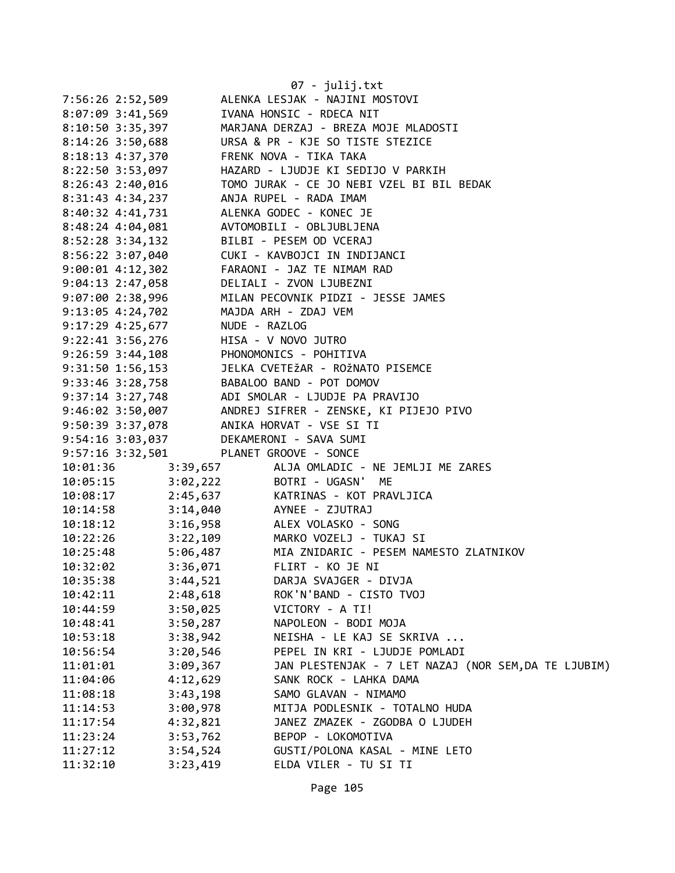|                                      |                                         | 07 - julij.txt                                                                                                                                                                                                            |
|--------------------------------------|-----------------------------------------|---------------------------------------------------------------------------------------------------------------------------------------------------------------------------------------------------------------------------|
|                                      |                                         | ALENKA LESJAK - NAJINI MOSTOVI                                                                                                                                                                                            |
| 7:56:26 2:52,509<br>8:07:09 3:41,569 |                                         | IVANA HONSIC - RDECA NIT                                                                                                                                                                                                  |
| 8:10:50 3:35,397                     |                                         | MARJANA DERZAJ - BREZA MOJE MLADOSTI                                                                                                                                                                                      |
| $8:14:26$ 3:50,688                   |                                         | URSA & PR - KJE SO TISTE STEZICE                                                                                                                                                                                          |
| 8:18:13 4:37,370                     |                                         | FRENK NOVA - TIKA TAKA                                                                                                                                                                                                    |
| 8:22:50 3:53,097                     |                                         | HAZARD - LJUDJE KI SEDIJO V PARKIH                                                                                                                                                                                        |
|                                      |                                         |                                                                                                                                                                                                                           |
| $8:26:43$ 2:40,016                   |                                         | TOMO JURAK - CE JO NEBI VZEL BI BIL BEDAK<br>ANJA RUPEL - RADA IMAM                                                                                                                                                       |
| 8:31:43 4:34,237                     |                                         |                                                                                                                                                                                                                           |
| 8:40:32 4:41,731                     |                                         | ALENKA GODEC - KONEC JE                                                                                                                                                                                                   |
| 8:48:24 4:04,081                     |                                         | AVTOMOBILI - OBLJUBLJENA                                                                                                                                                                                                  |
| 8:52:28 3:34,132                     |                                         | BILBI - PESEM OD VCERAJ                                                                                                                                                                                                   |
|                                      |                                         | 8:56:22 3:07,040 CUKI - KAVBOJCI IN INDIJANCI                                                                                                                                                                             |
| $9:00:01$ 4:12,302                   |                                         | FARAONI - JAZ TE NIMAM RAD                                                                                                                                                                                                |
|                                      |                                         | 9:00:01 4.12, 052<br>9:04:13 2:47, 058 DELIALI - ZVON LJUBEZNI<br>9:07:00 2:38, 996 MILAN PECOVNIK PIDZI - JESSE JAMES                                                                                                    |
|                                      |                                         |                                                                                                                                                                                                                           |
|                                      | MAJDA ARH - ZDAJ VEM                    |                                                                                                                                                                                                                           |
|                                      | 9:17:29 4:25,677 NUDE - RAZLOG          |                                                                                                                                                                                                                           |
|                                      | 9:22:41 3:56,276 HISA - V NOVO JUTRO    |                                                                                                                                                                                                                           |
|                                      | 9:26:59 3:44,108 PHONOMONICS - POHITIVA |                                                                                                                                                                                                                           |
| 9:31:50 1:56,153                     |                                         | JELKA CVETEŽAR - ROŽNATO PISEMCE                                                                                                                                                                                          |
|                                      |                                         | 9:33:46 3:28,758 BABALOO BAND - POT DOMOV                                                                                                                                                                                 |
|                                      |                                         |                                                                                                                                                                                                                           |
|                                      |                                         | 9:37:14 3:27,748<br>9:46:02 3:50,007<br>ANDREJ SIFRER - ZENSKE, KI PIJEJO PIVO                                                                                                                                            |
|                                      |                                         | 9:50:39 3:37,078 ANIKA HORVAT - VSE SI TI                                                                                                                                                                                 |
|                                      | 9:54:16 3:03,037 DEKAMERONI - SAVA SUMI |                                                                                                                                                                                                                           |
|                                      | 9:57:16 3:32,501 PLANET GROOVE - SONCE  |                                                                                                                                                                                                                           |
|                                      |                                         | 10:01:36 3:39,657 ALJA OMLADIC - NE JEMLJI ME ZARES                                                                                                                                                                       |
|                                      |                                         | 10:05:15 3:02,222 BOTRI - UGASN' ME                                                                                                                                                                                       |
|                                      |                                         | 10:03:15<br>10:08:17<br>10:14:58<br>10:14:58<br>10:18:12<br>10:18:12<br>10:18:12<br>10:18:12<br>10:18:12<br>10:18:12<br>10:18:12<br>10:03:28<br>20:03:28<br>20:04<br>20:05<br>AYNEE - ZJUTRAJ<br>20:05<br>AYNEE - ZJUTRAJ |
|                                      |                                         |                                                                                                                                                                                                                           |
|                                      |                                         |                                                                                                                                                                                                                           |
|                                      |                                         | 10:22:26 3:22,109 MARKO VOZELJ - TUKAJ SI                                                                                                                                                                                 |
| 10:25:48                             |                                         | 5:06,487 MIA ZNIDARIC - PESEM NAMESTO ZLATNIKOV                                                                                                                                                                           |
| 10:32:02                             | 3:36,071                                | FLIRT - KO JE NI                                                                                                                                                                                                          |
| 10:35:38                             | 3:44,521                                | DARJA SVAJGER - DIVJA                                                                                                                                                                                                     |
| 10:42:11                             | 2:48,618                                | ROK'N'BAND - CISTO TVOJ                                                                                                                                                                                                   |
| 10:44:59                             | 3:50,025                                | VICTORY - A TI!                                                                                                                                                                                                           |
| 10:48:41                             | 3:50,287                                | NAPOLEON - BODI MOJA                                                                                                                                                                                                      |
| 10:53:18                             | 3:38,942                                | NEISHA - LE KAJ SE SKRIVA                                                                                                                                                                                                 |
| 10:56:54                             | 3:20,546                                | PEPEL IN KRI - LJUDJE POMLADI                                                                                                                                                                                             |
| 11:01:01                             | 3:09,367                                | JAN PLESTENJAK - 7 LET NAZAJ (NOR SEM, DA TE LJUBIM)                                                                                                                                                                      |
| 11:04:06                             | 4:12,629                                | SANK ROCK - LAHKA DAMA                                                                                                                                                                                                    |
| 11:08:18                             | 3:43,198                                | SAMO GLAVAN - NIMAMO                                                                                                                                                                                                      |
| 11:14:53                             | 3:00,978                                | MITJA PODLESNIK - TOTALNO HUDA                                                                                                                                                                                            |
| 11:17:54                             | 4:32,821                                | JANEZ ZMAZEK - ZGODBA O LJUDEH                                                                                                                                                                                            |
| 11:23:24                             | 3:53,762                                | BEPOP - LOKOMOTIVA                                                                                                                                                                                                        |
| 11:27:12                             | 3:54,524                                | GUSTI/POLONA KASAL - MINE LETO                                                                                                                                                                                            |
| 11:32:10                             | 3:23,419                                | ELDA VILER - TU SI TI                                                                                                                                                                                                     |
|                                      |                                         |                                                                                                                                                                                                                           |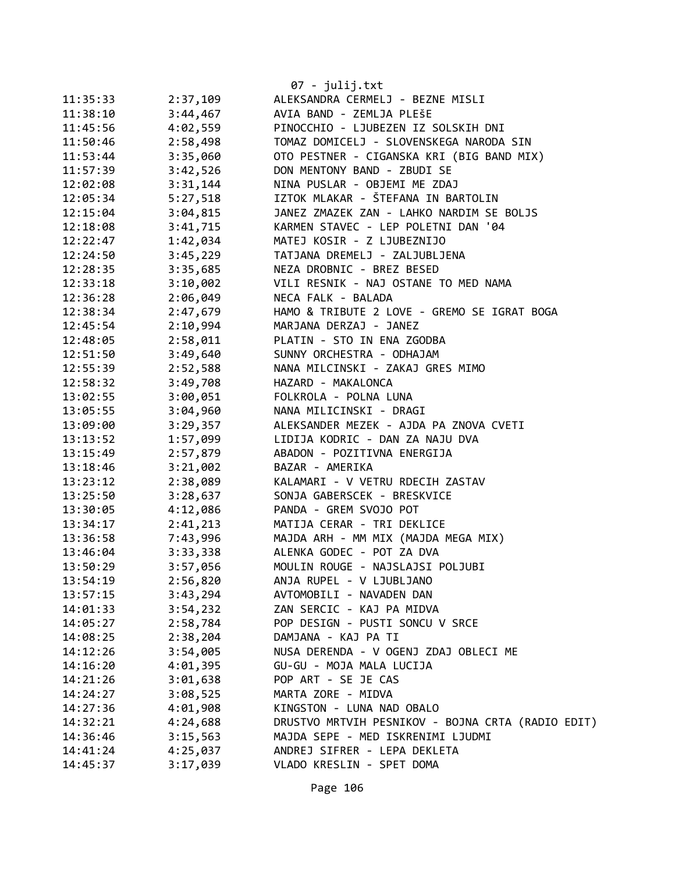|          |          | 07 - julij.txt                                    |
|----------|----------|---------------------------------------------------|
| 11:35:33 | 2:37,109 | ALEKSANDRA CERMELJ - BEZNE MISLI                  |
| 11:38:10 | 3:44,467 | AVIA BAND - ZEMLJA PLEŠE                          |
| 11:45:56 | 4:02,559 | PINOCCHIO - LJUBEZEN IZ SOLSKIH DNI               |
| 11:50:46 | 2:58,498 | TOMAZ DOMICELJ - SLOVENSKEGA NARODA SIN           |
| 11:53:44 | 3:35,060 | OTO PESTNER - CIGANSKA KRI (BIG BAND MIX)         |
| 11:57:39 | 3:42,526 | DON MENTONY BAND - ZBUDI SE                       |
| 12:02:08 | 3:31,144 | NINA PUSLAR - OBJEMI ME ZDAJ                      |
| 12:05:34 | 5:27,518 | IZTOK MLAKAR - ŠTEFANA IN BARTOLIN                |
| 12:15:04 | 3:04,815 | JANEZ ZMAZEK ZAN - LAHKO NARDIM SE BOLJS          |
| 12:18:08 | 3:41,715 | KARMEN STAVEC - LEP POLETNI DAN '04               |
| 12:22:47 | 1:42,034 | MATEJ KOSIR - Z LJUBEZNIJO                        |
| 12:24:50 | 3:45,229 | TATJANA DREMELJ - ZALJUBLJENA                     |
| 12:28:35 | 3:35,685 | NEZA DROBNIC - BREZ BESED                         |
| 12:33:18 | 3:10,002 | VILI RESNIK - NAJ OSTANE TO MED NAMA              |
| 12:36:28 | 2:06,049 | NECA FALK - BALADA                                |
| 12:38:34 | 2:47,679 | HAMO & TRIBUTE 2 LOVE - GREMO SE IGRAT BOGA       |
| 12:45:54 | 2:10,994 | MARJANA DERZAJ - JANEZ                            |
| 12:48:05 | 2:58,011 | PLATIN - STO IN ENA ZGODBA                        |
| 12:51:50 | 3:49,640 | SUNNY ORCHESTRA - ODHAJAM                         |
| 12:55:39 | 2:52,588 | NANA MILCINSKI - ZAKAJ GRES MIMO                  |
| 12:58:32 | 3:49,708 | HAZARD - MAKALONCA                                |
| 13:02:55 | 3:00,051 | FOLKROLA - POLNA LUNA                             |
| 13:05:55 | 3:04,960 | NANA MILICINSKI - DRAGI                           |
| 13:09:00 | 3:29,357 | ALEKSANDER MEZEK - AJDA PA ZNOVA CVETI            |
| 13:13:52 | 1:57,099 | LIDIJA KODRIC - DAN ZA NAJU DVA                   |
| 13:15:49 | 2:57,879 | ABADON - POZITIVNA ENERGIJA                       |
| 13:18:46 | 3:21,002 | BAZAR - AMERIKA                                   |
| 13:23:12 | 2:38,089 | KALAMARI - V VETRU RDECIH ZASTAV                  |
| 13:25:50 | 3:28,637 | SONJA GABERSCEK - BRESKVICE                       |
| 13:30:05 | 4:12,086 | PANDA - GREM SVOJO POT                            |
| 13:34:17 | 2:41,213 | MATIJA CERAR - TRI DEKLICE                        |
| 13:36:58 | 7:43,996 | MAJDA ARH - MM MIX (MAJDA MEGA MIX)               |
| 13:46:04 | 3:33,338 | ALENKA GODEC - POT ZA DVA                         |
| 13:50:29 | 3:57,056 | MOULIN ROUGE - NAJSLAJSI POLJUBI                  |
| 13:54:19 | 2:56,820 | ANJA RUPEL - V LJUBLJANO                          |
| 13:57:15 | 3:43,294 | AVTOMOBILI - NAVADEN DAN                          |
| 14:01:33 | 3:54,232 | ZAN SERCIC - KAJ PA MIDVA                         |
| 14:05:27 | 2:58,784 | POP DESIGN - PUSTI SONCU V SRCE                   |
| 14:08:25 | 2:38,204 | DAMJANA - KAJ PA TI                               |
| 14:12:26 | 3:54,005 | NUSA DERENDA - V OGENJ ZDAJ OBLECI ME             |
| 14:16:20 | 4:01,395 | GU-GU - MOJA MALA LUCIJA                          |
| 14:21:26 | 3:01,638 | POP ART - SE JE CAS                               |
| 14:24:27 | 3:08,525 | MARTA ZORE - MIDVA                                |
| 14:27:36 | 4:01,908 | KINGSTON - LUNA NAD OBALO                         |
| 14:32:21 | 4:24,688 | DRUSTVO MRTVIH PESNIKOV - BOJNA CRTA (RADIO EDIT) |
| 14:36:46 | 3:15,563 | MAJDA SEPE - MED ISKRENIMI LJUDMI                 |
| 14:41:24 | 4:25,037 | ANDREJ SIFRER - LEPA DEKLETA                      |
| 14:45:37 | 3:17,039 | VLADO KRESLIN - SPET DOMA                         |
|          |          |                                                   |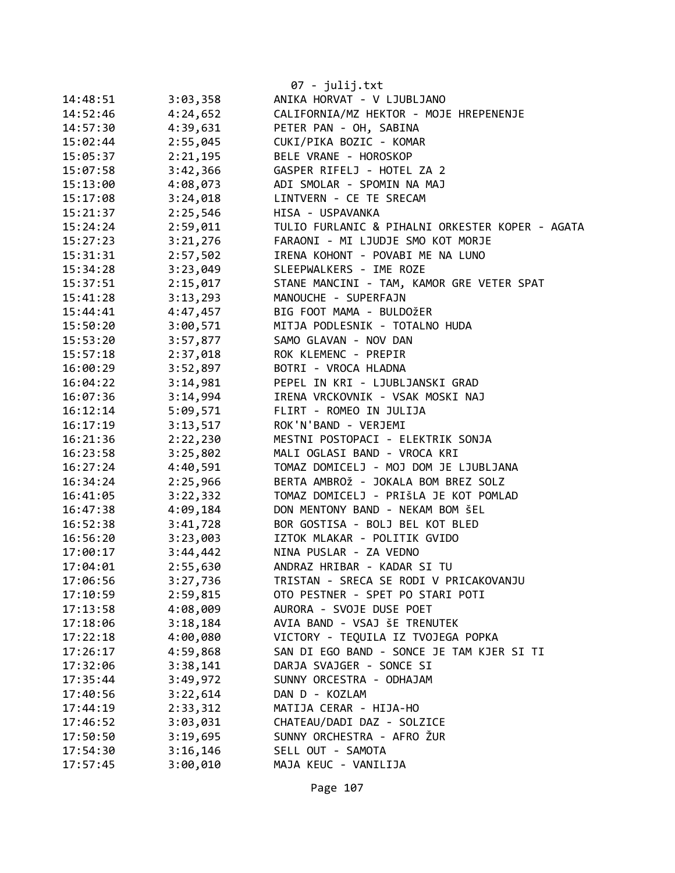|          |          | 07 - julij.txt                                  |
|----------|----------|-------------------------------------------------|
| 14:48:51 | 3:03,358 | ANIKA HORVAT - V LJUBLJANO                      |
| 14:52:46 | 4:24,652 | CALIFORNIA/MZ HEKTOR - MOJE HREPENENJE          |
| 14:57:30 | 4:39,631 | PETER PAN - OH, SABINA                          |
| 15:02:44 | 2:55,045 | CUKI/PIKA BOZIC - KOMAR                         |
| 15:05:37 | 2:21,195 | BELE VRANE - HOROSKOP                           |
| 15:07:58 | 3:42,366 | GASPER RIFELJ - HOTEL ZA 2                      |
| 15:13:00 | 4:08,073 | ADI SMOLAR - SPOMIN NA MAJ                      |
| 15:17:08 | 3:24,018 | LINTVERN - CE TE SRECAM                         |
| 15:21:37 | 2:25,546 | HISA - USPAVANKA                                |
| 15:24:24 | 2:59,011 | TULIO FURLANIC & PIHALNI ORKESTER KOPER - AGATA |
| 15:27:23 | 3:21,276 | FARAONI - MI LJUDJE SMO KOT MORJE               |
| 15:31:31 | 2:57,502 | IRENA KOHONT - POVABI ME NA LUNO                |
| 15:34:28 | 3:23,049 | SLEEPWALKERS - IME ROZE                         |
| 15:37:51 | 2:15,017 | STANE MANCINI - TAM, KAMOR GRE VETER SPAT       |
| 15:41:28 | 3:13,293 | MANOUCHE - SUPERFAJN                            |
| 15:44:41 | 4:47,457 | BIG FOOT MAMA - BULDOŽER                        |
| 15:50:20 | 3:00,571 | MITJA PODLESNIK - TOTALNO HUDA                  |
| 15:53:20 | 3:57,877 | SAMO GLAVAN - NOV DAN                           |
| 15:57:18 | 2:37,018 | ROK KLEMENC - PREPIR                            |
| 16:00:29 | 3:52,897 | BOTRI - VROCA HLADNA                            |
| 16:04:22 | 3:14,981 | PEPEL IN KRI - LJUBLJANSKI GRAD                 |
| 16:07:36 | 3:14,994 | IRENA VRCKOVNIK - VSAK MOSKI NAJ                |
| 16:12:14 | 5:09,571 | FLIRT - ROMEO IN JULIJA                         |
| 16:17:19 | 3:13,517 | ROK'N'BAND - VERJEMI                            |
| 16:21:36 | 2:22,230 | MESTNI POSTOPACI - ELEKTRIK SONJA               |
| 16:23:58 | 3:25,802 | MALI OGLASI BAND - VROCA KRI                    |
| 16:27:24 | 4:40,591 | TOMAZ DOMICELJ - MOJ DOM JE LJUBLJANA           |
| 16:34:24 | 2:25,966 | BERTA AMBROŽ - JOKALA BOM BREZ SOLZ             |
| 16:41:05 | 3:22,332 | TOMAZ DOMICELJ - PRIŠLA JE KOT POMLAD           |
| 16:47:38 | 4:09,184 | DON MENTONY BAND - NEKAM BOM ŠEL                |
| 16:52:38 | 3:41,728 | BOR GOSTISA - BOLJ BEL KOT BLED                 |
| 16:56:20 | 3:23,003 | IZTOK MLAKAR - POLITIK GVIDO                    |
| 17:00:17 | 3:44,442 | NINA PUSLAR - ZA VEDNO                          |
| 17:04:01 | 2:55,630 | ANDRAZ HRIBAR - KADAR SI TU                     |
| 17:06:56 | 3:27,736 | TRISTAN - SRECA SE RODI V PRICAKOVANJU          |
| 17:10:59 | 2:59,815 | OTO PESTNER - SPET PO STARI POTI                |
| 17:13:58 | 4:08,009 | AURORA - SVOJE DUSE POET                        |
| 17:18:06 | 3:18,184 | AVIA BAND - VSAJ ŠE TRENUTEK                    |
| 17:22:18 | 4:00,080 | VICTORY - TEQUILA IZ TVOJEGA POPKA              |
| 17:26:17 | 4:59,868 | SAN DI EGO BAND - SONCE JE TAM KJER SI TI       |
| 17:32:06 | 3:38,141 | DARJA SVAJGER - SONCE SI                        |
| 17:35:44 | 3:49,972 | SUNNY ORCESTRA - ODHAJAM                        |
| 17:40:56 | 3:22,614 | DAN D - KOZLAM                                  |
| 17:44:19 | 2:33,312 | MATIJA CERAR - HIJA-HO                          |
| 17:46:52 | 3:03,031 | CHATEAU/DADI DAZ - SOLZICE                      |
| 17:50:50 | 3:19,695 | SUNNY ORCHESTRA - AFRO ŽUR                      |
| 17:54:30 | 3:16,146 | SELL OUT - SAMOTA                               |
| 17:57:45 | 3:00,010 | MAJA KEUC - VANILIJA                            |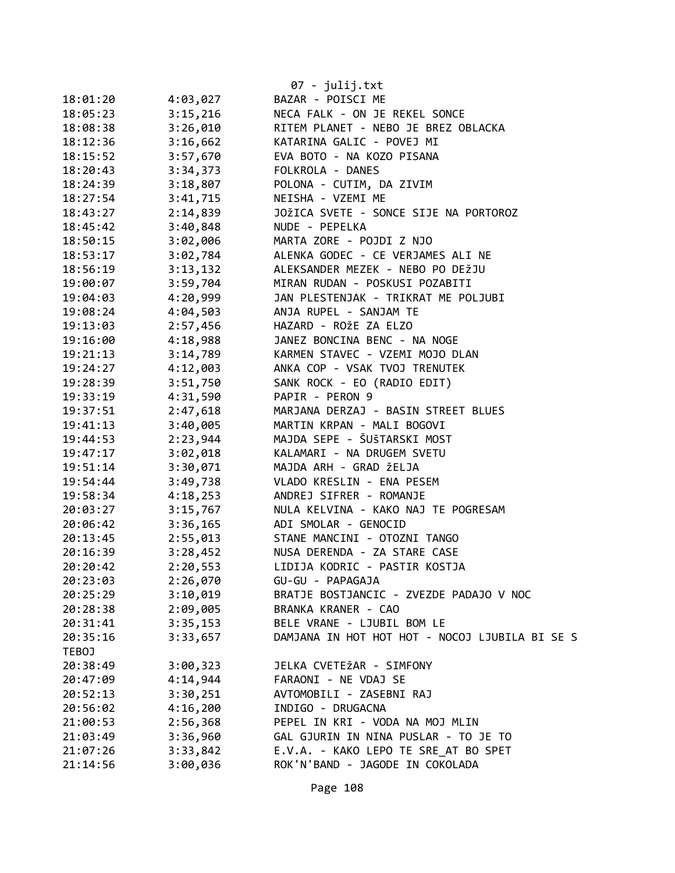|          |          | 07 - julij.txt                                 |
|----------|----------|------------------------------------------------|
| 18:01:20 | 4:03,027 | BAZAR - POISCI ME                              |
| 18:05:23 | 3:15,216 | NECA FALK - ON JE REKEL SONCE                  |
| 18:08:38 | 3:26,010 | RITEM PLANET - NEBO JE BREZ OBLACKA            |
| 18:12:36 | 3:16,662 | KATARINA GALIC - POVEJ MI                      |
| 18:15:52 | 3:57,670 | EVA BOTO - NA KOZO PISANA                      |
| 18:20:43 | 3:34,373 | FOLKROLA - DANES                               |
| 18:24:39 | 3:18,807 | POLONA - CUTIM, DA ZIVIM                       |
| 18:27:54 | 3:41,715 | NEISHA - VZEMI ME                              |
| 18:43:27 | 2:14,839 | JOŽICA SVETE - SONCE SIJE NA PORTOROZ          |
| 18:45:42 | 3:40,848 | NUDE - PEPELKA                                 |
| 18:50:15 | 3:02,006 | MARTA ZORE - POJDI Z NJO                       |
| 18:53:17 | 3:02,784 | ALENKA GODEC - CE VERJAMES ALI NE              |
| 18:56:19 | 3:13,132 | ALEKSANDER MEZEK - NEBO PO DEŽJU               |
| 19:00:07 | 3:59,704 | MIRAN RUDAN - POSKUSI POZABITI                 |
| 19:04:03 | 4:20,999 | JAN PLESTENJAK - TRIKRAT ME POLJUBI            |
| 19:08:24 | 4:04,503 | ANJA RUPEL - SANJAM TE                         |
| 19:13:03 | 2:57,456 | HAZARD - ROŽE ZA ELZO                          |
| 19:16:00 | 4:18,988 | JANEZ BONCINA BENC - NA NOGE                   |
| 19:21:13 | 3:14,789 | KARMEN STAVEC - VZEMI MOJO DLAN                |
| 19:24:27 | 4:12,003 | ANKA COP - VSAK TVOJ TRENUTEK                  |
| 19:28:39 | 3:51,750 | SANK ROCK - EO (RADIO EDIT)                    |
| 19:33:19 | 4:31,590 | PAPIR - PERON 9                                |
| 19:37:51 | 2:47,618 | MARJANA DERZAJ - BASIN STREET BLUES            |
| 19:41:13 | 3:40,005 | MARTIN KRPAN - MALI BOGOVI                     |
| 19:44:53 | 2:23,944 | MAJDA SEPE - ŠUŠTARSKI MOST                    |
| 19:47:17 | 3:02,018 | KALAMARI - NA DRUGEM SVETU                     |
| 19:51:14 | 3:30,071 | MAJDA ARH - GRAD ŽELJA                         |
| 19:54:44 | 3:49,738 | VLADO KRESLIN - ENA PESEM                      |
| 19:58:34 | 4:18,253 | ANDREJ SIFRER - ROMANJE                        |
| 20:03:27 | 3:15,767 | NULA KELVINA - KAKO NAJ TE POGRESAM            |
| 20:06:42 | 3:36,165 | ADI SMOLAR - GENOCID                           |
| 20:13:45 | 2:55,013 | STANE MANCINI - OTOZNI TANGO                   |
| 20:16:39 | 3:28,452 | NUSA DERENDA - ZA STARE CASE                   |
| 20:20:42 | 2:20,553 | LIDIJA KODRIC - PASTIR KOSTJA                  |
| 20:23:03 | 2:26,070 | GU-GU - PAPAGAJA                               |
| 20:25:29 | 3:10,019 | BRATJE BOSTJANCIC - ZVEZDE PADAJO V NOC        |
| 20:28:38 | 2:09,005 | BRANKA KRANER - CAO                            |
| 20:31:41 | 3:35,153 | BELE VRANE - LJUBIL BOM LE                     |
| 20:35:16 | 3:33,657 | DAMJANA IN HOT HOT HOT - NOCOJ LJUBILA BI SE S |
| TEBOJ    |          |                                                |
| 20:38:49 | 3:00,323 | JELKA CVETEŽAR - SIMFONY                       |
| 20:47:09 | 4:14,944 | FARAONI - NE VDAJ SE                           |
| 20:52:13 | 3:30,251 | AVTOMOBILI - ZASEBNI RAJ                       |
| 20:56:02 | 4:16,200 | INDIGO - DRUGACNA                              |
| 21:00:53 | 2:56,368 | PEPEL IN KRI - VODA NA MOJ MLIN                |
| 21:03:49 | 3:36,960 | GAL GJURIN IN NINA PUSLAR - TO JE TO           |
| 21:07:26 | 3:33,842 | E.V.A. - KAKO LEPO TE SRE AT BO SPET           |
| 21:14:56 | 3:00,036 | ROK'N'BAND - JAGODE IN COKOLADA                |

Page 108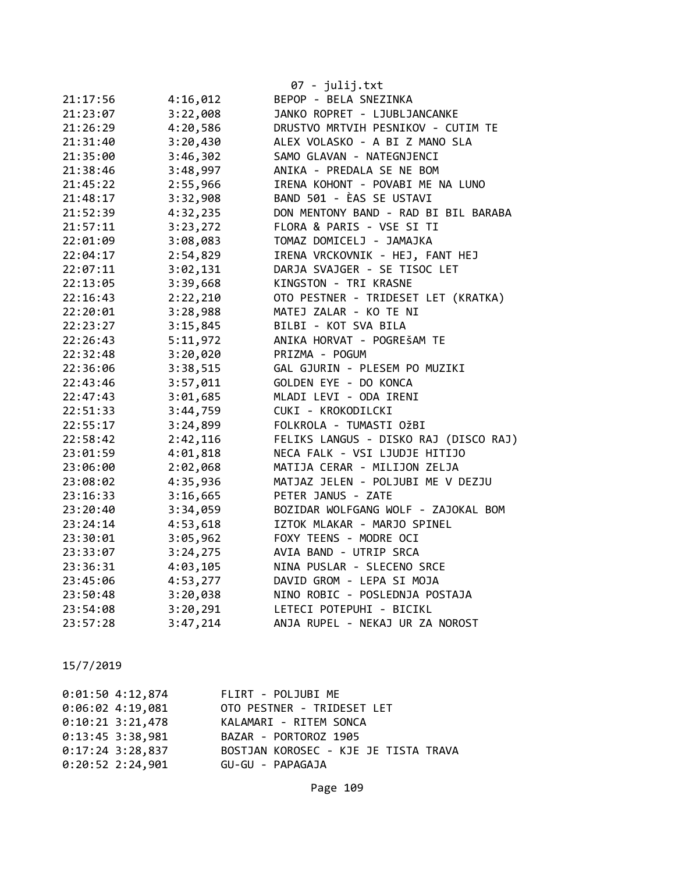|          |          | 07 - julij.txt                        |
|----------|----------|---------------------------------------|
| 21:17:56 | 4:16,012 | BEPOP - BELA SNEZINKA                 |
| 21:23:07 | 3:22,008 | JANKO ROPRET - LJUBLJANCANKE          |
| 21:26:29 | 4:20,586 | DRUSTVO MRTVIH PESNIKOV - CUTIM TE    |
| 21:31:40 | 3:20,430 | ALEX VOLASKO - A BI Z MANO SLA        |
| 21:35:00 | 3:46,302 | SAMO GLAVAN - NATEGNJENCI             |
| 21:38:46 | 3:48,997 | ANIKA - PREDALA SE NE BOM             |
| 21:45:22 | 2:55,966 | IRENA KOHONT - POVABI ME NA LUNO      |
| 21:48:17 | 3:32,908 | BAND 501 - ÈAS SE USTAVI              |
| 21:52:39 | 4:32,235 | DON MENTONY BAND - RAD BI BIL BARABA  |
| 21:57:11 | 3:23,272 | FLORA & PARIS - VSE SI TI             |
| 22:01:09 | 3:08,083 | TOMAZ DOMICELJ - JAMAJKA              |
| 22:04:17 | 2:54,829 | IRENA VRCKOVNIK - HEJ, FANT HEJ       |
| 22:07:11 | 3:02,131 | DARJA SVAJGER - SE TISOC LET          |
| 22:13:05 | 3:39,668 | KINGSTON - TRI KRASNE                 |
| 22:16:43 | 2:22,210 | OTO PESTNER - TRIDESET LET (KRATKA)   |
| 22:20:01 | 3:28,988 | MATEJ ZALAR - KO TE NI                |
| 22:23:27 | 3:15,845 | BILBI - KOT SVA BILA                  |
| 22:26:43 | 5:11,972 | ANIKA HORVAT - POGREŠAM TE            |
| 22:32:48 | 3:20,020 | PRIZMA - POGUM                        |
| 22:36:06 | 3:38,515 | GAL GJURIN - PLESEM PO MUZIKI         |
| 22:43:46 | 3:57,011 | GOLDEN EYE - DO KONCA                 |
| 22:47:43 | 3:01,685 | MLADI LEVI - ODA IRENI                |
| 22:51:33 | 3:44,759 | CUKI - KROKODILCKI                    |
| 22:55:17 | 3:24,899 | FOLKROLA - TUMASTI OŽBI               |
| 22:58:42 | 2:42,116 | FELIKS LANGUS - DISKO RAJ (DISCO RAJ) |
| 23:01:59 | 4:01,818 | NECA FALK - VSI LJUDJE HITIJO         |
| 23:06:00 | 2:02,068 | MATIJA CERAR - MILIJON ZELJA          |
| 23:08:02 | 4:35,936 | MATJAZ JELEN - POLJUBI ME V DEZJU     |
| 23:16:33 | 3:16,665 | PETER JANUS - ZATE                    |
| 23:20:40 | 3:34,059 | BOZIDAR WOLFGANG WOLF - ZAJOKAL BOM   |
| 23:24:14 | 4:53,618 | IZTOK MLAKAR - MARJO SPINEL           |
| 23:30:01 | 3:05,962 | FOXY TEENS - MODRE OCI                |
| 23:33:07 | 3:24,275 | AVIA BAND - UTRIP SRCA                |
| 23:36:31 | 4:03,105 | NINA PUSLAR - SLECENO SRCE            |
| 23:45:06 | 4:53,277 | DAVID GROM - LEPA SI MOJA             |
| 23:50:48 | 3:20,038 | NINO ROBIC - POSLEDNJA POSTAJA        |
| 23:54:08 | 3:20,291 | LETECI POTEPUHI - BICIKL              |
| 23:57:28 | 3:47,214 | ANJA RUPEL - NEKAJ UR ZA NOROST       |

| 0:01:504:12,874    | FLIRT - POLJUBI ME                   |
|--------------------|--------------------------------------|
| $0:06:02$ 4:19,081 | OTO PESTNER - TRIDESET LET           |
| $0:10:21$ 3:21,478 | KALAMARI - RITEM SONCA               |
| $0:13:45$ 3:38,981 | BAZAR - PORTOROZ 1905                |
| $0:17:24$ 3:28,837 | BOSTJAN KOROSEC - KJE JE TISTA TRAVA |
| $0:20:52$ 2:24,901 | GU-GU - PAPAGAJA                     |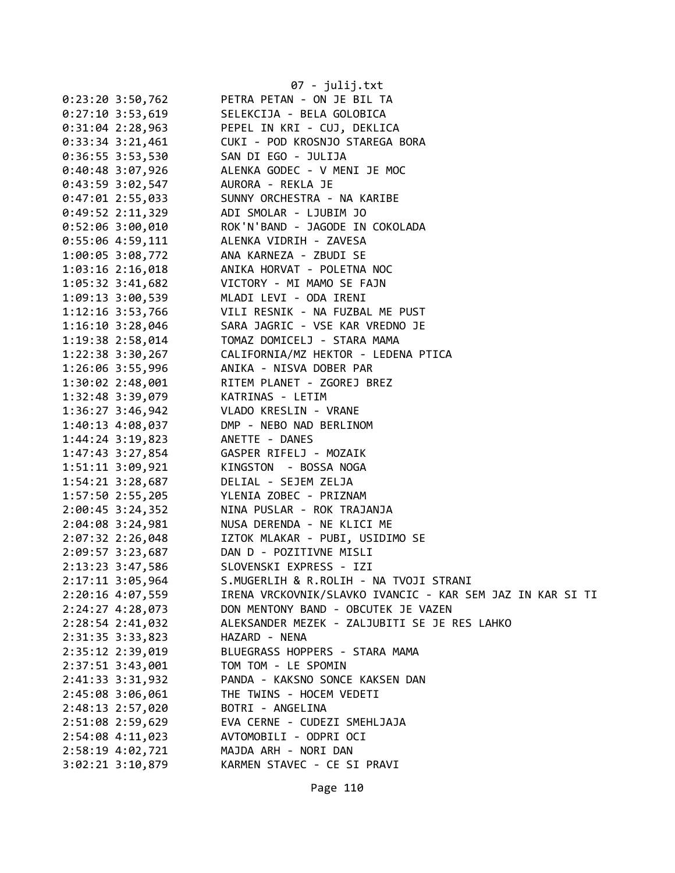|                      | 07 - julij.txt                                            |
|----------------------|-----------------------------------------------------------|
| $0:23:20$ 3:50,762   | PETRA PETAN - ON JE BIL TA                                |
| $0:27:10$ 3:53,619   | SELEKCIJA - BELA GOLOBICA                                 |
| $0:31:04$ 2:28,963   | PEPEL IN KRI - CUJ, DEKLICA                               |
| $0:33:34$ 3:21,461   | CUKI - POD KROSNJO STAREGA BORA                           |
| $0:36:55$ 3:53,530   | SAN DI EGO - JULIJA                                       |
| 0:40:48 3:07,926     | ALENKA GODEC - V MENI JE MOC                              |
| $0:43:59$ 3:02,547   | AURORA - REKLA JE                                         |
| $0:47:01$ 2:55,033   | SUNNY ORCHESTRA - NA KARIBE                               |
| $0:49:52$ 2:11,329   | ADI SMOLAR - LJUBIM JO                                    |
| $0:52:06$ 3:00,010   | ROK'N'BAND - JAGODE IN COKOLADA                           |
| $0:55:06$ 4:59,111   | ALENKA VIDRIH - ZAVESA                                    |
| 1:00:05 3:08,772     | ANA KARNEZA - ZBUDI SE                                    |
| 1:03:16 2:16,018     | ANIKA HORVAT - POLETNA NOC                                |
| $1:05:32$ 3:41,682   | VICTORY - MI MAMO SE FAJN                                 |
| 1:09:13 3:00,539     | MLADI LEVI - ODA IRENI                                    |
| $1:12:16$ 3:53,766   | VILI RESNIK - NA FUZBAL ME PUST                           |
| 1:16:10 3:28,046     | SARA JAGRIC - VSE KAR VREDNO JE                           |
| 1:19:38 2:58,014     | TOMAZ DOMICELJ - STARA MAMA                               |
| 1:22:38 3:30,267     | CALIFORNIA/MZ HEKTOR - LEDENA PTICA                       |
| 1:26:06 3:55,996     | ANIKA - NISVA DOBER PAR                                   |
| 1:30:02 2:48,001     | RITEM PLANET - ZGOREJ BREZ                                |
| 1:32:48 3:39,079     | KATRINAS - LETIM                                          |
| $1:36:27$ 3:46,942   | VLADO KRESLIN - VRANE                                     |
| 1:40:13 4:08,037     | DMP - NEBO NAD BERLINOM                                   |
| 1:44:24 3:19,823     | ANETTE - DANES                                            |
| $1:47:43$ 3:27,854   | GASPER RIFELJ - MOZAIK                                    |
| $1:51:11$ $3:09,921$ | KINGSTON - BOSSA NOGA                                     |
| $1:54:21$ $3:28,687$ | DELIAL - SEJEM ZELJA                                      |
| 1:57:50 2:55,205     | YLENIA ZOBEC - PRIZNAM                                    |
| $2:00:45$ 3:24,352   | NINA PUSLAR - ROK TRAJANJA                                |
| 2:04:08 3:24,981     | NUSA DERENDA - NE KLICI ME                                |
| 2:07:32 2:26,048     | IZTOK MLAKAR - PUBI, USIDIMO SE                           |
| 2:09:57 3:23,687     | DAN D - POZITIVNE MISLI                                   |
| 2:13:23 3:47,586     | SLOVENSKI EXPRESS - IZI                                   |
| 2:17:11 3:05,964     | S.MUGERLIH & R.ROLIH - NA TVOJI STRANI                    |
| 2:20:16 4:07,559     | IRENA VRCKOVNIK/SLAVKO IVANCIC - KAR SEM JAZ IN KAR SI TI |
| 2:24:27 4:28,073     | DON MENTONY BAND - OBCUTEK JE VAZEN                       |
| 2:28:54 2:41,032     | ALEKSANDER MEZEK - ZALJUBITI SE JE RES LAHKO              |
| 2:31:35 3:33,823     | HAZARD - NENA                                             |
| 2:35:12 2:39,019     | BLUEGRASS HOPPERS - STARA MAMA                            |
| 2:37:51 3:43,001     | TOM TOM - LE SPOMIN                                       |
| 2:41:33 3:31,932     | PANDA - KAKSNO SONCE KAKSEN DAN                           |
| 2:45:08 3:06,061     | THE TWINS - HOCEM VEDETI                                  |
| 2:48:13 2:57,020     | BOTRI - ANGELINA                                          |
| 2:51:08 2:59,629     | EVA CERNE - CUDEZI SMEHLJAJA                              |
| 2:54:08 4:11,023     | AVTOMOBILI - ODPRI OCI                                    |
| 2:58:19 4:02,721     | MAJDA ARH - NORI DAN                                      |
| 3:02:21 3:10,879     | KARMEN STAVEC - CE SI PRAVI                               |
|                      |                                                           |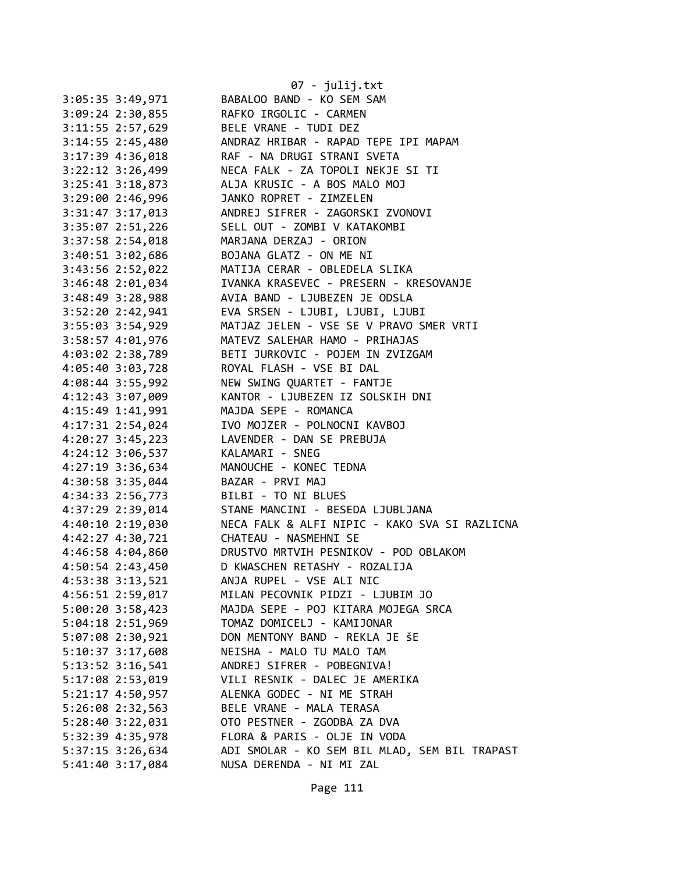|                      | 07 - julij.txt                                                 |
|----------------------|----------------------------------------------------------------|
| $3:05:35$ 3:49,971   | BABALOO BAND - KO SEM SAM                                      |
| $3:09:24$ 2:30,855   | RAFKO IRGOLIC - CARMEN                                         |
| 3:11:55 2:57,629     | BELE VRANE - TUDI DEZ                                          |
| 3:14:55 2:45,480     | ANDRAZ HRIBAR - RAPAD TEPE IPI MAPAM                           |
| 3:17:39 4:36,018     | RAF - NA DRUGI STRANI SVETA                                    |
| $3:22:12$ $3:26,499$ | NECA FALK - ZA TOPOLI NEKJE SI TI                              |
| $3:25:41$ $3:18,873$ | ALJA KRUSIC - A BOS MALO MOJ                                   |
| 3:29:00 2:46,996     | JANKO ROPRET - ZIMZELEN                                        |
| 3:31:47 3:17,013     | ANDREJ SIFRER - ZAGORSKI ZVONOVI                               |
| 3:35:07 2:51,226     | SELL OUT - ZOMBI V KATAKOMBI                                   |
| 3:37:58 2:54,018     | MARJANA DERZAJ - ORION                                         |
| 3:40:51 3:02,686     | BOJANA GLATZ - ON ME NI                                        |
| 3:43:56 2:52,022     | MATIJA CERAR - OBLEDELA SLIKA                                  |
| 3:46:48 2:01,034     | IVANKA KRASEVEC - PRESERN - KRESOVANJE                         |
| 3:48:49 3:28,988     | AVIA BAND - LJUBEZEN JE ODSLA                                  |
| $3:52:20$ 2:42,941   | EVA SRSEN - LJUBI, LJUBI, LJUBI                                |
| 3:55:03 3:54,929     | MATJAZ JELEN - VSE SE V PRAVO SMER VRTI                        |
| 3:58:57 4:01,976     | MATEVZ SALEHAR HAMO - PRIHAJAS                                 |
| 4:03:02 2:38,789     | BETI JURKOVIC - POJEM IN ZVIZGAM                               |
| 4:05:40 3:03,728     | ROYAL FLASH - VSE BI DAL                                       |
| 4:08:44 3:55,992     |                                                                |
|                      | NEW SWING QUARTET - FANTJE<br>KANTOR - LJUBEZEN IZ SOLSKIH DNI |
| 4:12:43 3:07,009     |                                                                |
| 4:15:49 1:41,991     | MAJDA SEPE - ROMANCA                                           |
| 4:17:31 2:54,024     | IVO MOJZER - POLNOCNI KAVBOJ                                   |
| 4:20:27 3:45,223     | LAVENDER - DAN SE PREBUJA                                      |
| 4:24:12 3:06,537     | KALAMARI - SNEG                                                |
| 4:27:19 3:36,634     | MANOUCHE - KONEC TEDNA                                         |
| 4:30:58 3:35,044     | BAZAR - PRVI MAJ                                               |
| 4:34:33 2:56,773     | BILBI - TO NI BLUES                                            |
| 4:37:29 2:39,014     | STANE MANCINI - BESEDA LJUBLJANA                               |
| 4:40:10 2:19,030     | NECA FALK & ALFI NIPIC - KAKO SVA SI RAZLICNA                  |
| 4:42:27 4:30,721     | CHATEAU - NASMEHNI SE                                          |
| 4:46:58 4:04,860     | DRUSTVO MRTVIH PESNIKOV - POD OBLAKOM                          |
| 4:50:54 2:43,450     | D KWASCHEN RETASHY - ROZALIJA                                  |
| 4:53:38 3:13,521     | ANJA RUPEL - VSE ALI NIC                                       |
| 4:56:51 2:59,017     | MILAN PECOVNIK PIDZI - LJUBIM JO                               |
| 5:00:20 3:58,423     | MAJDA SEPE - POJ KITARA MOJEGA SRCA                            |
| 5:04:18 2:51,969     | TOMAZ DOMICELJ - KAMIJONAR                                     |
| 5:07:08 2:30,921     | DON MENTONY BAND - REKLA JE ŠE                                 |
| 5:10:37 3:17,608     | NEISHA - MALO TU MALO TAM                                      |
| 5:13:52 3:16,541     | ANDREJ SIFRER - POBEGNIVA!                                     |
| 5:17:08 2:53,019     | VILI RESNIK - DALEC JE AMERIKA                                 |
| 5:21:17 4:50,957     | ALENKA GODEC - NI ME STRAH                                     |
| 5:26:08 2:32,563     | BELE VRANE - MALA TERASA                                       |
| $5:28:40$ $3:22,031$ | OTO PESTNER - ZGODBA ZA DVA                                    |
| 5:32:39 4:35,978     | FLORA & PARIS - OLJE IN VODA                                   |
| 5:37:15 3:26,634     | ADI SMOLAR - KO SEM BIL MLAD, SEM BIL TRAPAST                  |
| 5:41:40 3:17,084     | NUSA DERENDA - NI MI ZAL                                       |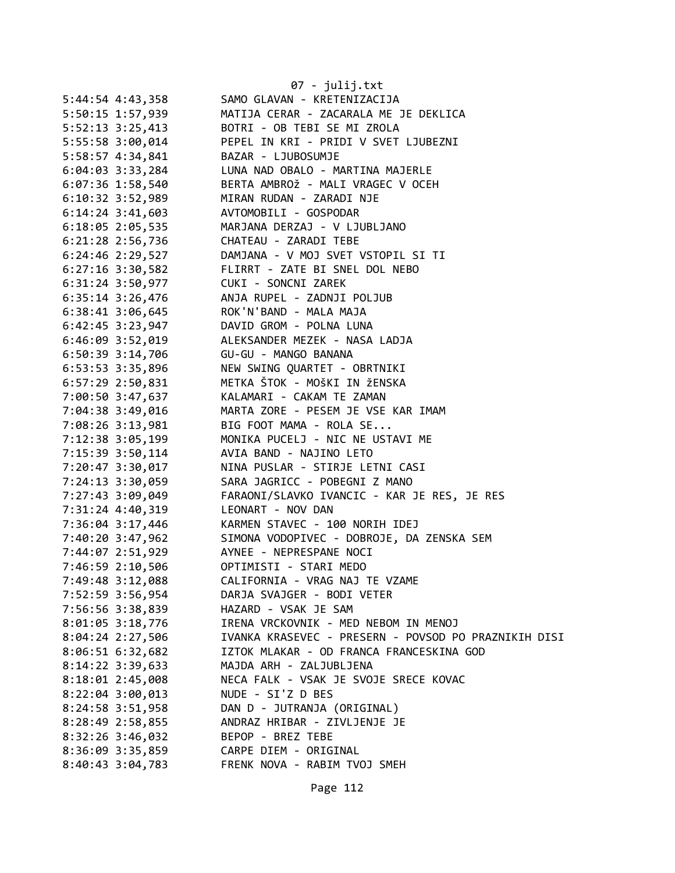|                      | 07 - julij.txt                                       |
|----------------------|------------------------------------------------------|
| 5:44:54 4:43,358     | SAMO GLAVAN - KRETENIZACIJA                          |
| 5:50:15 1:57,939     | MATIJA CERAR - ZACARALA ME JE DEKLICA                |
| 5:52:13 3:25,413     | BOTRI - OB TEBI SE MI ZROLA                          |
| 5:55:58 3:00,014     | PEPEL IN KRI - PRIDI V SVET LJUBEZNI                 |
| 5:58:57 4:34,841     | BAZAR - LJUBOSUMJE                                   |
| $6:04:03$ 3:33,284   | LUNA NAD OBALO - MARTINA MAJERLE                     |
| $6:07:36$ 1:58,540   | BERTA AMBROŽ - MALI VRAGEC V OCEH                    |
| $6:10:32$ 3:52,989   | MIRAN RUDAN - ZARADI NJE                             |
| $6:14:24$ 3:41,603   | AVTOMOBILI - GOSPODAR                                |
| 6:18:05 2:05,535     | MARJANA DERZAJ - V LJUBLJANO                         |
| 6:21:28 2:56,736     | CHATEAU - ZARADI TEBE                                |
| 6:24:46 2:29,527     | DAMJANA - V MOJ SVET VSTOPIL SI TI                   |
|                      | 6:27:16 3:30,582 FLIRRT - ZATE BI SNEL DOL NEBO      |
|                      | 6:31:24 3:50,977 CUKI - SONCNI ZAREK                 |
| $6:35:14$ $3:26,476$ | ANJA RUPEL - ZADNJI POLJUB                           |
| 6:38:41 3:06,645     | ROK'N'BAND - MALA MAJA                               |
| 6:42:45 3:23,947     | DAVID GROM - POLNA LUNA                              |
| 6:46:09 3:52,019     | ALEKSANDER MEZEK - NASA LADJA                        |
| 6:50:39 3:14,706     | GU-GU - MANGO BANANA                                 |
| 6:53:53 3:35,896     | NEW SWING QUARTET - OBRTNIKI                         |
| $6:57:29$ 2:50,831   | METKA ŠTOK - MOŠKI IN ŽENSKA                         |
| 7:00:50 3:47,637     | KALAMARI - CAKAM TE ZAMAN                            |
| 7:04:38 3:49,016     | MARTA ZORE - PESEM JE VSE KAR IMAM                   |
| 7:08:26 3:13,981     | BIG FOOT MAMA - ROLA SE                              |
| 7:12:38 3:05,199     | MONIKA PUCELJ - NIC NE USTAVI ME                     |
| 7:15:39 3:50,114     | AVIA BAND - NAJINO LETO                              |
| 7:20:47 3:30,017     | NINA PUSLAR - STIRJE LETNI CASI                      |
| 7:24:13 3:30,059     | SARA JAGRICC - POBEGNI Z MANO                        |
| 7:27:43 3:09,049     | FARAONI/SLAVKO IVANCIC - KAR JE RES, JE RES          |
| 7:31:24 4:40,319     | LEONART - NOV DAN                                    |
|                      | 7:36:04 3:17,446 KARMEN STAVEC - 100 NORIH IDEJ      |
| 7:40:20 3:47,962     | SIMONA VODOPIVEC - DOBROJE, DA ZENSKA SEM            |
|                      | 7:44:07 2:51,929 AYNEE - NEPRESPANE NOCI             |
| 7:46:59 2:10,506     | OPTIMISTI - STARI MEDO                               |
| 7:49:48 3:12,088     | CALIFORNIA - VRAG NAJ TE VZAME                       |
| 7:52:59 3:56,954     | DARJA SVAJGER - BODI VETER                           |
| 7:56:56 3:38,839     | HAZARD - VSAK JE SAM                                 |
| $8:01:05$ 3:18,776   | IRENA VRCKOVNIK - MED NEBOM IN MENOJ                 |
| 8:04:24 2:27,506     | IVANKA KRASEVEC - PRESERN - POVSOD PO PRAZNIKIH DISI |
| $8:06:51$ 6:32,682   | IZTOK MLAKAR - OD FRANCA FRANCESKINA GOD             |
| 8:14:22 3:39,633     | MAJDA ARH - ZALJUBLJENA                              |
| 8:18:01 2:45,008     | NECA FALK - VSAK JE SVOJE SRECE KOVAC                |
| $8:22:04$ 3:00,013   | NUDE - SI'Z D BES                                    |
| 8:24:58 3:51,958     | DAN D - JUTRANJA (ORIGINAL)                          |
| 8:28:49 2:58,855     | ANDRAZ HRIBAR - ZIVLJENJE JE                         |
| 8:32:26 3:46,032     | BEPOP - BREZ TEBE                                    |
| 8:36:09 3:35,859     | CARPE DIEM - ORIGINAL                                |
| $8:40:43$ 3:04,783   | FRENK NOVA - RABIM TVOJ SMEH                         |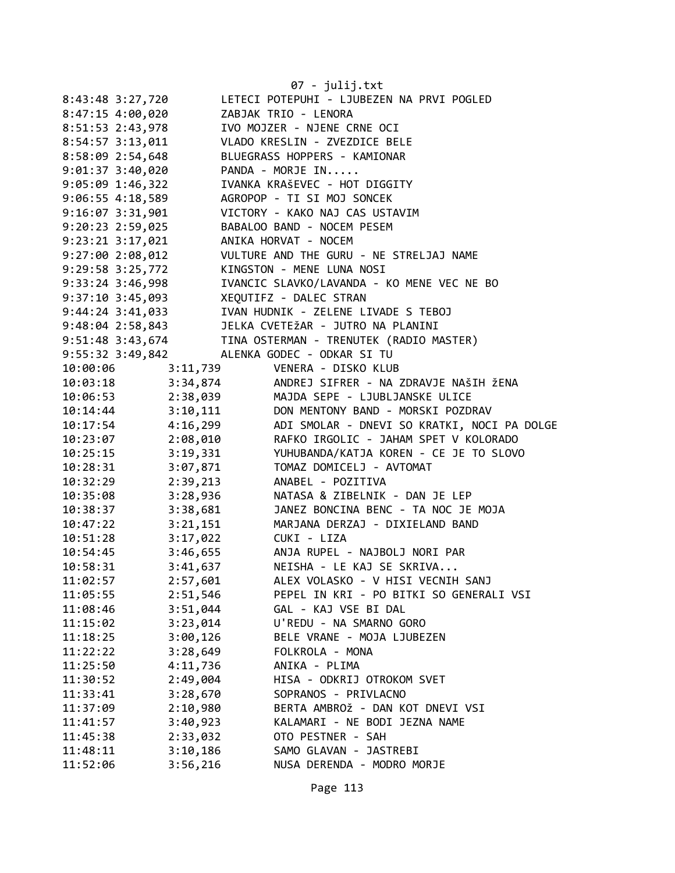|                      |                      | 07 - julij.txt                              |
|----------------------|----------------------|---------------------------------------------|
| 8:43:48 3:27,720     |                      | LETECI POTEPUHI - LJUBEZEN NA PRVI POGLED   |
| 8:47:15 4:00,020     |                      | ZABJAK TRIO - LENORA                        |
| 8:51:53 2:43,978     |                      | IVO MOJZER - NJENE CRNE OCI                 |
| $8:54:57$ $3:13,011$ |                      | VLADO KRESLIN - ZVEZDICE BELE               |
| 8:58:09 2:54,648     |                      | BLUEGRASS HOPPERS - KAMIONAR                |
| 9:01:37 3:40,020     |                      | PANDA - MORJE IN                            |
| $9:05:09$ 1:46,322   |                      | IVANKA KRAŠEVEC - HOT DIGGITY               |
| 9:06:55 4:18,589     |                      | AGROPOP - TI SI MOJ SONCEK                  |
| $9:16:07$ $3:31,901$ |                      | VICTORY - KAKO NAJ CAS USTAVIM              |
| 9:20:23 2:59,025     |                      | BABALOO BAND - NOCEM PESEM                  |
| 9:23:21 3:17,021     |                      | ANIKA HORVAT - NOCEM                        |
| 9:27:002:08,012      |                      | VULTURE AND THE GURU - NE STRELJAJ NAME     |
| 9:29:58 3:25,772     |                      | KINGSTON - MENE LUNA NOSI                   |
| 9:33:24 3:46,998     |                      | IVANCIC SLAVKO/LAVANDA - KO MENE VEC NE BO  |
| $9:37:10$ 3:45,093   |                      | XEQUTIFZ - DALEC STRAN                      |
| $9:44:24$ $3:41,033$ |                      | IVAN HUDNIK - ZELENE LIVADE S TEBOJ         |
| $9:48:04$ 2:58,843   |                      | JELKA CVETEŽAR - JUTRO NA PLANINI           |
| 9:51:48 3:43,674     |                      | TINA OSTERMAN - TRENUTEK (RADIO MASTER)     |
| 9:55:32 3:49,842     |                      | ALENKA GODEC - ODKAR SI TU                  |
| 10:00:06             |                      | 3:11,739 VENERA - DISKO KLUB                |
| 10:03:18             | 3:34,874             | ANDREJ SIFRER - NA ZDRAVJE NAŠIH ŽENA       |
| 10:06:53             | 2:38,039             | MAJDA SEPE - LJUBLJANSKE ULICE              |
| 10:14:44             | 3:10,111             | DON MENTONY BAND - MORSKI POZDRAV           |
| 10:17:54             | 4:16,299             | ADI SMOLAR - DNEVI SO KRATKI, NOCI PA DOLGE |
| 10:23:07             | 2:08,010             | RAFKO IRGOLIC - JAHAM SPET V KOLORADO       |
| 10:25:15             | 3:19,331             | YUHUBANDA/KATJA KOREN - CE JE TO SLOVO      |
| 10:28:31             | 3:07,871             | TOMAZ DOMICELJ - AVTOMAT                    |
| 10:32:29             | 2:39,213             | ANABEL - POZITIVA                           |
| 10:35:08             | 3:28,936             | NATASA & ZIBELNIK - DAN JE LEP              |
| 10:38:37             | 3:38,681             | JANEZ BONCINA BENC - TA NOC JE MOJA         |
| 10:47:22             | 3:21,151             | MARJANA DERZAJ - DIXIELAND BAND             |
| 10:51:28             | 3:17,022             | CUKI - LIZA                                 |
| 10:54:45             | 3:46,655             | ANJA RUPEL - NAJBOLJ NORI PAR               |
| 10:58:31             | 3:41,637             | NEISHA - LE KAJ SE SKRIVA                   |
| 11:02:57             | 2:57,601             | ALEX VOLASKO - V HISI VECNIH SANJ           |
| 11:05:55             | 2:51,546             | PEPEL IN KRI - PO BITKI SO GENERALI VSI     |
| 11:08:46             | 3:51,044             | GAL - KAJ VSE BI DAL                        |
| 11:15:02             | 3:23,014             | U'REDU - NA SMARNO GORO                     |
| 11:18:25             | 3:00,126             | BELE VRANE - MOJA LJUBEZEN                  |
| 11:22:22             | 3:28,649             | FOLKROLA - MONA                             |
| 11:25:50             | 4:11,736             | ANIKA - PLIMA                               |
| 11:30:52             | 2:49,004             | HISA - ODKRIJ OTROKOM SVET                  |
| 11:33:41             | 3:28,670             | SOPRANOS - PRIVLACNO                        |
| 11:37:09             |                      | BERTA AMBROŽ - DAN KOT DNEVI VSI            |
| 11:41:57             | 2:10,980<br>3:40,923 | KALAMARI - NE BODI JEZNA NAME               |
| 11:45:38             | 2:33,032             | OTO PESTNER - SAH                           |
| 11:48:11             | 3:10,186             | SAMO GLAVAN - JASTREBI                      |
| 11:52:06             |                      |                                             |
|                      | 3:56,216             | NUSA DERENDA - MODRO MORJE                  |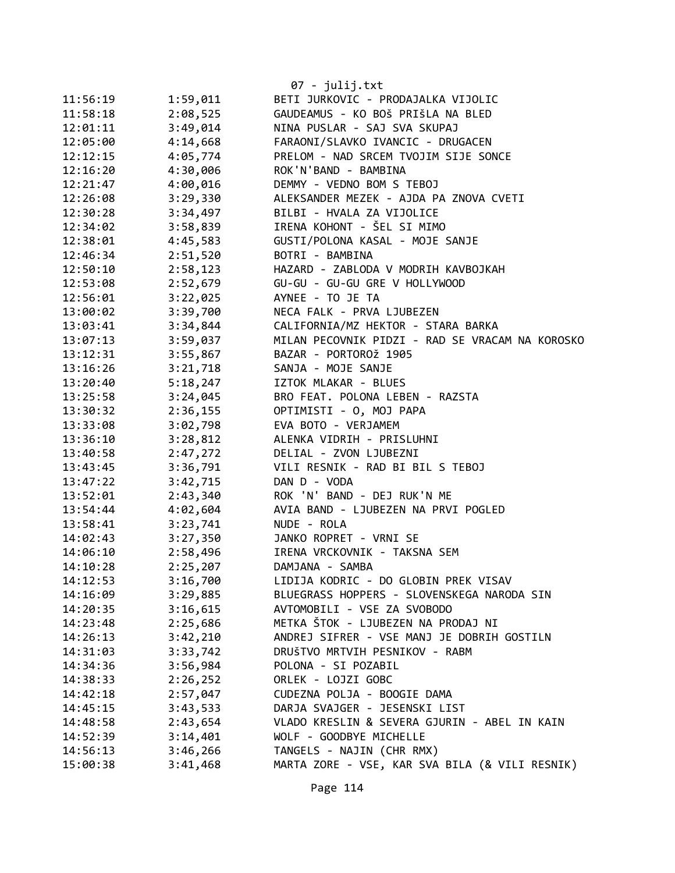|          |          | 07 - julij.txt                                  |
|----------|----------|-------------------------------------------------|
| 11:56:19 | 1:59,011 | BETI JURKOVIC - PRODAJALKA VIJOLIC              |
| 11:58:18 | 2:08,525 | GAUDEAMUS - KO BOŠ PRIŠLA NA BLED               |
| 12:01:11 | 3:49,014 | NINA PUSLAR - SAJ SVA SKUPAJ                    |
| 12:05:00 | 4:14,668 | FARAONI/SLAVKO IVANCIC - DRUGACEN               |
| 12:12:15 | 4:05,774 | PRELOM - NAD SRCEM TVOJIM SIJE SONCE            |
| 12:16:20 | 4:30,006 | ROK'N'BAND - BAMBINA                            |
| 12:21:47 | 4:00,016 | DEMMY - VEDNO BOM S TEBOJ                       |
| 12:26:08 | 3:29,330 | ALEKSANDER MEZEK - AJDA PA ZNOVA CVETI          |
| 12:30:28 | 3:34,497 | BILBI - HVALA ZA VIJOLICE                       |
| 12:34:02 | 3:58,839 | IRENA KOHONT - ŠEL SI MIMO                      |
| 12:38:01 | 4:45,583 | GUSTI/POLONA KASAL - MOJE SANJE                 |
| 12:46:34 | 2:51,520 | BOTRI - BAMBINA                                 |
| 12:50:10 | 2:58,123 | HAZARD - ZABLODA V MODRIH KAVBOJKAH             |
| 12:53:08 | 2:52,679 | GU-GU - GU-GU GRE V HOLLYWOOD                   |
| 12:56:01 | 3:22,025 | AYNEE - TO JE TA                                |
| 13:00:02 | 3:39,700 | NECA FALK - PRVA LJUBEZEN                       |
| 13:03:41 | 3:34,844 | CALIFORNIA/MZ HEKTOR - STARA BARKA              |
| 13:07:13 | 3:59,037 | MILAN PECOVNIK PIDZI - RAD SE VRACAM NA KOROSKO |
| 13:12:31 | 3:55,867 | BAZAR - PORTOROŽ 1905                           |
| 13:16:26 | 3:21,718 | SANJA - MOJE SANJE                              |
| 13:20:40 | 5:18,247 | IZTOK MLAKAR - BLUES                            |
| 13:25:58 | 3:24,045 | BRO FEAT. POLONA LEBEN - RAZSTA                 |
| 13:30:32 | 2:36,155 | OPTIMISTI - 0, MOJ PAPA                         |
| 13:33:08 | 3:02,798 | EVA BOTO - VERJAMEM                             |
| 13:36:10 | 3:28,812 | ALENKA VIDRIH - PRISLUHNI                       |
| 13:40:58 | 2:47,272 | DELIAL - ZVON LJUBEZNI                          |
| 13:43:45 | 3:36,791 | VILI RESNIK - RAD BI BIL S TEBOJ                |
| 13:47:22 | 3:42,715 | DAN D - VODA                                    |
| 13:52:01 | 2:43,340 | ROK 'N' BAND - DEJ RUK'N ME                     |
| 13:54:44 | 4:02,604 | AVIA BAND - LJUBEZEN NA PRVI POGLED             |
| 13:58:41 | 3:23,741 | NUDE - ROLA                                     |
| 14:02:43 | 3:27,350 | JANKO ROPRET - VRNI SE                          |
| 14:06:10 | 2:58,496 | IRENA VRCKOVNIK - TAKSNA SEM                    |
| 14:10:28 | 2:25,207 | DAMJANA - SAMBA                                 |
| 14:12:53 | 3:16,700 | LIDIJA KODRIC - DO GLOBIN PREK VISAV            |
| 14:16:09 | 3:29,885 | BLUEGRASS HOPPERS - SLOVENSKEGA NARODA SIN      |
| 14:20:35 | 3:16,615 | AVTOMOBILI - VSE ZA SVOBODO                     |
| 14:23:48 | 2:25,686 | METKA ŠTOK - LJUBEZEN NA PRODAJ NI              |
| 14:26:13 | 3:42,210 | ANDREJ SIFRER - VSE MANJ JE DOBRIH GOSTILN      |
| 14:31:03 | 3:33,742 | DRUŠTVO MRTVIH PESNIKOV - RABM                  |
| 14:34:36 | 3:56,984 | POLONA - SI POZABIL                             |
| 14:38:33 | 2:26,252 | ORLEK - LOJZI GOBC                              |
| 14:42:18 | 2:57,047 | CUDEZNA POLJA - BOOGIE DAMA                     |
| 14:45:15 | 3:43,533 | DARJA SVAJGER - JESENSKI LIST                   |
| 14:48:58 | 2:43,654 | VLADO KRESLIN & SEVERA GJURIN - ABEL IN KAIN    |
| 14:52:39 | 3:14,401 | WOLF - GOODBYE MICHELLE                         |
| 14:56:13 | 3:46,266 | TANGELS - NAJIN (CHR RMX)                       |
| 15:00:38 | 3:41,468 | MARTA ZORE - VSE, KAR SVA BILA (& VILI RESNIK)  |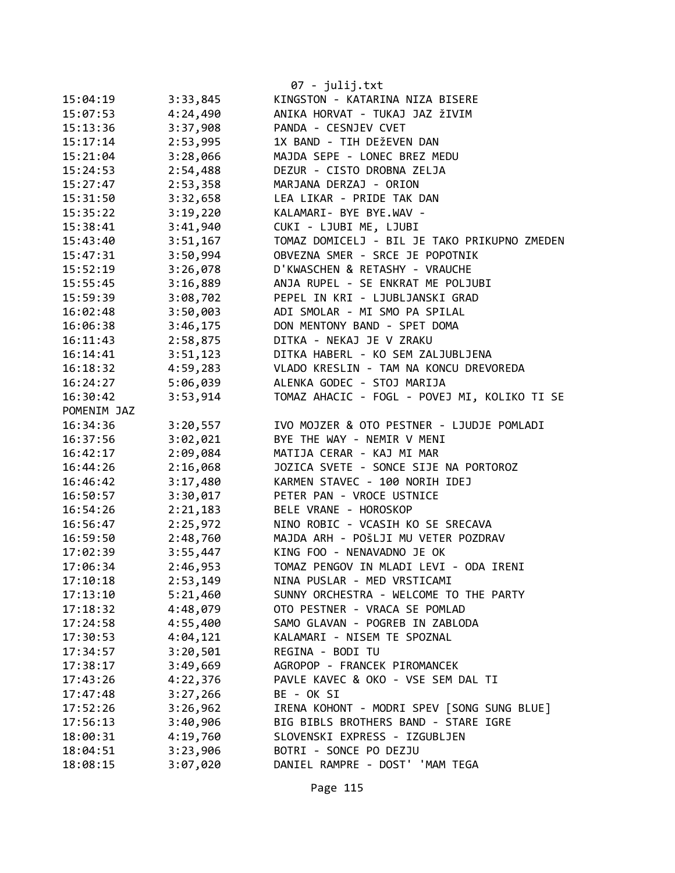|             |          | 07 - julij.txt                               |
|-------------|----------|----------------------------------------------|
| 15:04:19    | 3:33,845 | KINGSTON - KATARINA NIZA BISERE              |
| 15:07:53    | 4:24,490 | ANIKA HORVAT - TUKAJ JAZ ŽIVIM               |
| 15:13:36    | 3:37,908 | PANDA - CESNJEV CVET                         |
| 15:17:14    | 2:53,995 | 1X BAND - TIH DEŽEVEN DAN                    |
| 15:21:04    | 3:28,066 | MAJDA SEPE - LONEC BREZ MEDU                 |
| 15:24:53    | 2:54,488 | DEZUR - CISTO DROBNA ZELJA                   |
| 15:27:47    | 2:53,358 | MARJANA DERZAJ - ORION                       |
| 15:31:50    | 3:32,658 | LEA LIKAR - PRIDE TAK DAN                    |
| 15:35:22    | 3:19,220 | KALAMARI- BYE BYE.WAV -                      |
| 15:38:41    | 3:41,940 | CUKI - LJUBI ME, LJUBI                       |
| 15:43:40    | 3:51,167 | TOMAZ DOMICELJ - BIL JE TAKO PRIKUPNO ZMEDEN |
| 15:47:31    | 3:50,994 | OBVEZNA SMER - SRCE JE POPOTNIK              |
| 15:52:19    | 3:26,078 | D'KWASCHEN & RETASHY - VRAUCHE               |
| 15:55:45    | 3:16,889 | ANJA RUPEL - SE ENKRAT ME POLJUBI            |
| 15:59:39    | 3:08,702 | PEPEL IN KRI - LJUBLJANSKI GRAD              |
| 16:02:48    | 3:50,003 | ADI SMOLAR - MI SMO PA SPILAL                |
| 16:06:38    | 3:46,175 | DON MENTONY BAND - SPET DOMA                 |
| 16:11:43    | 2:58,875 | DITKA - NEKAJ JE V ZRAKU                     |
| 16:14:41    | 3:51,123 | DITKA HABERL - KO SEM ZALJUBLJENA            |
| 16:18:32    | 4:59,283 | VLADO KRESLIN - TAM NA KONCU DREVOREDA       |
| 16:24:27    | 5:06,039 | ALENKA GODEC - STOJ MARIJA                   |
| 16:30:42    | 3:53,914 | TOMAZ AHACIC - FOGL - POVEJ MI, KOLIKO TI SE |
| POMENIM JAZ |          |                                              |
| 16:34:36    | 3:20,557 | IVO MOJZER & OTO PESTNER - LJUDJE POMLADI    |
| 16:37:56    | 3:02,021 | BYE THE WAY - NEMIR V MENI                   |
| 16:42:17    | 2:09,084 | MATIJA CERAR - KAJ MI MAR                    |
| 16:44:26    | 2:16,068 | JOZICA SVETE - SONCE SIJE NA PORTOROZ        |
| 16:46:42    | 3:17,480 | KARMEN STAVEC - 100 NORIH IDEJ               |
| 16:50:57    | 3:30,017 | PETER PAN - VROCE USTNICE                    |
| 16:54:26    | 2:21,183 | BELE VRANE - HOROSKOP                        |
| 16:56:47    | 2:25,972 | NINO ROBIC - VCASIH KO SE SRECAVA            |
| 16:59:50    | 2:48,760 | MAJDA ARH - POŠLJI MU VETER POZDRAV          |
| 17:02:39    | 3:55,447 | KING FOO - NENAVADNO JE OK                   |
| 17:06:34    | 2:46,953 | TOMAZ PENGOV IN MLADI LEVI - ODA IRENI       |
| 17:10:18    | 2:53,149 | NINA PUSLAR - MED VRSTICAMI                  |
| 17:13:10    | 5:21,460 | SUNNY ORCHESTRA - WELCOME TO THE PARTY       |
| 17:18:32    | 4:48,079 | OTO PESTNER - VRACA SE POMLAD                |
| 17:24:58    | 4:55,400 | SAMO GLAVAN - POGREB IN ZABLODA              |
| 17:30:53    | 4:04,121 | KALAMARI - NISEM TE SPOZNAL                  |
| 17:34:57    | 3:20,501 | REGINA - BODI TU                             |
| 17:38:17    | 3:49,669 | AGROPOP - FRANCEK PIROMANCEK                 |
| 17:43:26    | 4:22,376 | PAVLE KAVEC & OKO - VSE SEM DAL TI           |
| 17:47:48    | 3:27,266 | BE - OK SI                                   |
| 17:52:26    | 3:26,962 | IRENA KOHONT - MODRI SPEV [SONG SUNG BLUE]   |
| 17:56:13    | 3:40,906 | BIG BIBLS BROTHERS BAND - STARE IGRE         |
| 18:00:31    | 4:19,760 | SLOVENSKI EXPRESS - IZGUBLJEN                |
| 18:04:51    | 3:23,906 | BOTRI - SONCE PO DEZJU                       |
| 18:08:15    | 3:07,020 | DANIEL RAMPRE - DOST' 'MAM TEGA              |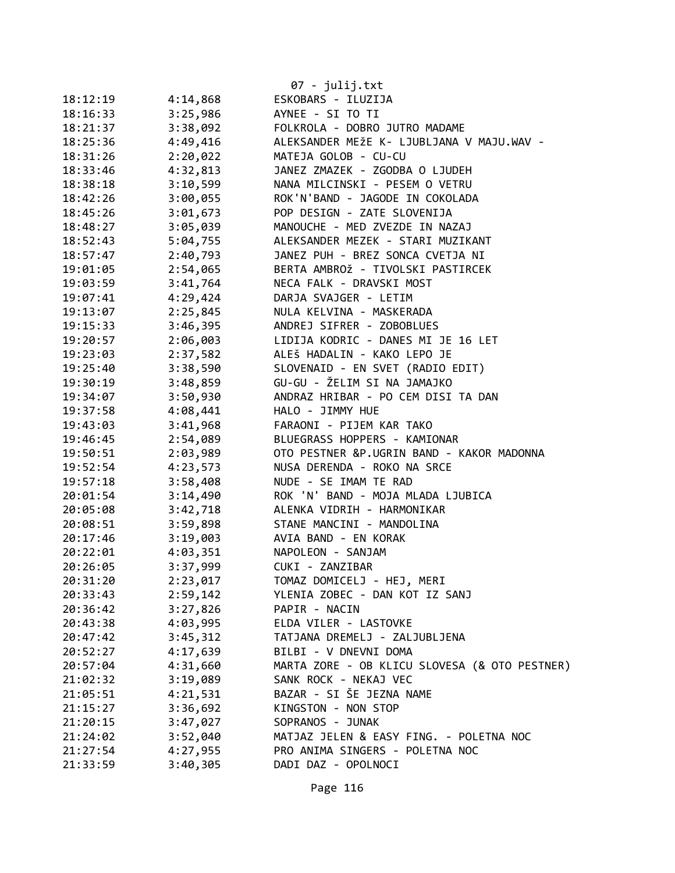|          |          | 07 - julij.txt                                |
|----------|----------|-----------------------------------------------|
| 18:12:19 | 4:14,868 | ESKOBARS - ILUZIJA                            |
| 18:16:33 | 3:25,986 | AYNEE - SI TO TI                              |
| 18:21:37 | 3:38,092 | FOLKROLA - DOBRO JUTRO MADAME                 |
| 18:25:36 | 4:49,416 | ALEKSANDER MEŽE K- LJUBLJANA V MAJU.WAV -     |
| 18:31:26 | 2:20,022 | MATEJA GOLOB - CU-CU                          |
| 18:33:46 | 4:32,813 | JANEZ ZMAZEK - ZGODBA O LJUDEH                |
| 18:38:18 | 3:10,599 | NANA MILCINSKI - PESEM O VETRU                |
| 18:42:26 | 3:00,055 | ROK'N'BAND - JAGODE IN COKOLADA               |
| 18:45:26 | 3:01,673 | POP DESIGN - ZATE SLOVENIJA                   |
| 18:48:27 | 3:05,039 | MANOUCHE - MED ZVEZDE IN NAZAJ                |
| 18:52:43 | 5:04,755 | ALEKSANDER MEZEK - STARI MUZIKANT             |
| 18:57:47 | 2:40,793 | JANEZ PUH - BREZ SONCA CVETJA NI              |
| 19:01:05 | 2:54,065 | BERTA AMBROŽ - TIVOLSKI PASTIRCEK             |
| 19:03:59 | 3:41,764 | NECA FALK - DRAVSKI MOST                      |
| 19:07:41 | 4:29,424 | DARJA SVAJGER - LETIM                         |
| 19:13:07 | 2:25,845 | NULA KELVINA - MASKERADA                      |
| 19:15:33 | 3:46,395 | ANDREJ SIFRER - ZOBOBLUES                     |
| 19:20:57 | 2:06,003 | LIDIJA KODRIC - DANES MI JE 16 LET            |
| 19:23:03 | 2:37,582 | ALEŠ HADALIN - KAKO LEPO JE                   |
| 19:25:40 | 3:38,590 | SLOVENAID - EN SVET (RADIO EDIT)              |
| 19:30:19 | 3:48,859 | GU-GU - ŽELIM SI NA JAMAJKO                   |
| 19:34:07 | 3:50,930 | ANDRAZ HRIBAR - PO CEM DISI TA DAN            |
| 19:37:58 | 4:08,441 | HALO - JIMMY HUE                              |
| 19:43:03 | 3:41,968 | FARAONI - PIJEM KAR TAKO                      |
| 19:46:45 | 2:54,089 | BLUEGRASS HOPPERS - KAMIONAR                  |
| 19:50:51 | 2:03,989 | OTO PESTNER &P.UGRIN BAND - KAKOR MADONNA     |
| 19:52:54 | 4:23,573 | NUSA DERENDA - ROKO NA SRCE                   |
| 19:57:18 | 3:58,408 | NUDE - SE IMAM TE RAD                         |
| 20:01:54 | 3:14,490 | ROK 'N' BAND - MOJA MLADA LJUBICA             |
| 20:05:08 | 3:42,718 | ALENKA VIDRIH - HARMONIKAR                    |
| 20:08:51 | 3:59,898 | STANE MANCINI - MANDOLINA                     |
| 20:17:46 | 3:19,003 | AVIA BAND - EN KORAK                          |
| 20:22:01 | 4:03,351 | NAPOLEON - SANJAM                             |
| 20:26:05 | 3:37,999 | CUKI - ZANZIBAR                               |
| 20:31:20 | 2:23,017 | TOMAZ DOMICELJ - HEJ, MERI                    |
| 20:33:43 | 2:59,142 | YLENIA ZOBEC - DAN KOT IZ SANJ                |
| 20:36:42 | 3:27,826 | PAPIR - NACIN                                 |
| 20:43:38 | 4:03,995 | ELDA VILER - LASTOVKE                         |
| 20:47:42 | 3:45,312 | TATJANA DREMELJ - ZALJUBLJENA                 |
| 20:52:27 | 4:17,639 | BILBI - V DNEVNI DOMA                         |
| 20:57:04 | 4:31,660 | MARTA ZORE - OB KLICU SLOVESA (& OTO PESTNER) |
| 21:02:32 | 3:19,089 | SANK ROCK - NEKAJ VEC                         |
| 21:05:51 | 4:21,531 | BAZAR - SI ŠE JEZNA NAME                      |
| 21:15:27 | 3:36,692 | KINGSTON - NON STOP                           |
| 21:20:15 | 3:47,027 | SOPRANOS - JUNAK                              |
| 21:24:02 | 3:52,040 | MATJAZ JELEN & EASY FING. - POLETNA NOC       |
| 21:27:54 | 4:27,955 | PRO ANIMA SINGERS - POLETNA NOC               |
| 21:33:59 | 3:40,305 | DADI DAZ - OPOLNOCI                           |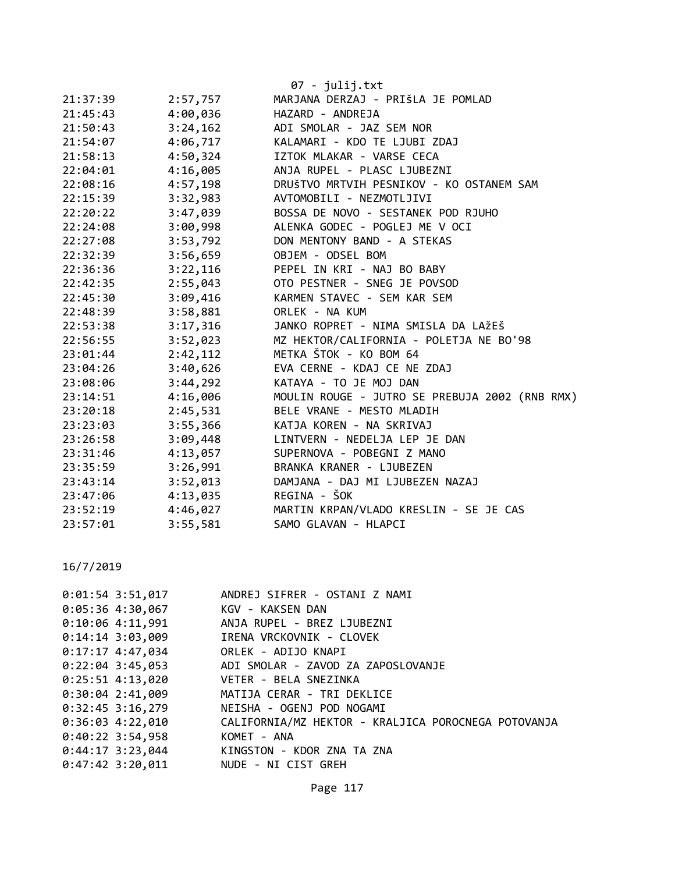|          |          | 07 - julij.txt                                  |
|----------|----------|-------------------------------------------------|
| 21:37:39 | 2:57,757 | MARJANA DERZAJ - PRIŠLA JE POMLAD               |
| 21:45:43 | 4:00,036 | HAZARD - ANDREJA                                |
| 21:50:43 | 3:24,162 | ADI SMOLAR - JAZ SEM NOR                        |
| 21:54:07 | 4:06,717 | KALAMARI - KDO TE LJUBI ZDAJ                    |
| 21:58:13 | 4:50,324 | IZTOK MLAKAR - VARSE CECA                       |
| 22:04:01 | 4:16,005 | ANJA RUPEL - PLASC LJUBEZNI                     |
| 22:08:16 | 4:57,198 | DRUŠTVO MRTVIH PESNIKOV - KO OSTANEM SAM        |
| 22:15:39 | 3:32,983 | AVTOMOBILI - NEZMOTLJIVI                        |
| 22:20:22 | 3:47,039 | BOSSA DE NOVO - SESTANEK POD RJUHO              |
| 22:24:08 | 3:00,998 | ALENKA GODEC - POGLEJ ME V OCI                  |
| 22:27:08 | 3:53,792 | DON MENTONY BAND - A STEKAS                     |
| 22:32:39 | 3:56,659 | OBJEM - ODSEL BOM                               |
| 22:36:36 | 3:22,116 | PEPEL IN KRI - NAJ BO BABY                      |
| 22:42:35 | 2:55,043 | OTO PESTNER - SNEG JE POVSOD                    |
| 22:45:30 | 3:09,416 | KARMEN STAVEC - SEM KAR SEM                     |
| 22:48:39 | 3:58,881 | ORLEK - NA KUM                                  |
| 22:53:38 | 3:17,316 | JANKO ROPRET - NIMA SMISLA DA LAŽEŠ             |
| 22:56:55 | 3:52,023 | MZ HEKTOR/CALIFORNIA - POLETJA NE BO'98         |
| 23:01:44 | 2:42,112 | METKA ŠTOK - KO BOM 64                          |
| 23:04:26 | 3:40,626 | EVA CERNE - KDAJ CE NE ZDAJ                     |
| 23:08:06 | 3:44,292 | KATAYA - TO JE MOJ DAN                          |
| 23:14:51 | 4:16,006 | MOULIN ROUGE - JUTRO SE PREBUJA 2002 (RNB RMX)  |
| 23:20:18 | 2:45,531 | BELE VRANE - MESTO MLADIH                       |
| 23:23:03 | 3:55,366 | KATJA KOREN - NA SKRIVAJ                        |
| 23:26:58 | 3:09,448 | LINTVERN - NEDELJA LEP JE DAN                   |
| 23:31:46 | 4:13,057 | SUPERNOVA - POBEGNI Z MANO                      |
| 23:35:59 | 3:26,991 | BRANKA KRANER - LJUBEZEN                        |
| 23:43:14 | 3:52,013 | DAMJANA - DAJ MI LJUBEZEN NAZAJ                 |
| 23:47:06 | 4:13,035 | REGINA - ŠOK                                    |
| 23:52:19 |          | 4:46,027 MARTIN KRPAN/VLADO KRESLIN - SE JE CAS |
| 23:57:01 | 3:55,581 | SAMO GLAVAN - HLAPCI                            |

| $0:01:54$ 3:51,017 |                    | ANDREJ SIFRER - OSTANI Z NAMI                       |
|--------------------|--------------------|-----------------------------------------------------|
|                    | 0:05:36 4:30,067   | KGV - KAKSEN DAN                                    |
| $0:10:06$ 4:11,991 |                    | ANJA RUPEL - BREZ LJUBEZNI                          |
| $0:14:14$ 3:03,009 |                    | IRENA VRCKOVNIK - CLOVEK                            |
| $0:17:17$ 4:47,034 |                    | ORLEK - ADIJO KNAPI                                 |
| $0:22:04$ 3:45,053 |                    | ADI SMOLAR - ZAVOD ZA ZAPOSLOVANJE                  |
|                    | $0:25:51$ 4:13,020 | VETER - BELA SNEZINKA                               |
| $0:30:04$ 2:41,009 |                    | MATIJA CERAR - TRI DEKLICE                          |
| $0:32:45$ 3:16,279 |                    | NEISHA - OGENJ POD NOGAMI                           |
| $0:36:03$ 4:22,010 |                    | CALIFORNIA/MZ HEKTOR - KRALJICA POROCNEGA POTOVANJA |
| $0:40:22$ 3:54,958 |                    | KOMET - ANA                                         |
| $0:44:17$ 3:23,044 |                    | KINGSTON - KDOR ZNA TA ZNA                          |
| $0:47:42$ 3:20,011 |                    | NUDE - NI CIST GREH                                 |
|                    |                    |                                                     |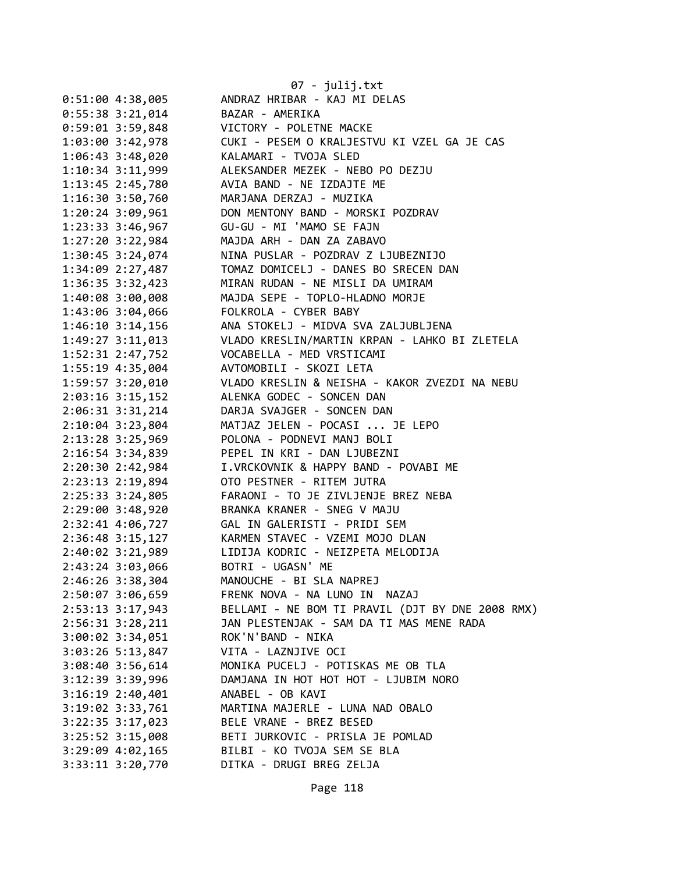|                                      | $07 - julij.txt$                                 |
|--------------------------------------|--------------------------------------------------|
| 0:51:00 4:38,005                     | ANDRAZ HRIBAR - KAJ MI DELAS                     |
| $0:55:38$ 3:21,014                   | BAZAR - AMERIKA                                  |
| $0:59:01$ 3:59,848                   | VICTORY - POLETNE MACKE                          |
| 1:03:00 3:42,978                     | CUKI - PESEM O KRALJESTVU KI VZEL GA JE CAS      |
| 1:06:43 3:48,020                     | KALAMARI - TVOJA SLED                            |
| $1:10:34$ $3:11,999$                 | ALEKSANDER MEZEK - NEBO PO DEZJU                 |
| 1:13:45 2:45,780                     | AVIA BAND - NE IZDAJTE ME                        |
| $1:16:30$ $3:50,760$                 | MARJANA DERZAJ - MUZIKA                          |
| 1:20:24 3:09,961                     | DON MENTONY BAND - MORSKI POZDRAV                |
| 1:23:33 3:46,967                     | GU-GU - MI 'MAMO SE FAJN                         |
| $1:27:20$ 3:22,984                   | MAJDA ARH - DAN ZA ZABAVO                        |
| 1:30:45 3:24,074                     | NINA PUSLAR - POZDRAV Z LJUBEZNIJO               |
| 1:34:09 2:27,487                     | TOMAZ DOMICELJ - DANES BO SRECEN DAN             |
| $1:36:35$ $3:32,423$                 | MIRAN RUDAN - NE MISLI DA UMIRAM                 |
| $1:40:08$ 3:00,008                   | MAJDA SEPE - TOPLO-HLADNO MORJE                  |
| 1:43:06 3:04,066                     | FOLKROLA - CYBER BABY                            |
| $1:46:10$ $3:14,156$                 | ANA STOKELJ - MIDVA SVA ZALJUBLJENA              |
| 1:49:27 3:11,013                     | VLADO KRESLIN/MARTIN KRPAN - LAHKO BI ZLETELA    |
| 1:52:31 2:47,752                     | VOCABELLA - MED VRSTICAMI                        |
| 1:55:19 4:35,004                     | AVTOMOBILI - SKOZI LETA                          |
| 1:59:57 3:20,010                     | VLADO KRESLIN & NEISHA - KAKOR ZVEZDI NA NEBU    |
| 2:03:16 3:15,152                     | ALENKA GODEC - SONCEN DAN                        |
| 2:06:31 3:31,214                     | DARJA SVAJGER - SONCEN DAN                       |
| $2:10:04$ 3:23,804                   | MATJAZ JELEN - POCASI  JE LEPO                   |
| 2:13:28 3:25,969                     | POLONA - PODNEVI MANJ BOLI                       |
|                                      | PEPEL IN KRI - DAN LJUBEZNI                      |
| 2:16:54 3:34,839<br>2:20:30 2:42,984 | I.VRCKOVNIK & HAPPY BAND - POVABI ME             |
| 2:23:13 2:19,894                     | OTO PESTNER - RITEM JUTRA                        |
| $2:25:33$ $3:24,805$                 | FARAONI - TO JE ZIVLJENJE BREZ NEBA              |
| 2:29:00 3:48,920                     | BRANKA KRANER - SNEG V MAJU                      |
|                                      | 2:32:41 4:06,727 GAL IN GALERISTI - PRIDI SEM    |
|                                      | 2:36:48 3:15,127 KARMEN STAVEC - VZEMI MOJO DLAN |
| 2:40:02 3:21,989                     | LIDIJA KODRIC - NEIZPETA MELODIJA                |
| 2:43:24 3:03,066                     | BOTRI - UGASN' ME                                |
| 2:46:26 3:38,304                     | MANOUCHE - BI SLA NAPREJ                         |
| 2:50:07 3:06,659                     | FRENK NOVA - NA LUNO IN NAZAJ                    |
| 2:53:13 3:17,943                     | BELLAMI - NE BOM TI PRAVIL (DJT BY DNE 2008 RMX) |
| 2:56:31 3:28,211                     | JAN PLESTENJAK - SAM DA TI MAS MENE RADA         |
| $3:00:02$ 3:34,051                   | ROK'N'BAND - NIKA                                |
| $3:03:26$ 5:13,847                   | VITA - LAZNJIVE OCI                              |
| $3:08:40$ 3:56,614                   | MONIKA PUCELJ - POTISKAS ME OB TLA               |
| 3:12:39 3:39,996                     | DAMJANA IN HOT HOT HOT - LJUBIM NORO             |
| $3:16:19$ 2:40,401                   | ANABEL - OB KAVI                                 |
| 3:19:02 3:33,761                     | MARTINA MAJERLE - LUNA NAD OBALO                 |
| $3:22:35$ $3:17,023$                 | BELE VRANE - BREZ BESED                          |
| 3:25:52 3:15,008                     | BETI JURKOVIC - PRISLA JE POMLAD                 |
| $3:29:09$ $4:02,165$                 | BILBI - KO TVOJA SEM SE BLA                      |
| 3:33:11 3:20,770                     | DITKA - DRUGI BREG ZELJA                         |
|                                      |                                                  |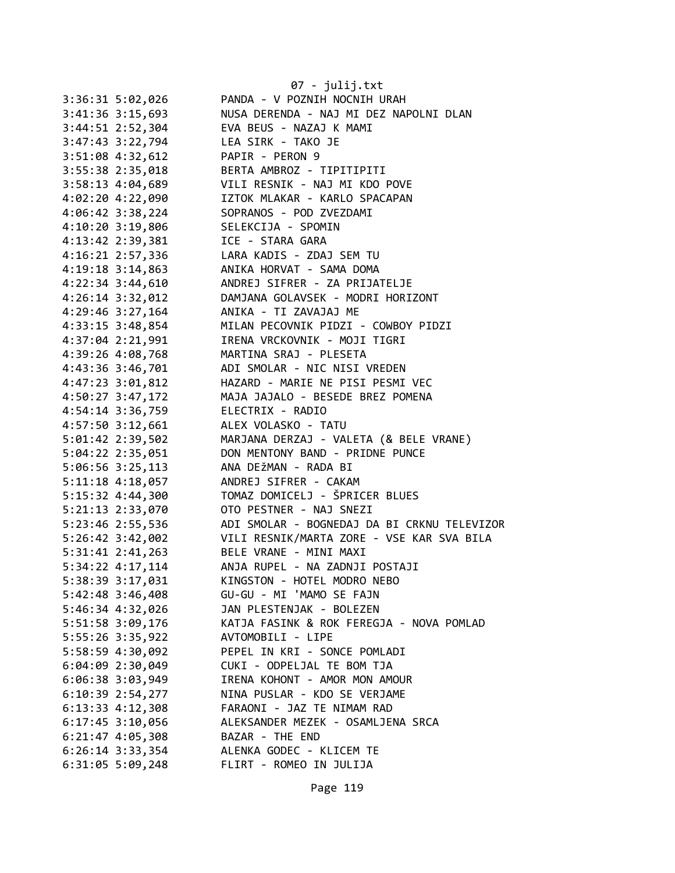|                      | 07 - julij.txt                              |
|----------------------|---------------------------------------------|
| 3:36:31 5:02,026     | PANDA - V POZNIH NOCNIH URAH                |
| 3:41:36 3:15,693     | NUSA DERENDA - NAJ MI DEZ NAPOLNI DLAN      |
| 3:44:51 2:52,304     | EVA BEUS - NAZAJ K MAMI                     |
| 3:47:43 3:22,794     | LEA SIRK - TAKO JE                          |
| 3:51:08 4:32,612     | PAPIR - PERON 9                             |
| 3:55:38 2:35,018     | BERTA AMBROZ - TIPITIPITI                   |
| 3:58:13 4:04,689     | VILI RESNIK - NAJ MI KDO POVE               |
| 4:02:20 4:22,090     | IZTOK MLAKAR - KARLO SPACAPAN               |
| 4:06:42 3:38,224     | SOPRANOS - POD ZVEZDAMI                     |
| 4:10:20 3:19,806     | SELEKCIJA - SPOMIN                          |
| 4:13:42 2:39,381     | ICE - STARA GARA                            |
| 4:16:21 2:57,336     | LARA KADIS - ZDAJ SEM TU                    |
| 4:19:18 3:14,863     | ANIKA HORVAT - SAMA DOMA                    |
| 4:22:34 3:44,610     | ANDREJ SIFRER - ZA PRIJATELJE               |
| 4:26:14 3:32,012     | DAMJANA GOLAVSEK - MODRI HORIZONT           |
| 4:29:46 3:27,164     | ANIKA - TI ZAVAJAJ ME                       |
| 4:33:15 3:48,854     | MILAN PECOVNIK PIDZI - COWBOY PIDZI         |
| 4:37:04 2:21,991     | IRENA VRCKOVNIK - MOJI TIGRI                |
| 4:39:26 4:08,768     | MARTINA SRAJ - PLESETA                      |
| 4:43:36 3:46,701     | ADI SMOLAR - NIC NISI VREDEN                |
| 4:47:23 3:01,812     | HAZARD - MARIE NE PISI PESMI VEC            |
|                      | MAJA JAJALO - BESEDE BREZ POMENA            |
| 4:50:27 3:47,172     |                                             |
| 4:54:14 3:36,759     | ELECTRIX - RADIO                            |
| 4:57:50 3:12,661     | ALEX VOLASKO - TATU                         |
| 5:01:42 2:39,502     | MARJANA DERZAJ - VALETA (& BELE VRANE)      |
| 5:04:22 2:35,051     | DON MENTONY BAND - PRIDNE PUNCE             |
| 5:06:56 3:25,113     | ANA DEŽMAN - RADA BI                        |
| 5:11:18 4:18,057     | ANDREJ SIFRER - CAKAM                       |
| 5:15:32 4:44,300     | TOMAZ DOMICELJ - ŠPRICER BLUES              |
| 5:21:13 2:33,070     | OTO PESTNER - NAJ SNEZI                     |
| 5:23:46 2:55,536     | ADI SMOLAR - BOGNEDAJ DA BI CRKNU TELEVIZOR |
| $5:26:42$ $3:42,002$ | VILI RESNIK/MARTA ZORE - VSE KAR SVA BILA   |
| $5:31:41$ $2:41,263$ | BELE VRANE - MINI MAXI                      |
| 5:34:22 4:17,114     | ANJA RUPEL - NA ZADNJI POSTAJI              |
| 5:38:39 3:17,031     | KINGSTON - HOTEL MODRO NEBO                 |
| $5:42:48$ 3:46,408   | GU-GU - MI 'MAMO SE FAJN                    |
| 5:46:34 4:32,026     | JAN PLESTENJAK - BOLEZEN                    |
| 5:51:58 3:09,176     | KATJA FASINK & ROK FEREGJA - NOVA POMLAD    |
| 5:55:26 3:35,922     | AVTOMOBILI - LIPE                           |
| 5:58:59 4:30,092     | PEPEL IN KRI - SONCE POMLADI                |
| $6:04:09$ 2:30,049   | CUKI - ODPELJAL TE BOM TJA                  |
| $6:06:38$ 3:03,949   | IRENA KOHONT - AMOR MON AMOUR               |
| $6:10:39$ $2:54,277$ | NINA PUSLAR - KDO SE VERJAME                |
| $6:13:33$ $4:12,308$ | FARAONI - JAZ TE NIMAM RAD                  |
| $6:17:45$ 3:10,056   | ALEKSANDER MEZEK - OSAMLJENA SRCA           |
| $6:21:47$ $4:05,308$ | BAZAR - THE END                             |
| $6:26:14$ 3:33,354   | ALENKA GODEC - KLICEM TE                    |
| $6:31:05$ 5:09,248   | FLIRT - ROMEO IN JULIJA                     |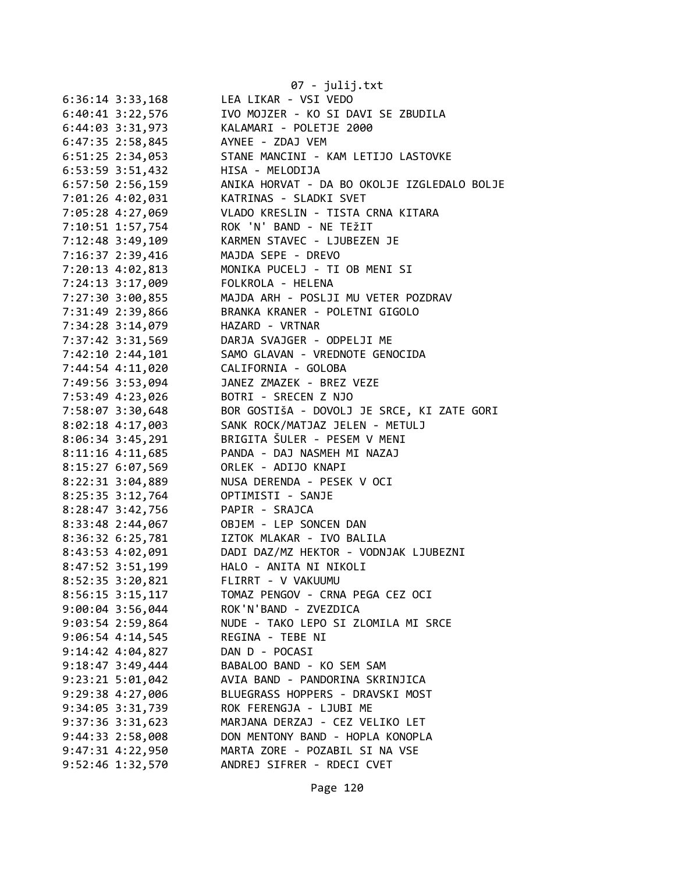|                      | $07 - julij.txt$                            |
|----------------------|---------------------------------------------|
| $6:36:14$ $3:33,168$ | LEA LIKAR - VSI VEDO                        |
| $6:40:41$ 3:22,576   | IVO MOJZER - KO SI DAVI SE ZBUDILA          |
| 6:44:03 3:31,973     | KALAMARI - POLETJE 2000                     |
| 6:47:35 2:58,845     | AYNEE - ZDAJ VEM                            |
| $6:51:25$ 2:34,053   | STANE MANCINI - KAM LETIJO LASTOVKE         |
| 6:53:59 3:51,432     | HISA - MELODIJA                             |
| $6:57:50$ 2:56,159   | ANIKA HORVAT - DA BO OKOLJE IZGLEDALO BOLJE |
| 7:01:26 4:02,031     | KATRINAS - SLADKI SVET                      |
| 7:05:28 4:27,069     | VLADO KRESLIN - TISTA CRNA KITARA           |
| 7:10:51 1:57,754     | ROK 'N' BAND - NE TEŽIT                     |
| 7:12:48 3:49,109     | KARMEN STAVEC - LJUBEZEN JE                 |
| 7:16:37 2:39,416     | MAJDA SEPE - DREVO                          |
| 7:20:13 4:02,813     | MONIKA PUCELJ - TI OB MENI SI               |
| 7:24:13 3:17,009     | FOLKROLA - HELENA                           |
| 7:27:30 3:00,855     | MAJDA ARH - POSLJI MU VETER POZDRAV         |
| 7:31:49 2:39,866     | BRANKA KRANER - POLETNI GIGOLO              |
| 7:34:28 3:14,079     | HAZARD - VRTNAR                             |
| 7:37:42 3:31,569     | DARJA SVAJGER - ODPELJI ME                  |
| 7:42:10 2:44,101     | SAMO GLAVAN - VREDNOTE GENOCIDA             |
| 7:44:54 4:11,020     | CALIFORNIA - GOLOBA                         |
| 7:49:56 3:53,094     | JANEZ ZMAZEK - BREZ VEZE                    |
| 7:53:49 4:23,026     | BOTRI - SRECEN Z NJO                        |
| 7:58:07 3:30,648     | BOR GOSTIŠA - DOVOLJ JE SRCE, KI ZATE GORI  |
| 8:02:18 4:17,003     | SANK ROCK/MATJAZ JELEN - METULJ             |
| 8:06:34 3:45,291     | BRIGITA ŠULER - PESEM V MENI                |
| 8:11:16 4:11,685     | PANDA - DAJ NASMEH MI NAZAJ                 |
| 8:15:27 6:07,569     | ORLEK - ADIJO KNAPI                         |
| 8:22:31 3:04,889     | NUSA DERENDA - PESEK V OCI                  |
| 8:25:35 3:12,764     | OPTIMISTI - SANJE                           |
| 8:28:47 3:42,756     | PAPIR - SRAJCA                              |
| 8:33:48 2:44,067     | OBJEM - LEP SONCEN DAN                      |
| 8:36:32 6:25,781     | IZTOK MLAKAR - IVO BALILA                   |
| 8:43:53 4:02,091     | DADI DAZ/MZ HEKTOR - VODNJAK LJUBEZNI       |
| 8:47:52 3:51,199     | HALO - ANITA NI NIKOLI                      |
| 8:52:35 3:20,821     | FLIRRT - V VAKUUMU                          |
| $8:56:15$ 3:15,117   | TOMAZ PENGOV - CRNA PEGA CEZ OCI            |
| 9:00:04 3:56,044     | ROK'N'BAND - ZVEZDICA                       |
| 9:03:54 2:59,864     | NUDE - TAKO LEPO SI ZLOMILA MI SRCE         |
| $9:06:54$ 4:14,545   | REGINA - TEBE NI                            |
| 9:14:42 4:04,827     | DAN D - POCASI                              |
| 9:18:47 3:49,444     | BABALOO BAND - KO SEM SAM                   |
| $9:23:21$ 5:01,042   | AVIA BAND - PANDORINA SKRINJICA             |
| 9:29:38 4:27,006     | BLUEGRASS HOPPERS - DRAVSKI MOST            |
| 9:34:05 3:31,739     | ROK FERENGJA - LJUBI ME                     |
| 9:37:36 3:31,623     | MARJANA DERZAJ - CEZ VELIKO LET             |
| 9:44:33 2:58,008     | DON MENTONY BAND - HOPLA KONOPLA            |
| 9:47:31 4:22,950     | MARTA ZORE - POZABIL SI NA VSE              |
| 9:52:46 1:32,570     | ANDREJ SIFRER - RDECI CVET                  |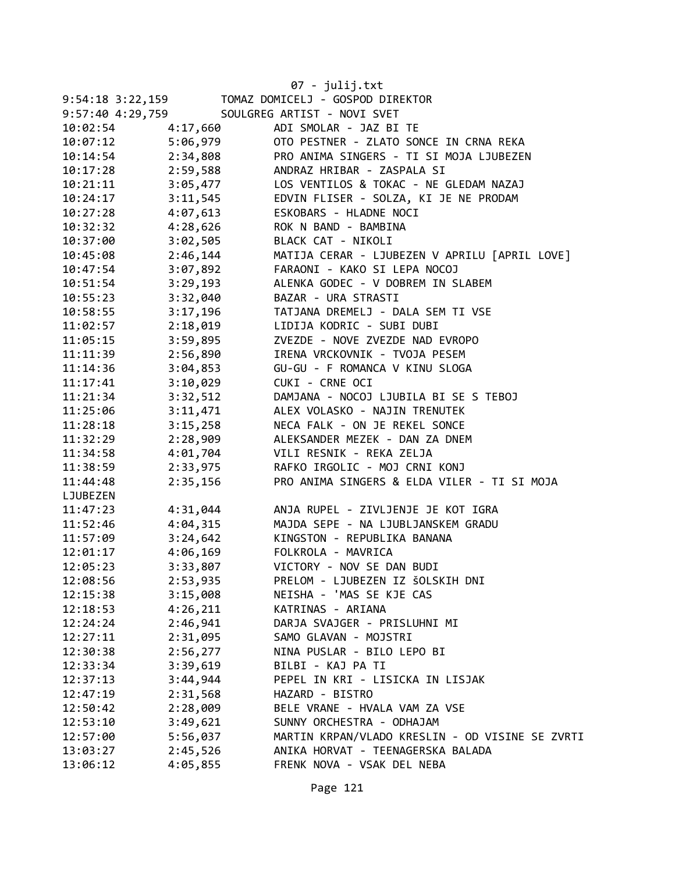|                  |          | 07 - julij.txt                                  |
|------------------|----------|-------------------------------------------------|
| 9:54:18 3:22,159 |          | TOMAZ DOMICELJ - GOSPOD DIREKTOR                |
| 9:57:40 4:29,759 |          | SOULGREG ARTIST - NOVI SVET                     |
| 10:02:54         | 4:17,660 | ADI SMOLAR - JAZ BI TE                          |
| 10:07:12         | 5:06,979 | OTO PESTNER - ZLATO SONCE IN CRNA REKA          |
| 10:14:54         | 2:34,808 | PRO ANIMA SINGERS - TI SI MOJA LJUBEZEN         |
| 10:17:28         | 2:59,588 | ANDRAZ HRIBAR - ZASPALA SI                      |
| 10:21:11         | 3:05,477 | LOS VENTILOS & TOKAC - NE GLEDAM NAZAJ          |
| 10:24:17         | 3:11,545 | EDVIN FLISER - SOLZA, KI JE NE PRODAM           |
| 10:27:28         | 4:07,613 | ESKOBARS - HLADNE NOCI                          |
| 10:32:32         | 4:28,626 | ROK N BAND - BAMBINA                            |
| 10:37:00         | 3:02,505 | BLACK CAT - NIKOLI                              |
| 10:45:08         | 2:46,144 | MATIJA CERAR - LJUBEZEN V APRILU [APRIL LOVE]   |
| 10:47:54         | 3:07,892 | FARAONI - KAKO SI LEPA NOCOJ                    |
| 10:51:54         | 3:29,193 | ALENKA GODEC - V DOBREM IN SLABEM               |
| 10:55:23         | 3:32,040 | BAZAR - URA STRASTI                             |
| 10:58:55         | 3:17,196 | TATJANA DREMELJ - DALA SEM TI VSE               |
| 11:02:57         | 2:18,019 | LIDIJA KODRIC - SUBI DUBI                       |
| 11:05:15         | 3:59,895 | ZVEZDE - NOVE ZVEZDE NAD EVROPO                 |
| 11:11:39         | 2:56,890 | IRENA VRCKOVNIK - TVOJA PESEM                   |
| 11:14:36         | 3:04,853 | GU-GU - F ROMANCA V KINU SLOGA                  |
| 11:17:41         | 3:10,029 | CUKI - CRNE OCI                                 |
| 11:21:34         | 3:32,512 | DAMJANA - NOCOJ LJUBILA BI SE S TEBOJ           |
| 11:25:06         | 3:11,471 | ALEX VOLASKO - NAJIN TRENUTEK                   |
| 11:28:18         | 3:15,258 | NECA FALK - ON JE REKEL SONCE                   |
| 11:32:29         | 2:28,909 | ALEKSANDER MEZEK - DAN ZA DNEM                  |
| 11:34:58         | 4:01,704 | VILI RESNIK - REKA ZELJA                        |
| 11:38:59         | 2:33,975 | RAFKO IRGOLIC - MOJ CRNI KONJ                   |
| 11:44:48         | 2:35,156 | PRO ANIMA SINGERS & ELDA VILER - TI SI MOJA     |
| LJUBEZEN         |          |                                                 |
| 11:47:23         | 4:31,044 | ANJA RUPEL - ZIVLJENJE JE KOT IGRA              |
| 11:52:46         | 4:04,315 | MAJDA SEPE - NA LJUBLJANSKEM GRADU              |
| 11:57:09         | 3:24,642 | KINGSTON - REPUBLIKA BANANA                     |
| 12:01:17         | 4:06,169 | FOLKROLA - MAVRICA                              |
| 12:05:23         | 3:33,807 | VICTORY - NOV SE DAN BUDI                       |
| 12:08:56         | 2:53,935 | PRELOM - LJUBEZEN IZ ŠOLSKIH DNI                |
| 12:15:38         | 3:15,008 | NEISHA - 'MAS SE KJE CAS                        |
| 12:18:53         | 4:26,211 | KATRINAS - ARIANA                               |
| 12:24:24         | 2:46,941 | DARJA SVAJGER - PRISLUHNI MI                    |
| 12:27:11         | 2:31,095 | SAMO GLAVAN - MOJSTRI                           |
| 12:30:38         | 2:56,277 | NINA PUSLAR - BILO LEPO BI                      |
| 12:33:34         | 3:39,619 | BILBI - KAJ PA TI                               |
| 12:37:13         | 3:44,944 | PEPEL IN KRI - LISICKA IN LISJAK                |
| 12:47:19         | 2:31,568 | HAZARD - BISTRO                                 |
| 12:50:42         | 2:28,009 | BELE VRANE - HVALA VAM ZA VSE                   |
| 12:53:10         | 3:49,621 | SUNNY ORCHESTRA - ODHAJAM                       |
| 12:57:00         | 5:56,037 | MARTIN KRPAN/VLADO KRESLIN - OD VISINE SE ZVRTI |
| 13:03:27         | 2:45,526 | ANIKA HORVAT - TEENAGERSKA BALADA               |
| 13:06:12         | 4:05,855 | FRENK NOVA - VSAK DEL NEBA                      |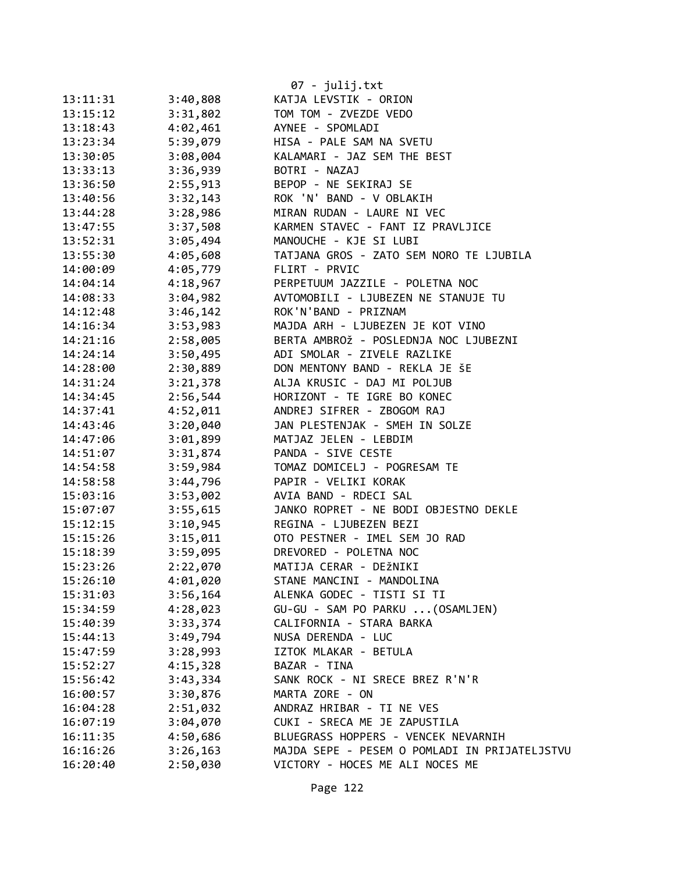| 13:11:31 | 3:40,808             | 07 - julij.txt<br>KATJA LEVSTIK - ORION           |
|----------|----------------------|---------------------------------------------------|
| 13:15:12 | 3:31,802             | TOM TOM - ZVEZDE VEDO                             |
| 13:18:43 | 4:02,461             | AYNEE - SPOMLADI                                  |
| 13:23:34 | 5:39,079             | HISA - PALE SAM NA SVETU                          |
| 13:30:05 | 3:08,004             | KALAMARI - JAZ SEM THE BEST                       |
| 13:33:13 | 3:36,939             | BOTRI - NAZAJ                                     |
|          |                      |                                                   |
| 13:36:50 | 2:55,913             | BEPOP - NE SEKIRAJ SE<br>ROK 'N' BAND - V OBLAKIH |
| 13:40:56 | 3:32,143<br>3:28,986 | MIRAN RUDAN - LAURE NI VEC                        |
| 13:44:28 |                      |                                                   |
| 13:47:55 | 3:37,508             | KARMEN STAVEC - FANT IZ PRAVLJICE                 |
| 13:52:31 | 3:05,494             | MANOUCHE - KJE SI LUBI                            |
| 13:55:30 | 4:05,608             | TATJANA GROS - ZATO SEM NORO TE LJUBILA           |
| 14:00:09 | 4:05,779             | FLIRT - PRVIC                                     |
| 14:04:14 | 4:18,967             | PERPETUUM JAZZILE - POLETNA NOC                   |
| 14:08:33 | 3:04,982             | AVTOMOBILI - LJUBEZEN NE STANUJE TU               |
| 14:12:48 | 3:46,142             | ROK'N'BAND - PRIZNAM                              |
| 14:16:34 | 3:53,983             | MAJDA ARH - LJUBEZEN JE KOT VINO                  |
| 14:21:16 | 2:58,005             | BERTA AMBROŽ - POSLEDNJA NOC LJUBEZNI             |
| 14:24:14 | 3:50,495             | ADI SMOLAR - ZIVELE RAZLIKE                       |
| 14:28:00 | 2:30,889             | DON MENTONY BAND - REKLA JE ŠE                    |
| 14:31:24 | 3:21,378             | ALJA KRUSIC - DAJ MI POLJUB                       |
| 14:34:45 | 2:56,544             | HORIZONT - TE IGRE BO KONEC                       |
| 14:37:41 | 4:52,011             | ANDREJ SIFRER - ZBOGOM RAJ                        |
| 14:43:46 | 3:20,040             | JAN PLESTENJAK - SMEH IN SOLZE                    |
| 14:47:06 | 3:01,899             | MATJAZ JELEN - LEBDIM                             |
| 14:51:07 | 3:31,874             | PANDA - SIVE CESTE                                |
| 14:54:58 | 3:59,984             | TOMAZ DOMICELJ - POGRESAM TE                      |
| 14:58:58 | 3:44,796             | PAPIR - VELIKI KORAK                              |
| 15:03:16 | 3:53,002             | AVIA BAND - RDECI SAL                             |
| 15:07:07 | 3:55,615             | JANKO ROPRET - NE BODI OBJESTNO DEKLE             |
| 15:12:15 | 3:10,945             | REGINA - LJUBEZEN BEZI                            |
| 15:15:26 | 3:15,011             | OTO PESTNER - IMEL SEM JO RAD                     |
| 15:18:39 | 3:59,095             | DREVORED - POLETNA NOC                            |
| 15:23:26 | 2:22,070             | MATIJA CERAR - DEŽNIKI                            |
| 15:26:10 | 4:01,020             | STANE MANCINI - MANDOLINA                         |
| 15:31:03 | 3:56,164             | ALENKA GODEC - TISTI SI TI                        |
| 15:34:59 | 4:28,023             | GU-GU - SAM PO PARKU  (OSAMLJEN)                  |
| 15:40:39 | 3:33,374             | CALIFORNIA - STARA BARKA                          |
| 15:44:13 | 3:49,794             | NUSA DERENDA - LUC                                |
| 15:47:59 | 3:28,993             | IZTOK MLAKAR - BETULA                             |
| 15:52:27 | 4:15,328             | BAZAR - TINA                                      |
| 15:56:42 | 3:43,334             | SANK ROCK - NI SRECE BREZ R'N'R                   |
| 16:00:57 | 3:30,876             | MARTA ZORE - ON                                   |
| 16:04:28 | 2:51,032             | ANDRAZ HRIBAR - TI NE VES                         |
| 16:07:19 | 3:04,070             | CUKI - SRECA ME JE ZAPUSTILA                      |
| 16:11:35 | 4:50,686             | BLUEGRASS HOPPERS - VENCEK NEVARNIH               |
| 16:16:26 | 3:26,163             | MAJDA SEPE - PESEM O POMLADI IN PRIJATELJSTVU     |
| 16:20:40 | 2:50,030             | VICTORY - HOCES ME ALI NOCES ME                   |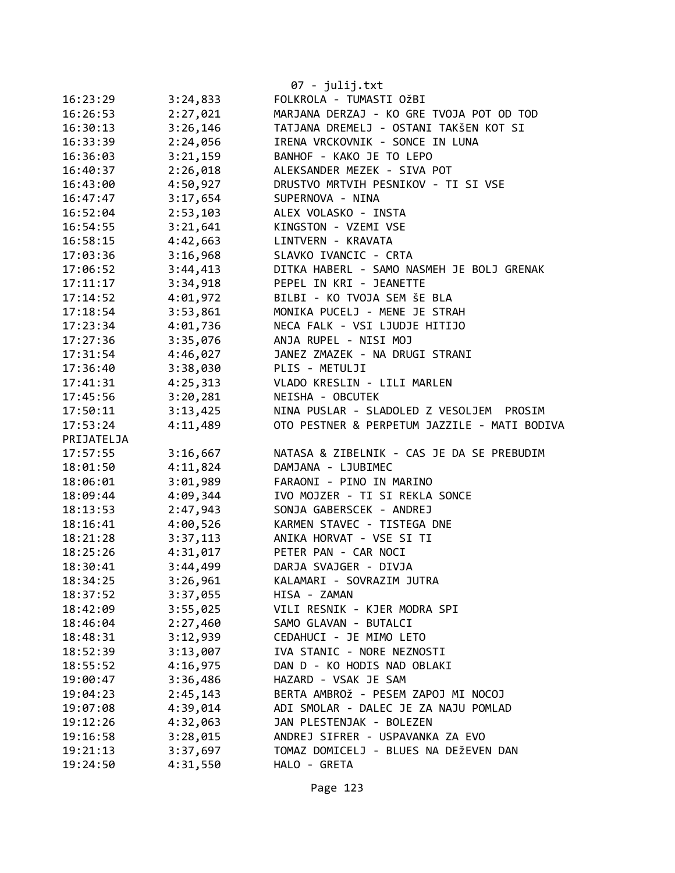|            |          | 07 - julij.txt                               |
|------------|----------|----------------------------------------------|
| 16:23:29   | 3:24,833 | FOLKROLA - TUMASTI OŽBI                      |
| 16:26:53   | 2:27,021 | MARJANA DERZAJ - KO GRE TVOJA POT OD TOD     |
| 16:30:13   | 3:26,146 | TATJANA DREMELJ - OSTANI TAKŠEN KOT SI       |
| 16:33:39   | 2:24,056 | IRENA VRCKOVNIK - SONCE IN LUNA              |
| 16:36:03   | 3:21,159 | BANHOF - KAKO JE TO LEPO                     |
| 16:40:37   | 2:26,018 | ALEKSANDER MEZEK - SIVA POT                  |
| 16:43:00   | 4:50,927 | DRUSTVO MRTVIH PESNIKOV - TI SI VSE          |
| 16:47:47   | 3:17,654 | SUPERNOVA - NINA                             |
| 16:52:04   | 2:53,103 | ALEX VOLASKO - INSTA                         |
| 16:54:55   | 3:21,641 | KINGSTON - VZEMI VSE                         |
| 16:58:15   | 4:42,663 | LINTVERN - KRAVATA                           |
| 17:03:36   | 3:16,968 | SLAVKO IVANCIC - CRTA                        |
| 17:06:52   | 3:44,413 | DITKA HABERL - SAMO NASMEH JE BOLJ GRENAK    |
| 17:11:17   | 3:34,918 | PEPEL IN KRI - JEANETTE                      |
| 17:14:52   | 4:01,972 | BILBI - KO TVOJA SEM ŠE BLA                  |
| 17:18:54   | 3:53,861 | MONIKA PUCELJ - MENE JE STRAH                |
| 17:23:34   | 4:01,736 | NECA FALK - VSI LJUDJE HITIJO                |
| 17:27:36   | 3:35,076 | ANJA RUPEL - NISI MOJ                        |
| 17:31:54   | 4:46,027 | JANEZ ZMAZEK - NA DRUGI STRANI               |
| 17:36:40   | 3:38,030 | PLIS - METULJI                               |
| 17:41:31   | 4:25,313 | VLADO KRESLIN - LILI MARLEN                  |
| 17:45:56   | 3:20,281 | NEISHA - OBCUTEK                             |
| 17:50:11   | 3:13,425 | NINA PUSLAR - SLADOLED Z VESOLJEM<br>PROSIM  |
| 17:53:24   | 4:11,489 | OTO PESTNER & PERPETUM JAZZILE - MATI BODIVA |
| PRIJATELJA |          |                                              |
| 17:57:55   | 3:16,667 | NATASA & ZIBELNIK - CAS JE DA SE PREBUDIM    |
| 18:01:50   | 4:11,824 | DAMJANA - LJUBIMEC                           |
| 18:06:01   | 3:01,989 | FARAONI - PINO IN MARINO                     |
| 18:09:44   | 4:09,344 | IVO MOJZER - TI SI REKLA SONCE               |
| 18:13:53   | 2:47,943 | SONJA GABERSCEK - ANDREJ                     |
| 18:16:41   | 4:00,526 | KARMEN STAVEC - TISTEGA DNE                  |
| 18:21:28   | 3:37,113 | ANIKA HORVAT - VSE SI TI                     |
| 18:25:26   | 4:31,017 | PETER PAN - CAR NOCI                         |
| 18:30:41   | 3:44,499 | DARJA SVAJGER - DIVJA                        |
| 18:34:25   | 3:26,961 | KALAMARI - SOVRAZIM JUTRA                    |
| 18:37:52   | 3:37,055 | HISA - ZAMAN                                 |
| 18:42:09   | 3:55,025 | VILI RESNIK - KJER MODRA SPI                 |
| 18:46:04   | 2:27,460 | SAMO GLAVAN - BUTALCI                        |
| 18:48:31   | 3:12,939 | CEDAHUCI - JE MIMO LETO                      |
| 18:52:39   | 3:13,007 | IVA STANIC - NORE NEZNOSTI                   |
| 18:55:52   | 4:16,975 | DAN D - KO HODIS NAD OBLAKI                  |
| 19:00:47   | 3:36,486 | HAZARD - VSAK JE SAM                         |
| 19:04:23   | 2:45,143 | BERTA AMBROŽ - PESEM ZAPOJ MI NOCOJ          |
| 19:07:08   | 4:39,014 | ADI SMOLAR - DALEC JE ZA NAJU POMLAD         |
| 19:12:26   | 4:32,063 | JAN PLESTENJAK - BOLEZEN                     |
| 19:16:58   | 3:28,015 | ANDREJ SIFRER - USPAVANKA ZA EVO             |
| 19:21:13   | 3:37,697 | TOMAZ DOMICELJ - BLUES NA DEŽEVEN DAN        |
| 19:24:50   | 4:31,550 | HALO - GRETA                                 |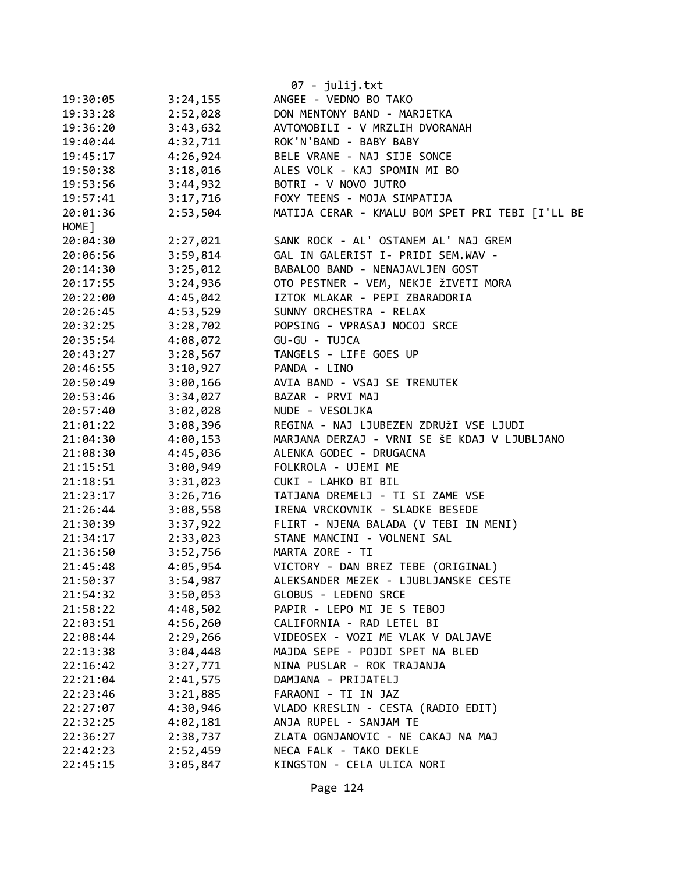|          |          | 07 - julij.txt                                  |
|----------|----------|-------------------------------------------------|
| 19:30:05 | 3:24,155 | ANGEE - VEDNO BO TAKO                           |
| 19:33:28 | 2:52,028 | DON MENTONY BAND - MARJETKA                     |
| 19:36:20 | 3:43,632 | AVTOMOBILI - V MRZLIH DVORANAH                  |
| 19:40:44 | 4:32,711 | ROK'N'BAND - BABY BABY                          |
| 19:45:17 | 4:26,924 | BELE VRANE - NAJ SIJE SONCE                     |
| 19:50:38 | 3:18,016 | ALES VOLK - KAJ SPOMIN MI BO                    |
| 19:53:56 | 3:44,932 | BOTRI - V NOVO JUTRO                            |
| 19:57:41 | 3:17,716 | FOXY TEENS - MOJA SIMPATIJA                     |
| 20:01:36 | 2:53,504 | MATIJA CERAR - KMALU BOM SPET PRI TEBI [I'LL BE |
| HOME ]   |          |                                                 |
| 20:04:30 | 2:27,021 | SANK ROCK - AL' OSTANEM AL' NAJ GREM            |
| 20:06:56 | 3:59,814 | GAL IN GALERIST I- PRIDI SEM.WAV -              |
| 20:14:30 | 3:25,012 | BABALOO BAND - NENAJAVLJEN GOST                 |
| 20:17:55 | 3:24,936 | OTO PESTNER - VEM, NEKJE ŽIVETI MORA            |
| 20:22:00 | 4:45,042 | IZTOK MLAKAR - PEPI ZBARADORIA                  |
| 20:26:45 | 4:53,529 | SUNNY ORCHESTRA - RELAX                         |
| 20:32:25 | 3:28,702 | POPSING - VPRASAJ NOCOJ SRCE                    |
| 20:35:54 | 4:08,072 | GU-GU - TUJCA                                   |
| 20:43:27 | 3:28,567 | TANGELS - LIFE GOES UP                          |
| 20:46:55 | 3:10,927 | PANDA - LINO                                    |
| 20:50:49 | 3:00,166 | AVIA BAND - VSAJ SE TRENUTEK                    |
| 20:53:46 | 3:34,027 | BAZAR - PRVI MAJ                                |
| 20:57:40 | 3:02,028 | NUDE - VESOLJKA                                 |
| 21:01:22 | 3:08,396 | REGINA - NAJ LJUBEZEN ZDRUŽI VSE LJUDI          |
| 21:04:30 | 4:00,153 | MARJANA DERZAJ - VRNI SE ŠE KDAJ V LJUBLJANO    |
| 21:08:30 | 4:45,036 | ALENKA GODEC - DRUGACNA                         |
| 21:15:51 | 3:00,949 | FOLKROLA - UJEMI ME                             |
| 21:18:51 | 3:31,023 | CUKI - LAHKO BI BIL                             |
| 21:23:17 | 3:26,716 | TATJANA DREMELJ - TI SI ZAME VSE                |
| 21:26:44 | 3:08,558 | IRENA VRCKOVNIK - SLADKE BESEDE                 |
| 21:30:39 | 3:37,922 | FLIRT - NJENA BALADA (V TEBI IN MENI)           |
| 21:34:17 | 2:33,023 | STANE MANCINI - VOLNENI SAL                     |
| 21:36:50 | 3:52,756 | MARTA ZORE - TI                                 |
| 21:45:48 | 4:05,954 | VICTORY - DAN BREZ TEBE (ORIGINAL)              |
| 21:50:37 | 3:54,987 | ALEKSANDER MEZEK - LJUBLJANSKE CESTE            |
| 21:54:32 | 3:50,053 | GLOBUS - LEDENO SRCE                            |
| 21:58:22 | 4:48,502 | PAPIR - LEPO MI JE S TEBOJ                      |
| 22:03:51 | 4:56,260 | CALIFORNIA - RAD LETEL BI                       |
| 22:08:44 | 2:29,266 | VIDEOSEX - VOZI ME VLAK V DALJAVE               |
| 22:13:38 | 3:04,448 | MAJDA SEPE - POJDI SPET NA BLED                 |
| 22:16:42 | 3:27,771 | NINA PUSLAR - ROK TRAJANJA                      |
| 22:21:04 | 2:41,575 | DAMJANA - PRIJATELJ                             |
| 22:23:46 | 3:21,885 | FARAONI - TI IN JAZ                             |
| 22:27:07 | 4:30,946 | VLADO KRESLIN - CESTA (RADIO EDIT)              |
| 22:32:25 | 4:02,181 | ANJA RUPEL - SANJAM TE                          |
| 22:36:27 | 2:38,737 | ZLATA OGNJANOVIC - NE CAKAJ NA MAJ              |
| 22:42:23 | 2:52,459 | NECA FALK - TAKO DEKLE                          |
| 22:45:15 | 3:05,847 | KINGSTON - CELA ULICA NORI                      |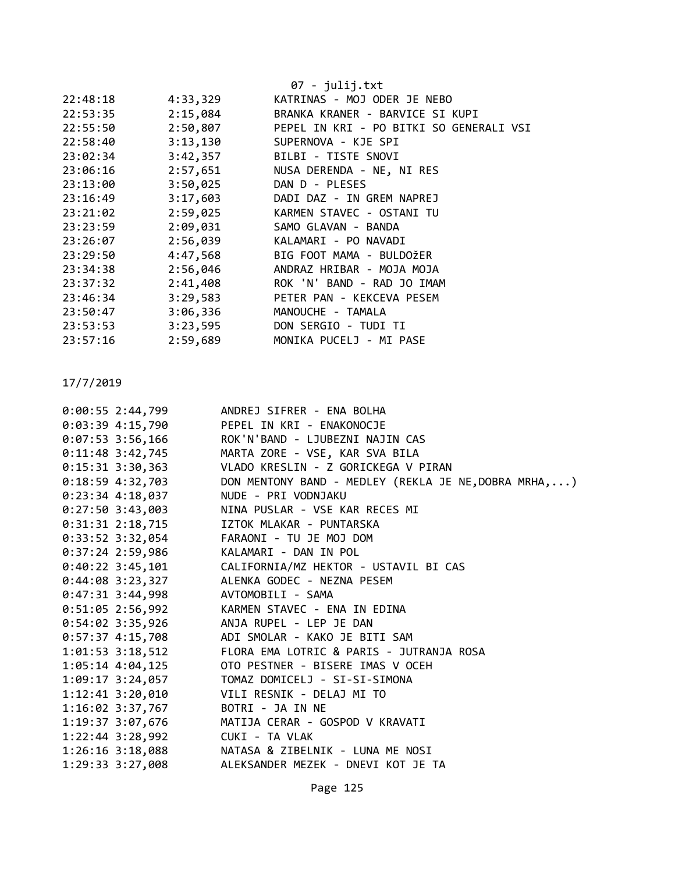|          |          | $07 - julij.txt$                        |
|----------|----------|-----------------------------------------|
| 22:48:18 | 4:33,329 | KATRINAS - MOJ ODER JE NEBO             |
| 22:53:35 | 2:15,084 | BRANKA KRANER - BARVICE SI KUPI         |
| 22:55:50 | 2:50,807 | PEPEL IN KRI - PO BITKI SO GENERALI VSI |
| 22:58:40 | 3:13,130 | SUPERNOVA - KJE SPI                     |
| 23:02:34 | 3:42,357 | BILBI - TISTE SNOVI                     |
| 23:06:16 | 2:57,651 | NUSA DERENDA - NE, NI RES               |
| 23:13:00 | 3:50,025 | DAN D - PLESES                          |
| 23:16:49 | 3:17,603 | DADI DAZ - IN GREM NAPREJ               |
| 23:21:02 | 2:59,025 | KARMEN STAVEC - OSTANI TU               |
| 23:23:59 | 2:09,031 | SAMO GLAVAN - BANDA                     |
| 23:26:07 | 2:56,039 | KALAMARI - PO NAVADI                    |
| 23:29:50 | 4:47,568 | BIG FOOT MAMA - BULDOŽER                |
| 23:34:38 | 2:56,046 | ANDRAZ HRIBAR - MOJA MOJA               |
| 23:37:32 | 2:41,408 | ROK 'N' BAND - RAD JO IMAM              |
| 23:46:34 | 3:29,583 | PETER PAN - KEKCEVA PESEM               |
| 23:50:47 | 3:06,336 | MANOUCHE - TAMALA                       |
| 23:53:53 | 3:23,595 | DON SERGIO - TUDI TI                    |
| 23:57:16 | 2:59,689 | MONIKA PUCELJ - MI PASE                 |
|          |          |                                         |

|  | 0:00:55 2:44,799                | ANDREJ SIFRER - ENA BOLHA                                 |
|--|---------------------------------|-----------------------------------------------------------|
|  |                                 | 0:03:39 4:15,790 PEPEL IN KRI - ENAKONOCJE                |
|  |                                 | 0:07:53 3:56,166 ROK'N'BAND - LJUBEZNI NAJIN CAS          |
|  | $0:11:48$ 3:42,745              | MARTA ZORE - VSE, KAR SVA BILA                            |
|  |                                 | 0:15:31 3:30,363 VLADO KRESLIN - Z GORICKEGA V PIRAN      |
|  | $0:18:59$ 4:32,703              | DON MENTONY BAND - MEDLEY (REKLA JE NE, DOBRA MRHA, )     |
|  |                                 | 0:23:34 4:18,037 NUDE - PRI VODNJAKU                      |
|  |                                 | 0:27:50 3:43,003 NINA PUSLAR - VSE KAR RECES MI           |
|  |                                 | 0:31:31 2:18,715 IZTOK MLAKAR - PUNTARSKA                 |
|  |                                 | 0:33:52 3:32,054 FARAONI - TU JE MOJ DOM                  |
|  |                                 | 0:37:24 2:59,986 KALAMARI - DAN IN POL                    |
|  |                                 | 0:40:22 3:45,101 CALIFORNIA/MZ HEKTOR - USTAVIL BI CAS    |
|  |                                 | 0:44:08 3:23,327 ALENKA GODEC - NEZNA PESEM               |
|  |                                 | 0:47:31 3:44,998 AVTOMOBILI - SAMA                        |
|  |                                 | 0:51:05 2:56,992 KARMEN STAVEC - ENA IN EDINA             |
|  |                                 | 0:54:02 3:35,926 ANJA RUPEL - LEP JE DAN                  |
|  |                                 | 0:57:37 4:15,708 ADI SMOLAR - KAKO JE BITI SAM            |
|  |                                 | 1:01:53 3:18,512 FLORA EMA LOTRIC & PARIS - JUTRANJA ROSA |
|  |                                 | 1:05:14 4:04,125 OTO PESTNER - BISERE IMAS V OCEH         |
|  |                                 | 1:09:17 3:24,057 TOMAZ DOMICELJ - SI-SI-SIMONA            |
|  |                                 | 1:12:41 3:20,010 VILI RESNIK - DELAJ MI TO                |
|  |                                 | 1:16:02 3:37,767 BOTRI - JA IN NE                         |
|  |                                 | 1:19:37 3:07,676 MATIJA CERAR - GOSPOD V KRAVATI          |
|  | 1:22:44 3:28,992 CUKI - TA VLAK |                                                           |
|  |                                 | 1:26:16 3:18,088 NATASA & ZIBELNIK - LUNA ME NOSI         |
|  |                                 | 1:29:33 3:27,008 ALEKSANDER MEZEK - DNEVI KOT JE TA       |
|  |                                 |                                                           |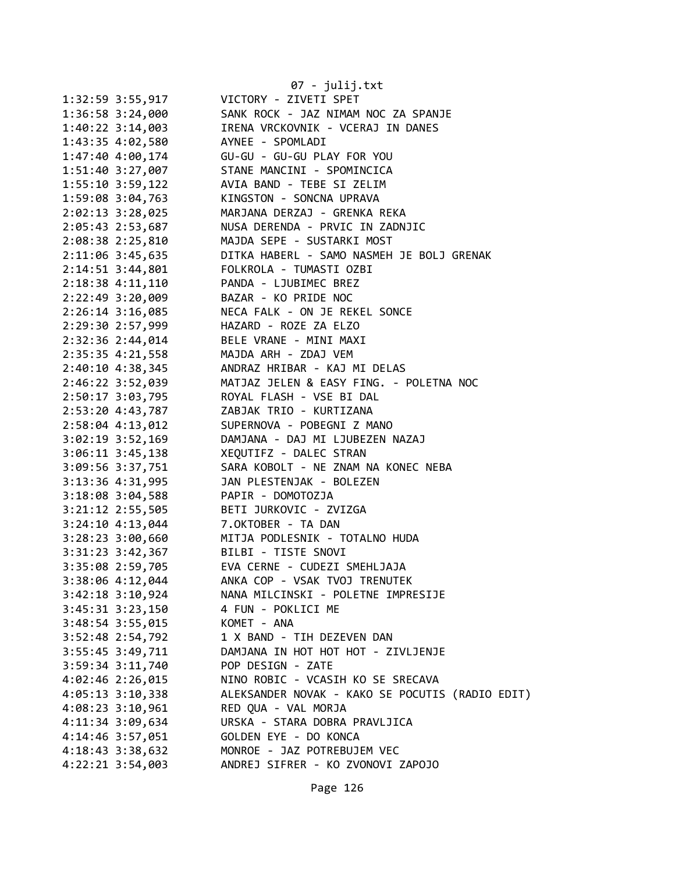|                      | 07 - julij.txt                                  |
|----------------------|-------------------------------------------------|
| $1:32:59$ 3:55,917   | VICTORY - ZIVETI SPET                           |
| 1:36:58 3:24,000     | SANK ROCK - JAZ NIMAM NOC ZA SPANJE             |
| $1:40:22$ 3:14,003   | IRENA VRCKOVNIK - VCERAJ IN DANES               |
| 1:43:35 4:02,580     | AYNEE - SPOMLADI                                |
| 1:47:40 4:00,174     | GU-GU - GU-GU PLAY FOR YOU                      |
| 1:51:40 3:27,007     | STANE MANCINI - SPOMINCICA                      |
| 1:55:10 3:59,122     | AVIA BAND - TEBE SI ZELIM                       |
| 1:59:08 3:04,763     | KINGSTON - SONCNA UPRAVA                        |
| 2:02:13 3:28,025     | MARJANA DERZAJ - GRENKA REKA                    |
| 2:05:43 2:53,687     | NUSA DERENDA - PRVIC IN ZADNJIC                 |
| 2:08:38 2:25,810     | MAJDA SEPE - SUSTARKI MOST                      |
| 2:11:06 3:45,635     | DITKA HABERL - SAMO NASMEH JE BOLJ GRENAK       |
| 2:14:51 3:44,801     | FOLKROLA - TUMASTI OZBI                         |
| 2:18:38 4:11,110     | PANDA - LJUBIMEC BREZ                           |
| 2:22:49 3:20,009     | BAZAR - KO PRIDE NOC                            |
| 2:26:14 3:16,085     | NECA FALK - ON JE REKEL SONCE                   |
| 2:29:30 2:57,999     | HAZARD - ROZE ZA ELZO                           |
| 2:32:36 2:44,014     | BELE VRANE - MINI MAXI                          |
| 2:35:35 4:21,558     | MAJDA ARH - ZDAJ VEM                            |
| $2:40:10$ 4:38,345   | ANDRAZ HRIBAR - KAJ MI DELAS                    |
| 2:46:22 3:52,039     | MATJAZ JELEN & EASY FING. - POLETNA NOC         |
| 2:50:17 3:03,795     | ROYAL FLASH - VSE BI DAL                        |
| 2:53:20 4:43,787     | ZABJAK TRIO - KURTIZANA                         |
| 2:58:04 4:13,012     | SUPERNOVA - POBEGNI Z MANO                      |
| $3:02:19$ $3:52,169$ | DAMJANA - DAJ MI LJUBEZEN NAZAJ                 |
| $3:06:11$ $3:45,138$ | XEQUTIFZ - DALEC STRAN                          |
| 3:09:56 3:37,751     | SARA KOBOLT - NE ZNAM NA KONEC NEBA             |
| 3:13:36 4:31,995     | JAN PLESTENJAK - BOLEZEN                        |
| 3:18:08 3:04,588     | PAPIR - DOMOTOZJA                               |
| 3:21:12 2:55,505     | BETI JURKOVIC - ZVIZGA                          |
| $3:24:10$ $4:13,044$ | 7.OKTOBER - TA DAN                              |
| $3:28:23$ $3:00,660$ | MITJA PODLESNIK - TOTALNO HUDA                  |
| 3:31:23 3:42,367     | BILBI - TISTE SNOVI                             |
| 3:35:08 2:59,705     | EVA CERNE - CUDEZI SMEHLJAJA                    |
| 3:38:06 4:12,044     | ANKA COP - VSAK TVOJ TRENUTEK                   |
| $3:42:18$ $3:10,924$ | NANA MILCINSKI - POLETNE IMPRESIJE              |
| $3:45:31$ $3:23,150$ | 4 FUN - POKLICI ME                              |
| $3:48:54$ $3:55,015$ | KOMET - ANA                                     |
| 3:52:48 2:54,792     | 1 X BAND - TIH DEZEVEN DAN                      |
| $3:55:45$ $3:49,711$ | DAMJANA IN HOT HOT HOT - ZIVLJENJE              |
| 3:59:34 3:11,740     | POP DESIGN - ZATE                               |
| $4:02:46$ $2:26,015$ | NINO ROBIC - VCASIH KO SE SRECAVA               |
| $4:05:13$ $3:10,338$ | ALEKSANDER NOVAK - KAKO SE POCUTIS (RADIO EDIT) |
| $4:08:23$ 3:10,961   | RED QUA - VAL MORJA                             |
| 4:11:34 3:09,634     | URSKA - STARA DOBRA PRAVLJICA                   |
| 4:14:46 3:57,051     | GOLDEN EYE - DO KONCA                           |
| $4:18:43$ 3:38,632   | MONROE - JAZ POTREBUJEM VEC                     |
| $4:22:21$ $3:54,003$ | ANDREJ SIFRER - KO ZVONOVI ZAPOJO               |
|                      |                                                 |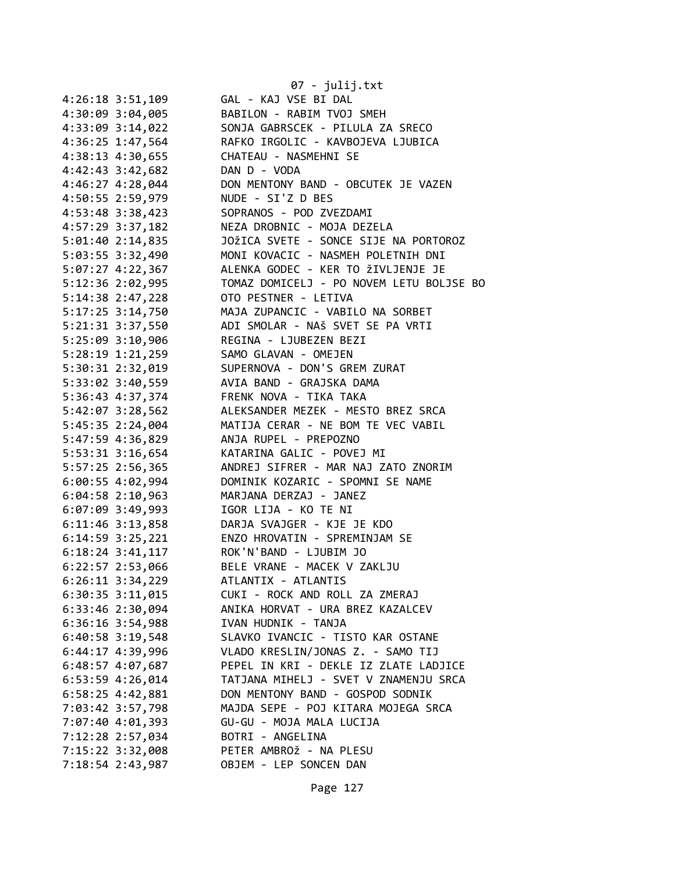|                                         | 07 - julij.txt                                       |
|-----------------------------------------|------------------------------------------------------|
| 4:26:18 3:51,109                        | GAL - KAJ VSE BI DAL                                 |
| 4:30:09 3:04,005                        | BABILON - RABIM TVOJ SMEH                            |
| 4:33:09 3:14,022                        | SONJA GABRSCEK - PILULA ZA SRECO                     |
|                                         | 4:36:25 1:47,564 RAFKO IRGOLIC - KAVBOJEVA LJUBICA   |
| 4:38:13 4:30,655 CHATEAU - NASMEHNI SE  |                                                      |
| 4:42:43 3:42,682                        | DAN D - VODA                                         |
| $4:46:27$ $4:28,044$                    | DON MENTONY BAND - OBCUTEK JE VAZEN                  |
| 4:50:55 2:59,979                        | NUDE - SI'Z D BES                                    |
| 4:53:48 3:38,423                        | SOPRANOS - POD ZVEZDAMI                              |
| 4:57:29 3:37,182                        | NEZA DROBNIC - MOJA DEZELA                           |
| 5:01:40 2:14,835                        | JOŽICA SVETE - SONCE SIJE NA PORTOROZ                |
| 5:03:55 3:32,490                        | MONI KOVACIC - NASMEH POLETNIH DNI                   |
| 5:07:27 4:22,367                        | ALENKA GODEC - KER TO ŽIVLJENJE JE                   |
| 5:12:36 2:02,995                        | TOMAZ DOMICELJ - PO NOVEM LETU BOLJSE BO             |
| 5:14:38 2:47,228                        | OTO PESTNER - LETIVA                                 |
| 5:17:25 3:14,750                        | MAJA ZUPANCIC - VABILO NA SORBET                     |
| 5:21:31 3:37,550                        |                                                      |
|                                         | ADI SMOLAR - NAŠ SVET SE PA VRTI                     |
| 5:25:09 3:10,906 REGINA - LJUBEZEN BEZI |                                                      |
| 5:28:19 1:21,259 SAMO GLAVAN - OMEJEN   |                                                      |
|                                         | 5:30:31 2:32,019  SUPERNOVA - DON'S GREM ZURAT       |
| 5:36:43 4:37,374 FRENK NOVA - TIKA TAKA | 5:33:02 3:40,559 AVIA BAND - GRAJSKA DAMA            |
|                                         |                                                      |
| 5:42:07 3:28,562                        | ALEKSANDER MEZEK - MESTO BREZ SRCA                   |
| 5:45:35 2:24,004                        | MATIJA CERAR - NE BOM TE VEC VABIL                   |
| 5:47:59 4:36,829                        | ANJA RUPEL - PREPOZNO                                |
| 5:53:31 3:16,654                        | KATARINA GALIC - POVEJ MI                            |
|                                         | 5:57:25 2:56,365 ANDREJ SIFRER - MAR NAJ ZATO ZNORIM |
|                                         | 6:00:55 4:02,994 DOMINIK KOZARIC - SPOMNI SE NAME    |
| $6:04:58$ 2:10,963                      | MARJANA DERZAJ - JANEZ                               |
| 6:07:09 3:49,993                        | IGOR LIJA - KO TE NI                                 |
| $6:11:46$ 3:13,858                      | DARJA SVAJGER - KJE JE KDO                           |
|                                         | 6:14:59 3:25,221 ENZO HROVATIN - SPREMINJAM SE       |
| 6:18:24 3:41,117 ROK'N'BAND - LJUBIM JO |                                                      |
| 6:22:57 2:53,066                        | BELE VRANE - MACEK V ZAKLJU                          |
| $6:26:11$ $3:34,229$                    | ATLANTIX - ATLANTIS                                  |
| $6:30:35$ $3:11,015$                    | CUKI - ROCK AND ROLL ZA ZMERAJ                       |
| $6:33:46$ $2:30,094$                    | ANIKA HORVAT - URA BREZ KAZALCEV                     |
| $6:36:16$ 3:54,988                      | IVAN HUDNIK - TANJA                                  |
| $6:40:58$ 3:19,548                      | SLAVKO IVANCIC - TISTO KAR OSTANE                    |
| 6:44:17 4:39,996                        | VLADO KRESLIN/JONAS Z. - SAMO TIJ                    |
| 6:48:57 4:07,687                        | PEPEL IN KRI - DEKLE IZ ZLATE LADJICE                |
| 6:53:59 4:26,014                        | TATJANA MIHELJ - SVET V ZNAMENJU SRCA                |
| 6:58:25 4:42,881                        | DON MENTONY BAND - GOSPOD SODNIK                     |
| 7:03:42 3:57,798                        | MAJDA SEPE - POJ KITARA MOJEGA SRCA                  |
| 7:07:40 4:01,393                        | GU-GU - MOJA MALA LUCIJA                             |
| 7:12:28 2:57,034                        | BOTRI - ANGELINA                                     |
| 7:15:22 3:32,008                        | PETER AMBROŽ - NA PLESU                              |
| 7:18:54 2:43,987                        | OBJEM - LEP SONCEN DAN                               |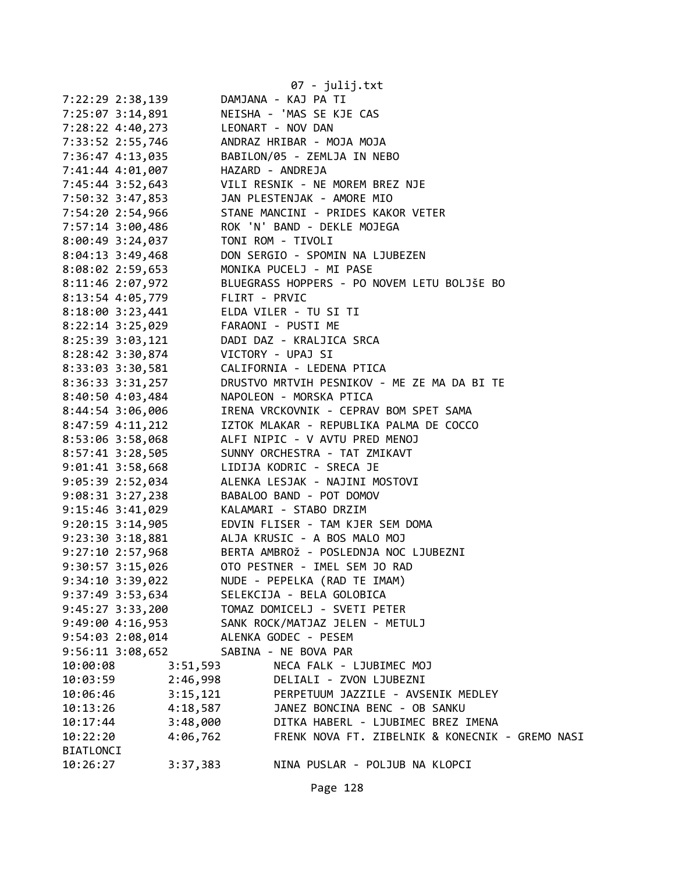|                                       |          | $07 - julij.txt$                                                                                                                                                                                                                   |
|---------------------------------------|----------|------------------------------------------------------------------------------------------------------------------------------------------------------------------------------------------------------------------------------------|
| 7:22:29 2:38,139                      |          | DAMJANA - KAJ PA TI                                                                                                                                                                                                                |
|                                       |          | 7:25:07 3:14,891 NEISHA - 'MAS SE KJE CAS                                                                                                                                                                                          |
| 7:28:22 4:40,273 LEONART - NOV DAN    |          |                                                                                                                                                                                                                                    |
|                                       |          | 7:33:52 2:55,746 ANDRAZ HRIBAR - MOJA MOJA                                                                                                                                                                                         |
|                                       |          | 7:36:47 4:13,035 BABILON/05 - ZEMLJA IN NEBO                                                                                                                                                                                       |
| 7:41:44 4:01,007 HAZARD - ANDREJA     |          |                                                                                                                                                                                                                                    |
|                                       |          |                                                                                                                                                                                                                                    |
|                                       |          | 7:45:44 3:52,643 VILI RESNIK - NE MOREM BREZ NJE<br>7:50:32 3:47,853 JAN PLESTENJAK - AMORE MIO                                                                                                                                    |
|                                       |          | 7:54:20 2:54,966 STANE MANCINI - PRIDES KAKOR VETER                                                                                                                                                                                |
|                                       |          | 7:57:14 3:00,486 ROK 'N' BAND - DEKLE MOJEGA                                                                                                                                                                                       |
| 8:00:49 3:24,037 TONI ROM - TIVOLI    |          |                                                                                                                                                                                                                                    |
|                                       |          | 8:04:13 3:49,468 DON SERGIO - SPOMIN NA LJUBEZEN                                                                                                                                                                                   |
|                                       |          |                                                                                                                                                                                                                                    |
|                                       |          |                                                                                                                                                                                                                                    |
|                                       |          |                                                                                                                                                                                                                                    |
|                                       |          | 8:08:02 2:59,653<br>8:11:46 2:07,972<br>8:11:46 2:07,972<br>8:13:54 4:05,779<br>8:18:00 3:23,441<br>8:18:00 3:23,441<br>8:18:00 3:23,441<br>8:18:00 3:23,441<br>8:18:00 3:23,441<br>8:18:00 3:23,441<br>8:18:00 5:00 FLIRT - PRVIC |
| 8:22:14 3:25,029 FARAONI - PUSTI ME   |          |                                                                                                                                                                                                                                    |
|                                       |          | 8:25:39 3:03,121 DADI DAZ - KRALJICA SRCA                                                                                                                                                                                          |
| 8:28:42 3:30,874 VICTORY - UPAJ SI    |          |                                                                                                                                                                                                                                    |
|                                       |          |                                                                                                                                                                                                                                    |
|                                       |          | 8:33:03 3:30,581<br>8:36:33 3:31,257 DRUSTVO MRTVIH PESNIKOV - ME ZE MA DA BI TE<br>8:40:50 4:03,484 NAPOLEON - MORSKA PTICA<br>8:44:54 3:06.006                                                                                   |
|                                       |          |                                                                                                                                                                                                                                    |
|                                       |          | 8:44:54 3:06,006 IRENA VRCKOVNIK - CEPRAV BOM SPET SAMA                                                                                                                                                                            |
|                                       |          | 8:47:59 4:11,212 IZTOK MLAKAR - REPUBLIKA PALMA DE COCCO                                                                                                                                                                           |
|                                       |          | 8:53:06 3:58,068 ALFI NIPIC - V AVTU PRED MENOJ                                                                                                                                                                                    |
|                                       |          | 8:57:41 3:28,505 SUNNY ORCHESTRA - TAT ZMIKAVT                                                                                                                                                                                     |
|                                       |          | 9:01:41 3:58,668 LIDIJA KODRIC - SRECA JE                                                                                                                                                                                          |
|                                       |          | 9:05:39 2:52,034 ALENKA LESJAK - NAJINI MOSTOVI                                                                                                                                                                                    |
|                                       |          |                                                                                                                                                                                                                                    |
|                                       |          | 9:08:31 3:27,238<br>9:15:46 3:41,029<br>RALAMARI - STABO DRZIM                                                                                                                                                                     |
|                                       |          | 9:20:15 3:14,905 EDVIN FLISER - TAM KJER SEM DOMA                                                                                                                                                                                  |
|                                       |          | 9:23:30 3:18,881 ALJA KRUSIC - A BOS MALO MOJ                                                                                                                                                                                      |
|                                       |          | 9:27:10 2:57,968 BERTA AMBROŽ - POSLEDNJA NOC LJUBEZNI                                                                                                                                                                             |
| $9:30:57$ 3:15,026                    |          | OTO PESTNER - IMEL SEM JO RAD                                                                                                                                                                                                      |
| 9:34:10 3:39,022                      |          | NUDE - PEPELKA (RAD TE IMAM)                                                                                                                                                                                                       |
| 9:37:49 3:53,634                      |          | SELEKCIJA - BELA GOLOBICA                                                                                                                                                                                                          |
|                                       |          | 9:45:27 3:33,200 TOMAZ DOMICELJ - SVETI PETER                                                                                                                                                                                      |
|                                       |          | 9:49:00 4:16,953 SANK ROCK/MATJAZ JELEN - METULJ                                                                                                                                                                                   |
| 9:54:03 2:08,014 ALENKA GODEC - PESEM |          |                                                                                                                                                                                                                                    |
| 9:56:11 3:08,652 SABINA - NE BOVA PAR |          |                                                                                                                                                                                                                                    |
| 10:00:08                              | 3:51,593 | NECA FALK - LJUBIMEC MOJ                                                                                                                                                                                                           |
| 10:03:59                              | 2:46,998 | DELIALI - ZVON LJUBEZNI                                                                                                                                                                                                            |
| 10:06:46                              | 3:15,121 | PERPETUUM JAZZILE - AVSENIK MEDLEY                                                                                                                                                                                                 |
| 10:13:26                              | 4:18,587 | JANEZ BONCINA BENC - OB SANKU                                                                                                                                                                                                      |
| 10:17:44                              | 3:48,000 | DITKA HABERL - LJUBIMEC BREZ IMENA                                                                                                                                                                                                 |
| 10:22:20                              | 4:06,762 | FRENK NOVA FT. ZIBELNIK & KONECNIK - GREMO NASI                                                                                                                                                                                    |
| <b>BIATLONCI</b>                      |          |                                                                                                                                                                                                                                    |
| 10:26:27                              | 3:37,383 | NINA PUSLAR - POLJUB NA KLOPCI                                                                                                                                                                                                     |
|                                       |          |                                                                                                                                                                                                                                    |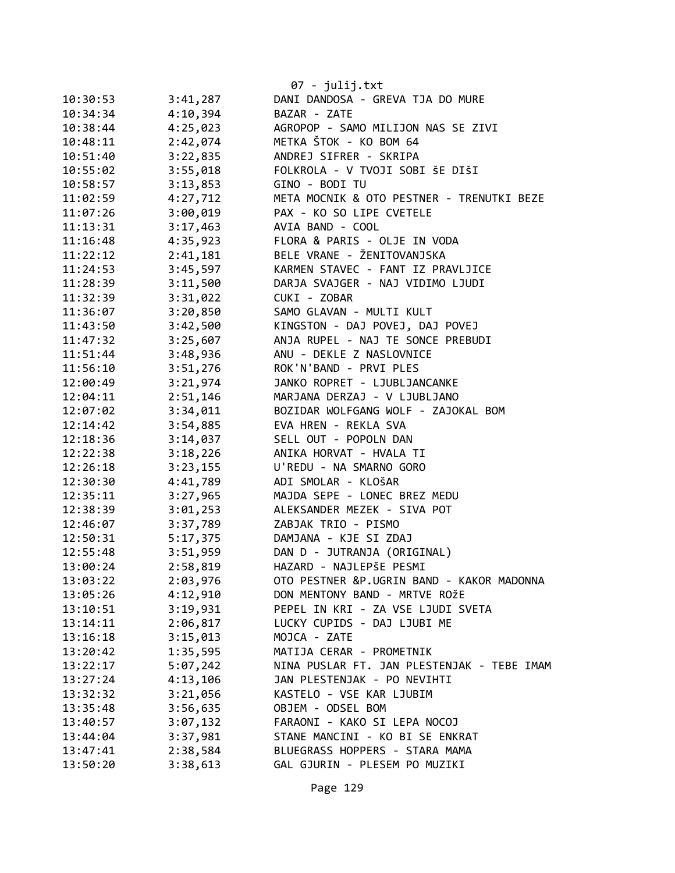|          |          | 07 - julij.txt                             |
|----------|----------|--------------------------------------------|
| 10:30:53 | 3:41,287 | DANI DANDOSA - GREVA TJA DO MURE           |
| 10:34:34 | 4:10,394 | BAZAR - ZATE                               |
| 10:38:44 | 4:25,023 | AGROPOP - SAMO MILIJON NAS SE ZIVI         |
| 10:48:11 | 2:42,074 | METKA ŠTOK - KO BOM 64                     |
| 10:51:40 | 3:22,835 | ANDREJ SIFRER - SKRIPA                     |
| 10:55:02 | 3:55,018 | FOLKROLA - V TVOJI SOBI ŠE DIŠI            |
| 10:58:57 | 3:13,853 | GINO - BODI TU                             |
| 11:02:59 | 4:27,712 | META MOCNIK & OTO PESTNER - TRENUTKI BEZE  |
| 11:07:26 | 3:00,019 | PAX - KO SO LIPE CVETELE                   |
| 11:13:31 | 3:17,463 | AVIA BAND - COOL                           |
| 11:16:48 | 4:35,923 | FLORA & PARIS - OLJE IN VODA               |
| 11:22:12 | 2:41,181 | BELE VRANE - ŽENITOVANJSKA                 |
| 11:24:53 | 3:45,597 | KARMEN STAVEC - FANT IZ PRAVLJICE          |
| 11:28:39 | 3:11,500 | DARJA SVAJGER - NAJ VIDIMO LJUDI           |
| 11:32:39 | 3:31,022 | CUKI - ZOBAR                               |
| 11:36:07 | 3:20,850 | SAMO GLAVAN - MULTI KULT                   |
| 11:43:50 | 3:42,500 | KINGSTON - DAJ POVEJ, DAJ POVEJ            |
| 11:47:32 | 3:25,607 | ANJA RUPEL - NAJ TE SONCE PREBUDI          |
| 11:51:44 | 3:48,936 | ANU - DEKLE Z NASLOVNICE                   |
| 11:56:10 | 3:51,276 | ROK'N'BAND - PRVI PLES                     |
| 12:00:49 | 3:21,974 | JANKO ROPRET - LJUBLJANCANKE               |
| 12:04:11 | 2:51,146 | MARJANA DERZAJ - V LJUBLJANO               |
| 12:07:02 | 3:34,011 | BOZIDAR WOLFGANG WOLF - ZAJOKAL BOM        |
| 12:14:42 | 3:54,885 | EVA HREN - REKLA SVA                       |
| 12:18:36 | 3:14,037 | SELL OUT - POPOLN DAN                      |
| 12:22:38 | 3:18,226 | ANIKA HORVAT - HVALA TI                    |
| 12:26:18 | 3:23,155 | U'REDU - NA SMARNO GORO                    |
| 12:30:30 | 4:41,789 | ADI SMOLAR - KLOŠAR                        |
| 12:35:11 | 3:27,965 | MAJDA SEPE - LONEC BREZ MEDU               |
| 12:38:39 | 3:01,253 | ALEKSANDER MEZEK - SIVA POT                |
| 12:46:07 | 3:37,789 | ZABJAK TRIO - PISMO                        |
| 12:50:31 | 5:17,375 | DAMJANA - KJE SI ZDAJ                      |
| 12:55:48 | 3:51,959 | DAN D - JUTRANJA (ORIGINAL)                |
| 13:00:24 | 2:58,819 | HAZARD - NAJLEPŠE PESMI                    |
| 13:03:22 | 2:03,976 | OTO PESTNER &P.UGRIN BAND - KAKOR MADONNA  |
| 13:05:26 | 4:12,910 | DON MENTONY BAND - MRTVE ROŽE              |
| 13:10:51 | 3:19,931 | PEPEL IN KRI - ZA VSE LJUDI SVETA          |
| 13:14:11 | 2:06,817 | LUCKY CUPIDS - DAJ LJUBI ME                |
| 13:16:18 | 3:15,013 | MOJCA - ZATE                               |
| 13:20:42 | 1:35,595 | MATIJA CERAR - PROMETNIK                   |
| 13:22:17 | 5:07,242 | NINA PUSLAR FT. JAN PLESTENJAK - TEBE IMAM |
| 13:27:24 | 4:13,106 | JAN PLESTENJAK - PO NEVIHTI                |
| 13:32:32 | 3:21,056 | KASTELO - VSE KAR LJUBIM                   |
| 13:35:48 | 3:56,635 | OBJEM - ODSEL BOM                          |
| 13:40:57 | 3:07,132 | FARAONI - KAKO SI LEPA NOCOJ               |
| 13:44:04 | 3:37,981 | STANE MANCINI - KO BI SE ENKRAT            |
| 13:47:41 | 2:38,584 | BLUEGRASS HOPPERS - STARA MAMA             |
| 13:50:20 | 3:38,613 | GAL GJURIN - PLESEM PO MUZIKI              |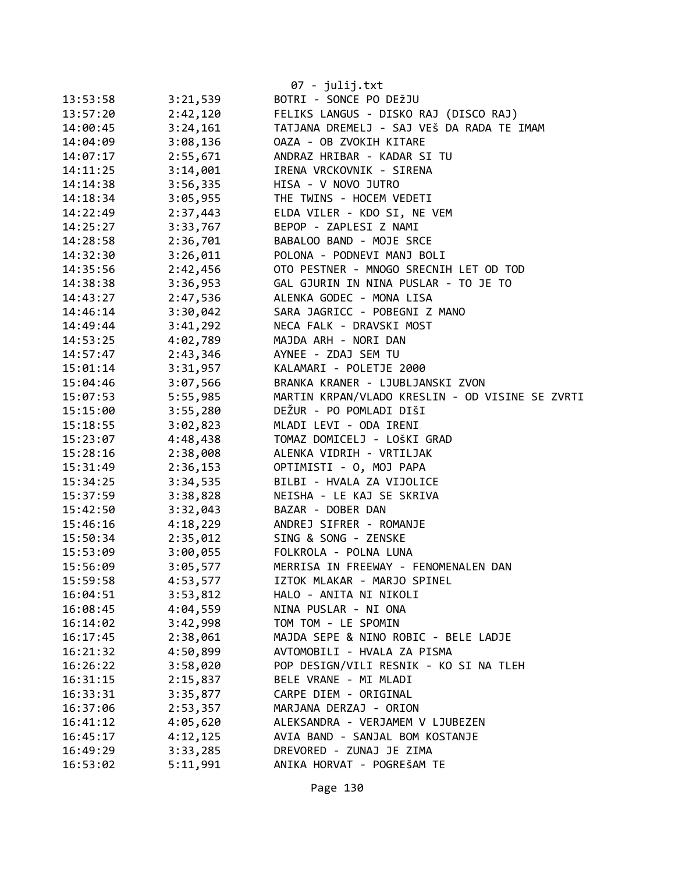|          |          | 07 - julij.txt                                  |
|----------|----------|-------------------------------------------------|
| 13:53:58 | 3:21,539 | BOTRI - SONCE PO DEŽJU                          |
| 13:57:20 | 2:42,120 | FELIKS LANGUS - DISKO RAJ (DISCO RAJ)           |
| 14:00:45 | 3:24,161 | TATJANA DREMELJ - SAJ VEŠ DA RADA TE IMAM       |
| 14:04:09 | 3:08,136 | OAZA - OB ZVOKIH KITARE                         |
| 14:07:17 | 2:55,671 | ANDRAZ HRIBAR - KADAR SI TU                     |
| 14:11:25 | 3:14,001 | IRENA VRCKOVNIK - SIRENA                        |
| 14:14:38 | 3:56,335 | HISA - V NOVO JUTRO                             |
| 14:18:34 | 3:05,955 | THE TWINS - HOCEM VEDETI                        |
| 14:22:49 | 2:37,443 | ELDA VILER - KDO SI, NE VEM                     |
| 14:25:27 | 3:33,767 | BEPOP - ZAPLESI Z NAMI                          |
| 14:28:58 | 2:36,701 | BABALOO BAND - MOJE SRCE                        |
| 14:32:30 | 3:26,011 | POLONA - PODNEVI MANJ BOLI                      |
| 14:35:56 | 2:42,456 | OTO PESTNER - MNOGO SRECNIH LET OD TOD          |
| 14:38:38 | 3:36,953 | GAL GJURIN IN NINA PUSLAR - TO JE TO            |
| 14:43:27 | 2:47,536 | ALENKA GODEC - MONA LISA                        |
| 14:46:14 | 3:30,042 | SARA JAGRICC - POBEGNI Z MANO                   |
| 14:49:44 | 3:41,292 | NECA FALK - DRAVSKI MOST                        |
| 14:53:25 | 4:02,789 | MAJDA ARH - NORI DAN                            |
| 14:57:47 | 2:43,346 | AYNEE - ZDAJ SEM TU                             |
| 15:01:14 | 3:31,957 | KALAMARI - POLETJE 2000                         |
| 15:04:46 | 3:07,566 | BRANKA KRANER - LJUBLJANSKI ZVON                |
| 15:07:53 | 5:55,985 | MARTIN KRPAN/VLADO KRESLIN - OD VISINE SE ZVRTI |
| 15:15:00 | 3:55,280 | DEŽUR - PO POMLADI DIŠI                         |
| 15:18:55 | 3:02,823 | MLADI LEVI - ODA IRENI                          |
| 15:23:07 | 4:48,438 | TOMAZ DOMICELJ - LOŠKI GRAD                     |
| 15:28:16 | 2:38,008 | ALENKA VIDRIH - VRTILJAK                        |
| 15:31:49 | 2:36,153 | OPTIMISTI - 0, MOJ PAPA                         |
| 15:34:25 | 3:34,535 | BILBI - HVALA ZA VIJOLICE                       |
| 15:37:59 | 3:38,828 | NEISHA - LE KAJ SE SKRIVA                       |
| 15:42:50 | 3:32,043 | BAZAR - DOBER DAN                               |
| 15:46:16 | 4:18,229 | ANDREJ SIFRER - ROMANJE                         |
| 15:50:34 | 2:35,012 | SING & SONG - ZENSKE                            |
| 15:53:09 | 3:00,055 | FOLKROLA - POLNA LUNA                           |
| 15:56:09 | 3:05,577 | MERRISA IN FREEWAY - FENOMENALEN DAN            |
| 15:59:58 | 4:53,577 | IZTOK MLAKAR - MARJO SPINEL                     |
| 16:04:51 | 3:53,812 | HALO - ANITA NI NIKOLI                          |
| 16:08:45 | 4:04,559 | NINA PUSLAR - NI ONA                            |
| 16:14:02 | 3:42,998 | TOM TOM - LE SPOMIN                             |
| 16:17:45 | 2:38,061 | MAJDA SEPE & NINO ROBIC - BELE LADJE            |
| 16:21:32 | 4:50,899 | AVTOMOBILI - HVALA ZA PISMA                     |
| 16:26:22 | 3:58,020 | POP DESIGN/VILI RESNIK - KO SI NA TLEH          |
| 16:31:15 | 2:15,837 | BELE VRANE - MI MLADI                           |
| 16:33:31 | 3:35,877 | CARPE DIEM - ORIGINAL                           |
| 16:37:06 | 2:53,357 | MARJANA DERZAJ - ORION                          |
| 16:41:12 | 4:05,620 | ALEKSANDRA - VERJAMEM V LJUBEZEN                |
| 16:45:17 | 4:12,125 | AVIA BAND - SANJAL BOM KOSTANJE                 |
| 16:49:29 | 3:33,285 | DREVORED - ZUNAJ JE ZIMA                        |
| 16:53:02 | 5:11,991 | ANIKA HORVAT - POGREŠAM TE                      |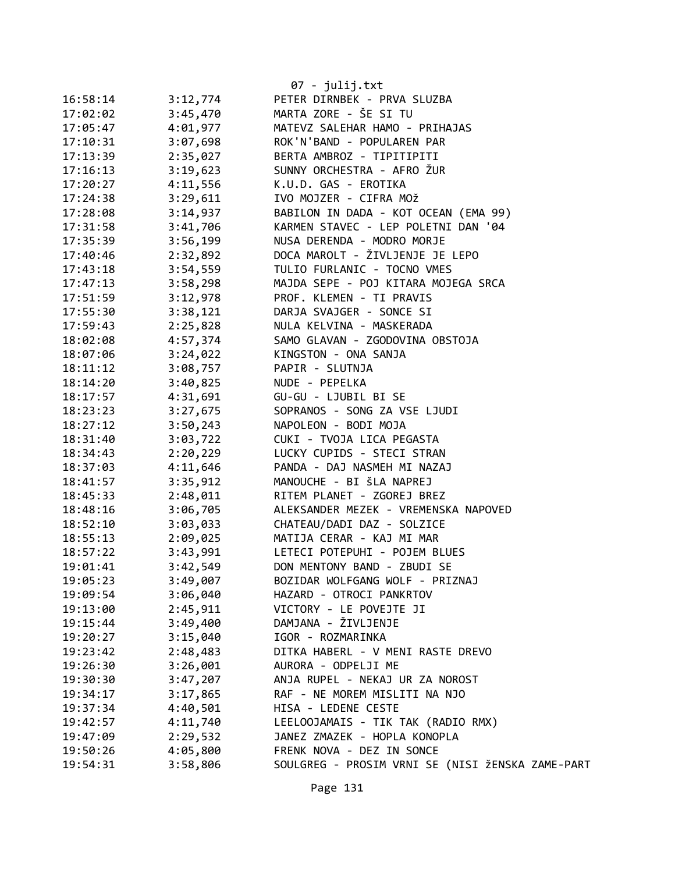|          |                      | $07 - julij.txt$                                          |
|----------|----------------------|-----------------------------------------------------------|
| 16:58:14 | 3:12,774             | PETER DIRNBEK - PRVA SLUZBA                               |
| 17:02:02 | 3:45,470             | MARTA ZORE - ŠE SI TU                                     |
| 17:05:47 | 4:01,977             | MATEVZ SALEHAR HAMO - PRIHAJAS                            |
| 17:10:31 | 3:07,698             | ROK'N'BAND - POPULAREN PAR                                |
| 17:13:39 | 2:35,027             | BERTA AMBROZ - TIPITIPITI                                 |
| 17:16:13 | 3:19,623             | SUNNY ORCHESTRA - AFRO ŽUR                                |
| 17:20:27 | 4:11,556             | K.U.D. GAS - EROTIKA                                      |
| 17:24:38 | 3:29,611             | IVO MOJZER - CIFRA MOŽ                                    |
| 17:28:08 | 3:14,937             | BABILON IN DADA - KOT OCEAN (EMA 99)                      |
| 17:31:58 | 3:41,706             | KARMEN STAVEC - LEP POLETNI DAN '04                       |
| 17:35:39 | 3:56,199             | NUSA DERENDA - MODRO MORJE                                |
| 17:40:46 | 2:32,892             | DOCA MAROLT - ŽIVLJENJE JE LEPO                           |
| 17:43:18 | 3:54,559             | TULIO FURLANIC - TOCNO VMES                               |
| 17:47:13 | 3:58,298             | MAJDA SEPE - POJ KITARA MOJEGA SRCA                       |
| 17:51:59 | 3:12,978             | PROF. KLEMEN - TI PRAVIS                                  |
| 17:55:30 | 3:38,121             | DARJA SVAJGER - SONCE SI                                  |
| 17:59:43 | 2:25,828             | NULA KELVINA - MASKERADA                                  |
| 18:02:08 | 4:57,374             | SAMO GLAVAN - ZGODOVINA OBSTOJA                           |
| 18:07:06 | 3:24,022             | KINGSTON - ONA SANJA                                      |
| 18:11:12 | 3:08,757             | PAPIR - SLUTNJA                                           |
| 18:14:20 | 3:40,825             | NUDE - PEPELKA                                            |
| 18:17:57 | 4:31,691             | GU-GU - LJUBIL BI SE                                      |
| 18:23:23 | 3:27,675             | SOPRANOS - SONG ZA VSE LJUDI                              |
| 18:27:12 | 3:50,243             | NAPOLEON - BODI MOJA                                      |
| 18:31:40 | 3:03,722             | CUKI - TVOJA LICA PEGASTA                                 |
| 18:34:43 | 2:20,229             | LUCKY CUPIDS - STECI STRAN                                |
| 18:37:03 | 4:11,646             | PANDA - DAJ NASMEH MI NAZAJ                               |
| 18:41:57 | 3:35,912             | MANOUCHE - BI ŠLA NAPREJ                                  |
| 18:45:33 | 2:48,011             | RITEM PLANET - ZGOREJ BREZ                                |
| 18:48:16 | 3:06,705             | ALEKSANDER MEZEK - VREMENSKA NAPOVED                      |
| 18:52:10 | 3:03,033             | CHATEAU/DADI DAZ - SOLZICE                                |
| 18:55:13 | 2:09,025             | MATIJA CERAR - KAJ MI MAR                                 |
| 18:57:22 | 3:43,991             | LETECI POTEPUHI - POJEM BLUES                             |
| 19:01:41 | 3:42,549             | DON MENTONY BAND - ZBUDI SE                               |
| 19:05:23 | 3:49,007             | BOZIDAR WOLFGANG WOLF - PRIZNAJ                           |
| 19:09:54 | 3:06,040             | HAZARD - OTROCI PANKRTOV                                  |
| 19:13:00 | 2:45,911             | VICTORY - LE POVEJTE JI                                   |
| 19:15:44 | 3:49,400             | DAMJANA - ŽIVLJENJE                                       |
| 19:20:27 | 3:15,040             | IGOR - ROZMARINKA                                         |
| 19:23:42 | 2:48,483             | DITKA HABERL - V MENI RASTE DREVO                         |
| 19:26:30 | 3:26,001             | AURORA - ODPELJI ME                                       |
| 19:30:30 | 3:47,207             | ANJA RUPEL - NEKAJ UR ZA NOROST                           |
| 19:34:17 | 3:17,865             | RAF - NE MOREM MISLITI NA NJO                             |
|          |                      | HISA - LEDENE CESTE                                       |
| 19:37:34 | 4:40,501             |                                                           |
| 19:42:57 | 4:11,740<br>2:29,532 | LEELOOJAMAIS - TIK TAK (RADIO RMX)                        |
| 19:47:09 |                      | JANEZ ZMAZEK - HOPLA KONOPLA<br>FRENK NOVA - DEZ IN SONCE |
| 19:50:26 | 4:05,800             |                                                           |
| 19:54:31 | 3:58,806             | SOULGREG - PROSIM VRNI SE (NISI ŽENSKA ZAME-PART          |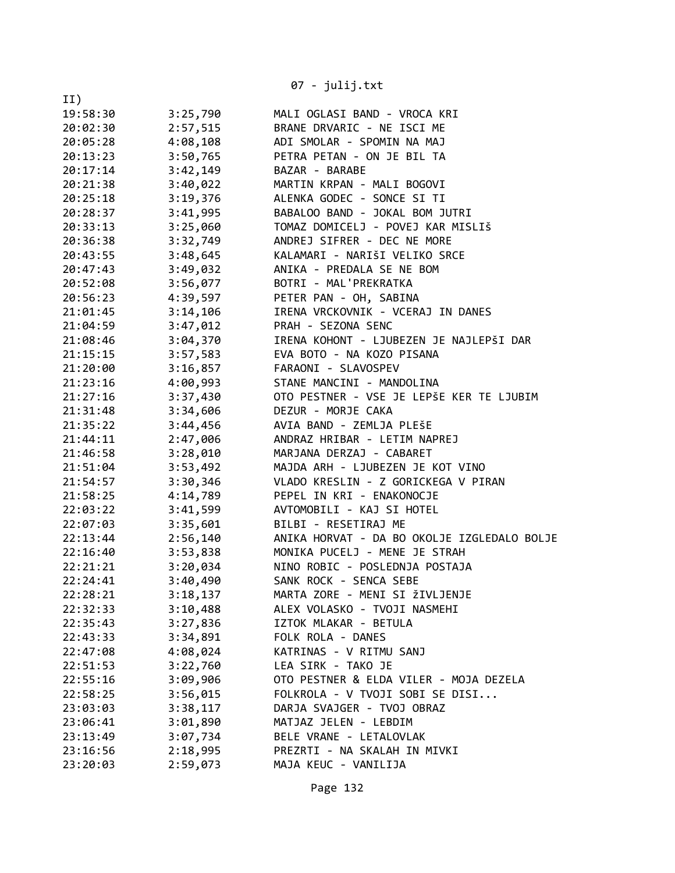|          |          | 07 - julij.txt                                              |
|----------|----------|-------------------------------------------------------------|
| II)      |          |                                                             |
| 19:58:30 | 3:25,790 | MALI OGLASI BAND - VROCA KRI                                |
| 20:02:30 | 2:57,515 | BRANE DRVARIC - NE ISCI ME                                  |
| 20:05:28 | 4:08,108 | ADI SMOLAR - SPOMIN NA MAJ                                  |
| 20:13:23 | 3:50,765 | PETRA PETAN - ON JE BIL TA                                  |
| 20:17:14 | 3:42,149 | BAZAR - BARABE                                              |
| 20:21:38 | 3:40,022 | MARTIN KRPAN - MALI BOGOVI                                  |
| 20:25:18 | 3:19,376 | ALENKA GODEC - SONCE SI TI                                  |
| 20:28:37 | 3:41,995 | BABALOO BAND - JOKAL BOM JUTRI                              |
| 20:33:13 | 3:25,060 | TOMAZ DOMICELJ - POVEJ KAR MISLIŠ                           |
| 20:36:38 | 3:32,749 | ANDREJ SIFRER - DEC NE MORE                                 |
| 20:43:55 | 3:48,645 | KALAMARI - NARIŠI VELIKO SRCE                               |
| 20:47:43 | 3:49,032 | ANIKA - PREDALA SE NE BOM                                   |
| 20:52:08 | 3:56,077 | BOTRI - MAL'PREKRATKA                                       |
|          |          |                                                             |
| 20:56:23 | 4:39,597 | PETER PAN - OH, SABINA<br>IRENA VRCKOVNIK - VCERAJ IN DANES |
| 21:01:45 | 3:14,106 |                                                             |
| 21:04:59 | 3:47,012 | PRAH - SEZONA SENC                                          |
| 21:08:46 | 3:04,370 | IRENA KOHONT - LJUBEZEN JE NAJLEPŠI DAR                     |
| 21:15:15 | 3:57,583 | EVA BOTO - NA KOZO PISANA                                   |
| 21:20:00 | 3:16,857 | FARAONI - SLAVOSPEV                                         |
| 21:23:16 | 4:00,993 | STANE MANCINI - MANDOLINA                                   |
| 21:27:16 | 3:37,430 | OTO PESTNER - VSE JE LEPŠE KER TE LJUBIM                    |
| 21:31:48 | 3:34,606 | DEZUR - MORJE CAKA                                          |
| 21:35:22 | 3:44,456 | AVIA BAND - ZEMLJA PLEŠE                                    |
| 21:44:11 | 2:47,006 | ANDRAZ HRIBAR - LETIM NAPREJ                                |
| 21:46:58 | 3:28,010 | MARJANA DERZAJ - CABARET                                    |
| 21:51:04 | 3:53,492 | MAJDA ARH - LJUBEZEN JE KOT VINO                            |
| 21:54:57 | 3:30,346 | VLADO KRESLIN - Z GORICKEGA V PIRAN                         |
| 21:58:25 | 4:14,789 | PEPEL IN KRI - ENAKONOCJE                                   |
| 22:03:22 | 3:41,599 | AVTOMOBILI - KAJ SI HOTEL                                   |
| 22:07:03 | 3:35,601 | BILBI - RESETIRAJ ME                                        |
| 22:13:44 | 2:56,140 | ANIKA HORVAT - DA BO OKOLJE IZGLEDALO BOLJE                 |
| 22:16:40 | 3:53,838 | MONIKA PUCELJ - MENE JE STRAH                               |
| 22:21:21 | 3:20,034 | NINO ROBIC - POSLEDNJA POSTAJA                              |
| 22:24:41 | 3:40,490 | SANK ROCK - SENCA SEBE                                      |
| 22:28:21 | 3:18,137 | MARTA ZORE - MENI SI ŽIVLJENJE                              |
| 22:32:33 | 3:10,488 | ALEX VOLASKO - TVOJI NASMEHI                                |
| 22:35:43 | 3:27,836 | IZTOK MLAKAR - BETULA                                       |
| 22:43:33 | 3:34,891 | FOLK ROLA - DANES                                           |
| 22:47:08 | 4:08,024 | KATRINAS - V RITMU SANJ                                     |
| 22:51:53 | 3:22,760 | LEA SIRK - TAKO JE                                          |
| 22:55:16 | 3:09,906 | OTO PESTNER & ELDA VILER - MOJA DEZELA                      |
| 22:58:25 | 3:56,015 | FOLKROLA - V TVOJI SOBI SE DISI                             |
| 23:03:03 | 3:38,117 | DARJA SVAJGER - TVOJ OBRAZ                                  |
| 23:06:41 | 3:01,890 | MATJAZ JELEN - LEBDIM                                       |
| 23:13:49 | 3:07,734 | BELE VRANE - LETALOVLAK                                     |
| 23:16:56 | 2:18,995 | PREZRTI - NA SKALAH IN MIVKI                                |
| 23:20:03 | 2:59,073 | MAJA KEUC - VANILIJA                                        |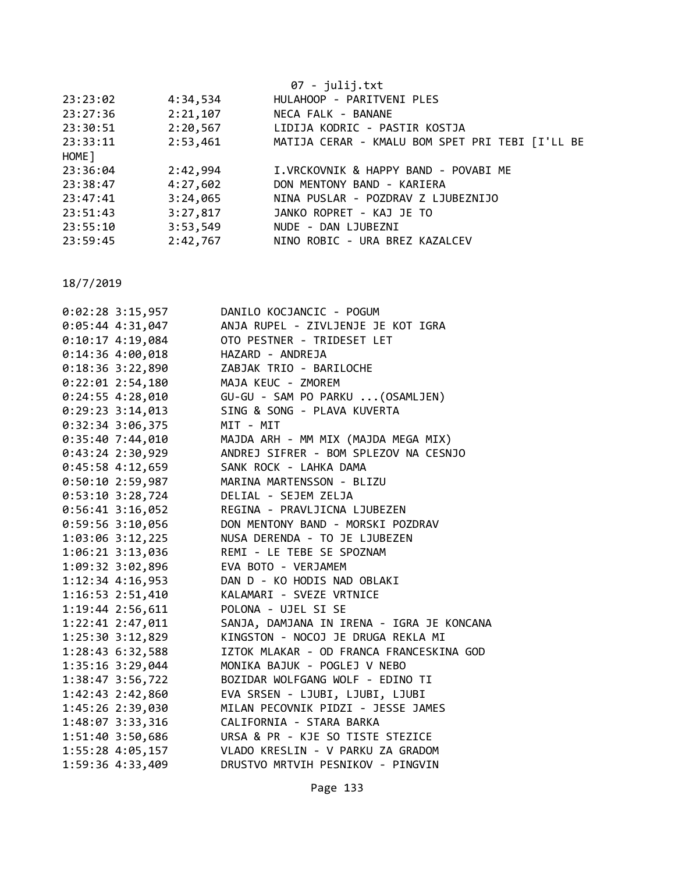|          |          | $07 - julij.txt$                                |
|----------|----------|-------------------------------------------------|
| 23:23:02 | 4:34,534 | HULAHOOP - PARITVENI PLES                       |
| 23:27:36 | 2:21,107 | NECA FALK - BANANE                              |
| 23:30:51 | 2:20,567 | LIDIJA KODRIC - PASTIR KOSTJA                   |
| 23:33:11 | 2:53,461 | MATIJA CERAR - KMALU BOM SPET PRI TEBI [I'LL BE |
| HOME ]   |          |                                                 |
| 23:36:04 | 2:42,994 | I.VRCKOVNIK & HAPPY BAND - POVABI ME            |
| 23:38:47 | 4:27,602 | DON MENTONY BAND - KARIERA                      |
| 23:47:41 | 3:24,065 | NINA PUSLAR - POZDRAV Z LJUBEZNIJO              |
| 23:51:43 | 3:27,817 | JANKO ROPRET - KAJ JE TO                        |
| 23:55:10 | 3:53,549 | NUDE - DAN LJUBEZNI                             |
| 23:59:45 | 2:42,767 | NINO ROBIC - URA BREZ KAZALCEV                  |

| $0:02:28$ 3:15,957 | DANILO KOCJANCIC - POGUM                  |
|--------------------|-------------------------------------------|
| $0:05:44$ 4:31,047 | ANJA RUPEL - ZIVLJENJE JE KOT IGRA        |
| $0:10:17$ 4:19,084 | OTO PESTNER - TRIDESET LET                |
| $0:14:36$ 4:00,018 | HAZARD - ANDREJA                          |
| $0:18:36$ 3:22,890 | ZABJAK TRIO - BARILOCHE                   |
| $0:22:01$ 2:54,180 | MAJA KEUC - ZMOREM                        |
| $0:24:55$ 4:28,010 | GU-GU - SAM PO PARKU  (OSAMLJEN)          |
| 0:29:23 3:14,013   | SING & SONG - PLAVA KUVERTA               |
| 0:32:34 3:06,375   | MIT - MIT                                 |
| 0:35:407:44,010    | MAJDA ARH - MM MIX (MAJDA MEGA MIX)       |
| $0:43:24$ 2:30,929 | ANDREJ SIFRER - BOM SPLEZOV NA CESNJO     |
| $0:45:58$ 4:12,659 | SANK ROCK - LAHKA DAMA                    |
| 0:50:10 2:59,987   | MARINA MARTENSSON - BLIZU                 |
| 0:53:10 3:28,724   | DELIAL - SEJEM ZELJA                      |
| $0:56:41$ 3:16,052 | REGINA - PRAVLJICNA LJUBEZEN              |
| $0:59:56$ 3:10,056 | DON MENTONY BAND - MORSKI POZDRAV         |
| 1:03:06 3:12,225   | NUSA DERENDA - TO JE LJUBEZEN             |
| 1:06:21 3:13,036   | REMI - LE TEBE SE SPOZNAM                 |
| 1:09:32 3:02,896   | EVA BOTO - VERJAMEM                       |
| 1:12:34 4:16,953   | DAN D - KO HODIS NAD OBLAKI               |
| 1:16:53 2:51,410   | KALAMARI - SVEZE VRTNICE                  |
| 1:19:44 2:56,611   | POLONA - UJEL SI SE                       |
| 1:22:41 2:47,011   | SANJA, DAMJANA IN IRENA - IGRA JE KONCANA |
| 1:25:30 3:12,829   | KINGSTON - NOCOJ JE DRUGA REKLA MI        |
| 1:28:43 6:32,588   | IZTOK MLAKAR - OD FRANCA FRANCESKINA GOD  |
| 1:35:16 3:29,044   | MONIKA BAJUK - POGLEJ V NEBO              |
| 1:38:47 3:56,722   | BOZIDAR WOLFGANG WOLF - EDINO TI          |
| 1:42:43 2:42,860   | EVA SRSEN - LJUBI, LJUBI, LJUBI           |
| 1:45:26 2:39,030   | MILAN PECOVNIK PIDZI - JESSE JAMES        |
| 1:48:07 3:33,316   | CALIFORNIA - STARA BARKA                  |
| 1:51:40 3:50,686   | URSA & PR - KJE SO TISTE STEZICE          |
| 1:55:28 4:05,157   | VLADO KRESLIN - V PARKU ZA GRADOM         |
| 1:59:36 4:33,409   | DRUSTVO MRTVIH PESNIKOV - PINGVIN         |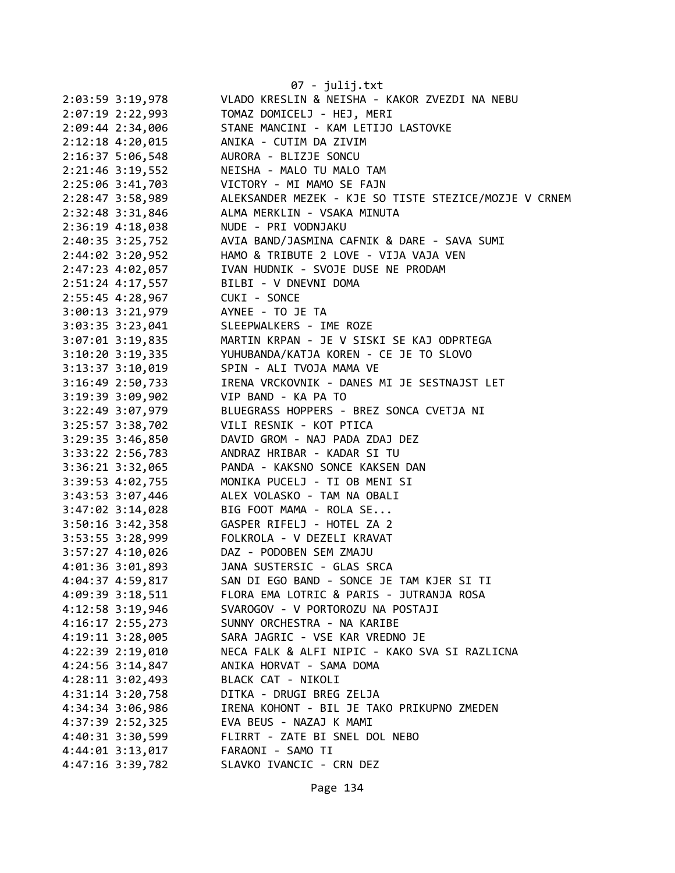|                      | 07 - julij.txt                                        |
|----------------------|-------------------------------------------------------|
| 2:03:59 3:19,978     | VLADO KRESLIN & NEISHA - KAKOR ZVEZDI NA NEBU         |
| 2:07:19 2:22,993     | TOMAZ DOMICELJ - HEJ, MERI                            |
| 2:09:44 2:34,006     | STANE MANCINI - KAM LETIJO LASTOVKE                   |
| 2:12:18 4:20,015     | ANIKA - CUTIM DA ZIVIM                                |
| $2:16:37$ 5:06,548   | AURORA - BLIZJE SONCU                                 |
| $2:21:46$ 3:19,552   | NEISHA - MALO TU MALO TAM                             |
| 2:25:06 3:41,703     | VICTORY - MI MAMO SE FAJN                             |
| 2:28:47 3:58,989     | ALEKSANDER MEZEK - KJE SO TISTE STEZICE/MOZJE V CRNEM |
| 2:32:48 3:31,846     | ALMA MERKLIN - VSAKA MINUTA                           |
| $2:36:19$ 4:18,038   | NUDE - PRI VODNJAKU                                   |
| 2:40:35 3:25,752     | AVIA BAND/JASMINA CAFNIK & DARE - SAVA SUMI           |
| 2:44:02 3:20,952     | HAMO & TRIBUTE 2 LOVE - VIJA VAJA VEN                 |
| 2:47:23 4:02,057     | IVAN HUDNIK - SVOJE DUSE NE PRODAM                    |
| 2:51:24 4:17,557     | BILBI - V DNEVNI DOMA                                 |
| 2:55:45 4:28,967     | CUKI - SONCE                                          |
| $3:00:13$ $3:21,979$ | AYNEE - TO JE TA                                      |
| $3:03:35$ $3:23,041$ | SLEEPWALKERS - IME ROZE                               |
| $3:07:01$ $3:19,835$ | MARTIN KRPAN - JE V SISKI SE KAJ ODPRTEGA             |
| $3:10:20$ $3:19,335$ | YUHUBANDA/KATJA KOREN - CE JE TO SLOVO                |
| 3:13:37 3:10,019     | SPIN - ALI TVOJA MAMA VE                              |
| $3:16:49$ $2:50,733$ | IRENA VRCKOVNIK - DANES MI JE SESTNAJST LET           |
| 3:19:39 3:09,902     | VIP BAND - KA PA TO                                   |
| 3:22:49 3:07,979     | BLUEGRASS HOPPERS - BREZ SONCA CVETJA NI              |
| 3:25:57 3:38,702     | VILI RESNIK - KOT PTICA                               |
| 3:29:35 3:46,850     | DAVID GROM - NAJ PADA ZDAJ DEZ                        |
| 3:33:22 2:56,783     | ANDRAZ HRIBAR - KADAR SI TU                           |
| 3:36:21 3:32,065     | PANDA - KAKSNO SONCE KAKSEN DAN                       |
| 3:39:53 4:02,755     | MONIKA PUCELJ - TI OB MENI SI                         |
| 3:43:53 3:07,446     | ALEX VOLASKO - TAM NA OBALI                           |
| $3:47:02$ $3:14,028$ | BIG FOOT MAMA - ROLA SE                               |
| $3:50:16$ $3:42,358$ | GASPER RIFELJ - HOTEL ZA 2                            |
| $3:53:55$ $3:28,999$ | FOLKROLA - V DEZELI KRAVAT                            |
| $3:57:27$ 4:10,026   | DAZ - PODOBEN SEM ZMAJU                               |
| 4:01:36 3:01,893     | JANA SUSTERSIC - GLAS SRCA                            |
| 4:04:37 4:59,817     | SAN DI EGO BAND - SONCE JE TAM KJER SI TI             |
| 4:09:39 3:18,511     | FLORA EMA LOTRIC & PARIS - JUTRANJA ROSA              |
| 4:12:58 3:19,946     | SVAROGOV - V PORTOROZU NA POSTAJI                     |
| 4:16:17 2:55,273     | SUNNY ORCHESTRA - NA KARIBE                           |
| 4:19:11 3:28,005     | SARA JAGRIC - VSE KAR VREDNO JE                       |
| 4:22:39 2:19,010     | NECA FALK & ALFI NIPIC - KAKO SVA SI RAZLICNA         |
| 4:24:56 3:14,847     | ANIKA HORVAT - SAMA DOMA                              |
| 4:28:11 3:02,493     | BLACK CAT - NIKOLI                                    |
| 4:31:14 3:20,758     | DITKA - DRUGI BREG ZELJA                              |
| 4:34:34 3:06,986     | IRENA KOHONT - BIL JE TAKO PRIKUPNO ZMEDEN            |
| 4:37:39 2:52,325     | EVA BEUS - NAZAJ K MAMI                               |
| 4:40:31 3:30,599     | FLIRRT - ZATE BI SNEL DOL NEBO                        |
| 4:44:01 3:13,017     | FARAONI - SAMO TI                                     |
| 4:47:16 3:39,782     | SLAVKO IVANCIC - CRN DEZ                              |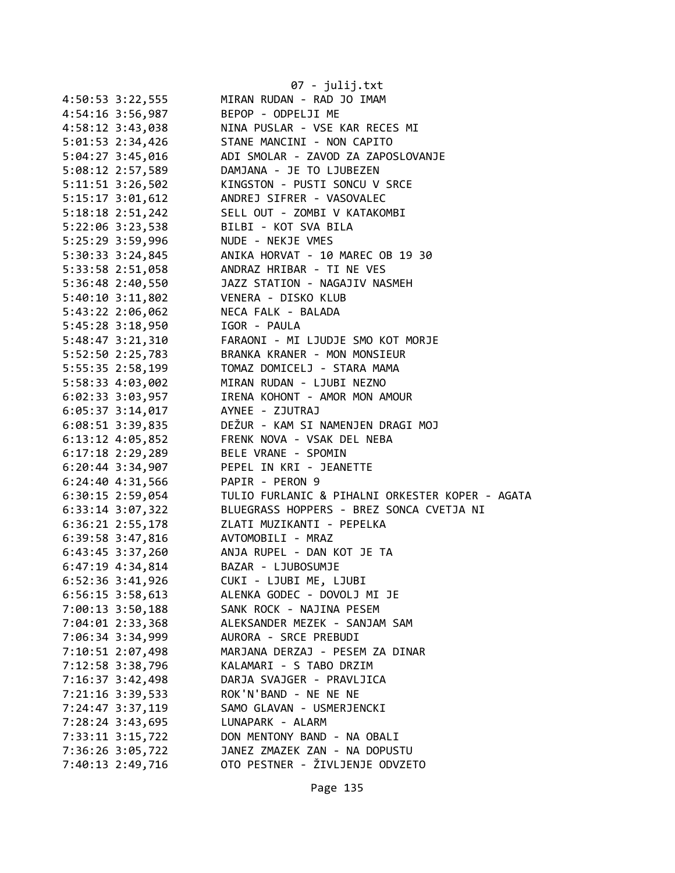|                      |                      | 07 - julij.txt                                  |
|----------------------|----------------------|-------------------------------------------------|
| 4:50:53 3:22,555     |                      | MIRAN RUDAN - RAD JO IMAM                       |
|                      | 4:54:16 3:56,987     | BEPOP - ODPELJI ME                              |
| 4:58:12 3:43,038     |                      | NINA PUSLAR - VSE KAR RECES MI                  |
| 5:01:53 2:34,426     |                      | STANE MANCINI - NON CAPITO                      |
| 5:04:27 3:45,016     |                      | ADI SMOLAR - ZAVOD ZA ZAPOSLOVANJE              |
|                      | 5:08:12 2:57,589     | DAMJANA - JE TO LJUBEZEN                        |
| 5:11:51 3:26,502     |                      | KINGSTON - PUSTI SONCU V SRCE                   |
| 5:15:17 3:01,612     |                      | ANDREJ SIFRER - VASOVALEC                       |
| $5:18:18$ 2:51,242   |                      | SELL OUT - ZOMBI V KATAKOMBI                    |
|                      | 5:22:06 3:23,538     | BILBI - KOT SVA BILA                            |
|                      | 5:25:29 3:59,996     | NUDE - NEKJE VMES                               |
|                      | 5:30:33 3:24,845     | ANIKA HORVAT - 10 MAREC OB 19 30                |
|                      | 5:33:58 2:51,058     | ANDRAZ HRIBAR - TI NE VES                       |
|                      | 5:36:48 2:40,550     | JAZZ STATION - NAGAJIV NASMEH                   |
| $5:40:10$ $3:11,802$ |                      | VENERA - DISKO KLUB                             |
| 5:43:22 2:06,062     |                      | NECA FALK - BALADA                              |
| 5:45:28 3:18,950     |                      | IGOR - PAULA                                    |
| 5:48:47 3:21,310     |                      | FARAONI - MI LJUDJE SMO KOT MORJE               |
|                      | 5:52:50 2:25,783     | BRANKA KRANER - MON MONSIEUR                    |
|                      | 5:55:35 2:58,199     | TOMAZ DOMICELJ - STARA MAMA                     |
| 5:58:33 4:03,002     |                      | MIRAN RUDAN - LJUBI NEZNO                       |
|                      | $6:02:33$ $3:03,957$ | IRENA KOHONT - AMOR MON AMOUR                   |
| $6:05:37$ 3:14,017   |                      | AYNEE - ZJUTRAJ                                 |
|                      | $6:08:51$ 3:39,835   | DEŽUR - KAM SI NAMENJEN DRAGI MOJ               |
|                      | $6:13:12$ $4:05,852$ | FRENK NOVA - VSAK DEL NEBA                      |
|                      | $6:17:18$ 2:29,289   | BELE VRANE - SPOMIN                             |
| $6:20:44$ 3:34,907   |                      | PEPEL IN KRI - JEANETTE                         |
| 6:24:40 4:31,566     |                      | PAPIR - PERON 9                                 |
| 6:30:15 2:59,054     |                      | TULIO FURLANIC & PIHALNI ORKESTER KOPER - AGATA |
| 6:33:14 3:07,322     |                      | BLUEGRASS HOPPERS - BREZ SONCA CVETJA NI        |
|                      | 6:36:21 2:55,178     | ZLATI MUZIKANTI - PEPELKA                       |
|                      | $6:39:58$ $3:47,816$ | AVTOMOBILI - MRAZ                               |
|                      | $6:43:45$ 3:37,260   | ANJA RUPEL - DAN KOT JE TA                      |
| $6:47:19$ $4:34,814$ |                      | BAZAR - LJUBOSUMJE                              |
| 6:52:36 3:41,926     |                      | CUKI - LJUBI ME, LJUBI                          |
| $6:56:15$ 3:58,613   |                      | ALENKA GODEC - DOVOLJ MI JE                     |
| 7:00:13 3:50,188     |                      | SANK ROCK - NAJINA PESEM                        |
| 7:04:01 2:33,368     |                      | ALEKSANDER MEZEK - SANJAM SAM                   |
|                      |                      | AURORA - SRCE PREBUDI                           |
| 7:06:34 3:34,999     |                      |                                                 |
| 7:10:51 2:07,498     |                      | MARJANA DERZAJ - PESEM ZA DINAR                 |
| 7:12:58 3:38,796     |                      | KALAMARI - S TABO DRZIM                         |
| 7:16:37 3:42,498     |                      | DARJA SVAJGER - PRAVLJICA                       |
| 7:21:16 3:39,533     |                      | ROK'N'BAND - NE NE NE                           |
| 7:24:47 3:37,119     |                      | SAMO GLAVAN - USMERJENCKI                       |
| 7:28:24 3:43,695     |                      | LUNAPARK - ALARM                                |
| 7:33:11 3:15,722     |                      | DON MENTONY BAND - NA OBALI                     |
| 7:36:26 3:05,722     |                      | JANEZ ZMAZEK ZAN - NA DOPUSTU                   |
| 7:40:13 2:49,716     |                      | OTO PESTNER - ŽIVLJENJE ODVZETO                 |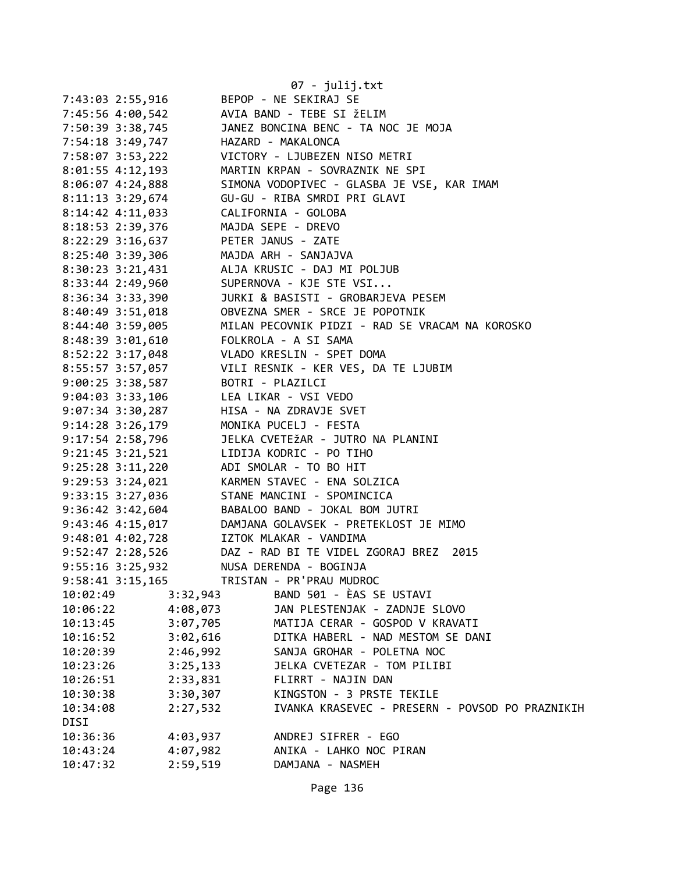|                                                                                                    |          | 07 - julij.txt                                                                                                                                                                                                                                                               |
|----------------------------------------------------------------------------------------------------|----------|------------------------------------------------------------------------------------------------------------------------------------------------------------------------------------------------------------------------------------------------------------------------------|
| 7:43:03 2:55,916 BEPOP - NE SEKIRAJ SE                                                             |          |                                                                                                                                                                                                                                                                              |
|                                                                                                    |          |                                                                                                                                                                                                                                                                              |
|                                                                                                    |          |                                                                                                                                                                                                                                                                              |
|                                                                                                    |          |                                                                                                                                                                                                                                                                              |
|                                                                                                    |          |                                                                                                                                                                                                                                                                              |
|                                                                                                    |          | 8:01:55 4:12,193 MARTIN KRPAN - SOVRAZNIK NE SPI                                                                                                                                                                                                                             |
|                                                                                                    |          | 8:06:07 4:24,888 SIMONA VODOPIVEC - GLASBA JE VSE, KAR IMAM                                                                                                                                                                                                                  |
|                                                                                                    |          |                                                                                                                                                                                                                                                                              |
|                                                                                                    |          |                                                                                                                                                                                                                                                                              |
|                                                                                                    |          |                                                                                                                                                                                                                                                                              |
| 8:14:42 4:11,033<br>8:18:53 2:39,376<br>8:22:29 3:16,637<br>8:22:29 3:16,637<br>PETER JANUS - ZATE |          |                                                                                                                                                                                                                                                                              |
| 8:25:40 3:39,306 MAJDA ARH - SANJAJVA                                                              |          |                                                                                                                                                                                                                                                                              |
|                                                                                                    |          | 8:30:23 3:21,431 ALJA KRUSIC - DAJ MI POLJUB                                                                                                                                                                                                                                 |
|                                                                                                    |          | 8:33:44 2:49,960 SUPERNOVA - KJE STE VSI                                                                                                                                                                                                                                     |
|                                                                                                    |          | 8:36:34 3:33,390<br>8:40:49 3:51,018<br>8:44:40 3:59,005<br>8:44:40 3:59,005<br>8:48:39 3:01,610<br>8:52:22 3:17,048<br>2:52:22 3:17,048<br>2:55:57 3:57 057<br>2:57 2:57 057<br>2:57 2:57 2:57 2:57<br>2:41:40<br>2:52:22 3:17,048<br>2:55:57 2:57 2:                       |
|                                                                                                    |          |                                                                                                                                                                                                                                                                              |
|                                                                                                    |          |                                                                                                                                                                                                                                                                              |
|                                                                                                    |          |                                                                                                                                                                                                                                                                              |
|                                                                                                    |          |                                                                                                                                                                                                                                                                              |
|                                                                                                    |          | 8:55:57 3:57,057 VILI RESNIK - KER VES, DA TE LJUBIM                                                                                                                                                                                                                         |
| 9:00:25 3:38,587 BOTRI - PLAZILCI                                                                  |          |                                                                                                                                                                                                                                                                              |
| 9:04:03 3:33,106 LEA LIKAR - VSI VEDO                                                              |          |                                                                                                                                                                                                                                                                              |
|                                                                                                    |          | 9:07:34 3:30,287<br>9:14:28 3:26,179<br>9:17:54 2:58,796<br>9:17:54 2:58,796<br>17:31 17:34 17:31<br>17:31<br>17:31<br>17:31<br>17:31<br>17:31<br>17:32<br>17:32<br>17:32<br>17:32<br>17:32<br>17:32<br>17:32<br>17:45<br>17:45<br>17:45<br>17:45<br>17:45<br>17:45<br>17:54 |
|                                                                                                    |          |                                                                                                                                                                                                                                                                              |
|                                                                                                    |          |                                                                                                                                                                                                                                                                              |
|                                                                                                    |          | 9:21:45 3:21,521 LIDIJA KODRIC - PO TIHO                                                                                                                                                                                                                                     |
| 9:25:28 3:11,220 ADI SMOLAR - TO BO HIT                                                            |          |                                                                                                                                                                                                                                                                              |
|                                                                                                    |          | 9:29:53 3:24,021 KARMEN STAVEC - ENA SOLZICA                                                                                                                                                                                                                                 |
|                                                                                                    |          | 9:33:15 3:27,036 STANE MANCINI - SPOMINCICA                                                                                                                                                                                                                                  |
|                                                                                                    |          | 9:36:42 3:42,604<br>9:43:46 4:15,017 DAMJANA GOLAVSEK - PRETEKLOST JE MIMO<br>9:48:01 4:02,728 IZTOK MLAKAR - VANDIMA<br>PARTIER MARIA - VANDIMA                                                                                                                             |
|                                                                                                    |          |                                                                                                                                                                                                                                                                              |
|                                                                                                    |          |                                                                                                                                                                                                                                                                              |
| $9:52:47$ 2:28,526                                                                                 |          | DAZ - RAD BI TE VIDEL ZGORAJ BREZ 2015                                                                                                                                                                                                                                       |
| 9:55:16 3:25,932                                                                                   |          | NUSA DERENDA - BOGINJA                                                                                                                                                                                                                                                       |
| 9:58:41 3:15,165                                                                                   |          | TRISTAN - PR'PRAU MUDROC                                                                                                                                                                                                                                                     |
| 10:02:49                                                                                           | 3:32,943 | BAND 501 - ÈAS SE USTAVI                                                                                                                                                                                                                                                     |
| 10:06:22                                                                                           | 4:08,073 | JAN PLESTENJAK - ZADNJE SLOVO                                                                                                                                                                                                                                                |
| 10:13:45                                                                                           | 3:07,705 | MATIJA CERAR - GOSPOD V KRAVATI                                                                                                                                                                                                                                              |
| 10:16:52                                                                                           | 3:02,616 | DITKA HABERL - NAD MESTOM SE DANI                                                                                                                                                                                                                                            |
| 10:20:39                                                                                           | 2:46,992 | SANJA GROHAR - POLETNA NOC                                                                                                                                                                                                                                                   |
| 10:23:26                                                                                           | 3:25,133 | JELKA CVETEZAR - TOM PILIBI                                                                                                                                                                                                                                                  |
| 10:26:51                                                                                           | 2:33,831 | FLIRRT - NAJIN DAN                                                                                                                                                                                                                                                           |
| 10:30:38                                                                                           | 3:30,307 | KINGSTON - 3 PRSTE TEKILE                                                                                                                                                                                                                                                    |
| 10:34:08                                                                                           | 2:27,532 | IVANKA KRASEVEC - PRESERN - POVSOD PO PRAZNIKIH                                                                                                                                                                                                                              |
| DISI                                                                                               |          |                                                                                                                                                                                                                                                                              |
| 10:36:36                                                                                           | 4:03,937 | ANDREJ SIFRER - EGO                                                                                                                                                                                                                                                          |
| 10:43:24                                                                                           | 4:07,982 | ANIKA - LAHKO NOC PIRAN                                                                                                                                                                                                                                                      |
| 10:47:32                                                                                           | 2:59,519 | DAMJANA - NASMEH                                                                                                                                                                                                                                                             |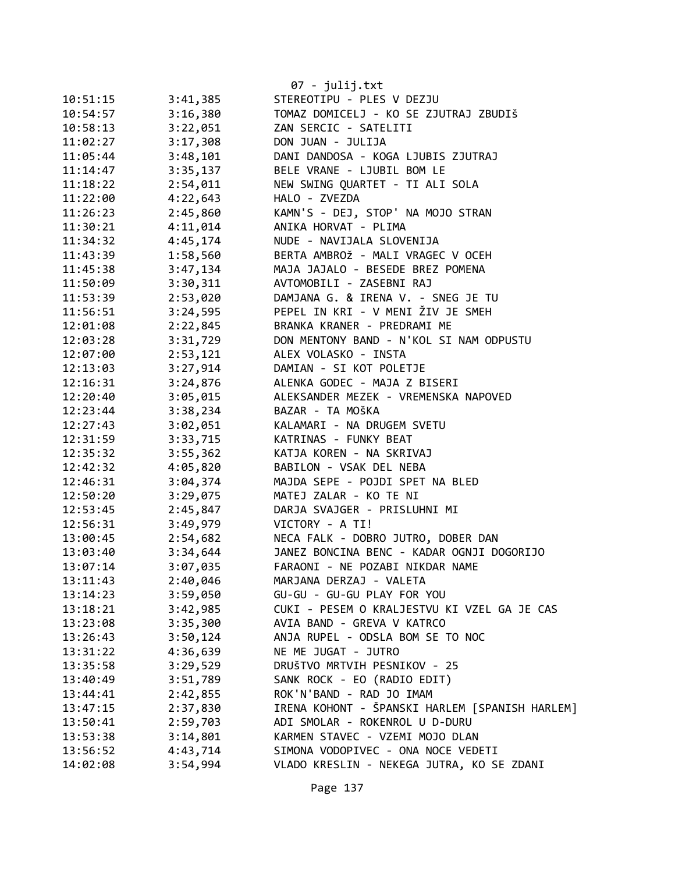|          |          | 07 - julij.txt                                 |
|----------|----------|------------------------------------------------|
| 10:51:15 | 3:41,385 | STEREOTIPU - PLES V DEZJU                      |
| 10:54:57 | 3:16,380 | TOMAZ DOMICELJ - KO SE ZJUTRAJ ZBUDIŠ          |
| 10:58:13 | 3:22,051 | ZAN SERCIC - SATELITI                          |
| 11:02:27 | 3:17,308 | DON JUAN - JULIJA                              |
| 11:05:44 | 3:48,101 | DANI DANDOSA - KOGA LJUBIS ZJUTRAJ             |
| 11:14:47 | 3:35,137 | BELE VRANE - LJUBIL BOM LE                     |
| 11:18:22 | 2:54,011 | NEW SWING QUARTET - TI ALI SOLA                |
| 11:22:00 | 4:22,643 | HALO - ZVEZDA                                  |
| 11:26:23 | 2:45,860 | KAMN'S - DEJ, STOP' NA MOJO STRAN              |
| 11:30:21 | 4:11,014 | ANIKA HORVAT - PLIMA                           |
| 11:34:32 | 4:45,174 | NUDE - NAVIJALA SLOVENIJA                      |
| 11:43:39 | 1:58,560 | BERTA AMBROŽ - MALI VRAGEC V OCEH              |
| 11:45:38 | 3:47,134 | MAJA JAJALO - BESEDE BREZ POMENA               |
| 11:50:09 | 3:30,311 | AVTOMOBILI - ZASEBNI RAJ                       |
| 11:53:39 | 2:53,020 | DAMJANA G. & IRENA V. - SNEG JE TU             |
| 11:56:51 | 3:24,595 | PEPEL IN KRI - V MENI ŽIV JE SMEH              |
| 12:01:08 | 2:22,845 | BRANKA KRANER - PREDRAMI ME                    |
| 12:03:28 | 3:31,729 | DON MENTONY BAND - N'KOL SI NAM ODPUSTU        |
| 12:07:00 | 2:53,121 | ALEX VOLASKO - INSTA                           |
| 12:13:03 | 3:27,914 | DAMIAN - SI KOT POLETJE                        |
| 12:16:31 | 3:24,876 | ALENKA GODEC - MAJA Z BISERI                   |
| 12:20:40 | 3:05,015 | ALEKSANDER MEZEK - VREMENSKA NAPOVED           |
| 12:23:44 | 3:38,234 | BAZAR - TA MOŠKA                               |
| 12:27:43 | 3:02,051 | KALAMARI - NA DRUGEM SVETU                     |
| 12:31:59 | 3:33,715 | KATRINAS - FUNKY BEAT                          |
| 12:35:32 | 3:55,362 | KATJA KOREN - NA SKRIVAJ                       |
| 12:42:32 | 4:05,820 | BABILON - VSAK DEL NEBA                        |
| 12:46:31 | 3:04,374 | MAJDA SEPE - POJDI SPET NA BLED                |
| 12:50:20 | 3:29,075 | MATEJ ZALAR - KO TE NI                         |
| 12:53:45 | 2:45,847 | DARJA SVAJGER - PRISLUHNI MI                   |
| 12:56:31 | 3:49,979 | VICTORY - A TI!                                |
| 13:00:45 | 2:54,682 | NECA FALK - DOBRO JUTRO, DOBER DAN             |
| 13:03:40 | 3:34,644 | JANEZ BONCINA BENC - KADAR OGNJI DOGORIJO      |
| 13:07:14 | 3:07,035 | FARAONI - NE POZABI NIKDAR NAME                |
| 13:11:43 | 2:40,046 | MARJANA DERZAJ - VALETA                        |
| 13:14:23 | 3:59,050 | GU-GU - GU-GU PLAY FOR YOU                     |
| 13:18:21 | 3:42,985 | CUKI - PESEM O KRALJESTVU KI VZEL GA JE CAS    |
| 13:23:08 | 3:35,300 | AVIA BAND - GREVA V KATRCO                     |
| 13:26:43 | 3:50,124 | ANJA RUPEL - ODSLA BOM SE TO NOC               |
| 13:31:22 | 4:36,639 | NE ME JUGAT - JUTRO                            |
| 13:35:58 | 3:29,529 | DRUŠTVO MRTVIH PESNIKOV - 25                   |
| 13:40:49 | 3:51,789 | SANK ROCK - EO (RADIO EDIT)                    |
| 13:44:41 | 2:42,855 | ROK'N'BAND - RAD JO IMAM                       |
| 13:47:15 | 2:37,830 | IRENA KOHONT - ŠPANSKI HARLEM [SPANISH HARLEM] |
| 13:50:41 | 2:59,703 | ADI SMOLAR - ROKENROL U D-DURU                 |
| 13:53:38 | 3:14,801 | KARMEN STAVEC - VZEMI MOJO DLAN                |
| 13:56:52 | 4:43,714 | SIMONA VODOPIVEC - ONA NOCE VEDETI             |
| 14:02:08 | 3:54,994 | VLADO KRESLIN - NEKEGA JUTRA, KO SE ZDANI      |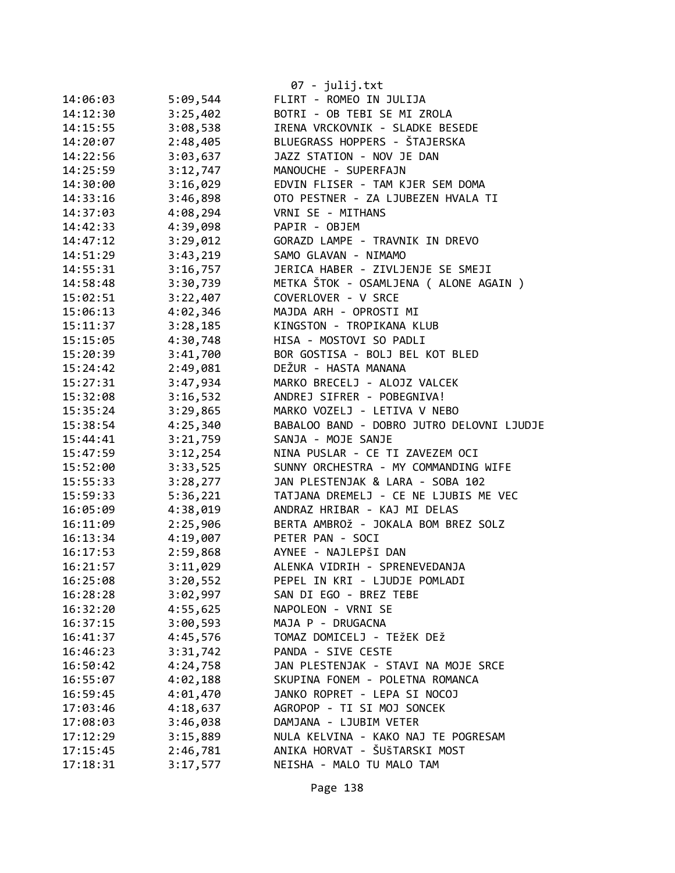|          |          | $07 - julij.txt$                          |
|----------|----------|-------------------------------------------|
| 14:06:03 | 5:09,544 | FLIRT - ROMEO IN JULIJA                   |
| 14:12:30 | 3:25,402 | BOTRI - OB TEBI SE MI ZROLA               |
| 14:15:55 | 3:08,538 | IRENA VRCKOVNIK - SLADKE BESEDE           |
| 14:20:07 | 2:48,405 | BLUEGRASS HOPPERS - ŠTAJERSKA             |
| 14:22:56 | 3:03,637 | JAZZ STATION - NOV JE DAN                 |
| 14:25:59 | 3:12,747 | MANOUCHE - SUPERFAJN                      |
| 14:30:00 | 3:16,029 | EDVIN FLISER - TAM KJER SEM DOMA          |
| 14:33:16 | 3:46,898 | OTO PESTNER - ZA LJUBEZEN HVALA TI        |
| 14:37:03 | 4:08,294 | VRNI SE - MITHANS                         |
| 14:42:33 | 4:39,098 | PAPIR - OBJEM                             |
| 14:47:12 | 3:29,012 | GORAZD LAMPE - TRAVNIK IN DREVO           |
| 14:51:29 | 3:43,219 | SAMO GLAVAN - NIMAMO                      |
| 14:55:31 | 3:16,757 | JERICA HABER - ZIVLJENJE SE SMEJI         |
| 14:58:48 | 3:30,739 | METKA ŠTOK - OSAMLJENA ( ALONE AGAIN )    |
| 15:02:51 | 3:22,407 | COVERLOVER - V SRCE                       |
| 15:06:13 | 4:02,346 | MAJDA ARH - OPROSTI MI                    |
| 15:11:37 | 3:28,185 | KINGSTON - TROPIKANA KLUB                 |
| 15:15:05 | 4:30,748 | HISA - MOSTOVI SO PADLI                   |
| 15:20:39 | 3:41,700 | BOR GOSTISA - BOLJ BEL KOT BLED           |
| 15:24:42 | 2:49,081 | DEŽUR - HASTA MANANA                      |
| 15:27:31 | 3:47,934 | MARKO BRECELJ - ALOJZ VALCEK              |
| 15:32:08 | 3:16,532 | ANDREJ SIFRER - POBEGNIVA!                |
| 15:35:24 | 3:29,865 | MARKO VOZELJ - LETIVA V NEBO              |
| 15:38:54 | 4:25,340 | BABALOO BAND - DOBRO JUTRO DELOVNI LJUDJE |
| 15:44:41 | 3:21,759 | SANJA - MOJE SANJE                        |
| 15:47:59 | 3:12,254 | NINA PUSLAR - CE TI ZAVEZEM OCI           |
| 15:52:00 | 3:33,525 | SUNNY ORCHESTRA - MY COMMANDING WIFE      |
| 15:55:33 | 3:28,277 | JAN PLESTENJAK & LARA - SOBA 102          |
| 15:59:33 | 5:36,221 | TATJANA DREMELJ - CE NE LJUBIS ME VEC     |
| 16:05:09 | 4:38,019 | ANDRAZ HRIBAR - KAJ MI DELAS              |
| 16:11:09 | 2:25,906 | BERTA AMBROŽ - JOKALA BOM BREZ SOLZ       |
| 16:13:34 | 4:19,007 | PETER PAN - SOCI                          |
| 16:17:53 | 2:59,868 | AYNEE - NAJLEPŠI DAN                      |
| 16:21:57 | 3:11,029 | ALENKA VIDRIH - SPRENEVEDANJA             |
| 16:25:08 | 3:20,552 | PEPEL IN KRI - LJUDJE POMLADI             |
| 16:28:28 | 3:02,997 | SAN DI EGO - BREZ TEBE                    |
| 16:32:20 | 4:55,625 | NAPOLEON - VRNI SE                        |
| 16:37:15 | 3:00,593 | MAJA P - DRUGACNA                         |
| 16:41:37 | 4:45,576 | TOMAZ DOMICELJ - TEŽEK DEŽ                |
| 16:46:23 | 3:31,742 | PANDA - SIVE CESTE                        |
| 16:50:42 | 4:24,758 | JAN PLESTENJAK - STAVI NA MOJE SRCE       |
| 16:55:07 | 4:02,188 | SKUPINA FONEM - POLETNA ROMANCA           |
| 16:59:45 | 4:01,470 | JANKO ROPRET - LEPA SI NOCOJ              |
| 17:03:46 | 4:18,637 | AGROPOP - TI SI MOJ SONCEK                |
| 17:08:03 | 3:46,038 | DAMJANA - LJUBIM VETER                    |
| 17:12:29 | 3:15,889 | NULA KELVINA - KAKO NAJ TE POGRESAM       |
| 17:15:45 | 2:46,781 | ANIKA HORVAT - ŠUŠTARSKI MOST             |
| 17:18:31 | 3:17,577 | NEISHA - MALO TU MALO TAM                 |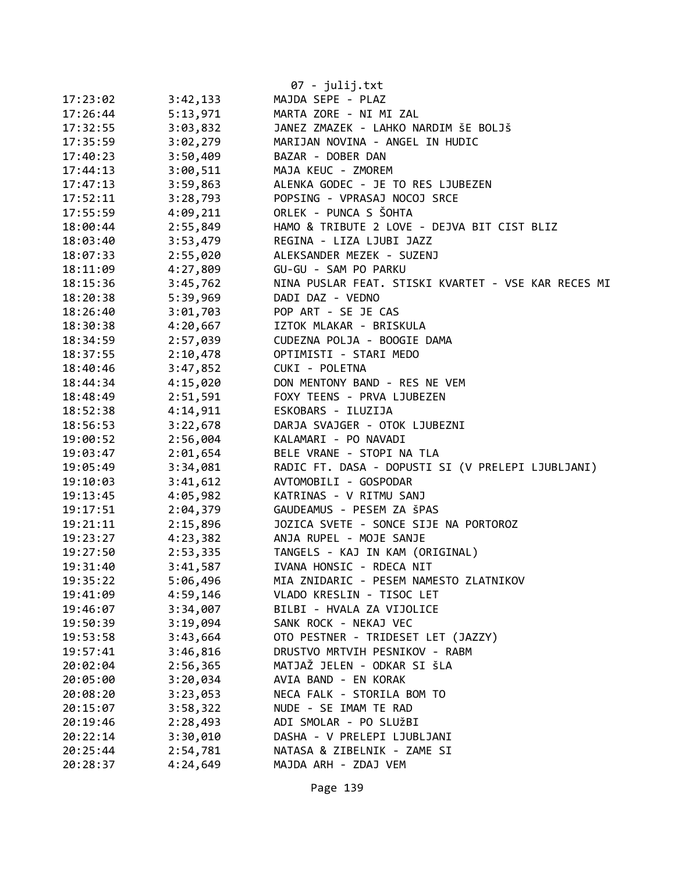|          |          | $07 - julij.txt$                                    |
|----------|----------|-----------------------------------------------------|
| 17:23:02 | 3:42,133 | MAJDA SEPE - PLAZ                                   |
| 17:26:44 | 5:13,971 | MARTA ZORE - NI MI ZAL                              |
| 17:32:55 | 3:03,832 | JANEZ ZMAZEK - LAHKO NARDIM ŠE BOLJŠ                |
| 17:35:59 | 3:02,279 | MARIJAN NOVINA - ANGEL IN HUDIC                     |
| 17:40:23 | 3:50,409 | BAZAR - DOBER DAN                                   |
| 17:44:13 | 3:00,511 | MAJA KEUC - ZMOREM                                  |
| 17:47:13 | 3:59,863 | ALENKA GODEC - JE TO RES LJUBEZEN                   |
| 17:52:11 | 3:28,793 | POPSING - VPRASAJ NOCOJ SRCE                        |
| 17:55:59 | 4:09,211 | ORLEK - PUNCA S ŠOHTA                               |
| 18:00:44 | 2:55,849 | HAMO & TRIBUTE 2 LOVE - DEJVA BIT CIST BLIZ         |
| 18:03:40 | 3:53,479 | REGINA - LIZA LJUBI JAZZ                            |
| 18:07:33 | 2:55,020 | ALEKSANDER MEZEK - SUZENJ                           |
| 18:11:09 | 4:27,809 | GU-GU - SAM PO PARKU                                |
| 18:15:36 | 3:45,762 | NINA PUSLAR FEAT. STISKI KVARTET - VSE KAR RECES MI |
| 18:20:38 | 5:39,969 | DADI DAZ - VEDNO                                    |
| 18:26:40 | 3:01,703 | POP ART - SE JE CAS                                 |
| 18:30:38 | 4:20,667 | IZTOK MLAKAR - BRISKULA                             |
| 18:34:59 | 2:57,039 | CUDEZNA POLJA - BOOGIE DAMA                         |
| 18:37:55 | 2:10,478 | OPTIMISTI - STARI MEDO                              |
| 18:40:46 | 3:47,852 | CUKI - POLETNA                                      |
| 18:44:34 | 4:15,020 | DON MENTONY BAND - RES NE VEM                       |
| 18:48:49 | 2:51,591 | FOXY TEENS - PRVA LJUBEZEN                          |
| 18:52:38 | 4:14,911 | ESKOBARS - ILUZIJA                                  |
| 18:56:53 | 3:22,678 | DARJA SVAJGER - OTOK LJUBEZNI                       |
| 19:00:52 | 2:56,004 | KALAMARI - PO NAVADI                                |
| 19:03:47 | 2:01,654 | BELE VRANE - STOPI NA TLA                           |
| 19:05:49 | 3:34,081 | RADIC FT. DASA - DOPUSTI SI (V PRELEPI LJUBLJANI)   |
| 19:10:03 | 3:41,612 | AVTOMOBILI - GOSPODAR                               |
| 19:13:45 | 4:05,982 | KATRINAS - V RITMU SANJ                             |
| 19:17:51 | 2:04,379 | GAUDEAMUS - PESEM ZA ŠPAS                           |
| 19:21:11 | 2:15,896 | JOZICA SVETE - SONCE SIJE NA PORTOROZ               |
| 19:23:27 | 4:23,382 | ANJA RUPEL - MOJE SANJE                             |
| 19:27:50 | 2:53,335 | TANGELS - KAJ IN KAM (ORIGINAL)                     |
| 19:31:40 | 3:41,587 | IVANA HONSIC - RDECA NIT                            |
| 19:35:22 | 5:06,496 | MIA ZNIDARIC - PESEM NAMESTO ZLATNIKOV              |
| 19:41:09 | 4:59,146 | VLADO KRESLIN - TISOC LET                           |
| 19:46:07 | 3:34,007 | BILBI - HVALA ZA VIJOLICE                           |
| 19:50:39 | 3:19,094 | SANK ROCK - NEKAJ VEC                               |
| 19:53:58 | 3:43,664 | OTO PESTNER - TRIDESET LET (JAZZY)                  |
| 19:57:41 | 3:46,816 | DRUSTVO MRTVIH PESNIKOV - RABM                      |
| 20:02:04 | 2:56,365 | MATJAŽ JELEN - ODKAR SI ŠLA                         |
| 20:05:00 | 3:20,034 | AVIA BAND - EN KORAK                                |
| 20:08:20 | 3:23,053 | NECA FALK - STORILA BOM TO                          |
| 20:15:07 | 3:58,322 | NUDE - SE IMAM TE RAD                               |
| 20:19:46 | 2:28,493 | ADI SMOLAR - PO SLUŽBI                              |
| 20:22:14 | 3:30,010 | DASHA - V PRELEPI LJUBLJANI                         |
| 20:25:44 | 2:54,781 | NATASA & ZIBELNIK - ZAME SI                         |
| 20:28:37 | 4:24,649 | MAJDA ARH - ZDAJ VEM                                |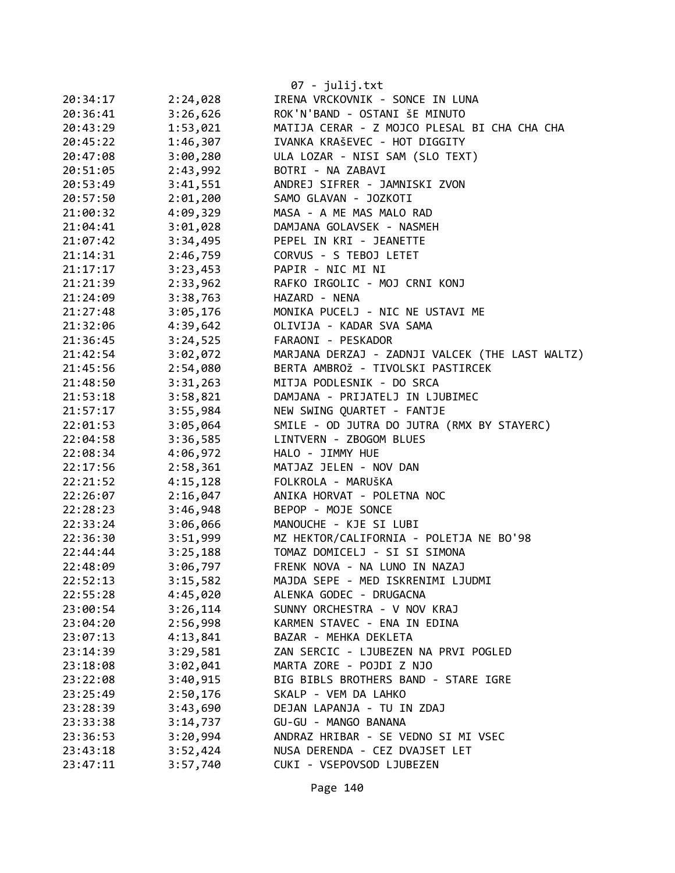|          |          | $07 - julij.txt$                                |
|----------|----------|-------------------------------------------------|
| 20:34:17 | 2:24,028 | IRENA VRCKOVNIK - SONCE IN LUNA                 |
| 20:36:41 | 3:26,626 | ROK'N'BAND - OSTANI ŠE MINUTO                   |
| 20:43:29 | 1:53,021 | MATIJA CERAR - Z MOJCO PLESAL BI CHA CHA CHA    |
| 20:45:22 | 1:46,307 | IVANKA KRAŠEVEC - HOT DIGGITY                   |
| 20:47:08 | 3:00,280 | ULA LOZAR - NISI SAM (SLO TEXT)                 |
| 20:51:05 | 2:43,992 | BOTRI - NA ZABAVI                               |
| 20:53:49 | 3:41,551 | ANDREJ SIFRER - JAMNISKI ZVON                   |
| 20:57:50 | 2:01,200 | SAMO GLAVAN - JOZKOTI                           |
| 21:00:32 | 4:09,329 | MASA - A ME MAS MALO RAD                        |
| 21:04:41 | 3:01,028 | DAMJANA GOLAVSEK - NASMEH                       |
| 21:07:42 | 3:34,495 | PEPEL IN KRI - JEANETTE                         |
| 21:14:31 | 2:46,759 | CORVUS - S TEBOJ LETET                          |
| 21:17:17 | 3:23,453 | PAPIR - NIC MI NI                               |
| 21:21:39 | 2:33,962 | RAFKO IRGOLIC - MOJ CRNI KONJ                   |
| 21:24:09 | 3:38,763 | HAZARD - NENA                                   |
| 21:27:48 | 3:05,176 | MONIKA PUCELJ - NIC NE USTAVI ME                |
| 21:32:06 | 4:39,642 | OLIVIJA - KADAR SVA SAMA                        |
| 21:36:45 | 3:24,525 | FARAONI - PESKADOR                              |
| 21:42:54 | 3:02,072 | MARJANA DERZAJ - ZADNJI VALCEK (THE LAST WALTZ) |
| 21:45:56 | 2:54,080 | BERTA AMBROŽ - TIVOLSKI PASTIRCEK               |
| 21:48:50 | 3:31,263 | MITJA PODLESNIK - DO SRCA                       |
| 21:53:18 | 3:58,821 | DAMJANA - PRIJATELJ IN LJUBIMEC                 |
| 21:57:17 | 3:55,984 | NEW SWING QUARTET - FANTJE                      |
| 22:01:53 | 3:05,064 | SMILE - OD JUTRA DO JUTRA (RMX BY STAYERC)      |
| 22:04:58 | 3:36,585 | LINTVERN - ZBOGOM BLUES                         |
| 22:08:34 | 4:06,972 | HALO - JIMMY HUE                                |
| 22:17:56 | 2:58,361 | MATJAZ JELEN - NOV DAN                          |
| 22:21:52 | 4:15,128 | FOLKROLA - MARUŠKA                              |
| 22:26:07 | 2:16,047 | ANIKA HORVAT - POLETNA NOC                      |
| 22:28:23 | 3:46,948 | BEPOP - MOJE SONCE                              |
| 22:33:24 | 3:06,066 | MANOUCHE - KJE SI LUBI                          |
| 22:36:30 | 3:51,999 | MZ HEKTOR/CALIFORNIA - POLETJA NE BO'98         |
| 22:44:44 | 3:25,188 | TOMAZ DOMICELJ - SI SI SIMONA                   |
| 22:48:09 | 3:06,797 | FRENK NOVA - NA LUNO IN NAZAJ                   |
| 22:52:13 | 3:15,582 | MAJDA SEPE - MED ISKRENIMI LJUDMI               |
| 22:55:28 | 4:45,020 | ALENKA GODEC - DRUGACNA                         |
| 23:00:54 | 3:26,114 | SUNNY ORCHESTRA - V NOV KRAJ                    |
| 23:04:20 | 2:56,998 | KARMEN STAVEC - ENA IN EDINA                    |
| 23:07:13 | 4:13,841 | BAZAR - MEHKA DEKLETA                           |
| 23:14:39 | 3:29,581 | ZAN SERCIC - LJUBEZEN NA PRVI POGLED            |
| 23:18:08 | 3:02,041 | MARTA ZORE - POJDI Z NJO                        |
| 23:22:08 | 3:40,915 | BIG BIBLS BROTHERS BAND - STARE IGRE            |
| 23:25:49 | 2:50,176 | SKALP - VEM DA LAHKO                            |
| 23:28:39 | 3:43,690 | DEJAN LAPANJA - TU IN ZDAJ                      |
| 23:33:38 | 3:14,737 | GU-GU - MANGO BANANA                            |
| 23:36:53 | 3:20,994 | ANDRAZ HRIBAR - SE VEDNO SI MI VSEC             |
| 23:43:18 | 3:52,424 | NUSA DERENDA - CEZ DVAJSET LET                  |
| 23:47:11 | 3:57,740 | CUKI - VSEPOVSOD LJUBEZEN                       |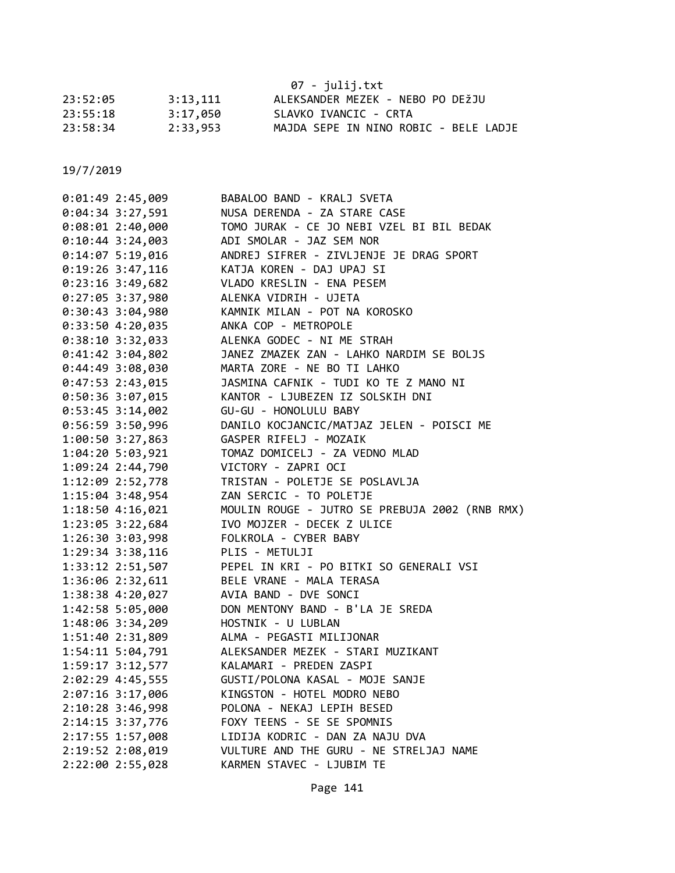|          |          | 07 - julij.txt                        |
|----------|----------|---------------------------------------|
| 23:52:05 | 3:13,111 | ALEKSANDER MEZEK - NEBO PO DEŽJU      |
| 23:55:18 | 3:17,050 | SLAVKO IVANCIC - CRTA                 |
| 23:58:34 | 2:33.953 | MAJDA SEPE IN NINO ROBIC - BELE LADJE |

| $0:01:49$ 2:45,009                   | BABALOO BAND - KRALJ SVETA                                           |
|--------------------------------------|----------------------------------------------------------------------|
| $0:04:34$ 3:27,591                   | NUSA DERENDA - ZA STARE CASE                                         |
| $0:08:01$ 2:40,000                   | TOMO JURAK - CE JO NEBI VZEL BI BIL BEDAK                            |
| $0:10:44$ 3:24,003                   | ADI SMOLAR - JAZ SEM NOR                                             |
| 0:14:075:19,016                      | ANDREJ SIFRER - ZIVLJENJE JE DRAG SPORT                              |
| 0:19:26 3:47,116                     | KATJA KOREN - DAJ UPAJ SI                                            |
| $0:23:16$ 3:49,682                   | VLADO KRESLIN - ENA PESEM                                            |
| 0:27:05 3:37,980                     | ALENKA VIDRIH - UJETA                                                |
| 0:30:43 3:04,980                     | KAMNIK MILAN - POT NA KOROSKO                                        |
| 0:33:50 4:20,035                     | ANKA COP - METROPOLE                                                 |
| $0:38:10$ 3:32,033                   | ALENKA GODEC - NI ME STRAH                                           |
| $0:41:42$ 3:04,802                   | JANEZ ZMAZEK ZAN - LAHKO NARDIM SE BOLJS                             |
| 0:44:49 3:08,030                     | MARTA ZORE - NE BO TI LAHKO                                          |
| $0:47:53$ 2:43,015                   | JASMINA CAFNIK - TUDI KO TE Z MANO NI                                |
| $0:50:36$ 3:07,015                   | KANTOR - LJUBEZEN IZ SOLSKIH DNI                                     |
| 0:53:45 3:14,002                     | GU-GU - HONOLULU BABY                                                |
| $0:56:59$ 3:50,996                   | DANILO KOCJANCIC/MATJAZ JELEN - POISCI ME                            |
| 1:00:50 3:27,863                     | GASPER RIFELJ - MOZAIK                                               |
| 1:04:20 5:03,921                     | TOMAZ DOMICELJ - ZA VEDNO MLAD                                       |
| 1:09:24 2:44,790                     | VICTORY - ZAPRI OCI                                                  |
| 1:12:09 2:52,778                     | TRISTAN - POLETJE SE POSLAVLJA                                       |
| 1:15:04 3:48,954                     | ZAN SERCIC - TO POLETJE                                              |
| 1:18:50 4:16,021                     | MOULIN ROUGE - JUTRO SE PREBUJA 2002 (RNB RMX)                       |
| 1:23:05 3:22,684                     | IVO MOJZER - DECEK Z ULICE                                           |
| 1:26:30 3:03,998                     | FOLKROLA - CYBER BABY                                                |
| 1:29:34 3:38,116                     | PLIS - METULJI                                                       |
| 1:33:12 2:51,507                     | PEPEL IN KRI - PO BITKI SO GENERALI VSI                              |
| 1:36:06 2:32,611                     | BELE VRANE - MALA TERASA                                             |
| 1:38:38 4:20,027                     | AVIA BAND - DVE SONCI                                                |
| 1:42:58 5:05,000                     | DON MENTONY BAND - B'LA JE SREDA                                     |
| 1:48:06 3:34,209                     | HOSTNIK - U LUBLAN                                                   |
| 1:51:40 2:31,809                     | ALMA - PEGASTI MILIJONAR                                             |
| 1:54:11 5:04,791                     | ALEKSANDER MEZEK - STARI MUZIKANT                                    |
| 1:59:17 3:12,577                     | KALAMARI - PREDEN ZASPI                                              |
| 2:02:29 4:45,555                     | GUSTI/POLONA KASAL - MOJE SANJE                                      |
| 2:07:16 3:17,006                     | KINGSTON - HOTEL MODRO NEBO                                          |
| 2:10:28 3:46,998                     | POLONA - NEKAJ LEPIH BESED                                           |
| 2:14:15 3:37,776                     | FOXY TEENS - SE SE SPOMNIS                                           |
| 2:17:55 1:57,008                     |                                                                      |
|                                      | LIDIJA KODRIC - DAN ZA NAJU DVA                                      |
| 2:19:52 2:08,019<br>2:22:00 2:55,028 | VULTURE AND THE GURU - NE STRELJAJ NAME<br>KARMEN STAVEC - LJUBIM TE |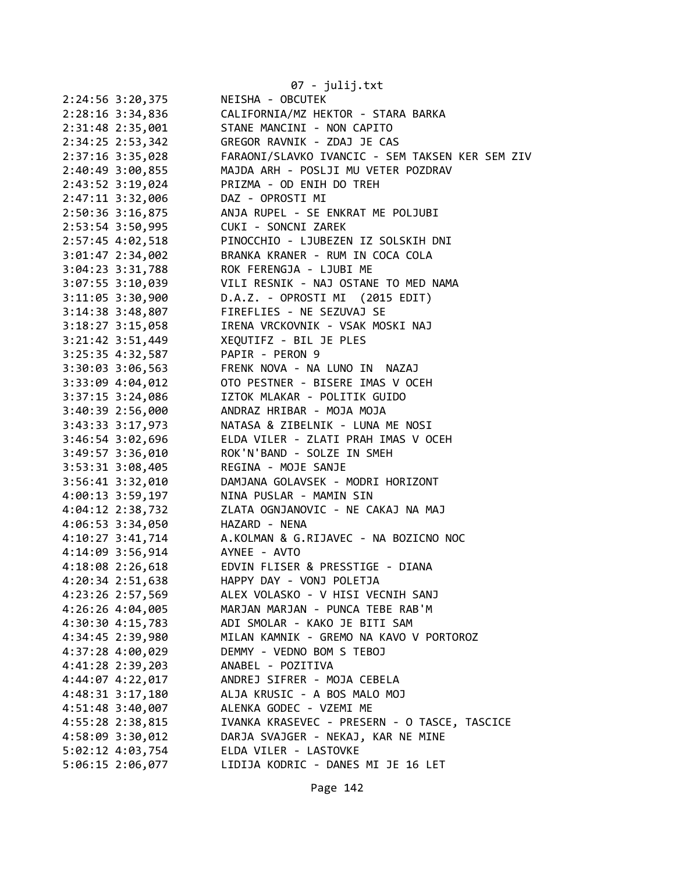|                      | 07 - julij.txt                                         |
|----------------------|--------------------------------------------------------|
| 2:24:56 3:20,375     | NEISHA - OBCUTEK                                       |
| $2:28:16$ 3:34,836   | CALIFORNIA/MZ HEKTOR - STARA BARKA                     |
| $2:31:48$ $2:35,001$ | STANE MANCINI - NON CAPITO                             |
| $2:34:25$ $2:53,342$ | GREGOR RAVNIK - ZDAJ JE CAS                            |
| 2:37:16 3:35,028     | FARAONI/SLAVKO IVANCIC - SEM TAKSEN KER SEM ZIV        |
| 2:40:49 3:00,855     | MAJDA ARH - POSLJI MU VETER POZDRAV                    |
| 2:43:52 3:19,024     | PRIZMA - OD ENIH DO TREH                               |
| $2:47:11$ $3:32,006$ | DAZ - OPROSTI MI                                       |
| $2:50:36$ 3:16,875   | ANJA RUPEL - SE ENKRAT ME POLJUBI                      |
| 2:53:54 3:50,995     | CUKI - SONCNI ZAREK                                    |
| 2:57:45 4:02,518     | PINOCCHIO - LJUBEZEN IZ SOLSKIH DNI                    |
| $3:01:47$ $2:34,002$ | BRANKA KRANER - RUM IN COCA COLA                       |
| $3:04:23$ $3:31,788$ | ROK FERENGJA - LJUBI ME                                |
| $3:07:55$ $3:10,039$ | VILI RESNIK - NAJ OSTANE TO MED NAMA                   |
| $3:11:05$ 3:30,900   | D.A.Z. - OPROSTI MI (2015 EDIT)                        |
| $3:14:38$ $3:48,807$ | FIREFLIES - NE SEZUVAJ SE                              |
| $3:18:27$ $3:15,058$ | IRENA VRCKOVNIK - VSAK MOSKI NAJ                       |
| $3:21:42$ $3:51,449$ | XEQUTIFZ - BIL JE PLES                                 |
| $3:25:35$ 4:32,587   | PAPIR - PERON 9                                        |
| $3:30:03$ $3:06,563$ | FRENK NOVA - NA LUNO IN NAZAJ                          |
| 3:33:09 4:04,012     | OTO PESTNER - BISERE IMAS V OCEH                       |
| $3:37:15$ $3:24,086$ | IZTOK MLAKAR - POLITIK GUIDO                           |
| 3:40:39 2:56,000     | ANDRAZ HRIBAR - MOJA MOJA                              |
| 3:43:33 3:17,973     | NATASA & ZIBELNIK - LUNA ME NOSI                       |
| 3:46:54 3:02,696     | ELDA VILER - ZLATI PRAH IMAS V OCEH                    |
| 3:49:57 3:36,010     | ROK'N'BAND - SOLZE IN SMEH                             |
| $3:53:31$ $3:08,405$ | REGINA - MOJE SANJE                                    |
| $3:56:41$ $3:32,010$ | DAMJANA GOLAVSEK - MODRI HORIZONT                      |
| 4:00:13 3:59,197     | NINA PUSLAR - MAMIN SIN                                |
| $4:04:12$ $2:38,732$ | ZLATA OGNJANOVIC - NE CAKAJ NA MAJ                     |
| 4:06:53 3:34,050     | HAZARD - NENA                                          |
|                      | 4:10:27 3:41,714 A.KOLMAN & G.RIJAVEC - NA BOZICNO NOC |
| 4:14:09 3:56,914     | AYNEE - AVTO                                           |
| 4:18:08 2:26,618     | EDVIN FLISER & PRESSTIGE - DIANA                       |
| 4:20:34 2:51,638     | HAPPY DAY - VONJ POLETJA                               |
| 4:23:26 2:57,569     | ALEX VOLASKO - V HISI VECNIH SANJ                      |
| 4:26:26 4:04,005     | MARJAN MARJAN - PUNCA TEBE RAB'M                       |
| 4:30:30 4:15,783     | ADI SMOLAR - KAKO JE BITI SAM                          |
| 4:34:45 2:39,980     | MILAN KAMNIK - GREMO NA KAVO V PORTOROZ                |
| 4:37:28 4:00,029     | DEMMY - VEDNO BOM S TEBOJ                              |
| 4:41:28 2:39,203     | ANABEL - POZITIVA                                      |
| 4:44:07 4:22,017     | ANDREJ SIFRER - MOJA CEBELA                            |
| 4:48:31 3:17,180     | ALJA KRUSIC - A BOS MALO MOJ                           |
| 4:51:48 3:40,007     | ALENKA GODEC - VZEMI ME                                |
| 4:55:28 2:38,815     | IVANKA KRASEVEC - PRESERN - O TASCE, TASCICE           |
| 4:58:09 3:30,012     | DARJA SVAJGER - NEKAJ, KAR NE MINE                     |
| 5:02:12 4:03,754     | ELDA VILER - LASTOVKE                                  |
| 5:06:15 2:06,077     | LIDIJA KODRIC - DANES MI JE 16 LET                     |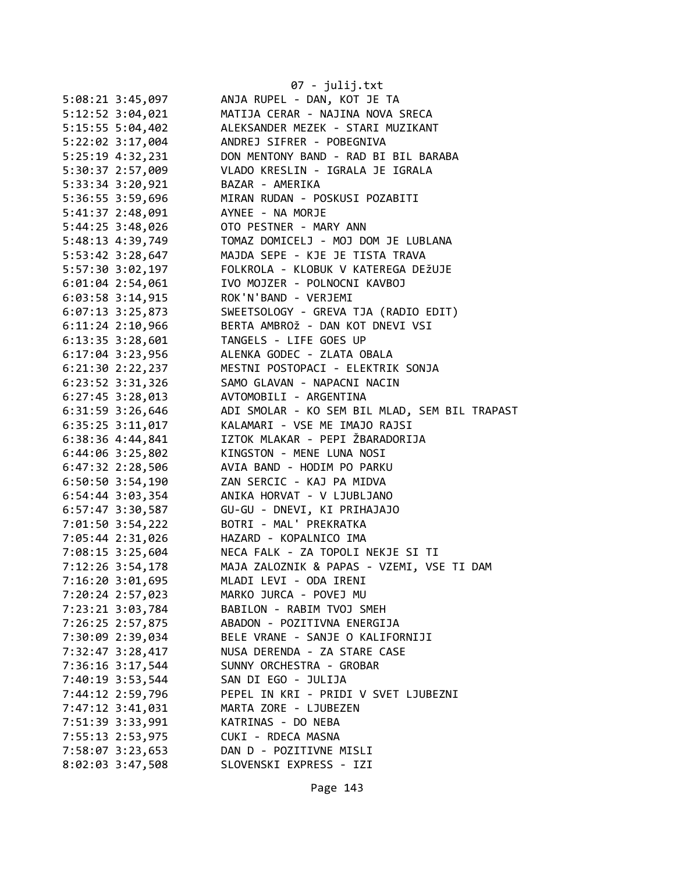|                                      | 07 - julij.txt                                           |
|--------------------------------------|----------------------------------------------------------|
| 5:08:21 3:45,097                     | ANJA RUPEL - DAN, KOT JE TA                              |
| 5:12:52 3:04,021                     | MATIJA CERAR - NAJINA NOVA SRECA                         |
| 5:15:55 5:04,402                     | ALEKSANDER MEZEK - STARI MUZIKANT                        |
| 5:22:02 3:17,004                     | ANDREJ SIFRER - POBEGNIVA                                |
| 5:25:19 4:32,231                     | DON MENTONY BAND - RAD BI BIL BARABA                     |
| 5:30:37 2:57,009                     | VLADO KRESLIN - IGRALA JE IGRALA                         |
| 5:33:34 3:20,921                     | BAZAR - AMERIKA                                          |
| 5:36:55 3:59,696                     | MIRAN RUDAN - POSKUSI POZABITI                           |
| 5:41:37 2:48,091                     | AYNEE - NA MORJE                                         |
| 5:44:25 3:48,026                     | OTO PESTNER - MARY ANN                                   |
| 5:48:13 4:39,749                     | TOMAZ DOMICELJ - MOJ DOM JE LUBLANA                      |
| 5:53:42 3:28,647                     | MAJDA SEPE - KJE JE TISTA TRAVA                          |
| 5:57:30 3:02,197                     | FOLKROLA - KLOBUK V KATEREGA DEŽUJE                      |
| $6:01:04$ 2:54,061                   | IVO MOJZER - POLNOCNI KAVBOJ                             |
| $6:03:58$ 3:14,915                   | ROK'N'BAND - VERJEMI                                     |
| 6:07:13 3:25,873                     | SWEETSOLOGY - GREVA TJA (RADIO EDIT)                     |
| $6:11:24$ 2:10,966                   | BERTA AMBROŽ - DAN KOT DNEVI VSI                         |
| $6:13:35$ $3:28,601$                 | TANGELS - LIFE GOES UP                                   |
| $6:17:04$ 3:23,956                   | ALENKA GODEC - ZLATA OBALA                               |
| 6:21:30 2:22,237                     | MESTNI POSTOPACI - ELEKTRIK SONJA                        |
| 6:23:52 3:31,326                     | SAMO GLAVAN - NAPACNI NACIN                              |
| $6:27:45$ 3:28,013                   | AVTOMOBILI - ARGENTINA                                   |
| 6:31:59 3:26,646                     | ADI SMOLAR - KO SEM BIL MLAD, SEM BIL TRAPAST            |
| $6:35:25$ $3:11,017$                 | KALAMARI - VSE ME IMAJO RAJSI                            |
| 6:38:36 4:44,841                     | IZTOK MLAKAR - PEPI ŽBARADORIJA                          |
| 6:44:06 3:25,802                     | KINGSTON - MENE LUNA NOSI                                |
| 6:47:32 2:28,506                     | AVIA BAND - HODIM PO PARKU                               |
| $6:50:50$ 3:54,190                   | ZAN SERCIC - KAJ PA MIDVA                                |
| 6:54:44 3:03,354                     | ANIKA HORVAT - V LJUBLJANO                               |
| 6:57:47 3:30,587                     | GU-GU - DNEVI, KI PRIHAJAJO                              |
| 7:01:50 3:54,222                     | BOTRI - MAL' PREKRATKA                                   |
| 7:05:44 2:31,026                     | HAZARD - KOPALNICO IMA                                   |
| 7:08:15 3:25,604                     | NECA FALK - ZA TOPOLI NEKJE SI TI                        |
| 7:12:26 3:54,178                     | MAJA ZALOZNIK & PAPAS - VZEMI, VSE TI DAM                |
| 7:16:20 3:01,695                     | MLADI LEVI - ODA IRENI                                   |
| 7:20:24 2:57,023                     | MARKO JURCA - POVEJ MU                                   |
| 7:23:21 3:03,784                     | BABILON - RABIM TVOJ SMEH<br>ABADON - POZITIVNA ENERGIJA |
| 7:26:25 2:57,875                     |                                                          |
| 7:30:09 2:39,034                     | BELE VRANE - SANJE O KALIFORNIJI                         |
| 7:32:47 3:28,417<br>7:36:16 3:17,544 | NUSA DERENDA - ZA STARE CASE<br>SUNNY ORCHESTRA - GROBAR |
| 7:40:19 3:53,544                     | SAN DI EGO - JULIJA                                      |
| 7:44:12 2:59,796                     | PEPEL IN KRI - PRIDI V SVET LJUBEZNI                     |
| 7:47:12 3:41,031                     | MARTA ZORE - LJUBEZEN                                    |
| 7:51:39 3:33,991                     | KATRINAS - DO NEBA                                       |
| 7:55:13 2:53,975                     | CUKI - RDECA MASNA                                       |
| 7:58:07 3:23,653                     | DAN D - POZITIVNE MISLI                                  |
| 8:02:03 3:47,508                     | SLOVENSKI EXPRESS - IZI                                  |
|                                      |                                                          |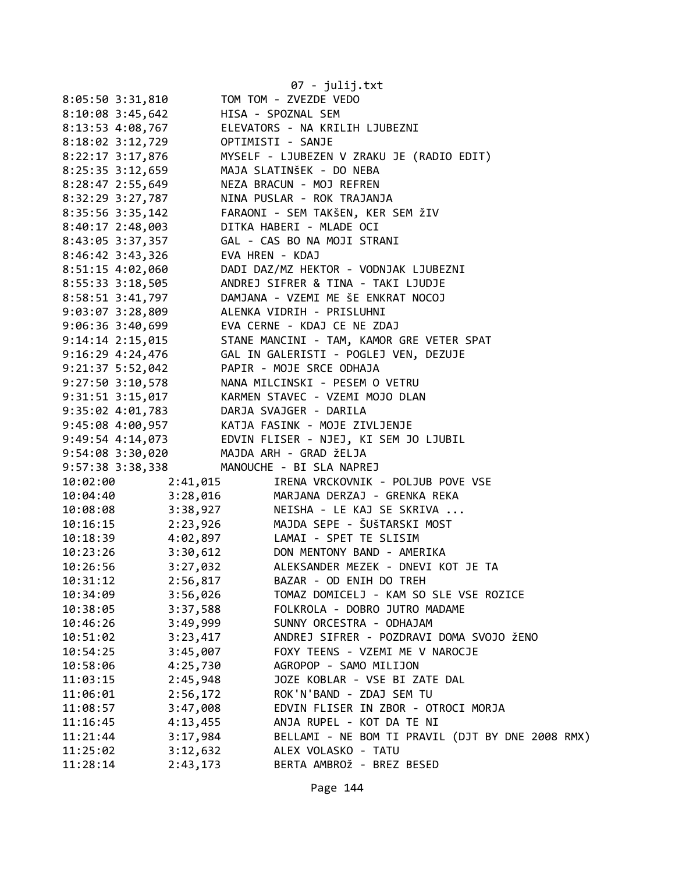|                                         |                      | 07 - julij.txt                                                                                                                                                                                                                                                       |
|-----------------------------------------|----------------------|----------------------------------------------------------------------------------------------------------------------------------------------------------------------------------------------------------------------------------------------------------------------|
| 8:05:50 3:31,810                        |                      | TOM TOM - ZVEZDE VEDO                                                                                                                                                                                                                                                |
| 8:10:08 3:45,642 HISA - SPOZNAL SEM     |                      |                                                                                                                                                                                                                                                                      |
|                                         |                      | 8:13:53 4:08,767 ELEVATORS - NA KRILIH LJUBEZNI                                                                                                                                                                                                                      |
|                                         |                      |                                                                                                                                                                                                                                                                      |
|                                         |                      | 8:22:17 3:17,876 MYSELF - LJUBEZEN V ZRAKU JE (RADIO EDIT)                                                                                                                                                                                                           |
|                                         |                      | 8:25:35 3:12,659 MAJA SLATINŠEK - DO NEBA                                                                                                                                                                                                                            |
|                                         |                      | 8:28:47 2:55,649 NEZA BRACUN - MOJ REFREN                                                                                                                                                                                                                            |
|                                         |                      | 8:32:29 3:27,787 NINA PUSLAR - ROK TRAJANJA                                                                                                                                                                                                                          |
| $8:35:56$ 3:35,142                      |                      | FARAONI - SEM TAKŠEN, KER SEM ŽIV                                                                                                                                                                                                                                    |
| 8:40:17 2:48,003                        |                      | DITKA HABERI - MLADE OCI                                                                                                                                                                                                                                             |
|                                         |                      | 8:43:05 3:37,357 GAL - CAS BO NA MOJI STRANI                                                                                                                                                                                                                         |
| 8:46:42 3:43,326 EVA HREN - KDAJ        |                      |                                                                                                                                                                                                                                                                      |
|                                         |                      | 8:51:15 4:02,060 DADI DAZ/MZ HEKTOR - VODNJAK LJUBEZNI                                                                                                                                                                                                               |
|                                         |                      | 8:55:33 3:18,505 ANDREJ SIFRER & TINA - TAKI LJUDJE                                                                                                                                                                                                                  |
|                                         |                      | 8:58:51 3:41,797 DAMJANA - VZEMI ME ŠE ENKRAT NOCOJ                                                                                                                                                                                                                  |
|                                         |                      |                                                                                                                                                                                                                                                                      |
|                                         |                      | 9:03:07 3:28,809<br>9:06:36 3:40,699 EVA CERNE - KDAJ CE NE ZDAJ<br>9:14:14 2:15,015 STANE MANCINI - TAM, KAMOR GRE VETER SPAT<br>9:14:14 2:15,015 STANE MANCINI - TAM, KAMOR GRE VETER SPAT                                                                         |
|                                         |                      |                                                                                                                                                                                                                                                                      |
|                                         |                      | 9:16:29 4:24,476    GAL IN GALERISTI - POGLEJ VEN, DEZUJE                                                                                                                                                                                                            |
|                                         |                      | 9:21:37 5:52,042 PAPIR - MOJE SRCE ODHAJA                                                                                                                                                                                                                            |
|                                         |                      | 9:27:50 3:10,578 NANA MILCINSKI - PESEM O VETRU                                                                                                                                                                                                                      |
|                                         |                      | 9:31:51 3:15,017 KARMEN STAVEC - VZEMI MOJO DLAN                                                                                                                                                                                                                     |
|                                         |                      | 9:35:02 4:01,783<br>9:45:08 4:00,957<br>9:49:54 4:14,073<br>2:49:54 4:14,073<br>2:49:54 4:14,073<br>2:49:54<br>2:49:54<br>2:49:54<br>2:49:54<br>2:49:54<br>2:49:54<br>2:49:54<br>2:49:54<br>2:49:54<br>2:49:20<br>2:49:54<br>2:49:20<br>2:49:54<br>2:49:20<br>2:49:5 |
|                                         |                      |                                                                                                                                                                                                                                                                      |
|                                         |                      |                                                                                                                                                                                                                                                                      |
| 9:54:08 3:30,020 MAJDA ARH - GRAD ŽELJA |                      |                                                                                                                                                                                                                                                                      |
| 9:57:38 3:38,338                        |                      | MANOUCHE - BI SLA NAPREJ                                                                                                                                                                                                                                             |
| 10:02:00                                | 2:41,015             | IRENA VRCKOVNIK - POLJUB POVE VSE                                                                                                                                                                                                                                    |
| 10:04:40                                | 3:28,016             | MARJANA DERZAJ - GRENKA REKA                                                                                                                                                                                                                                         |
| 10:08:08 3:38,927                       |                      | NEISHA - LE KAJ SE SKRIVA                                                                                                                                                                                                                                            |
|                                         |                      | 10:16:15 2:23,926 MAJDA SEPE - ŠUŠTARSKI<br>10:18:39 4:02,897 LAMAI - SPET TE SLISIM<br>MAJDA SEPE - ŠUŠTARSKI MOST                                                                                                                                                  |
|                                         |                      |                                                                                                                                                                                                                                                                      |
| 10:23:26 3:30,612                       |                      | DON MENTONY BAND - AMERIKA                                                                                                                                                                                                                                           |
| 10:26:56                                | 3:27,032             | ALEKSANDER MEZEK - DNEVI KOT JE TA                                                                                                                                                                                                                                   |
| 10:31:12                                | 2:56,817             | BAZAR - OD ENIH DO TREH                                                                                                                                                                                                                                              |
| 10:34:09                                | 3:56,026             | TOMAZ DOMICELJ - KAM SO SLE VSE ROZICE                                                                                                                                                                                                                               |
| 10:38:05                                | 3:37,588             | FOLKROLA - DOBRO JUTRO MADAME                                                                                                                                                                                                                                        |
| 10:46:26                                | 3:49,999             | SUNNY ORCESTRA - ODHAJAM                                                                                                                                                                                                                                             |
| 10:51:02                                | 3:23,417             | ANDREJ SIFRER - POZDRAVI DOMA SVOJO ŽENO                                                                                                                                                                                                                             |
| 10:54:25                                | 3:45,007<br>4:25,730 | FOXY TEENS - VZEMI ME V NAROCJE                                                                                                                                                                                                                                      |
| 10:58:06                                |                      | AGROPOP - SAMO MILIJON<br>JOZE KOBLAR - VSE BI ZATE DAL                                                                                                                                                                                                              |
| 11:03:15                                | 2:45,948<br>2:56,172 | ROK'N'BAND - ZDAJ SEM TU                                                                                                                                                                                                                                             |
| 11:06:01<br>11:08:57                    | 3:47,008             | EDVIN FLISER IN ZBOR - OTROCI MORJA                                                                                                                                                                                                                                  |
| 11:16:45                                | 4:13,455             | ANJA RUPEL - KOT DA TE NI                                                                                                                                                                                                                                            |
| 11:21:44                                | 3:17,984             | BELLAMI - NE BOM TI PRAVIL (DJT BY DNE 2008 RMX)                                                                                                                                                                                                                     |
| 11:25:02                                | 3:12,632             | ALEX VOLASKO - TATU                                                                                                                                                                                                                                                  |
| 11:28:14                                | 2:43,173             | BERTA AMBROŽ - BREZ BESED                                                                                                                                                                                                                                            |
|                                         |                      |                                                                                                                                                                                                                                                                      |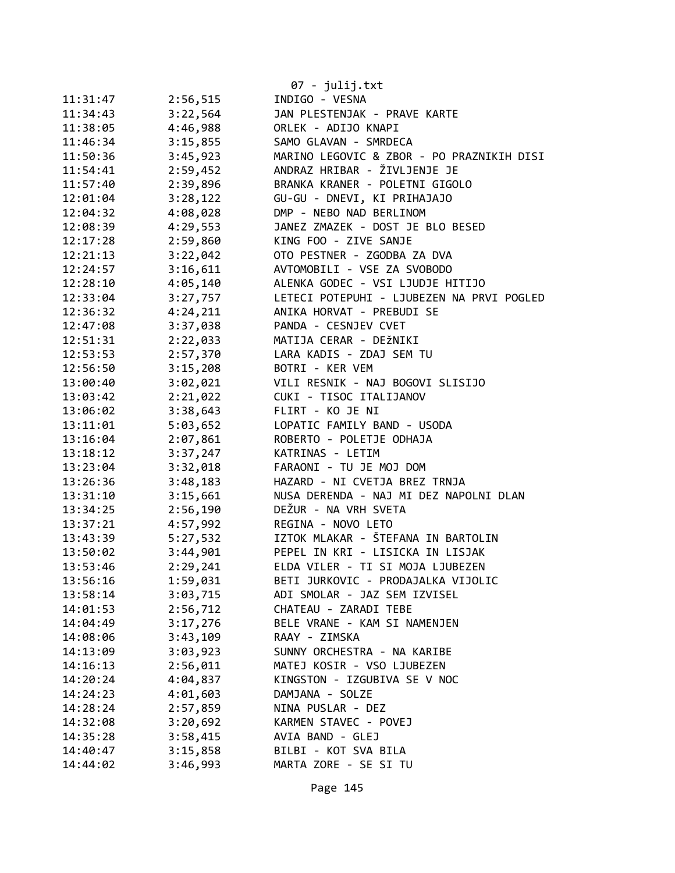|          |          | 07 - julij.txt                            |
|----------|----------|-------------------------------------------|
| 11:31:47 | 2:56,515 | INDIGO - VESNA                            |
| 11:34:43 | 3:22,564 | JAN PLESTENJAK - PRAVE KARTE              |
| 11:38:05 | 4:46,988 | ORLEK - ADIJO KNAPI                       |
| 11:46:34 | 3:15,855 | SAMO GLAVAN - SMRDECA                     |
| 11:50:36 | 3:45,923 | MARINO LEGOVIC & ZBOR - PO PRAZNIKIH DISI |
| 11:54:41 | 2:59,452 | ANDRAZ HRIBAR - ŽIVLJENJE JE              |
| 11:57:40 | 2:39,896 | BRANKA KRANER - POLETNI GIGOLO            |
| 12:01:04 | 3:28,122 | GU-GU - DNEVI, KI PRIHAJAJO               |
| 12:04:32 | 4:08,028 | DMP - NEBO NAD BERLINOM                   |
| 12:08:39 | 4:29,553 | JANEZ ZMAZEK - DOST JE BLO BESED          |
| 12:17:28 | 2:59,860 | KING FOO - ZIVE SANJE                     |
| 12:21:13 | 3:22,042 | OTO PESTNER - ZGODBA ZA DVA               |
| 12:24:57 | 3:16,611 | AVTOMOBILI - VSE ZA SVOBODO               |
| 12:28:10 | 4:05,140 | ALENKA GODEC - VSI LJUDJE HITIJO          |
| 12:33:04 | 3:27,757 | LETECI POTEPUHI - LJUBEZEN NA PRVI POGLED |
| 12:36:32 | 4:24,211 | ANIKA HORVAT - PREBUDI SE                 |
| 12:47:08 | 3:37,038 | PANDA - CESNJEV CVET                      |
| 12:51:31 | 2:22,033 | MATIJA CERAR - DEŽNIKI                    |
| 12:53:53 | 2:57,370 | LARA KADIS - ZDAJ SEM TU                  |
| 12:56:50 | 3:15,208 | BOTRI - KER VEM                           |
| 13:00:40 | 3:02,021 | VILI RESNIK - NAJ BOGOVI SLISIJO          |
| 13:03:42 | 2:21,022 | CUKI - TISOC ITALIJANOV                   |
| 13:06:02 | 3:38,643 | FLIRT - KO JE NI                          |
| 13:11:01 | 5:03,652 | LOPATIC FAMILY BAND - USODA               |
| 13:16:04 | 2:07,861 | ROBERTO - POLETJE ODHAJA                  |
| 13:18:12 | 3:37,247 | KATRINAS - LETIM                          |
| 13:23:04 | 3:32,018 | FARAONI - TU JE MOJ DOM                   |
| 13:26:36 | 3:48,183 | HAZARD - NI CVETJA BREZ TRNJA             |
| 13:31:10 | 3:15,661 | NUSA DERENDA - NAJ MI DEZ NAPOLNI DLAN    |
| 13:34:25 | 2:56,190 | DEŽUR - NA VRH SVETA                      |
| 13:37:21 | 4:57,992 | REGINA - NOVO LETO                        |
| 13:43:39 | 5:27,532 | IZTOK MLAKAR - ŠTEFANA IN BARTOLIN        |
| 13:50:02 | 3:44,901 | PEPEL IN KRI - LISICKA IN LISJAK          |
| 13:53:46 | 2:29,241 | ELDA VILER - TI SI MOJA LJUBEZEN          |
| 13:56:16 | 1:59,031 | BETI JURKOVIC - PRODAJALKA VIJOLIC        |
| 13:58:14 | 3:03,715 | ADI SMOLAR - JAZ SEM IZVISEL              |
| 14:01:53 | 2:56,712 | CHATEAU - ZARADI TEBE                     |
| 14:04:49 | 3:17,276 | BELE VRANE - KAM SI NAMENJEN              |
| 14:08:06 | 3:43,109 | RAAY - ZIMSKA                             |
| 14:13:09 | 3:03,923 | SUNNY ORCHESTRA - NA KARIBE               |
| 14:16:13 | 2:56,011 | MATEJ KOSIR - VSO LJUBEZEN                |
| 14:20:24 | 4:04,837 | KINGSTON - IZGUBIVA SE V NOC              |
| 14:24:23 | 4:01,603 | DAMJANA - SOLZE                           |
| 14:28:24 | 2:57,859 | NINA PUSLAR - DEZ                         |
| 14:32:08 | 3:20,692 | KARMEN STAVEC - POVEJ                     |
| 14:35:28 | 3:58,415 | AVIA BAND - GLEJ                          |
| 14:40:47 | 3:15,858 | BILBI - KOT SVA BILA                      |
| 14:44:02 | 3:46,993 | MARTA ZORE - SE SI TU                     |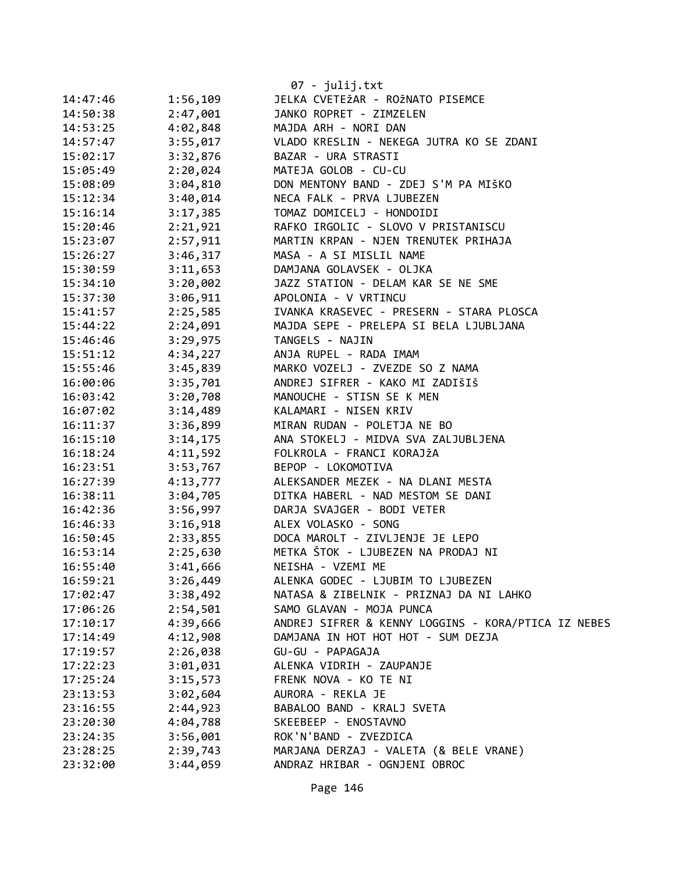|          |          | $07 - julij.txt$                                    |
|----------|----------|-----------------------------------------------------|
| 14:47:46 | 1:56,109 | JELKA CVETEŽAR - ROŽNATO PISEMCE                    |
| 14:50:38 | 2:47,001 | JANKO ROPRET - ZIMZELEN                             |
| 14:53:25 | 4:02,848 | MAJDA ARH - NORI DAN                                |
| 14:57:47 | 3:55,017 | VLADO KRESLIN - NEKEGA JUTRA KO SE ZDANI            |
| 15:02:17 | 3:32,876 | BAZAR - URA STRASTI                                 |
| 15:05:49 | 2:20,024 | MATEJA GOLOB - CU-CU                                |
| 15:08:09 | 3:04,810 | DON MENTONY BAND - ZDEJ S'M PA MIŠKO                |
| 15:12:34 | 3:40,014 | NECA FALK - PRVA LJUBEZEN                           |
| 15:16:14 | 3:17,385 | TOMAZ DOMICELJ - HONDOIDI                           |
| 15:20:46 | 2:21,921 | RAFKO IRGOLIC - SLOVO V PRISTANISCU                 |
| 15:23:07 | 2:57,911 | MARTIN KRPAN - NJEN TRENUTEK PRIHAJA                |
| 15:26:27 | 3:46,317 | MASA - A SI MISLIL NAME                             |
| 15:30:59 | 3:11,653 | DAMJANA GOLAVSEK - OLJKA                            |
| 15:34:10 | 3:20,002 | JAZZ STATION - DELAM KAR SE NE SME                  |
| 15:37:30 | 3:06,911 | APOLONIA - V VRTINCU                                |
| 15:41:57 | 2:25,585 | IVANKA KRASEVEC - PRESERN - STARA PLOSCA            |
| 15:44:22 | 2:24,091 | MAJDA SEPE - PRELEPA SI BELA LJUBLJANA              |
| 15:46:46 | 3:29,975 | TANGELS - NAJIN                                     |
| 15:51:12 | 4:34,227 | ANJA RUPEL - RADA IMAM                              |
| 15:55:46 | 3:45,839 | MARKO VOZELJ - ZVEZDE SO Z NAMA                     |
| 16:00:06 | 3:35,701 | ANDREJ SIFRER - KAKO MI ZADIŠIŠ                     |
| 16:03:42 | 3:20,708 | MANOUCHE - STISN SE K MEN                           |
| 16:07:02 | 3:14,489 | KALAMARI - NISEN KRIV                               |
| 16:11:37 | 3:36,899 | MIRAN RUDAN - POLETJA NE BO                         |
| 16:15:10 | 3:14,175 | ANA STOKELJ - MIDVA SVA ZALJUBLJENA                 |
| 16:18:24 | 4:11,592 | FOLKROLA - FRANCI KORAJŽA                           |
| 16:23:51 | 3:53,767 | BEPOP - LOKOMOTIVA                                  |
| 16:27:39 | 4:13,777 | ALEKSANDER MEZEK - NA DLANI MESTA                   |
| 16:38:11 | 3:04,705 | DITKA HABERL - NAD MESTOM SE DANI                   |
| 16:42:36 | 3:56,997 | DARJA SVAJGER - BODI VETER                          |
| 16:46:33 | 3:16,918 | ALEX VOLASKO - SONG                                 |
| 16:50:45 | 2:33,855 | DOCA MAROLT - ZIVLJENJE JE LEPO                     |
| 16:53:14 | 2:25,630 | METKA ŠTOK - LJUBEZEN NA PRODAJ NI                  |
| 16:55:40 | 3:41,666 | NEISHA - VZEMI ME                                   |
| 16:59:21 | 3:26,449 | ALENKA GODEC - LJUBIM TO LJUBEZEN                   |
| 17:02:47 | 3:38,492 | NATASA & ZIBELNIK - PRIZNAJ DA NI LAHKO             |
| 17:06:26 | 2:54,501 | SAMO GLAVAN - MOJA PUNCA                            |
| 17:10:17 | 4:39,666 | ANDREJ SIFRER & KENNY LOGGINS - KORA/PTICA IZ NEBES |
| 17:14:49 | 4:12,908 | DAMJANA IN HOT HOT HOT - SUM DEZJA                  |
| 17:19:57 | 2:26,038 | GU-GU - PAPAGAJA                                    |
| 17:22:23 | 3:01,031 | ALENKA VIDRIH - ZAUPANJE                            |
| 17:25:24 | 3:15,573 | FRENK NOVA - KO TE NI                               |
| 23:13:53 | 3:02,604 | AURORA - REKLA JE                                   |
| 23:16:55 | 2:44,923 | BABALOO BAND - KRALJ SVETA                          |
| 23:20:30 | 4:04,788 | SKEEBEEP - ENOSTAVNO                                |
| 23:24:35 | 3:56,001 | ROK'N'BAND - ZVEZDICA                               |
| 23:28:25 | 2:39,743 | MARJANA DERZAJ - VALETA (& BELE VRANE)              |
| 23:32:00 | 3:44,059 | ANDRAZ HRIBAR - OGNJENI OBROC                       |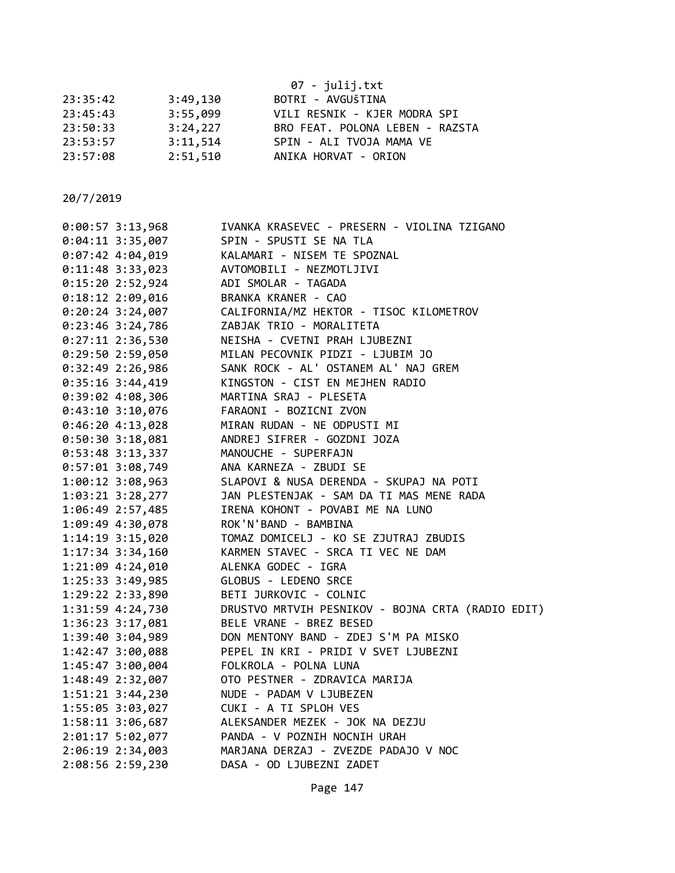|          |          | 07 - julij.txt                  |
|----------|----------|---------------------------------|
| 23:35:42 | 3:49,130 | BOTRI - AVGUŠTINA               |
| 23:45:43 | 3:55,099 | VILI RESNIK - KJER MODRA SPI    |
| 23:50:33 | 3:24,227 | BRO FEAT. POLONA LEBEN - RAZSTA |
| 23:53:57 | 3:11,514 | SPIN - ALI TVOJA MAMA VE        |
| 23:57:08 | 2:51,510 | ANIKA HORVAT - ORION            |

| SPIN - SPUSTI SE NA TLA<br>KALAMARI - NISEM TE SPOZNAL<br>AVTOMOBILI - NEZMOTLJIVI<br>ADI SMOLAR - TAGADA<br>BRANKA KRANER - CAO<br>CALIFORNIA/MZ HEKTOR - TISOC KILOMETROV<br>ZABJAK TRIO - MORALITETA<br>NEISHA - CVETNI PRAH LJUBEZNI<br>MILAN PECOVNIK PIDZI - LJUBIM JO<br>SANK ROCK - AL' OSTANEM AL' NAJ GREM<br>KINGSTON - CIST EN MEJHEN RADIO<br>KINGSTON - CIST EN MEJHEN R/<br>MARTINA SRAJ - PLESETA<br>FARAONI - BOZICNI ZVON<br>MIRAN RUDAN - NE ODPUSTI MI<br>ANDREJ SIFRER - GOZDNI JOZA<br>1:03:21 3:28,277 JAN PLESTENJAK - SAM DA TI MAS MENE RADA<br>IRENA KOHONT - POVABI ME NA LUNO<br>ROK'N'BAND - BAMBINA<br>רוביוביה<br>TOMAZ DOMICELJ - KO SE ZJUTRAJ ZBUDIS<br>KARMEN STAVEC - SRCA TI VEC NE DAM<br>ALENKA GODFC - זכף<br>ALENKA GODEC - IGRA<br>1:21:09 4:24,010<br>GLOBUS - LEDENO SRCE<br>BETI JURKOVIC - COLNIC<br>DRUSTVO MRTVIH PESNIKOV - BOJNA CRTA (RADIO EDIT)<br>BELE VRANE - BREZ BESED<br>1:39:40 3:04,989<br>DON MENTONY BAND - ZDEJ S'M PA MISKO<br>1:42:47 3:00,088<br>PEPEL IN KRI - PRIDI V SVET LJUBEZNI<br>FOLKROLA - POLNA LUNA<br>OTO PESTNER - ZDRAVICA MARIJA<br>NUDE - PADAM V LJUBEZEN<br>CUKI - A TI SPLOH VES<br>ALEKSANDER MEZEK - JOK NA DEZJU<br>MARJANA DERZAJ - ZVEZDE PADAJO V NOC | $0:04:11$ 3:35,007<br>$0:07:42$ 4:04,019<br>0:11:48 3:33,023<br>0:15:202:52,924<br>$0:18:12$ 2:09,016<br>$0:20:24$ 3:24,007<br>$0:23:46$ 3:24,786<br>$0:27:11$ 2:36,530<br>$0:29:50$ 2:59,050<br>$0:32:49$ 2:26,986<br>$0:35:16$ 3:44,419<br>$0:39:02$ 4:08,306<br>$0:43:10$ 3:10,076<br>0:46:204:13,028<br>0:50:30 3:18,081<br>0:53:48 3:13,337 MANOUCHE - SUPERFAJN<br>0:57:01 3:08,749 ANA KARNEZA - ZBUDI SE<br>1:00:12 3:08,963 SLAPOVI & NUSA DERENDA - SKUPAJ NA POTI<br>1:06:49 2:57,485<br>1:09:49 4:30,078<br>1:14:19 3:15,020<br>$1:17:34$ 3:34,160<br>1:25:33 3:49,985<br>1:29:22 2:33,890<br>1:31:59 4:24,730<br>1:36:23 3:17,081<br>1:45:47 3:00,004<br>1:48:49 2:32,007<br>1:51:21 3:44,230<br>1:55:05 3:03,027<br>1:58:11 3:06,687<br>2:01:17 5:02,077 PANDA - V POZNIH NOCNIH URAH<br>2:06:19 2:34,003<br>DASA - OD LJUBEZNI ZADET<br>2:08:56 2:59,230 | $0:00:57$ 3:13,968 | IVANKA KRASEVEC - PRESERN - VIOLINA TZIGANO |
|---------------------------------------------------------------------------------------------------------------------------------------------------------------------------------------------------------------------------------------------------------------------------------------------------------------------------------------------------------------------------------------------------------------------------------------------------------------------------------------------------------------------------------------------------------------------------------------------------------------------------------------------------------------------------------------------------------------------------------------------------------------------------------------------------------------------------------------------------------------------------------------------------------------------------------------------------------------------------------------------------------------------------------------------------------------------------------------------------------------------------------------------------------------------------------------------------------------------------------------------------|-------------------------------------------------------------------------------------------------------------------------------------------------------------------------------------------------------------------------------------------------------------------------------------------------------------------------------------------------------------------------------------------------------------------------------------------------------------------------------------------------------------------------------------------------------------------------------------------------------------------------------------------------------------------------------------------------------------------------------------------------------------------------------------------------------------------------------------------------------------------------|--------------------|---------------------------------------------|
|                                                                                                                                                                                                                                                                                                                                                                                                                                                                                                                                                                                                                                                                                                                                                                                                                                                                                                                                                                                                                                                                                                                                                                                                                                                   |                                                                                                                                                                                                                                                                                                                                                                                                                                                                                                                                                                                                                                                                                                                                                                                                                                                                         |                    |                                             |
|                                                                                                                                                                                                                                                                                                                                                                                                                                                                                                                                                                                                                                                                                                                                                                                                                                                                                                                                                                                                                                                                                                                                                                                                                                                   |                                                                                                                                                                                                                                                                                                                                                                                                                                                                                                                                                                                                                                                                                                                                                                                                                                                                         |                    |                                             |
|                                                                                                                                                                                                                                                                                                                                                                                                                                                                                                                                                                                                                                                                                                                                                                                                                                                                                                                                                                                                                                                                                                                                                                                                                                                   |                                                                                                                                                                                                                                                                                                                                                                                                                                                                                                                                                                                                                                                                                                                                                                                                                                                                         |                    |                                             |
|                                                                                                                                                                                                                                                                                                                                                                                                                                                                                                                                                                                                                                                                                                                                                                                                                                                                                                                                                                                                                                                                                                                                                                                                                                                   |                                                                                                                                                                                                                                                                                                                                                                                                                                                                                                                                                                                                                                                                                                                                                                                                                                                                         |                    |                                             |
|                                                                                                                                                                                                                                                                                                                                                                                                                                                                                                                                                                                                                                                                                                                                                                                                                                                                                                                                                                                                                                                                                                                                                                                                                                                   |                                                                                                                                                                                                                                                                                                                                                                                                                                                                                                                                                                                                                                                                                                                                                                                                                                                                         |                    |                                             |
|                                                                                                                                                                                                                                                                                                                                                                                                                                                                                                                                                                                                                                                                                                                                                                                                                                                                                                                                                                                                                                                                                                                                                                                                                                                   |                                                                                                                                                                                                                                                                                                                                                                                                                                                                                                                                                                                                                                                                                                                                                                                                                                                                         |                    |                                             |
|                                                                                                                                                                                                                                                                                                                                                                                                                                                                                                                                                                                                                                                                                                                                                                                                                                                                                                                                                                                                                                                                                                                                                                                                                                                   |                                                                                                                                                                                                                                                                                                                                                                                                                                                                                                                                                                                                                                                                                                                                                                                                                                                                         |                    |                                             |
|                                                                                                                                                                                                                                                                                                                                                                                                                                                                                                                                                                                                                                                                                                                                                                                                                                                                                                                                                                                                                                                                                                                                                                                                                                                   |                                                                                                                                                                                                                                                                                                                                                                                                                                                                                                                                                                                                                                                                                                                                                                                                                                                                         |                    |                                             |
|                                                                                                                                                                                                                                                                                                                                                                                                                                                                                                                                                                                                                                                                                                                                                                                                                                                                                                                                                                                                                                                                                                                                                                                                                                                   |                                                                                                                                                                                                                                                                                                                                                                                                                                                                                                                                                                                                                                                                                                                                                                                                                                                                         |                    |                                             |
|                                                                                                                                                                                                                                                                                                                                                                                                                                                                                                                                                                                                                                                                                                                                                                                                                                                                                                                                                                                                                                                                                                                                                                                                                                                   |                                                                                                                                                                                                                                                                                                                                                                                                                                                                                                                                                                                                                                                                                                                                                                                                                                                                         |                    |                                             |
|                                                                                                                                                                                                                                                                                                                                                                                                                                                                                                                                                                                                                                                                                                                                                                                                                                                                                                                                                                                                                                                                                                                                                                                                                                                   |                                                                                                                                                                                                                                                                                                                                                                                                                                                                                                                                                                                                                                                                                                                                                                                                                                                                         |                    |                                             |
|                                                                                                                                                                                                                                                                                                                                                                                                                                                                                                                                                                                                                                                                                                                                                                                                                                                                                                                                                                                                                                                                                                                                                                                                                                                   |                                                                                                                                                                                                                                                                                                                                                                                                                                                                                                                                                                                                                                                                                                                                                                                                                                                                         |                    |                                             |
|                                                                                                                                                                                                                                                                                                                                                                                                                                                                                                                                                                                                                                                                                                                                                                                                                                                                                                                                                                                                                                                                                                                                                                                                                                                   |                                                                                                                                                                                                                                                                                                                                                                                                                                                                                                                                                                                                                                                                                                                                                                                                                                                                         |                    |                                             |
|                                                                                                                                                                                                                                                                                                                                                                                                                                                                                                                                                                                                                                                                                                                                                                                                                                                                                                                                                                                                                                                                                                                                                                                                                                                   |                                                                                                                                                                                                                                                                                                                                                                                                                                                                                                                                                                                                                                                                                                                                                                                                                                                                         |                    |                                             |
|                                                                                                                                                                                                                                                                                                                                                                                                                                                                                                                                                                                                                                                                                                                                                                                                                                                                                                                                                                                                                                                                                                                                                                                                                                                   |                                                                                                                                                                                                                                                                                                                                                                                                                                                                                                                                                                                                                                                                                                                                                                                                                                                                         |                    |                                             |
|                                                                                                                                                                                                                                                                                                                                                                                                                                                                                                                                                                                                                                                                                                                                                                                                                                                                                                                                                                                                                                                                                                                                                                                                                                                   |                                                                                                                                                                                                                                                                                                                                                                                                                                                                                                                                                                                                                                                                                                                                                                                                                                                                         |                    |                                             |
|                                                                                                                                                                                                                                                                                                                                                                                                                                                                                                                                                                                                                                                                                                                                                                                                                                                                                                                                                                                                                                                                                                                                                                                                                                                   |                                                                                                                                                                                                                                                                                                                                                                                                                                                                                                                                                                                                                                                                                                                                                                                                                                                                         |                    |                                             |
|                                                                                                                                                                                                                                                                                                                                                                                                                                                                                                                                                                                                                                                                                                                                                                                                                                                                                                                                                                                                                                                                                                                                                                                                                                                   |                                                                                                                                                                                                                                                                                                                                                                                                                                                                                                                                                                                                                                                                                                                                                                                                                                                                         |                    |                                             |
|                                                                                                                                                                                                                                                                                                                                                                                                                                                                                                                                                                                                                                                                                                                                                                                                                                                                                                                                                                                                                                                                                                                                                                                                                                                   |                                                                                                                                                                                                                                                                                                                                                                                                                                                                                                                                                                                                                                                                                                                                                                                                                                                                         |                    |                                             |
|                                                                                                                                                                                                                                                                                                                                                                                                                                                                                                                                                                                                                                                                                                                                                                                                                                                                                                                                                                                                                                                                                                                                                                                                                                                   |                                                                                                                                                                                                                                                                                                                                                                                                                                                                                                                                                                                                                                                                                                                                                                                                                                                                         |                    |                                             |
|                                                                                                                                                                                                                                                                                                                                                                                                                                                                                                                                                                                                                                                                                                                                                                                                                                                                                                                                                                                                                                                                                                                                                                                                                                                   |                                                                                                                                                                                                                                                                                                                                                                                                                                                                                                                                                                                                                                                                                                                                                                                                                                                                         |                    |                                             |
|                                                                                                                                                                                                                                                                                                                                                                                                                                                                                                                                                                                                                                                                                                                                                                                                                                                                                                                                                                                                                                                                                                                                                                                                                                                   |                                                                                                                                                                                                                                                                                                                                                                                                                                                                                                                                                                                                                                                                                                                                                                                                                                                                         |                    |                                             |
|                                                                                                                                                                                                                                                                                                                                                                                                                                                                                                                                                                                                                                                                                                                                                                                                                                                                                                                                                                                                                                                                                                                                                                                                                                                   |                                                                                                                                                                                                                                                                                                                                                                                                                                                                                                                                                                                                                                                                                                                                                                                                                                                                         |                    |                                             |
|                                                                                                                                                                                                                                                                                                                                                                                                                                                                                                                                                                                                                                                                                                                                                                                                                                                                                                                                                                                                                                                                                                                                                                                                                                                   |                                                                                                                                                                                                                                                                                                                                                                                                                                                                                                                                                                                                                                                                                                                                                                                                                                                                         |                    |                                             |
|                                                                                                                                                                                                                                                                                                                                                                                                                                                                                                                                                                                                                                                                                                                                                                                                                                                                                                                                                                                                                                                                                                                                                                                                                                                   |                                                                                                                                                                                                                                                                                                                                                                                                                                                                                                                                                                                                                                                                                                                                                                                                                                                                         |                    |                                             |
|                                                                                                                                                                                                                                                                                                                                                                                                                                                                                                                                                                                                                                                                                                                                                                                                                                                                                                                                                                                                                                                                                                                                                                                                                                                   |                                                                                                                                                                                                                                                                                                                                                                                                                                                                                                                                                                                                                                                                                                                                                                                                                                                                         |                    |                                             |
|                                                                                                                                                                                                                                                                                                                                                                                                                                                                                                                                                                                                                                                                                                                                                                                                                                                                                                                                                                                                                                                                                                                                                                                                                                                   |                                                                                                                                                                                                                                                                                                                                                                                                                                                                                                                                                                                                                                                                                                                                                                                                                                                                         |                    |                                             |
|                                                                                                                                                                                                                                                                                                                                                                                                                                                                                                                                                                                                                                                                                                                                                                                                                                                                                                                                                                                                                                                                                                                                                                                                                                                   |                                                                                                                                                                                                                                                                                                                                                                                                                                                                                                                                                                                                                                                                                                                                                                                                                                                                         |                    |                                             |
|                                                                                                                                                                                                                                                                                                                                                                                                                                                                                                                                                                                                                                                                                                                                                                                                                                                                                                                                                                                                                                                                                                                                                                                                                                                   |                                                                                                                                                                                                                                                                                                                                                                                                                                                                                                                                                                                                                                                                                                                                                                                                                                                                         |                    |                                             |
|                                                                                                                                                                                                                                                                                                                                                                                                                                                                                                                                                                                                                                                                                                                                                                                                                                                                                                                                                                                                                                                                                                                                                                                                                                                   |                                                                                                                                                                                                                                                                                                                                                                                                                                                                                                                                                                                                                                                                                                                                                                                                                                                                         |                    |                                             |
|                                                                                                                                                                                                                                                                                                                                                                                                                                                                                                                                                                                                                                                                                                                                                                                                                                                                                                                                                                                                                                                                                                                                                                                                                                                   |                                                                                                                                                                                                                                                                                                                                                                                                                                                                                                                                                                                                                                                                                                                                                                                                                                                                         |                    |                                             |
|                                                                                                                                                                                                                                                                                                                                                                                                                                                                                                                                                                                                                                                                                                                                                                                                                                                                                                                                                                                                                                                                                                                                                                                                                                                   |                                                                                                                                                                                                                                                                                                                                                                                                                                                                                                                                                                                                                                                                                                                                                                                                                                                                         |                    |                                             |
|                                                                                                                                                                                                                                                                                                                                                                                                                                                                                                                                                                                                                                                                                                                                                                                                                                                                                                                                                                                                                                                                                                                                                                                                                                                   |                                                                                                                                                                                                                                                                                                                                                                                                                                                                                                                                                                                                                                                                                                                                                                                                                                                                         |                    |                                             |
|                                                                                                                                                                                                                                                                                                                                                                                                                                                                                                                                                                                                                                                                                                                                                                                                                                                                                                                                                                                                                                                                                                                                                                                                                                                   |                                                                                                                                                                                                                                                                                                                                                                                                                                                                                                                                                                                                                                                                                                                                                                                                                                                                         |                    |                                             |
|                                                                                                                                                                                                                                                                                                                                                                                                                                                                                                                                                                                                                                                                                                                                                                                                                                                                                                                                                                                                                                                                                                                                                                                                                                                   |                                                                                                                                                                                                                                                                                                                                                                                                                                                                                                                                                                                                                                                                                                                                                                                                                                                                         |                    |                                             |
|                                                                                                                                                                                                                                                                                                                                                                                                                                                                                                                                                                                                                                                                                                                                                                                                                                                                                                                                                                                                                                                                                                                                                                                                                                                   |                                                                                                                                                                                                                                                                                                                                                                                                                                                                                                                                                                                                                                                                                                                                                                                                                                                                         |                    |                                             |
|                                                                                                                                                                                                                                                                                                                                                                                                                                                                                                                                                                                                                                                                                                                                                                                                                                                                                                                                                                                                                                                                                                                                                                                                                                                   |                                                                                                                                                                                                                                                                                                                                                                                                                                                                                                                                                                                                                                                                                                                                                                                                                                                                         |                    |                                             |
|                                                                                                                                                                                                                                                                                                                                                                                                                                                                                                                                                                                                                                                                                                                                                                                                                                                                                                                                                                                                                                                                                                                                                                                                                                                   |                                                                                                                                                                                                                                                                                                                                                                                                                                                                                                                                                                                                                                                                                                                                                                                                                                                                         |                    |                                             |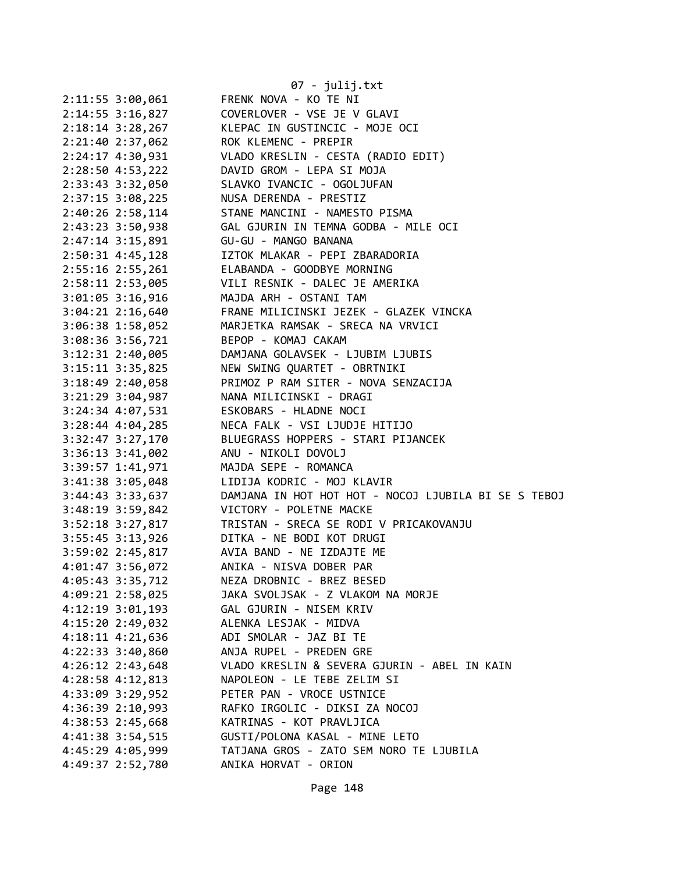|                                      | 07 - julij.txt                                       |
|--------------------------------------|------------------------------------------------------|
| $2:11:55$ 3:00,061                   | FRENK NOVA - KO TE NI                                |
| 2:14:55 3:16,827                     | COVERLOVER - VSE JE V GLAVI                          |
| $2:18:14$ 3:28,267                   | KLEPAC IN GUSTINCIC - MOJE OCI                       |
| 2:21:40 2:37,062                     | ROK KLEMENC - PREPIR                                 |
| $2:24:17$ $4:30,931$                 | VLADO KRESLIN - CESTA (RADIO EDIT)                   |
| 2:28:50 4:53,222                     | DAVID GROM - LEPA SI MOJA                            |
| 2:33:43 3:32,050                     | SLAVKO IVANCIC - OGOLJUFAN                           |
| $2:37:15$ $3:08,225$                 | NUSA DERENDA - PRESTIZ                               |
| 2:40:26 2:58,114                     | STANE MANCINI - NAMESTO PISMA                        |
| 2:43:23 3:50,938                     | GAL GJURIN IN TEMNA GODBA - MILE OCI                 |
| 2:47:14 3:15,891                     | GU-GU - MANGO BANANA                                 |
| 2:50:31 4:45,128                     | IZTOK MLAKAR - PEPI ZBARADORIA                       |
| 2:55:16 2:55,261                     | ELABANDA - GOODBYE MORNING                           |
| 2:58:11 2:53,005                     | VILI RESNIK - DALEC JE AMERIKA                       |
| 3:01:05 3:16,916                     | MAJDA ARH - OSTANI TAM                               |
| $3:04:21$ $2:16,640$                 | FRANE MILICINSKI JEZEK - GLAZEK VINCKA               |
| 3:06:38 1:58,052                     | MARJETKA RAMSAK - SRECA NA VRVICI                    |
| 3:08:36 3:56,721                     | BEPOP - KOMAJ CAKAM                                  |
| $3:12:31$ $2:40,005$                 | DAMJANA GOLAVSEK - LJUBIM LJUBIS                     |
| $3:15:11$ $3:35,825$                 | NEW SWING QUARTET - OBRTNIKI                         |
| $3:18:49$ 2:40,058                   | PRIMOZ P RAM SITER - NOVA SENZACIJA                  |
| 3:21:29 3:04,987                     | NANA MILICINSKI - DRAGI                              |
| $3:24:34$ 4:07,531                   | ESKOBARS - HLADNE NOCI                               |
| $3:28:44$ 4:04,285                   | NECA FALK - VSI LJUDJE HITIJO                        |
| 3:32:47 3:27,170                     | BLUEGRASS HOPPERS - STARI PIJANCEK                   |
| $3:36:13$ $3:41,002$                 | ANU - NIKOLI DOVOLJ                                  |
| 3:39:57 1:41,971                     | MAJDA SEPE - ROMANCA                                 |
| $3:41:38$ $3:05,048$                 | LIDIJA KODRIC - MOJ KLAVIR                           |
| 3:44:43 3:33,637                     | DAMJANA IN HOT HOT HOT - NOCOJ LJUBILA BI SE S TEBOJ |
| 3:48:19 3:59,842                     | VICTORY - POLETNE MACKE                              |
|                                      | TRISTAN - SRECA SE RODI V PRICAKOVANJU               |
| 3:52:18 3:27,817                     |                                                      |
|                                      | 3:55:45 3:13,926 DITKA - NE BODI KOT DRUGI           |
|                                      | 3:59:02 2:45,817 AVIA BAND - NE IZDAJTE ME           |
| 4:01:47 3:56,072<br>4:05:43 3:35,712 | ANIKA - NISVA DOBER PAR<br>NEZA DROBNIC - BREZ BESED |
|                                      |                                                      |
| 4:09:21 2:58,025                     | JAKA SVOLJSAK - Z VLAKOM NA MORJE                    |
| $4:12:19$ $3:01,193$                 | GAL GJURIN - NISEM KRIV                              |
| 4:15:20 2:49,032                     | ALENKA LESJAK - MIDVA                                |
| $4:18:11$ $4:21,636$                 | ADI SMOLAR - JAZ BI TE                               |
| $4:22:33$ $3:40,860$                 | ANJA RUPEL - PREDEN GRE                              |
| 4:26:12 2:43,648                     | VLADO KRESLIN & SEVERA GJURIN - ABEL IN KAIN         |
| 4:28:58 4:12,813                     | NAPOLEON - LE TEBE ZELIM SI                          |
| 4:33:09 3:29,952                     | PETER PAN - VROCE USTNICE                            |
| 4:36:39 2:10,993                     | RAFKO IRGOLIC - DIKSI ZA NOCOJ                       |
| 4:38:53 2:45,668                     | KATRINAS - KOT PRAVLJICA                             |
| 4:41:38 3:54,515                     | GUSTI/POLONA KASAL - MINE LETO                       |
| 4:45:29 4:05,999                     | TATJANA GROS - ZATO SEM NORO TE LJUBILA              |
| 4:49:37 2:52,780                     | ANIKA HORVAT - ORION                                 |
|                                      |                                                      |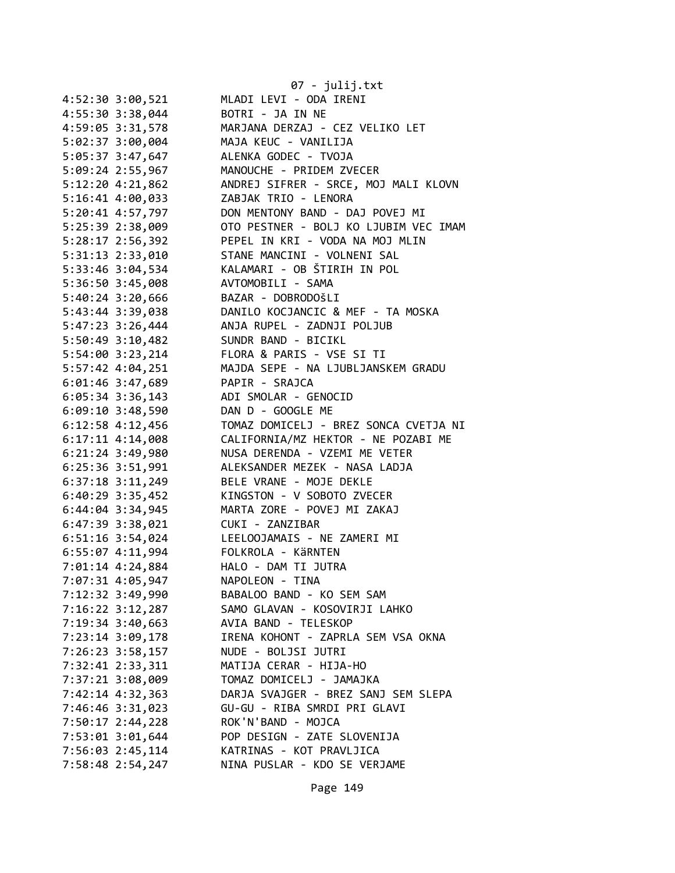|                      | 07 - julij.txt                        |
|----------------------|---------------------------------------|
| 4:52:30 3:00,521     | MLADI LEVI - ODA IRENI                |
| 4:55:30 3:38,044     | BOTRI - JA IN NE                      |
| 4:59:05 3:31,578     | MARJANA DERZAJ - CEZ VELIKO LET       |
| 5:02:37 3:00,004     | MAJA KEUC - VANILIJA                  |
| 5:05:37 3:47,647     | ALENKA GODEC - TVOJA                  |
| 5:09:24 2:55,967     | MANOUCHE - PRIDEM ZVECER              |
| 5:12:20 4:21,862     | ANDREJ SIFRER - SRCE, MOJ MALI KLOVN  |
| 5:16:41 4:00,033     | ZABJAK TRIO - LENORA                  |
| 5:20:41 4:57,797     | DON MENTONY BAND - DAJ POVEJ MI       |
| 5:25:39 2:38,009     | OTO PESTNER - BOLJ KO LJUBIM VEC IMAM |
| 5:28:17 2:56,392     | PEPEL IN KRI - VODA NA MOJ MLIN       |
| 5:31:13 2:33,010     | STANE MANCINI - VOLNENI SAL           |
| 5:33:46 3:04,534     | KALAMARI - OB ŠTIRIH IN POL           |
| 5:36:50 3:45,008     | AVTOMOBILI - SAMA                     |
| $5:40:24$ 3:20,666   | BAZAR - DOBRODOŠLI                    |
| 5:43:44 3:39,038     | DANILO KOCJANCIC & MEF - TA MOSKA     |
| 5:47:23 3:26,444     | ANJA RUPEL - ZADNJI POLJUB            |
| 5:50:49 3:10,482     | SUNDR BAND - BICIKL                   |
| 5:54:00 3:23,214     | FLORA & PARIS - VSE SI TI             |
| 5:57:42 4:04,251     | MAJDA SEPE - NA LJUBLJANSKEM GRADU    |
| 6:01:46 3:47,689     | PAPIR - SRAJCA                        |
| 6:05:34 3:36,143     | ADI SMOLAR - GENOCID                  |
| $6:09:10$ 3:48,590   | DAN D - GOOGLE ME                     |
| 6:12:58 4:12,456     | TOMAZ DOMICELJ - BREZ SONCA CVETJA NI |
| 6:17:11 4:14,008     | CALIFORNIA/MZ HEKTOR - NE POZABI ME   |
| 6:21:24 3:49,980     | NUSA DERENDA - VZEMI ME VETER         |
| 6:25:36 3:51,991     | ALEKSANDER MEZEK - NASA LADJA         |
| $6:37:18$ $3:11,249$ | BELE VRANE - MOJE DEKLE               |
| $6:40:29$ 3:35,452   | KINGSTON - V SOBOTO ZVECER            |
| $6:44:04$ 3:34,945   | MARTA ZORE - POVEJ MI ZAKAJ           |
| 6:47:39 3:38,021     | CUKI - ZANZIBAR                       |
| 6:51:16 3:54,024     | LEELOOJAMAIS - NE ZAMERI MI           |
| 6:55:07 4:11,994     | FOLKROLA - KäRNTEN                    |
| 7:01:14 4:24,884     | HALO - DAM TI JUTRA                   |
| 7:07:31 4:05,947     | NAPOLEON - TINA                       |
| 7:12:32 3:49,990     | BABALOO BAND - KO SEM SAM             |
| $7:16:22$ $3:12,287$ | SAMO GLAVAN - KOSOVIRJI LAHKO         |
| 7:19:34 3:40,663     | AVIA BAND - TELESKOP                  |
| 7:23:14 3:09,178     | IRENA KOHONT - ZAPRLA SEM VSA OKNA    |
| 7:26:23 3:58,157     | NUDE - BOLJSI JUTRI                   |
| 7:32:41 2:33,311     | MATIJA CERAR - HIJA-HO                |
| 7:37:21 3:08,009     | TOMAZ DOMICELJ - JAMAJKA              |
| 7:42:14 4:32,363     | DARJA SVAJGER - BREZ SANJ SEM SLEPA   |
| 7:46:46 3:31,023     | GU-GU - RIBA SMRDI PRI GLAVI          |
| 7:50:17 2:44,228     | ROK'N'BAND - MOJCA                    |
| 7:53:01 3:01,644     | POP DESIGN - ZATE SLOVENIJA           |
| 7:56:03 2:45,114     | KATRINAS - KOT PRAVLJICA              |
| 7:58:48 2:54,247     | NINA PUSLAR - KDO SE VERJAME          |
|                      |                                       |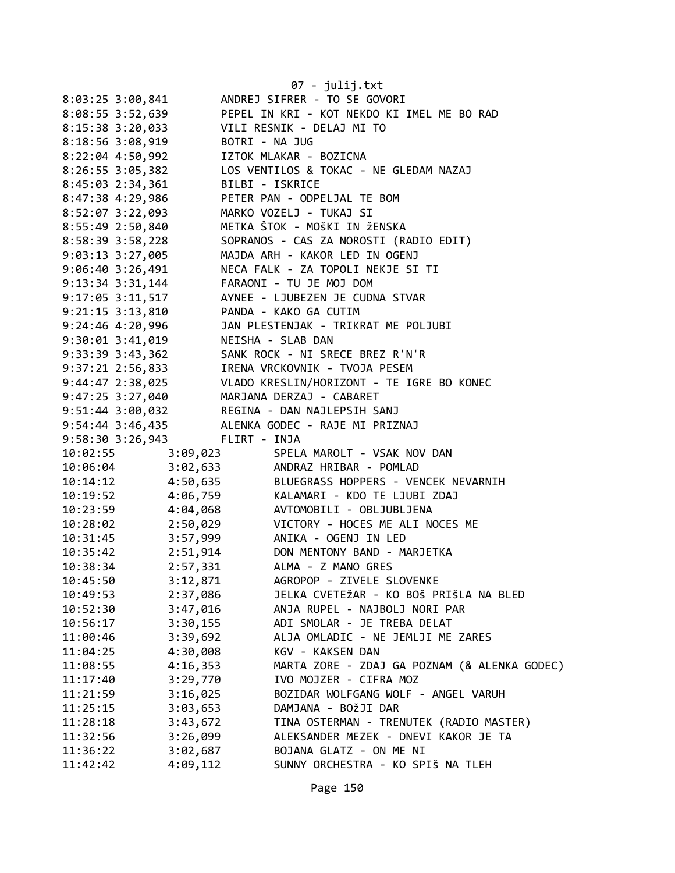|                                      |                 | 07 - julij.txt                                                                                                                                                                   |
|--------------------------------------|-----------------|----------------------------------------------------------------------------------------------------------------------------------------------------------------------------------|
| $8:03:25$ 3:00,841                   |                 | ANDREJ SIFRER - TO SE GOVORI                                                                                                                                                     |
| 8:08:55 3:52,639                     |                 | PEPEL IN KRI - KOT NEKDO KI IMEL ME BO RAD                                                                                                                                       |
| 8:15:38 3:20,033                     |                 | VILI RESNIK - DELAJ MI TO                                                                                                                                                        |
| 8:18:56 3:08,919                     | BOTRI - NA JUG  |                                                                                                                                                                                  |
| $8:22:04$ 4:50,992                   |                 | IZTOK MLAKAR - BOZICNA                                                                                                                                                           |
| $8:26:55$ 3:05,382                   |                 | LOS VENTILOS & TOKAC - NE GLEDAM NAZAJ                                                                                                                                           |
| $8:45:03$ 2:34,361                   | BILBI - ISKRICE |                                                                                                                                                                                  |
| 8:47:38 4:29,986                     |                 | PETER PAN - ODPELJAL TE BOM                                                                                                                                                      |
| 8:52:07 3:22,093                     |                 | MARKO VOZELJ - TUKAJ SI                                                                                                                                                          |
| 8:55:49 2:50,840                     |                 | METKA ŠTOK - MOŠKI IN ŽENSKA                                                                                                                                                     |
| 8:58:39 3:58,228                     |                 | SOPRANOS - CAS ZA NOROSTI (RADIO EDIT)                                                                                                                                           |
| 9:03:13 3:27,005                     |                 | MAJDA ARH - KAKOR LED IN OGENJ                                                                                                                                                   |
| 9:06:40 3:26,491                     |                 | NECA FALK - ZA TOPOLI NEKJE SI TI                                                                                                                                                |
| $9:13:34$ $3:31,144$                 |                 | FARAONI - TU JE MOJ DOM                                                                                                                                                          |
| 9:15.54 5:11,517<br>9:17:05 3:11,517 |                 | AYNEE - LJUBEZEN JE CUDNA STVAR                                                                                                                                                  |
| $9:21:15$ $3:13,810$                 |                 | PANDA - KAKO GA CUTIM                                                                                                                                                            |
| 9:24:46 4:20,996                     |                 | JAN PLESTENJAK - TRIKRAT ME POLJUBI                                                                                                                                              |
| 9:30:01 3:41,019                     |                 | NEISHA - SLAB DAN                                                                                                                                                                |
| 9:33:39 3:43,362                     |                 | SANK ROCK - NI SRECE BREZ R'N'R                                                                                                                                                  |
| 9:37:21 2:56,833                     |                 | IRENA VRCKOVNIK - TVOJA PESEM                                                                                                                                                    |
|                                      |                 | 9:44:47 2:38,025 VLADO KRESLIN/HORIZONT - TE IGRE BO KONEC                                                                                                                       |
|                                      |                 | 9:47:25 3:27,040 MARJANA DERZAJ - CABARET                                                                                                                                        |
|                                      |                 | 9:51:44 3:00,032 REGINA - DAN NAJLEPSIH SANJ                                                                                                                                     |
|                                      |                 | 9:54:44 3:46,435 ALENKA GODEC - RAJE MI PRIZNAJ                                                                                                                                  |
| 9:58:30 3:26,943 FLIRT - INJA        |                 |                                                                                                                                                                                  |
| 10:02:55                             | 3:09,023        | SPELA MAROLT - VSAK NOV DAN                                                                                                                                                      |
| 10:06:04                             |                 | 3:02,633 ANDRAZ HRIBAR - POMLAD                                                                                                                                                  |
| 10:14:12                             |                 | BLUEGRASS HOPPERS - VENCEK NEVARNIH                                                                                                                                              |
| 10:19:52                             |                 | 4:50,635<br>4:06,759<br>4:04,068<br>AUTOMOBILI - OBLJUBLJENA<br>AUTOMOBILI - OBLJUBLJENA<br>AUTOMOBILI - OBLJUBLJENA<br>AUTOMOBILI - OBLJUBLJENA<br>KALAMARI - KDO TE LJUBI ZDAJ |
| 10:23:59                             |                 |                                                                                                                                                                                  |
| 10:28:02                             |                 | 2:50,029 VICTORY - HOCES ME ALI NOCES ME                                                                                                                                         |
| 10:31:45                             |                 | 3:57,999 ANIKA - OGENJ IN LED                                                                                                                                                    |
| 10:35:42                             | 2:51,914        | DON MENTONY BAND - MARJETKA                                                                                                                                                      |
| 10:38:34                             | 2:57,331        | ALMA - Z MANO GRES                                                                                                                                                               |
| 10:45:50                             | 3:12,871        | AGROPOP - ZIVELE SLOVENKE                                                                                                                                                        |
| 10:49:53                             | 2:37,086        | JELKA CVETEŽAR - KO BOŠ PRIŠLA NA BLED                                                                                                                                           |
| 10:52:30                             | 3:47,016        | ANJA RUPEL - NAJBOLJ NORI PAR                                                                                                                                                    |
| 10:56:17                             | 3:30,155        | ADI SMOLAR - JE TREBA DELAT                                                                                                                                                      |
| 11:00:46                             | 3:39,692        | ALJA OMLADIC - NE JEMLJI ME ZARES                                                                                                                                                |
| 11:04:25                             | 4:30,008        | KGV - KAKSEN DAN                                                                                                                                                                 |
| 11:08:55                             | 4:16,353        | MARTA ZORE - ZDAJ GA POZNAM (& ALENKA GODEC)                                                                                                                                     |
| 11:17:40                             | 3:29,770        | IVO MOJZER - CIFRA MOZ                                                                                                                                                           |
| 11:21:59                             | 3:16,025        | BOZIDAR WOLFGANG WOLF - ANGEL VARUH                                                                                                                                              |
| 11:25:15                             | 3:03,653        | DAMJANA - BOŽJI DAR                                                                                                                                                              |
| 11:28:18                             | 3:43,672        | TINA OSTERMAN - TRENUTEK (RADIO MASTER)                                                                                                                                          |
| 11:32:56                             | 3:26,099        | ALEKSANDER MEZEK - DNEVI KAKOR JE TA                                                                                                                                             |
| 11:36:22                             | 3:02,687        | BOJANA GLATZ - ON ME NI                                                                                                                                                          |
| 11:42:42                             | 4:09,112        | SUNNY ORCHESTRA - KO SPIŠ NA TLEH                                                                                                                                                |
|                                      |                 |                                                                                                                                                                                  |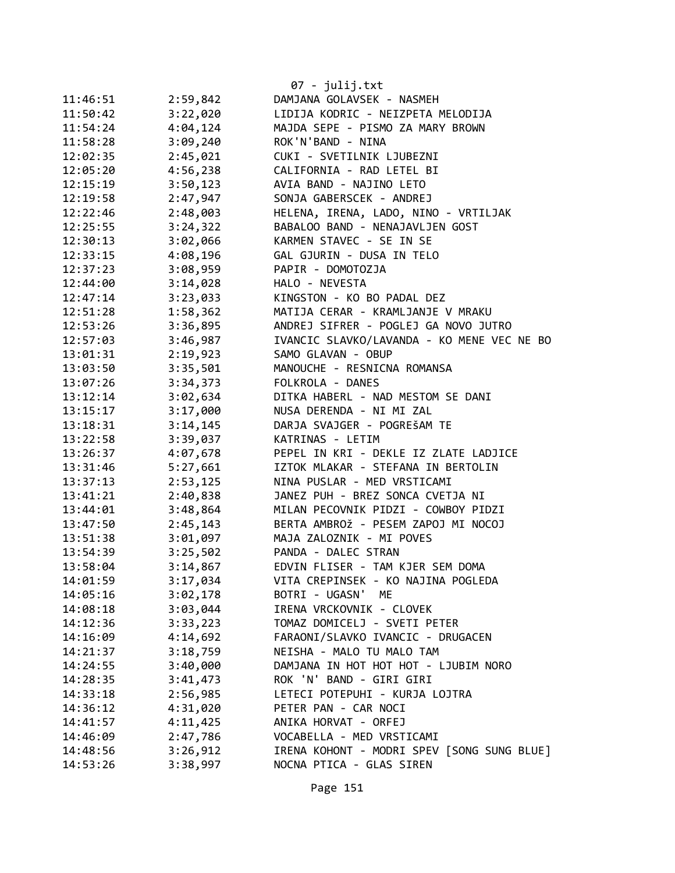|          |          | 07 - julij.txt                             |
|----------|----------|--------------------------------------------|
| 11:46:51 | 2:59,842 | DAMJANA GOLAVSEK - NASMEH                  |
| 11:50:42 | 3:22,020 | LIDIJA KODRIC - NEIZPETA MELODIJA          |
| 11:54:24 | 4:04,124 | MAJDA SEPE - PISMO ZA MARY BROWN           |
| 11:58:28 | 3:09,240 | ROK'N'BAND - NINA                          |
| 12:02:35 | 2:45,021 | CUKI - SVETILNIK LJUBEZNI                  |
| 12:05:20 | 4:56,238 | CALIFORNIA - RAD LETEL BI                  |
| 12:15:19 | 3:50,123 | AVIA BAND - NAJINO LETO                    |
| 12:19:58 | 2:47,947 | SONJA GABERSCEK - ANDREJ                   |
| 12:22:46 | 2:48,003 | HELENA, IRENA, LADO, NINO - VRTILJAK       |
| 12:25:55 | 3:24,322 | BABALOO BAND - NENAJAVLJEN GOST            |
| 12:30:13 | 3:02,066 | KARMEN STAVEC - SE IN SE                   |
| 12:33:15 | 4:08,196 | GAL GJURIN - DUSA IN TELO                  |
| 12:37:23 | 3:08,959 | PAPIR - DOMOTOZJA                          |
| 12:44:00 | 3:14,028 | HALO - NEVESTA                             |
| 12:47:14 | 3:23,033 | KINGSTON - KO BO PADAL DEZ                 |
| 12:51:28 | 1:58,362 | MATIJA CERAR - KRAMLJANJE V MRAKU          |
| 12:53:26 | 3:36,895 | ANDREJ SIFRER - POGLEJ GA NOVO JUTRO       |
| 12:57:03 | 3:46,987 | IVANCIC SLAVKO/LAVANDA - KO MENE VEC NE BO |
| 13:01:31 | 2:19,923 | SAMO GLAVAN - OBUP                         |
| 13:03:50 | 3:35,501 | MANOUCHE - RESNICNA ROMANSA                |
| 13:07:26 | 3:34,373 | FOLKROLA - DANES                           |
| 13:12:14 | 3:02,634 | DITKA HABERL - NAD MESTOM SE DANI          |
| 13:15:17 | 3:17,000 | NUSA DERENDA - NI MI ZAL                   |
| 13:18:31 | 3:14,145 | DARJA SVAJGER - POGREŠAM TE                |
| 13:22:58 | 3:39,037 | KATRINAS - LETIM                           |
| 13:26:37 | 4:07,678 | PEPEL IN KRI - DEKLE IZ ZLATE LADJICE      |
| 13:31:46 | 5:27,661 | IZTOK MLAKAR - STEFANA IN BERTOLIN         |
| 13:37:13 | 2:53,125 | NINA PUSLAR - MED VRSTICAMI                |
| 13:41:21 | 2:40,838 | JANEZ PUH - BREZ SONCA CVETJA NI           |
| 13:44:01 | 3:48,864 | MILAN PECOVNIK PIDZI - COWBOY PIDZI        |
| 13:47:50 | 2:45,143 | BERTA AMBROŽ - PESEM ZAPOJ MI NOCOJ        |
| 13:51:38 | 3:01,097 | MAJA ZALOZNIK - MI POVES                   |
| 13:54:39 | 3:25,502 | PANDA - DALEC STRAN                        |
| 13:58:04 | 3:14,867 | EDVIN FLISER - TAM KJER SEM DOMA           |
| 14:01:59 | 3:17,034 | VITA CREPINSEK - KO NAJINA POGLEDA         |
| 14:05:16 | 3:02,178 | BOTRI - UGASN' ME                          |
| 14:08:18 | 3:03,044 | IRENA VRCKOVNIK - CLOVEK                   |
| 14:12:36 | 3:33,223 | TOMAZ DOMICELJ - SVETI PETER               |
| 14:16:09 | 4:14,692 | FARAONI/SLAVKO IVANCIC - DRUGACEN          |
| 14:21:37 | 3:18,759 | NEISHA - MALO TU MALO TAM                  |
| 14:24:55 | 3:40,000 | DAMJANA IN HOT HOT HOT - LJUBIM NORO       |
| 14:28:35 | 3:41,473 | ROK 'N' BAND - GIRI GIRI                   |
| 14:33:18 | 2:56,985 | LETECI POTEPUHI - KURJA LOJTRA             |
| 14:36:12 | 4:31,020 | PETER PAN - CAR NOCI                       |
| 14:41:57 | 4:11,425 | ANIKA HORVAT - ORFEJ                       |
| 14:46:09 | 2:47,786 | VOCABELLA - MED VRSTICAMI                  |
| 14:48:56 | 3:26,912 | IRENA KOHONT - MODRI SPEV [SONG SUNG BLUE] |
| 14:53:26 | 3:38,997 | NOCNA PTICA - GLAS SIREN                   |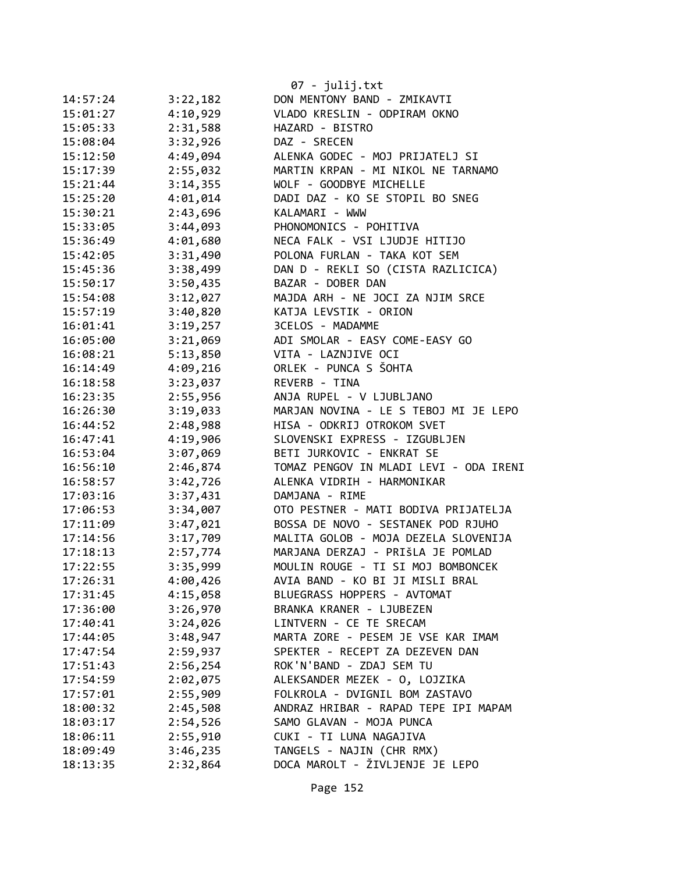|          |          | 07 - julij.txt                         |
|----------|----------|----------------------------------------|
| 14:57:24 | 3:22,182 | DON MENTONY BAND - ZMIKAVTI            |
| 15:01:27 | 4:10,929 | VLADO KRESLIN - ODPIRAM OKNO           |
| 15:05:33 | 2:31,588 | HAZARD - BISTRO                        |
| 15:08:04 | 3:32,926 | DAZ - SRECEN                           |
| 15:12:50 | 4:49,094 | ALENKA GODEC - MOJ PRIJATELJ SI        |
| 15:17:39 | 2:55,032 | MARTIN KRPAN - MI NIKOL NE TARNAMO     |
| 15:21:44 | 3:14,355 | WOLF - GOODBYE MICHELLE                |
| 15:25:20 | 4:01,014 | DADI DAZ - KO SE STOPIL BO SNEG        |
| 15:30:21 | 2:43,696 | KALAMARI - WWW                         |
| 15:33:05 | 3:44,093 | PHONOMONICS - POHITIVA                 |
| 15:36:49 | 4:01,680 | NECA FALK - VSI LJUDJE HITIJO          |
| 15:42:05 | 3:31,490 | POLONA FURLAN - TAKA KOT SEM           |
| 15:45:36 | 3:38,499 | DAN D - REKLI SO (CISTA RAZLICICA)     |
| 15:50:17 | 3:50,435 | BAZAR - DOBER DAN                      |
| 15:54:08 | 3:12,027 | MAJDA ARH - NE JOCI ZA NJIM SRCE       |
| 15:57:19 | 3:40,820 | KATJA LEVSTIK - ORION                  |
| 16:01:41 | 3:19,257 | 3CELOS - MADAMME                       |
| 16:05:00 | 3:21,069 | ADI SMOLAR - EASY COME-EASY GO         |
| 16:08:21 | 5:13,850 | VITA - LAZNJIVE OCI                    |
| 16:14:49 | 4:09,216 | ORLEK - PUNCA S ŠOHTA                  |
| 16:18:58 | 3:23,037 | REVERB - TINA                          |
| 16:23:35 | 2:55,956 | ANJA RUPEL - V LJUBLJANO               |
| 16:26:30 | 3:19,033 | MARJAN NOVINA - LE S TEBOJ MI JE LEPO  |
| 16:44:52 | 2:48,988 | HISA - ODKRIJ OTROKOM SVET             |
| 16:47:41 | 4:19,906 | SLOVENSKI EXPRESS - IZGUBLJEN          |
| 16:53:04 | 3:07,069 | BETI JURKOVIC - ENKRAT SE              |
| 16:56:10 | 2:46,874 | TOMAZ PENGOV IN MLADI LEVI - ODA IRENI |
| 16:58:57 | 3:42,726 | ALENKA VIDRIH - HARMONIKAR             |
| 17:03:16 | 3:37,431 | DAMJANA - RIME                         |
| 17:06:53 | 3:34,007 | OTO PESTNER - MATI BODIVA PRIJATELJA   |
| 17:11:09 | 3:47,021 | BOSSA DE NOVO - SESTANEK POD RJUHO     |
| 17:14:56 | 3:17,709 | MALITA GOLOB - MOJA DEZELA SLOVENIJA   |
| 17:18:13 | 2:57,774 | MARJANA DERZAJ - PRIŠLA JE POMLAD      |
| 17:22:55 | 3:35,999 | MOULIN ROUGE - TI SI MOJ BOMBONCEK     |
| 17:26:31 | 4:00,426 | AVIA BAND - KO BI JI MISLI BRAL        |
| 17:31:45 | 4:15,058 | BLUEGRASS HOPPERS - AVTOMAT            |
| 17:36:00 | 3:26,970 | BRANKA KRANER - LJUBEZEN               |
| 17:40:41 | 3:24,026 | LINTVERN - CE TE SRECAM                |
| 17:44:05 | 3:48,947 | MARTA ZORE - PESEM JE VSE KAR IMAM     |
| 17:47:54 | 2:59,937 | SPEKTER - RECEPT ZA DEZEVEN DAN        |
| 17:51:43 | 2:56,254 | ROK'N'BAND - ZDAJ SEM TU               |
| 17:54:59 | 2:02,075 | ALEKSANDER MEZEK - 0, LOJZIKA          |
| 17:57:01 | 2:55,909 | FOLKROLA - DVIGNIL BOM ZASTAVO         |
| 18:00:32 | 2:45,508 | ANDRAZ HRIBAR - RAPAD TEPE IPI MAPAM   |
| 18:03:17 | 2:54,526 | SAMO GLAVAN - MOJA PUNCA               |
| 18:06:11 | 2:55,910 | CUKI - TI LUNA NAGAJIVA                |
| 18:09:49 | 3:46,235 | TANGELS - NAJIN (CHR RMX)              |
| 18:13:35 | 2:32,864 | DOCA MAROLT - ŽIVLJENJE JE LEPO        |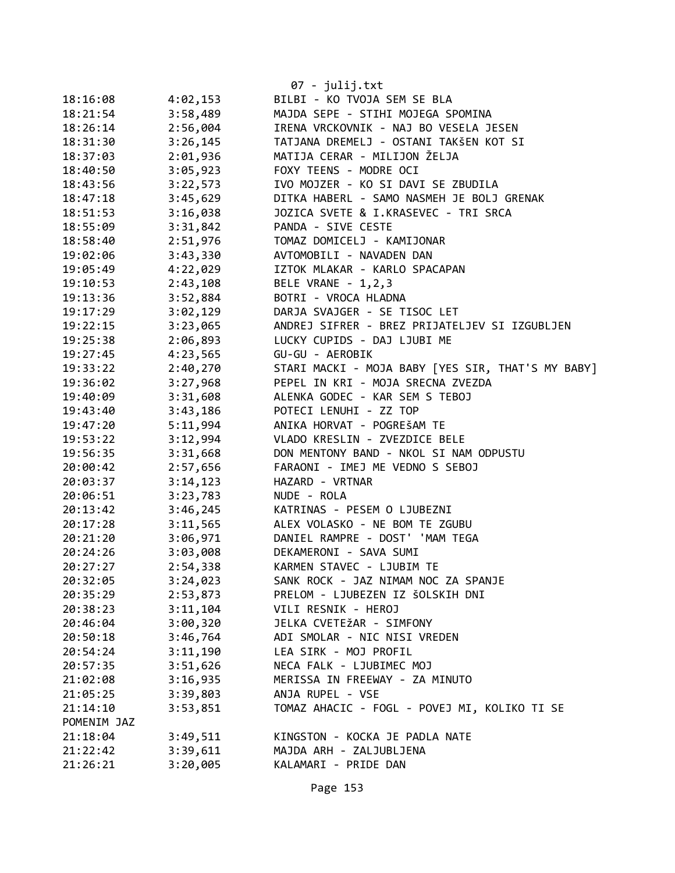|             |          | $07 - julij.txt$                                  |
|-------------|----------|---------------------------------------------------|
| 18:16:08    | 4:02,153 | BILBI - KO TVOJA SEM SE BLA                       |
| 18:21:54    | 3:58,489 | MAJDA SEPE - STIHI MOJEGA SPOMINA                 |
| 18:26:14    | 2:56,004 | IRENA VRCKOVNIK - NAJ BO VESELA JESEN             |
| 18:31:30    | 3:26,145 | TATJANA DREMELJ - OSTANI TAKŠEN KOT SI            |
| 18:37:03    | 2:01,936 | MATIJA CERAR - MILIJON ŽELJA                      |
| 18:40:50    | 3:05,923 | FOXY TEENS - MODRE OCI                            |
| 18:43:56    | 3:22,573 | IVO MOJZER - KO SI DAVI SE ZBUDILA                |
| 18:47:18    | 3:45,629 | DITKA HABERL - SAMO NASMEH JE BOLJ GRENAK         |
| 18:51:53    | 3:16,038 | JOZICA SVETE & I.KRASEVEC - TRI SRCA              |
| 18:55:09    | 3:31,842 | PANDA - SIVE CESTE                                |
| 18:58:40    | 2:51,976 | TOMAZ DOMICELJ - KAMIJONAR                        |
| 19:02:06    | 3:43,330 | AVTOMOBILI - NAVADEN DAN                          |
| 19:05:49    | 4:22,029 | IZTOK MLAKAR - KARLO SPACAPAN                     |
| 19:10:53    | 2:43,108 | BELE VRANE - 1, 2, 3                              |
| 19:13:36    | 3:52,884 | BOTRI - VROCA HLADNA                              |
| 19:17:29    | 3:02,129 | DARJA SVAJGER - SE TISOC LET                      |
| 19:22:15    | 3:23,065 | ANDREJ SIFRER - BREZ PRIJATELJEV SI IZGUBLJEN     |
| 19:25:38    | 2:06,893 | LUCKY CUPIDS - DAJ LJUBI ME                       |
| 19:27:45    | 4:23,565 | GU-GU - AEROBIK                                   |
| 19:33:22    | 2:40,270 | STARI MACKI - MOJA BABY [YES SIR, THAT'S MY BABY] |
| 19:36:02    | 3:27,968 | PEPEL IN KRI - MOJA SRECNA ZVEZDA                 |
| 19:40:09    | 3:31,608 | ALENKA GODEC - KAR SEM S TEBOJ                    |
| 19:43:40    | 3:43,186 | POTECI LENUHI - ZZ TOP                            |
| 19:47:20    | 5:11,994 | ANIKA HORVAT - POGREŠAM TE                        |
| 19:53:22    | 3:12,994 | VLADO KRESLIN - ZVEZDICE BELE                     |
| 19:56:35    | 3:31,668 | DON MENTONY BAND - NKOL SI NAM ODPUSTU            |
| 20:00:42    | 2:57,656 | FARAONI - IMEJ ME VEDNO S SEBOJ                   |
| 20:03:37    | 3:14,123 | HAZARD - VRTNAR                                   |
| 20:06:51    | 3:23,783 | NUDE - ROLA                                       |
| 20:13:42    | 3:46,245 | KATRINAS - PESEM O LJUBEZNI                       |
| 20:17:28    | 3:11,565 | ALEX VOLASKO - NE BOM TE ZGUBU                    |
| 20:21:20    | 3:06,971 | DANIEL RAMPRE - DOST' 'MAM TEGA                   |
| 20:24:26    | 3:03,008 | DEKAMERONI - SAVA SUMI                            |
| 20:27:27    | 2:54,338 | KARMEN STAVEC - LJUBIM TE                         |
| 20:32:05    | 3:24,023 | SANK ROCK - JAZ NIMAM NOC ZA SPANJE               |
| 20:35:29    | 2:53,873 | PRELOM - LJUBEZEN IZ ŠOLSKIH DNI                  |
| 20:38:23    | 3:11,104 | VILI RESNIK - HEROJ                               |
| 20:46:04    | 3:00,320 | JELKA CVETEŽAR - SIMFONY                          |
| 20:50:18    | 3:46,764 | ADI SMOLAR - NIC NISI VREDEN                      |
| 20:54:24    | 3:11,190 | LEA SIRK - MOJ PROFIL                             |
| 20:57:35    | 3:51,626 | NECA FALK - LJUBIMEC MOJ                          |
| 21:02:08    | 3:16,935 | MERISSA IN FREEWAY - ZA MINUTO                    |
| 21:05:25    | 3:39,803 | ANJA RUPEL - VSE                                  |
| 21:14:10    | 3:53,851 | TOMAZ AHACIC - FOGL - POVEJ MI, KOLIKO TI SE      |
| POMENIM JAZ |          |                                                   |
| 21:18:04    | 3:49,511 | KINGSTON - KOCKA JE PADLA NATE                    |
| 21:22:42    | 3:39,611 | MAJDA ARH - ZALJUBLJENA                           |
| 21:26:21    | 3:20,005 | KALAMARI - PRIDE DAN                              |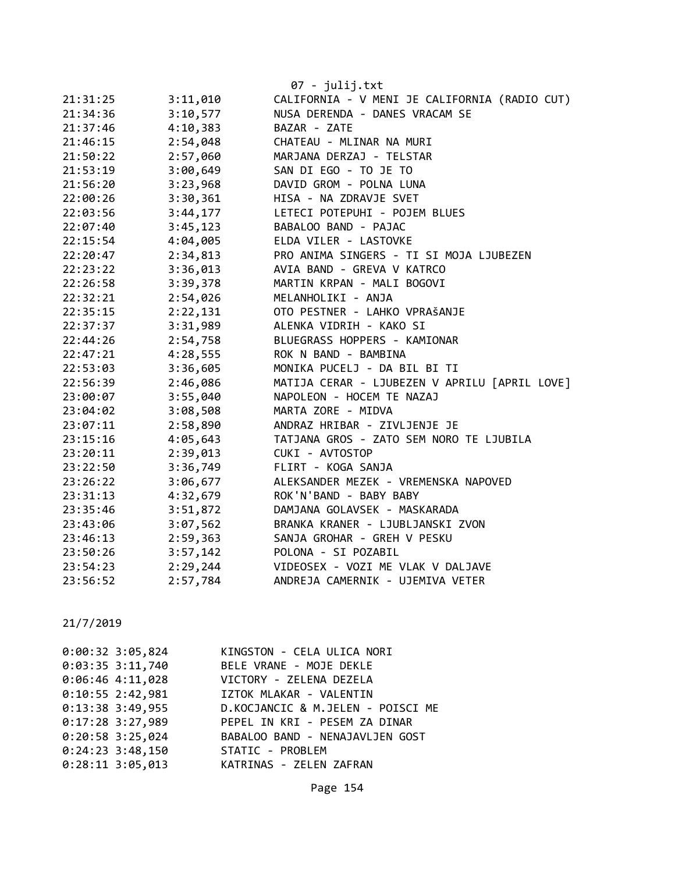|          |          | 07 - julij.txt                                |
|----------|----------|-----------------------------------------------|
| 21:31:25 | 3:11,010 | CALIFORNIA - V MENI JE CALIFORNIA (RADIO CUT) |
| 21:34:36 | 3:10,577 | NUSA DERENDA - DANES VRACAM SE                |
| 21:37:46 | 4:10,383 | BAZAR - ZATE                                  |
| 21:46:15 | 2:54,048 | CHATEAU - MLINAR NA MURI                      |
| 21:50:22 | 2:57,060 | MARJANA DERZAJ - TELSTAR                      |
| 21:53:19 | 3:00,649 | SAN DI EGO - TO JE TO                         |
| 21:56:20 | 3:23,968 | DAVID GROM - POLNA LUNA                       |
| 22:00:26 | 3:30,361 | HISA - NA ZDRAVJE SVET                        |
| 22:03:56 | 3:44,177 | LETECI POTEPUHI - POJEM BLUES                 |
| 22:07:40 | 3:45,123 | BABALOO BAND - PAJAC                          |
| 22:15:54 | 4:04,005 | ELDA VILER - LASTOVKE                         |
| 22:20:47 | 2:34,813 | PRO ANIMA SINGERS - TI SI MOJA LJUBEZEN       |
| 22:23:22 | 3:36,013 | AVIA BAND - GREVA V KATRCO                    |
| 22:26:58 | 3:39,378 | MARTIN KRPAN - MALI BOGOVI                    |
| 22:32:21 | 2:54,026 | MELANHOLIKI - ANJA                            |
| 22:35:15 | 2:22,131 | OTO PESTNER - LAHKO VPRAŠANJE                 |
| 22:37:37 | 3:31,989 | ALENKA VIDRIH - KAKO SI                       |
| 22:44:26 | 2:54,758 | BLUEGRASS HOPPERS - KAMIONAR                  |
| 22:47:21 | 4:28,555 | ROK N BAND - BAMBINA                          |
| 22:53:03 | 3:36,605 | MONIKA PUCELJ - DA BIL BI TI                  |
| 22:56:39 | 2:46,086 | MATIJA CERAR - LJUBEZEN V APRILU [APRIL LOVE] |
| 23:00:07 | 3:55,040 | NAPOLEON - HOCEM TE NAZAJ                     |
| 23:04:02 | 3:08,508 | MARTA ZORE - MIDVA                            |
| 23:07:11 | 2:58,890 | ANDRAZ HRIBAR - ZIVLJENJE JE                  |
| 23:15:16 | 4:05,643 | TATJANA GROS - ZATO SEM NORO TE LJUBILA       |
| 23:20:11 | 2:39,013 | CUKI - AVTOSTOP                               |
| 23:22:50 | 3:36,749 | FLIRT - KOGA SANJA                            |
| 23:26:22 | 3:06,677 | ALEKSANDER MEZEK - VREMENSKA NAPOVED          |
| 23:31:13 | 4:32,679 | ROK'N'BAND - BABY BABY                        |
| 23:35:46 | 3:51,872 | DAMJANA GOLAVSEK - MASKARADA                  |
| 23:43:06 | 3:07,562 | BRANKA KRANER - LJUBLJANSKI ZVON              |
| 23:46:13 | 2:59,363 | SANJA GROHAR - GREH V PESKU                   |
| 23:50:26 | 3:57,142 | POLONA - SI POZABIL                           |
| 23:54:23 | 2:29,244 | VIDEOSEX - VOZI ME VLAK V DALJAVE             |
| 23:56:52 | 2:57,784 | ANDREJA CAMERNIK - UJEMIVA VETER              |

| $0:00:32$ 3:05,824 | KINGSTON - CELA ULICA NORI               |
|--------------------|------------------------------------------|
| $0:03:35$ 3:11,740 | BELE VRANE - MOJE DEKLE                  |
| $0:06:46$ 4:11,028 | VICTORY - ZELENA DEZELA                  |
|                    | 0:10:55 2:42,981 IZTOK MLAKAR - VALENTIN |
| $0:13:38$ 3:49,955 | D.KOCJANCIC & M.JELEN - POISCI ME        |
| $0:17:28$ 3:27,989 | PEPEL IN KRI - PESEM ZA DINAR            |
| $0:20:58$ 3:25,024 | BABALOO BAND - NENAJAVLJEN GOST          |
| $0:24:23$ 3:48,150 | STATIC - PROBLEM                         |
| $0:28:11$ 3:05,013 | KATRINAS - ZELEN ZAFRAN                  |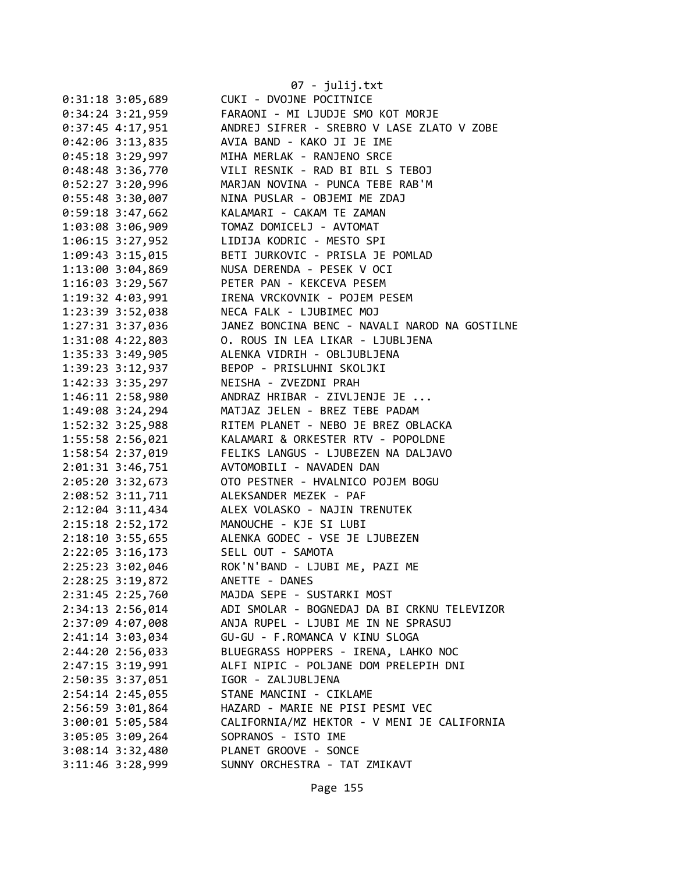|                      | 07 - julij.txt                                     |
|----------------------|----------------------------------------------------|
| $0:31:18$ 3:05,689   | CUKI - DVOJNE POCITNICE                            |
| $0:34:24$ 3:21,959   | FARAONI - MI LJUDJE SMO KOT MORJE                  |
| $0:37:45$ 4:17,951   | ANDREJ SIFRER - SREBRO V LASE ZLATO V ZOBE         |
| 0:42:06 3:13,835     | AVIA BAND - KAKO JI JE IME                         |
| $0:45:18$ 3:29,997   | MIHA MERLAK - RANJENO SRCE                         |
| $0:48:48$ 3:36,770   | VILI RESNIK - RAD BI BIL S TEBOJ                   |
| $0:52:27$ 3:20,996   | MARJAN NOVINA - PUNCA TEBE RAB'M                   |
| 0:55:48 3:30,007     | NINA PUSLAR - OBJEMI ME ZDAJ                       |
| 0:59:18 3:47,662     | KALAMARI - CAKAM TE ZAMAN                          |
| 1:03:08 3:06,909     | TOMAZ DOMICELJ - AVTOMAT                           |
| $1:06:15$ 3:27,952   | LIDIJA KODRIC - MESTO SPI                          |
| 1:09:43 3:15,015     | BETI JURKOVIC - PRISLA JE POMLAD                   |
| 1:13:00 3:04,869     | NUSA DERENDA - PESEK V OCI                         |
| 1:16:03 3:29,567     | PETER PAN - KEKCEVA PESEM                          |
| 1:19:32 4:03,991     | IRENA VRCKOVNIK - POJEM PESEM                      |
|                      | NECA FALK - LJUBIMEC MOJ                           |
| 1:23:39 3:52,038     | JANEZ BONCINA BENC - NAVALI NAROD NA GOSTILNE      |
| 1:27:31 3:37,036     | O. ROUS IN LEA LIKAR - LJUBLJENA                   |
| 1:31:08 4:22,803     |                                                    |
| 1:35:33 3:49,905     | ALENKA VIDRIH - OBLJUBLJENA                        |
| 1:39:23 3:12,937     | BEPOP - PRISLUHNI SKOLJKI<br>NEISHA - ZVEZDNI PRAH |
| 1:42:33 3:35,297     |                                                    |
| 1:46:11 2:58,980     | ANDRAZ HRIBAR - ZIVLJENJE JE                       |
| 1:49:08 3:24,294     | MATJAZ JELEN - BREZ TEBE PADAM                     |
| 1:52:32 3:25,988     | RITEM PLANET - NEBO JE BREZ OBLACKA                |
| 1:55:58 2:56,021     | KALAMARI & ORKESTER RTV - POPOLDNE                 |
| 1:58:54 2:37,019     | FELIKS LANGUS - LJUBEZEN NA DALJAVO                |
| 2:01:31 3:46,751     | AVTOMOBILI - NAVADEN DAN                           |
| 2:05:20 3:32,673     | OTO PESTNER - HVALNICO POJEM BOGU                  |
| 2:08:52 3:11,711     | ALEKSANDER MEZEK - PAF                             |
| $2:12:04$ 3:11,434   | ALEX VOLASKO - NAJIN TRENUTEK                      |
| 2:15:18 2:52,172     | MANOUCHE - KJE SI LUBI                             |
| 2:18:10 3:55,655     | ALENKA GODEC - VSE JE LJUBEZEN                     |
| 2:22:05 3:16,173     | SELL OUT - SAMOTA                                  |
| 2:25:23 3:02,046     | ROK'N'BAND - LJUBI ME, PAZI ME                     |
| 2:28:25 3:19,872     | ANETTE - DANES                                     |
| 2:31:45 2:25,760     | MAJDA SEPE - SUSTARKI MOST                         |
| 2:34:13 2:56,014     | ADI SMOLAR - BOGNEDAJ DA BI CRKNU TELEVIZOR        |
| 2:37:09 4:07,008     | ANJA RUPEL - LJUBI ME IN NE SPRASUJ                |
| 2:41:14 3:03,034     | GU-GU - F.ROMANCA V KINU SLOGA                     |
| 2:44:20 2:56,033     | BLUEGRASS HOPPERS - IRENA, LAHKO NOC               |
| 2:47:15 3:19,991     | ALFI NIPIC - POLJANE DOM PRELEPIH DNI              |
| 2:50:35 3:37,051     | IGOR - ZALJUBLJENA                                 |
| 2:54:14 2:45,055     | STANE MANCINI - CIKLAME                            |
| 2:56:59 3:01,864     | HAZARD - MARIE NE PISI PESMI VEC                   |
| 3:00:01 5:05,584     | CALIFORNIA/MZ HEKTOR - V MENI JE CALIFORNIA        |
| 3:05:05 3:09,264     | SOPRANOS - ISTO IME                                |
| $3:08:14$ $3:32,480$ | PLANET GROOVE - SONCE                              |
| 3:11:46 3:28,999     | SUNNY ORCHESTRA - TAT ZMIKAVT                      |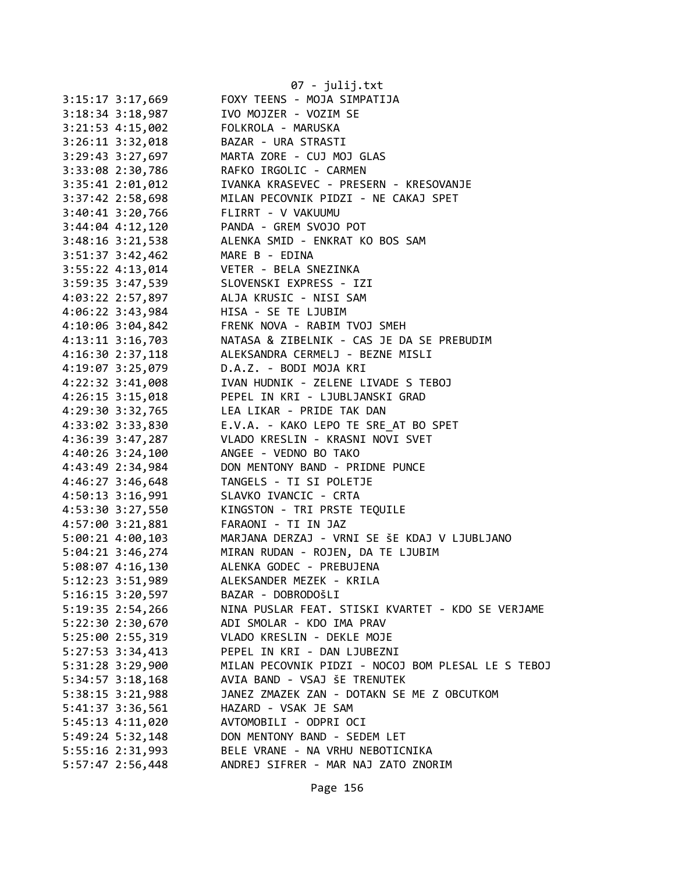|                                 | 07 - julij.txt                                                                                                                                                                                |
|---------------------------------|-----------------------------------------------------------------------------------------------------------------------------------------------------------------------------------------------|
| 3:15:17 3:17,669                | FOXY TEENS - MOJA SIMPATIJA                                                                                                                                                                   |
| $3:18:34$ $3:18,987$            | IVO MOJZER - VOZIM SE                                                                                                                                                                         |
| $3:21:53$ 4:15,002              | FOLKROLA - MARUSKA                                                                                                                                                                            |
|                                 | 3:26:11 3:32,018 BAZAR - URA STRASTI                                                                                                                                                          |
|                                 | 3:29:43 3:27,697 MARTA ZORE - CUJ MOJ GLAS                                                                                                                                                    |
|                                 |                                                                                                                                                                                               |
|                                 | 3:33:08 2:30,786<br>3:35:41 2:01,012 IVANKA KRASEVEC - PRESERN - KRESOVANJE<br>3:37:42 2:58,698 MILAN PECOVNIK PIDZI - NE CAKAJ SPET<br>3:40:41 3:30 366 MILAN PECOVNIK PIDZI - NE CAKAJ SPET |
|                                 |                                                                                                                                                                                               |
| $3:40:41$ $3:20,766$            | FLIRRT - V VAKUUMU                                                                                                                                                                            |
|                                 | 3:44:04 4:12,120 PANDA - GREM SVOJO POT                                                                                                                                                       |
|                                 | 3:48:16 3:21,538 ALENKA SMID - ENKRAT KO BOS SAM                                                                                                                                              |
| 3:51:37 3:42,462 MARE B - EDINA |                                                                                                                                                                                               |
|                                 | 3:55:22 4:13,014<br>3:59:35 3:47,539<br>4:03:22 2:57,897<br>4:06:33 3:47,939<br>4:06:33 3:47,939<br>4:06:33 3:43 084<br>1156<br>1156<br>55 TE 11115M                                          |
|                                 |                                                                                                                                                                                               |
|                                 |                                                                                                                                                                                               |
| 4:06:22 3:43,984                | HISA - SE TE LJUBIM                                                                                                                                                                           |
| 4:10:06 3:04,842                | FRENK NOVA - RABIM TVOJ SMEH                                                                                                                                                                  |
|                                 | 4:13:11 3:16,703 NATASA & ZIBELNIK - CAS JE DA SE PREBUDIM                                                                                                                                    |
|                                 | 4:16:30 2:37,118 ALEKSANDRA CERMELJ - BEZNE MISLI                                                                                                                                             |
|                                 | 4:19:07 3:25,079 D.A.Z. - BODI MOJA KRI                                                                                                                                                       |
|                                 |                                                                                                                                                                                               |
|                                 |                                                                                                                                                                                               |
|                                 | 4:22:32 3:41,008 IVAN HUDNIK - ZELENE LIVADE S TEBOJ<br>4:26:15 3:15,018 PEPEL IN KRI - LJUBLJANSKI GRAD<br>4:29:30 3:32,765 LEA LIKAR - PRIDE TAK DAN                                        |
|                                 | 4:33:02 3:33,830 E.V.A. - KAKO LEPO TE SRE_AT BO SPET                                                                                                                                         |
|                                 | 4:36:39 3:47,287 VLADO KRESLIN - KRASNI NOVI SVET                                                                                                                                             |
| $4:40:26$ 3:24,100              | ANGEE - VEDNO BO TAKO                                                                                                                                                                         |
| 4:43:49 2:34,984                | DON MENTONY BAND - PRIDNE PUNCE                                                                                                                                                               |
| 4:46:27 3:46,648                |                                                                                                                                                                                               |
| 4:50:13 3:16,991                | TANGELS - TI SI POLETJE<br>SLAVKO IVANCIC - CRTA<br>KINGSTON - TRI PRSTE TEQUILE                                                                                                              |
| 4:53:30 3:27,550                |                                                                                                                                                                                               |
| 4:57:00 3:21,881                | FARAONI - TI IN JAZ                                                                                                                                                                           |
|                                 | 5:00:21 4:00,103 MARJANA DERZAJ - VRNI SE ŠE KDAJ V LJUBLJANO                                                                                                                                 |
|                                 | 5:04:21 3:46,274 MIRAN RUDAN - ROJEN, DA TE LJUBIM                                                                                                                                            |
| 5:08:07 4:16,130                | ALENKA GODEC - PREBUJENA                                                                                                                                                                      |
| 5:12:23 3:51,989                | ALEKSANDER MEZEK - KRILA                                                                                                                                                                      |
| $5:16:15$ $3:20,597$            | BAZAR - DOBRODOŠLI                                                                                                                                                                            |
| 5:19:35 2:54,266                | NINA PUSLAR FEAT. STISKI KVARTET - KDO SE VERJAME                                                                                                                                             |
| 5:22:30 2:30,670                | ADI SMOLAR - KDO IMA PRAV                                                                                                                                                                     |
| 5:25:00 2:55,319                | VLADO KRESLIN - DEKLE MOJE                                                                                                                                                                    |
|                                 | PEPEL IN KRI - DAN LJUBEZNI                                                                                                                                                                   |
| $5:27:53$ $3:34,413$            |                                                                                                                                                                                               |
| 5:31:28 3:29,900                | MILAN PECOVNIK PIDZI - NOCOJ BOM PLESAL LE S TEBOJ<br>AVIA BAND - VSAJ ŠE TRENUTEK                                                                                                            |
| $5:34:57$ $3:18,168$            | JANEZ ZMAZEK ZAN - DOTAKN SE ME Z OBCUTKOM                                                                                                                                                    |
| 5:38:15 3:21,988                |                                                                                                                                                                                               |
| 5:41:37 3:36,561                | HAZARD - VSAK JE SAM                                                                                                                                                                          |
| 5:45:13 4:11,020                | AVTOMOBILI - ODPRI OCI                                                                                                                                                                        |
| 5:49:24 5:32,148                | DON MENTONY BAND - SEDEM LET                                                                                                                                                                  |
| 5:55:16 2:31,993                | BELE VRANE - NA VRHU NEBOTICNIKA                                                                                                                                                              |
| 5:57:47 2:56,448                | ANDREJ SIFRER - MAR NAJ ZATO ZNORIM                                                                                                                                                           |

Page 156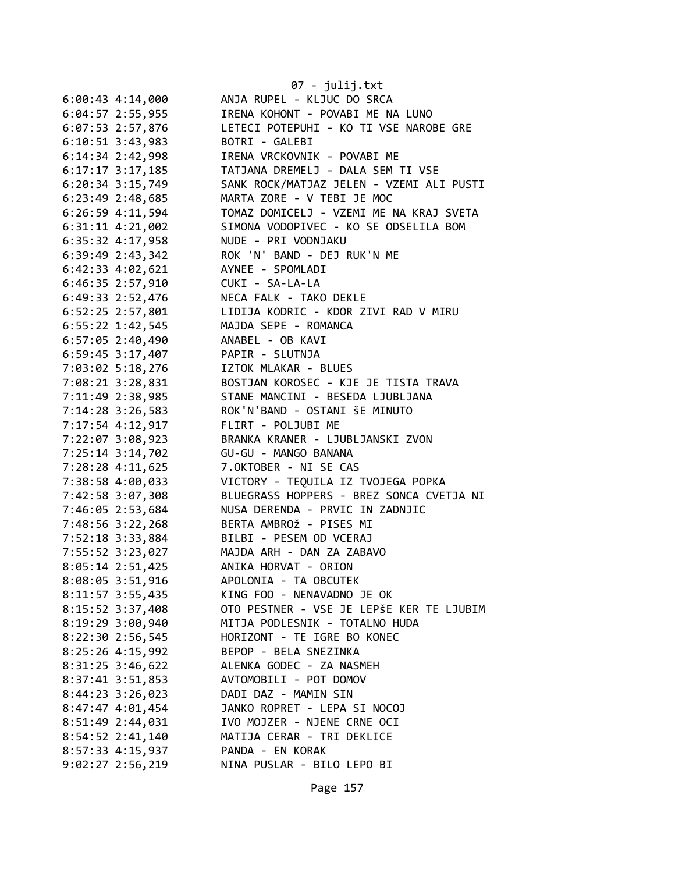|                    | 07 - julij.txt                                     |
|--------------------|----------------------------------------------------|
| 6:00:43 4:14,000   | ANJA RUPEL - KLJUC DO SRCA                         |
| 6:04:57 2:55,955   | IRENA KOHONT - POVABI ME NA LUNO                   |
| 6:07:53 2:57,876   | LETECI POTEPUHI - KO TI VSE NAROBE GRE             |
| $6:10:51$ 3:43,983 | BOTRI - GALEBI                                     |
| 6:14:34 2:42,998   | IRENA VRCKOVNIK - POVABI ME                        |
| $6:17:17$ 3:17,185 | TATJANA DREMELJ - DALA SEM TI VSE                  |
| 6:20:34 3:15,749   | SANK ROCK/MATJAZ JELEN - VZEMI ALI PUSTI           |
| 6:23:49 2:48,685   | MARTA ZORE - V TEBI JE MOC                         |
| 6:26:59 4:11,594   | TOMAZ DOMICELJ - VZEMI ME NA KRAJ SVETA            |
| 6:31:11 4:21,002   | SIMONA VODOPIVEC - KO SE ODSELILA BOM              |
| 6:35:32 4:17,958   | NUDE - PRI VODNJAKU                                |
| 6:39:49 2:43,342   | ROK 'N' BAND - DEJ RUK'N ME                        |
| 6:42:33 4:02,621   | AYNEE - SPOMLADI                                   |
| $6:46:35$ 2:57,910 | CUKI - SA-LA-LA                                    |
| 6:49:33 2:52,476   | NECA FALK - TAKO DEKLE                             |
| 6:52:25 2:57,801   | LIDIJA KODRIC - KDOR ZIVI RAD V MIRU               |
| 6:55:22 1:42,545   | MAJDA SEPE - ROMANCA                               |
| $6:57:05$ 2:40,490 | ANABEL - OB KAVI                                   |
| 6:59:45 3:17,407   | PAPIR - SLUTNJA                                    |
| 7:03:02 5:18,276   | IZTOK MLAKAR - BLUES                               |
| 7:08:21 3:28,831   | BOSTJAN KOROSEC - KJE JE TISTA TRAVA               |
| 7:11:49 2:38,985   | STANE MANCINI - BESEDA LJUBLJANA                   |
| 7:14:28 3:26,583   | ROK'N'BAND - OSTANI ŠE MINUTO                      |
| 7:17:54 4:12,917   | FLIRT - POLJUBI ME                                 |
| 7:22:07 3:08,923   | BRANKA KRANER - LJUBLJANSKI ZVON                   |
| 7:25:14 3:14,702   | GU-GU - MANGO BANANA                               |
| 7:28:28 4:11,625   | 7.OKTOBER - NI SE CAS                              |
| 7:38:58 4:00,033   | VICTORY - TEQUILA IZ TVOJEGA POPKA                 |
| 7:42:58 3:07,308   | BLUEGRASS HOPPERS - BREZ SONCA CVETJA NI           |
| 7:46:05 2:53,684   | NUSA DERENDA - PRVIC IN ZADNJIC                    |
| 7:48:56 3:22,268   | BERTA AMBROŽ - PISES MI                            |
| 7:52:18 3:33,884   | BILBI - PESEM OD VCERAJ                            |
| 7:55:52 3:23,027   | MAJDA ARH - DAN ZA ZABAVO                          |
| 8:05:14 2:51,425   | ANIKA HORVAT - ORION                               |
| 8:08:05 3:51,916   | APOLONIA - TA OBCUTEK                              |
| 8:11:57 3:55,435   | KING FOO - NENAVADNO JE OK                         |
| 8:15:52 3:37,408   | OTO PESTNER - VSE JE LEPŠE KER TE LJUBIM           |
|                    | MITJA PODLESNIK - TOTALNO HUDA                     |
| 8:19:29 3:00,940   |                                                    |
| 8:22:30 2:56,545   | HORIZONT - TE IGRE BO KONEC                        |
| 8:25:26 4:15,992   | BEPOP - BELA SNEZINKA                              |
| 8:31:25 3:46,622   | ALENKA GODEC - ZA NASMEH<br>AVTOMOBILI - POT DOMOV |
| 8:37:41 3:51,853   |                                                    |
| 8:44:23 3:26,023   | DADI DAZ - MAMIN SIN                               |
| 8:47:47 4:01,454   | JANKO ROPRET - LEPA SI NOCOJ                       |
| 8:51:49 2:44,031   | IVO MOJZER - NJENE CRNE OCI                        |
| 8:54:52 2:41,140   | MATIJA CERAR - TRI DEKLICE                         |
| 8:57:33 4:15,937   | PANDA - EN KORAK                                   |
| 9:02:27 2:56,219   | NINA PUSLAR - BILO LEPO BI                         |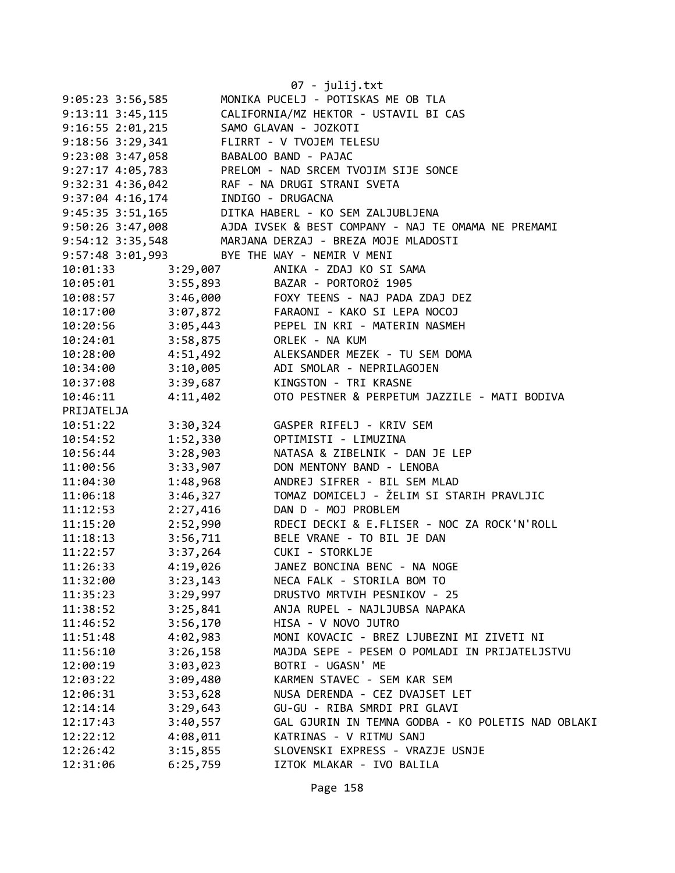|                                        |          | 07 - julij.txt                                        |
|----------------------------------------|----------|-------------------------------------------------------|
| $9:05:23$ 3:56,585                     |          | MONIKA PUCELJ - POTISKAS ME OB TLA                    |
| 9:13:11 3:45,115                       |          | CALIFORNIA/MZ HEKTOR - USTAVIL BI CAS                 |
| $9:16:55$ 2:01,215                     |          | SAMO GLAVAN - JOZKOTI                                 |
| $9:18:56$ $3:29,341$                   |          | FLIRRT - V TVOJEM TELESU                              |
| 9:23:08 3:47,058                       |          | BABALOO BAND - PAJAC                                  |
|                                        |          | 9:27:17 4:05,783 PRELOM - NAD SRCEM TVOJIM SIJE SONCE |
| $9:32:31$ 4:36,042                     |          | RAF - NA DRUGI STRANI SVETA                           |
| $9:37:04$ 4:16,174                     |          | INDIGO - DRUGACNA                                     |
| 9:45:35 3:51,165                       |          | DITKA HABERL - KO SEM ZALJUBLJENA                     |
| 9:50:26 3:47,008                       |          | AJDA IVSEK & BEST COMPANY - NAJ TE OMAMA NE PREMAMI   |
|                                        |          | 9:54:12 3:35,548 MARJANA DERZAJ - BREZA MOJE MLADOSTI |
|                                        |          | 9:57:48 3:01,993 BYE THE WAY - NEMIR V MENI           |
| 10:01:33                               | 3:29,007 | ANIKA - ZDAJ KO SI SAMA                               |
| 10:05:01 3:55,893<br>10:08:57 3:46,000 |          | BAZAR - PORTOROŽ 1905                                 |
|                                        |          | FOXY TEENS - NAJ PADA ZDAJ DEZ                        |
| 10:17:00 3:07,872                      |          | FARAONI - KAKO SI LEPA NOCOJ                          |
| 10:20:56 3:05,443                      |          | PEPEL IN KRI - MATERIN NASMEH                         |
| 10:24:01                               | 3:58,875 | ORLEK - NA KUM                                        |
| 10:28:00 4:51,492                      |          | ALEKSANDER MEZEK - TU SEM DOMA                        |
| 10:34:00                               | 3:10,005 | ADI SMOLAR - NEPRILAGOJEN                             |
| 10:37:08                               | 3:39,687 | KINGSTON - TRI KRASNE                                 |
| 10:46:11                               | 4:11,402 | OTO PESTNER & PERPETUM JAZZILE - MATI BODIVA          |
| PRIJATELJA                             |          |                                                       |
| 10:51:22                               | 3:30,324 | GASPER RIFELJ - KRIV SEM                              |
| 10:54:52                               | 1:52,330 | OPTIMISTI - LIMUZINA                                  |
| 10:56:44                               | 3:28,903 | NATASA & ZIBELNIK - DAN JE LEP                        |
| 11:00:56                               | 3:33,907 | DON MENTONY BAND - LENOBA                             |
| 11:04:30                               | 1:48,968 | ANDREJ SIFRER - BIL SEM MLAD                          |
| 11:06:18                               | 3:46,327 | TOMAZ DOMICELJ - ŽELIM SI STARIH PRAVLJIC             |
| 11:12:53                               | 2:27,416 | DAN D - MOJ PROBLEM                                   |
| 11:15:20                               | 2:52,990 | RDECI DECKI & E.FLISER - NOC ZA ROCK'N'ROLL           |
| 11:18:13                               | 3:56,711 | BELE VRANE - TO BIL JE DAN                            |
| 11:22:57                               |          | 3:37,264 CUKI - STORKLJE                              |
| 11:26:33                               | 4:19,026 | JANEZ BONCINA BENC - NA NOGE                          |
| 11:32:00                               | 3:23,143 | NECA FALK - STORILA BOM TO                            |
| 11:35:23                               | 3:29,997 | DRUSTVO MRTVIH PESNIKOV - 25                          |
| 11:38:52                               | 3:25,841 | ANJA RUPEL - NAJLJUBSA NAPAKA                         |
| 11:46:52                               | 3:56,170 | HISA - V NOVO JUTRO                                   |
| 11:51:48                               | 4:02,983 | MONI KOVACIC - BREZ LJUBEZNI MI ZIVETI NI             |
| 11:56:10                               | 3:26,158 | MAJDA SEPE - PESEM O POMLADI IN PRIJATELJSTVU         |
| 12:00:19                               | 3:03,023 | BOTRI - UGASN' ME                                     |
| 12:03:22                               | 3:09,480 | KARMEN STAVEC - SEM KAR SEM                           |
| 12:06:31                               | 3:53,628 | NUSA DERENDA - CEZ DVAJSET LET                        |
| 12:14:14                               | 3:29,643 | GU-GU - RIBA SMRDI PRI GLAVI                          |
| 12:17:43                               | 3:40,557 | GAL GJURIN IN TEMNA GODBA - KO POLETIS NAD OBLAKI     |
| 12:22:12                               | 4:08,011 | KATRINAS - V RITMU SANJ                               |
| 12:26:42                               | 3:15,855 | SLOVENSKI EXPRESS - VRAZJE USNJE                      |
| 12:31:06                               | 6:25,759 | IZTOK MLAKAR - IVO BALILA                             |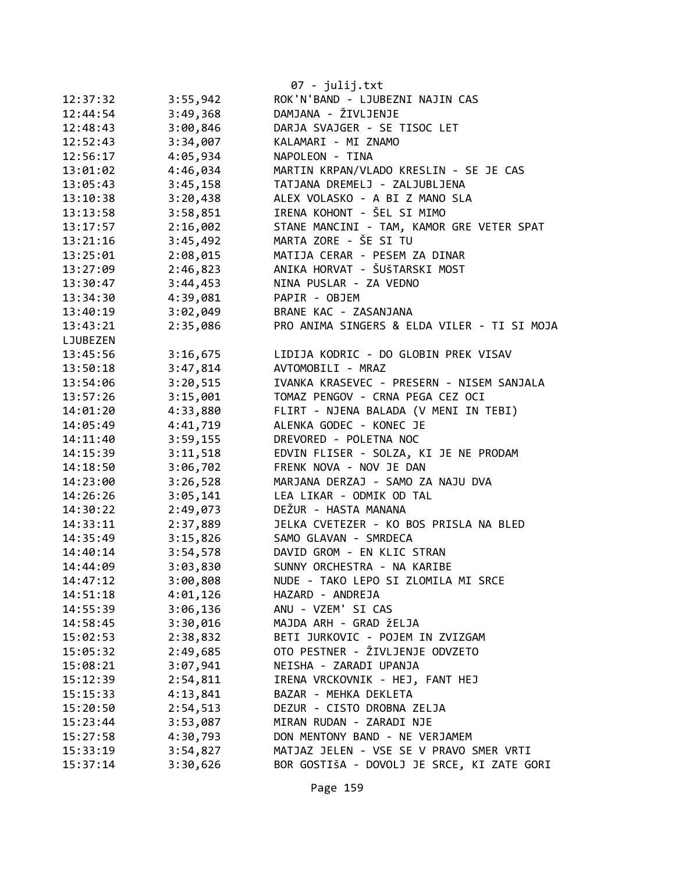|          |          | 07 - julij.txt                              |
|----------|----------|---------------------------------------------|
| 12:37:32 | 3:55,942 | ROK'N'BAND - LJUBEZNI NAJIN CAS             |
| 12:44:54 | 3:49,368 | DAMJANA - ŽIVLJENJE                         |
| 12:48:43 | 3:00,846 | DARJA SVAJGER - SE TISOC LET                |
| 12:52:43 | 3:34,007 | KALAMARI - MI ZNAMO                         |
| 12:56:17 | 4:05,934 | NAPOLEON - TINA                             |
| 13:01:02 | 4:46,034 | MARTIN KRPAN/VLADO KRESLIN - SE JE CAS      |
| 13:05:43 | 3:45,158 | TATJANA DREMELJ - ZALJUBLJENA               |
| 13:10:38 | 3:20,438 | ALEX VOLASKO - A BI Z MANO SLA              |
| 13:13:58 | 3:58,851 | IRENA KOHONT - ŠEL SI MIMO                  |
| 13:17:57 | 2:16,002 | STANE MANCINI - TAM, KAMOR GRE VETER SPAT   |
| 13:21:16 | 3:45,492 | MARTA ZORE - ŠE SI TU                       |
| 13:25:01 | 2:08,015 | MATIJA CERAR - PESEM ZA DINAR               |
| 13:27:09 | 2:46,823 | ANIKA HORVAT - ŠUŠTARSKI MOST               |
| 13:30:47 | 3:44,453 | NINA PUSLAR - ZA VEDNO                      |
| 13:34:30 | 4:39,081 | PAPIR - OBJEM                               |
| 13:40:19 | 3:02,049 | BRANE KAC - ZASANJANA                       |
| 13:43:21 | 2:35,086 | PRO ANIMA SINGERS & ELDA VILER - TI SI MOJA |
| LJUBEZEN |          |                                             |
| 13:45:56 | 3:16,675 | LIDIJA KODRIC - DO GLOBIN PREK VISAV        |
| 13:50:18 | 3:47,814 | AVTOMOBILI - MRAZ                           |
| 13:54:06 | 3:20,515 | IVANKA KRASEVEC - PRESERN - NISEM SANJALA   |
| 13:57:26 | 3:15,001 | TOMAZ PENGOV - CRNA PEGA CEZ OCI            |
| 14:01:20 | 4:33,880 | FLIRT - NJENA BALADA (V MENI IN TEBI)       |
| 14:05:49 | 4:41,719 | ALENKA GODEC - KONEC JE                     |
| 14:11:40 | 3:59,155 | DREVORED - POLETNA NOC                      |
| 14:15:39 | 3:11,518 | EDVIN FLISER - SOLZA, KI JE NE PRODAM       |
| 14:18:50 | 3:06,702 | FRENK NOVA - NOV JE DAN                     |
| 14:23:00 | 3:26,528 | MARJANA DERZAJ - SAMO ZA NAJU DVA           |
| 14:26:26 | 3:05,141 | LEA LIKAR - ODMIK OD TAL                    |
| 14:30:22 | 2:49,073 | DEŽUR - HASTA MANANA                        |
| 14:33:11 | 2:37,889 | JELKA CVETEZER - KO BOS PRISLA NA BLED      |
| 14:35:49 | 3:15,826 | SAMO GLAVAN - SMRDECA                       |
| 14:40:14 | 3:54,578 | DAVID GROM - EN KLIC STRAN                  |
| 14:44:09 | 3:03,830 | SUNNY ORCHESTRA - NA KARIBE                 |
| 14:47:12 | 3:00,808 | NUDE - TAKO LEPO SI ZLOMILA MI SRCE         |
| 14:51:18 | 4:01,126 | HAZARD - ANDREJA                            |
| 14:55:39 | 3:06,136 | ANU - VZEM' SI CAS                          |
| 14:58:45 | 3:30,016 | MAJDA ARH - GRAD ŽELJA                      |
| 15:02:53 | 2:38,832 | BETI JURKOVIC - POJEM IN ZVIZGAM            |
| 15:05:32 | 2:49,685 | OTO PESTNER - ŽIVLJENJE ODVZETO             |
| 15:08:21 | 3:07,941 | NEISHA - ZARADI UPANJA                      |
| 15:12:39 | 2:54,811 | IRENA VRCKOVNIK - HEJ, FANT HEJ             |
| 15:15:33 | 4:13,841 | BAZAR - MEHKA DEKLETA                       |
| 15:20:50 | 2:54,513 | DEZUR - CISTO DROBNA ZELJA                  |
| 15:23:44 | 3:53,087 | MIRAN RUDAN - ZARADI NJE                    |
| 15:27:58 | 4:30,793 | DON MENTONY BAND - NE VERJAMEM              |
| 15:33:19 | 3:54,827 | MATJAZ JELEN - VSE SE V PRAVO SMER VRTI     |
| 15:37:14 | 3:30,626 | BOR GOSTIŠA - DOVOLJ JE SRCE, KI ZATE GORI  |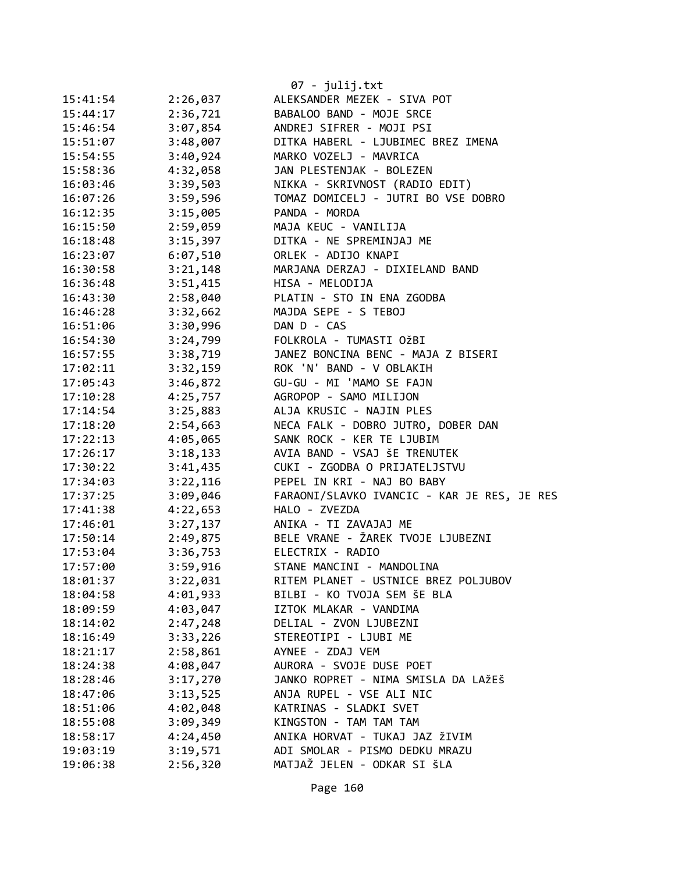|          |          | 07 - julij.txt                              |
|----------|----------|---------------------------------------------|
| 15:41:54 | 2:26,037 | ALEKSANDER MEZEK - SIVA POT                 |
| 15:44:17 | 2:36,721 | BABALOO BAND - MOJE SRCE                    |
| 15:46:54 | 3:07,854 | ANDREJ SIFRER - MOJI PSI                    |
| 15:51:07 | 3:48,007 | DITKA HABERL - LJUBIMEC BREZ IMENA          |
| 15:54:55 | 3:40,924 | MARKO VOZELJ - MAVRICA                      |
| 15:58:36 | 4:32,058 | JAN PLESTENJAK - BOLEZEN                    |
| 16:03:46 | 3:39,503 | NIKKA - SKRIVNOST (RADIO EDIT)              |
| 16:07:26 | 3:59,596 | TOMAZ DOMICELJ - JUTRI BO VSE DOBRO         |
| 16:12:35 | 3:15,005 | PANDA - MORDA                               |
| 16:15:50 | 2:59,059 | MAJA KEUC - VANILIJA                        |
| 16:18:48 | 3:15,397 | DITKA - NE SPREMINJAJ ME                    |
| 16:23:07 | 6:07,510 | ORLEK - ADIJO KNAPI                         |
| 16:30:58 | 3:21,148 | MARJANA DERZAJ - DIXIELAND BAND             |
| 16:36:48 | 3:51,415 | HISA - MELODIJA                             |
| 16:43:30 | 2:58,040 | PLATIN - STO IN ENA ZGODBA                  |
| 16:46:28 | 3:32,662 | MAJDA SEPE - S TEBOJ                        |
| 16:51:06 | 3:30,996 | DAN D - CAS                                 |
| 16:54:30 | 3:24,799 | FOLKROLA - TUMASTI OŽBI                     |
| 16:57:55 | 3:38,719 | JANEZ BONCINA BENC - MAJA Z BISERI          |
| 17:02:11 | 3:32,159 | ROK 'N' BAND - V OBLAKIH                    |
| 17:05:43 | 3:46,872 | GU-GU - MI 'MAMO SE FAJN                    |
| 17:10:28 | 4:25,757 | AGROPOP - SAMO MILIJON                      |
| 17:14:54 | 3:25,883 | ALJA KRUSIC - NAJIN PLES                    |
| 17:18:20 | 2:54,663 | NECA FALK - DOBRO JUTRO, DOBER DAN          |
| 17:22:13 | 4:05,065 | SANK ROCK - KER TE LJUBIM                   |
| 17:26:17 | 3:18,133 | AVIA BAND - VSAJ ŠE TRENUTEK                |
| 17:30:22 | 3:41,435 | CUKI - ZGODBA O PRIJATELJSTVU               |
| 17:34:03 | 3:22,116 | PEPEL IN KRI - NAJ BO BABY                  |
| 17:37:25 | 3:09,046 | FARAONI/SLAVKO IVANCIC - KAR JE RES, JE RES |
| 17:41:38 | 4:22,653 | HALO - ZVEZDA                               |
| 17:46:01 | 3:27,137 | ANIKA - TI ZAVAJAJ ME                       |
| 17:50:14 | 2:49,875 | BELE VRANE - ŽAREK TVOJE LJUBEZNI           |
| 17:53:04 | 3:36,753 | ELECTRIX - RADIO                            |
| 17:57:00 | 3:59,916 | STANE MANCINI - MANDOLINA                   |
| 18:01:37 | 3:22,031 | RITEM PLANET - USTNICE BREZ POLJUBOV        |
| 18:04:58 | 4:01,933 | BILBI - KO TVOJA SEM ŠE BLA                 |
| 18:09:59 | 4:03,047 | IZTOK MLAKAR - VANDIMA                      |
| 18:14:02 | 2:47,248 | DELIAL - ZVON LJUBEZNI                      |
| 18:16:49 | 3:33,226 | STEREOTIPI - LJUBI ME                       |
| 18:21:17 | 2:58,861 | AYNEE - ZDAJ VEM                            |
| 18:24:38 | 4:08,047 | AURORA - SVOJE DUSE POET                    |
| 18:28:46 | 3:17,270 | JANKO ROPRET - NIMA SMISLA DA LAŽEŠ         |
| 18:47:06 | 3:13,525 | ANJA RUPEL - VSE ALI NIC                    |
| 18:51:06 | 4:02,048 | KATRINAS - SLADKI SVET                      |
| 18:55:08 | 3:09,349 | KINGSTON - TAM TAM TAM                      |
| 18:58:17 | 4:24,450 | ANIKA HORVAT - TUKAJ JAZ ŽIVIM              |
| 19:03:19 | 3:19,571 | ADI SMOLAR - PISMO DEDKU MRAZU              |
| 19:06:38 | 2:56,320 | MATJAŽ JELEN - ODKAR SI ŠLA                 |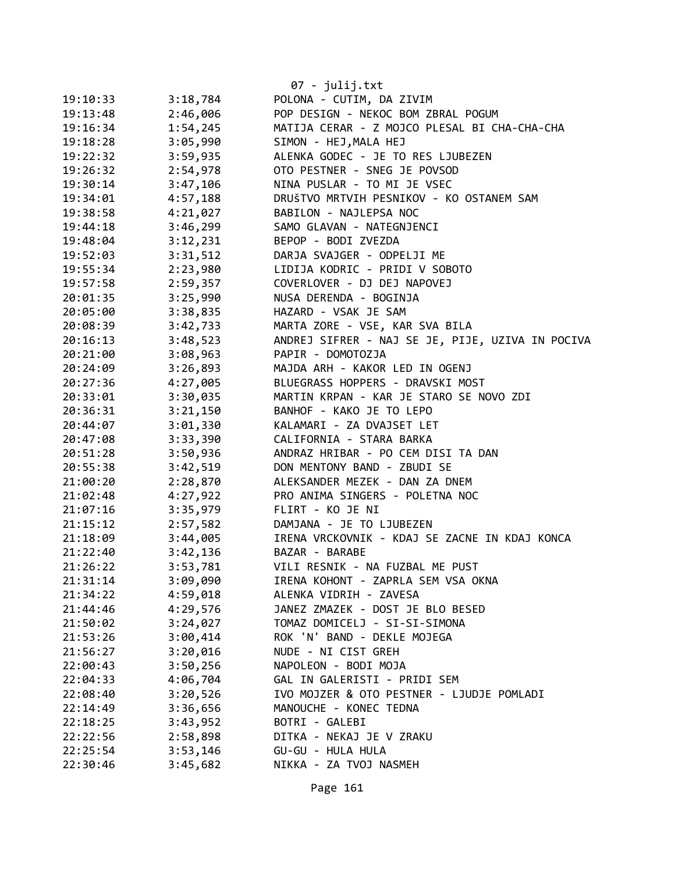|          |          | $07 - julij.txt$                                 |
|----------|----------|--------------------------------------------------|
| 19:10:33 | 3:18,784 | POLONA - CUTIM, DA ZIVIM                         |
| 19:13:48 | 2:46,006 | POP DESIGN - NEKOC BOM ZBRAL POGUM               |
| 19:16:34 | 1:54,245 | MATIJA CERAR - Z MOJCO PLESAL BI CHA-CHA-CHA     |
| 19:18:28 | 3:05,990 | SIMON - HEJ, MALA HEJ                            |
| 19:22:32 | 3:59,935 | ALENKA GODEC - JE TO RES LJUBEZEN                |
| 19:26:32 | 2:54,978 | OTO PESTNER - SNEG JE POVSOD                     |
| 19:30:14 | 3:47,106 | NINA PUSLAR - TO MI JE VSEC                      |
| 19:34:01 | 4:57,188 | DRUŠTVO MRTVIH PESNIKOV - KO OSTANEM SAM         |
| 19:38:58 | 4:21,027 | BABILON - NAJLEPSA NOC                           |
| 19:44:18 | 3:46,299 | SAMO GLAVAN - NATEGNJENCI                        |
| 19:48:04 | 3:12,231 | BEPOP - BODI ZVEZDA                              |
| 19:52:03 | 3:31,512 | DARJA SVAJGER - ODPELJI ME                       |
| 19:55:34 | 2:23,980 | LIDIJA KODRIC - PRIDI V SOBOTO                   |
| 19:57:58 | 2:59,357 | COVERLOVER - DJ DEJ NAPOVEJ                      |
| 20:01:35 | 3:25,990 | NUSA DERENDA - BOGINJA                           |
| 20:05:00 | 3:38,835 | HAZARD - VSAK JE SAM                             |
| 20:08:39 | 3:42,733 | MARTA ZORE - VSE, KAR SVA BILA                   |
| 20:16:13 | 3:48,523 | ANDREJ SIFRER - NAJ SE JE, PIJE, UZIVA IN POCIVA |
| 20:21:00 | 3:08,963 | PAPIR - DOMOTOZJA                                |
| 20:24:09 | 3:26,893 | MAJDA ARH - KAKOR LED IN OGENJ                   |
| 20:27:36 | 4:27,005 | BLUEGRASS HOPPERS - DRAVSKI MOST                 |
| 20:33:01 | 3:30,035 | MARTIN KRPAN - KAR JE STARO SE NOVO ZDI          |
| 20:36:31 | 3:21,150 | BANHOF - KAKO JE TO LEPO                         |
| 20:44:07 | 3:01,330 | KALAMARI - ZA DVAJSET LET                        |
| 20:47:08 | 3:33,390 | CALIFORNIA - STARA BARKA                         |
| 20:51:28 | 3:50,936 | ANDRAZ HRIBAR - PO CEM DISI TA DAN               |
| 20:55:38 | 3:42,519 | DON MENTONY BAND - ZBUDI SE                      |
| 21:00:20 | 2:28,870 | ALEKSANDER MEZEK - DAN ZA DNEM                   |
| 21:02:48 | 4:27,922 | PRO ANIMA SINGERS - POLETNA NOC                  |
| 21:07:16 | 3:35,979 | FLIRT - KO JE NI                                 |
| 21:15:12 | 2:57,582 | DAMJANA - JE TO LJUBEZEN                         |
| 21:18:09 | 3:44,005 | IRENA VRCKOVNIK - KDAJ SE ZACNE IN KDAJ KONCA    |
| 21:22:40 | 3:42,136 | BAZAR - BARABE                                   |
| 21:26:22 | 3:53,781 | VILI RESNIK - NA FUZBAL ME PUST                  |
| 21:31:14 | 3:09,090 | IRENA KOHONT - ZAPRLA SEM VSA OKNA               |
| 21:34:22 | 4:59,018 | ALENKA VIDRIH - ZAVESA                           |
| 21:44:46 | 4:29,576 | JANEZ ZMAZEK - DOST JE BLO BESED                 |
| 21:50:02 | 3:24,027 | TOMAZ DOMICELJ - SI-SI-SIMONA                    |
| 21:53:26 | 3:00,414 | ROK 'N' BAND - DEKLE MOJEGA                      |
| 21:56:27 | 3:20,016 | NUDE - NI CIST GREH                              |
| 22:00:43 | 3:50,256 | NAPOLEON - BODI MOJA                             |
| 22:04:33 | 4:06,704 | GAL IN GALERISTI - PRIDI SEM                     |
| 22:08:40 | 3:20,526 | IVO MOJZER & OTO PESTNER - LJUDJE POMLADI        |
| 22:14:49 | 3:36,656 | MANOUCHE - KONEC TEDNA                           |
| 22:18:25 | 3:43,952 | BOTRI - GALEBI                                   |
| 22:22:56 | 2:58,898 | DITKA - NEKAJ JE V ZRAKU                         |
| 22:25:54 | 3:53,146 | GU-GU - HULA HULA                                |
| 22:30:46 | 3:45,682 | NIKKA - ZA TVOJ NASMEH                           |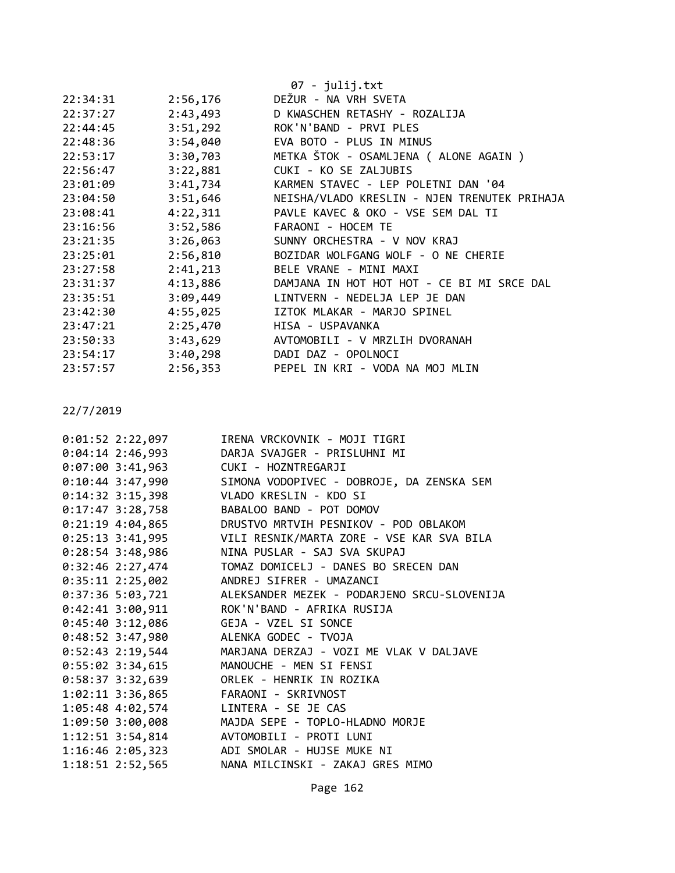|          |          | 07 - julij.txt                               |
|----------|----------|----------------------------------------------|
| 22:34:31 | 2:56,176 | DEŽUR - NA VRH SVETA                         |
| 22:37:27 | 2:43,493 | D KWASCHEN RETASHY - ROZALIJA                |
| 22:44:45 | 3:51,292 | ROK'N'BAND - PRVI PLES                       |
| 22:48:36 | 3:54,040 | EVA BOTO - PLUS IN MINUS                     |
| 22:53:17 | 3:30,703 | METKA ŠTOK - OSAMLJENA ( ALONE AGAIN )       |
| 22:56:47 | 3:22,881 | CUKI - KO SE ZALJUBIS                        |
| 23:01:09 | 3:41,734 | KARMEN STAVEC - LEP POLETNI DAN '04          |
| 23:04:50 | 3:51,646 | NEISHA/VLADO KRESLIN - NJEN TRENUTEK PRIHAJA |
| 23:08:41 | 4:22,311 | PAVLE KAVEC & OKO - VSE SEM DAL TI           |
| 23:16:56 | 3:52,586 | FARAONI - HOCEM TE                           |
| 23:21:35 | 3:26,063 | SUNNY ORCHESTRA - V NOV KRAJ                 |
| 23:25:01 | 2:56,810 | BOZIDAR WOLFGANG WOLF - O NE CHERIE          |
| 23:27:58 | 2:41,213 | BELE VRANE - MINI MAXI                       |
| 23:31:37 | 4:13,886 | DAMJANA IN HOT HOT HOT - CE BI MI SRCE DAL   |
| 23:35:51 | 3:09,449 | LINTVERN - NEDELJA LEP JE DAN                |
| 23:42:30 | 4:55,025 | IZTOK MLAKAR - MARJO SPINEL                  |
| 23:47:21 | 2:25,470 | HISA - USPAVANKA                             |
| 23:50:33 | 3:43,629 | AVTOMOBILI - V MRZLIH DVORANAH               |
| 23:54:17 | 3:40,298 | DADI DAZ - OPOLNOCI                          |
| 23:57:57 | 2:56,353 | PEPEL IN KRI - VODA NA MOJ MLIN              |

| $0:01:52$ 2:22,097                      | IRENA VRCKOVNIK - MOJI TIGRI                                 |
|-----------------------------------------|--------------------------------------------------------------|
|                                         | 0:04:14 2:46,993 DARJA SVAJGER - PRISLUHNI MI                |
| 0:07:00 3:41,963 CUKI - HOZNTREGARJI    |                                                              |
|                                         | 0:10:44 3:47,990 SIMONA VODOPIVEC - DOBROJE, DA ZENSKA SEM   |
| 0:14:32 3:15,398 VLADO KRESLIN - KDO SI |                                                              |
| $0:17:47$ 3:28,758                      | BABALOO BAND - POT DOMOV                                     |
| $0:21:19$ 4:04,865                      | DRUSTVO MRTVIH PESNIKOV - POD OBLAKOM                        |
|                                         | 0:25:13 3:41,995 VILI RESNIK/MARTA ZORE - VSE KAR SVA BILA   |
| $0:28:54$ 3:48,986                      | NINA PUSLAR - SAJ SVA SKUPAJ                                 |
|                                         |                                                              |
|                                         | 0:35:11 2:25,002 ANDREJ SIFRER - UMAZANCI                    |
|                                         | 0:37:36 5:03,721 ALEKSANDER MEZEK - PODARJENO SRCU-SLOVENIJA |
|                                         | 0:42:41 3:00,911 ROK'N'BAND - AFRIKA RUSIJA                  |
| 0:45:40 3:12,086 GEJA - VZEL SI SONCE   |                                                              |
| 0:48:52 3:47,980 ALENKA GODEC - TVOJA   |                                                              |
|                                         | 0:52:43 2:19,544 MARJANA DERZAJ - VOZI ME VLAK V DALJAVE     |
|                                         | 0:55:02 3:34,615 MANOUCHE - MEN SI FENSI                     |
|                                         | 0:58:37 3:32,639 ORLEK - HENRIK IN ROZIKA                    |
| 1:02:11 3:36,865 FARAONI - SKRIVNOST    |                                                              |
| 1:05:48 4:02,574 LINTERA - SE JE CAS    |                                                              |
|                                         | 1:09:50 3:00,008 MAJDA SEPE - TOPLO-HLADNO MORJE             |
|                                         | 1:12:51 3:54,814 AVTOMOBILI - PROTI LUNI                     |
|                                         | 1:16:46 2:05,323 ADI SMOLAR - HUJSE MUKE NI                  |
|                                         | 1:18:51 2:52,565 NANA MILCINSKI - ZAKAJ GRES MIMO            |

Page 162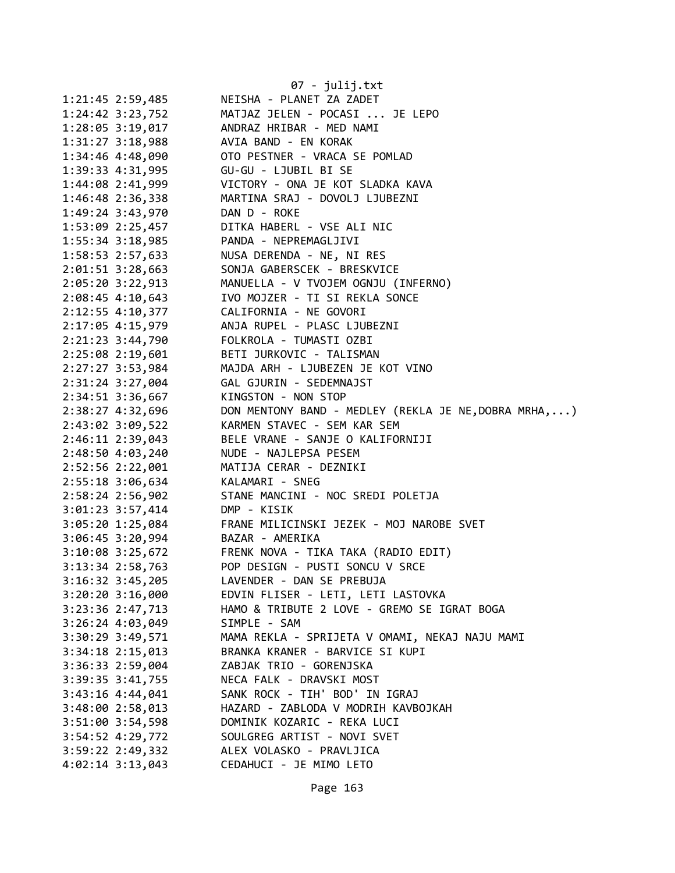|                      | 07 - julij.txt                                        |
|----------------------|-------------------------------------------------------|
| $1:21:45$ $2:59,485$ | NEISHA - PLANET ZA ZADET                              |
| $1:24:42$ $3:23,752$ | MATJAZ JELEN - POCASI  JE LEPO                        |
| 1:28:05 3:19,017     | ANDRAZ HRIBAR - MED NAMI                              |
| 1:31:27 3:18,988     | AVIA BAND - EN KORAK                                  |
| 1:34:46 4:48,090     | OTO PESTNER - VRACA SE POMLAD                         |
| 1:39:33 4:31,995     | GU-GU - LJUBIL BI SE                                  |
| 1:44:08 2:41,999     | VICTORY - ONA JE KOT SLADKA KAVA                      |
| 1:46:48 2:36,338     | MARTINA SRAJ - DOVOLJ LJUBEZNI                        |
| 1:49:24 3:43,970     | DAN D - ROKE                                          |
| $1:53:09$ $2:25,457$ | DITKA HABERL - VSE ALI NIC                            |
| $1:55:34$ 3:18,985   | PANDA - NEPREMAGLJIVI                                 |
| $1:58:53$ $2:57,633$ | NUSA DERENDA - NE, NI RES                             |
| 2:01:51 3:28,663     | SONJA GABERSCEK - BRESKVICE                           |
| $2:05:20$ 3:22,913   | MANUELLA - V TVOJEM OGNJU (INFERNO)                   |
| $2:08:45$ 4:10,643   | IVO MOJZER - TI SI REKLA SONCE                        |
| 2:12:55 4:10,377     | CALIFORNIA - NE GOVORI                                |
| 2:17:05 4:15,979     | ANJA RUPEL - PLASC LJUBEZNI                           |
| 2:21:23 3:44,790     | FOLKROLA - TUMASTI OZBI                               |
| 2:25:08 2:19,601     | BETI JURKOVIC - TALISMAN                              |
| 2:27:27 3:53,984     | MAJDA ARH - LJUBEZEN JE KOT VINO                      |
| 2:31:24 3:27,004     | GAL GJURIN - SEDEMNAJST                               |
| 2:34:51 3:36,667     | KINGSTON - NON STOP                                   |
| 2:38:27 4:32,696     | DON MENTONY BAND - MEDLEY (REKLA JE NE, DOBRA MRHA, ) |
| 2:43:02 3:09,522     | KARMEN STAVEC - SEM KAR SEM                           |
| 2:46:11 2:39,043     | BELE VRANE - SANJE O KALIFORNIJI                      |
| 2:48:50 4:03,240     | NUDE - NAJLEPSA PESEM                                 |
| 2:52:56 2:22,001     | MATIJA CERAR - DEZNIKI                                |
| 2:55:18 3:06,634     | KALAMARI - SNEG                                       |
| 2:58:24 2:56,902     | STANE MANCINI - NOC SREDI POLETJA                     |
| 3:01:23 3:57,414     | DMP - KISIK                                           |
| 3:05:20 1:25,084     | FRANE MILICINSKI JEZEK - MOJ NAROBE SVET              |
| $3:06:45$ 3:20,994   | BAZAR - AMERIKA                                       |
| $3:10:08$ 3:25,672   | FRENK NOVA - TIKA TAKA (RADIO EDIT)                   |
| 3:13:34 2:58,763     | POP DESIGN - PUSTI SONCU V SRCE                       |
| 3:16:32 3:45,205     | LAVENDER - DAN SE PREBUJA                             |
| 3:20:20 3:16,000     | EDVIN FLISER - LETI, LETI LASTOVKA                    |
| 3:23:36 2:47,713     | HAMO & TRIBUTE 2 LOVE - GREMO SE IGRAT BOGA           |
| $3:26:24$ 4:03,049   | SIMPLE - SAM                                          |
| 3:30:29 3:49,571     | MAMA REKLA - SPRIJETA V OMAMI, NEKAJ NAJU MAMI        |
| $3:34:18$ $2:15,013$ | BRANKA KRANER - BARVICE SI KUPI                       |
| 3:36:33 2:59,004     | ZABJAK TRIO - GORENJSKA                               |
| 3:39:35 3:41,755     | NECA FALK - DRAVSKI MOST                              |
| $3:43:16$ 4:44,041   | SANK ROCK - TIH' BOD' IN IGRAJ                        |
| 3:48:00 2:58,013     | HAZARD - ZABLODA V MODRIH KAVBOJKAH                   |
| 3:51:00 3:54,598     | DOMINIK KOZARIC - REKA LUCI                           |
| 3:54:52 4:29,772     | SOULGREG ARTIST - NOVI SVET                           |
| 3:59:22 2:49,332     | ALEX VOLASKO - PRAVLJICA                              |
| $4:02:14$ 3:13,043   | CEDAHUCI - JE MIMO LETO                               |
|                      |                                                       |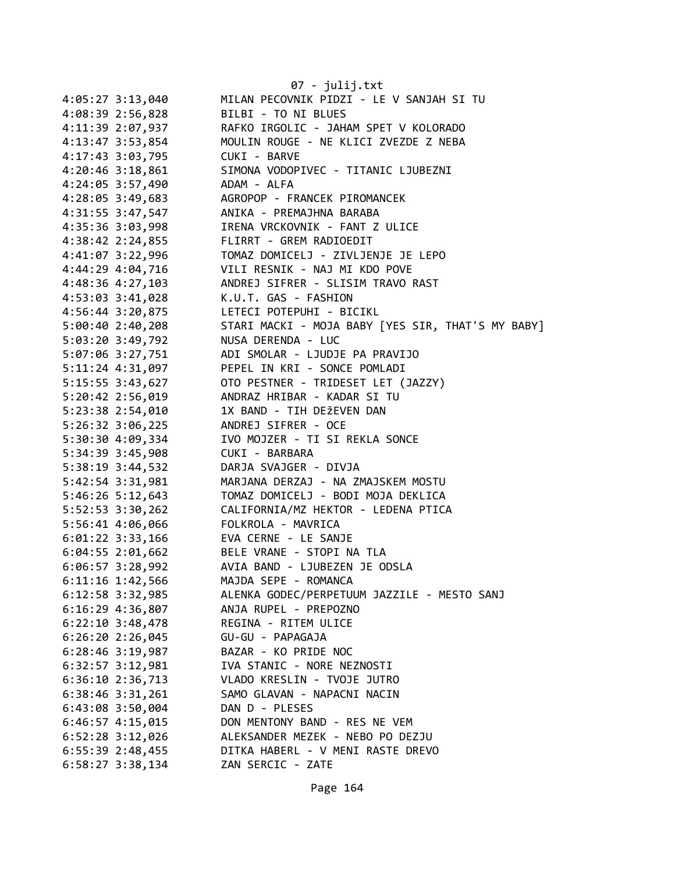| 4:05:27 3:13,040                       | 07 - julij.txt<br>MILAN PECOVNIK PIDZI - LE V SANJAH SI TU |
|----------------------------------------|------------------------------------------------------------|
| 4:08:39 2:56,828                       | BILBI - TO NI BLUES                                        |
| 4:11:39 2:07,937                       | RAFKO IRGOLIC - JAHAM SPET V KOLORADO                      |
| 4:13:47 3:53,854                       | MOULIN ROUGE - NE KLICI ZVEZDE Z NEBA                      |
| 4:17:43 3:03,795                       | CUKI - BARVE                                               |
|                                        | SIMONA VODOPIVEC - TITANIC LJUBEZNI                        |
| $4:20:46$ 3:18,861<br>4:24:05 3:57,490 | ADAM - ALFA                                                |
|                                        |                                                            |
| 4:28:05 3:49,683                       | AGROPOP - FRANCEK PIROMANCEK                               |
| 4:31:55 3:47,547                       | ANIKA - PREMAJHNA BARABA                                   |
| 4:35:36 3:03,998                       | IRENA VRCKOVNIK - FANT Z ULICE                             |
| 4:38:42 2:24,855                       | FLIRRT - GREM RADIOEDIT                                    |
| 4:41:07 3:22,996                       | TOMAZ DOMICELJ - ZIVLJENJE JE LEPO                         |
| 4:44:29 4:04,716                       | VILI RESNIK - NAJ MI KDO POVE                              |
| 4:48:36 4:27,103                       | ANDREJ SIFRER - SLISIM TRAVO RAST                          |
| 4:53:03 3:41,028                       | K.U.T. GAS - FASHION                                       |
| 4:56:44 3:20,875                       | LETECI POTEPUHI - BICIKL                                   |
| $5:00:40$ 2:40,208                     | STARI MACKI - MOJA BABY [YES SIR, THAT'S MY BABY]          |
| 5:03:20 3:49,792                       | NUSA DERENDA - LUC                                         |
| 5:07:06 3:27,751                       | ADI SMOLAR - LJUDJE PA PRAVIJO                             |
| 5:11:24 4:31,097                       | PEPEL IN KRI - SONCE POMLADI                               |
| $5:15:55$ $3:43,627$                   | OTO PESTNER - TRIDESET LET (JAZZY)                         |
| 5:20:42 2:56,019                       | ANDRAZ HRIBAR - KADAR SI TU                                |
| 5:23:38 2:54,010                       | 1X BAND - TIH DEŽEVEN DAN                                  |
| 5:26:32 3:06,225                       | ANDREJ SIFRER - OCE                                        |
| 5:30:30 4:09,334                       | IVO MOJZER - TI SI REKLA SONCE                             |
| 5:34:39 3:45,908                       | CUKI - BARBARA                                             |
| 5:38:19 3:44,532                       | DARJA SVAJGER - DIVJA                                      |
| 5:42:54 3:31,981                       | MARJANA DERZAJ - NA ZMAJSKEM MOSTU                         |
| $5:46:26$ $5:12,643$                   | TOMAZ DOMICELJ - BODI MOJA DEKLICA                         |
| 5:52:53 3:30,262                       | CALIFORNIA/MZ HEKTOR - LEDENA PTICA                        |
| 5:56:41 4:06,066                       | FOLKROLA - MAVRICA                                         |
| $6:01:22$ 3:33,166                     | EVA CERNE - LE SANJE                                       |
| $6:04:55$ 2:01,662                     | BELE VRANE - STOPI NA TLA                                  |
| 6:06:57 3:28,992                       | AVIA BAND - LJUBEZEN JE ODSLA                              |
| 6:11:16 1:42,566                       | MAJDA SEPE - ROMANCA                                       |
| $6:12:58$ 3:32,985                     | ALENKA GODEC/PERPETUUM JAZZILE - MESTO SANJ                |
| $6:16:29$ 4:36,807                     | ANJA RUPEL - PREPOZNO                                      |
| $6:22:10$ 3:48,478                     | REGINA - RITEM ULICE                                       |
| $6:26:20$ 2:26,045                     | GU-GU - PAPAGAJA                                           |
| $6:28:46$ 3:19,987                     | BAZAR - KO PRIDE NOC                                       |
| $6:32:57$ $3:12,981$                   | IVA STANIC - NORE NEZNOSTI                                 |
| 6:36:10 2:36,713                       | VLADO KRESLIN - TVOJE JUTRO                                |
| $6:38:46$ 3:31,261                     | SAMO GLAVAN - NAPACNI NACIN                                |
| 6:43:08 3:50,004                       | DAN D - PLESES                                             |
| $6:46:57$ 4:15,015                     | DON MENTONY BAND - RES NE VEM                              |
| 6:52:28 3:12,026                       | ALEKSANDER MEZEK - NEBO PO DEZJU                           |
| $6:55:39$ 2:48,455                     | DITKA HABERL - V MENI RASTE DREVO                          |
| $6:58:27$ 3:38,134                     | ZAN SERCIC - ZATE                                          |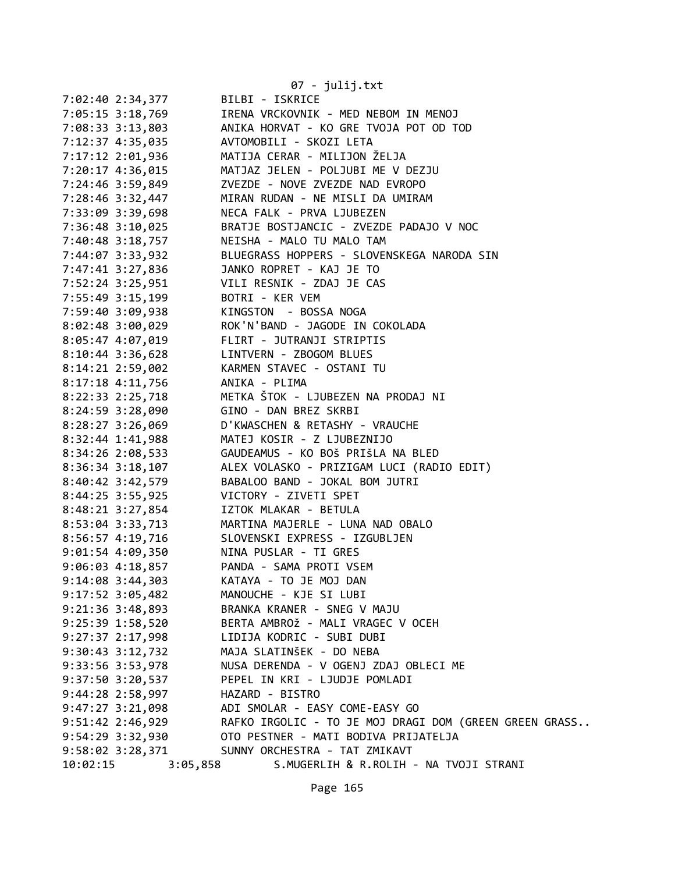|                      |                  | 07 - julij.txt                                                                                                                |
|----------------------|------------------|-------------------------------------------------------------------------------------------------------------------------------|
|                      | 7:02:40 2:34,377 | BILBI - ISKRICE                                                                                                               |
|                      |                  |                                                                                                                               |
|                      |                  | 7:05:15 3:18,769 IRENA VRCKOVNIK - MED NEBOM IN MENOJ<br>7:08:33 3:13,803 ANIKA HORVAT - KO GRE TVOJA POT OD TOD              |
|                      |                  |                                                                                                                               |
|                      |                  | 7:17:12 2:01,936 MATIJA CERAR - MILIJON ŽELJA                                                                                 |
|                      |                  | 7:20:17 4:36,015 MATJAZ JELEN - POLJUBI ME V DEZJU                                                                            |
|                      |                  |                                                                                                                               |
|                      |                  | 7:28:46 3:32,447 MIRAN RUDAN - NE MISLI DA UMIRAM                                                                             |
|                      |                  | 7:33:09 3:39,698<br>7:33:09 3:39,698 NECA FALK - PRVA LJUBEZEN<br>7:36:48 3:10,025 BRATJE BOSTJANCIC - ZVEZDE PADAJO V NOC    |
|                      |                  |                                                                                                                               |
|                      |                  | 7:40:48 3:18,757 NEISHA - MALO TU MALO TAM                                                                                    |
|                      |                  | 7:44:07 3:33,932 BLUEGRASS HOPPERS - SLOVENSKEGA NARODA SIN                                                                   |
|                      |                  | 7:47:41 3:27,836 JANKO ROPRET - KAJ JE TO                                                                                     |
|                      |                  | 7:52:24 3:25,951 VILI RESNIK - ZDAJ JE CAS                                                                                    |
|                      |                  |                                                                                                                               |
|                      |                  | 7:55:49 3:15,199<br>7:59:40 3:09,938<br>8:02:48 3:00,029<br>8:05:47 4:07,019<br>8:05:47 1:07,019<br>PLIRT - JUTRANJI STRIPTIS |
|                      |                  |                                                                                                                               |
|                      |                  |                                                                                                                               |
|                      |                  | 8:10:44 3:36,628 LINTVERN - ZBOGOM BLUES                                                                                      |
|                      |                  | 8:14:21 2:59,002 KARMEN STAVEC - OSTANI TU                                                                                    |
|                      |                  | 8:17:18 4:11,756 ANIKA - PLIMA                                                                                                |
|                      |                  | 8:22:33 2:25,718 METKA ŠTOK - LJUBEZEN NA PRODAJ NI                                                                           |
|                      |                  |                                                                                                                               |
|                      |                  | 8:24:59 3:28,090 GINO - DAN BREZ SKRBI<br>8:28:27 3:26,069 D'KWASCHEN & RETASHY - VRAUCHE                                     |
|                      |                  | 8:32:44 1:41,988 MATEJ KOSIR - Z LJUBEZNIJO                                                                                   |
|                      |                  |                                                                                                                               |
|                      |                  | 8:36:34 3:18,107 ALEX VOLASKO - PRIZIGAM LUCI (RADIO EDIT)                                                                    |
|                      |                  | 8:40:42 3:42,579 BABALOO BAND - JOKAL BOM JUTRI                                                                               |
|                      |                  | 8:44:25 3:55,925 VICTORY - ZIVETI SPET                                                                                        |
|                      |                  | 8:48:21 3:27,854<br>8:53:04 3:33,713 MARTINA MAJERLE - LUNA NAD OBALO<br>8:56:57 4:19,716 SLOVENSKI EXPRESS - IZGUBLJEN       |
|                      |                  |                                                                                                                               |
|                      |                  |                                                                                                                               |
|                      |                  | 9:01:54 4:09,350 NINA PUSLAR - TI GRES                                                                                        |
| 9:06:03 4:18,857     |                  | PANDA - SAMA PROTI VSEM                                                                                                       |
| $9:14:08$ 3:44,303   |                  | KATAYA - TO JE MOJ DAN                                                                                                        |
| 9:17:52 3:05,482     |                  | MANOUCHE - KJE SI LUBI                                                                                                        |
| 9:21:36 3:48,893     |                  | BRANKA KRANER - SNEG V MAJU                                                                                                   |
| 9:25:39 1:58,520     |                  | BERTA AMBROŽ - MALI VRAGEC V OCEH                                                                                             |
| $9:27:37$ $2:17,998$ |                  | LIDIJA KODRIC - SUBI DUBI                                                                                                     |
| $9:30:43$ $3:12,732$ |                  | MAJA SLATINŠEK - DO NEBA                                                                                                      |
| 9:33:56 3:53,978     |                  | NUSA DERENDA - V OGENJ ZDAJ OBLECI ME                                                                                         |
| $9:37:50$ $3:20,537$ |                  | PEPEL IN KRI - LJUDJE POMLADI                                                                                                 |
| 9:44:28 2:58,997     |                  | HAZARD - BISTRO                                                                                                               |
| 9:47:27 3:21,098     |                  | ADI SMOLAR - EASY COME-EASY GO                                                                                                |
| 9:51:42 2:46,929     |                  | RAFKO IRGOLIC - TO JE MOJ DRAGI DOM (GREEN GREEN GRASS                                                                        |
| 9:54:29 3:32,930     |                  | OTO PESTNER - MATI BODIVA PRIJATELJA                                                                                          |
| 9:58:02 3:28,371     |                  | SUNNY ORCHESTRA - TAT ZMIKAVT                                                                                                 |
| 10:02:15             | 3:05,858         | S.MUGERLIH & R.ROLIH - NA TVOJI STRANI                                                                                        |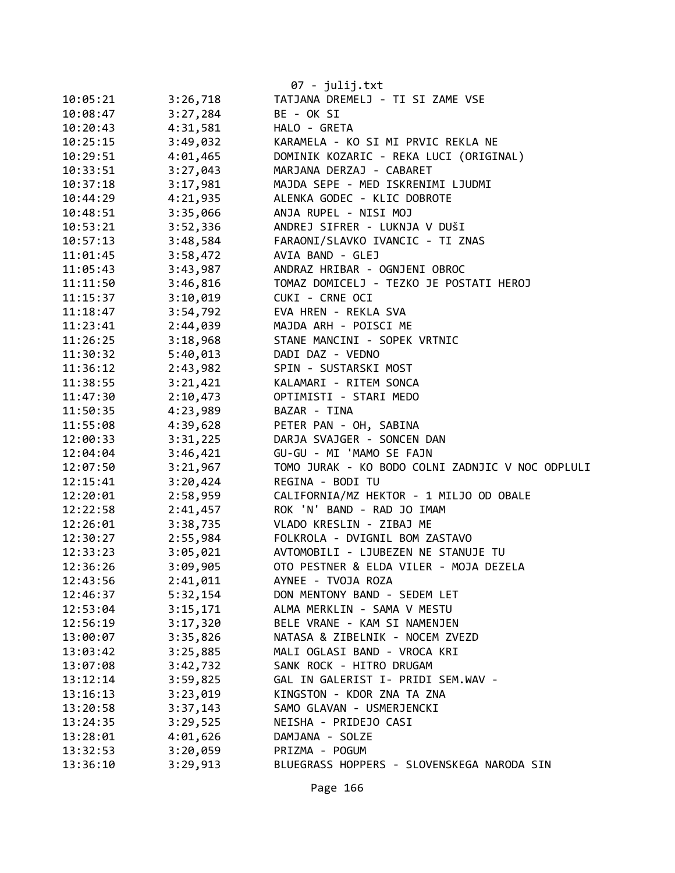|          |          | 07 - julij.txt                                   |
|----------|----------|--------------------------------------------------|
| 10:05:21 | 3:26,718 | TATJANA DREMELJ - TI SI ZAME VSE                 |
| 10:08:47 | 3:27,284 | BE - OK SI                                       |
| 10:20:43 | 4:31,581 | HALO - GRETA                                     |
| 10:25:15 | 3:49,032 | KARAMELA - KO SI MI PRVIC REKLA NE               |
| 10:29:51 | 4:01,465 | DOMINIK KOZARIC - REKA LUCI (ORIGINAL)           |
| 10:33:51 | 3:27,043 | MARJANA DERZAJ - CABARET                         |
| 10:37:18 | 3:17,981 | MAJDA SEPE - MED ISKRENIMI LJUDMI                |
| 10:44:29 | 4:21,935 | ALENKA GODEC - KLIC DOBROTE                      |
| 10:48:51 | 3:35,066 | ANJA RUPEL - NISI MOJ                            |
| 10:53:21 | 3:52,336 | ANDREJ SIFRER - LUKNJA V DUŠI                    |
| 10:57:13 | 3:48,584 | FARAONI/SLAVKO IVANCIC - TI ZNAS                 |
| 11:01:45 | 3:58,472 | AVIA BAND - GLEJ                                 |
| 11:05:43 | 3:43,987 | ANDRAZ HRIBAR - OGNJENI OBROC                    |
| 11:11:50 | 3:46,816 | TOMAZ DOMICELJ - TEZKO JE POSTATI HEROJ          |
| 11:15:37 | 3:10,019 | CUKI - CRNE OCI                                  |
| 11:18:47 | 3:54,792 | EVA HREN - REKLA SVA                             |
| 11:23:41 | 2:44,039 | MAJDA ARH - POISCI ME                            |
| 11:26:25 | 3:18,968 | STANE MANCINI - SOPEK VRTNIC                     |
| 11:30:32 | 5:40,013 | DADI DAZ - VEDNO                                 |
| 11:36:12 | 2:43,982 | SPIN - SUSTARSKI MOST                            |
| 11:38:55 | 3:21,421 | KALAMARI - RITEM SONCA                           |
| 11:47:30 | 2:10,473 | OPTIMISTI - STARI MEDO                           |
| 11:50:35 | 4:23,989 | BAZAR - TINA                                     |
| 11:55:08 | 4:39,628 | PETER PAN - OH, SABINA                           |
| 12:00:33 | 3:31,225 | DARJA SVAJGER - SONCEN DAN                       |
| 12:04:04 | 3:46,421 | GU-GU - MI 'MAMO SE FAJN                         |
| 12:07:50 | 3:21,967 | TOMO JURAK - KO BODO COLNI ZADNJIC V NOC ODPLULI |
| 12:15:41 | 3:20,424 | REGINA - BODI TU                                 |
| 12:20:01 | 2:58,959 | CALIFORNIA/MZ HEKTOR - 1 MILJO OD OBALE          |
| 12:22:58 | 2:41,457 | ROK 'N' BAND - RAD JO IMAM                       |
| 12:26:01 | 3:38,735 | VLADO KRESLIN - ZIBAJ ME                         |
| 12:30:27 | 2:55,984 | FOLKROLA - DVIGNIL BOM ZASTAVO                   |
| 12:33:23 | 3:05,021 | AVTOMOBILI - LJUBEZEN NE STANUJE TU              |
| 12:36:26 | 3:09,905 | OTO PESTNER & ELDA VILER - MOJA DEZELA           |
| 12:43:56 | 2:41,011 | AYNEE - TVOJA ROZA                               |
| 12:46:37 | 5:32,154 | DON MENTONY BAND - SEDEM LET                     |
| 12:53:04 | 3:15,171 | ALMA MERKLIN - SAMA V MESTU                      |
| 12:56:19 | 3:17,320 | BELE VRANE - KAM SI NAMENJEN                     |
| 13:00:07 | 3:35,826 | NATASA & ZIBELNIK - NOCEM ZVEZD                  |
| 13:03:42 | 3:25,885 | MALI OGLASI BAND - VROCA KRI                     |
| 13:07:08 | 3:42,732 | SANK ROCK - HITRO DRUGAM                         |
| 13:12:14 | 3:59,825 | GAL IN GALERIST I- PRIDI SEM.WAV -               |
| 13:16:13 | 3:23,019 | KINGSTON - KDOR ZNA TA ZNA                       |
| 13:20:58 | 3:37,143 | SAMO GLAVAN - USMERJENCKI                        |
| 13:24:35 | 3:29,525 | NEISHA - PRIDEJO CASI                            |
| 13:28:01 | 4:01,626 | DAMJANA - SOLZE                                  |
| 13:32:53 | 3:20,059 | PRIZMA - POGUM                                   |
| 13:36:10 | 3:29,913 | BLUEGRASS HOPPERS - SLOVENSKEGA NARODA SIN       |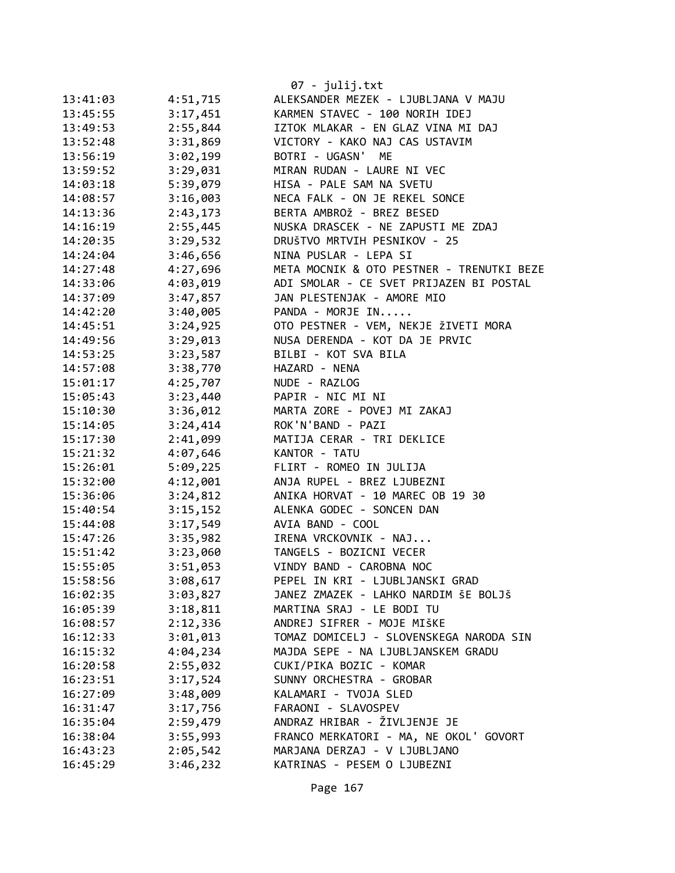|          |          | 07 - julij.txt                            |
|----------|----------|-------------------------------------------|
| 13:41:03 | 4:51,715 | ALEKSANDER MEZEK - LJUBLJANA V MAJU       |
| 13:45:55 | 3:17,451 | KARMEN STAVEC - 100 NORIH IDEJ            |
| 13:49:53 | 2:55,844 | IZTOK MLAKAR - EN GLAZ VINA MI DAJ        |
| 13:52:48 | 3:31,869 | VICTORY - KAKO NAJ CAS USTAVIM            |
| 13:56:19 | 3:02,199 | BOTRI - UGASN'<br>ME                      |
| 13:59:52 | 3:29,031 | MIRAN RUDAN - LAURE NI VEC                |
| 14:03:18 | 5:39,079 | HISA - PALE SAM NA SVETU                  |
| 14:08:57 | 3:16,003 | NECA FALK - ON JE REKEL SONCE             |
| 14:13:36 | 2:43,173 | BERTA AMBROŽ - BREZ BESED                 |
| 14:16:19 | 2:55,445 | NUSKA DRASCEK - NE ZAPUSTI ME ZDAJ        |
| 14:20:35 | 3:29,532 | DRUŠTVO MRTVIH PESNIKOV - 25              |
| 14:24:04 | 3:46,656 | NINA PUSLAR - LEPA SI                     |
| 14:27:48 | 4:27,696 | META MOCNIK & OTO PESTNER - TRENUTKI BEZE |
| 14:33:06 | 4:03,019 | ADI SMOLAR - CE SVET PRIJAZEN BI POSTAL   |
| 14:37:09 | 3:47,857 | JAN PLESTENJAK - AMORE MIO                |
| 14:42:20 | 3:40,005 | PANDA - MORJE IN                          |
| 14:45:51 | 3:24,925 | OTO PESTNER - VEM, NEKJE ŽIVETI MORA      |
| 14:49:56 | 3:29,013 | NUSA DERENDA - KOT DA JE PRVIC            |
| 14:53:25 | 3:23,587 | BILBI - KOT SVA BILA                      |
| 14:57:08 | 3:38,770 | HAZARD - NENA                             |
| 15:01:17 | 4:25,707 | NUDE - RAZLOG                             |
| 15:05:43 | 3:23,440 | PAPIR - NIC MI NI                         |
| 15:10:30 | 3:36,012 | MARTA ZORE - POVEJ MI ZAKAJ               |
| 15:14:05 | 3:24,414 | ROK'N'BAND - PAZI                         |
| 15:17:30 | 2:41,099 | MATIJA CERAR - TRI DEKLICE                |
| 15:21:32 | 4:07,646 | KANTOR - TATU                             |
| 15:26:01 | 5:09,225 | FLIRT - ROMEO IN JULIJA                   |
| 15:32:00 | 4:12,001 | ANJA RUPEL - BREZ LJUBEZNI                |
| 15:36:06 | 3:24,812 | ANIKA HORVAT - 10 MAREC OB 19 30          |
| 15:40:54 | 3:15,152 | ALENKA GODEC - SONCEN DAN                 |
| 15:44:08 | 3:17,549 | AVIA BAND - COOL                          |
| 15:47:26 | 3:35,982 | IRENA VRCKOVNIK - NAJ                     |
| 15:51:42 | 3:23,060 | TANGELS - BOZICNI VECER                   |
| 15:55:05 | 3:51,053 | VINDY BAND - CAROBNA NOC                  |
| 15:58:56 | 3:08,617 | PEPEL IN KRI - LJUBLJANSKI GRAD           |
| 16:02:35 | 3:03,827 | JANEZ ZMAZEK - LAHKO NARDIM ŠE BOLJŠ      |
| 16:05:39 | 3:18,811 | MARTINA SRAJ - LE BODI TU                 |
| 16:08:57 | 2:12,336 | ANDREJ SIFRER - MOJE MIŠKE                |
| 16:12:33 | 3:01,013 | TOMAZ DOMICELJ - SLOVENSKEGA NARODA SIN   |
| 16:15:32 | 4:04,234 | MAJDA SEPE - NA LJUBLJANSKEM GRADU        |
| 16:20:58 | 2:55,032 | CUKI/PIKA BOZIC - KOMAR                   |
| 16:23:51 | 3:17,524 | SUNNY ORCHESTRA - GROBAR                  |
| 16:27:09 | 3:48,009 | KALAMARI - TVOJA SLED                     |
| 16:31:47 | 3:17,756 | FARAONI - SLAVOSPEV                       |
| 16:35:04 | 2:59,479 | ANDRAZ HRIBAR - ŽIVLJENJE JE              |
| 16:38:04 | 3:55,993 | FRANCO MERKATORI - MA, NE OKOL' GOVORT    |
| 16:43:23 | 2:05,542 | MARJANA DERZAJ - V LJUBLJANO              |
| 16:45:29 | 3:46,232 | KATRINAS - PESEM O LJUBEZNI               |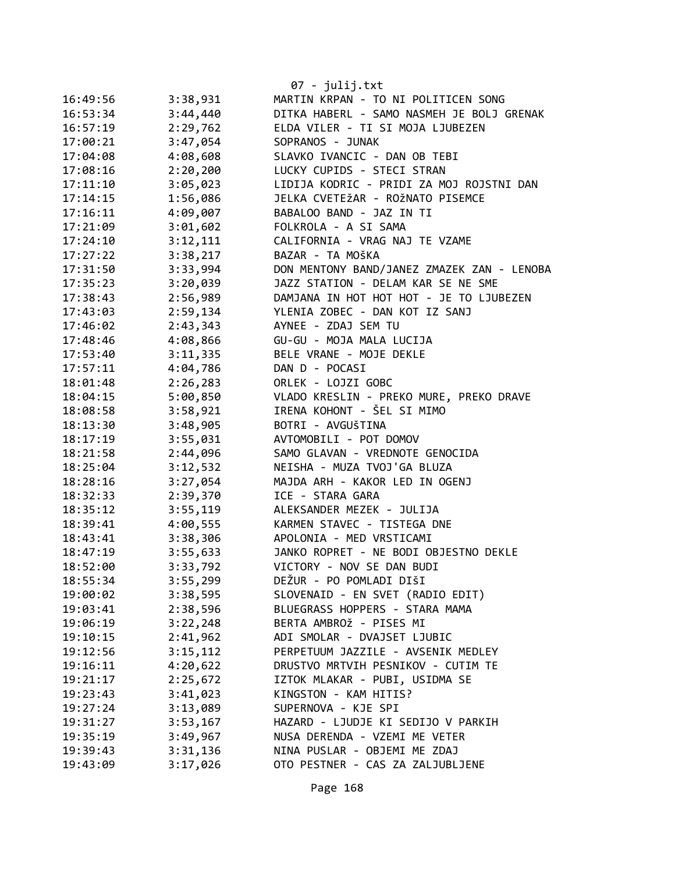|          |          | 07 - julij.txt                             |
|----------|----------|--------------------------------------------|
| 16:49:56 | 3:38,931 | MARTIN KRPAN - TO NI POLITICEN SONG        |
| 16:53:34 | 3:44,440 | DITKA HABERL - SAMO NASMEH JE BOLJ GRENAK  |
| 16:57:19 | 2:29,762 | ELDA VILER - TI SI MOJA LJUBEZEN           |
| 17:00:21 | 3:47,054 | SOPRANOS - JUNAK                           |
| 17:04:08 | 4:08,608 | SLAVKO IVANCIC - DAN OB TEBI               |
| 17:08:16 | 2:20,200 | LUCKY CUPIDS - STECI STRAN                 |
| 17:11:10 | 3:05,023 | LIDIJA KODRIC - PRIDI ZA MOJ ROJSTNI DAN   |
| 17:14:15 | 1:56,086 | JELKA CVETEŽAR - ROŽNATO PISEMCE           |
| 17:16:11 | 4:09,007 | BABALOO BAND - JAZ IN TI                   |
| 17:21:09 | 3:01,602 | FOLKROLA - A SI SAMA                       |
| 17:24:10 | 3:12,111 | CALIFORNIA - VRAG NAJ TE VZAME             |
| 17:27:22 | 3:38,217 | BAZAR - TA MOŠKA                           |
| 17:31:50 | 3:33,994 | DON MENTONY BAND/JANEZ ZMAZEK ZAN - LENOBA |
| 17:35:23 | 3:20,039 | JAZZ STATION - DELAM KAR SE NE SME         |
| 17:38:43 | 2:56,989 | DAMJANA IN HOT HOT HOT - JE TO LJUBEZEN    |
| 17:43:03 | 2:59,134 | YLENIA ZOBEC - DAN KOT IZ SANJ             |
| 17:46:02 | 2:43,343 | AYNEE - ZDAJ SEM TU                        |
| 17:48:46 | 4:08,866 | GU-GU - MOJA MALA LUCIJA                   |
| 17:53:40 | 3:11,335 | BELE VRANE - MOJE DEKLE                    |
| 17:57:11 | 4:04,786 | DAN D - POCASI                             |
| 18:01:48 | 2:26,283 | ORLEK - LOJZI GOBC                         |
| 18:04:15 | 5:00,850 | VLADO KRESLIN - PREKO MURE, PREKO DRAVE    |
| 18:08:58 | 3:58,921 | IRENA KOHONT - ŠEL SI MIMO                 |
| 18:13:30 | 3:48,905 | BOTRI - AVGUŠTINA                          |
| 18:17:19 | 3:55,031 | AVTOMOBILI - POT DOMOV                     |
| 18:21:58 | 2:44,096 | SAMO GLAVAN - VREDNOTE GENOCIDA            |
| 18:25:04 | 3:12,532 | NEISHA - MUZA TVOJ'GA BLUZA                |
| 18:28:16 | 3:27,054 | MAJDA ARH - KAKOR LED IN OGENJ             |
| 18:32:33 | 2:39,370 | ICE - STARA GARA                           |
| 18:35:12 | 3:55,119 | ALEKSANDER MEZEK - JULIJA                  |
| 18:39:41 | 4:00,555 | KARMEN STAVEC - TISTEGA DNE                |
| 18:43:41 | 3:38,306 | APOLONIA - MED VRSTICAMI                   |
| 18:47:19 | 3:55,633 | JANKO ROPRET - NE BODI OBJESTNO DEKLE      |
| 18:52:00 | 3:33,792 | VICTORY - NOV SE DAN BUDI                  |
| 18:55:34 | 3:55,299 | DEŽUR - PO POMLADI DIŠI                    |
| 19:00:02 | 3:38,595 | SLOVENAID - EN SVET (RADIO EDIT)           |
| 19:03:41 | 2:38,596 | BLUEGRASS HOPPERS - STARA MAMA             |
| 19:06:19 | 3:22,248 | BERTA AMBROŽ - PISES MI                    |
| 19:10:15 | 2:41,962 | ADI SMOLAR - DVAJSET LJUBIC                |
| 19:12:56 | 3:15,112 | PERPETUUM JAZZILE - AVSENIK MEDLEY         |
| 19:16:11 | 4:20,622 | DRUSTVO MRTVIH PESNIKOV - CUTIM TE         |
| 19:21:17 | 2:25,672 | IZTOK MLAKAR - PUBI, USIDMA SE             |
| 19:23:43 | 3:41,023 | KINGSTON - KAM HITIS?                      |
| 19:27:24 | 3:13,089 | SUPERNOVA - KJE SPI                        |
| 19:31:27 | 3:53,167 | HAZARD - LJUDJE KI SEDIJO V PARKIH         |
| 19:35:19 | 3:49,967 | NUSA DERENDA - VZEMI ME VETER              |
| 19:39:43 | 3:31,136 | NINA PUSLAR - OBJEMI ME ZDAJ               |
| 19:43:09 | 3:17,026 | OTO PESTNER - CAS ZA ZALJUBLJENE           |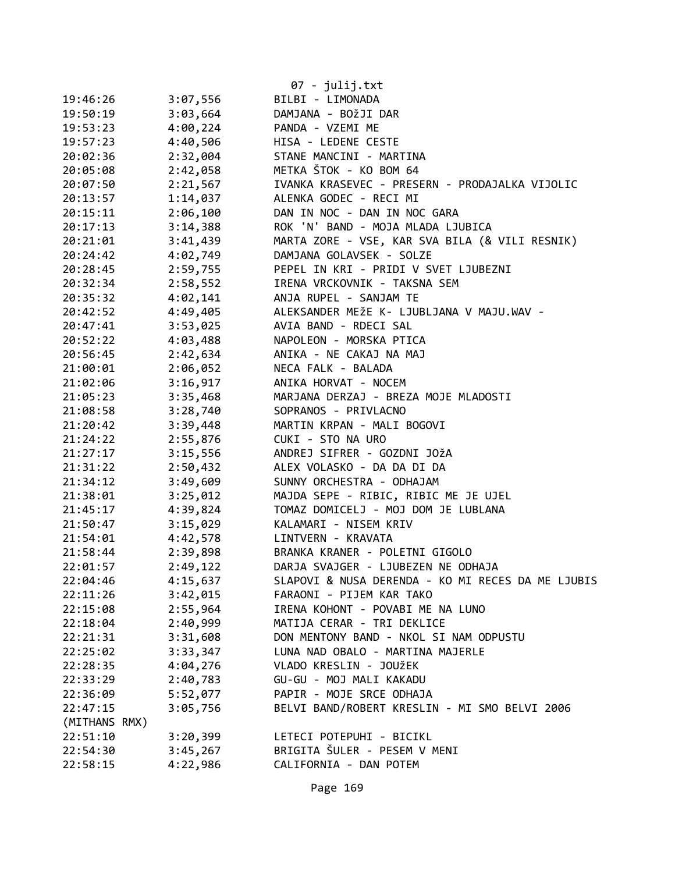|               |          | 07 - julij.txt                                    |
|---------------|----------|---------------------------------------------------|
| 19:46:26      | 3:07,556 | BILBI - LIMONADA                                  |
| 19:50:19      | 3:03,664 | DAMJANA - BOŽJI DAR                               |
| 19:53:23      | 4:00,224 | PANDA - VZEMI ME                                  |
| 19:57:23      | 4:40,506 | HISA - LEDENE CESTE                               |
| 20:02:36      | 2:32,004 | STANE MANCINI - MARTINA                           |
| 20:05:08      | 2:42,058 | METKA ŠTOK - KO BOM 64                            |
| 20:07:50      | 2:21,567 | IVANKA KRASEVEC - PRESERN - PRODAJALKA VIJOLIC    |
| 20:13:57      | 1:14,037 | ALENKA GODEC - RECI MI                            |
| 20:15:11      | 2:06,100 | DAN IN NOC - DAN IN NOC GARA                      |
| 20:17:13      | 3:14,388 | ROK 'N' BAND - MOJA MLADA LJUBICA                 |
| 20:21:01      | 3:41,439 | MARTA ZORE - VSE, KAR SVA BILA (& VILI RESNIK)    |
| 20:24:42      | 4:02,749 | DAMJANA GOLAVSEK - SOLZE                          |
| 20:28:45      | 2:59,755 | PEPEL IN KRI - PRIDI V SVET LJUBEZNI              |
| 20:32:34      | 2:58,552 | IRENA VRCKOVNIK - TAKSNA SEM                      |
| 20:35:32      | 4:02,141 | ANJA RUPEL - SANJAM TE                            |
| 20:42:52      | 4:49,405 | ALEKSANDER MEŽE K- LJUBLJANA V MAJU.WAV -         |
| 20:47:41      | 3:53,025 | AVIA BAND - RDECI SAL                             |
| 20:52:22      | 4:03,488 | NAPOLEON - MORSKA PTICA                           |
| 20:56:45      | 2:42,634 | ANIKA - NE CAKAJ NA MAJ                           |
| 21:00:01      | 2:06,052 | NECA FALK - BALADA                                |
| 21:02:06      | 3:16,917 | ANIKA HORVAT - NOCEM                              |
| 21:05:23      | 3:35,468 | MARJANA DERZAJ - BREZA MOJE MLADOSTI              |
| 21:08:58      | 3:28,740 | SOPRANOS - PRIVLACNO                              |
| 21:20:42      | 3:39,448 | MARTIN KRPAN - MALI BOGOVI                        |
| 21:24:22      | 2:55,876 | CUKI - STO NA URO                                 |
| 21:27:17      | 3:15,556 | ANDREJ SIFRER - GOZDNI JOŽA                       |
| 21:31:22      | 2:50,432 | ALEX VOLASKO - DA DA DI DA                        |
| 21:34:12      | 3:49,609 | SUNNY ORCHESTRA - ODHAJAM                         |
| 21:38:01      | 3:25,012 | MAJDA SEPE - RIBIC, RIBIC ME JE UJEL              |
| 21:45:17      | 4:39,824 | TOMAZ DOMICELJ - MOJ DOM JE LUBLANA               |
| 21:50:47      | 3:15,029 | KALAMARI - NISEM KRIV                             |
| 21:54:01      | 4:42,578 | LINTVERN - KRAVATA                                |
| 21:58:44      | 2:39,898 | BRANKA KRANER - POLETNI GIGOLO                    |
| 22:01:57      | 2:49,122 | DARJA SVAJGER - LJUBEZEN NE ODHAJA                |
| 22:04:46      | 4:15,637 | SLAPOVI & NUSA DERENDA - KO MI RECES DA ME LJUBIS |
| 22:11:26      | 3:42,015 | FARAONI - PIJEM KAR TAKO                          |
| 22:15:08      | 2:55,964 | IRENA KOHONT - POVABI ME NA LUNO                  |
| 22:18:04      | 2:40,999 | MATIJA CERAR - TRI DEKLICE                        |
| 22:21:31      | 3:31,608 | DON MENTONY BAND - NKOL SI NAM ODPUSTU            |
| 22:25:02      | 3:33,347 | LUNA NAD OBALO - MARTINA MAJERLE                  |
| 22:28:35      | 4:04,276 | VLADO KRESLIN - JOUŽEK                            |
| 22:33:29      | 2:40,783 | GU-GU - MOJ MALI KAKADU                           |
| 22:36:09      | 5:52,077 | PAPIR - MOJE SRCE ODHAJA                          |
| 22:47:15      | 3:05,756 | BELVI BAND/ROBERT KRESLIN - MI SMO BELVI 2006     |
| (MITHANS RMX) |          |                                                   |
| 22:51:10      | 3:20,399 | LETECI POTEPUHI - BICIKL                          |
| 22:54:30      | 3:45,267 | BRIGITA ŠULER - PESEM V MENI                      |
| 22:58:15      | 4:22,986 | CALIFORNIA - DAN POTEM                            |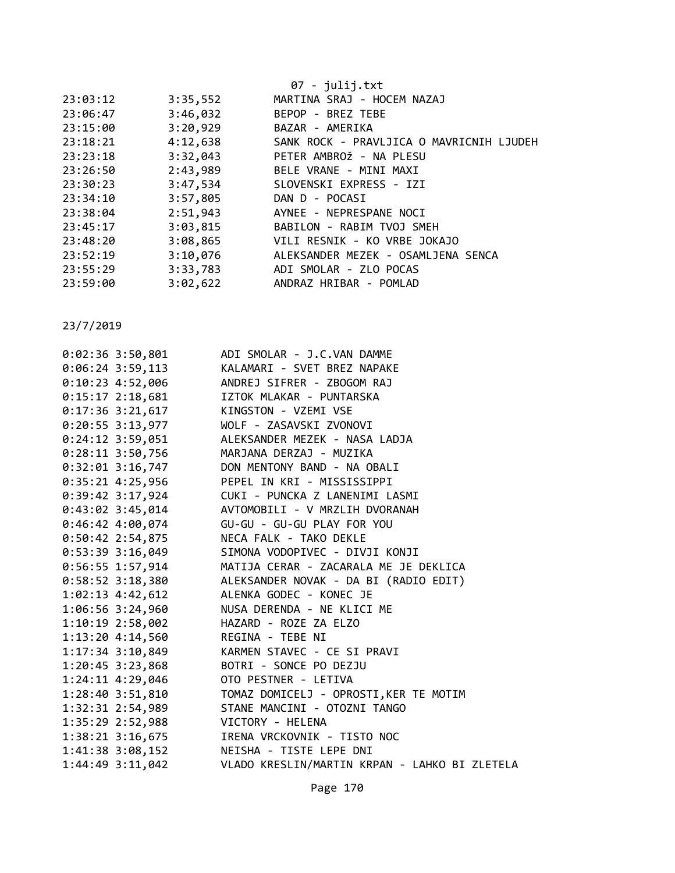|          |          | 07 - julij.txt                           |
|----------|----------|------------------------------------------|
| 23:03:12 | 3:35,552 | MARTINA SRAJ - HOCEM NAZAJ               |
| 23:06:47 | 3:46,032 | BEPOP - BREZ TEBE                        |
| 23:15:00 | 3:20,929 | BAZAR - AMERIKA                          |
| 23:18:21 | 4:12,638 | SANK ROCK - PRAVLJICA O MAVRICNIH LJUDEH |
| 23:23:18 | 3:32,043 | PETER AMBROŽ - NA PLESU                  |
| 23:26:50 | 2:43,989 | BELE VRANE - MINI MAXI                   |
| 23:30:23 | 3:47,534 | SLOVENSKI EXPRESS - IZI                  |
| 23:34:10 | 3:57,805 | DAN D - POCASI                           |
| 23:38:04 | 2:51,943 | AYNEE - NEPRESPANE NOCI                  |
| 23:45:17 | 3:03,815 | BABILON - RABIM TVOJ SMEH                |
| 23:48:20 | 3:08,865 | VILI RESNIK - KO VRBE JOKAJO             |
| 23:52:19 | 3:10,076 | ALEKSANDER MEZEK - OSAMLJENA SENCA       |
| 23:55:29 | 3:33,783 | ADI SMOLAR - ZLO POCAS                   |
| 23:59:00 | 3:02,622 | ANDRAZ HRIBAR - POMLAD                   |
|          |          |                                          |

| $0:02:36$ 3:50,801                     | ADI SMOLAR - J.C.VAN DAMME                             |
|----------------------------------------|--------------------------------------------------------|
| $0:06:24$ 3:59,113                     | KALAMARI - SVET BREZ NAPAKE                            |
|                                        | 0:10:23 4:52,006 ANDREJ SIFRER - ZBOGOM RAJ            |
|                                        | 0:15:17 2:18,681 IZTOK MLAKAR - PUNTARSKA              |
| 0:17:36 3:21,617 KINGSTON - VZEMI VSE  |                                                        |
|                                        | 0:20:55 3:13,977 WOLF - ZASAVSKI ZVONOVI               |
|                                        | 0:24:12 3:59,051 ALEKSANDER MEZEK - NASA LADJA         |
|                                        | 0:28:11 3:50,756 MARJANA DERZAJ - MUZIKA               |
|                                        | 0:32:01 3:16,747 DON MENTONY BAND - NA OBALI           |
|                                        | 0:35:21 4:25,956 PEPEL IN KRI - MISSISSIPPI            |
|                                        | 0:39:42 3:17,924 CUKI - PUNCKA Z LANENIMI LASMI        |
|                                        | 0:43:02 3:45,014 AVTOMOBILI - V MRZLIH DVORANAH        |
|                                        | 0:46:42 4:00,074 GU-GU - GU-GU PLAY FOR YOU            |
| $0:50:42$ 2:54,875                     | NECA FALK - TAKO DEKLE                                 |
| $0:53:39$ 3:16,049                     | SIMONA VODOPIVEC - DIVJI KONJI                         |
|                                        | 0:56:55 1:57,914 MATIJA CERAR - ZACARALA ME JE DEKLICA |
|                                        | 0:58:52 3:18,380 ALEKSANDER NOVAK - DA BI (RADIO EDIT) |
| $1:02:13$ 4:42,612                     | ALENKA GODEC - KONEC JE                                |
| 1:06:56 3:24,960                       | NUSA DERENDA - NE KLICI ME                             |
| 1:10:19 2:58,002 HAZARD - ROZE ZA ELZO |                                                        |
| 1:13:20 4:14,560 REGINA - TEBE NI      |                                                        |
|                                        | 1:17:34 3:10,849 KARMEN STAVEC - CE SI PRAVI           |
| $1:20:45$ 3:23,868                     | BOTRI - SONCE PO DEZJU                                 |
|                                        |                                                        |
|                                        |                                                        |
| 1:32:31 2:54,989                       | STANE MANCINI - OTOZNI TANGO                           |
| 1:35:29 2:52,988 VICTORY - HELENA      |                                                        |
|                                        | 1:38:21 3:16,675 IRENA VRCKOVNIK - TISTO NOC           |
|                                        | 1:41:38 3:08,152 NEISHA - TISTE LEPE DNI               |
| 1:44:49 3:11,042                       | VLADO KRESLIN/MARTIN KRPAN - LAHKO BI ZLETELA          |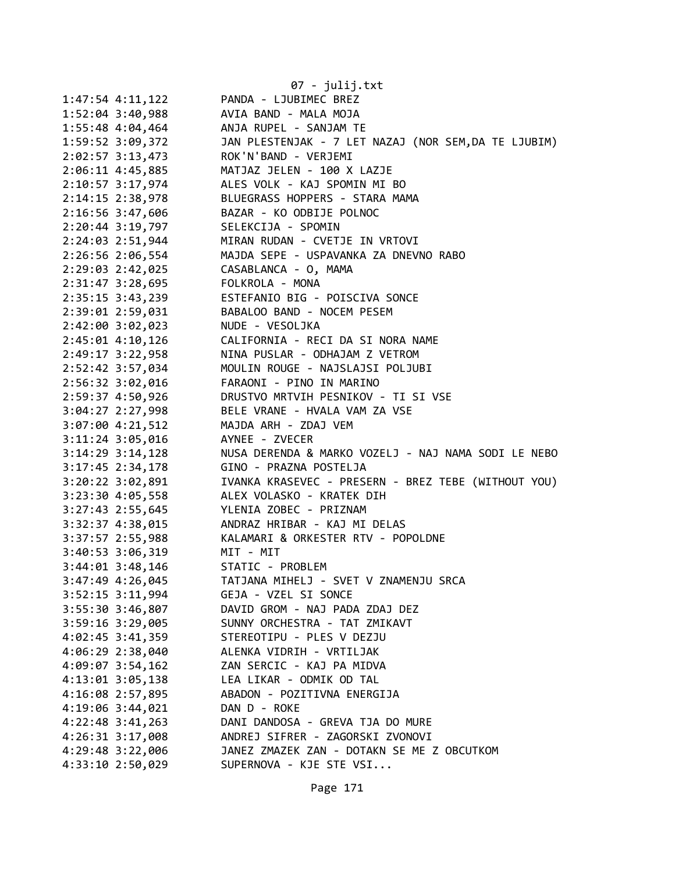|                      | 07 - julij.txt                                        |
|----------------------|-------------------------------------------------------|
| $1:47:54$ $4:11,122$ | PANDA - LJUBIMEC BREZ                                 |
| $1:52:04$ 3:40,988   | AVIA BAND - MALA MOJA                                 |
| 1:55:48 4:04,464     | ANJA RUPEL - SANJAM TE                                |
| 1:59:52 3:09,372     | JAN PLESTENJAK - 7 LET NAZAJ (NOR SEM, DA TE LJUBIM)  |
| $2:02:57$ 3:13,473   | ROK'N'BAND - VERJEMI                                  |
| $2:06:11$ 4:45,885   | MATJAZ JELEN - 100 X LAZJE                            |
| 2:10:57 3:17,974     | ALES VOLK - KAJ SPOMIN MI BO                          |
| 2:14:15 2:38,978     | BLUEGRASS HOPPERS - STARA MAMA                        |
| 2:16:56 3:47,606     | BAZAR - KO ODBIJE POLNOC                              |
| $2:20:44$ 3:19,797   | SELEKCIJA - SPOMIN                                    |
| 2:24:03 2:51,944     | MIRAN RUDAN - CVETJE IN VRTOVI                        |
| 2:26:56 2:06,554     | MAJDA SEPE - USPAVANKA ZA DNEVNO RABO                 |
| 2:29:03 2:42,025     | CASABLANCA - O, MAMA                                  |
| 2:31:47 3:28,695     | FOLKROLA - MONA                                       |
| 2:35:15 3:43,239     | ESTEFANIO BIG - POISCIVA SONCE                        |
| 2:39:01 2:59,031     | BABALOO BAND - NOCEM PESEM                            |
| 2:42:00 3:02,023     | NUDE - VESOLJKA                                       |
| $2:45:01$ $4:10,126$ | CALIFORNIA - RECI DA SI NORA NAME                     |
| 2:49:17 3:22,958     | NINA PUSLAR - ODHAJAM Z VETROM                        |
| 2:52:42 3:57,034     | MOULIN ROUGE - NAJSLAJSI POLJUBI                      |
| 2:56:32 3:02,016     | FARAONI - PINO IN MARINO                              |
| 2:59:37 4:50,926     | DRUSTVO MRTVIH PESNIKOV - TI SI VSE                   |
| 3:04:27 2:27,998     | BELE VRANE - HVALA VAM ZA VSE                         |
| $3:07:00$ 4:21,512   | MAJDA ARH - ZDAJ VEM                                  |
| $3:11:24$ $3:05,016$ | AYNEE - ZVECER                                        |
| $3:14:29$ $3:14,128$ | NUSA DERENDA & MARKO VOZELJ - NAJ NAMA SODI LE NEBO   |
| $3:17:45$ $2:34,178$ | GINO - PRAZNA POSTELJA                                |
| $3:20:22$ $3:02,891$ | IVANKA KRASEVEC - PRESERN - BREZ TEBE (WITHOUT YOU)   |
| 3:23:30 4:05,558     | ALEX VOLASKO - KRATEK DIH                             |
| $3:27:43$ 2:55,645   | YLENIA ZOBEC - PRIZNAM                                |
| 3:32:37 4:38,015     | ANDRAZ HRIBAR - KAJ MI DELAS                          |
| 3:37:57 2:55,988     | KALAMARI & ORKESTER RTV - POPOLDNE                    |
| 3:40:53 3:06,319     | MIT - MIT                                             |
| $3:44:01$ $3:48,146$ | STATIC - PROBLEM                                      |
| 3:47:49 4:26,045     | TATJANA MIHELJ - SVET V ZNAMENJU SRCA                 |
| 3:52:15 3:11,994     | GEJA - VZEL SI SONCE                                  |
| 3:55:30 3:46,807     | DAVID GROM - NAJ PADA ZDAJ DEZ                        |
| 3:59:16 3:29,005     | SUNNY ORCHESTRA - TAT ZMIKAVT                         |
|                      | STEREOTIPU - PLES V DEZJU                             |
| 4:02:45 3:41,359     |                                                       |
| 4:06:29 2:38,040     | ALENKA VIDRIH - VRTILJAK<br>ZAN SERCIC - KAJ PA MIDVA |
| 4:09:07 3:54,162     | LEA LIKAR - ODMIK OD TAL                              |
| 4:13:01 3:05,138     | ABADON - POZITIVNA ENERGIJA                           |
| 4:16:08 2:57,895     |                                                       |
| 4:19:06 3:44,021     | DAN D - ROKE                                          |
| $4:22:48$ 3:41,263   | DANI DANDOSA - GREVA TJA DO MURE                      |
| 4:26:31 3:17,008     | ANDREJ SIFRER - ZAGORSKI ZVONOVI                      |
| 4:29:48 3:22,006     | JANEZ ZMAZEK ZAN - DOTAKN SE ME Z OBCUTKOM            |
| 4:33:10 2:50,029     | SUPERNOVA - KJE STE VSI                               |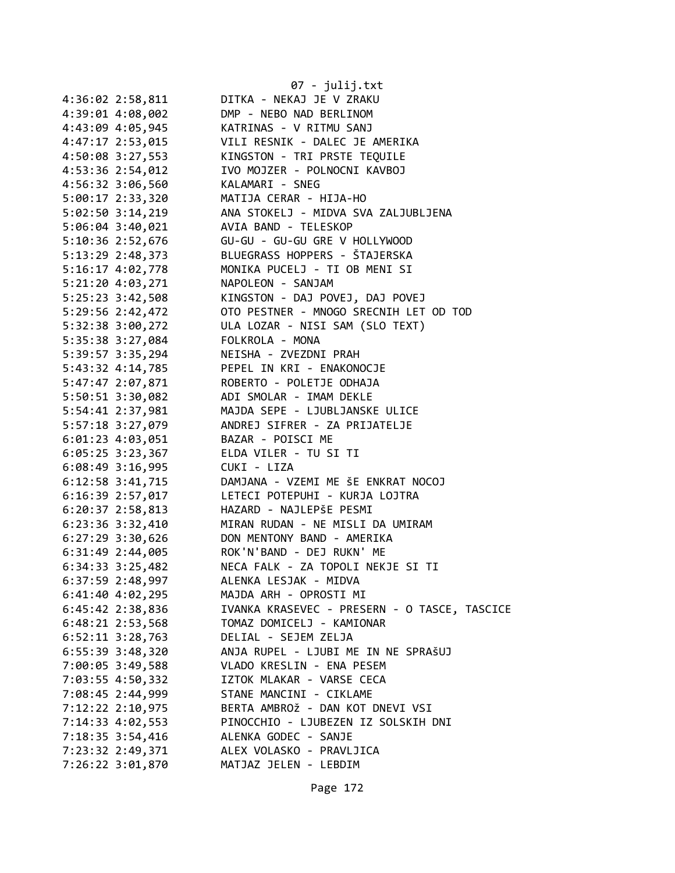| 4:36:02 2:58,811     | 07 - julij.txt<br>DITKA - NEKAJ JE V ZRAKU   |
|----------------------|----------------------------------------------|
| 4:39:01 4:08,002     | DMP - NEBO NAD BERLINOM                      |
| 4:43:09 4:05,945     | KATRINAS - V RITMU SANJ                      |
| 4:47:17 2:53,015     | VILI RESNIK - DALEC JE AMERIKA               |
| 4:50:08 3:27,553     | KINGSTON - TRI PRSTE TEQUILE                 |
| 4:53:36 2:54,012     | IVO MOJZER - POLNOCNI KAVBOJ                 |
| 4:56:32 3:06,560     | KALAMARI - SNEG                              |
| 5:00:17 2:33,320     | MATIJA CERAR - HIJA-HO                       |
| 5:02:50 3:14,219     | ANA STOKELJ - MIDVA SVA ZALJUBLJENA          |
| 5:06:04 3:40,021     | AVIA BAND - TELESKOP                         |
| 5:10:36 2:52,676     | GU-GU - GU-GU GRE V HOLLYWOOD                |
| 5:13:29 2:48,373     | BLUEGRASS HOPPERS - ŠTAJERSKA                |
| $5:16:17$ $4:02,778$ | MONIKA PUCELJ - TI OB MENI SI                |
| $5:21:20$ 4:03,271   | NAPOLEON - SANJAM                            |
| $5:25:23$ $3:42,508$ | KINGSTON - DAJ POVEJ, DAJ POVEJ              |
| 5:29:56 2:42,472     | OTO PESTNER - MNOGO SRECNIH LET OD TOD       |
| 5:32:38 3:00,272     | ULA LOZAR - NISI SAM (SLO TEXT)              |
| 5:35:38 3:27,084     | FOLKROLA - MONA                              |
| 5:39:57 3:35,294     | NEISHA - ZVEZDNI PRAH                        |
| 5:43:32 4:14,785     | PEPEL IN KRI - ENAKONOCJE                    |
| 5:47:47 2:07,871     | ROBERTO - POLETJE ODHAJA                     |
| 5:50:51 3:30,082     | ADI SMOLAR - IMAM DEKLE                      |
| 5:54:41 2:37,981     | MAJDA SEPE - LJUBLJANSKE ULICE               |
| 5:57:18 3:27,079     | ANDREJ SIFRER - ZA PRIJATELJE                |
| $6:01:23$ $4:03,051$ | BAZAR - POISCI ME                            |
|                      | 6:05:25 3:23,367 ELDA VILER - TU SI TI       |
| $6:08:49$ 3:16,995   | CUKI - LIZA                                  |
| $6:12:58$ $3:41,715$ | DAMJANA - VZEMI ME ŠE ENKRAT NOCOJ           |
| $6:16:39$ 2:57,017   | LETECI POTEPUHI - KURJA LOJTRA               |
| 6:20:37 2:58,813     | HAZARD - NAJLEPŠE PESMI                      |
| $6:23:36$ $3:32,410$ | MIRAN RUDAN - NE MISLI DA UMIRAM             |
| $6:27:29$ 3:30,626   | DON MENTONY BAND - AMERIKA                   |
| 6:31:49 2:44,005     | ROK'N'BAND - DEJ RUKN' ME                    |
| 6:34:33 3:25,482     | NECA FALK - ZA TOPOLI NEKJE SI TI            |
| 6:37:59 2:48,997     | ALENKA LESJAK - MIDVA                        |
| $6:41:40$ $4:02,295$ | MAJDA ARH - OPROSTI MI                       |
| 6:45:42 2:38,836     | IVANKA KRASEVEC - PRESERN - O TASCE, TASCICE |
| $6:48:21$ 2:53,568   | TOMAZ DOMICELJ - KAMIONAR                    |
| $6:52:11$ $3:28,763$ | DELIAL - SEJEM ZELJA                         |
| $6:55:39$ 3:48,320   | ANJA RUPEL - LJUBI ME IN NE SPRAŠUJ          |
| 7:00:05 3:49,588     | VLADO KRESLIN - ENA PESEM                    |
| 7:03:55 4:50,332     | IZTOK MLAKAR - VARSE CECA                    |
| 7:08:45 2:44,999     | STANE MANCINI - CIKLAME                      |
| 7:12:22 2:10,975     | BERTA AMBROŽ - DAN KOT DNEVI VSI             |
| 7:14:33 4:02,553     | PINOCCHIO - LJUBEZEN IZ SOLSKIH DNI          |
| 7:18:35 3:54,416     | ALENKA GODEC - SANJE                         |
|                      | ALEX VOLASKO - PRAVLJICA                     |
| 7:23:32 2:49,371     |                                              |
| 7:26:22 3:01,870     | MATJAZ JELEN - LEBDIM                        |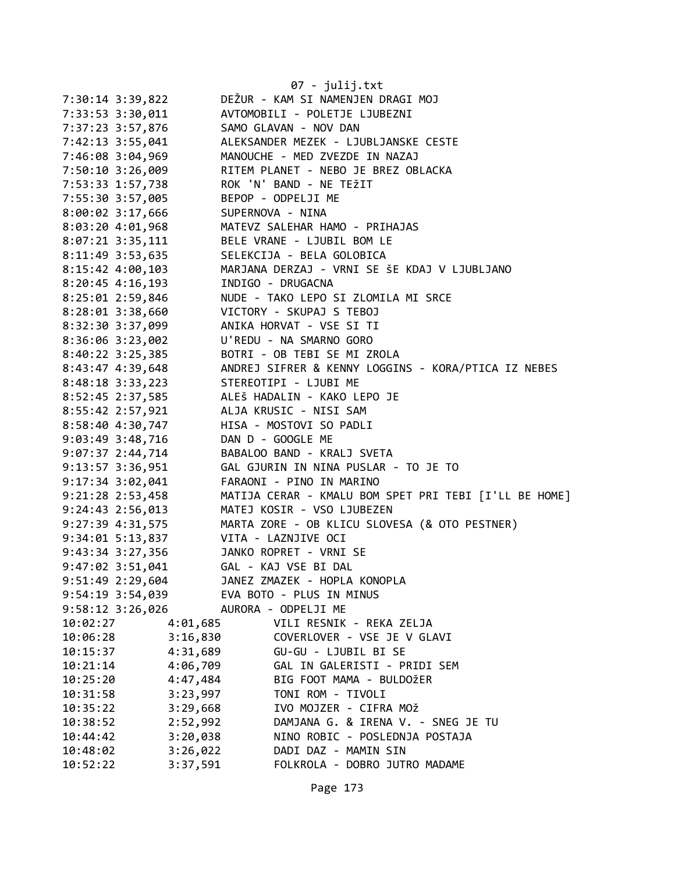|                      |                      | 07 - julij.txt                                        |
|----------------------|----------------------|-------------------------------------------------------|
| 7:30:14 3:39,822     |                      | DEŽUR - KAM SI NAMENJEN DRAGI MOJ                     |
| 7:33:53 3:30,011     |                      | AVTOMOBILI - POLETJE LJUBEZNI                         |
| 7:37:23 3:57,876     |                      | SAMO GLAVAN - NOV DAN                                 |
| 7:42:13 3:55,041     |                      | ALEKSANDER MEZEK - LJUBLJANSKE CESTE                  |
| 7:46:08 3:04,969     |                      | MANOUCHE - MED ZVEZDE IN NAZAJ                        |
| 7:50:10 3:26,009     |                      | RITEM PLANET - NEBO JE BREZ OBLACKA                   |
| 7:53:33 1:57,738     |                      | ROK 'N' BAND - NE TEŽIT                               |
| 7:55:30 3:57,005     |                      | BEPOP - ODPELJI ME                                    |
| 8:00:02 3:17,666     |                      | SUPERNOVA - NINA                                      |
| 8:03:20 4:01,968     |                      | MATEVZ SALEHAR HAMO - PRIHAJAS                        |
| 8:07:21 3:35,111     |                      | BELE VRANE - LJUBIL BOM LE                            |
| 8:11:49 3:53,635     |                      | SELEKCIJA - BELA GOLOBICA                             |
| 8:15:42 4:00,103     |                      | MARJANA DERZAJ - VRNI SE ŠE KDAJ V LJUBLJANO          |
| $8:20:45$ 4:16,193   |                      | INDIGO - DRUGACNA                                     |
| 8:25:01 2:59,846     |                      | NUDE - TAKO LEPO SI ZLOMILA MI SRCE                   |
| 8:28:01 3:38,660     |                      | VICTORY - SKUPAJ S TEBOJ                              |
| 8:32:30 3:37,099     |                      | ANIKA HORVAT - VSE SI TI                              |
| 8:36:06 3:23,002     |                      | U'REDU - NA SMARNO GORO                               |
| $8:40:22$ 3:25,385   |                      | BOTRI - OB TEBI SE MI ZROLA                           |
| 8:43:47 4:39,648     |                      | ANDREJ SIFRER & KENNY LOGGINS - KORA/PTICA IZ NEBES   |
| $8:48:18$ 3:33,223   |                      | STEREOTIPI - LJUBI ME                                 |
| 8:52:45 2:37,585     |                      | ALEŠ HADALIN - KAKO LEPO JE                           |
| 8:55:42 2:57,921     |                      | ALJA KRUSIC - NISI SAM                                |
| 8:58:40 4:30,747     |                      | HISA - MOSTOVI SO PADLI                               |
| 9:03:49 3:48,716     |                      | DAN D - GOOGLE ME                                     |
| $9:07:37$ 2:44,714   |                      | BABALOO BAND - KRALJ SVETA                            |
| 9:13:57 3:36,951     |                      | GAL GJURIN IN NINA PUSLAR - TO JE TO                  |
| 9:17:34 3:02,041     |                      | FARAONI - PINO IN MARINO                              |
| 9:21:28 2:53,458     |                      | MATIJA CERAR - KMALU BOM SPET PRI TEBI [I'LL BE HOME] |
| $9:24:43$ $2:56,013$ |                      | MATEJ KOSIR - VSO LJUBEZEN                            |
| 9:27:39 4:31,575     |                      | MARTA ZORE - OB KLICU SLOVESA (& OTO PESTNER)         |
| $9:34:01$ 5:13,837   |                      | VITA - LAZNJIVE OCI                                   |
| $9:43:34$ 3:27,356   |                      | JANKO ROPRET - VRNI SE                                |
| 9:47:02 3:51,041     |                      | GAL - KAJ VSE BI DAL                                  |
| 9:51:49 2:29,604     |                      | JANEZ ZMAZEK - HOPLA KONOPLA                          |
| 9:54:19 3:54,039     |                      | EVA BOTO - PLUS IN MINUS                              |
| 9:58:12 3:26,026     |                      | AURORA - ODPELJI ME                                   |
| 10:02:27             | 4:01,685             | VILI RESNIK - REKA ZELJA                              |
| 10:06:28             | 3:16,830             | COVERLOVER - VSE JE V GLAVI                           |
| 10:15:37             | 4:31,689             | GU-GU - LJUBIL BI SE                                  |
| 10:21:14             | 4:06,709             | GAL IN GALERISTI - PRIDI SEM                          |
| 10:25:20             | 4:47,484             | BIG FOOT MAMA - BULDOŽER<br>TONI ROM - TIVOLI         |
| 10:31:58<br>10:35:22 | 3:23,997<br>3:29,668 | IVO MOJZER - CIFRA MOŽ                                |
| 10:38:52             | 2:52,992             | DAMJANA G. & IRENA V. - SNEG JE TU                    |
| 10:44:42             | 3:20,038             | NINO ROBIC - POSLEDNJA POSTAJA                        |
| 10:48:02             | 3:26,022             | DADI DAZ - MAMIN SIN                                  |
| 10:52:22             | 3:37,591             | FOLKROLA - DOBRO JUTRO MADAME                         |
|                      |                      |                                                       |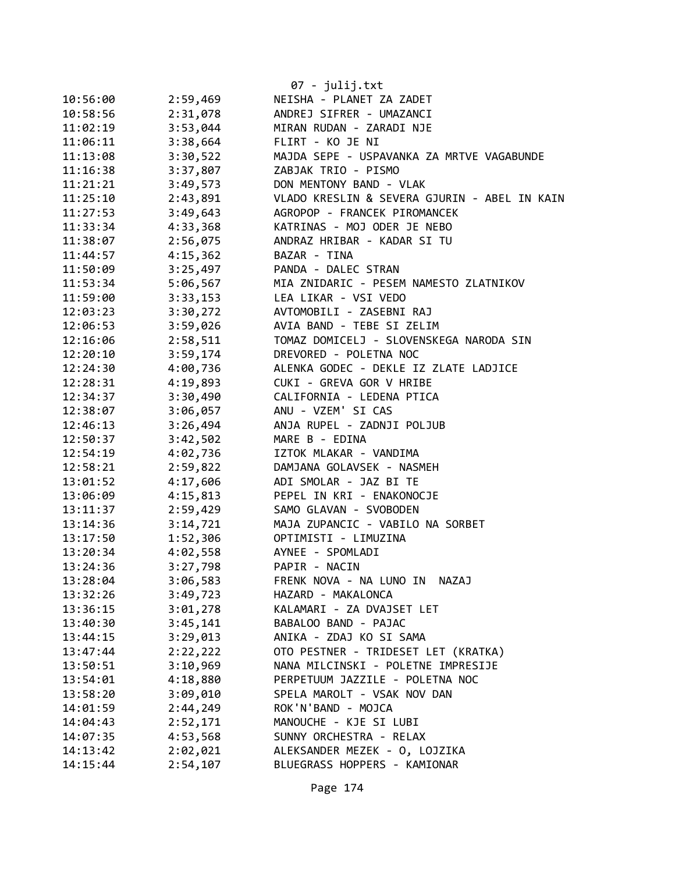|          |          | 07 - julij.txt                               |
|----------|----------|----------------------------------------------|
| 10:56:00 | 2:59,469 | NEISHA - PLANET ZA ZADET                     |
| 10:58:56 | 2:31,078 | ANDREJ SIFRER - UMAZANCI                     |
| 11:02:19 | 3:53,044 | MIRAN RUDAN - ZARADI NJE                     |
| 11:06:11 | 3:38,664 | FLIRT - KO JE NI                             |
| 11:13:08 | 3:30,522 | MAJDA SEPE - USPAVANKA ZA MRTVE VAGABUNDE    |
| 11:16:38 | 3:37,807 | ZABJAK TRIO - PISMO                          |
| 11:21:21 | 3:49,573 | DON MENTONY BAND - VLAK                      |
| 11:25:10 | 2:43,891 | VLADO KRESLIN & SEVERA GJURIN - ABEL IN KAIN |
| 11:27:53 | 3:49,643 | AGROPOP - FRANCEK PIROMANCEK                 |
| 11:33:34 | 4:33,368 | KATRINAS - MOJ ODER JE NEBO                  |
| 11:38:07 | 2:56,075 | ANDRAZ HRIBAR - KADAR SI TU                  |
| 11:44:57 | 4:15,362 | BAZAR - TINA                                 |
| 11:50:09 | 3:25,497 | PANDA - DALEC STRAN                          |
| 11:53:34 | 5:06,567 | MIA ZNIDARIC - PESEM NAMESTO ZLATNIKOV       |
| 11:59:00 | 3:33,153 | LEA LIKAR - VSI VEDO                         |
| 12:03:23 | 3:30,272 | AVTOMOBILI - ZASEBNI RAJ                     |
| 12:06:53 | 3:59,026 | AVIA BAND - TEBE SI ZELIM                    |
| 12:16:06 | 2:58,511 | TOMAZ DOMICELJ - SLOVENSKEGA NARODA SIN      |
| 12:20:10 | 3:59,174 | DREVORED - POLETNA NOC                       |
| 12:24:30 | 4:00,736 | ALENKA GODEC - DEKLE IZ ZLATE LADJICE        |
| 12:28:31 | 4:19,893 | CUKI - GREVA GOR V HRIBE                     |
| 12:34:37 | 3:30,490 | CALIFORNIA - LEDENA PTICA                    |
| 12:38:07 | 3:06,057 | ANU - VZEM' SI CAS                           |
| 12:46:13 | 3:26,494 | ANJA RUPEL - ZADNJI POLJUB                   |
| 12:50:37 | 3:42,502 | MARE B - EDINA                               |
| 12:54:19 | 4:02,736 | IZTOK MLAKAR - VANDIMA                       |
| 12:58:21 | 2:59,822 | DAMJANA GOLAVSEK - NASMEH                    |
| 13:01:52 | 4:17,606 | ADI SMOLAR - JAZ BI TE                       |
| 13:06:09 | 4:15,813 | PEPEL IN KRI - ENAKONOCJE                    |
| 13:11:37 | 2:59,429 | SAMO GLAVAN - SVOBODEN                       |
| 13:14:36 | 3:14,721 | MAJA ZUPANCIC - VABILO NA SORBET             |
| 13:17:50 | 1:52,306 | OPTIMISTI - LIMUZINA                         |
| 13:20:34 | 4:02,558 | AYNEE - SPOMLADI                             |
| 13:24:36 | 3:27,798 | PAPIR - NACIN                                |
| 13:28:04 | 3:06,583 | FRENK NOVA - NA LUNO IN<br><b>NAZAJ</b>      |
| 13:32:26 | 3:49,723 | HAZARD - MAKALONCA                           |
| 13:36:15 | 3:01,278 | KALAMARI - ZA DVAJSET LET                    |
| 13:40:30 | 3:45,141 | BABALOO BAND - PAJAC                         |
| 13:44:15 | 3:29,013 | ANIKA - ZDAJ KO SI SAMA                      |
| 13:47:44 | 2:22,222 | OTO PESTNER - TRIDESET LET (KRATKA)          |
| 13:50:51 | 3:10,969 | NANA MILCINSKI - POLETNE IMPRESIJE           |
| 13:54:01 | 4:18,880 | PERPETUUM JAZZILE - POLETNA NOC              |
| 13:58:20 | 3:09,010 | SPELA MAROLT - VSAK NOV DAN                  |
| 14:01:59 | 2:44,249 | ROK'N'BAND - MOJCA                           |
| 14:04:43 | 2:52,171 | MANOUCHE - KJE SI LUBI                       |
| 14:07:35 | 4:53,568 | SUNNY ORCHESTRA - RELAX                      |
| 14:13:42 | 2:02,021 | ALEKSANDER MEZEK - 0, LOJZIKA                |
| 14:15:44 | 2:54,107 | BLUEGRASS HOPPERS - KAMIONAR                 |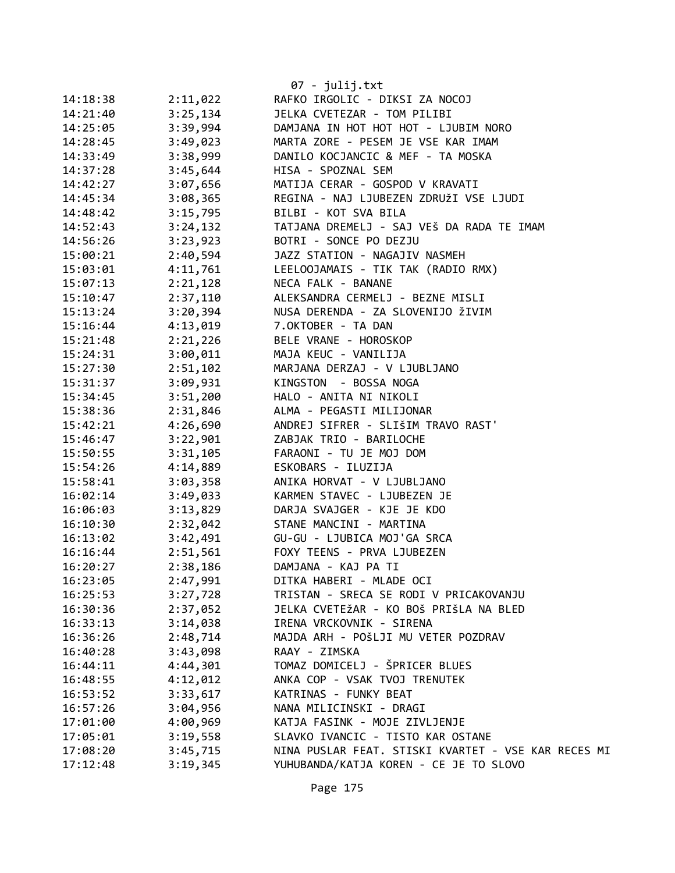| 14:18:38 | 2:11,022 | 07 - julij.txt<br>RAFKO IRGOLIC - DIKSI ZA NOCOJ                           |
|----------|----------|----------------------------------------------------------------------------|
| 14:21:40 | 3:25,134 | JELKA CVETEZAR - TOM PILIBI                                                |
|          | 3:39,994 |                                                                            |
| 14:25:05 |          | DAMJANA IN HOT HOT HOT - LJUBIM NORO<br>MARTA ZORE - PESEM JE VSE KAR IMAM |
| 14:28:45 | 3:49,023 | DANILO KOCJANCIC & MEF - TA MOSKA                                          |
| 14:33:49 | 3:38,999 |                                                                            |
| 14:37:28 | 3:45,644 | HISA - SPOZNAL SEM                                                         |
| 14:42:27 | 3:07,656 | MATIJA CERAR - GOSPOD V KRAVATI                                            |
| 14:45:34 | 3:08,365 | REGINA - NAJ LJUBEZEN ZDRUŽI VSE LJUDI                                     |
| 14:48:42 | 3:15,795 | BILBI - KOT SVA BILA                                                       |
| 14:52:43 | 3:24,132 | TATJANA DREMELJ - SAJ VEŠ DA RADA TE IMAM                                  |
| 14:56:26 | 3:23,923 | BOTRI - SONCE PO DEZJU                                                     |
| 15:00:21 | 2:40,594 | JAZZ STATION - NAGAJIV NASMEH                                              |
| 15:03:01 | 4:11,761 | LEELOOJAMAIS - TIK TAK (RADIO RMX)                                         |
| 15:07:13 | 2:21,128 | NECA FALK - BANANE                                                         |
| 15:10:47 | 2:37,110 | ALEKSANDRA CERMELJ - BEZNE MISLI                                           |
| 15:13:24 | 3:20,394 | NUSA DERENDA - ZA SLOVENIJO ŽIVIM                                          |
| 15:16:44 | 4:13,019 | 7.OKTOBER - TA DAN                                                         |
| 15:21:48 | 2:21,226 | BELE VRANE - HOROSKOP                                                      |
| 15:24:31 | 3:00,011 | MAJA KEUC - VANILIJA                                                       |
| 15:27:30 | 2:51,102 | MARJANA DERZAJ - V LJUBLJANO                                               |
| 15:31:37 | 3:09,931 | KINGSTON - BOSSA NOGA                                                      |
| 15:34:45 | 3:51,200 | HALO - ANITA NI NIKOLI                                                     |
| 15:38:36 | 2:31,846 | ALMA - PEGASTI MILIJONAR                                                   |
| 15:42:21 | 4:26,690 | ANDREJ SIFRER - SLIŠIM TRAVO RAST'                                         |
| 15:46:47 | 3:22,901 | ZABJAK TRIO - BARILOCHE                                                    |
| 15:50:55 | 3:31,105 | FARAONI - TU JE MOJ DOM                                                    |
| 15:54:26 | 4:14,889 | ESKOBARS - ILUZIJA                                                         |
| 15:58:41 | 3:03,358 | ANIKA HORVAT - V LJUBLJANO                                                 |
| 16:02:14 | 3:49,033 | KARMEN STAVEC - LJUBEZEN JE                                                |
| 16:06:03 | 3:13,829 | DARJA SVAJGER - KJE JE KDO                                                 |
| 16:10:30 | 2:32,042 | STANE MANCINI - MARTINA                                                    |
| 16:13:02 | 3:42,491 | GU-GU - LJUBICA MOJ'GA SRCA                                                |
| 16:16:44 | 2:51,561 | FOXY TEENS - PRVA LJUBEZEN                                                 |
| 16:20:27 | 2:38,186 | DAMJANA - KAJ PA TI                                                        |
| 16:23:05 | 2:47,991 | DITKA HABERI - MLADE OCI                                                   |
| 16:25:53 | 3:27,728 | TRISTAN - SRECA SE RODI V PRICAKOVANJU                                     |
| 16:30:36 | 2:37,052 | JELKA CVETEŽAR - KO BOŠ PRIŠLA NA BLED                                     |
| 16:33:13 | 3:14,038 | IRENA VRCKOVNIK - SIRENA                                                   |
| 16:36:26 | 2:48,714 | MAJDA ARH - POŠLJI MU VETER POZDRAV                                        |
| 16:40:28 | 3:43,098 | RAAY - ZIMSKA                                                              |
| 16:44:11 | 4:44,301 | TOMAZ DOMICELJ - ŠPRICER BLUES                                             |
| 16:48:55 | 4:12,012 | ANKA COP - VSAK TVOJ TRENUTEK                                              |
| 16:53:52 | 3:33,617 | KATRINAS - FUNKY BEAT                                                      |
| 16:57:26 | 3:04,956 | NANA MILICINSKI - DRAGI                                                    |
| 17:01:00 | 4:00,969 | KATJA FASINK - MOJE ZIVLJENJE                                              |
| 17:05:01 | 3:19,558 | SLAVKO IVANCIC - TISTO KAR OSTANE                                          |
| 17:08:20 | 3:45,715 | NINA PUSLAR FEAT. STISKI KVARTET - VSE KAR RECES MI                        |
| 17:12:48 | 3:19,345 | YUHUBANDA/KATJA KOREN - CE JE TO SLOVO                                     |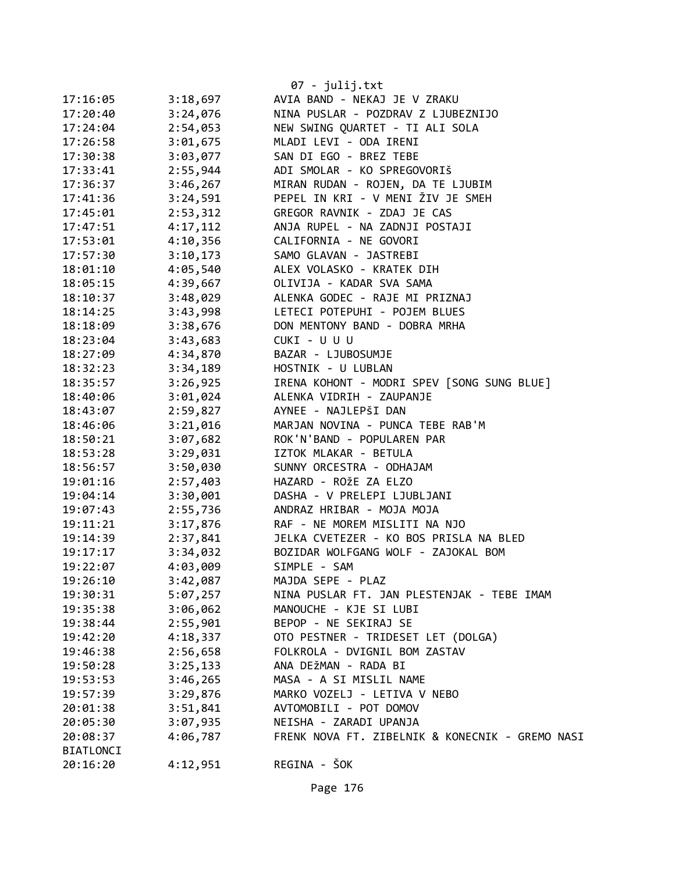|                  |          | $07 - julij.txt$                                |
|------------------|----------|-------------------------------------------------|
| 17:16:05         | 3:18,697 | AVIA BAND - NEKAJ JE V ZRAKU                    |
| 17:20:40         | 3:24,076 | NINA PUSLAR - POZDRAV Z LJUBEZNIJO              |
| 17:24:04         | 2:54,053 | NEW SWING QUARTET - TI ALI SOLA                 |
| 17:26:58         | 3:01,675 | MLADI LEVI - ODA IRENI                          |
| 17:30:38         | 3:03,077 | SAN DI EGO - BREZ TEBE                          |
| 17:33:41         | 2:55,944 | ADI SMOLAR - KO SPREGOVORIŠ                     |
| 17:36:37         | 3:46,267 | MIRAN RUDAN - ROJEN, DA TE LJUBIM               |
| 17:41:36         | 3:24,591 | PEPEL IN KRI - V MENI ŽIV JE SMEH               |
| 17:45:01         | 2:53,312 | GREGOR RAVNIK - ZDAJ JE CAS                     |
| 17:47:51         | 4:17,112 | ANJA RUPEL - NA ZADNJI POSTAJI                  |
| 17:53:01         | 4:10,356 | CALIFORNIA - NE GOVORI                          |
| 17:57:30         | 3:10,173 | SAMO GLAVAN - JASTREBI                          |
| 18:01:10         | 4:05,540 | ALEX VOLASKO - KRATEK DIH                       |
| 18:05:15         | 4:39,667 | OLIVIJA - KADAR SVA SAMA                        |
| 18:10:37         | 3:48,029 | ALENKA GODEC - RAJE MI PRIZNAJ                  |
| 18:14:25         | 3:43,998 | LETECI POTEPUHI - POJEM BLUES                   |
| 18:18:09         | 3:38,676 | DON MENTONY BAND - DOBRA MRHA                   |
| 18:23:04         | 3:43,683 | CUKI - U U U                                    |
| 18:27:09         | 4:34,870 | BAZAR - LJUBOSUMJE                              |
| 18:32:23         | 3:34,189 | HOSTNIK - U LUBLAN                              |
| 18:35:57         | 3:26,925 | IRENA KOHONT - MODRI SPEV [SONG SUNG BLUE]      |
| 18:40:06         | 3:01,024 | ALENKA VIDRIH - ZAUPANJE                        |
| 18:43:07         | 2:59,827 | AYNEE - NAJLEPŠI DAN                            |
| 18:46:06         | 3:21,016 | MARJAN NOVINA - PUNCA TEBE RAB'M                |
| 18:50:21         | 3:07,682 | ROK'N'BAND - POPULAREN PAR                      |
| 18:53:28         | 3:29,031 | IZTOK MLAKAR - BETULA                           |
| 18:56:57         | 3:50,030 | SUNNY ORCESTRA - ODHAJAM                        |
| 19:01:16         | 2:57,403 | HAZARD - ROŽE ZA ELZO                           |
| 19:04:14         | 3:30,001 | DASHA - V PRELEPI LJUBLJANI                     |
| 19:07:43         | 2:55,736 | ANDRAZ HRIBAR - MOJA MOJA                       |
| 19:11:21         | 3:17,876 | RAF - NE MOREM MISLITI NA NJO                   |
| 19:14:39         | 2:37,841 | JELKA CVETEZER - KO BOS PRISLA NA BLED          |
| 19:17:17         | 3:34,032 | BOZIDAR WOLFGANG WOLF - ZAJOKAL BOM             |
| 19:22:07         | 4:03,009 | SIMPLE - SAM                                    |
| 19:26:10         | 3:42,087 | MAJDA SEPE - PLAZ                               |
| 19:30:31         | 5:07,257 | NINA PUSLAR FT. JAN PLESTENJAK - TEBE IMAM      |
| 19:35:38         | 3:06,062 | MANOUCHE - KJE SI LUBI                          |
| 19:38:44         | 2:55,901 | BEPOP - NE SEKIRAJ SE                           |
| 19:42:20         | 4:18,337 | OTO PESTNER - TRIDESET LET (DOLGA)              |
| 19:46:38         | 2:56,658 | FOLKROLA - DVIGNIL BOM ZASTAV                   |
| 19:50:28         | 3:25,133 | ANA DEŽMAN - RADA BI                            |
| 19:53:53         | 3:46,265 | MASA - A SI MISLIL NAME                         |
| 19:57:39         | 3:29,876 | MARKO VOZELJ - LETIVA V NEBO                    |
| 20:01:38         | 3:51,841 | AVTOMOBILI - POT DOMOV                          |
| 20:05:30         | 3:07,935 | NEISHA - ZARADI UPANJA                          |
| 20:08:37         | 4:06,787 | FRENK NOVA FT. ZIBELNIK & KONECNIK - GREMO NASI |
| <b>BIATLONCI</b> |          |                                                 |
| 20:16:20         | 4:12,951 | REGINA - ŠOK                                    |

Page 176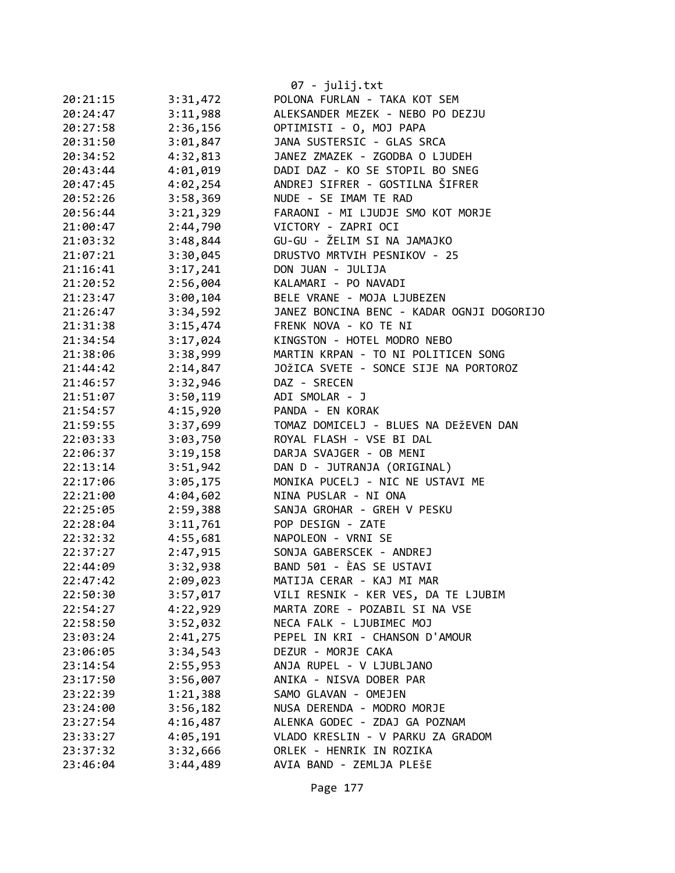|                      |                      | 07 - julij.txt<br>POLONA FURLAN - TAKA KOT SEM |
|----------------------|----------------------|------------------------------------------------|
| 20:21:15<br>20:24:47 | 3:31,472<br>3:11,988 | ALEKSANDER MEZEK - NEBO PO DEZJU               |
| 20:27:58             | 2:36,156             | OPTIMISTI - O, MOJ PAPA                        |
| 20:31:50             | 3:01,847             | JANA SUSTERSIC - GLAS SRCA                     |
| 20:34:52             | 4:32,813             | JANEZ ZMAZEK - ZGODBA O LJUDEH                 |
| 20:43:44             | 4:01,019             | DADI DAZ - KO SE STOPIL BO SNEG                |
|                      |                      | ANDREJ SIFRER - GOSTILNA ŠIFRER                |
| 20:47:45             | 4:02,254             | NUDE - SE IMAM TE RAD                          |
| 20:52:26             | 3:58,369             | FARAONI - MI LJUDJE SMO KOT MORJE              |
| 20:56:44             | 3:21,329             | VICTORY - ZAPRI OCI                            |
| 21:00:47             | 2:44,790             |                                                |
| 21:03:32             | 3:48,844             | GU-GU - ŽELIM SI NA JAMAJKO                    |
| 21:07:21             | 3:30,045             | DRUSTVO MRTVIH PESNIKOV - 25                   |
| 21:16:41             | 3:17,241             | DON JUAN - JULIJA                              |
| 21:20:52             | 2:56,004             | KALAMARI - PO NAVADI                           |
| 21:23:47             | 3:00,104             | BELE VRANE - MOJA LJUBEZEN                     |
| 21:26:47             | 3:34,592             | JANEZ BONCINA BENC - KADAR OGNJI DOGORIJO      |
| 21:31:38             | 3:15,474             | FRENK NOVA - KO TE NI                          |
| 21:34:54             | 3:17,024             | KINGSTON - HOTEL MODRO NEBO                    |
| 21:38:06             | 3:38,999             | MARTIN KRPAN - TO NI POLITICEN SONG            |
| 21:44:42             | 2:14,847             | JOŽICA SVETE - SONCE SIJE NA PORTOROZ          |
| 21:46:57             | 3:32,946             | DAZ - SRECEN                                   |
| 21:51:07             | 3:50,119             | ADI SMOLAR - J                                 |
| 21:54:57             | 4:15,920             | PANDA - EN KORAK                               |
| 21:59:55             | 3:37,699             | TOMAZ DOMICELJ - BLUES NA DEŽEVEN DAN          |
| 22:03:33             | 3:03,750             | ROYAL FLASH - VSE BI DAL                       |
| 22:06:37             | 3:19,158             | DARJA SVAJGER - OB MENI                        |
| 22:13:14             | 3:51,942             | DAN D - JUTRANJA (ORIGINAL)                    |
| 22:17:06             | 3:05,175             | MONIKA PUCELJ - NIC NE USTAVI ME               |
| 22:21:00             | 4:04,602             | NINA PUSLAR - NI ONA                           |
| 22:25:05             | 2:59,388             | SANJA GROHAR - GREH V PESKU                    |
| 22:28:04             | 3:11,761             | POP DESIGN - ZATE                              |
| 22:32:32             | 4:55,681             | NAPOLEON - VRNI SE                             |
| 22:37:27             | 2:47,915             | SONJA GABERSCEK - ANDREJ                       |
| 22:44:09             | 3:32,938             | BAND 501 - ÈAS SE USTAVI                       |
| 22:47:42             | 2:09,023             | MATIJA CERAR - KAJ MI MAR                      |
| 22:50:30             | 3:57,017             | VILI RESNIK - KER VES, DA TE LJUBIM            |
| 22:54:27             | 4:22,929             | MARTA ZORE - POZABIL SI NA VSE                 |
| 22:58:50             | 3:52,032             | NECA FALK - LJUBIMEC MOJ                       |
| 23:03:24             | 2:41,275             | PEPEL IN KRI - CHANSON D'AMOUR                 |
| 23:06:05             | 3:34,543             | DEZUR - MORJE CAKA                             |
| 23:14:54             | 2:55,953             | ANJA RUPEL - V LJUBLJANO                       |
| 23:17:50             | 3:56,007             | ANIKA - NISVA DOBER PAR                        |
| 23:22:39             | 1:21,388             | SAMO GLAVAN - OMEJEN                           |
| 23:24:00             | 3:56,182             | NUSA DERENDA - MODRO MORJE                     |
| 23:27:54             | 4:16,487             | ALENKA GODEC - ZDAJ GA POZNAM                  |
| 23:33:27             | 4:05,191             | VLADO KRESLIN - V PARKU ZA GRADOM              |
| 23:37:32             | 3:32,666             | ORLEK - HENRIK IN ROZIKA                       |
| 23:46:04             | 3:44,489             | AVIA BAND - ZEMLJA PLEŠE                       |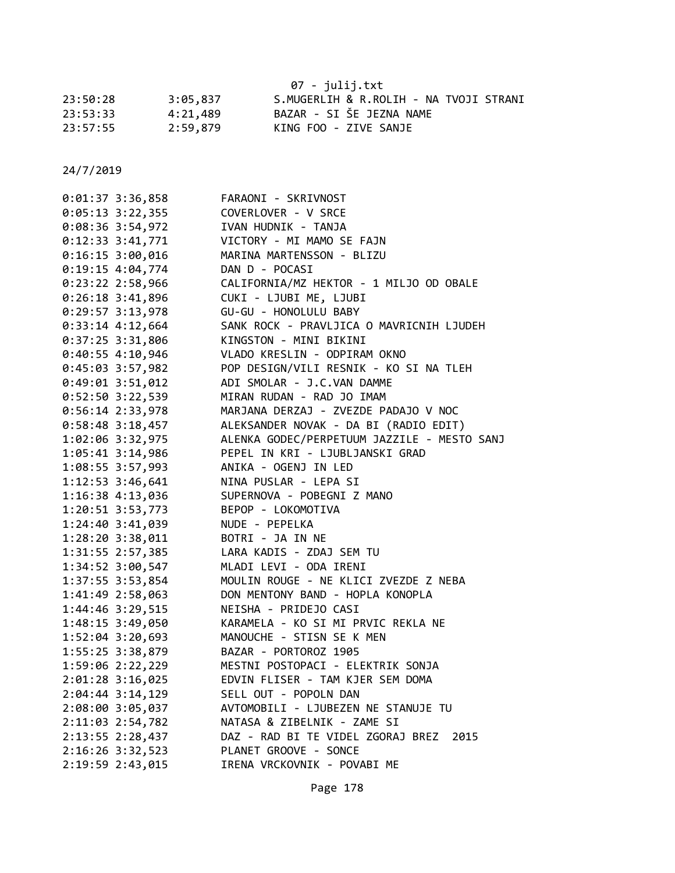|          | 07 - julij.txt |                                        |  |  |
|----------|----------------|----------------------------------------|--|--|
| 23:50:28 | 3:05,837       | S.MUGERLIH & R.ROLIH - NA TVOJI STRANI |  |  |
| 23:53:33 | 4:21,489       | BAZAR - SI ŠE JEZNA NAME               |  |  |
| 23:57:55 | 2:59.879       | KING FOO - ZIVE SANJE                  |  |  |

| 0:01:37 3:36,858     | FARAONI - SKRIVNOST                         |
|----------------------|---------------------------------------------|
| $0:05:13$ 3:22,355   | COVERLOVER - V SRCE                         |
| $0:08:36$ 3:54,972   | IVAN HUDNIK - TANJA                         |
| $0:12:33$ 3:41,771   | VICTORY - MI MAMO SE FAJN                   |
| $0:16:15$ 3:00,016   | MARINA MARTENSSON - BLIZU                   |
| $0:19:15$ 4:04,774   | DAN D - POCASI                              |
| $0:23:22$ 2:58,966   | CALIFORNIA/MZ HEKTOR - 1 MILJO OD OBALE     |
| $0:26:18$ 3:41,896   | CUKI - LJUBI ME, LJUBI                      |
| $0:29:57$ 3:13,978   | GU-GU - HONOLULU BABY                       |
| $0:33:14$ 4:12,664   | SANK ROCK - PRAVLJICA O MAVRICNIH LJUDEH    |
| $0:37:25$ 3:31,806   | KINGSTON - MINI BIKINI                      |
| $0:40:55$ 4:10,946   | VLADO KRESLIN - ODPIRAM OKNO                |
| 0:45:03 3:57,982     | POP DESIGN/VILI RESNIK - KO SI NA TLEH      |
| $0:49:01$ 3:51,012   | ADI SMOLAR - J.C.VAN DAMME                  |
| $0:52:50$ 3:22,539   | MIRAN RUDAN - RAD JO IMAM                   |
| $0:56:14$ 2:33,978   | MARJANA DERZAJ - ZVEZDE PADAJO V NOC        |
| $0:58:48$ 3:18,457   | ALEKSANDER NOVAK - DA BI (RADIO EDIT)       |
| 1:02:06 3:32,975     | ALENKA GODEC/PERPETUUM JAZZILE - MESTO SANJ |
| $1:05:41$ 3:14,986   | PEPEL IN KRI - LJUBLJANSKI GRAD             |
| 1:08:55 3:57,993     | ANIKA - OGENJ IN LED                        |
| 1:12:53 3:46,641     | NINA PUSLAR - LEPA SI                       |
| 1:16:38 4:13,036     | SUPERNOVA - POBEGNI Z MANO                  |
| $1:20:51$ $3:53,773$ | BEPOP - LOKOMOTIVA                          |
| 1:24:40 3:41,039     | NUDE - PEPELKA                              |
| $1:28:20$ $3:38,011$ | BOTRI - JA IN NE                            |
| 1:31:55 2:57,385     | LARA KADIS - ZDAJ SEM TU                    |
| 1:34:52 3:00,547     | MLADI LEVI - ODA IRENI                      |
| 1:37:55 3:53,854     | MOULIN ROUGE - NE KLICI ZVEZDE Z NEBA       |
| 1:41:49 2:58,063     | DON MENTONY BAND - HOPLA KONOPLA            |
| 1:44:46 3:29,515     | NEISHA - PRIDEJO CASI                       |
| 1:48:15 3:49,050     | KARAMELA - KO SI MI PRVIC REKLA NE          |
| $1:52:04$ 3:20,693   | MANOUCHE - STISN SE K MEN                   |
| 1:55:25 3:38,879     | BAZAR - PORTOROZ 1905                       |
| 1:59:06 2:22,229     | MESTNI POSTOPACI - ELEKTRIK SONJA           |
| 2:01:28 3:16,025     | EDVIN FLISER - TAM KJER SEM DOMA            |
| $2:04:44$ 3:14,129   | SELL OUT - POPOLN DAN                       |
| 2:08:00 3:05,037     | AVTOMOBILI - LJUBEZEN NE STANUJE TU         |
| 2:11:03 2:54,782     | NATASA & ZIBELNIK - ZAME SI                 |
| 2:13:55 2:28,437     | DAZ - RAD BI TE VIDEL ZGORAJ BREZ 2015      |
| 2:16:26 3:32,523     | PLANET GROOVE - SONCE                       |
| 2:19:59 2:43,015     | IRENA VRCKOVNIK - POVABI ME                 |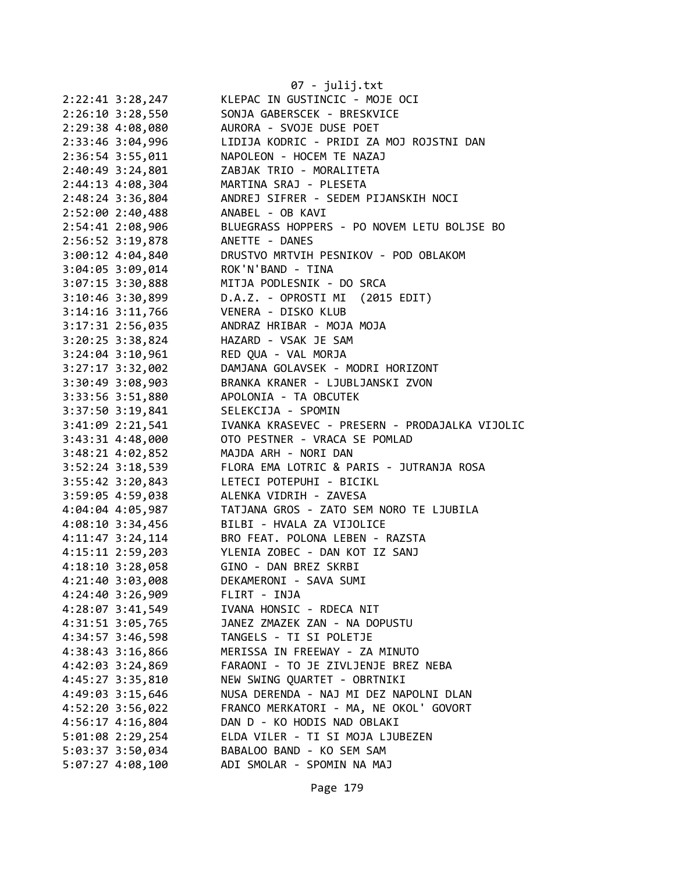|                    | 07 - julij.txt                                 |
|--------------------|------------------------------------------------|
| 2:22:41 3:28,247   | KLEPAC IN GUSTINCIC - MOJE OCI                 |
| 2:26:10 3:28,550   | SONJA GABERSCEK - BRESKVICE                    |
| 2:29:38 4:08,080   | AURORA - SVOJE DUSE POET                       |
| 2:33:46 3:04,996   | LIDIJA KODRIC - PRIDI ZA MOJ ROJSTNI DAN       |
| 2:36:54 3:55,011   | NAPOLEON - HOCEM TE NAZAJ                      |
| 2:40:49 3:24,801   | ZABJAK TRIO - MORALITETA                       |
| 2:44:13 4:08,304   | MARTINA SRAJ - PLESETA                         |
| 2:48:24 3:36,804   | ANDREJ SIFRER - SEDEM PIJANSKIH NOCI           |
| 2:52:00 2:40,488   | ANABEL - OB KAVI                               |
| 2:54:41 2:08,906   | BLUEGRASS HOPPERS - PO NOVEM LETU BOLJSE BO    |
| 2:56:52 3:19,878   | ANETTE - DANES                                 |
| 3:00:12 4:04,840   | DRUSTVO MRTVIH PESNIKOV - POD OBLAKOM          |
| 3:04:05 3:09,014   | ROK'N'BAND - TINA                              |
| 3:07:15 3:30,888   | MITJA PODLESNIK - DO SRCA                      |
| 3:10:46 3:30,899   | D.A.Z. - OPROSTI MI (2015 EDIT)                |
| 3:14:16 3:11,766   | VENERA - DISKO KLUB                            |
| 3:17:31 2:56,035   | ANDRAZ HRIBAR - MOJA MOJA                      |
| 3:20:25 3:38,824   | HAZARD - VSAK JE SAM                           |
| 3:24:04 3:10,961   | RED QUA - VAL MORJA                            |
| 3:27:17 3:32,002   | DAMJANA GOLAVSEK - MODRI HORIZONT              |
| 3:30:49 3:08,903   | BRANKA KRANER - LJUBLJANSKI ZVON               |
| 3:33:56 3:51,880   | APOLONIA - TA OBCUTEK                          |
| 3:37:50 3:19,841   | SELEKCIJA - SPOMIN                             |
| 3:41:09 2:21,541   | IVANKA KRASEVEC - PRESERN - PRODAJALKA VIJOLIC |
| 3:43:31 4:48,000   | OTO PESTNER - VRACA SE POMLAD                  |
| 3:48:21 4:02,852   | MAJDA ARH - NORI DAN                           |
| 3:52:24 3:18,539   | FLORA EMA LOTRIC & PARIS - JUTRANJA ROSA       |
| 3:55:42 3:20,843   | LETECI POTEPUHI - BICIKL                       |
| 3:59:05 4:59,038   | ALENKA VIDRIH - ZAVESA                         |
| 4:04:04 4:05,987   | TATJANA GROS - ZATO SEM NORO TE LJUBILA        |
| 4:08:10 3:34,456   | BILBI - HVALA ZA VIJOLICE                      |
| 4:11:47 3:24,114   | BRO FEAT. POLONA LEBEN - RAZSTA                |
| 4:15:11 2:59,203   | YLENIA ZOBEC - DAN KOT IZ SANJ                 |
| 4:18:10 3:28,058   | GINO - DAN BREZ SKRBI                          |
| 4:21:40 3:03,008   | DEKAMERONI - SAVA SUMI                         |
| 4:24:40 3:26,909   | FLIRT - INJA                                   |
| 4:28:07 3:41,549   | IVANA HONSIC - RDECA NIT                       |
| 4:31:51 3:05,765   | JANEZ ZMAZEK ZAN - NA DOPUSTU                  |
| 4:34:57 3:46,598   | TANGELS - TI SI POLETJE                        |
| 4:38:43 3:16,866   | MERISSA IN FREEWAY - ZA MINUTO                 |
| 4:42:03 3:24,869   | FARAONI - TO JE ZIVLJENJE BREZ NEBA            |
| 4:45:27 3:35,810   | NEW SWING QUARTET - OBRTNIKI                   |
| 4:49:03 3:15,646   | NUSA DERENDA - NAJ MI DEZ NAPOLNI DLAN         |
| 4:52:20 3:56,022   | FRANCO MERKATORI - MA, NE OKOL' GOVORT         |
| 4:56:17 4:16,804   | DAN D - KO HODIS NAD OBLAKI                    |
| 5:01:08 2:29,254   | ELDA VILER - TI SI MOJA LJUBEZEN               |
| 5:03:37 3:50,034   | BABALOO BAND - KO SEM SAM                      |
| $5:07:27$ 4:08,100 | ADI SMOLAR - SPOMIN NA MAJ                     |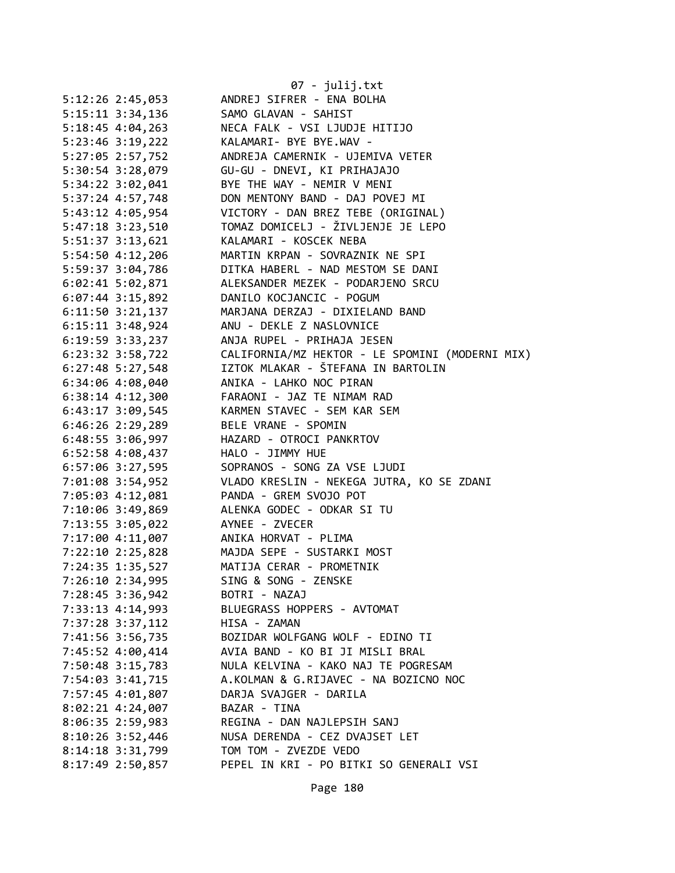|                      | 07 - julij.txt                                                           |
|----------------------|--------------------------------------------------------------------------|
| 5:12:26 2:45,053     | ANDREJ SIFRER - ENA BOLHA                                                |
| 5:15:11 3:34,136     | SAMO GLAVAN - SAHIST                                                     |
| $5:18:45$ 4:04,263   | NECA FALK - VSI LJUDJE HITIJO                                            |
| $5:23:46$ $3:19,222$ | KALAMARI- BYE BYE.WAV -                                                  |
| 5:27:05 2:57,752     | ANDREJA CAMERNIK - UJEMIVA VETER                                         |
| 5:30:54 3:28,079     | GU-GU - DNEVI, KI PRIHAJAJO                                              |
|                      | BYE THE WAY - NEMIR V MENI                                               |
| 5:34:22 3:02,041     | DON MENTONY BAND - DAJ POVEJ MI                                          |
| 5:37:24 4:57,748     |                                                                          |
| 5:43:12 4:05,954     | VICTORY - DAN BREZ TEBE (ORIGINAL)<br>TOMAZ DOMICELJ - ŽIVLJENJE JE LEPO |
| 5:47:18 3:23,510     |                                                                          |
| 5:51:37 3:13,621     | KALAMARI - KOSCEK NEBA                                                   |
| 5:54:50 4:12,206     | MARTIN KRPAN - SOVRAZNIK NE SPI                                          |
| 5:59:37 3:04,786     | DITKA HABERL - NAD MESTOM SE DANI                                        |
| $6:02:41$ 5:02,871   | ALEKSANDER MEZEK - PODARJENO SRCU                                        |
| $6:07:44$ 3:15,892   | DANILO KOCJANCIC - POGUM                                                 |
| $6:11:50$ $3:21,137$ | MARJANA DERZAJ - DIXIELAND BAND                                          |
| $6:15:11$ $3:48,924$ | ANU - DEKLE Z NASLOVNICE                                                 |
| 6:19:59 3:33,237     | ANJA RUPEL - PRIHAJA JESEN                                               |
| $6:23:32$ $3:58,722$ | CALIFORNIA/MZ HEKTOR - LE SPOMINI (MODERNI MIX)                          |
| $6:27:48$ 5:27,548   | IZTOK MLAKAR - ŠTEFANA IN BARTOLIN                                       |
| 6:34:06 4:08,040     | ANIKA - LAHKO NOC PIRAN                                                  |
| $6:38:14$ $4:12,300$ | FARAONI - JAZ TE NIMAM RAD                                               |
| $6:43:17$ 3:09,545   | KARMEN STAVEC - SEM KAR SEM                                              |
| $6:46:26$ 2:29,289   | BELE VRANE - SPOMIN                                                      |
| 6:48:55 3:06,997     | HAZARD - OTROCI PANKRTOV                                                 |
| 6:52:58 4:08,437     | HALO - JIMMY HUE                                                         |
| 6:57:06 3:27,595     | SOPRANOS - SONG ZA VSE LJUDI                                             |
| 7:01:08 3:54,952     | VLADO KRESLIN - NEKEGA JUTRA, KO SE ZDANI                                |
| 7:05:03 4:12,081     | PANDA - GREM SVOJO POT                                                   |
| 7:10:06 3:49,869     | ALENKA GODEC - ODKAR SI TU                                               |
| 7:13:55 3:05,022     | AYNEE - ZVECER                                                           |
| 7:17:00 4:11,007     | ANIKA HORVAT - PLIMA                                                     |
| 7:22:10 2:25,828     | MAJDA SEPE - SUSTARKI MOST                                               |
| 7:24:35 1:35,527     | MATIJA CERAR - PROMETNIK                                                 |
| 7:26:10 2:34,995     | SING & SONG - ZENSKE                                                     |
| 7:28:45 3:36,942     | BOTRI - NAZAJ                                                            |
| 7:33:13 4:14,993     | BLUEGRASS HOPPERS - AVTOMAT                                              |
| 7:37:28 3:37,112     | HISA - ZAMAN                                                             |
| 7:41:56 3:56,735     | BOZIDAR WOLFGANG WOLF - EDINO TI                                         |
| 7:45:52 4:00,414     | AVIA BAND - KO BI JI MISLI BRAL                                          |
| 7:50:48 3:15,783     | NULA KELVINA - KAKO NAJ TE POGRESAM                                      |
| 7:54:03 3:41,715     | A.KOLMAN & G.RIJAVEC - NA BOZICNO NOC                                    |
| 7:57:45 4:01,807     | DARJA SVAJGER - DARILA                                                   |
| 8:02:21 4:24,007     | BAZAR - TINA                                                             |
|                      |                                                                          |
| 8:06:35 2:59,983     | REGINA - DAN NAJLEPSIH SANJ<br>NUSA DERENDA - CEZ DVAJSET LET            |
| 8:10:26 3:52,446     |                                                                          |
| 8:14:18 3:31,799     | TOM TOM - ZVEZDE VEDO                                                    |
| 8:17:49 2:50,857     | PEPEL IN KRI - PO BITKI SO GENERALI VSI                                  |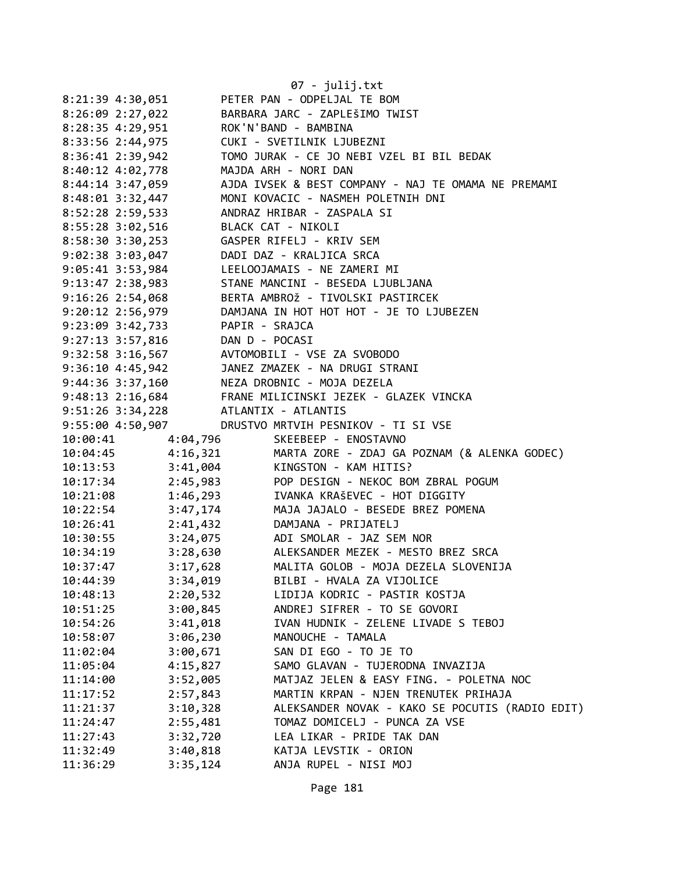|                      |                  | 07 - julij.txt                                                                                             |
|----------------------|------------------|------------------------------------------------------------------------------------------------------------|
|                      | 8:21:39 4:30,051 | PETER PAN - ODPELJAL TE BOM                                                                                |
|                      | 8:26:09 2:27,022 | BARBARA JARC - ZAPLEŠIMO TWIST                                                                             |
|                      |                  | 8:28:35 4:29,951 ROK'N'BAND - BAMBINA                                                                      |
|                      |                  | 8:33:56 2:44,975 CUKI - SVETILNIK LJUBEZNI                                                                 |
| 8:36:41 2:39,942     |                  | TOMO JURAK - CE JO NEBI VZEL BI BIL BEDAK                                                                  |
| 8:40:12 4:02,778     |                  | MAJDA ARH - NORI DAN                                                                                       |
| 8:44:14 3:47,059     |                  | AJDA IVSEK & BEST COMPANY - NAJ TE OMAMA NE PREMAMI                                                        |
| 8:48:01 3:32,447     |                  | MONI KOVACIC - NASMEH POLETNIH DNI                                                                         |
| 8:52:28 2:59,533     |                  | ANDRAZ HRIBAR - ZASPALA SI                                                                                 |
|                      |                  | 8:55:28 3:02,516 BLACK CAT - NIKOLI                                                                        |
|                      |                  |                                                                                                            |
|                      |                  | 9:02:38 3:03,047 DADI DAZ - KRALJICA SRCA                                                                  |
|                      |                  | 9:05:41 3:53,984 LEELOOJAMAIS - NE ZAMERI MI                                                               |
|                      |                  | 9:13:47 2:38,983 STANE MANCINI - BESEDA LJUBLJANA                                                          |
|                      |                  |                                                                                                            |
|                      |                  | 9:16:26 2:54,068 BERTA AMBROŽ - TIVOLSKI PASTIRCEK<br>9:20:12 2:56,979 DAMJANA IN HOT HOT - JE TO LJUBEZEN |
|                      |                  |                                                                                                            |
|                      |                  | 9:23:09 3:42,733 PAPIR - SRAJCA                                                                            |
|                      |                  | 9:27:13 3:57,816 DAN D - POCASI                                                                            |
|                      |                  | 9:32:58 3:16,567 AVTOMOBILI - VSE ZA SVOBODO<br>9:36:10 4:45,942 JANEZ ZMAZEK - NA DRUGI STRANI            |
|                      |                  | 9:44:36 3:37,160 NEZA DROBNIC - MOJA DEZELA                                                                |
|                      |                  |                                                                                                            |
|                      |                  | 9:48:13 2:16,684<br>9:51:26 3:34,228 ATLANTIX - ATLANTIS                                                   |
|                      |                  |                                                                                                            |
| 9:55:00 4:50,907     |                  | DRUSTVO MRTVIH PESNIKOV - TI SI VSE                                                                        |
| 10:00:41             | 4:04,796         | SKEEBEEP - ENOSTAVNO                                                                                       |
| 10:04:45             |                  | 4:16,321 MARTA ZORE - ZDAJ GA POZNAM (& ALENKA GODEC)                                                      |
| 10:13:53<br>10:17:34 |                  | 3:41,004 KINGSTON - KAM HITIS?                                                                             |
|                      |                  | 2:45,983<br>1:46,293 POP DESIGN - NEKOC BOM ZBRAL POGUM<br>3:47,174 MAJA JAJALO - BESEDE BREZ POMENA       |
| 10:21:08             |                  |                                                                                                            |
| 10:22:54             |                  |                                                                                                            |
|                      |                  | 10:26:41  2:41,432  DAMJANA - PRIJATELJ                                                                    |
| 10:30:55             |                  | 3:24,075 ADI SMOLAR - JAZ SEM NOR                                                                          |
| 10:34:19             | 3:28,630         | ALEKSANDER MEZEK - MESTO BREZ SRCA                                                                         |
| 10:37:47             | 3:17,628         | MALITA GOLOB - MOJA DEZELA SLOVENIJA                                                                       |
| 10:44:39             | 3:34,019         | BILBI - HVALA ZA VIJOLICE                                                                                  |
| 10:48:13             | 2:20,532         | LIDIJA KODRIC - PASTIR KOSTJA                                                                              |
| 10:51:25             | 3:00,845         | ANDREJ SIFRER - TO SE GOVORI                                                                               |
| 10:54:26             | 3:41,018         | IVAN HUDNIK - ZELENE LIVADE S TEBOJ                                                                        |
| 10:58:07             | 3:06,230         | MANOUCHE - TAMALA                                                                                          |
| 11:02:04             | 3:00,671         | SAN DI EGO - TO JE TO                                                                                      |
| 11:05:04             | 4:15,827         | SAMO GLAVAN - TUJERODNA INVAZIJA                                                                           |
| 11:14:00             | 3:52,005         | MATJAZ JELEN & EASY FING. - POLETNA NOC                                                                    |
| 11:17:52             | 2:57,843         | MARTIN KRPAN - NJEN TRENUTEK PRIHAJA                                                                       |
| 11:21:37             | 3:10,328         | ALEKSANDER NOVAK - KAKO SE POCUTIS (RADIO EDIT)                                                            |
| 11:24:47             | 2:55,481         | TOMAZ DOMICELJ - PUNCA ZA VSE                                                                              |
| 11:27:43             | 3:32,720         | LEA LIKAR - PRIDE TAK DAN                                                                                  |
| 11:32:49             | 3:40,818         | KATJA LEVSTIK - ORION                                                                                      |
| 11:36:29             | 3:35,124         | ANJA RUPEL - NISI MOJ                                                                                      |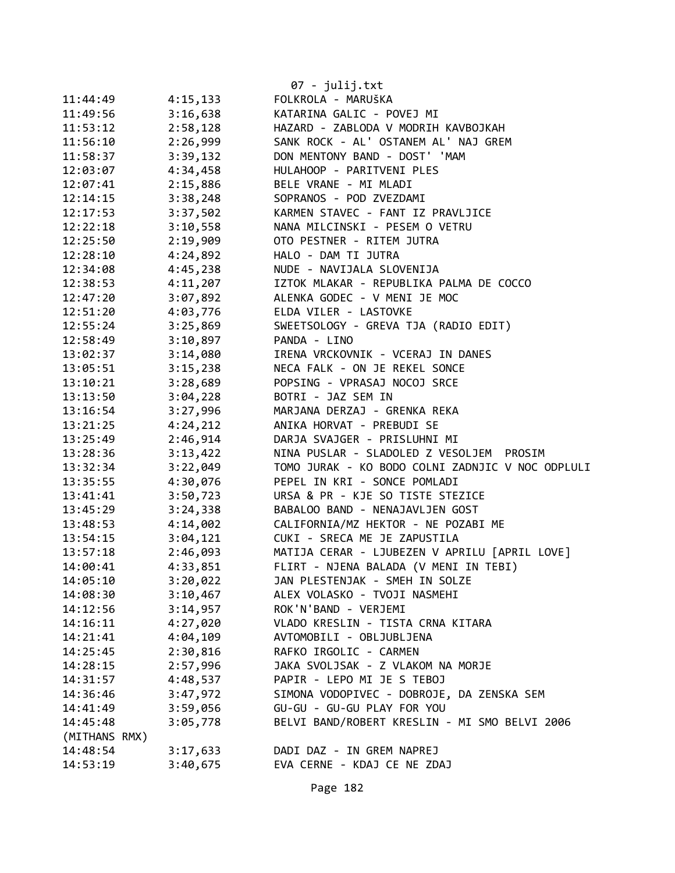|               |          | 07 - julij.txt                                   |
|---------------|----------|--------------------------------------------------|
| 11:44:49      | 4:15,133 | FOLKROLA - MARUŠKA                               |
| 11:49:56      | 3:16,638 | KATARINA GALIC - POVEJ MI                        |
| 11:53:12      | 2:58,128 | HAZARD - ZABLODA V MODRIH KAVBOJKAH              |
| 11:56:10      | 2:26,999 | SANK ROCK - AL' OSTANEM AL' NAJ GREM             |
| 11:58:37      | 3:39,132 | DON MENTONY BAND - DOST' 'MAM                    |
| 12:03:07      | 4:34,458 | HULAHOOP - PARITVENI PLES                        |
| 12:07:41      | 2:15,886 | BELE VRANE - MI MLADI                            |
| 12:14:15      | 3:38,248 | SOPRANOS - POD ZVEZDAMI                          |
| 12:17:53      | 3:37,502 | KARMEN STAVEC - FANT IZ PRAVLJICE                |
| 12:22:18      | 3:10,558 | NANA MILCINSKI - PESEM O VETRU                   |
| 12:25:50      | 2:19,909 | OTO PESTNER - RITEM JUTRA                        |
| 12:28:10      | 4:24,892 | HALO - DAM TI JUTRA                              |
| 12:34:08      | 4:45,238 | NUDE - NAVIJALA SLOVENIJA                        |
| 12:38:53      | 4:11,207 | IZTOK MLAKAR - REPUBLIKA PALMA DE COCCO          |
| 12:47:20      | 3:07,892 | ALENKA GODEC - V MENI JE MOC                     |
| 12:51:20      | 4:03,776 | ELDA VILER - LASTOVKE                            |
| 12:55:24      | 3:25,869 | SWEETSOLOGY - GREVA TJA (RADIO EDIT)             |
| 12:58:49      | 3:10,897 | PANDA - LINO                                     |
| 13:02:37      | 3:14,080 | IRENA VRCKOVNIK - VCERAJ IN DANES                |
| 13:05:51      | 3:15,238 | NECA FALK - ON JE REKEL SONCE                    |
| 13:10:21      | 3:28,689 | POPSING - VPRASAJ NOCOJ SRCE                     |
| 13:13:50      | 3:04,228 | BOTRI - JAZ SEM IN                               |
| 13:16:54      | 3:27,996 | MARJANA DERZAJ - GRENKA REKA                     |
| 13:21:25      | 4:24,212 | ANIKA HORVAT - PREBUDI SE                        |
| 13:25:49      | 2:46,914 | DARJA SVAJGER - PRISLUHNI MI                     |
| 13:28:36      | 3:13,422 | NINA PUSLAR - SLADOLED Z VESOLJEM PROSIM         |
| 13:32:34      | 3:22,049 | TOMO JURAK - KO BODO COLNI ZADNJIC V NOC ODPLULI |
| 13:35:55      | 4:30,076 | PEPEL IN KRI - SONCE POMLADI                     |
| 13:41:41      | 3:50,723 | URSA & PR - KJE SO TISTE STEZICE                 |
| 13:45:29      | 3:24,338 | BABALOO BAND - NENAJAVLJEN GOST                  |
| 13:48:53      | 4:14,002 | CALIFORNIA/MZ HEKTOR - NE POZABI ME              |
| 13:54:15      | 3:04,121 | CUKI - SRECA ME JE ZAPUSTILA                     |
| 13:57:18      | 2:46,093 | MATIJA CERAR - LJUBEZEN V APRILU [APRIL LOVE]    |
| 14:00:41      | 4:33,851 | FLIRT - NJENA BALADA (V MENI IN TEBI)            |
| 14:05:10      | 3:20,022 | JAN PLESTENJAK - SMEH IN SOLZE                   |
| 14:08:30      | 3:10,467 | ALEX VOLASKO - TVOJI NASMEHI                     |
| 14:12:56      | 3:14,957 | ROK'N'BAND - VERJEMI                             |
| 14:16:11      | 4:27,020 | VLADO KRESLIN - TISTA CRNA KITARA                |
| 14:21:41      | 4:04,109 | AVTOMOBILI - OBLJUBLJENA                         |
| 14:25:45      | 2:30,816 | RAFKO IRGOLIC - CARMEN                           |
| 14:28:15      | 2:57,996 | JAKA SVOLJSAK - Z VLAKOM NA MORJE                |
| 14:31:57      | 4:48,537 | PAPIR - LEPO MI JE S TEBOJ                       |
| 14:36:46      | 3:47,972 | SIMONA VODOPIVEC - DOBROJE, DA ZENSKA SEM        |
| 14:41:49      | 3:59,056 | GU-GU - GU-GU PLAY FOR YOU                       |
| 14:45:48      | 3:05,778 | BELVI BAND/ROBERT KRESLIN - MI SMO BELVI 2006    |
| (MITHANS RMX) |          |                                                  |
| 14:48:54      | 3:17,633 | DADI DAZ - IN GREM NAPREJ                        |
| 14:53:19      | 3:40,675 | EVA CERNE - KDAJ CE NE ZDAJ                      |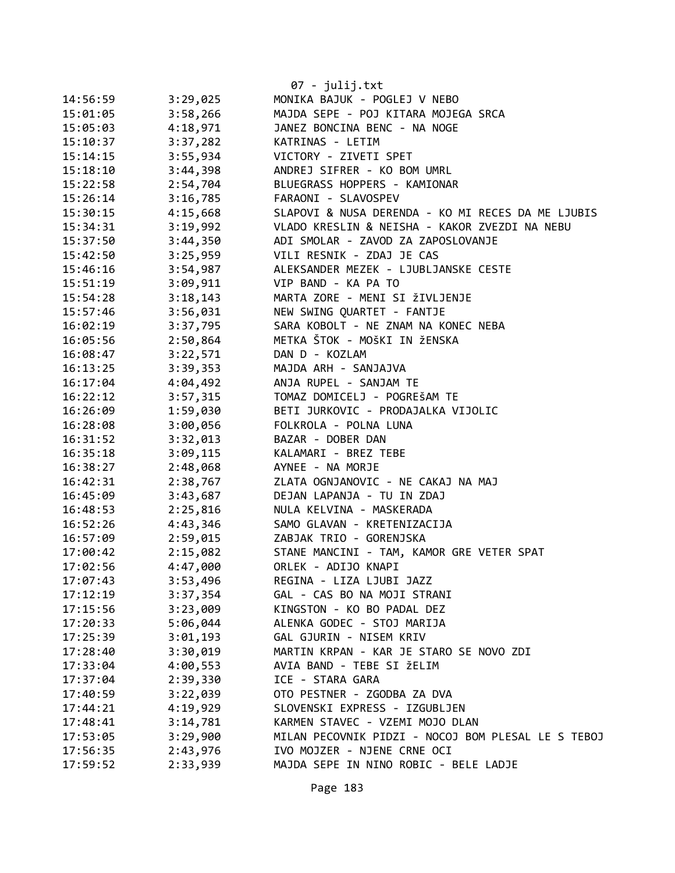|          |          | $07 - julij.txt$                                   |
|----------|----------|----------------------------------------------------|
| 14:56:59 | 3:29,025 | MONIKA BAJUK - POGLEJ V NEBO                       |
| 15:01:05 | 3:58,266 | MAJDA SEPE - POJ KITARA MOJEGA SRCA                |
| 15:05:03 | 4:18,971 | JANEZ BONCINA BENC - NA NOGE                       |
| 15:10:37 | 3:37,282 | KATRINAS - LETIM                                   |
| 15:14:15 | 3:55,934 | VICTORY - ZIVETI SPET                              |
| 15:18:10 | 3:44,398 | ANDREJ SIFRER - KO BOM UMRL                        |
| 15:22:58 | 2:54,704 | BLUEGRASS HOPPERS - KAMIONAR                       |
| 15:26:14 | 3:16,785 | FARAONI - SLAVOSPEV                                |
| 15:30:15 | 4:15,668 | SLAPOVI & NUSA DERENDA - KO MI RECES DA ME LJUBIS  |
| 15:34:31 | 3:19,992 | VLADO KRESLIN & NEISHA - KAKOR ZVEZDI NA NEBU      |
| 15:37:50 | 3:44,350 | ADI SMOLAR - ZAVOD ZA ZAPOSLOVANJE                 |
| 15:42:50 | 3:25,959 | VILI RESNIK - ZDAJ JE CAS                          |
| 15:46:16 | 3:54,987 | ALEKSANDER MEZEK - LJUBLJANSKE CESTE               |
| 15:51:19 | 3:09,911 | VIP BAND - KA PA TO                                |
| 15:54:28 | 3:18,143 | MARTA ZORE - MENI SI ŽIVLJENJE                     |
| 15:57:46 | 3:56,031 | NEW SWING QUARTET - FANTJE                         |
| 16:02:19 | 3:37,795 | SARA KOBOLT - NE ZNAM NA KONEC NEBA                |
| 16:05:56 | 2:50,864 | METKA ŠTOK - MOŠKI IN ŽENSKA                       |
| 16:08:47 | 3:22,571 | DAN D - KOZLAM                                     |
| 16:13:25 | 3:39,353 | MAJDA ARH - SANJAJVA                               |
| 16:17:04 | 4:04,492 | ANJA RUPEL - SANJAM TE                             |
| 16:22:12 | 3:57,315 | TOMAZ DOMICELJ - POGREŠAM TE                       |
| 16:26:09 | 1:59,030 | BETI JURKOVIC - PRODAJALKA VIJOLIC                 |
| 16:28:08 | 3:00,056 | FOLKROLA - POLNA LUNA                              |
| 16:31:52 | 3:32,013 | BAZAR - DOBER DAN                                  |
| 16:35:18 | 3:09,115 | KALAMARI - BREZ TEBE                               |
| 16:38:27 | 2:48,068 | AYNEE - NA MORJE                                   |
| 16:42:31 | 2:38,767 | ZLATA OGNJANOVIC - NE CAKAJ NA MAJ                 |
| 16:45:09 | 3:43,687 | DEJAN LAPANJA - TU IN ZDAJ                         |
| 16:48:53 | 2:25,816 | NULA KELVINA - MASKERADA                           |
| 16:52:26 | 4:43,346 | SAMO GLAVAN - KRETENIZACIJA                        |
| 16:57:09 | 2:59,015 | ZABJAK TRIO - GORENJSKA                            |
| 17:00:42 | 2:15,082 | STANE MANCINI - TAM, KAMOR GRE VETER SPAT          |
| 17:02:56 | 4:47,000 | ORLEK - ADIJO KNAPI                                |
| 17:07:43 | 3:53,496 | REGINA - LIZA LJUBI JAZZ                           |
| 17:12:19 | 3:37,354 | GAL - CAS BO NA MOJI STRANI                        |
| 17:15:56 | 3:23,009 | KINGSTON - KO BO PADAL DEZ                         |
| 17:20:33 | 5:06,044 | ALENKA GODEC - STOJ MARIJA                         |
| 17:25:39 | 3:01,193 | GAL GJURIN - NISEM KRIV                            |
| 17:28:40 | 3:30,019 | MARTIN KRPAN - KAR JE STARO SE NOVO ZDI            |
| 17:33:04 | 4:00,553 | AVIA BAND - TEBE SI ŽELIM                          |
| 17:37:04 | 2:39,330 | ICE - STARA GARA                                   |
| 17:40:59 | 3:22,039 | OTO PESTNER - ZGODBA ZA DVA                        |
| 17:44:21 | 4:19,929 | SLOVENSKI EXPRESS - IZGUBLJEN                      |
| 17:48:41 | 3:14,781 | KARMEN STAVEC - VZEMI MOJO DLAN                    |
| 17:53:05 | 3:29,900 | MILAN PECOVNIK PIDZI - NOCOJ BOM PLESAL LE S TEBOJ |
| 17:56:35 | 2:43,976 | IVO MOJZER - NJENE CRNE OCI                        |
| 17:59:52 | 2:33,939 | MAJDA SEPE IN NINO ROBIC - BELE LADJE              |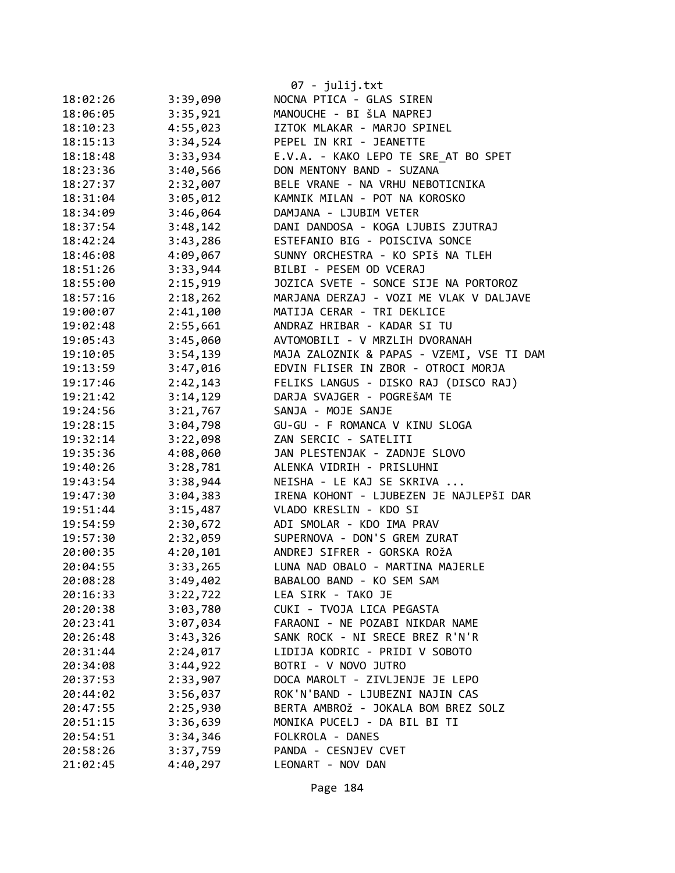|          |          | 07 - julij.txt                            |
|----------|----------|-------------------------------------------|
| 18:02:26 | 3:39,090 | NOCNA PTICA - GLAS SIREN                  |
| 18:06:05 | 3:35,921 | MANOUCHE - BI ŠLA NAPREJ                  |
| 18:10:23 | 4:55,023 | IZTOK MLAKAR - MARJO SPINEL               |
| 18:15:13 | 3:34,524 | PEPEL IN KRI - JEANETTE                   |
| 18:18:48 | 3:33,934 | E.V.A. - KAKO LEPO TE SRE AT BO SPET      |
| 18:23:36 | 3:40,566 | DON MENTONY BAND - SUZANA                 |
| 18:27:37 | 2:32,007 | BELE VRANE - NA VRHU NEBOTICNIKA          |
| 18:31:04 | 3:05,012 | KAMNIK MILAN - POT NA KOROSKO             |
| 18:34:09 | 3:46,064 | DAMJANA - LJUBIM VETER                    |
| 18:37:54 | 3:48,142 | DANI DANDOSA - KOGA LJUBIS ZJUTRAJ        |
| 18:42:24 | 3:43,286 | ESTEFANIO BIG - POISCIVA SONCE            |
| 18:46:08 | 4:09,067 | SUNNY ORCHESTRA - KO SPIŠ NA TLEH         |
| 18:51:26 | 3:33,944 | BILBI - PESEM OD VCERAJ                   |
| 18:55:00 | 2:15,919 | JOZICA SVETE - SONCE SIJE NA PORTOROZ     |
| 18:57:16 | 2:18,262 | MARJANA DERZAJ - VOZI ME VLAK V DALJAVE   |
| 19:00:07 | 2:41,100 | MATIJA CERAR - TRI DEKLICE                |
| 19:02:48 | 2:55,661 | ANDRAZ HRIBAR - KADAR SI TU               |
| 19:05:43 | 3:45,060 | AVTOMOBILI - V MRZLIH DVORANAH            |
| 19:10:05 | 3:54,139 | MAJA ZALOZNIK & PAPAS - VZEMI, VSE TI DAM |
| 19:13:59 | 3:47,016 | EDVIN FLISER IN ZBOR - OTROCI MORJA       |
| 19:17:46 | 2:42,143 | FELIKS LANGUS - DISKO RAJ (DISCO RAJ)     |
| 19:21:42 | 3:14,129 | DARJA SVAJGER - POGREŠAM TE               |
| 19:24:56 | 3:21,767 | SANJA - MOJE SANJE                        |
| 19:28:15 | 3:04,798 | GU-GU - F ROMANCA V KINU SLOGA            |
| 19:32:14 | 3:22,098 | ZAN SERCIC - SATELITI                     |
| 19:35:36 | 4:08,060 | JAN PLESTENJAK - ZADNJE SLOVO             |
| 19:40:26 | 3:28,781 | ALENKA VIDRIH - PRISLUHNI                 |
| 19:43:54 | 3:38,944 | NEISHA - LE KAJ SE SKRIVA                 |
| 19:47:30 | 3:04,383 | IRENA KOHONT - LJUBEZEN JE NAJLEPŠI DAR   |
| 19:51:44 | 3:15,487 | VLADO KRESLIN - KDO SI                    |
| 19:54:59 | 2:30,672 | ADI SMOLAR - KDO IMA PRAV                 |
| 19:57:30 | 2:32,059 | SUPERNOVA - DON'S GREM ZURAT              |
| 20:00:35 | 4:20,101 | ANDREJ SIFRER - GORSKA ROŽA               |
| 20:04:55 | 3:33,265 | LUNA NAD OBALO - MARTINA MAJERLE          |
| 20:08:28 | 3:49,402 | BABALOO BAND - KO SEM SAM                 |
| 20:16:33 | 3:22,722 | LEA SIRK - TAKO JE                        |
| 20:20:38 | 3:03,780 | CUKI - TVOJA LICA PEGASTA                 |
| 20:23:41 | 3:07,034 | FARAONI - NE POZABI NIKDAR NAME           |
| 20:26:48 | 3:43,326 | SANK ROCK - NI SRECE BREZ R'N'R           |
| 20:31:44 | 2:24,017 | LIDIJA KODRIC - PRIDI V SOBOTO            |
| 20:34:08 | 3:44,922 | BOTRI - V NOVO JUTRO                      |
| 20:37:53 | 2:33,907 | DOCA MAROLT - ZIVLJENJE JE LEPO           |
| 20:44:02 | 3:56,037 | ROK'N'BAND - LJUBEZNI NAJIN CAS           |
| 20:47:55 | 2:25,930 | BERTA AMBROŽ - JOKALA BOM BREZ SOLZ       |
| 20:51:15 | 3:36,639 | MONIKA PUCELJ - DA BIL BI TI              |
| 20:54:51 | 3:34,346 | FOLKROLA - DANES                          |
| 20:58:26 | 3:37,759 | PANDA - CESNJEV CVET                      |
| 21:02:45 | 4:40,297 | LEONART - NOV DAN                         |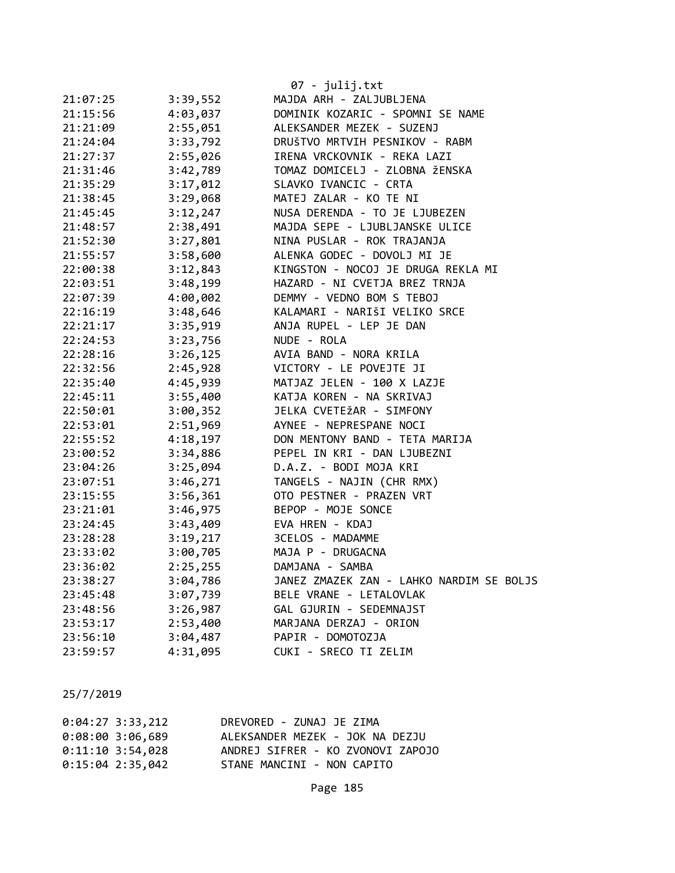|          |          | 07 - julij.txt                           |
|----------|----------|------------------------------------------|
| 21:07:25 | 3:39,552 | MAJDA ARH - ZALJUBLJENA                  |
| 21:15:56 | 4:03,037 | DOMINIK KOZARIC - SPOMNI SE NAME         |
| 21:21:09 | 2:55,051 | ALEKSANDER MEZEK - SUZENJ                |
| 21:24:04 | 3:33,792 | DRUŠTVO MRTVIH PESNIKOV - RABM           |
| 21:27:37 | 2:55,026 | IRENA VRCKOVNIK - REKA LAZI              |
| 21:31:46 | 3:42,789 | TOMAZ DOMICELJ - ZLOBNA ŽENSKA           |
| 21:35:29 | 3:17,012 | SLAVKO IVANCIC - CRTA                    |
| 21:38:45 | 3:29,068 | MATEJ ZALAR - KO TE NI                   |
| 21:45:45 | 3:12,247 | NUSA DERENDA - TO JE LJUBEZEN            |
| 21:48:57 | 2:38,491 | MAJDA SEPE - LJUBLJANSKE ULICE           |
| 21:52:30 | 3:27,801 | NINA PUSLAR - ROK TRAJANJA               |
| 21:55:57 | 3:58,600 | ALENKA GODEC - DOVOLJ MI JE              |
| 22:00:38 | 3:12,843 | KINGSTON - NOCOJ JE DRUGA REKLA MI       |
| 22:03:51 | 3:48,199 | HAZARD - NI CVETJA BREZ TRNJA            |
| 22:07:39 | 4:00,002 | DEMMY - VEDNO BOM S TEBOJ                |
| 22:16:19 | 3:48,646 | KALAMARI - NARIŠI VELIKO SRCE            |
| 22:21:17 | 3:35,919 | ANJA RUPEL - LEP JE DAN                  |
| 22:24:53 | 3:23,756 | NUDE - ROLA                              |
| 22:28:16 | 3:26,125 | AVIA BAND - NORA KRILA                   |
| 22:32:56 | 2:45,928 | VICTORY - LE POVEJTE JI                  |
| 22:35:40 | 4:45,939 | MATJAZ JELEN - 100 X LAZJE               |
| 22:45:11 | 3:55,400 | KATJA KOREN - NA SKRIVAJ                 |
| 22:50:01 | 3:00,352 | JELKA CVETEŽAR - SIMFONY                 |
| 22:53:01 | 2:51,969 | AYNEE - NEPRESPANE NOCI                  |
| 22:55:52 | 4:18,197 | DON MENTONY BAND - TETA MARIJA           |
| 23:00:52 | 3:34,886 | PEPEL IN KRI - DAN LJUBEZNI              |
| 23:04:26 | 3:25,094 | D.A.Z. - BODI MOJA KRI                   |
| 23:07:51 | 3:46,271 | TANGELS - NAJIN (CHR RMX)                |
| 23:15:55 | 3:56,361 | OTO PESTNER - PRAZEN VRT                 |
| 23:21:01 | 3:46,975 | BEPOP - MOJE SONCE                       |
| 23:24:45 |          | 3:43,409 EVA HREN - KDAJ                 |
| 23:28:28 | 3:19,217 | 3CELOS - MADAMME                         |
| 23:33:02 | 3:00,705 | MAJA P - DRUGACNA                        |
| 23:36:02 | 2:25,255 | DAMJANA - SAMBA                          |
| 23:38:27 | 3:04,786 | JANEZ ZMAZEK ZAN - LAHKO NARDIM SE BOLJS |
| 23:45:48 | 3:07,739 | BELE VRANE - LETALOVLAK                  |
| 23:48:56 | 3:26,987 | GAL GJURIN - SEDEMNAJST                  |
| 23:53:17 | 2:53,400 | MARJANA DERZAJ - ORION                   |
| 23:56:10 | 3:04,487 | PAPIR - DOMOTOZJA                        |
| 23:59:57 | 4:31,095 | CUKI - SRECO TI ZELIM                    |

| $0:04:27$ 3:33,212 | DREVORED - ZUNAJ JE ZIMA          |
|--------------------|-----------------------------------|
| $0:08:00$ 3:06,689 | ALEKSANDER MEZEK - JOK NA DEZJU   |
| $0:11:10$ 3:54,028 | ANDREJ SIFRER - KO ZVONOVI ZAPOJO |
| $0:15:04$ 2:35,042 | STANE MANCINI - NON CAPITO        |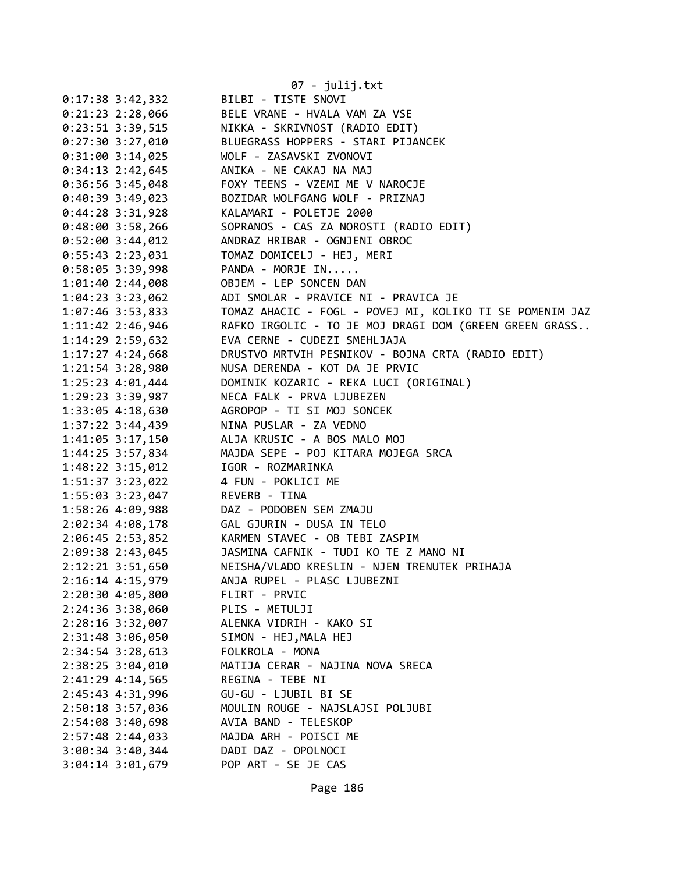|                    |                                | 07 - julij.txt                                                                                                                                       |
|--------------------|--------------------------------|------------------------------------------------------------------------------------------------------------------------------------------------------|
|                    | $0:17:38$ 3:42,332             | BILBI - TISTE SNOVI                                                                                                                                  |
|                    | $0:21:23$ 2:28,066             | BELE VRANE - HVALA VAM ZA VSE                                                                                                                        |
|                    | $0:23:51$ 3:39,515             | NIKKA - SKRIVNOST (RADIO EDIT)                                                                                                                       |
|                    | $0:27:30$ 3:27,010             | BLUEGRASS HOPPERS - STARI PIJANCEK                                                                                                                   |
|                    | $0:31:00$ 3:14,025             | WOLF - ZASAVSKI ZVONOVI                                                                                                                              |
|                    | $0:34:13$ 2:42,645             | ANIKA - NE CAKAJ NA MAJ                                                                                                                              |
|                    | $0:36:56$ 3:45,048             | FOXY TEENS - VZEMI ME V NAROCJE                                                                                                                      |
|                    | $0:40:39$ 3:49,023             | BOZIDAR WOLFGANG WOLF - PRIZNAJ                                                                                                                      |
|                    | $0:44:28$ 3:31,928             | KALAMARI - POLETJE 2000                                                                                                                              |
| $0:48:00$ 3:58,266 |                                | SOPRANOS - CAS ZA NOROSTI (RADIO EDIT)                                                                                                               |
| $0:52:00$ 3:44,012 |                                | ANDRAZ HRIBAR - OGNJENI OBROC                                                                                                                        |
|                    |                                |                                                                                                                                                      |
|                    |                                | $0:58:05$ 3:39,998 PANDA - MORJE IN                                                                                                                  |
|                    |                                | 1:01:40 2:44,008 OBJEM - LEP SONCEN DAN                                                                                                              |
|                    |                                | 1:04:23 3:23,062 ADI SMOLAR - PRAVICE NI - PRAVICA JE                                                                                                |
|                    |                                |                                                                                                                                                      |
|                    |                                | 1:07:46 3:53,833 TOMAZ AHACIC - FOGL - POVEJ MI, KOLIKO TI SE POMENIM JAZ<br>1:11:42 2:46,946 RAFKO IRGOLIC - TO JE MOJ DRAGI DOM (GREEN GREEN GRASS |
|                    |                                | 1:14:29 2:59,632 EVA CERNE - CUDEZI SMEHLJAJA                                                                                                        |
|                    | $1:17:27$ 4:24,668             | DRUSTVO MRTVIH PESNIKOV - BOJNA CRTA (RADIO EDIT)                                                                                                    |
|                    |                                | 1:21:54 3:28,980 NUSA DERENDA - KOT DA JE PRVIC                                                                                                      |
|                    | 1:25:23 4:01,444               | DOMINIK KOZARIC - REKA LUCI (ORIGINAL)                                                                                                               |
|                    | 1:29:23 3:39,987               | NECA FALK - PRVA LJUBEZEN                                                                                                                            |
|                    | 1:33:05 4:18,630               | AGROPOP - TI SI MOJ SONCEK                                                                                                                           |
|                    | $1:37:22$ 3:44,439             | NINA PUSLAR - ZA VEDNO                                                                                                                               |
|                    |                                | 1:41:05 3:17,150 ALJA KRUSIC - A BOS MALO MOJ                                                                                                        |
|                    | 1:44:25 3:57,834               | MAJDA SEPE - POJ KITARA MOJEGA SRCA                                                                                                                  |
|                    |                                | 1:48:22 3:15,012 IGOR - ROZMARINKA                                                                                                                   |
|                    |                                | 1:51:37 3:23,022 4 FUN - POKLICI ME                                                                                                                  |
|                    | 1:55:03 3:23,047 REVERB - TINA |                                                                                                                                                      |
|                    |                                | 1:58:26 4:09,988 DAZ - PODOBEN SEM ZMAJU                                                                                                             |
|                    |                                | 2:02:34 4:08,178 GAL GJURIN - DUSA IN TELO<br>2:06:45 2:53,852 KARMEN STAVEC - OB TEBI ZASPIM                                                        |
|                    |                                |                                                                                                                                                      |
| 2:09:38 2:43,045   |                                | JASMINA CAFNIK - TUDI KO TE Z MANO NI                                                                                                                |
| 2:12:21 3:51,650   |                                | NEISHA/VLADO KRESLIN - NJEN TRENUTEK PRIHAJA                                                                                                         |
| 2:16:14 4:15,979   |                                | ANJA RUPEL - PLASC LJUBEZNI                                                                                                                          |
|                    | 2:20:30 4:05,800               | FLIRT - PRVIC                                                                                                                                        |
| 2:24:36 3:38,060   |                                | PLIS - METULJI                                                                                                                                       |
|                    | 2:28:16 3:32,007               | ALENKA VIDRIH - KAKO SI                                                                                                                              |
| 2:31:48 3:06,050   |                                | SIMON - HEJ, MALA HEJ                                                                                                                                |
| $2:34:54$ 3:28,613 |                                | FOLKROLA - MONA                                                                                                                                      |
|                    | 2:38:25 3:04,010               | MATIJA CERAR - NAJINA NOVA SRECA                                                                                                                     |
|                    | 2:41:29 4:14,565               | REGINA - TEBE NI                                                                                                                                     |
|                    | 2:45:43 4:31,996               | GU-GU - LJUBIL BI SE                                                                                                                                 |
| 2:50:18 3:57,036   |                                | MOULIN ROUGE - NAJSLAJSI POLJUBI                                                                                                                     |
| 2:54:08 3:40,698   |                                | AVIA BAND - TELESKOP                                                                                                                                 |
| 2:57:48 2:44,033   |                                | MAJDA ARH - POISCI ME                                                                                                                                |
| $3:00:34$ 3:40,344 |                                | DADI DAZ - OPOLNOCI                                                                                                                                  |
| 3:04:14 3:01,679   |                                | POP ART - SE JE CAS                                                                                                                                  |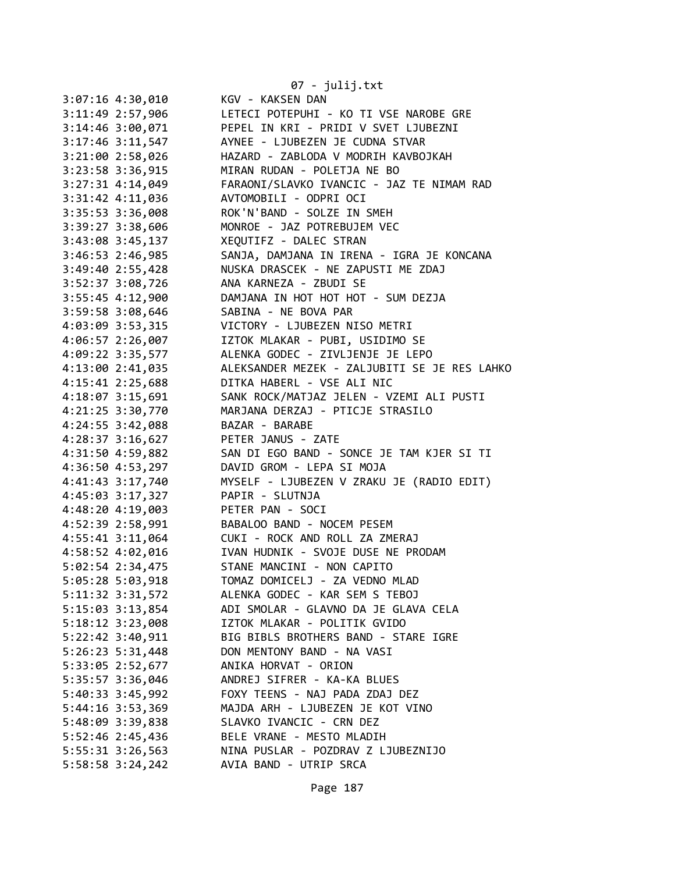|                      | 07 - julij.txt                               |
|----------------------|----------------------------------------------|
| 3:07:16 4:30,010     | KGV - KAKSEN DAN                             |
| 3:11:49 2:57,906     | LETECI POTEPUHI - KO TI VSE NAROBE GRE       |
| 3:14:46 3:00,071     | PEPEL IN KRI - PRIDI V SVET LJUBEZNI         |
| 3:17:46 3:11,547     | AYNEE - LJUBEZEN JE CUDNA STVAR              |
| 3:21:00 2:58,026     | HAZARD - ZABLODA V MODRIH KAVBOJKAH          |
| 3:23:58 3:36,915     | MIRAN RUDAN - POLETJA NE BO                  |
| $3:27:31$ 4:14,049   | FARAONI/SLAVKO IVANCIC - JAZ TE NIMAM RAD    |
| 3:31:42 4:11,036     | AVTOMOBILI - ODPRI OCI                       |
| 3:35:53 3:36,008     | ROK'N'BAND - SOLZE IN SMEH                   |
| 3:39:27 3:38,606     | MONROE - JAZ POTREBUJEM VEC                  |
| 3:43:08 3:45,137     | XEQUTIFZ - DALEC STRAN                       |
| $3:46:53$ 2:46,985   | SANJA, DAMJANA IN IRENA - IGRA JE KONCANA    |
| 3:49:40 2:55,428     | NUSKA DRASCEK - NE ZAPUSTI ME ZDAJ           |
| 3:52:37 3:08,726     | ANA KARNEZA - ZBUDI SE                       |
| 3:55:45 4:12,900     | DAMJANA IN HOT HOT HOT - SUM DEZJA           |
| 3:59:58 3:08,646     | SABINA - NE BOVA PAR                         |
| 4:03:09 3:53,315     | VICTORY - LJUBEZEN NISO METRI                |
| 4:06:57 2:26,007     | IZTOK MLAKAR - PUBI, USIDIMO SE              |
| 4:09:22 3:35,577     | ALENKA GODEC - ZIVLJENJE JE LEPO             |
| 4:13:00 2:41,035     | ALEKSANDER MEZEK - ZALJUBITI SE JE RES LAHKO |
| 4:15:41 2:25,688     | DITKA HABERL - VSE ALI NIC                   |
| 4:18:07 3:15,691     | SANK ROCK/MATJAZ JELEN - VZEMI ALI PUSTI     |
| 4:21:25 3:30,770     | MARJANA DERZAJ - PTICJE STRASILO             |
| 4:24:55 3:42,088     | BAZAR - BARABE                               |
| 4:28:37 3:16,627     | PETER JANUS - ZATE                           |
| 4:31:50 4:59,882     | SAN DI EGO BAND - SONCE JE TAM KJER SI TI    |
| 4:36:50 4:53,297     | DAVID GROM - LEPA SI MOJA                    |
| 4:41:43 3:17,740     | MYSELF - LJUBEZEN V ZRAKU JE (RADIO EDIT)    |
| 4:45:03 3:17,327     | PAPIR - SLUTNJA                              |
| 4:48:20 4:19,003     | PETER PAN - SOCI                             |
| 4:52:39 2:58,991     | BABALOO BAND - NOCEM PESEM                   |
| 4:55:41 3:11,064     | CUKI - ROCK AND ROLL ZA ZMERAJ               |
| 4:58:52 4:02,016     | IVAN HUDNIK - SVOJE DUSE NE PRODAM           |
| 5:02:54 2:34,475     | STANE MANCINI - NON CAPITO                   |
| 5:05:28 5:03,918     | TOMAZ DOMICELJ - ZA VEDNO MLAD               |
| $5:11:32$ $3:31,572$ | ALENKA GODEC - KAR SEM S TEBOJ               |
| 5:15:03 3:13,854     | ADI SMOLAR - GLAVNO DA JE GLAVA CELA         |
| $5:18:12$ $3:23,008$ | IZTOK MLAKAR - POLITIK GVIDO                 |
| 5:22:42 3:40,911     | BIG BIBLS BROTHERS BAND - STARE IGRE         |
| 5:26:23 5:31,448     | DON MENTONY BAND - NA VASI                   |
| 5:33:05 2:52,677     | ANIKA HORVAT - ORION                         |
| 5:35:57 3:36,046     | ANDREJ SIFRER - KA-KA BLUES                  |
| 5:40:33 3:45,992     | FOXY TEENS - NAJ PADA ZDAJ DEZ               |
| 5:44:16 3:53,369     | MAJDA ARH - LJUBEZEN JE KOT VINO             |
| 5:48:09 3:39,838     | SLAVKO IVANCIC - CRN DEZ                     |
| 5:52:46 2:45,436     | BELE VRANE - MESTO MLADIH                    |
| 5:55:31 3:26,563     | NINA PUSLAR - POZDRAV Z LJUBEZNIJO           |
| 5:58:58 3:24,242     | AVIA BAND - UTRIP SRCA                       |
|                      |                                              |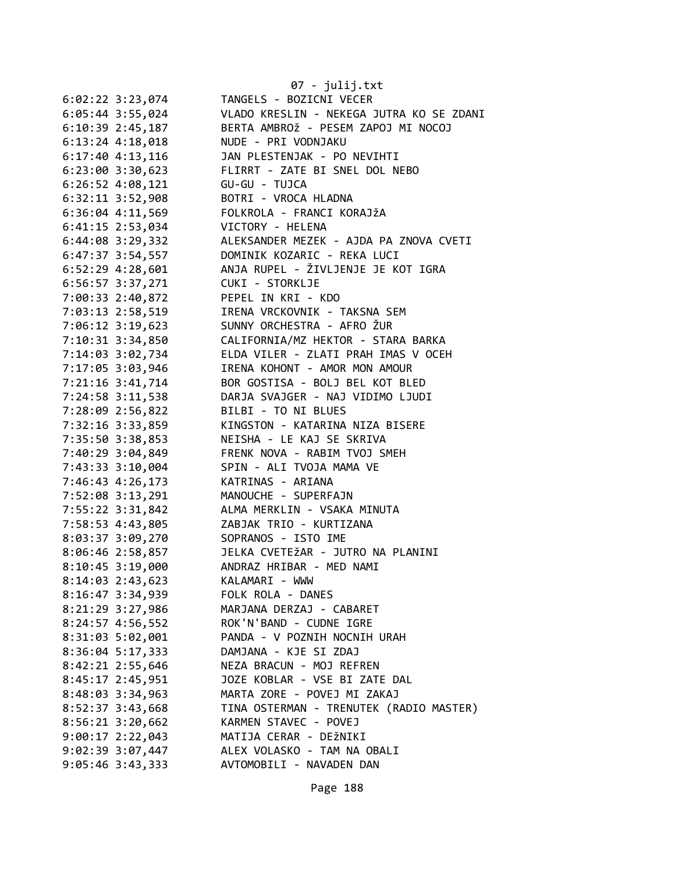|                      | 07 - julij.txt                                                   |
|----------------------|------------------------------------------------------------------|
| $6:02:22$ 3:23,074   | TANGELS - BOZICNI VECER                                          |
| 6:05:44 3:55,024     | VLADO KRESLIN - NEKEGA JUTRA KO SE ZDANI                         |
| $6:10:39$ 2:45,187   | BERTA AMBROŽ - PESEM ZAPOJ MI NOCOJ                              |
| $6:13:24$ $4:18,018$ | NUDE - PRI VODNJAKU                                              |
| 6:17:40 4:13,116     | JAN PLESTENJAK - PO NEVIHTI                                      |
| 6:23:00 3:30,623     | FLIRRT - ZATE BI SNEL DOL NEBO                                   |
| 6:26:52 4:08,121     | GU-GU - TUJCA                                                    |
| 6:32:11 3:52,908     | BOTRI - VROCA HLADNA                                             |
| 6:36:04 4:11,569     | FOLKROLA - FRANCI KORAJŽA                                        |
| 6:41:15 2:53,034     | VICTORY - HELENA                                                 |
| 6:44:08 3:29,332     | ALEKSANDER MEZEK - AJDA PA ZNOVA CVETI                           |
| $6:47:37$ 3:54,557   | DOMINIK KOZARIC - REKA LUCI                                      |
| 6:52:29 4:28,601     | ANJA RUPEL - ŽIVLJENJE JE KOT IGRA                               |
| 6:56:57 3:37,271     | CUKI - STORKLJE                                                  |
| 7:00:33 2:40,872     | PEPEL IN KRI - KDO                                               |
|                      | IRENA VRCKOVNIK - TAKSNA SEM                                     |
| 7:03:13 2:58,519     |                                                                  |
| 7:06:12 3:19,623     | SUNNY ORCHESTRA - AFRO ŽUR<br>CALIFORNIA/MZ HEKTOR - STARA BARKA |
| 7:10:31 3:34,850     |                                                                  |
| 7:14:03 3:02,734     | ELDA VILER - ZLATI PRAH IMAS V OCEH                              |
| 7:17:05 3:03,946     | IRENA KOHONT - AMOR MON AMOUR                                    |
| 7:21:16 3:41,714     | BOR GOSTISA - BOLJ BEL KOT BLED                                  |
| 7:24:58 3:11,538     | DARJA SVAJGER - NAJ VIDIMO LJUDI                                 |
| 7:28:09 2:56,822     | BILBI - TO NI BLUES                                              |
| 7:32:16 3:33,859     | KINGSTON - KATARINA NIZA BISERE                                  |
| 7:35:50 3:38,853     | NEISHA - LE KAJ SE SKRIVA                                        |
| 7:40:29 3:04,849     | FRENK NOVA - RABIM TVOJ SMEH                                     |
| 7:43:33 3:10,004     | SPIN - ALI TVOJA MAMA VE                                         |
| 7:46:43 4:26,173     | KATRINAS - ARIANA                                                |
| 7:52:08 3:13,291     | MANOUCHE - SUPERFAJN                                             |
| 7:55:22 3:31,842     | ALMA MERKLIN - VSAKA MINUTA                                      |
| 7:58:53 4:43,805     | ZABJAK TRIO - KURTIZANA                                          |
| 8:03:37 3:09,270     | SOPRANOS - ISTO IME                                              |
| 8:06:46 2:58,857     | JELKA CVETEŽAR - JUTRO NA PLANINI                                |
| 8:10:45 3:19,000     | ANDRAZ HRIBAR - MED NAMI                                         |
| 8:14:03 2:43,623     | KALAMARI - WWW                                                   |
| 8:16:47 3:34,939     | FOLK ROLA - DANES                                                |
| 8:21:29 3:27,986     | MARJANA DERZAJ - CABARET                                         |
| $8:24:57$ 4:56,552   | ROK'N'BAND - CUDNE IGRE                                          |
| 8:31:03 5:02,001     | PANDA - V POZNIH NOCNIH URAH                                     |
| $8:36:04$ 5:17,333   | DAMJANA - KJE SI ZDAJ                                            |
| 8:42:21 2:55,646     | NEZA BRACUN - MOJ REFREN                                         |
| 8:45:17 2:45,951     | JOZE KOBLAR - VSE BI ZATE DAL                                    |
| 8:48:03 3:34,963     | MARTA ZORE - POVEJ MI ZAKAJ                                      |
| 8:52:37 3:43,668     | TINA OSTERMAN - TRENUTEK (RADIO MASTER)                          |
| 8:56:21 3:20,662     | KARMEN STAVEC - POVEJ                                            |
| $9:00:17$ 2:22,043   | MATIJA CERAR - DEŽNIKI                                           |
| $9:02:39$ $3:07,447$ | ALEX VOLASKO - TAM NA OBALI                                      |
| $9:05:46$ 3:43,333   | AVTOMOBILI - NAVADEN DAN                                         |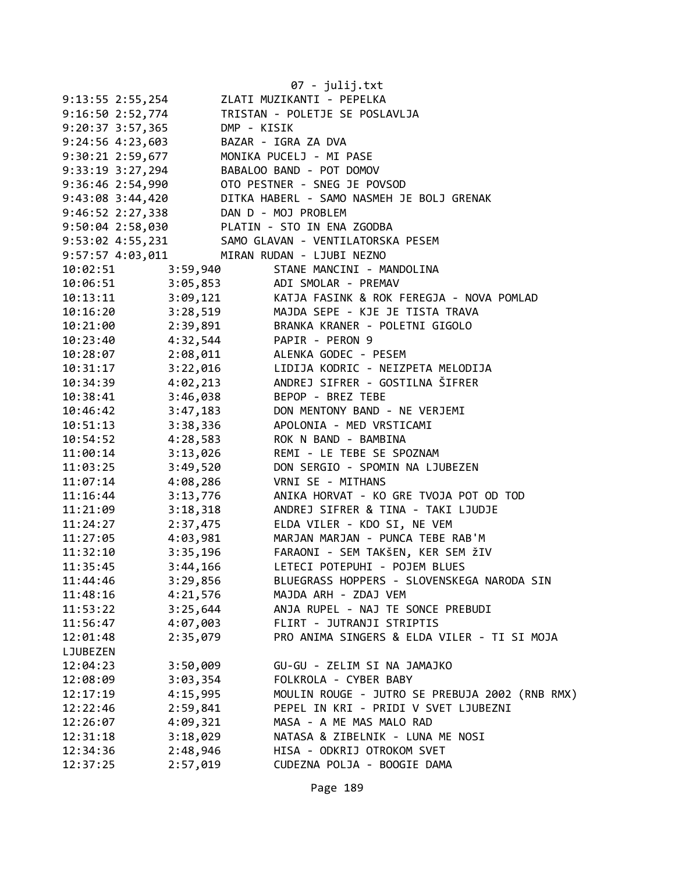|                      |                     | 07 - julij.txt                                     |
|----------------------|---------------------|----------------------------------------------------|
| $9:13:55$ 2:55,254   |                     | ZLATI MUZIKANTI - PEPELKA                          |
| 9:16:50 2:52,774     |                     | TRISTAN - POLETJE SE POSLAVLJA                     |
| $9:20:37$ 3:57,365   | DMP - KISIK         |                                                    |
| $9:24:56$ $4:23,603$ |                     | BAZAR - IGRA ZA DVA                                |
| 9:30:21 2:59,677     |                     | MONIKA PUCELJ - MI PASE                            |
| 9:33:19 3:27,294     |                     | BABALOO BAND - POT DOMOV                           |
| 9:36:46 2:54,990     |                     | OTO PESTNER - SNEG JE POVSOD                       |
| $9:43:08$ 3:44,420   |                     | DITKA HABERL - SAMO NASMEH JE BOLJ GRENAK          |
| $9:46:52$ $2:27,338$ | DAN D - MOJ PROBLEM |                                                    |
|                      |                     | 9:50:04 2:58,030 PLATIN - STO IN ENA ZGODBA        |
|                      |                     | 9:53:02 4:55,231 SAMO GLAVAN - VENTILATORSKA PESEM |
|                      |                     | 9:57:57 4:03,011 MIRAN RUDAN - LJUBI NEZNO         |
| 10:02:51             |                     | 3:59,940 STANE MANCINI - MANDOLINA                 |
| 10:06:51             |                     |                                                    |
| 10:13:11             |                     |                                                    |
| 10:16:20             |                     |                                                    |
| 10:21:00             |                     | 2:39,891 BRANKA KRANER - POLETNI GIGOLO            |
| 10:23:40             |                     | 4:32,544 PAPIR - PERON 9                           |
| 10:28:07             |                     | 2:08,011 ALENKA GODEC - PESEM                      |
| 10:31:17             |                     | 3:22,016 LIDIJA KODRIC - NEIZPETA MELODIJA         |
| 10:34:39             |                     | 4:02,213 ANDREJ SIFRER - GOSTILNA ŠIFRER           |
| 10:38:41             | 3:46,038            | BEPOP - BREZ TEBE                                  |
| 10:46:42             | 3:47,183            | DON MENTONY BAND - NE VERJEMI                      |
| 10:51:13             | 3:38,336            | APOLONIA - MED VRSTICAMI                           |
| 10:54:52             |                     | 4:28,583 ROK N BAND - BAMBINA                      |
| 11:00:14             |                     | 3:13,026 REMI - LE TEBE SE SPOZNAM                 |
| 11:03:25             | 3:49,520            | DON SERGIO - SPOMIN NA LJUBEZEN                    |
| 11:07:14             | 4:08,286            | VRNI SE - MITHANS                                  |
| 11:16:44             | 3:13,776            | ANIKA HORVAT - KO GRE TVOJA POT OD TOD             |
| 11:21:09             | 3:18,318            | ANDREJ SIFRER & TINA - TAKI LJUDJE                 |
| 11:24:27             |                     | 2:37,475 ELDA VILER - KDO SI, NE VEM               |
| 11:27:05             |                     | 4:03,981 MARJAN MARJAN - PUNCA TEBE RAB'M          |
| 11:32:10             |                     | 3:35,196 FARAONI - SEM TAKŠEN, KER SEM ŽIV         |
| 11:35:45             | 3:44,166            | LETECI POTEPUHI - POJEM BLUES                      |
| 11:44:46             | 3:29,856            | BLUEGRASS HOPPERS - SLOVENSKEGA NARODA SIN         |
| 11:48:16             | 4:21,576            | MAJDA ARH - ZDAJ VEM                               |
| 11:53:22             | 3:25,644            | ANJA RUPEL - NAJ TE SONCE PREBUDI                  |
| 11:56:47             | 4:07,003            | FLIRT - JUTRANJI STRIPTIS                          |
| 12:01:48             | 2:35,079            | PRO ANIMA SINGERS & ELDA VILER - TI SI MOJA        |
| LJUBEZEN             |                     |                                                    |
| 12:04:23             | 3:50,009            | GU-GU - ZELIM SI NA JAMAJKO                        |
| 12:08:09             | 3:03,354            | FOLKROLA - CYBER BABY                              |
| 12:17:19             | 4:15,995            | MOULIN ROUGE - JUTRO SE PREBUJA 2002 (RNB RMX)     |
| 12:22:46             | 2:59,841            | PEPEL IN KRI - PRIDI V SVET LJUBEZNI               |
| 12:26:07             | 4:09,321            | MASA - A ME MAS MALO RAD                           |
| 12:31:18             | 3:18,029            | NATASA & ZIBELNIK - LUNA ME NOSI                   |
| 12:34:36             | 2:48,946            | HISA - ODKRIJ OTROKOM SVET                         |
| 12:37:25             | 2:57,019            | CUDEZNA POLJA - BOOGIE DAMA                        |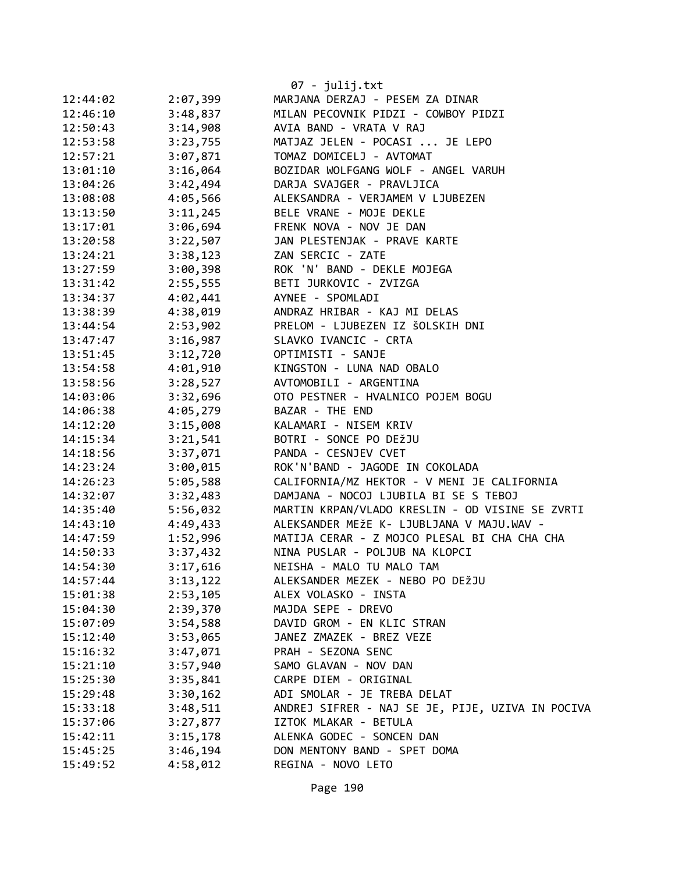|          |          | 07 - julij.txt                                   |
|----------|----------|--------------------------------------------------|
| 12:44:02 | 2:07,399 | MARJANA DERZAJ - PESEM ZA DINAR                  |
| 12:46:10 | 3:48,837 | MILAN PECOVNIK PIDZI - COWBOY PIDZI              |
| 12:50:43 | 3:14,908 | AVIA BAND - VRATA V RAJ                          |
| 12:53:58 | 3:23,755 | MATJAZ JELEN - POCASI  JE LEPO                   |
| 12:57:21 | 3:07,871 | TOMAZ DOMICELJ - AVTOMAT                         |
| 13:01:10 | 3:16,064 | BOZIDAR WOLFGANG WOLF - ANGEL VARUH              |
| 13:04:26 | 3:42,494 | DARJA SVAJGER - PRAVLJICA                        |
| 13:08:08 | 4:05,566 | ALEKSANDRA - VERJAMEM V LJUBEZEN                 |
| 13:13:50 | 3:11,245 | BELE VRANE - MOJE DEKLE                          |
| 13:17:01 | 3:06,694 | FRENK NOVA - NOV JE DAN                          |
| 13:20:58 | 3:22,507 | JAN PLESTENJAK - PRAVE KARTE                     |
| 13:24:21 | 3:38,123 | ZAN SERCIC - ZATE                                |
| 13:27:59 | 3:00,398 | ROK 'N' BAND - DEKLE MOJEGA                      |
| 13:31:42 | 2:55,555 | BETI JURKOVIC - ZVIZGA                           |
| 13:34:37 | 4:02,441 | AYNEE - SPOMLADI                                 |
| 13:38:39 | 4:38,019 | ANDRAZ HRIBAR - KAJ MI DELAS                     |
| 13:44:54 | 2:53,902 | PRELOM - LJUBEZEN IZ ŠOLSKIH DNI                 |
| 13:47:47 | 3:16,987 | SLAVKO IVANCIC - CRTA                            |
| 13:51:45 | 3:12,720 | OPTIMISTI - SANJE                                |
| 13:54:58 | 4:01,910 | KINGSTON - LUNA NAD OBALO                        |
| 13:58:56 | 3:28,527 | AVTOMOBILI - ARGENTINA                           |
| 14:03:06 | 3:32,696 | OTO PESTNER - HVALNICO POJEM BOGU                |
| 14:06:38 | 4:05,279 | BAZAR - THE END                                  |
| 14:12:20 | 3:15,008 | KALAMARI - NISEM KRIV                            |
| 14:15:34 | 3:21,541 | BOTRI - SONCE PO DEŽJU                           |
| 14:18:56 | 3:37,071 | PANDA - CESNJEV CVET                             |
| 14:23:24 | 3:00,015 | ROK'N'BAND - JAGODE IN COKOLADA                  |
| 14:26:23 | 5:05,588 | CALIFORNIA/MZ HEKTOR - V MENI JE CALIFORNIA      |
| 14:32:07 | 3:32,483 | DAMJANA - NOCOJ LJUBILA BI SE S TEBOJ            |
| 14:35:40 | 5:56,032 | MARTIN KRPAN/VLADO KRESLIN - OD VISINE SE ZVRTI  |
| 14:43:10 | 4:49,433 | ALEKSANDER MEŽE K- LJUBLJANA V MAJU.WAV -        |
| 14:47:59 | 1:52,996 | MATIJA CERAR - Z MOJCO PLESAL BI CHA CHA CHA     |
| 14:50:33 | 3:37,432 | NINA PUSLAR - POLJUB NA KLOPCI                   |
| 14:54:30 | 3:17,616 | NEISHA - MALO TU MALO TAM                        |
| 14:57:44 | 3:13,122 | ALEKSANDER MEZEK - NEBO PO DEŽJU                 |
| 15:01:38 | 2:53,105 | ALEX VOLASKO - INSTA                             |
| 15:04:30 | 2:39,370 | MAJDA SEPE - DREVO                               |
| 15:07:09 | 3:54,588 | DAVID GROM - EN KLIC STRAN                       |
| 15:12:40 | 3:53,065 | JANEZ ZMAZEK - BREZ VEZE                         |
| 15:16:32 | 3:47,071 | PRAH - SEZONA SENC                               |
| 15:21:10 | 3:57,940 | SAMO GLAVAN - NOV DAN                            |
| 15:25:30 | 3:35,841 | CARPE DIEM - ORIGINAL                            |
| 15:29:48 | 3:30,162 | ADI SMOLAR - JE TREBA DELAT                      |
| 15:33:18 | 3:48,511 | ANDREJ SIFRER - NAJ SE JE, PIJE, UZIVA IN POCIVA |
| 15:37:06 | 3:27,877 | IZTOK MLAKAR - BETULA                            |
| 15:42:11 | 3:15,178 | ALENKA GODEC - SONCEN DAN                        |
| 15:45:25 | 3:46,194 | DON MENTONY BAND - SPET DOMA                     |
| 15:49:52 | 4:58,012 | REGINA - NOVO LETO                               |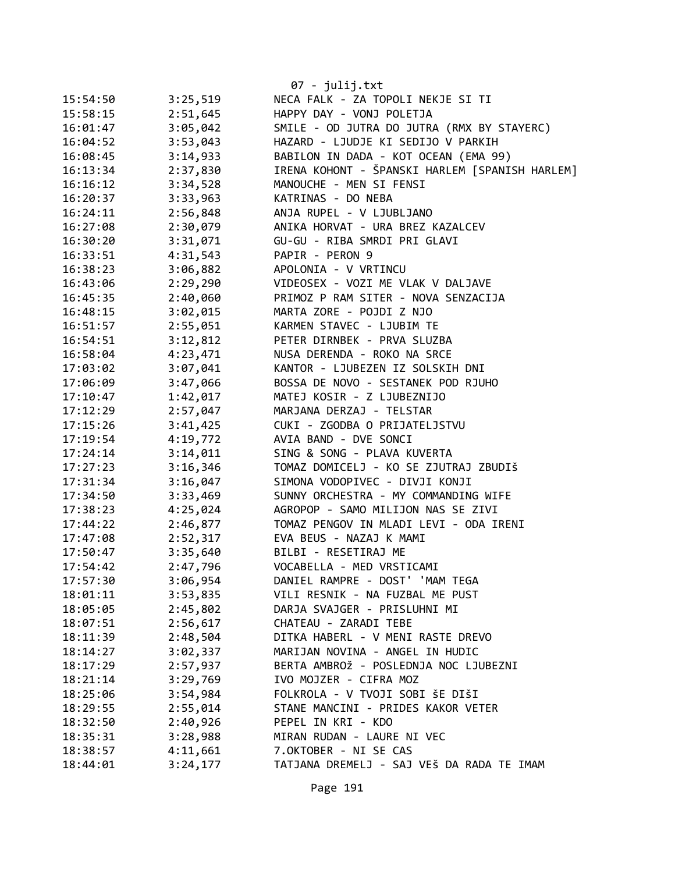|          |          | 07 - julij.txt                                 |
|----------|----------|------------------------------------------------|
| 15:54:50 | 3:25,519 | NECA FALK - ZA TOPOLI NEKJE SI TI              |
| 15:58:15 | 2:51,645 | HAPPY DAY - VONJ POLETJA                       |
| 16:01:47 | 3:05,042 | SMILE - OD JUTRA DO JUTRA (RMX BY STAYERC)     |
| 16:04:52 | 3:53,043 | HAZARD - LJUDJE KI SEDIJO V PARKIH             |
| 16:08:45 | 3:14,933 | BABILON IN DADA - KOT OCEAN (EMA 99)           |
| 16:13:34 | 2:37,830 | IRENA KOHONT - ŠPANSKI HARLEM [SPANISH HARLEM] |
| 16:16:12 | 3:34,528 | MANOUCHE - MEN SI FENSI                        |
| 16:20:37 | 3:33,963 | KATRINAS - DO NEBA                             |
| 16:24:11 | 2:56,848 | ANJA RUPEL - V LJUBLJANO                       |
| 16:27:08 | 2:30,079 | ANIKA HORVAT - URA BREZ KAZALCEV               |
| 16:30:20 | 3:31,071 | GU-GU - RIBA SMRDI PRI GLAVI                   |
| 16:33:51 | 4:31,543 | PAPIR - PERON 9                                |
| 16:38:23 | 3:06,882 | APOLONIA - V VRTINCU                           |
| 16:43:06 | 2:29,290 | VIDEOSEX - VOZI ME VLAK V DALJAVE              |
| 16:45:35 | 2:40,060 | PRIMOZ P RAM SITER - NOVA SENZACIJA            |
| 16:48:15 | 3:02,015 | MARTA ZORE - POJDI Z NJO                       |
| 16:51:57 | 2:55,051 | KARMEN STAVEC - LJUBIM TE                      |
| 16:54:51 | 3:12,812 | PETER DIRNBEK - PRVA SLUZBA                    |
| 16:58:04 | 4:23,471 | NUSA DERENDA - ROKO NA SRCE                    |
| 17:03:02 | 3:07,041 | KANTOR - LJUBEZEN IZ SOLSKIH DNI               |
| 17:06:09 | 3:47,066 | BOSSA DE NOVO - SESTANEK POD RJUHO             |
| 17:10:47 | 1:42,017 | MATEJ KOSIR - Z LJUBEZNIJO                     |
| 17:12:29 | 2:57,047 | MARJANA DERZAJ - TELSTAR                       |
| 17:15:26 | 3:41,425 | CUKI - ZGODBA O PRIJATELJSTVU                  |
| 17:19:54 | 4:19,772 | AVIA BAND - DVE SONCI                          |
| 17:24:14 | 3:14,011 | SING & SONG - PLAVA KUVERTA                    |
| 17:27:23 | 3:16,346 | TOMAZ DOMICELJ - KO SE ZJUTRAJ ZBUDIŠ          |
| 17:31:34 | 3:16,047 | SIMONA VODOPIVEC - DIVJI KONJI                 |
| 17:34:50 | 3:33,469 | SUNNY ORCHESTRA - MY COMMANDING WIFE           |
| 17:38:23 | 4:25,024 | AGROPOP - SAMO MILIJON NAS SE ZIVI             |
| 17:44:22 | 2:46,877 | TOMAZ PENGOV IN MLADI LEVI - ODA IRENI         |
| 17:47:08 | 2:52,317 | EVA BEUS - NAZAJ K MAMI                        |
| 17:50:47 | 3:35,640 | BILBI - RESETIRAJ ME                           |
| 17:54:42 | 2:47,796 | VOCABELLA - MED VRSTICAMI                      |
| 17:57:30 | 3:06,954 | DANIEL RAMPRE - DOST' 'MAM TEGA                |
| 18:01:11 | 3:53,835 | VILI RESNIK - NA FUZBAL ME PUST                |
| 18:05:05 | 2:45,802 | DARJA SVAJGER - PRISLUHNI MI                   |
| 18:07:51 | 2:56,617 | CHATEAU - ZARADI TEBE                          |
| 18:11:39 | 2:48,504 | DITKA HABERL - V MENI RASTE DREVO              |
| 18:14:27 | 3:02,337 | MARIJAN NOVINA - ANGEL IN HUDIC                |
| 18:17:29 | 2:57,937 | BERTA AMBROŽ - POSLEDNJA NOC LJUBEZNI          |
| 18:21:14 | 3:29,769 | IVO MOJZER - CIFRA MOZ                         |
| 18:25:06 | 3:54,984 | FOLKROLA - V TVOJI SOBI ŠE DIŠI                |
| 18:29:55 | 2:55,014 | STANE MANCINI - PRIDES KAKOR VETER             |
| 18:32:50 | 2:40,926 | PEPEL IN KRI - KDO                             |
| 18:35:31 | 3:28,988 | MIRAN RUDAN - LAURE NI VEC                     |
| 18:38:57 | 4:11,661 | 7.OKTOBER - NI SE CAS                          |
| 18:44:01 | 3:24,177 | TATJANA DREMELJ - SAJ VEŠ DA RADA TE IMAM      |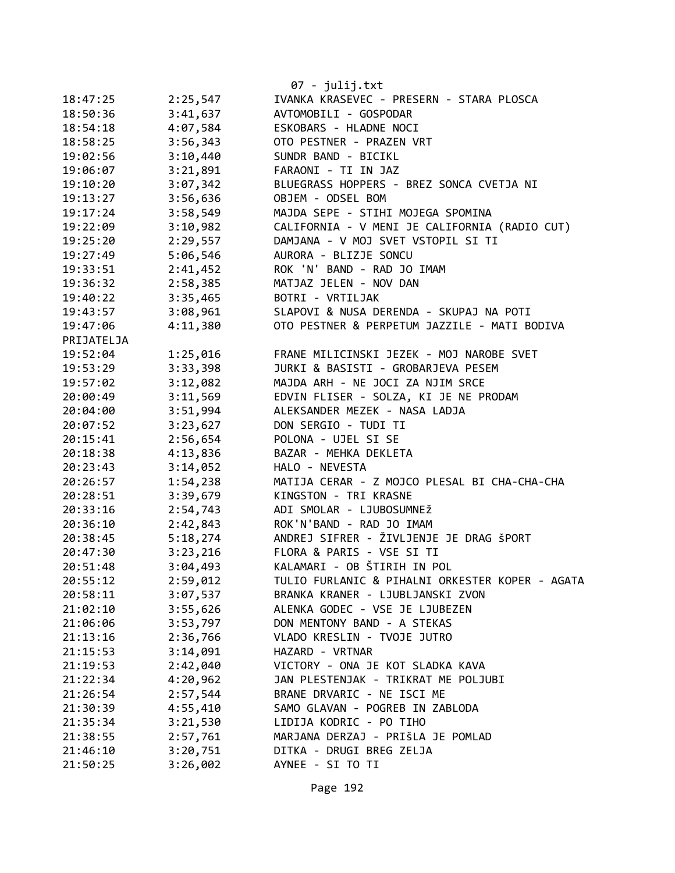|            |          | 07 - julij.txt                                  |
|------------|----------|-------------------------------------------------|
| 18:47:25   | 2:25,547 | IVANKA KRASEVEC - PRESERN - STARA PLOSCA        |
| 18:50:36   | 3:41,637 | AVTOMOBILI - GOSPODAR                           |
| 18:54:18   | 4:07,584 | ESKOBARS - HLADNE NOCI                          |
| 18:58:25   | 3:56,343 | OTO PESTNER - PRAZEN VRT                        |
| 19:02:56   | 3:10,440 | SUNDR BAND - BICIKL                             |
| 19:06:07   | 3:21,891 | FARAONI - TI IN JAZ                             |
| 19:10:20   | 3:07,342 | BLUEGRASS HOPPERS - BREZ SONCA CVETJA NI        |
| 19:13:27   | 3:56,636 | OBJEM - ODSEL BOM                               |
| 19:17:24   | 3:58,549 | MAJDA SEPE - STIHI MOJEGA SPOMINA               |
| 19:22:09   | 3:10,982 | CALIFORNIA - V MENI JE CALIFORNIA (RADIO CUT)   |
| 19:25:20   | 2:29,557 | DAMJANA - V MOJ SVET VSTOPIL SI TI              |
| 19:27:49   | 5:06,546 | AURORA - BLIZJE SONCU                           |
| 19:33:51   | 2:41,452 | ROK 'N' BAND - RAD JO IMAM                      |
| 19:36:32   | 2:58,385 | MATJAZ JELEN - NOV DAN                          |
| 19:40:22   | 3:35,465 | BOTRI - VRTILJAK                                |
| 19:43:57   | 3:08,961 | SLAPOVI & NUSA DERENDA - SKUPAJ NA POTI         |
| 19:47:06   | 4:11,380 | OTO PESTNER & PERPETUM JAZZILE - MATI BODIVA    |
| PRIJATELJA |          |                                                 |
| 19:52:04   | 1:25,016 | FRANE MILICINSKI JEZEK - MOJ NAROBE SVET        |
| 19:53:29   | 3:33,398 | JURKI & BASISTI - GROBARJEVA PESEM              |
| 19:57:02   | 3:12,082 | MAJDA ARH - NE JOCI ZA NJIM SRCE                |
| 20:00:49   | 3:11,569 | EDVIN FLISER - SOLZA, KI JE NE PRODAM           |
| 20:04:00   | 3:51,994 | ALEKSANDER MEZEK - NASA LADJA                   |
| 20:07:52   | 3:23,627 | DON SERGIO - TUDI TI                            |
| 20:15:41   | 2:56,654 | POLONA - UJEL SI SE                             |
| 20:18:38   | 4:13,836 | BAZAR - MEHKA DEKLETA                           |
| 20:23:43   | 3:14,052 | HALO - NEVESTA                                  |
| 20:26:57   | 1:54,238 | MATIJA CERAR - Z MOJCO PLESAL BI CHA-CHA-CHA    |
| 20:28:51   | 3:39,679 | KINGSTON - TRI KRASNE                           |
| 20:33:16   | 2:54,743 | ADI SMOLAR - LJUBOSUMNEŽ                        |
| 20:36:10   | 2:42,843 | ROK'N'BAND - RAD JO IMAM                        |
| 20:38:45   | 5:18,274 | ANDREJ SIFRER - ŽIVLJENJE JE DRAG ŠPORT         |
| 20:47:30   | 3:23,216 | FLORA & PARIS - VSE SI TI                       |
| 20:51:48   | 3:04,493 | KALAMARI - OB ŠTIRIH IN POL                     |
| 20:55:12   | 2:59,012 | TULIO FURLANIC & PIHALNI ORKESTER KOPER - AGATA |
| 20:58:11   | 3:07,537 | BRANKA KRANER - LJUBLJANSKI ZVON                |
| 21:02:10   | 3:55,626 | ALENKA GODEC - VSE JE LJUBEZEN                  |
| 21:06:06   | 3:53,797 | DON MENTONY BAND - A STEKAS                     |
| 21:13:16   | 2:36,766 | VLADO KRESLIN - TVOJE JUTRO                     |
| 21:15:53   | 3:14,091 | HAZARD - VRTNAR                                 |
| 21:19:53   | 2:42,040 | VICTORY - ONA JE KOT SLADKA KAVA                |
| 21:22:34   | 4:20,962 | JAN PLESTENJAK - TRIKRAT ME POLJUBI             |
| 21:26:54   | 2:57,544 | BRANE DRVARIC - NE ISCI ME                      |
| 21:30:39   | 4:55,410 | SAMO GLAVAN - POGREB IN ZABLODA                 |
| 21:35:34   | 3:21,530 | LIDIJA KODRIC - PO TIHO                         |
| 21:38:55   | 2:57,761 | MARJANA DERZAJ - PRIŠLA JE POMLAD               |
| 21:46:10   | 3:20,751 | DITKA - DRUGI BREG ZELJA                        |
| 21:50:25   | 3:26,002 | AYNEE - SI TO TI                                |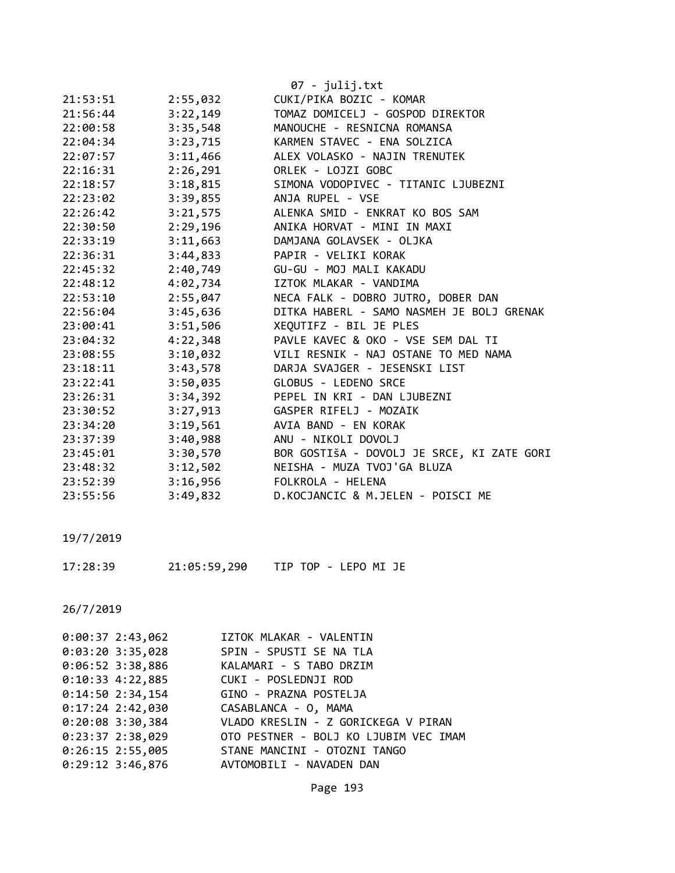|          |          | 07 - julij.txt                             |
|----------|----------|--------------------------------------------|
| 21:53:51 | 2:55,032 | CUKI/PIKA BOZIC - KOMAR                    |
| 21:56:44 | 3:22,149 | TOMAZ DOMICELJ - GOSPOD DIREKTOR           |
| 22:00:58 | 3:35,548 | MANOUCHE - RESNICNA ROMANSA                |
| 22:04:34 | 3:23,715 | KARMEN STAVEC - ENA SOLZICA                |
| 22:07:57 | 3:11,466 | ALEX VOLASKO - NAJIN TRENUTEK              |
| 22:16:31 | 2:26,291 | ORLEK - LOJZI GOBC                         |
| 22:18:57 | 3:18,815 | SIMONA VODOPIVEC - TITANIC LJUBEZNI        |
| 22:23:02 | 3:39,855 | ANJA RUPEL - VSE                           |
| 22:26:42 | 3:21,575 | ALENKA SMID - ENKRAT KO BOS SAM            |
| 22:30:50 | 2:29,196 | ANIKA HORVAT - MINI IN MAXI                |
| 22:33:19 | 3:11,663 | DAMJANA GOLAVSEK - OLJKA                   |
| 22:36:31 | 3:44,833 | PAPIR - VELIKI KORAK                       |
| 22:45:32 | 2:40,749 | GU-GU - MOJ MALI KAKADU                    |
| 22:48:12 | 4:02,734 | IZTOK MLAKAR - VANDIMA                     |
| 22:53:10 | 2:55,047 | NECA FALK - DOBRO JUTRO, DOBER DAN         |
| 22:56:04 | 3:45,636 | DITKA HABERL - SAMO NASMEH JE BOLJ GRENAK  |
| 23:00:41 | 3:51,506 | XEQUTIFZ - BIL JE PLES                     |
| 23:04:32 | 4:22,348 | PAVLE KAVEC & OKO - VSE SEM DAL TI         |
| 23:08:55 | 3:10,032 | VILI RESNIK - NAJ OSTANE TO MED NAMA       |
| 23:18:11 | 3:43,578 | DARJA SVAJGER - JESENSKI LIST              |
| 23:22:41 | 3:50,035 | GLOBUS - LEDENO SRCE                       |
| 23:26:31 | 3:34,392 | PEPEL IN KRI - DAN LJUBEZNI                |
| 23:30:52 | 3:27,913 | GASPER RIFELJ - MOZAIK                     |
| 23:34:20 | 3:19,561 | AVIA BAND - EN KORAK                       |
| 23:37:39 | 3:40,988 | ANU - NIKOLI DOVOLJ                        |
| 23:45:01 | 3:30,570 | BOR GOSTIŠA - DOVOLJ JE SRCE, KI ZATE GORI |
| 23:48:32 | 3:12,502 | NEISHA - MUZA TVOJ'GA BLUZA                |
| 23:52:39 | 3:16,956 | FOLKROLA - HELENA                          |
| 23:55:56 | 3:49,832 | D.KOCJANCIC & M.JELEN - POISCI ME          |

17:28:39 21:05:59,290 TIP TOP - LEPO MI JE

| $0:00:37$ 2:43,062 | IZTOK MLAKAR - VALENTIN                                |
|--------------------|--------------------------------------------------------|
| $0:03:20$ 3:35,028 | SPIN - SPUSTI SE NA TLA                                |
|                    | 0:06:52 3:38,886 KALAMARI - S TABO DRZIM               |
|                    |                                                        |
|                    | 0:14:50 2:34,154 GINO - PRAZNA POSTELJA                |
|                    | 0:17:24 2:42,030 CASABLANCA - 0, MAMA                  |
|                    | 0:20:08 3:30,384 VLADO KRESLIN - Z GORICKEGA V PIRAN   |
|                    | 0:23:37 2:38,029 OTO PESTNER - BOLJ KO LJUBIM VEC IMAM |
|                    | 0:26:15 2:55,005 STANE MANCINI - OTOZNI TANGO          |
| $0:29:12$ 3:46,876 | AVTOMOBILI - NAVADEN DAN                               |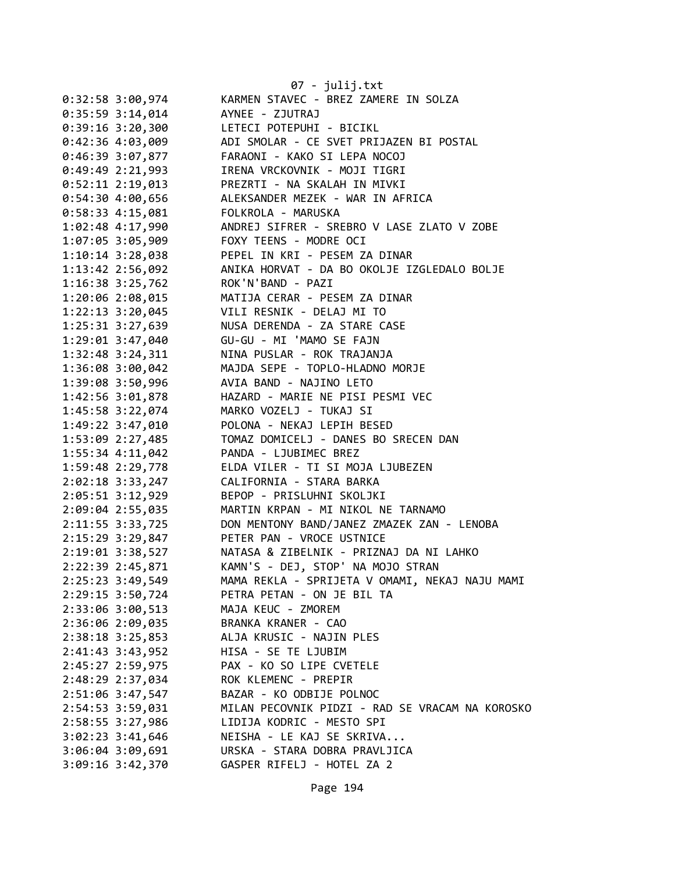|                      | 07 - julij.txt                                  |
|----------------------|-------------------------------------------------|
| $0:32:58$ 3:00,974   | KARMEN STAVEC - BREZ ZAMERE IN SOLZA            |
| $0:35:59$ 3:14,014   | AYNEE - ZJUTRAJ                                 |
| $0:39:16$ 3:20,300   | LETECI POTEPUHI - BICIKL                        |
| $0:42:36$ 4:03,009   | ADI SMOLAR - CE SVET PRIJAZEN BI POSTAL         |
| $0:46:39$ 3:07,877   | FARAONI - KAKO SI LEPA NOCOJ                    |
| $0:49:49$ 2:21,993   | IRENA VRCKOVNIK - MOJI TIGRI                    |
| $0:52:11$ 2:19,013   | PREZRTI - NA SKALAH IN MIVKI                    |
| 0:54:304:00,656      | ALEKSANDER MEZEK - WAR IN AFRICA                |
| $0:58:33$ 4:15,081   | FOLKROLA - MARUSKA                              |
| $1:02:48$ 4:17,990   | ANDREJ SIFRER - SREBRO V LASE ZLATO V ZOBE      |
| $1:07:05$ 3:05,909   | FOXY TEENS - MODRE OCI                          |
| $1:10:14$ 3:28,038   | PEPEL IN KRI - PESEM ZA DINAR                   |
| $1:13:42$ $2:56,092$ | ANIKA HORVAT - DA BO OKOLJE IZGLEDALO BOLJE     |
| 1:16:38 3:25,762     | ROK'N'BAND - PAZI                               |
| 1:20:06 2:08,015     | MATIJA CERAR - PESEM ZA DINAR                   |
| 1:22:13 3:20,045     | VILI RESNIK - DELAJ MI TO                       |
| 1:25:31 3:27,639     | NUSA DERENDA - ZA STARE CASE                    |
| $1:29:01$ $3:47,040$ | GU-GU - MI 'MAMO SE FAJN                        |
| $1:32:48$ $3:24,311$ | NINA PUSLAR - ROK TRAJANJA                      |
| 1:36:08 3:00,042     | MAJDA SEPE - TOPLO-HLADNO MORJE                 |
| 1:39:08 3:50,996     | AVIA BAND - NAJINO LETO                         |
| 1:42:56 3:01,878     | HAZARD - MARIE NE PISI PESMI VEC                |
| 1:45:58 3:22,074     | MARKO VOZELJ - TUKAJ SI                         |
| 1:49:22 3:47,010     | POLONA - NEKAJ LEPIH BESED                      |
| 1:53:09 2:27,485     | TOMAZ DOMICELJ - DANES BO SRECEN DAN            |
| $1:55:34$ $4:11,042$ | PANDA - LJUBIMEC BREZ                           |
| 1:59:48 2:29,778     | ELDA VILER - TI SI MOJA LJUBEZEN                |
| $2:02:18$ 3:33,247   | CALIFORNIA - STARA BARKA                        |
| 2:05:51 3:12,929     | BEPOP - PRISLUHNI SKOLJKI                       |
| 2:09:04 2:55,035     | MARTIN KRPAN - MI NIKOL NE TARNAMO              |
| 2:11:55 3:33,725     | DON MENTONY BAND/JANEZ ZMAZEK ZAN - LENOBA      |
| 2:15:29 3:29,847     | PETER PAN - VROCE USTNICE                       |
| $2:19:01$ $3:38,527$ | NATASA & ZIBELNIK - PRIZNAJ DA NI LAHKO         |
| 2:22:39 2:45,871     | KAMN'S - DEJ, STOP' NA MOJO STRAN               |
| 2:25:23 3:49,549     | MAMA REKLA - SPRIJETA V OMAMI, NEKAJ NAJU MAMI  |
| 2:29:15 3:50,724     | PETRA PETAN - ON JE BIL TA                      |
| 2:33:06 3:00,513     | MAJA KEUC - ZMOREM                              |
| 2:36:06 2:09,035     | BRANKA KRANER - CAO                             |
| $2:38:18$ 3:25,853   | ALJA KRUSIC - NAJIN PLES                        |
| 2:41:43 3:43,952     | HISA - SE TE LJUBIM                             |
| 2:45:27 2:59,975     | PAX - KO SO LIPE CVETELE                        |
| 2:48:29 2:37,034     | ROK KLEMENC - PREPIR                            |
| 2:51:06 3:47,547     | BAZAR - KO ODBIJE POLNOC                        |
| 2:54:53 3:59,031     | MILAN PECOVNIK PIDZI - RAD SE VRACAM NA KOROSKO |
| 2:58:55 3:27,986     | LIDIJA KODRIC - MESTO SPI                       |
| $3:02:23$ $3:41,646$ | NEISHA - LE KAJ SE SKRIVA                       |
| 3:06:04 3:09,691     | URSKA - STARA DOBRA PRAVLJICA                   |
| $3:09:16$ $3:42,370$ | GASPER RIFELJ - HOTEL ZA 2                      |
|                      |                                                 |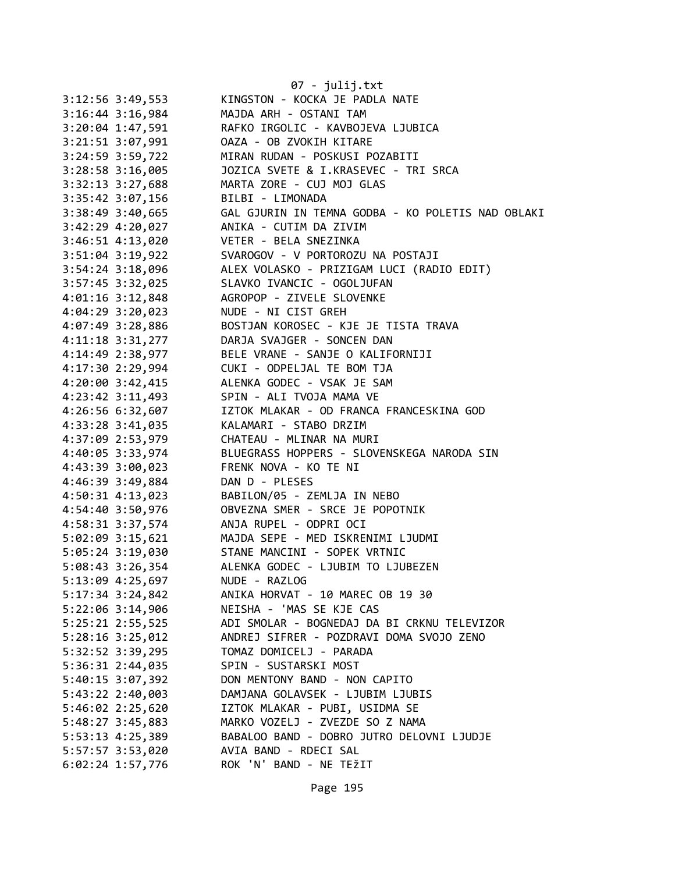| 3:12:56 3:49,553                        | 07 - julij.txt<br>KINGSTON - KOCKA JE PADLA NATE                                         |
|-----------------------------------------|------------------------------------------------------------------------------------------|
| $3:16:44$ $3:16,984$                    | MAJDA ARH - OSTANI TAM                                                                   |
| $3:20:04$ 1:47,591                      | RAFKO IRGOLIC - KAVBOJEVA LJUBICA                                                        |
| 3:21:51 3:07,991                        | OAZA - OB ZVOKIH KITARE                                                                  |
| 3:24:59 3:59,722                        | MIRAN RUDAN - POSKUSI POZABITI                                                           |
| 3:28:58 3:16,005                        | JOZICA SVETE & I.KRASEVEC - TRI SRCA                                                     |
| 3:32:13 3:27,688                        | MARTA ZORE - CUJ MOJ GLAS                                                                |
| 3:35:42 3:07,156                        | BILBI - LIMONADA                                                                         |
|                                         | GAL GJURIN IN TEMNA GODBA - KO POLETIS NAD OBLAKI                                        |
| 3:38:49 3:40,665                        | ANIKA - CUTIM DA ZIVIM                                                                   |
| $3:42:29$ $4:20,027$                    | VETER - BELA SNEZINKA                                                                    |
| 3:46:51 4:13,020                        |                                                                                          |
| $3:51:04$ 3:19,922                      | SVAROGOV - V PORTOROZU NA POSTAJI                                                        |
|                                         | 3:54:24 3:18,096 ALEX VOLASKO - PRIZIGAM LUCI (RADIO EDIT)<br>SLAVKO IVANCIC - OGOLJUFAN |
| 3:57:45 3:32,025                        |                                                                                          |
| $4:01:16$ $3:12,848$                    | AGROPOP - ZIVELE SLOVENKE                                                                |
| $4:04:29$ 3:20,023                      | NUDE - NI CIST GREH                                                                      |
| $4:07:49$ 3:28,886                      | BOSTJAN KOROSEC - KJE JE TISTA TRAVA                                                     |
|                                         | 4:11:18 3:31,277 DARJA SVAJGER - SONCEN DAN                                              |
|                                         | 4:14:49 2:38,977 BELE VRANE - SANJE O KALIFORNIJI                                        |
|                                         | 4:17:30 2:29,994 CUKI - ODPELJAL TE BOM TJA                                              |
|                                         | 4:20:00 3:42,415 ALENKA GODEC - VSAK JE SAM                                              |
|                                         | 4:23:42 3:11,493 SPIN - ALI TVOJA MAMA VE<br>4:26:56 6:32,607 IZTOK MLAKAR - OD FRANCA   |
|                                         | IZTOK MLAKAR - OD FRANCA FRANCESKINA GOD                                                 |
| 4:33:28 3:41,035 KALAMARI - STABO DRZIM |                                                                                          |
|                                         | 4:37:09 2:53,979 CHATEAU - MLINAR NA MURI                                                |
|                                         | 4:40:05 3:33,974 BLUEGRASS HOPPERS - SLOVENSKEGA NARODA SIN                              |
| 4:43:39 3:00,023 FRENK NOVA - KO TE NI  |                                                                                          |
| 4:46:39 3:49,884                        | DAN D - PLESES                                                                           |
| $4:50:31$ $4:13,023$                    | BABILON/05 - ZEMLJA IN NEBO                                                              |
| 4:54:40 3:50,976                        | OBVEZNA SMER - SRCE JE POPOTNIK                                                          |
| 4:58:31 3:37,574 ANJA RUPEL - ODPRI OCI |                                                                                          |
|                                         | 5:02:09 3:15,621 MAJDA SEPE - MED ISKRENIMI LJUDMI                                       |
| 5:05:24 3:19,030                        | STANE MANCINI - SOPEK VRTNIC                                                             |
| 5:08:43 3:26,354                        | ALENKA GODEC - LJUBIM TO LJUBEZEN                                                        |
| 5:13:09 4:25,697                        | NUDE - RAZLOG                                                                            |
| $5:17:34$ $3:24,842$                    | ANIKA HORVAT - 10 MAREC OB 19 30                                                         |
| 5:22:06 3:14,906                        | NEISHA - 'MAS SE KJE CAS                                                                 |
| 5:25:21 2:55,525                        | ADI SMOLAR - BOGNEDAJ DA BI CRKNU TELEVIZOR                                              |
| $5:28:16$ $3:25,012$                    | ANDREJ SIFRER - POZDRAVI DOMA SVOJO ZENO                                                 |
| 5:32:52 3:39,295                        | TOMAZ DOMICELJ - PARADA                                                                  |
| 5:36:31 2:44,035                        | SPIN - SUSTARSKI MOST                                                                    |
| 5:40:15 3:07,392                        | DON MENTONY BAND - NON CAPITO                                                            |
| 5:43:22 2:40,003                        | DAMJANA GOLAVSEK - LJUBIM LJUBIS                                                         |
| 5:46:02 2:25,620                        | IZTOK MLAKAR - PUBI, USIDMA SE                                                           |
| 5:48:27 3:45,883                        | MARKO VOZELJ - ZVEZDE SO Z NAMA                                                          |
| 5:53:13 4:25,389                        | BABALOO BAND - DOBRO JUTRO DELOVNI LJUDJE                                                |
| 5:57:57 3:53,020                        | AVIA BAND - RDECI SAL                                                                    |
| 6:02:24 1:57,776                        | ROK 'N' BAND - NE TEŽIT                                                                  |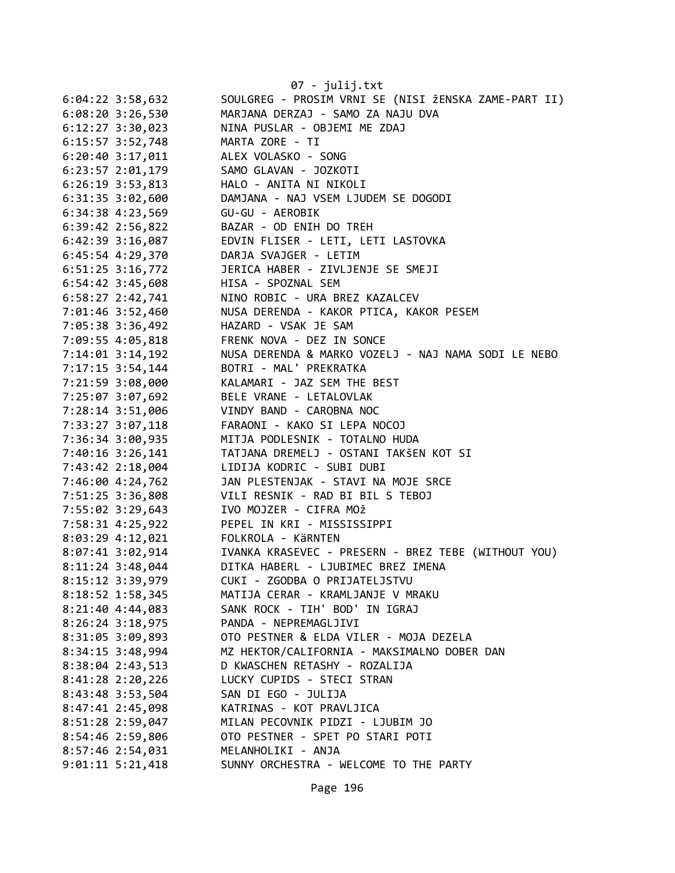|                    |                      | 07 - julij.txt                                       |
|--------------------|----------------------|------------------------------------------------------|
| $6:04:22$ 3:58,632 |                      | SOULGREG - PROSIM VRNI SE (NISI ŽENSKA ZAME-PART II) |
|                    | $6:08:20$ 3:26,530   | MARJANA DERZAJ - SAMO ZA NAJU DVA                    |
|                    | $6:12:27$ 3:30,023   | NINA PUSLAR - OBJEMI ME ZDAJ                         |
|                    | 6:15:57 3:52,748     | MARTA ZORE - TI                                      |
|                    | $6:20:40$ 3:17,011   | ALEX VOLASKO - SONG                                  |
|                    | $6:23:57$ $2:01,179$ | SAMO GLAVAN - JOZKOTI                                |
| $6:26:19$ 3:53,813 |                      | HALO - ANITA NI NIKOLI                               |
| 6:31:35 3:02,600   |                      | DAMJANA - NAJ VSEM LJUDEM SE DOGODI                  |
| 6:34:38 4:23,569   |                      | GU-GU - AEROBIK                                      |
| 6:39:42 2:56,822   |                      | BAZAR - OD ENIH DO TREH                              |
|                    | $6:42:39$ 3:16,087   | EDVIN FLISER - LETI, LETI LASTOVKA                   |
|                    | 6:45:54 4:29,370     | DARJA SVAJGER - LETIM                                |
|                    | $6:51:25$ 3:16,772   | JERICA HABER - ZIVLJENJE SE SMEJI                    |
|                    | $6:54:42$ 3:45,608   | HISA - SPOZNAL SEM                                   |
|                    | $6:58:27$ 2:42,741   | NINO ROBIC - URA BREZ KAZALCEV                       |
|                    | 7:01:46 3:52,460     | NUSA DERENDA - KAKOR PTICA, KAKOR PESEM              |
| 7:05:38 3:36,492   |                      | HAZARD - VSAK JE SAM                                 |
|                    | 7:09:55 4:05,818     | FRENK NOVA - DEZ IN SONCE                            |
|                    | $7:14:01$ $3:14,192$ | NUSA DERENDA & MARKO VOZELJ - NAJ NAMA SODI LE NEBO  |
|                    | $7:17:15$ 3:54,144   | BOTRI - MAL' PREKRATKA                               |
|                    | 7:21:59 3:08,000     | KALAMARI - JAZ SEM THE BEST                          |
| 7:25:07 3:07,692   |                      | BELE VRANE - LETALOVLAK                              |
| 7:28:14 3:51,006   |                      | VINDY BAND - CAROBNA NOC                             |
|                    | 7:33:27 3:07,118     | FARAONI - KAKO SI LEPA NOCOJ                         |
|                    | 7:36:34 3:00,935     | MITJA PODLESNIK - TOTALNO HUDA                       |
|                    | 7:40:16 3:26,141     | TATJANA DREMELJ - OSTANI TAKŠEN KOT SI               |
|                    | 7:43:42 2:18,004     | LIDIJA KODRIC - SUBI DUBI                            |
|                    | 7:46:00 4:24,762     | JAN PLESTENJAK - STAVI NA MOJE SRCE                  |
|                    | 7:51:25 3:36,808     | VILI RESNIK - RAD BI BIL S TEBOJ                     |
|                    | 7:55:02 3:29,643     | IVO MOJZER - CIFRA MOŽ                               |
|                    | 7:58:31 4:25,922     | PEPEL IN KRI - MISSISSIPPI                           |
|                    | $8:03:29$ 4:12,021   | FOLKROLA - KÄRNTEN                                   |
| 8:07:41 3:02,914   |                      | IVANKA KRASEVEC - PRESERN - BREZ TEBE (WITHOUT YOU)  |
| 8:11:24 3:48,044   |                      | DITKA HABERL - LJUBIMEC BREZ IMENA                   |
|                    | 8:15:12 3:39,979     | CUKI - ZGODBA O PRIJATELJSTVU                        |
|                    | $8:18:52$ 1:58,345   | MATIJA CERAR - KRAMLJANJE V MRAKU                    |
|                    | $8:21:40$ 4:44,083   | SANK ROCK - TIH' BOD' IN IGRAJ                       |
|                    | $8:26:24$ 3:18,975   | PANDA - NEPREMAGLJIVI                                |
|                    | 8:31:05 3:09,893     | OTO PESTNER & ELDA VILER - MOJA DEZELA               |
|                    | $8:34:15$ 3:48,994   | MZ HEKTOR/CALIFORNIA - MAKSIMALNO DOBER DAN          |
|                    | 8:38:04 2:43,513     | D KWASCHEN RETASHY - ROZALIJA                        |
|                    | $8:41:28$ 2:20,226   | LUCKY CUPIDS - STECI STRAN                           |
|                    | 8:43:48 3:53,504     | SAN DI EGO - JULIJA                                  |
|                    | 8:47:41 2:45,098     | KATRINAS - KOT PRAVLJICA                             |
|                    | 8:51:28 2:59,047     | MILAN PECOVNIK PIDZI - LJUBIM JO                     |
|                    | 8:54:46 2:59,806     | OTO PESTNER - SPET PO STARI POTI                     |
|                    | 8:57:46 2:54,031     | MELANHOLIKI - ANJA                                   |
|                    | $9:01:11$ $5:21,418$ | SUNNY ORCHESTRA - WELCOME TO THE PARTY               |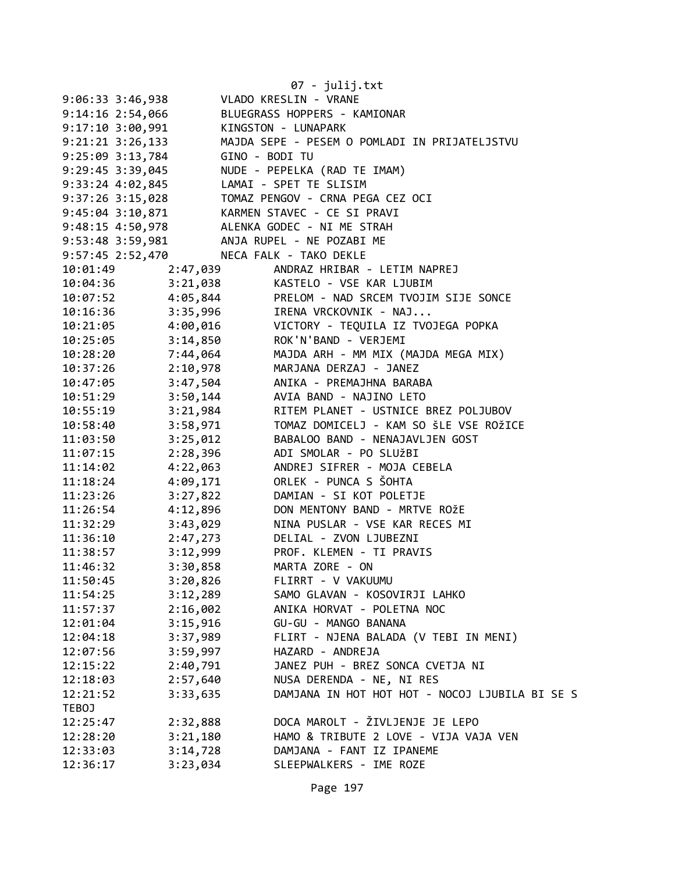|                                         |          | 07 - julij.txt                                                                                       |
|-----------------------------------------|----------|------------------------------------------------------------------------------------------------------|
| $9:06:33$ 3:46,938                      |          | VLADO KRESLIN - VRANE                                                                                |
|                                         |          | 9:14:16 2:54,066 BLUEGRASS HOPPERS - KAMIONAR                                                        |
| 9:17:10 3:00,991 KINGSTON - LUNAPARK    |          |                                                                                                      |
|                                         |          | 9:21:21 3:26,133 MAJDA SEPE - PESEM O POMLADI IN PRIJATELJSTVU                                       |
| 9:25:09 3:13,784 GINO - BODI TU         |          |                                                                                                      |
|                                         |          | 9:29:45 3:39,045 NUDE - PEPELKA (RAD TE IMAM)                                                        |
| 9:33:24 4:02,845 LAMAI - SPET TE SLISIM |          |                                                                                                      |
|                                         |          |                                                                                                      |
|                                         |          |                                                                                                      |
|                                         |          | 9:48:15 4:50,978 ALENKA GODEC - NI ME STRAH                                                          |
|                                         |          | 9:53:48 3:59,981 ANJA RUPEL - NE POZABI ME                                                           |
| 9:57:45 2:52,470 NECA FALK - TAKO DEKLE |          |                                                                                                      |
| 10:01:49                                | 2:47,039 | ANDRAZ HRIBAR - LETIM NAPREJ                                                                         |
|                                         |          |                                                                                                      |
|                                         |          | 10:04:36 3:21,038 KASTELO - VSE KAR LJUBIM<br>10:07:52 4:05,844 PRELOM - NAD SRCEM TVOJIM SIJE SONCE |
| 10:16:36                                | 3:35,996 | IRENA VRCKOVNIK - NAJ                                                                                |
| 10:21:05 4:00,016                       |          | VICTORY - TEQUILA IZ TVOJEGA POPKA                                                                   |
| 10:25:05                                | 3:14,850 | ROK'N'BAND - VERJEMI                                                                                 |
| 10:28:20                                | 7:44,064 | MAJDA ARH - MM MIX (MAJDA MEGA MIX)                                                                  |
| 10:37:26                                | 2:10,978 | MARJANA DERZAJ - JANEZ                                                                               |
| 10:47:05                                | 3:47,504 | ANIKA - PREMAJHNA BARABA                                                                             |
| 10:51:29                                | 3:50,144 | AVIA BAND - NAJINO LETO                                                                              |
| 10:55:19                                | 3:21,984 | RITEM PLANET - USTNICE BREZ POLJUBOV                                                                 |
| 10:58:40                                | 3:58,971 | TOMAZ DOMICELJ - KAM SO ŠLE VSE ROŽICE                                                               |
| 11:03:50                                | 3:25,012 | BABALOO BAND - NENAJAVLJEN GOST                                                                      |
| 11:07:15                                | 2:28,396 | ADI SMOLAR - PO SLUŽBI                                                                               |
| 11:14:02                                | 4:22,063 | ANDREJ SIFRER - MOJA CEBELA                                                                          |
| 11:18:24                                | 4:09,171 | ORLEK - PUNCA S ŠOHTA                                                                                |
| 11:23:26                                | 3:27,822 | DAMIAN - SI KOT POLETJE                                                                              |
| 11:26:54                                | 4:12,896 | DON MENTONY BAND - MRTVE ROŽE                                                                        |
| 11:32:29                                | 3:43,029 | NINA PUSLAR - VSE KAR RECES MI                                                                       |
| 11:36:10                                | 2:47,273 | DELIAL - ZVON LJUBEZNI                                                                               |
| 11:38:57                                | 3:12,999 | PROF. KLEMEN - TI PRAVIS                                                                             |
| 11:46:32                                | 3:30,858 | MARTA ZORE - ON                                                                                      |
| 11:50:45                                | 3:20,826 | FLIRRT - V VAKUUMU                                                                                   |
| 11:54:25                                | 3:12,289 | SAMO GLAVAN - KOSOVIRJI LAHKO                                                                        |
| 11:57:37                                | 2:16,002 | ANIKA HORVAT - POLETNA NOC                                                                           |
| 12:01:04                                | 3:15,916 | GU-GU - MANGO BANANA                                                                                 |
| 12:04:18                                | 3:37,989 | FLIRT - NJENA BALADA (V TEBI IN MENI)                                                                |
| 12:07:56                                | 3:59,997 | HAZARD - ANDREJA                                                                                     |
| 12:15:22                                | 2:40,791 | JANEZ PUH - BREZ SONCA CVETJA NI                                                                     |
| 12:18:03                                | 2:57,640 | NUSA DERENDA - NE, NI RES                                                                            |
| 12:21:52                                | 3:33,635 | DAMJANA IN HOT HOT HOT - NOCOJ LJUBILA BI SE S                                                       |
| TEBOJ                                   |          |                                                                                                      |
| 12:25:47                                | 2:32,888 | DOCA MAROLT - ŽIVLJENJE JE LEPO                                                                      |
| 12:28:20                                | 3:21,180 | HAMO & TRIBUTE 2 LOVE - VIJA VAJA VEN                                                                |
| 12:33:03                                | 3:14,728 | DAMJANA - FANT IZ IPANEME                                                                            |
| 12:36:17                                | 3:23,034 | SLEEPWALKERS - IME ROZE                                                                              |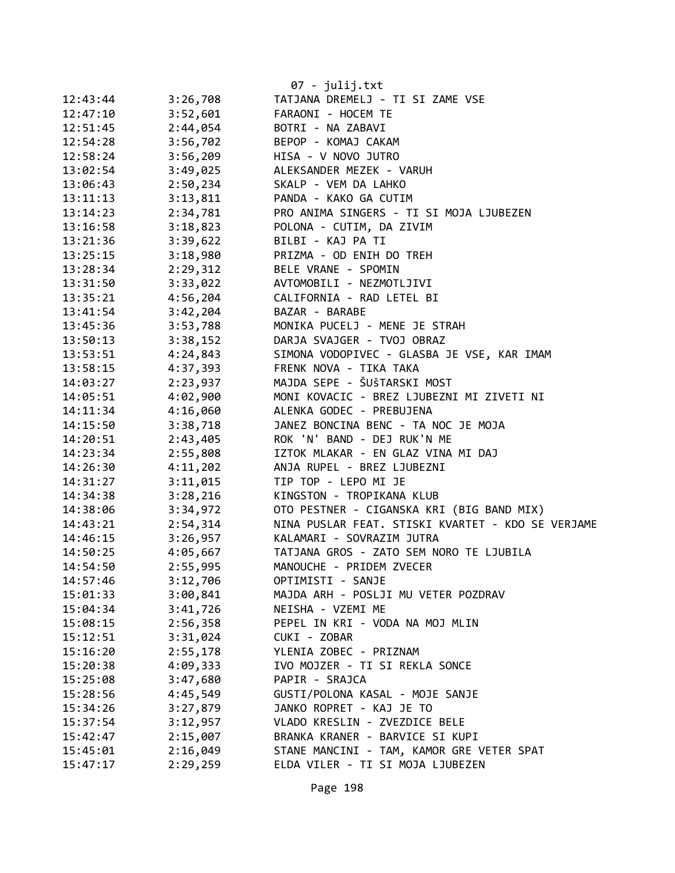|          |          | 07 - julij.txt                                    |
|----------|----------|---------------------------------------------------|
| 12:43:44 | 3:26,708 | TATJANA DREMELJ - TI SI ZAME VSE                  |
| 12:47:10 | 3:52,601 | FARAONI - HOCEM TE                                |
| 12:51:45 | 2:44,054 | BOTRI - NA ZABAVI                                 |
| 12:54:28 | 3:56,702 | BEPOP - KOMAJ CAKAM                               |
| 12:58:24 | 3:56,209 | HISA - V NOVO JUTRO                               |
| 13:02:54 | 3:49,025 | ALEKSANDER MEZEK - VARUH                          |
| 13:06:43 | 2:50,234 | SKALP - VEM DA LAHKO                              |
| 13:11:13 | 3:13,811 | PANDA - KAKO GA CUTIM                             |
| 13:14:23 | 2:34,781 | PRO ANIMA SINGERS - TI SI MOJA LJUBEZEN           |
| 13:16:58 | 3:18,823 | POLONA - CUTIM, DA ZIVIM                          |
| 13:21:36 | 3:39,622 | BILBI - KAJ PA TI                                 |
| 13:25:15 | 3:18,980 | PRIZMA - OD ENIH DO TREH                          |
| 13:28:34 | 2:29,312 | BELE VRANE - SPOMIN                               |
| 13:31:50 | 3:33,022 | AVTOMOBILI - NEZMOTLJIVI                          |
| 13:35:21 | 4:56,204 | CALIFORNIA - RAD LETEL BI                         |
| 13:41:54 | 3:42,204 | BAZAR - BARABE                                    |
| 13:45:36 | 3:53,788 | MONIKA PUCELJ - MENE JE STRAH                     |
| 13:50:13 | 3:38,152 | DARJA SVAJGER - TVOJ OBRAZ                        |
| 13:53:51 | 4:24,843 | SIMONA VODOPIVEC - GLASBA JE VSE, KAR IMAM        |
| 13:58:15 | 4:37,393 | FRENK NOVA - TIKA TAKA                            |
| 14:03:27 | 2:23,937 | MAJDA SEPE - ŠUŠTARSKI MOST                       |
| 14:05:51 | 4:02,900 | MONI KOVACIC - BREZ LJUBEZNI MI ZIVETI NI         |
| 14:11:34 | 4:16,060 | ALENKA GODEC - PREBUJENA                          |
| 14:15:50 | 3:38,718 | JANEZ BONCINA BENC - TA NOC JE MOJA               |
| 14:20:51 | 2:43,405 | ROK 'N' BAND - DEJ RUK'N ME                       |
| 14:23:34 | 2:55,808 | IZTOK MLAKAR - EN GLAZ VINA MI DAJ                |
| 14:26:30 | 4:11,202 | ANJA RUPEL - BREZ LJUBEZNI                        |
| 14:31:27 | 3:11,015 | TIP TOP - LEPO MI JE                              |
| 14:34:38 | 3:28,216 | KINGSTON - TROPIKANA KLUB                         |
| 14:38:06 | 3:34,972 | OTO PESTNER - CIGANSKA KRI (BIG BAND MIX)         |
| 14:43:21 | 2:54,314 | NINA PUSLAR FEAT. STISKI KVARTET - KDO SE VERJAME |
| 14:46:15 | 3:26,957 | KALAMARI - SOVRAZIM JUTRA                         |
| 14:50:25 | 4:05,667 | TATJANA GROS - ZATO SEM NORO TE LJUBILA           |
| 14:54:50 | 2:55,995 | MANOUCHE - PRIDEM ZVECER                          |
| 14:57:46 | 3:12,706 | OPTIMISTI - SANJE                                 |
| 15:01:33 | 3:00,841 | MAJDA ARH - POSLJI MU VETER POZDRAV               |
| 15:04:34 | 3:41,726 | NEISHA - VZEMI ME                                 |
| 15:08:15 | 2:56,358 | PEPEL IN KRI - VODA NA MOJ MLIN                   |
| 15:12:51 | 3:31,024 | CUKI - ZOBAR                                      |
| 15:16:20 | 2:55,178 | YLENIA ZOBEC - PRIZNAM                            |
| 15:20:38 | 4:09,333 | IVO MOJZER - TI SI REKLA SONCE                    |
| 15:25:08 | 3:47,680 | PAPIR - SRAJCA                                    |
| 15:28:56 | 4:45,549 | GUSTI/POLONA KASAL - MOJE SANJE                   |
| 15:34:26 | 3:27,879 | JANKO ROPRET - KAJ JE TO                          |
| 15:37:54 | 3:12,957 | VLADO KRESLIN - ZVEZDICE BELE                     |
| 15:42:47 | 2:15,007 | BRANKA KRANER - BARVICE SI KUPI                   |
| 15:45:01 | 2:16,049 | STANE MANCINI - TAM, KAMOR GRE VETER SPAT         |
| 15:47:17 | 2:29,259 | ELDA VILER - TI SI MOJA LJUBEZEN                  |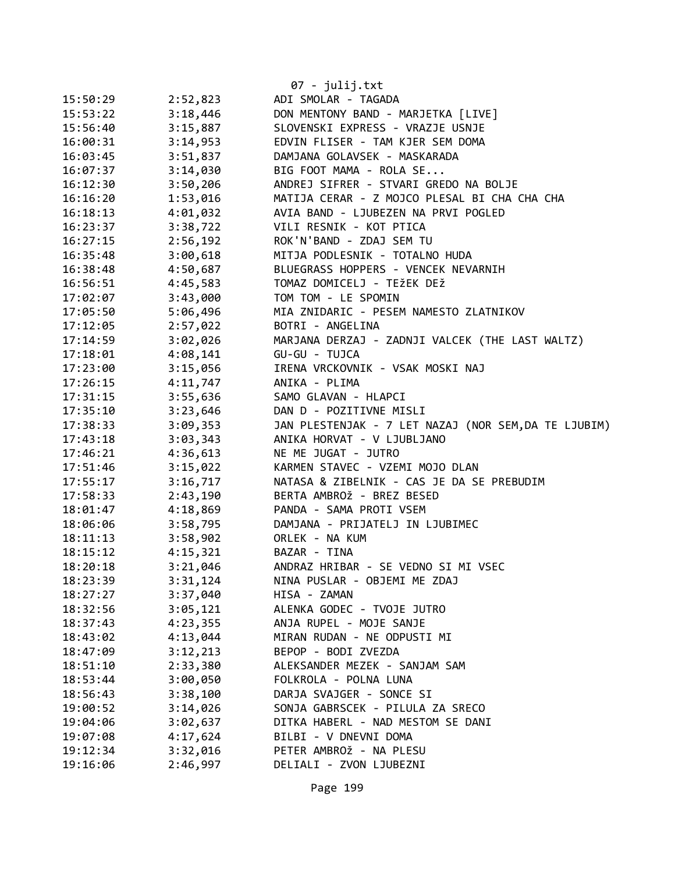|          |          | 07 - julij.txt                                       |
|----------|----------|------------------------------------------------------|
| 15:50:29 | 2:52,823 | ADI SMOLAR - TAGADA                                  |
| 15:53:22 | 3:18,446 | DON MENTONY BAND - MARJETKA [LIVE]                   |
| 15:56:40 | 3:15,887 | SLOVENSKI EXPRESS - VRAZJE USNJE                     |
| 16:00:31 | 3:14,953 | EDVIN FLISER - TAM KJER SEM DOMA                     |
| 16:03:45 | 3:51,837 | DAMJANA GOLAVSEK - MASKARADA                         |
| 16:07:37 | 3:14,030 | BIG FOOT MAMA - ROLA SE                              |
| 16:12:30 | 3:50,206 | ANDREJ SIFRER - STVARI GREDO NA BOLJE                |
| 16:16:20 | 1:53,016 | MATIJA CERAR - Z MOJCO PLESAL BI CHA CHA CHA         |
| 16:18:13 | 4:01,032 | AVIA BAND - LJUBEZEN NA PRVI POGLED                  |
| 16:23:37 | 3:38,722 | VILI RESNIK - KOT PTICA                              |
| 16:27:15 | 2:56,192 | ROK'N'BAND - ZDAJ SEM TU                             |
| 16:35:48 | 3:00,618 | MITJA PODLESNIK - TOTALNO HUDA                       |
| 16:38:48 | 4:50,687 | BLUEGRASS HOPPERS - VENCEK NEVARNIH                  |
| 16:56:51 | 4:45,583 | TOMAZ DOMICELJ - TEŽEK DEŽ                           |
| 17:02:07 | 3:43,000 | TOM TOM - LE SPOMIN                                  |
| 17:05:50 | 5:06,496 | MIA ZNIDARIC - PESEM NAMESTO ZLATNIKOV               |
| 17:12:05 | 2:57,022 | BOTRI - ANGELINA                                     |
| 17:14:59 | 3:02,026 | MARJANA DERZAJ - ZADNJI VALCEK (THE LAST WALTZ)      |
| 17:18:01 | 4:08,141 | GU-GU - TUJCA                                        |
| 17:23:00 | 3:15,056 | IRENA VRCKOVNIK - VSAK MOSKI NAJ                     |
| 17:26:15 | 4:11,747 | ANIKA - PLIMA                                        |
| 17:31:15 | 3:55,636 | SAMO GLAVAN - HLAPCI                                 |
| 17:35:10 | 3:23,646 | DAN D - POZITIVNE MISLI                              |
| 17:38:33 | 3:09,353 | JAN PLESTENJAK - 7 LET NAZAJ (NOR SEM, DA TE LJUBIM) |
| 17:43:18 | 3:03,343 | ANIKA HORVAT - V LJUBLJANO                           |
| 17:46:21 | 4:36,613 | NE ME JUGAT - JUTRO                                  |
| 17:51:46 | 3:15,022 | KARMEN STAVEC - VZEMI MOJO DLAN                      |
| 17:55:17 | 3:16,717 | NATASA & ZIBELNIK - CAS JE DA SE PREBUDIM            |
| 17:58:33 | 2:43,190 | BERTA AMBROŽ - BREZ BESED                            |
| 18:01:47 | 4:18,869 | PANDA - SAMA PROTI VSEM                              |
| 18:06:06 | 3:58,795 | DAMJANA - PRIJATELJ IN LJUBIMEC                      |
| 18:11:13 | 3:58,902 | ORLEK - NA KUM                                       |
| 18:15:12 | 4:15,321 | BAZAR - TINA                                         |
| 18:20:18 | 3:21,046 | ANDRAZ HRIBAR - SE VEDNO SI MI VSEC                  |
| 18:23:39 | 3:31,124 | NINA PUSLAR - OBJEMI ME ZDAJ                         |
| 18:27:27 | 3:37,040 | HISA - ZAMAN                                         |
| 18:32:56 | 3:05,121 | ALENKA GODEC - TVOJE JUTRO                           |
| 18:37:43 | 4:23,355 | ANJA RUPEL - MOJE SANJE                              |
| 18:43:02 | 4:13,044 | MIRAN RUDAN - NE ODPUSTI MI                          |
| 18:47:09 | 3:12,213 | BEPOP - BODI ZVEZDA                                  |
| 18:51:10 | 2:33,380 | ALEKSANDER MEZEK - SANJAM SAM                        |
| 18:53:44 | 3:00,050 | FOLKROLA - POLNA LUNA                                |
| 18:56:43 | 3:38,100 | DARJA SVAJGER - SONCE SI                             |
| 19:00:52 | 3:14,026 | SONJA GABRSCEK - PILULA ZA SRECO                     |
| 19:04:06 | 3:02,637 | DITKA HABERL - NAD MESTOM SE DANI                    |
| 19:07:08 | 4:17,624 | BILBI - V DNEVNI DOMA                                |
| 19:12:34 | 3:32,016 | PETER AMBROŽ - NA PLESU                              |
| 19:16:06 | 2:46,997 | DELIALI - ZVON LJUBEZNI                              |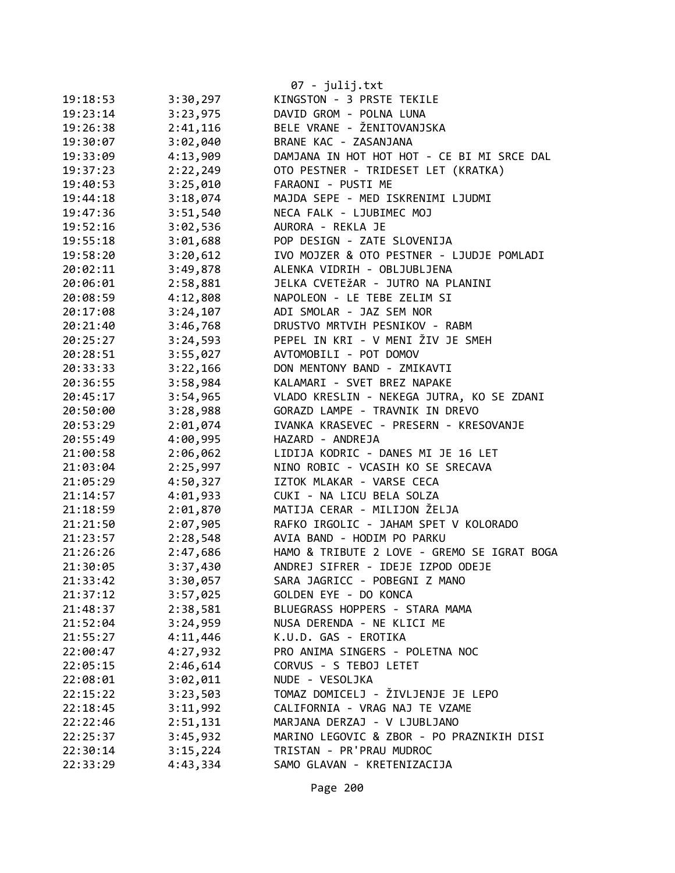|          |          | 07 - julij.txt                              |
|----------|----------|---------------------------------------------|
| 19:18:53 | 3:30,297 | KINGSTON - 3 PRSTE TEKILE                   |
| 19:23:14 | 3:23,975 | DAVID GROM - POLNA LUNA                     |
| 19:26:38 | 2:41,116 | BELE VRANE - ŽENITOVANJSKA                  |
| 19:30:07 | 3:02,040 | BRANE KAC - ZASANJANA                       |
| 19:33:09 | 4:13,909 | DAMJANA IN HOT HOT HOT - CE BI MI SRCE DAL  |
| 19:37:23 | 2:22,249 | OTO PESTNER - TRIDESET LET (KRATKA)         |
| 19:40:53 | 3:25,010 | FARAONI - PUSTI ME                          |
| 19:44:18 | 3:18,074 | MAJDA SEPE - MED ISKRENIMI LJUDMI           |
| 19:47:36 | 3:51,540 | NECA FALK - LJUBIMEC MOJ                    |
| 19:52:16 | 3:02,536 | AURORA - REKLA JE                           |
| 19:55:18 | 3:01,688 | POP DESIGN - ZATE SLOVENIJA                 |
| 19:58:20 | 3:20,612 | IVO MOJZER & OTO PESTNER - LJUDJE POMLADI   |
| 20:02:11 | 3:49,878 | ALENKA VIDRIH - OBLJUBLJENA                 |
| 20:06:01 | 2:58,881 | JELKA CVETEŽAR - JUTRO NA PLANINI           |
| 20:08:59 | 4:12,808 | NAPOLEON - LE TEBE ZELIM SI                 |
| 20:17:08 | 3:24,107 | ADI SMOLAR - JAZ SEM NOR                    |
| 20:21:40 | 3:46,768 | DRUSTVO MRTVIH PESNIKOV - RABM              |
| 20:25:27 | 3:24,593 | PEPEL IN KRI - V MENI ŽIV JE SMEH           |
| 20:28:51 | 3:55,027 | AVTOMOBILI - POT DOMOV                      |
| 20:33:33 | 3:22,166 | DON MENTONY BAND - ZMIKAVTI                 |
| 20:36:55 | 3:58,984 | KALAMARI - SVET BREZ NAPAKE                 |
| 20:45:17 | 3:54,965 | VLADO KRESLIN - NEKEGA JUTRA, KO SE ZDANI   |
| 20:50:00 | 3:28,988 | GORAZD LAMPE - TRAVNIK IN DREVO             |
| 20:53:29 | 2:01,074 | IVANKA KRASEVEC - PRESERN - KRESOVANJE      |
| 20:55:49 | 4:00,995 | HAZARD - ANDREJA                            |
| 21:00:58 | 2:06,062 | LIDIJA KODRIC - DANES MI JE 16 LET          |
| 21:03:04 | 2:25,997 | NINO ROBIC - VCASIH KO SE SRECAVA           |
| 21:05:29 | 4:50,327 | IZTOK MLAKAR - VARSE CECA                   |
| 21:14:57 | 4:01,933 | CUKI - NA LICU BELA SOLZA                   |
| 21:18:59 | 2:01,870 | MATIJA CERAR - MILIJON ŽELJA                |
| 21:21:50 | 2:07,905 | RAFKO IRGOLIC - JAHAM SPET V KOLORADO       |
| 21:23:57 | 2:28,548 | AVIA BAND - HODIM PO PARKU                  |
| 21:26:26 | 2:47,686 | HAMO & TRIBUTE 2 LOVE - GREMO SE IGRAT BOGA |
| 21:30:05 | 3:37,430 | ANDREJ SIFRER - IDEJE IZPOD ODEJE           |
| 21:33:42 | 3:30,057 | SARA JAGRICC - POBEGNI Z MANO               |
| 21:37:12 | 3:57,025 | GOLDEN EYE - DO KONCA                       |
| 21:48:37 | 2:38,581 | BLUEGRASS HOPPERS - STARA MAMA              |
| 21:52:04 | 3:24,959 | NUSA DERENDA - NE KLICI ME                  |
| 21:55:27 | 4:11,446 | K.U.D. GAS - EROTIKA                        |
| 22:00:47 | 4:27,932 | PRO ANIMA SINGERS - POLETNA NOC             |
| 22:05:15 | 2:46,614 | CORVUS - S TEBOJ LETET                      |
| 22:08:01 | 3:02,011 | NUDE - VESOLJKA                             |
| 22:15:22 | 3:23,503 | TOMAZ DOMICELJ - ŽIVLJENJE JE LEPO          |
| 22:18:45 | 3:11,992 | CALIFORNIA - VRAG NAJ TE VZAME              |
| 22:22:46 | 2:51,131 | MARJANA DERZAJ - V LJUBLJANO                |
| 22:25:37 | 3:45,932 | MARINO LEGOVIC & ZBOR - PO PRAZNIKIH DISI   |
| 22:30:14 | 3:15,224 | TRISTAN - PR'PRAU MUDROC                    |
| 22:33:29 | 4:43,334 | SAMO GLAVAN - KRETENIZACIJA                 |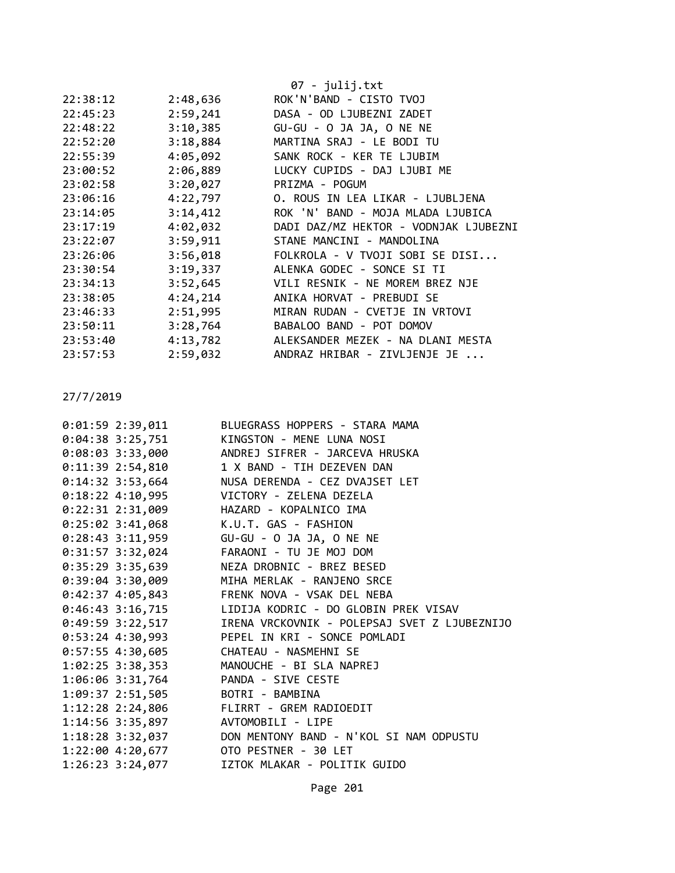|          |          | $07 - julij.txt$                      |
|----------|----------|---------------------------------------|
| 22:38:12 | 2:48,636 | ROK'N'BAND - CISTO TVOJ               |
| 22:45:23 | 2:59,241 | DASA - OD LJUBEZNI ZADET              |
| 22:48:22 | 3:10,385 | GU-GU - O JA JA, O NE NE              |
| 22:52:20 | 3:18,884 | MARTINA SRAJ - LE BODI TU             |
| 22:55:39 | 4:05,092 | SANK ROCK - KER TE LJUBIM             |
| 23:00:52 | 2:06,889 | LUCKY CUPIDS - DAJ LJUBI ME           |
| 23:02:58 |          | 3:20,027 PRIZMA - POGUM               |
| 23:06:16 | 4:22,797 | O. ROUS IN LEA LIKAR - LJUBLJENA      |
| 23:14:05 | 3:14,412 | ROK 'N' BAND - MOJA MLADA LJUBICA     |
| 23:17:19 | 4:02,032 | DADI DAZ/MZ HEKTOR - VODNJAK LJUBEZNI |
| 23:22:07 | 3:59,911 | STANE MANCINI - MANDOLINA             |
| 23:26:06 | 3:56,018 | FOLKROLA - V TVOJI SOBI SE DISI       |
| 23:30:54 |          | 3:19,337 ALENKA GODEC - SONCE SI TI   |
| 23:34:13 | 3:52,645 | VILI RESNIK - NE MOREM BREZ NJE       |
| 23:38:05 | 4:24,214 | ANIKA HORVAT - PREBUDI SE             |
| 23:46:33 | 2:51,995 | MIRAN RUDAN - CVETJE IN VRTOVI        |
| 23:50:11 | 3:28,764 | BABALOO BAND - POT DOMOV              |
| 23:53:40 | 4:13,782 | ALEKSANDER MEZEK - NA DLANI MESTA     |
| 23:57:53 | 2:59,032 | ANDRAZ HRIBAR - ZIVLJENJE JE          |

| $0:01:59$ 2:39,011                      | BLUEGRASS HOPPERS - STARA MAMA                                |
|-----------------------------------------|---------------------------------------------------------------|
|                                         | 0:04:38 3:25,751 KINGSTON - MENE LUNA NOSI                    |
|                                         | 0:08:03 3:33,000 ANDREJ SIFRER - JARCEVA HRUSKA               |
|                                         | 0:11:39 2:54,810 1 X BAND - TIH DEZEVEN DAN                   |
|                                         | 0:14:32 3:53,664 NUSA DERENDA - CEZ DVAJSET LET               |
|                                         | 0:18:22 4:10,995 VICTORY - ZELENA DEZELA                      |
| 0:22:31 2:31,009 HAZARD - KOPALNICO IMA |                                                               |
| 0:25:02 3:41,068 K.U.T. GAS - FASHION   |                                                               |
| $0:28:43$ 3:11,959                      | GU-GU - O JA JA, O NE NE                                      |
|                                         | 0:31:57 3:32,024 FARAONI - TU JE MOJ DOM                      |
|                                         | 0:35:29 3:35,639 NEZA DROBNIC - BREZ BESED                    |
|                                         | 0:39:04 3:30,009 MIHA MERLAK - RANJENO SRCE                   |
|                                         | 0:42:37 4:05,843 FRENK NOVA - VSAK DEL NEBA                   |
|                                         | 0:46:43 3:16,715 LIDIJA KODRIC - DO GLOBIN PREK VISAV         |
|                                         | 0:49:59 3:22,517 IRENA VRCKOVNIK - POLEPSAJ SVET Z LJUBEZNIJO |
|                                         | 0:53:24 4:30,993 PEPEL IN KRI - SONCE POMLADI                 |
| 0:57:55 4:30,605 CHATEAU - NASMEHNI SE  |                                                               |
|                                         | 1:02:25 3:38,353 MANOUCHE - BI SLA NAPREJ                     |
| 1:06:06 3:31,764 PANDA - SIVE CESTE     |                                                               |
| 1:09:37 2:51,505 BOTRI - BAMBINA        |                                                               |
|                                         | 1:12:28 2:24,806 FLIRRT - GREM RADIOEDIT                      |
| 1:14:56 3:35,897 AVTOMOBILI - LIPE      |                                                               |
|                                         | 1:18:28 3:32,037 DON MENTONY BAND - N'KOL SI NAM ODPUSTU      |
| 1:22:00 4:20,677 OTO PESTNER - 30 LET   |                                                               |
|                                         | 1:26:23 3:24,077 IZTOK MLAKAR - POLITIK GUIDO                 |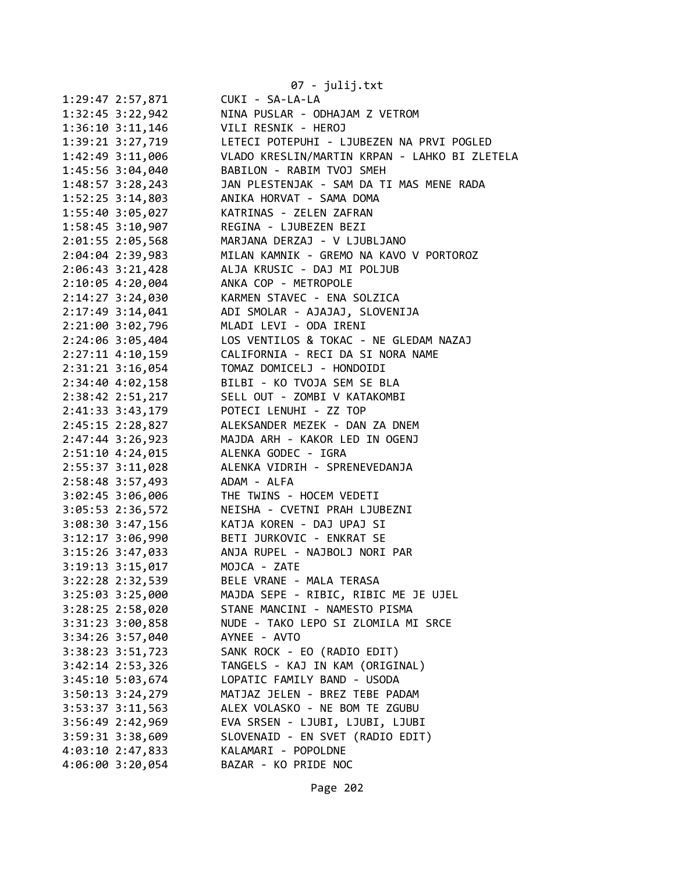|                      | 07 - julij.txt                                |
|----------------------|-----------------------------------------------|
| 1:29:47 2:57,871     | CUKI - SA-LA-LA                               |
| $1:32:45$ $3:22,942$ | NINA PUSLAR - ODHAJAM Z VETROM                |
| $1:36:10$ $3:11,146$ | VILI RESNIK - HEROJ                           |
| 1:39:21 3:27,719     | LETECI POTEPUHI - LJUBEZEN NA PRVI POGLED     |
| 1:42:49 3:11,006     | VLADO KRESLIN/MARTIN KRPAN - LAHKO BI ZLETELA |
| 1:45:56 3:04,040     | BABILON - RABIM TVOJ SMEH                     |
| $1:48:57$ 3:28,243   | JAN PLESTENJAK - SAM DA TI MAS MENE RADA      |
| $1:52:25$ 3:14,803   | ANIKA HORVAT - SAMA DOMA                      |
| 1:55:40 3:05,027     | KATRINAS - ZELEN ZAFRAN                       |
| 1:58:45 3:10,907     | REGINA - LJUBEZEN BEZI                        |
| 2:01:55 2:05,568     | MARJANA DERZAJ - V LJUBLJANO                  |
| 2:04:04 2:39,983     | MILAN KAMNIK - GREMO NA KAVO V PORTOROZ       |
| $2:06:43 \t3:21,428$ | ALJA KRUSIC - DAJ MI POLJUB                   |
| 2:10:05 4:20,004     | ANKA COP - METROPOLE                          |
| $2:14:27$ $3:24,030$ | KARMEN STAVEC - ENA SOLZICA                   |
| $2:17:49$ 3:14,041   | ADI SMOLAR - AJAJAJ, SLOVENIJA                |
| 2:21:00 3:02,796     | MLADI LEVI - ODA IRENI                        |
|                      | LOS VENTILOS & TOKAC - NE GLEDAM NAZAJ        |
| 2:24:06 3:05,404     | CALIFORNIA - RECI DA SI NORA NAME             |
| $2:27:11$ $4:10,159$ |                                               |
| $2:31:21$ $3:16,054$ | TOMAZ DOMICELJ - HONDOIDI                     |
| 2:34:40 4:02,158     | BILBI - KO TVOJA SEM SE BLA                   |
| 2:38:42 2:51,217     | SELL OUT - ZOMBI V KATAKOMBI                  |
| 2:41:33 3:43,179     | POTECI LENUHI - ZZ TOP                        |
| 2:45:15 2:28,827     | ALEKSANDER MEZEK - DAN ZA DNEM                |
| 2:47:44 3:26,923     | MAJDA ARH - KAKOR LED IN OGENJ                |
| 2:51:10 4:24,015     | ALENKA GODEC - IGRA                           |
| 2:55:37 3:11,028     | ALENKA VIDRIH - SPRENEVEDANJA                 |
| 2:58:48 3:57,493     | ADAM - ALFA                                   |
| $3:02:45$ 3:06,006   | THE TWINS - HOCEM VEDETI                      |
| 3:05:53 2:36,572     | NEISHA - CVETNI PRAH LJUBEZNI                 |
| $3:08:30$ $3:47,156$ | KATJA KOREN - DAJ UPAJ SI                     |
| $3:12:17$ $3:06,990$ | BETI JURKOVIC - ENKRAT SE                     |
| $3:15:26$ $3:47,033$ | ANJA RUPEL - NAJBOLJ NORI PAR                 |
| 3:19:13 3:15,017     | MOJCA - ZATE                                  |
| 3:22:28 2:32,539     | BELE VRANE - MALA TERASA                      |
| $3:25:03$ $3:25,000$ | MAJDA SEPE - RIBIC, RIBIC ME JE UJEL          |
| $3:28:25$ 2:58,020   | STANE MANCINI - NAMESTO PISMA                 |
| 3:31:23 3:00,858     | NUDE - TAKO LEPO SI ZLOMILA MI SRCE           |
| 3:34:26 3:57,040     | AYNEE - AVTO                                  |
| 3:38:23 3:51,723     | SANK ROCK - EO (RADIO EDIT)                   |
| 3:42:14 2:53,326     | TANGELS - KAJ IN KAM (ORIGINAL)               |
| 3:45:10 5:03,674     | LOPATIC FAMILY BAND - USODA                   |
| $3:50:13$ $3:24,279$ | MATJAZ JELEN - BREZ TEBE PADAM                |
| 3:53:37 3:11,563     | ALEX VOLASKO - NE BOM TE ZGUBU                |
| 3:56:49 2:42,969     | EVA SRSEN - LJUBI, LJUBI, LJUBI               |
| 3:59:31 3:38,609     | SLOVENAID - EN SVET (RADIO EDIT)              |
| 4:03:10 2:47,833     | KALAMARI - POPOLDNE                           |
| 4:06:00 3:20,054     | BAZAR - KO PRIDE NOC                          |
|                      |                                               |
|                      |                                               |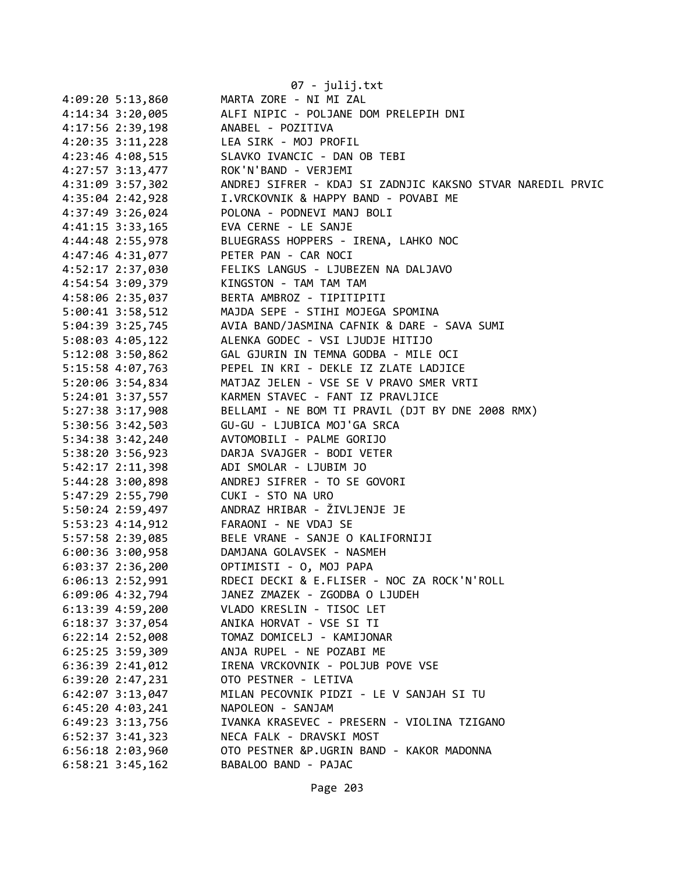|                                        | 07 - julij.txt                                                          |
|----------------------------------------|-------------------------------------------------------------------------|
| 4:09:20 5:13,860                       | MARTA ZORE - NI MI ZAL                                                  |
| 4:14:34 3:20,005                       | ALFI NIPIC - POLJANE DOM PRELEPIH DNI                                   |
| 4:17:56 2:39,198                       | ANABEL - POZITIVA                                                       |
| $4:20:35$ 3:11,228                     | LEA SIRK - MOJ PROFIL                                                   |
| 4:23:46 4:08,515                       | SLAVKO IVANCIC - DAN OB TEBI                                            |
| 4:27:57 3:13,477                       | ROK'N'BAND - VERJEMI                                                    |
| 4:31:09 3:57,302                       | ANDREJ SIFRER - KDAJ SI ZADNJIC KAKSNO STVAR NAREDIL PRVIC              |
| 4:35:04 2:42,928                       | I.VRCKOVNIK & HAPPY BAND - POVABI ME                                    |
| 4:37:49 3:26,024                       | POLONA - PODNEVI MANJ BOLI                                              |
| 4:41:15 3:33,165                       | EVA CERNE - LE SANJE                                                    |
| 4:44:48 2:55,978                       | BLUEGRASS HOPPERS - IRENA, LAHKO NOC                                    |
| 4:47:46 4:31,077                       | PETER PAN - CAR NOCI                                                    |
| 4:52:17 2:37,030                       | FELIKS LANGUS - LJUBEZEN NA DALJAVO                                     |
| 4:54:54 3:09,379                       | KINGSTON - TAM TAM TAM                                                  |
| 4:58:06 2:35,037                       | BERTA AMBROZ - TIPITIPITI                                               |
| 5:00:41 3:58,512                       | MAJDA SEPE - STIHI MOJEGA SPOMINA                                       |
| 5:04:39 3:25,745                       | AVIA BAND/JASMINA CAFNIK & DARE - SAVA SUMI                             |
| 5:08:03 4:05,122                       | ALENKA GODEC - VSI LJUDJE HITIJO                                        |
| 5:12:08 3:50,862                       | GAL GJURIN IN TEMNA GODBA - MILE OCI                                    |
| 5:15:58 4:07,763                       | PEPEL IN KRI - DEKLE IZ ZLATE LADJICE                                   |
| 5:20:06 3:54,834                       | MATJAZ JELEN - VSE SE V PRAVO SMER VRTI                                 |
| 5:24:01 3:37,557                       | KARMEN STAVEC - FANT IZ PRAVLJICE                                       |
| 5:27:38 3:17,908                       | BELLAMI - NE BOM TI PRAVIL (DJT BY DNE 2008 RMX)                        |
| 5:30:56 3:42,503                       | GU-GU - LJUBICA MOJ'GA SRCA                                             |
| 5:34:38 3:42,240                       | AVTOMOBILI - PALME GORIJO                                               |
| 5:38:20 3:56,923                       | DARJA SVAJGER - BODI VETER                                              |
| 5:42:17 2:11,398                       | ADI SMOLAR - LJUBIM JO                                                  |
| 5:44:28 3:00,898                       | ANDREJ SIFRER - TO SE GOVORI                                            |
| 5:47:29 2:55,790                       | CUKI - STO NA URO                                                       |
| 5:50:24 2:59,497                       | ANDRAZ HRIBAR - ŽIVLJENJE JE                                            |
| 5:53:23 4:14,912                       | FARAONI - NE VDAJ SE                                                    |
| 5:57:58 2:39,085                       | BELE VRANE - SANJE O KALIFORNIJI                                        |
| 6:00:36 3:00,958                       | DAMJANA GOLAVSEK - NASMEH                                               |
| $6:03:37$ 2:36,200                     | OPTIMISTI - O, MOJ PAPA                                                 |
| $6:06:13$ 2:52,991                     | RDECI DECKI & E.FLISER - NOC ZA ROCK'N'ROLL                             |
| 6:09:06 4:32,794                       | JANEZ ZMAZEK - ZGODBA O LJUDEH                                          |
| 6:13:39 4:59,200                       | VLADO KRESLIN - TISOC LET                                               |
| 6:18:37 3:37,054                       | ANIKA HORVAT - VSE SI TI                                                |
| 6:22:14 2:52,008                       | TOMAZ DOMICELJ - KAMIJONAR                                              |
| 6:25:25 3:59,309                       | ANJA RUPEL - NE POZABI ME                                               |
| $6:36:39$ $2:41,012$                   | IRENA VRCKOVNIK - POLJUB POVE VSE                                       |
| $6:39:20$ 2:47,231                     | OTO PESTNER - LETIVA                                                    |
| $6:42:07$ 3:13,047                     | MILAN PECOVNIK PIDZI - LE V SANJAH SI TU<br>NAPOLEON - SANJAM           |
| $6:45:20$ 4:03,241                     |                                                                         |
| 6:49:23 3:13,756<br>$6:52:37$ 3:41,323 | IVANKA KRASEVEC - PRESERN - VIOLINA TZIGANO<br>NECA FALK - DRAVSKI MOST |
| $6:56:18$ 2:03,960                     | OTO PESTNER &P.UGRIN BAND - KAKOR MADONNA                               |
| $6:58:21$ 3:45,162                     | BABALOO BAND - PAJAC                                                    |
|                                        |                                                                         |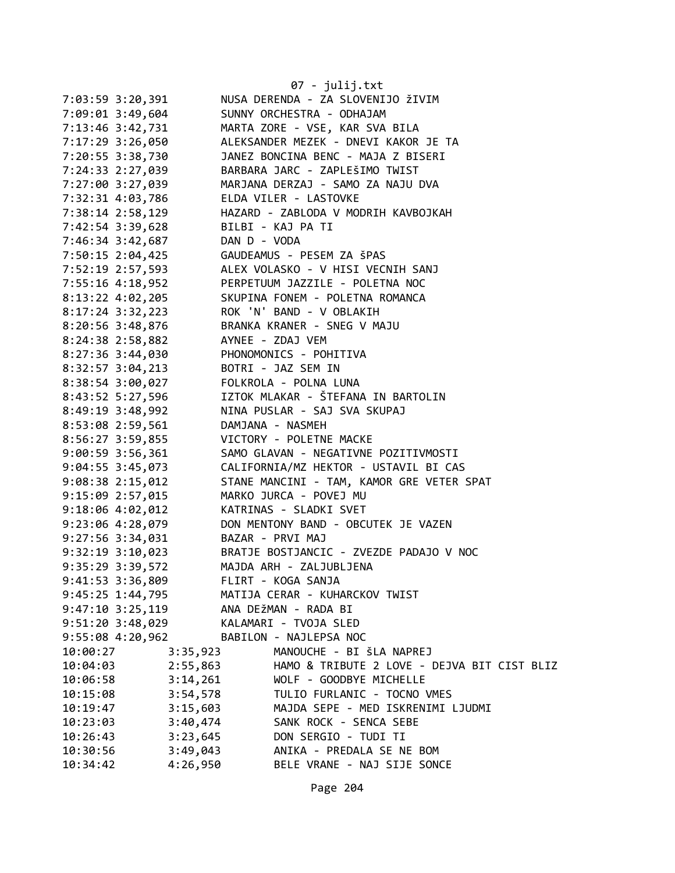|                      |          | 07 - julij.txt                              |
|----------------------|----------|---------------------------------------------|
| 7:03:59 3:20,391     |          | NUSA DERENDA - ZA SLOVENIJO ŽIVIM           |
| 7:09:01 3:49,604     |          | SUNNY ORCHESTRA - ODHAJAM                   |
| 7:13:46 3:42,731     |          | MARTA ZORE - VSE, KAR SVA BILA              |
| 7:17:29 3:26,050     |          | ALEKSANDER MEZEK - DNEVI KAKOR JE TA        |
| 7:20:55 3:38,730     |          | JANEZ BONCINA BENC - MAJA Z BISERI          |
| 7:24:33 2:27,039     |          | BARBARA JARC - ZAPLEŠIMO TWIST              |
| 7:27:00 3:27,039     |          | MARJANA DERZAJ - SAMO ZA NAJU DVA           |
| 7:32:31 4:03,786     |          | ELDA VILER - LASTOVKE                       |
| 7:38:14 2:58,129     |          | HAZARD - ZABLODA V MODRIH KAVBOJKAH         |
| 7:42:54 3:39,628     |          | BILBI - KAJ PA TI                           |
| 7:46:34 3:42,687     |          | DAN D - VODA                                |
| 7:50:15 2:04,425     |          | GAUDEAMUS - PESEM ZA ŠPAS                   |
|                      |          | ALEX VOLASKO - V HISI VECNIH SANJ           |
| 7:52:19 2:57,593     |          |                                             |
| 7:55:16 4:18,952     |          | PERPETUUM JAZZILE - POLETNA NOC             |
| $8:13:22$ 4:02,205   |          | SKUPINA FONEM - POLETNA ROMANCA             |
| $8:17:24$ 3:32,223   |          | ROK 'N' BAND - V OBLAKIH                    |
| 8:20:56 3:48,876     |          | BRANKA KRANER - SNEG V MAJU                 |
| 8:24:38 2:58,882     |          | AYNEE - ZDAJ VEM                            |
| 8:27:36 3:44,030     |          | PHONOMONICS - POHITIVA                      |
| $8:32:57$ $3:04,213$ |          | BOTRI - JAZ SEM IN                          |
| 8:38:54 3:00,027     |          | FOLKROLA - POLNA LUNA                       |
| 8:43:52 5:27,596     |          | IZTOK MLAKAR - ŠTEFANA IN BARTOLIN          |
| 8:49:19 3:48,992     |          | NINA PUSLAR - SAJ SVA SKUPAJ                |
| 8:53:08 2:59,561     |          | DAMJANA - NASMEH                            |
| 8:56:27 3:59,855     |          | VICTORY - POLETNE MACKE                     |
| $9:00:59$ 3:56,361   |          | SAMO GLAVAN - NEGATIVNE POZITIVMOSTI        |
| 9:04:55 3:45,073     |          | CALIFORNIA/MZ HEKTOR - USTAVIL BI CAS       |
| $9:08:38$ $2:15,012$ |          | STANE MANCINI - TAM, KAMOR GRE VETER SPAT   |
| 9:15:09 2:57,015     |          | MARKO JURCA - POVEJ MU                      |
| $9:18:06$ 4:02,012   |          | KATRINAS - SLADKI SVET                      |
| 9:23:06 4:28,079     |          | DON MENTONY BAND - OBCUTEK JE VAZEN         |
| $9:27:56$ $3:34,031$ |          | BAZAR - PRVI MAJ                            |
| $9:32:19$ $3:10,023$ |          | BRATJE BOSTJANCIC - ZVEZDE PADAJO V NOC     |
| 9:35:29 3:39,572     |          | MAJDA ARH - ZALJUBLJENA                     |
| 9:41:53 3:36,809     |          | FLIRT - KOGA SANJA                          |
| $9:45:25$ 1:44,795   |          | MATIJA CERAR - KUHARCKOV TWIST              |
| $9:47:10$ $3:25,119$ |          | ANA DEŽMAN - RADA BI                        |
| 9:51:20 3:48,029     |          | KALAMARI - TVOJA SLED                       |
| 9:55:08 4:20,962     |          | BABILON - NAJLEPSA NOC                      |
| 10:00:27             | 3:35,923 | MANOUCHE - BI ŠLA NAPREJ                    |
| 10:04:03             | 2:55,863 | HAMO & TRIBUTE 2 LOVE - DEJVA BIT CIST BLIZ |
| 10:06:58             | 3:14,261 | WOLF - GOODBYE MICHELLE                     |
| 10:15:08             | 3:54,578 | TULIO FURLANIC - TOCNO VMES                 |
| 10:19:47             | 3:15,603 | MAJDA SEPE - MED ISKRENIMI LJUDMI           |
| 10:23:03             | 3:40,474 | SANK ROCK - SENCA SEBE                      |
| 10:26:43             | 3:23,645 | DON SERGIO - TUDI TI                        |
| 10:30:56             | 3:49,043 | ANIKA - PREDALA SE NE BOM                   |
| 10:34:42             | 4:26,950 | BELE VRANE - NAJ SIJE SONCE                 |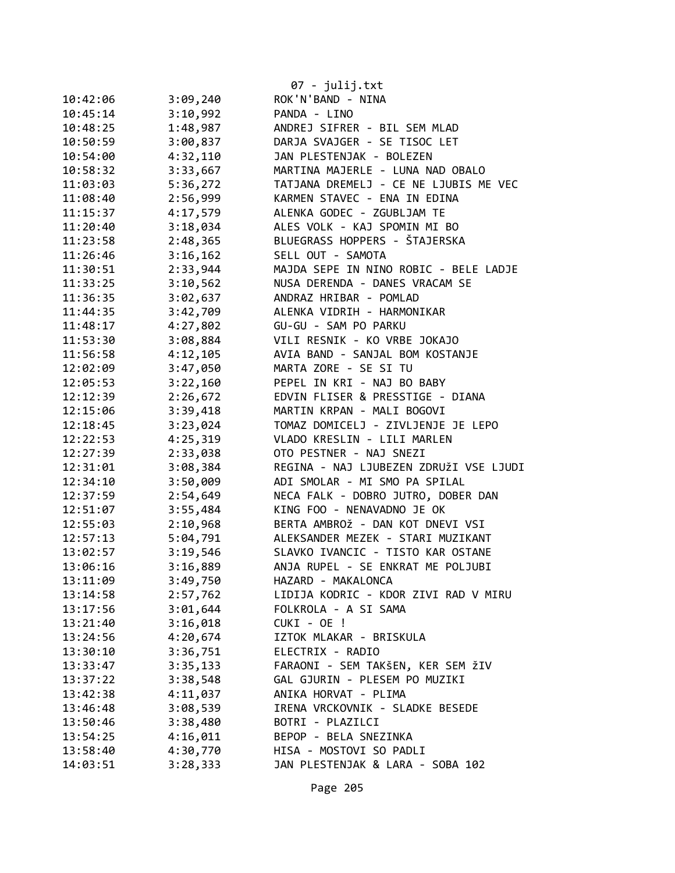|          |          | $07 - julij.txt$                       |
|----------|----------|----------------------------------------|
| 10:42:06 | 3:09,240 | ROK'N'BAND - NINA                      |
| 10:45:14 | 3:10,992 | PANDA - LINO                           |
| 10:48:25 | 1:48,987 | ANDREJ SIFRER - BIL SEM MLAD           |
| 10:50:59 | 3:00,837 | DARJA SVAJGER - SE TISOC LET           |
| 10:54:00 | 4:32,110 | JAN PLESTENJAK - BOLEZEN               |
| 10:58:32 | 3:33,667 | MARTINA MAJERLE - LUNA NAD OBALO       |
| 11:03:03 | 5:36,272 | TATJANA DREMELJ - CE NE LJUBIS ME VEC  |
| 11:08:40 | 2:56,999 | KARMEN STAVEC - ENA IN EDINA           |
| 11:15:37 | 4:17,579 | ALENKA GODEC - ZGUBLJAM TE             |
| 11:20:40 | 3:18,034 | ALES VOLK - KAJ SPOMIN MI BO           |
| 11:23:58 | 2:48,365 | BLUEGRASS HOPPERS - ŠTAJERSKA          |
| 11:26:46 | 3:16,162 | SELL OUT - SAMOTA                      |
| 11:30:51 | 2:33,944 | MAJDA SEPE IN NINO ROBIC - BELE LADJE  |
| 11:33:25 | 3:10,562 | NUSA DERENDA - DANES VRACAM SE         |
| 11:36:35 | 3:02,637 | ANDRAZ HRIBAR - POMLAD                 |
| 11:44:35 | 3:42,709 | ALENKA VIDRIH - HARMONIKAR             |
| 11:48:17 | 4:27,802 | GU-GU - SAM PO PARKU                   |
| 11:53:30 | 3:08,884 | VILI RESNIK - KO VRBE JOKAJO           |
| 11:56:58 | 4:12,105 | AVIA BAND - SANJAL BOM KOSTANJE        |
| 12:02:09 | 3:47,050 | MARTA ZORE - SE SI TU                  |
| 12:05:53 | 3:22,160 | PEPEL IN KRI - NAJ BO BABY             |
| 12:12:39 | 2:26,672 | EDVIN FLISER & PRESSTIGE - DIANA       |
| 12:15:06 | 3:39,418 | MARTIN KRPAN - MALI BOGOVI             |
| 12:18:45 | 3:23,024 | TOMAZ DOMICELJ - ZIVLJENJE JE LEPO     |
| 12:22:53 | 4:25,319 | VLADO KRESLIN - LILI MARLEN            |
| 12:27:39 | 2:33,038 | OTO PESTNER - NAJ SNEZI                |
| 12:31:01 | 3:08,384 | REGINA - NAJ LJUBEZEN ZDRUŽI VSE LJUDI |
| 12:34:10 | 3:50,009 | ADI SMOLAR - MI SMO PA SPILAL          |
| 12:37:59 | 2:54,649 | NECA FALK - DOBRO JUTRO, DOBER DAN     |
| 12:51:07 | 3:55,484 | KING FOO - NENAVADNO JE OK             |
| 12:55:03 | 2:10,968 | BERTA AMBROŽ - DAN KOT DNEVI VSI       |
| 12:57:13 | 5:04,791 | ALEKSANDER MEZEK - STARI MUZIKANT      |
| 13:02:57 | 3:19,546 | SLAVKO IVANCIC - TISTO KAR OSTANE      |
| 13:06:16 | 3:16,889 | ANJA RUPEL - SE ENKRAT ME POLJUBI      |
| 13:11:09 | 3:49,750 | HAZARD - MAKALONCA                     |
| 13:14:58 | 2:57,762 | LIDIJA KODRIC - KDOR ZIVI RAD V MIRU   |
| 13:17:56 | 3:01,644 | FOLKROLA - A SI SAMA                   |
| 13:21:40 | 3:16,018 | CUKI - OE !                            |
| 13:24:56 | 4:20,674 | IZTOK MLAKAR - BRISKULA                |
| 13:30:10 | 3:36,751 | ELECTRIX - RADIO                       |
| 13:33:47 | 3:35,133 | FARAONI - SEM TAKŠEN, KER SEM ŽIV      |
| 13:37:22 | 3:38,548 | GAL GJURIN - PLESEM PO MUZIKI          |
| 13:42:38 | 4:11,037 | ANIKA HORVAT - PLIMA                   |
| 13:46:48 | 3:08,539 | IRENA VRCKOVNIK - SLADKE BESEDE        |
| 13:50:46 | 3:38,480 | BOTRI - PLAZILCI                       |
| 13:54:25 | 4:16,011 | BEPOP - BELA SNEZINKA                  |
| 13:58:40 | 4:30,770 | HISA - MOSTOVI SO PADLI                |
| 14:03:51 | 3:28,333 | JAN PLESTENJAK & LARA - SOBA 102       |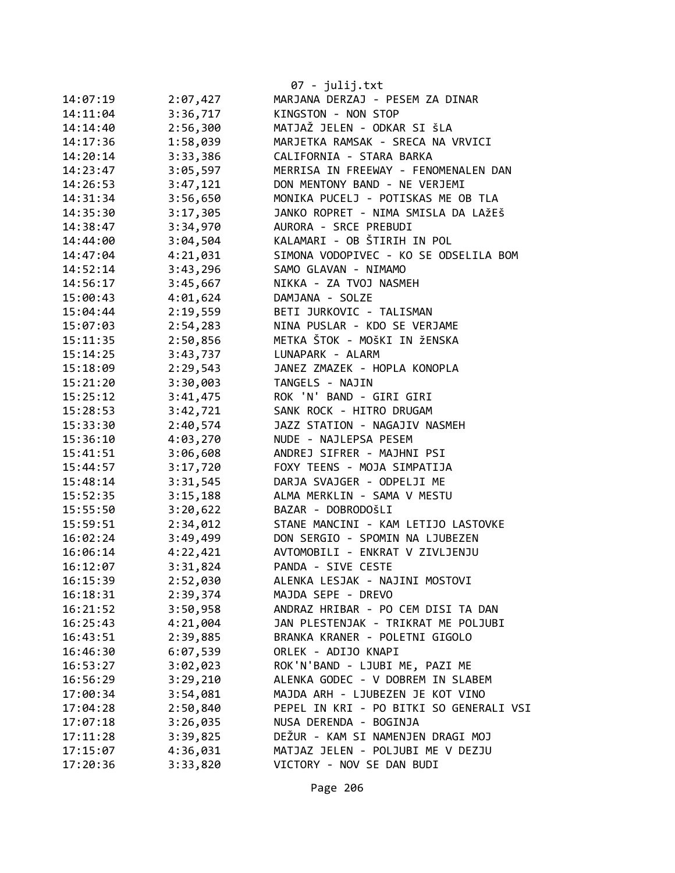|          |          | 07 - julij.txt                          |
|----------|----------|-----------------------------------------|
| 14:07:19 | 2:07,427 | MARJANA DERZAJ - PESEM ZA DINAR         |
| 14:11:04 | 3:36,717 | KINGSTON - NON STOP                     |
| 14:14:40 | 2:56,300 | MATJAŽ JELEN - ODKAR SI ŠLA             |
| 14:17:36 | 1:58,039 | MARJETKA RAMSAK - SRECA NA VRVICI       |
| 14:20:14 | 3:33,386 | CALIFORNIA - STARA BARKA                |
| 14:23:47 | 3:05,597 | MERRISA IN FREEWAY - FENOMENALEN DAN    |
| 14:26:53 | 3:47,121 | DON MENTONY BAND - NE VERJEMI           |
| 14:31:34 | 3:56,650 | MONIKA PUCELJ - POTISKAS ME OB TLA      |
| 14:35:30 | 3:17,305 | JANKO ROPRET - NIMA SMISLA DA LAŽEŠ     |
| 14:38:47 | 3:34,970 | AURORA - SRCE PREBUDI                   |
| 14:44:00 | 3:04,504 | KALAMARI - OB ŠTIRIH IN POL             |
| 14:47:04 | 4:21,031 | SIMONA VODOPIVEC - KO SE ODSELILA BOM   |
| 14:52:14 | 3:43,296 | SAMO GLAVAN - NIMAMO                    |
| 14:56:17 | 3:45,667 | NIKKA - ZA TVOJ NASMEH                  |
| 15:00:43 | 4:01,624 | DAMJANA - SOLZE                         |
| 15:04:44 | 2:19,559 | BETI JURKOVIC - TALISMAN                |
| 15:07:03 | 2:54,283 | NINA PUSLAR - KDO SE VERJAME            |
| 15:11:35 | 2:50,856 | METKA ŠTOK - MOŠKI IN ŽENSKA            |
| 15:14:25 | 3:43,737 | LUNAPARK - ALARM                        |
| 15:18:09 | 2:29,543 | JANEZ ZMAZEK - HOPLA KONOPLA            |
| 15:21:20 | 3:30,003 | TANGELS - NAJIN                         |
|          |          | ROK 'N' BAND - GIRI GIRI                |
| 15:25:12 | 3:41,475 | SANK ROCK - HITRO DRUGAM                |
| 15:28:53 | 3:42,721 |                                         |
| 15:33:30 | 2:40,574 | JAZZ STATION - NAGAJIV NASMEH           |
| 15:36:10 | 4:03,270 | NUDE - NAJLEPSA PESEM                   |
| 15:41:51 | 3:06,608 | ANDREJ SIFRER - MAJHNI PSI              |
| 15:44:57 | 3:17,720 | FOXY TEENS - MOJA SIMPATIJA             |
| 15:48:14 | 3:31,545 | DARJA SVAJGER - ODPELJI ME              |
| 15:52:35 | 3:15,188 | ALMA MERKLIN - SAMA V MESTU             |
| 15:55:50 | 3:20,622 | BAZAR - DOBRODOŠLI                      |
| 15:59:51 | 2:34,012 | STANE MANCINI - KAM LETIJO LASTOVKE     |
| 16:02:24 | 3:49,499 | DON SERGIO - SPOMIN NA LJUBEZEN         |
| 16:06:14 | 4:22,421 | AVTOMOBILI - ENKRAT V ZIVLJENJU         |
| 16:12:07 | 3:31,824 | PANDA - SIVE CESTE                      |
| 16:15:39 | 2:52,030 | ALENKA LESJAK - NAJINI MOSTOVI          |
| 16:18:31 | 2:39,374 | MAJDA SEPE - DREVO                      |
| 16:21:52 | 3:50,958 | ANDRAZ HRIBAR - PO CEM DISI TA DAN      |
| 16:25:43 | 4:21,004 | JAN PLESTENJAK - TRIKRAT ME POLJUBI     |
| 16:43:51 | 2:39,885 | BRANKA KRANER - POLETNI GIGOLO          |
| 16:46:30 | 6:07,539 | ORLEK - ADIJO KNAPI                     |
| 16:53:27 | 3:02,023 | ROK'N'BAND - LJUBI ME, PAZI ME          |
| 16:56:29 | 3:29,210 | ALENKA GODEC - V DOBREM IN SLABEM       |
| 17:00:34 | 3:54,081 | MAJDA ARH - LJUBEZEN JE KOT VINO        |
| 17:04:28 | 2:50,840 | PEPEL IN KRI - PO BITKI SO GENERALI VSI |
| 17:07:18 | 3:26,035 | NUSA DERENDA - BOGINJA                  |
| 17:11:28 | 3:39,825 | DEŽUR - KAM SI NAMENJEN DRAGI MOJ       |
| 17:15:07 | 4:36,031 | MATJAZ JELEN - POLJUBI ME V DEZJU       |
| 17:20:36 | 3:33,820 | VICTORY - NOV SE DAN BUDI               |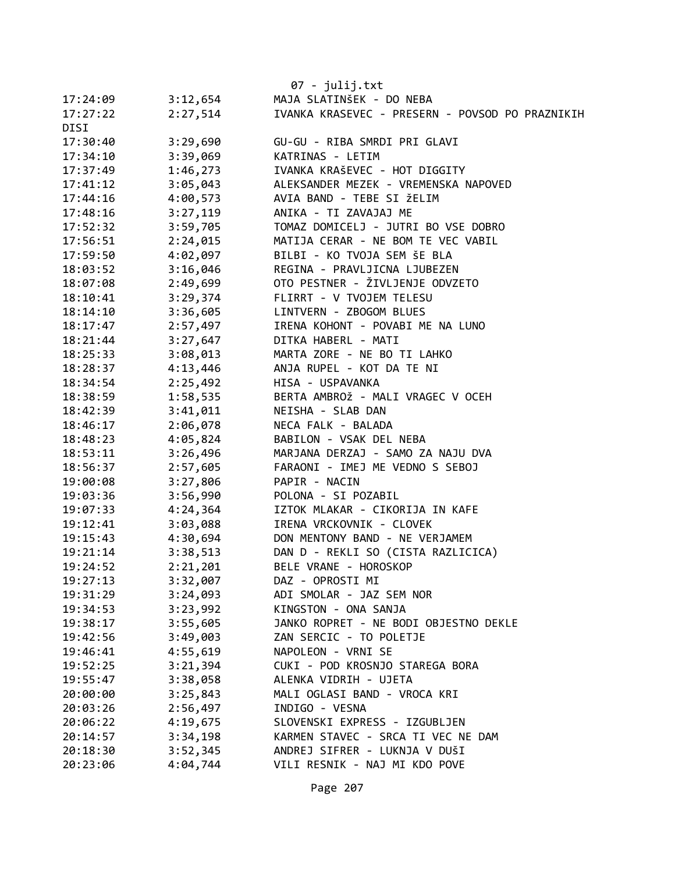|          |          | $07 - julij.txt$                                |
|----------|----------|-------------------------------------------------|
| 17:24:09 | 3:12,654 | MAJA SLATINŠEK - DO NEBA                        |
| 17:27:22 | 2:27,514 | IVANKA KRASEVEC - PRESERN - POVSOD PO PRAZNIKIH |
| DISI     |          |                                                 |
| 17:30:40 | 3:29,690 | GU-GU - RIBA SMRDI PRI GLAVI                    |
| 17:34:10 | 3:39,069 | KATRINAS - LETIM                                |
| 17:37:49 | 1:46,273 | IVANKA KRAŠEVEC - HOT DIGGITY                   |
| 17:41:12 | 3:05,043 | ALEKSANDER MEZEK - VREMENSKA NAPOVED            |
| 17:44:16 | 4:00,573 | AVIA BAND - TEBE SI ŽELIM                       |
| 17:48:16 | 3:27,119 | ANIKA - TI ZAVAJAJ ME                           |
| 17:52:32 | 3:59,705 | TOMAZ DOMICELJ - JUTRI BO VSE DOBRO             |
| 17:56:51 | 2:24,015 | MATIJA CERAR - NE BOM TE VEC VABIL              |
| 17:59:50 | 4:02,097 | BILBI - KO TVOJA SEM ŠE BLA                     |
| 18:03:52 | 3:16,046 | REGINA - PRAVLJICNA LJUBEZEN                    |
| 18:07:08 | 2:49,699 | OTO PESTNER - ŽIVLJENJE ODVZETO                 |
| 18:10:41 | 3:29,374 | FLIRRT - V TVOJEM TELESU                        |
| 18:14:10 | 3:36,605 | LINTVERN - ZBOGOM BLUES                         |
| 18:17:47 | 2:57,497 | IRENA KOHONT - POVABI ME NA LUNO                |
| 18:21:44 | 3:27,647 | DITKA HABERL - MATI                             |
| 18:25:33 | 3:08,013 | MARTA ZORE - NE BO TI LAHKO                     |
| 18:28:37 | 4:13,446 | ANJA RUPEL - KOT DA TE NI                       |
| 18:34:54 | 2:25,492 | HISA - USPAVANKA                                |
| 18:38:59 | 1:58,535 | BERTA AMBROŽ - MALI VRAGEC V OCEH               |
| 18:42:39 | 3:41,011 | NEISHA - SLAB DAN                               |
| 18:46:17 | 2:06,078 | NECA FALK - BALADA                              |
| 18:48:23 | 4:05,824 | BABILON - VSAK DEL NEBA                         |
| 18:53:11 | 3:26,496 | MARJANA DERZAJ - SAMO ZA NAJU DVA               |
| 18:56:37 | 2:57,605 | FARAONI - IMEJ ME VEDNO S SEBOJ                 |
| 19:00:08 | 3:27,806 | PAPIR - NACIN                                   |
| 19:03:36 | 3:56,990 | POLONA - SI POZABIL                             |
| 19:07:33 | 4:24,364 | IZTOK MLAKAR - CIKORIJA IN KAFE                 |
| 19:12:41 | 3:03,088 | IRENA VRCKOVNIK - CLOVEK                        |
| 19:15:43 | 4:30,694 | DON MENTONY BAND - NE VERJAMEM                  |
| 19:21:14 | 3:38,513 | DAN D - REKLI SO (CISTA RAZLICICA)              |
| 19:24:52 | 2:21,201 | BELE VRANE - HOROSKOP                           |
| 19:27:13 | 3:32,007 | DAZ - OPROSTI MI                                |
| 19:31:29 | 3:24,093 | ADI SMOLAR - JAZ SEM NOR                        |
| 19:34:53 | 3:23,992 | KINGSTON - ONA SANJA                            |
| 19:38:17 | 3:55,605 | JANKO ROPRET - NE BODI OBJESTNO DEKLE           |
| 19:42:56 | 3:49,003 | ZAN SERCIC - TO POLETJE                         |
| 19:46:41 | 4:55,619 | NAPOLEON - VRNI SE                              |
| 19:52:25 | 3:21,394 | CUKI - POD KROSNJO STAREGA BORA                 |
| 19:55:47 | 3:38,058 | ALENKA VIDRIH - UJETA                           |
| 20:00:00 | 3:25,843 | MALI OGLASI BAND - VROCA KRI                    |
| 20:03:26 | 2:56,497 | INDIGO - VESNA                                  |
| 20:06:22 | 4:19,675 | SLOVENSKI EXPRESS - IZGUBLJEN                   |
| 20:14:57 | 3:34,198 | KARMEN STAVEC - SRCA TI VEC NE DAM              |
| 20:18:30 | 3:52,345 | ANDREJ SIFRER - LUKNJA V DUŠI                   |
| 20:23:06 | 4:04,744 | VILI RESNIK - NAJ MI KDO POVE                   |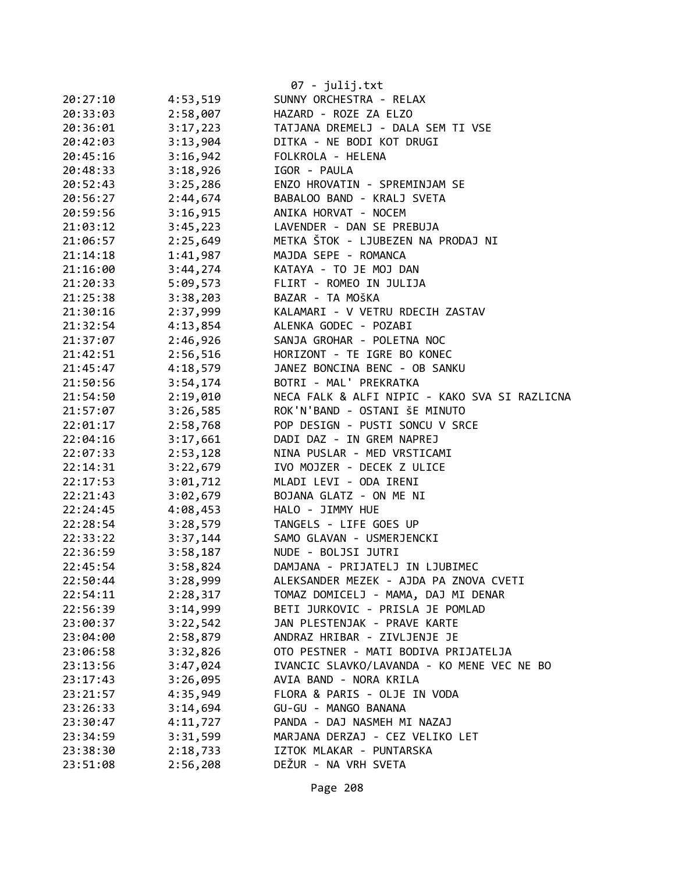|          |          | 07 - julij.txt                                |
|----------|----------|-----------------------------------------------|
| 20:27:10 | 4:53,519 | SUNNY ORCHESTRA - RELAX                       |
| 20:33:03 | 2:58,007 | HAZARD - ROZE ZA ELZO                         |
| 20:36:01 | 3:17,223 | TATJANA DREMELJ - DALA SEM TI VSE             |
| 20:42:03 | 3:13,904 | DITKA - NE BODI KOT DRUGI                     |
| 20:45:16 | 3:16,942 | FOLKROLA - HELENA                             |
| 20:48:33 | 3:18,926 | IGOR - PAULA                                  |
| 20:52:43 | 3:25,286 | ENZO HROVATIN - SPREMINJAM SE                 |
| 20:56:27 | 2:44,674 | BABALOO BAND - KRALJ SVETA                    |
| 20:59:56 | 3:16,915 | ANIKA HORVAT - NOCEM                          |
| 21:03:12 | 3:45,223 | LAVENDER - DAN SE PREBUJA                     |
| 21:06:57 | 2:25,649 | METKA ŠTOK - LJUBEZEN NA PRODAJ NI            |
| 21:14:18 | 1:41,987 | MAJDA SEPE - ROMANCA                          |
| 21:16:00 | 3:44,274 | KATAYA - TO JE MOJ DAN                        |
| 21:20:33 | 5:09,573 | FLIRT - ROMEO IN JULIJA                       |
| 21:25:38 | 3:38,203 | BAZAR - TA MOŠKA                              |
| 21:30:16 | 2:37,999 | KALAMARI - V VETRU RDECIH ZASTAV              |
| 21:32:54 | 4:13,854 | ALENKA GODEC - POZABI                         |
| 21:37:07 | 2:46,926 | SANJA GROHAR - POLETNA NOC                    |
| 21:42:51 | 2:56,516 | HORIZONT - TE IGRE BO KONEC                   |
| 21:45:47 | 4:18,579 | JANEZ BONCINA BENC - OB SANKU                 |
| 21:50:56 | 3:54,174 | BOTRI - MAL' PREKRATKA                        |
| 21:54:50 | 2:19,010 | NECA FALK & ALFI NIPIC - KAKO SVA SI RAZLICNA |
| 21:57:07 | 3:26,585 | ROK'N'BAND - OSTANI ŠE MINUTO                 |
| 22:01:17 | 2:58,768 | POP DESIGN - PUSTI SONCU V SRCE               |
| 22:04:16 | 3:17,661 | DADI DAZ - IN GREM NAPREJ                     |
| 22:07:33 | 2:53,128 | NINA PUSLAR - MED VRSTICAMI                   |
| 22:14:31 | 3:22,679 | IVO MOJZER - DECEK Z ULICE                    |
| 22:17:53 | 3:01,712 | MLADI LEVI - ODA IRENI                        |
| 22:21:43 | 3:02,679 | BOJANA GLATZ - ON ME NI                       |
| 22:24:45 | 4:08,453 | HALO - JIMMY HUE                              |
| 22:28:54 | 3:28,579 | TANGELS - LIFE GOES UP                        |
| 22:33:22 | 3:37,144 | SAMO GLAVAN - USMERJENCKI                     |
| 22:36:59 | 3:58,187 | NUDE - BOLJSI JUTRI                           |
| 22:45:54 | 3:58,824 | DAMJANA - PRIJATELJ IN LJUBIMEC               |
| 22:50:44 | 3:28,999 | ALEKSANDER MEZEK - AJDA PA ZNOVA CVETI        |
| 22:54:11 | 2:28,317 | TOMAZ DOMICELJ - MAMA, DAJ MI DENAR           |
| 22:56:39 | 3:14,999 | BETI JURKOVIC - PRISLA JE POMLAD              |
| 23:00:37 | 3:22,542 | JAN PLESTENJAK - PRAVE KARTE                  |
| 23:04:00 | 2:58,879 | ANDRAZ HRIBAR - ZIVLJENJE JE                  |
| 23:06:58 | 3:32,826 | OTO PESTNER - MATI BODIVA PRIJATELJA          |
| 23:13:56 | 3:47,024 | IVANCIC SLAVKO/LAVANDA - KO MENE VEC NE BO    |
| 23:17:43 | 3:26,095 | AVIA BAND - NORA KRILA                        |
| 23:21:57 | 4:35,949 | FLORA & PARIS - OLJE IN VODA                  |
| 23:26:33 | 3:14,694 | GU-GU - MANGO BANANA                          |
| 23:30:47 | 4:11,727 | PANDA - DAJ NASMEH MI NAZAJ                   |
| 23:34:59 | 3:31,599 | MARJANA DERZAJ - CEZ VELIKO LET               |
| 23:38:30 | 2:18,733 | IZTOK MLAKAR - PUNTARSKA                      |
| 23:51:08 | 2:56,208 | DEŽUR - NA VRH SVETA                          |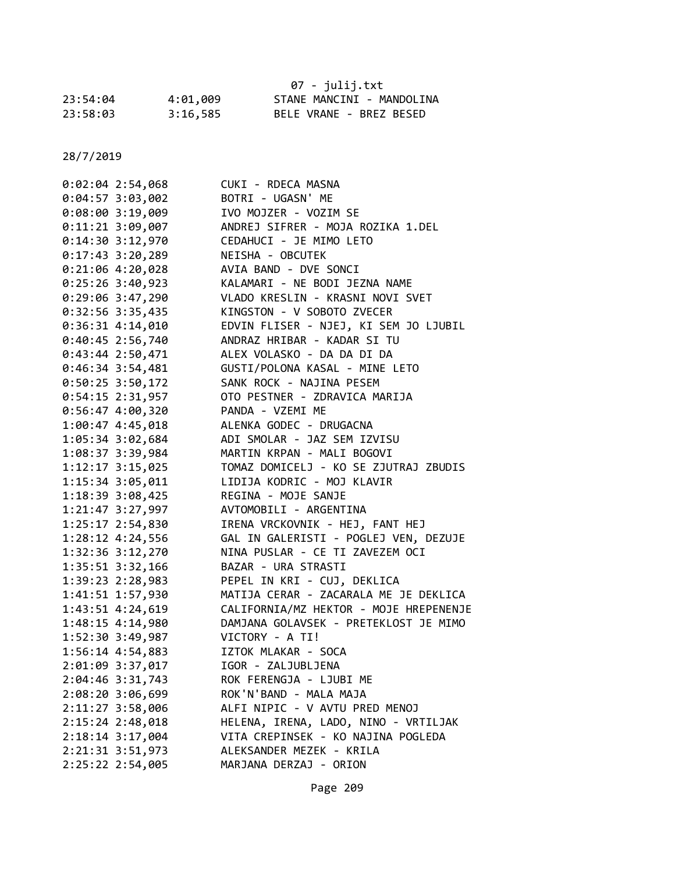|          |          | 07 - julij.txt            |
|----------|----------|---------------------------|
| 23:54:04 | 4:01,009 | STANE MANCINI - MANDOLINA |
| 23:58:03 | 3:16,585 | BELE VRANE - BREZ BESED   |

| $0:02:04$ 2:54,068   | CUKI - RDECA MASNA                     |
|----------------------|----------------------------------------|
| 0:04:57 3:03,002     | BOTRI - UGASN' ME                      |
| $0:08:00$ 3:19,009   | IVO MOJZER - VOZIM SE                  |
| $0:11:21$ 3:09,007   | ANDREJ SIFRER - MOJA ROZIKA 1.DEL      |
| 0:14:30 3:12,970     | CEDAHUCI - JE MIMO LETO                |
| $0:17:43$ 3:20,289   | NEISHA - OBCUTEK                       |
| $0:21:06$ 4:20,028   | AVIA BAND - DVE SONCI                  |
| $0:25:26$ 3:40,923   | KALAMARI - NE BODI JEZNA NAME          |
| $0:29:06$ 3:47,290   | VLADO KRESLIN - KRASNI NOVI SVET       |
| $0:32:56$ 3:35,435   | KINGSTON - V SOBOTO ZVECER             |
| $0:36:31$ 4:14,010   | EDVIN FLISER - NJEJ, KI SEM JO LJUBIL  |
| $0:40:45$ 2:56,740   | ANDRAZ HRIBAR - KADAR SI TU            |
| $0:43:44$ 2:50,471   | ALEX VOLASKO - DA DA DI DA             |
| $0:46:34$ 3:54,481   | GUSTI/POLONA KASAL - MINE LETO         |
| $0:50:25$ 3:50,172   | SANK ROCK - NAJINA PESEM               |
| $0:54:15$ 2:31,957   | OTO PESTNER - ZDRAVICA MARIJA          |
| $0:56:47$ 4:00,320   | PANDA - VZEMI ME                       |
| $1:00:47$ $4:45,018$ | ALENKA GODEC - DRUGACNA                |
| 1:05:34 3:02,684     | ADI SMOLAR - JAZ SEM IZVISU            |
| 1:08:37 3:39,984     | MARTIN KRPAN - MALI BOGOVI             |
| 1:12:17 3:15,025     | TOMAZ DOMICELJ - KO SE ZJUTRAJ ZBUDIS  |
| 1:15:34 3:05,011     | LIDIJA KODRIC - MOJ KLAVIR             |
| 1:18:39 3:08,425     | REGINA - MOJE SANJE                    |
| 1:21:47 3:27,997     | AVTOMOBILI - ARGENTINA                 |
| 1:25:17 2:54,830     | IRENA VRCKOVNIK - HEJ, FANT HEJ        |
| 1:28:12 4:24,556     | GAL IN GALERISTI - POGLEJ VEN, DEZUJE  |
| 1:32:36 3:12,270     | NINA PUSLAR - CE TI ZAVEZEM OCI        |
| 1:35:51 3:32,166     | BAZAR - URA STRASTI                    |
| 1:39:23 2:28,983     | PEPEL IN KRI - CUJ, DEKLICA            |
| 1:41:51 1:57,930     | MATIJA CERAR - ZACARALA ME JE DEKLICA  |
| 1:43:51 4:24,619     | CALIFORNIA/MZ HEKTOR - MOJE HREPENENJE |
| 1:48:15 4:14,980     | DAMJANA GOLAVSEK - PRETEKLOST JE MIMO  |
| 1:52:30 3:49,987     | VICTORY - A TI!                        |
| 1:56:14 4:54,883     | IZTOK MLAKAR - SOCA                    |
| 2:01:09 3:37,017     | IGOR - ZALJUBLJENA                     |
| 2:04:46 3:31,743     | ROK FERENGJA - LJUBI ME                |
| 2:08:20 3:06,699     | ROK'N'BAND - MALA MAJA                 |
| 2:11:27 3:58,006     | ALFI NIPIC - V AVTU PRED MENOJ         |
| 2:15:24 2:48,018     | HELENA, IRENA, LADO, NINO - VRTILJAK   |
| 2:18:14 3:17,004     | VITA CREPINSEK - KO NAJINA POGLEDA     |
| 2:21:31 3:51,973     | ALEKSANDER MEZEK - KRILA               |
| 2:25:22 2:54,005     | MARJANA DERZAJ - ORION                 |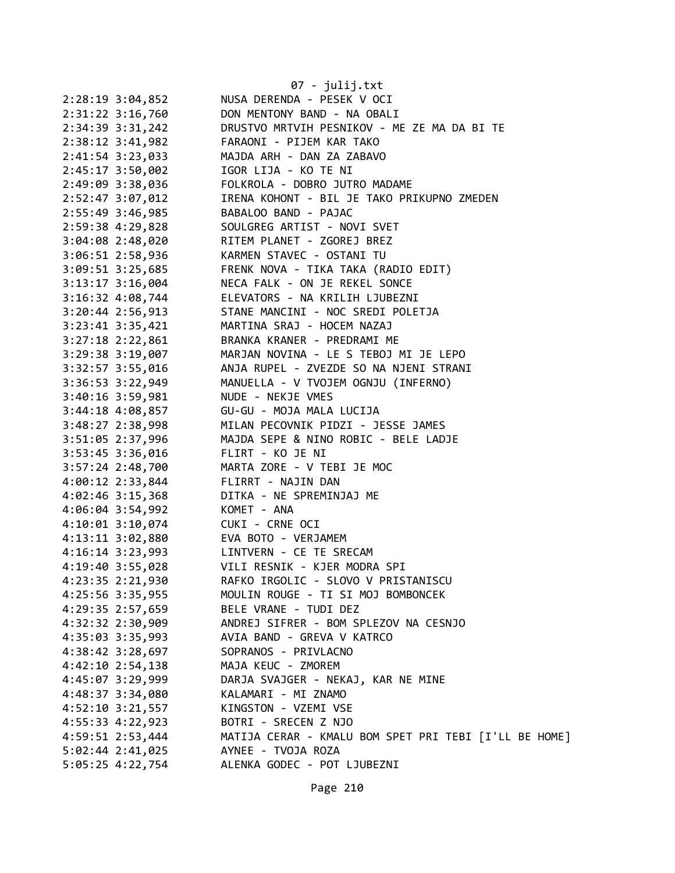|                      | 07 - julij.txt                                        |
|----------------------|-------------------------------------------------------|
| $2:28:19$ $3:04,852$ | NUSA DERENDA - PESEK V OCI                            |
| $2:31:22$ $3:16,760$ | DON MENTONY BAND - NA OBALI                           |
| 2:34:39 3:31,242     | DRUSTVO MRTVIH PESNIKOV - ME ZE MA DA BI TE           |
| $2:38:12$ $3:41,982$ | FARAONI - PIJEM KAR TAKO                              |
| 2:41:54 3:23,033     | MAJDA ARH - DAN ZA ZABAVO                             |
| 2:45:17 3:50,002     | IGOR LIJA - KO TE NI                                  |
| 2:49:09 3:38,036     | FOLKROLA - DOBRO JUTRO MADAME                         |
| 2:52:47 3:07,012     | IRENA KOHONT - BIL JE TAKO PRIKUPNO ZMEDEN            |
| 2:55:49 3:46,985     | BABALOO BAND - PAJAC                                  |
| 2:59:38 4:29,828     | SOULGREG ARTIST - NOVI SVET                           |
| 3:04:08 2:48,020     | RITEM PLANET - ZGOREJ BREZ                            |
| 3:06:51 2:58,936     | KARMEN STAVEC - OSTANI TU                             |
| $3:09:51$ $3:25,685$ | FRENK NOVA - TIKA TAKA (RADIO EDIT)                   |
| $3:13:17$ $3:16,004$ | NECA FALK - ON JE REKEL SONCE                         |
| $3:16:32$ 4:08,744   | ELEVATORS - NA KRILIH LJUBEZNI                        |
| $3:20:44$ 2:56,913   | STANE MANCINI - NOC SREDI POLETJA                     |
| $3:23:41$ $3:35,421$ | MARTINA SRAJ - HOCEM NAZAJ                            |
| $3:27:18$ $2:22,861$ | BRANKA KRANER - PREDRAMI ME                           |
| 3:29:38 3:19,007     | MARJAN NOVINA - LE S TEBOJ MI JE LEPO                 |
| 3:32:57 3:55,016     | ANJA RUPEL - ZVEZDE SO NA NJENI STRANI                |
| $3:36:53$ $3:22,949$ | MANUELLA - V TVOJEM OGNJU (INFERNO)                   |
| $3:40:16$ $3:59,981$ | NUDE - NEKJE VMES                                     |
| $3:44:18$ 4:08,857   | GU-GU - MOJA MALA LUCIJA                              |
| 3:48:27 2:38,998     | MILAN PECOVNIK PIDZI - JESSE JAMES                    |
| 3:51:05 2:37,996     | MAJDA SEPE & NINO ROBIC - BELE LADJE                  |
| 3:53:45 3:36,016     | FLIRT - KO JE NI                                      |
| $3:57:24$ 2:48,700   | MARTA ZORE - V TEBI JE MOC                            |
| $4:00:12$ 2:33,844   | FLIRRT - NAJIN DAN                                    |
| $4:02:46$ 3:15,368   | DITKA - NE SPREMINJAJ ME                              |
| 4:06:04 3:54,992     | KOMET - ANA                                           |
| $4:10:01$ $3:10,074$ | CUKI - CRNE OCI                                       |
|                      | 4:13:11 3:02,880 EVA BOTO - VERJAMEM                  |
|                      | 4:16:14 3:23,993 LINTVERN - CE TE SRECAM              |
| 4:19:40 3:55,028     | VILI RESNIK - KJER MODRA SPI                          |
| 4:23:35 2:21,930     | RAFKO IRGOLIC - SLOVO V PRISTANISCU                   |
| 4:25:56 3:35,955     | MOULIN ROUGE - TI SI MOJ BOMBONCEK                    |
| 4:29:35 2:57,659     | BELE VRANE - TUDI DEZ                                 |
| 4:32:32 2:30,909     | ANDREJ SIFRER - BOM SPLEZOV NA CESNJO                 |
| 4:35:03 3:35,993     | AVIA BAND - GREVA V KATRCO                            |
| $4:38:42$ $3:28,697$ | SOPRANOS - PRIVLACNO                                  |
| $4:42:10$ $2:54,138$ | MAJA KEUC - ZMOREM                                    |
| 4:45:07 3:29,999     | DARJA SVAJGER - NEKAJ, KAR NE MINE                    |
| 4:48:37 3:34,080     | KALAMARI - MI ZNAMO                                   |
| 4:52:10 3:21,557     | KINGSTON - VZEMI VSE                                  |
| 4:55:33 4:22,923     | BOTRI - SRECEN Z NJO                                  |
| 4:59:51 2:53,444     | MATIJA CERAR - KMALU BOM SPET PRI TEBI [I'LL BE HOME] |
| 5:02:44 2:41,025     | AYNEE - TVOJA ROZA                                    |
| 5:05:25 4:22,754     | ALENKA GODEC - POT LJUBEZNI                           |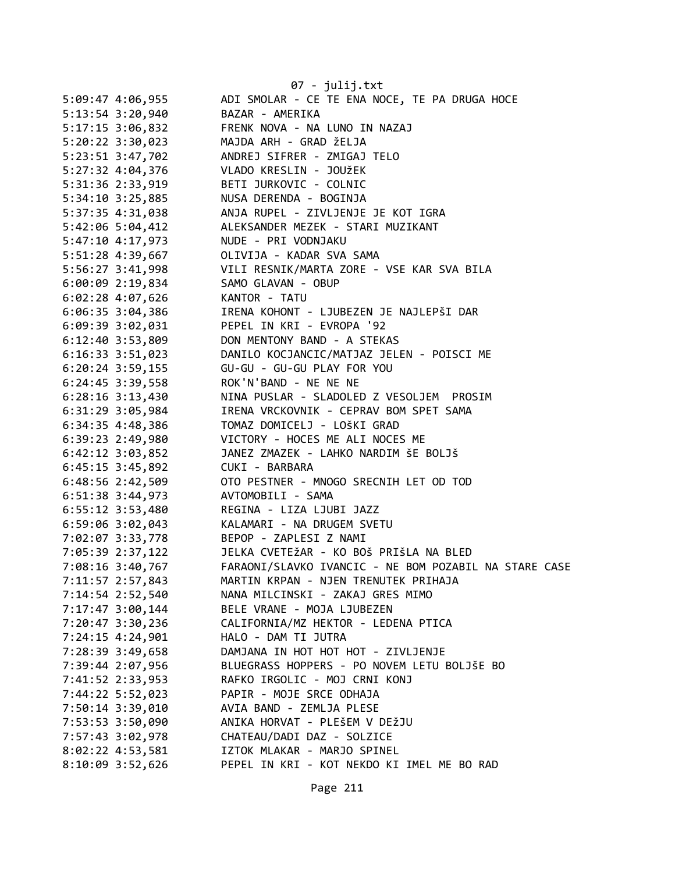|                      | 07 - julij.txt                                        |
|----------------------|-------------------------------------------------------|
| 5:09:47 4:06,955     | ADI SMOLAR - CE TE ENA NOCE, TE PA DRUGA HOCE         |
| $5:13:54$ $3:20,940$ | BAZAR - AMERIKA                                       |
| 5:17:15 3:06,832     | FRENK NOVA - NA LUNO IN NAZAJ                         |
| $5:20:22$ $3:30,023$ | MAJDA ARH - GRAD ŽELJA                                |
| 5:23:51 3:47,702     | ANDREJ SIFRER - ZMIGAJ TELO                           |
| 5:27:32 4:04,376     | VLADO KRESLIN - JOUŽEK                                |
| 5:31:36 2:33,919     | BETI JURKOVIC - COLNIC                                |
| $5:34:10$ $3:25,885$ | NUSA DERENDA - BOGINJA                                |
| 5:37:35 4:31,038     | ANJA RUPEL - ZIVLJENJE JE KOT IGRA                    |
| 5:42:06 5:04,412     | ALEKSANDER MEZEK - STARI MUZIKANT                     |
| 5:47:10 4:17,973     | NUDE - PRI VODNJAKU                                   |
| 5:51:28 4:39,667     | OLIVIJA - KADAR SVA SAMA                              |
| 5:56:27 3:41,998     | VILI RESNIK/MARTA ZORE - VSE KAR SVA BILA             |
| $6:00:09$ 2:19,834   | SAMO GLAVAN - OBUP                                    |
| $6:02:28$ 4:07,626   | KANTOR - TATU                                         |
| $6:06:35$ 3:04,386   | IRENA KOHONT - LJUBEZEN JE NAJLEPŠI DAR               |
| 6:09:39 3:02,031     | PEPEL IN KRI - EVROPA '92                             |
| 6:12:40 3:53,809     | DON MENTONY BAND - A STEKAS                           |
| 6:16:33 3:51,023     | DANILO KOCJANCIC/MATJAZ JELEN - POISCI ME             |
| $6:20:24$ 3:59,155   | GU-GU - GU-GU PLAY FOR YOU                            |
| $6:24:45$ 3:39,558   | ROK'N'BAND - NE NE NE                                 |
| $6:28:16$ $3:13,430$ | NINA PUSLAR - SLADOLED Z VESOLJEM PROSIM              |
| 6:31:29 3:05,984     | IRENA VRCKOVNIK - CEPRAV BOM SPET SAMA                |
| $6:34:35$ $4:48,386$ | TOMAZ DOMICELJ - LOŠKI GRAD                           |
| 6:39:23 2:49,980     | VICTORY - HOCES ME ALI NOCES ME                       |
| $6:42:12$ $3:03,852$ | JANEZ ZMAZEK - LAHKO NARDIM ŠE BOLJŠ                  |
| $6:45:15$ 3:45,892   | CUKI - BARBARA                                        |
| 6:48:56 2:42,509     | OTO PESTNER - MNOGO SRECNIH LET OD TOD                |
| $6:51:38$ 3:44,973   | AVTOMOBILI - SAMA                                     |
| $6:55:12$ 3:53,480   | REGINA - LIZA LJUBI JAZZ                              |
| 6:59:06 3:02,043     | KALAMARI - NA DRUGEM SVETU                            |
| 7:02:07 3:33,778     | BEPOP - ZAPLESI Z NAMI                                |
| 7:05:39 2:37,122     | JELKA CVETEŽAR - KO BOŠ PRIŠLA NA BLED                |
| 7:08:16 3:40,767     | FARAONI/SLAVKO IVANCIC - NE BOM POZABIL NA STARE CASE |
| 7:11:57 2:57,843     | MARTIN KRPAN - NJEN TRENUTEK PRIHAJA                  |
| 7:14:54 2:52,540     | NANA MILCINSKI - ZAKAJ GRES MIMO                      |
| 7:17:47 3:00,144     | BELE VRANE - MOJA LJUBEZEN                            |
| 7:20:47 3:30,236     | CALIFORNIA/MZ HEKTOR - LEDENA PTICA                   |
| 7:24:15 4:24,901     | HALO - DAM TI JUTRA                                   |
| 7:28:39 3:49,658     | DAMJANA IN HOT HOT HOT - ZIVLJENJE                    |
| 7:39:44 2:07,956     | BLUEGRASS HOPPERS - PO NOVEM LETU BOLJŠE BO           |
| 7:41:52 2:33,953     | RAFKO IRGOLIC - MOJ CRNI KONJ                         |
| 7:44:22 5:52,023     | PAPIR - MOJE SRCE ODHAJA                              |
| 7:50:14 3:39,010     | AVIA BAND - ZEMLJA PLESE                              |
| 7:53:53 3:50,090     | ANIKA HORVAT - PLEŠEM V DEŽJU                         |
| 7:57:43 3:02,978     | CHATEAU/DADI DAZ - SOLZICE                            |
| 8:02:22 4:53,581     | IZTOK MLAKAR - MARJO SPINEL                           |
| 8:10:09 3:52,626     | PEPEL IN KRI - KOT NEKDO KI IMEL ME BO RAD            |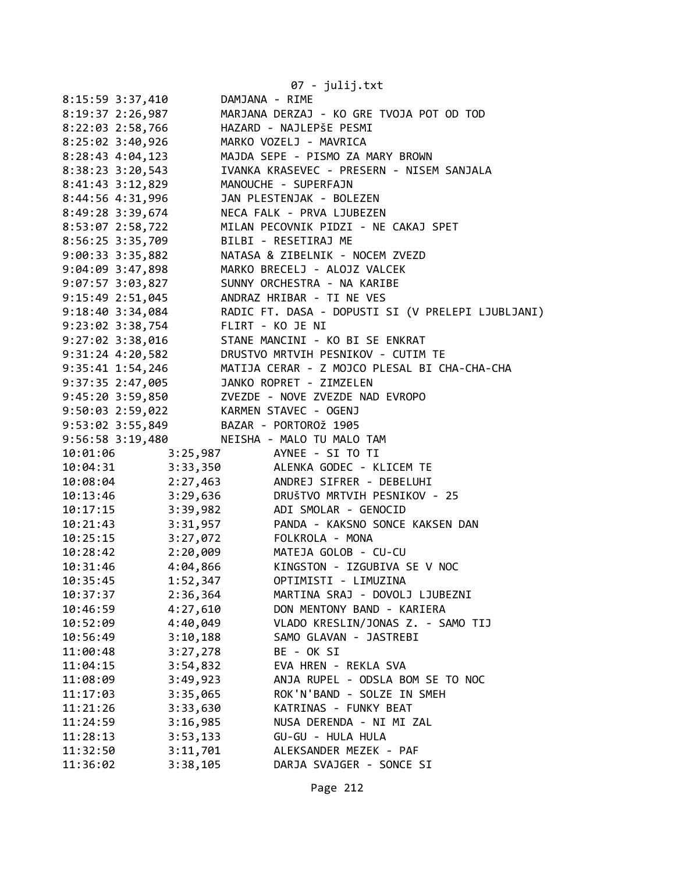|                                           | 07 - julij.txt                                                                                                                                                                                                                                                             |
|-------------------------------------------|----------------------------------------------------------------------------------------------------------------------------------------------------------------------------------------------------------------------------------------------------------------------------|
| 8:15:59 3:37,410                          | DAMJANA - RIME                                                                                                                                                                                                                                                             |
|                                           | 8:19:37 2:26,987 MARJANA DERZAJ - KO GRE TVOJA POT OD TOD                                                                                                                                                                                                                  |
|                                           | 8:22:03 2:58,766<br>8:25:02 3:40,926 MARKO VOZELJ - MAVRICA<br>8:28:43 4:04,123 MAJDA SEPE - PISMO ZA MARY BROWN                                                                                                                                                           |
|                                           |                                                                                                                                                                                                                                                                            |
|                                           |                                                                                                                                                                                                                                                                            |
|                                           | 8:38:23 3:20,543 IVANKA KRASEVEC - PRESERN - NISEM SANJALA                                                                                                                                                                                                                 |
| 8:41:43 3:12,829 MANOUCHE - SUPERFAJN     |                                                                                                                                                                                                                                                                            |
| 8:44:56 4:31,996 JAN PLESTENJAK - BOLEZEN |                                                                                                                                                                                                                                                                            |
|                                           | 8:49:28 3:39,674 NECA FALK - PRVA LJUBEZEN                                                                                                                                                                                                                                 |
|                                           |                                                                                                                                                                                                                                                                            |
|                                           | 8:53:07 2:58,722<br>8:56:25 3:35,709 BILBI - RESETIRAJ ME<br>9:00:33 3:35,882 NATASA & ZIBELNIK - NOCEM ZVEZD                                                                                                                                                              |
|                                           |                                                                                                                                                                                                                                                                            |
|                                           | 9:04:09 3:47,898 MARKO BRECELJ - ALOJZ VALCEK                                                                                                                                                                                                                              |
|                                           | 9:07:57 3:03,827 SUNNY ORCHESTRA - NA KARIBE                                                                                                                                                                                                                               |
|                                           | 9:15:49 2:51,045 ANDRAZ HRIBAR - TI NE VES                                                                                                                                                                                                                                 |
|                                           | 9:18:40 3:34,084 RADIC FT. DASA - DOPUSTI SI (V PRELEPI LJUBLJANI)                                                                                                                                                                                                         |
|                                           |                                                                                                                                                                                                                                                                            |
|                                           | 9:23:02 3:38,754<br>9:27:02 3:38,916<br>9:31:24 4:20,582<br>MANCINI - KO BI SE ENKRAT<br>9:31:24 4:20,582<br>MANCINI - KO BI SE ENKRAT<br>MANCINI - KO BI SE ENKRAT<br>PSINCO - CUTIM TE                                                                                   |
|                                           |                                                                                                                                                                                                                                                                            |
|                                           | 9:35:41 1:54,246 MATIJA CERAR - Z MOJCO PLESAL BI CHA-CHA-CHA                                                                                                                                                                                                              |
| 9:37:35 2:47,005 JANKO ROPRET - ZIMZELEN  |                                                                                                                                                                                                                                                                            |
|                                           | 9:45:20 3:59,850 ZVEZDE - NOVE ZVEZDE NAD EVROPO                                                                                                                                                                                                                           |
| 9:50:03 2:59,022 KARMEN STAVEC - OGENJ    |                                                                                                                                                                                                                                                                            |
| 9:53:02 3:55,849 BAZAR - PORTOROŽ 1905    |                                                                                                                                                                                                                                                                            |
|                                           | 9:56:58 3:19,480 NEISHA - MALO TU MALO TAM                                                                                                                                                                                                                                 |
| 10:01:06 3:25,987 AYNEE - SI TO TI        |                                                                                                                                                                                                                                                                            |
|                                           | 10:04:31 3:33,350 ALENKA GODEC - KLICEM TE                                                                                                                                                                                                                                 |
|                                           |                                                                                                                                                                                                                                                                            |
|                                           |                                                                                                                                                                                                                                                                            |
|                                           | 10:08:04<br>10:13:46<br>10:13:46<br>10:17:15<br>10:21:43<br>10:21:43<br>10:25:15<br>10:28:42<br>2:20,009<br>10:28:42<br>10:28:42<br>10:28:42<br>10:28:42<br>10:28:42<br>10:28:42<br>10:28:42<br>10:28:42<br>10:28:42<br>10:28:42<br>10:28:42<br>10:28:42<br>10:28:42<br>10 |
|                                           |                                                                                                                                                                                                                                                                            |
|                                           |                                                                                                                                                                                                                                                                            |
|                                           |                                                                                                                                                                                                                                                                            |
| 4:04,866<br>10:31:46                      | KINGSTON - IZGUBIVA SE V NOC                                                                                                                                                                                                                                               |
| 10:35:45<br>1:52,347                      | OPTIMISTI - LIMUZINA                                                                                                                                                                                                                                                       |
| 2:36,364<br>10:37:37                      | MARTINA SRAJ - DOVOLJ LJUBEZNI                                                                                                                                                                                                                                             |
| 4:27,610<br>10:46:59                      | DON MENTONY BAND - KARIERA                                                                                                                                                                                                                                                 |
| 4:40,049<br>10:52:09                      | VLADO KRESLIN/JONAS Z. - SAMO TIJ                                                                                                                                                                                                                                          |
| 3:10,188<br>10:56:49                      | SAMO GLAVAN - JASTREBI                                                                                                                                                                                                                                                     |
| 3:27,278<br>11:00:48                      | BE - OK SI                                                                                                                                                                                                                                                                 |
| 11:04:15<br>3:54,832                      | EVA HREN - REKLA SVA                                                                                                                                                                                                                                                       |
| 3:49,923<br>11:08:09                      | ANJA RUPEL - ODSLA BOM SE TO NOC                                                                                                                                                                                                                                           |
| 11:17:03<br>3:35,065                      | ROK'N'BAND - SOLZE IN SMEH                                                                                                                                                                                                                                                 |
| 3:33,630<br>11:21:26                      | KATRINAS - FUNKY BEAT                                                                                                                                                                                                                                                      |
| 11:24:59<br>3:16,985                      | NUSA DERENDA - NI MI ZAL                                                                                                                                                                                                                                                   |
| 3:53,133<br>11:28:13                      | GU-GU - HULA HULA                                                                                                                                                                                                                                                          |
| 3:11,701<br>11:32:50                      | ALEKSANDER MEZEK - PAF                                                                                                                                                                                                                                                     |
| 11:36:02<br>3:38,105                      | DARJA SVAJGER - SONCE SI                                                                                                                                                                                                                                                   |
|                                           |                                                                                                                                                                                                                                                                            |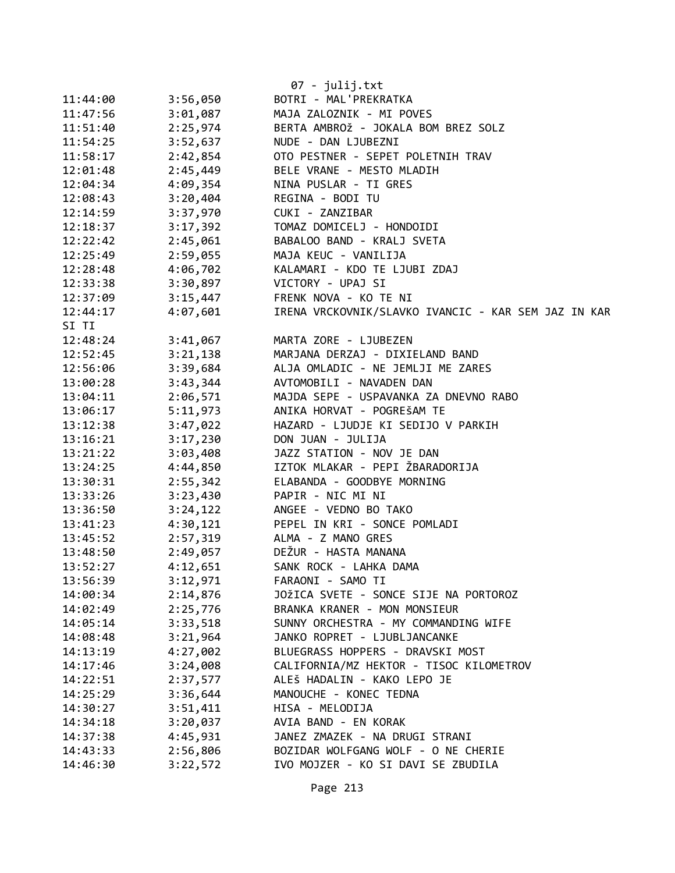|          |          | 07 - julij.txt                                      |
|----------|----------|-----------------------------------------------------|
| 11:44:00 | 3:56,050 | BOTRI - MAL'PREKRATKA                               |
| 11:47:56 | 3:01,087 | MAJA ZALOZNIK - MI POVES                            |
| 11:51:40 | 2:25,974 | BERTA AMBROŽ - JOKALA BOM BREZ SOLZ                 |
| 11:54:25 | 3:52,637 | NUDE - DAN LJUBEZNI                                 |
| 11:58:17 | 2:42,854 | OTO PESTNER - SEPET POLETNIH TRAV                   |
| 12:01:48 | 2:45,449 | BELE VRANE - MESTO MLADIH                           |
| 12:04:34 | 4:09,354 | NINA PUSLAR - TI GRES                               |
| 12:08:43 | 3:20,404 | REGINA - BODI TU                                    |
| 12:14:59 | 3:37,970 | CUKI - ZANZIBAR                                     |
| 12:18:37 | 3:17,392 | TOMAZ DOMICELJ - HONDOIDI                           |
| 12:22:42 | 2:45,061 | BABALOO BAND - KRALJ SVETA                          |
| 12:25:49 | 2:59,055 | MAJA KEUC - VANILIJA                                |
| 12:28:48 |          | 4:06,702 KALAMARI - KDO TE LJUBI ZDAJ               |
| 12:33:38 |          | 3:30,897 VICTORY - UPAJ SI                          |
| 12:37:09 |          | 3:15,447 FRENK NOVA - KO TE NI                      |
|          | 4:07,601 |                                                     |
| 12:44:17 |          | IRENA VRCKOVNIK/SLAVKO IVANCIC - KAR SEM JAZ IN KAR |
| SI TI    |          |                                                     |
| 12:48:24 | 3:41,067 | MARTA ZORE - LJUBEZEN                               |
| 12:52:45 |          | 3:21,138 MARJANA DERZAJ - DIXIELAND BAND            |
| 12:56:06 |          | 3:39,684 ALJA OMLADIC - NE JEMLJI ME ZARES          |
| 13:00:28 | 3:43,344 | AVTOMOBILI - NAVADEN DAN                            |
| 13:04:11 | 2:06,571 | MAJDA SEPE - USPAVANKA ZA DNEVNO RABO               |
| 13:06:17 | 5:11,973 | ANIKA HORVAT - POGREŠAM TE                          |
| 13:12:38 | 3:47,022 | HAZARD - LJUDJE KI SEDIJO V PARKIH                  |
| 13:16:21 | 3:17,230 | DON JUAN - JULIJA                                   |
| 13:21:22 | 3:03,408 | JAZZ STATION - NOV JE DAN                           |
| 13:24:25 | 4:44,850 | IZTOK MLAKAR - PEPI ŽBARADORIJA                     |
| 13:30:31 | 2:55,342 | ELABANDA - GOODBYE MORNING                          |
| 13:33:26 | 3:23,430 | PAPIR - NIC MI NI                                   |
| 13:36:50 | 3:24,122 | ANGEE - VEDNO BO TAKO                               |
| 13:41:23 | 4:30,121 | PEPEL IN KRI - SONCE POMLADI                        |
| 13:45:52 | 2:57,319 | ALMA - Z MANO GRES                                  |
| 13:48:50 | 2:49,057 | DEŽUR - HASTA MANANA                                |
| 13:52:27 | 4:12,651 | SANK ROCK - LAHKA DAMA                              |
| 13:56:39 | 3:12,971 | FARAONI - SAMO TI                                   |
| 14:00:34 | 2:14,876 | JOŽICA SVETE - SONCE SIJE NA PORTOROZ               |
| 14:02:49 | 2:25,776 | BRANKA KRANER - MON MONSIEUR                        |
| 14:05:14 | 3:33,518 | SUNNY ORCHESTRA - MY COMMANDING WIFE                |
| 14:08:48 | 3:21,964 | JANKO ROPRET - LJUBLJANCANKE                        |
| 14:13:19 | 4:27,002 | BLUEGRASS HOPPERS - DRAVSKI MOST                    |
| 14:17:46 | 3:24,008 | CALIFORNIA/MZ HEKTOR - TISOC KILOMETROV             |
| 14:22:51 | 2:37,577 | ALEŠ HADALIN - KAKO LEPO JE                         |
| 14:25:29 | 3:36,644 | MANOUCHE - KONEC TEDNA                              |
| 14:30:27 | 3:51,411 | HISA - MELODIJA                                     |
| 14:34:18 | 3:20,037 | AVIA BAND - EN KORAK                                |
| 14:37:38 | 4:45,931 | JANEZ ZMAZEK - NA DRUGI STRANI                      |
| 14:43:33 | 2:56,806 | BOZIDAR WOLFGANG WOLF - O NE CHERIE                 |
| 14:46:30 | 3:22,572 | IVO MOJZER - KO SI DAVI SE ZBUDILA                  |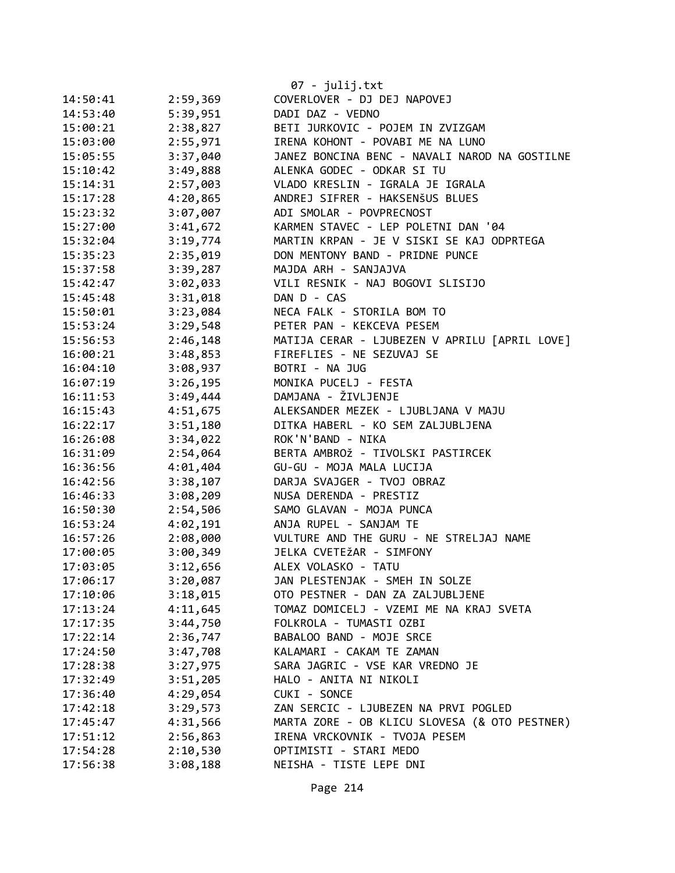|          |          | 07 - julij.txt                                |
|----------|----------|-----------------------------------------------|
| 14:50:41 | 2:59,369 | COVERLOVER - DJ DEJ NAPOVEJ                   |
| 14:53:40 | 5:39,951 | DADI DAZ - VEDNO                              |
| 15:00:21 | 2:38,827 | BETI JURKOVIC - POJEM IN ZVIZGAM              |
| 15:03:00 | 2:55,971 | IRENA KOHONT - POVABI ME NA LUNO              |
| 15:05:55 | 3:37,040 | JANEZ BONCINA BENC - NAVALI NAROD NA GOSTILNE |
| 15:10:42 | 3:49,888 | ALENKA GODEC - ODKAR SI TU                    |
| 15:14:31 | 2:57,003 | VLADO KRESLIN - IGRALA JE IGRALA              |
| 15:17:28 | 4:20,865 | ANDREJ SIFRER - HAKSENŠUS BLUES               |
| 15:23:32 | 3:07,007 | ADI SMOLAR - POVPRECNOST                      |
| 15:27:00 | 3:41,672 | KARMEN STAVEC - LEP POLETNI DAN '04           |
| 15:32:04 | 3:19,774 | MARTIN KRPAN - JE V SISKI SE KAJ ODPRTEGA     |
| 15:35:23 | 2:35,019 | DON MENTONY BAND - PRIDNE PUNCE               |
| 15:37:58 | 3:39,287 | MAJDA ARH - SANJAJVA                          |
| 15:42:47 | 3:02,033 | VILI RESNIK - NAJ BOGOVI SLISIJO              |
| 15:45:48 | 3:31,018 | DAN D - CAS                                   |
| 15:50:01 | 3:23,084 | NECA FALK - STORILA BOM TO                    |
| 15:53:24 | 3:29,548 | PETER PAN - KEKCEVA PESEM                     |
| 15:56:53 | 2:46,148 | MATIJA CERAR - LJUBEZEN V APRILU [APRIL LOVE] |
| 16:00:21 | 3:48,853 | FIREFLIES - NE SEZUVAJ SE                     |
| 16:04:10 | 3:08,937 | BOTRI - NA JUG                                |
| 16:07:19 | 3:26,195 | MONIKA PUCELJ - FESTA                         |
| 16:11:53 | 3:49,444 | DAMJANA - ŽIVLJENJE                           |
| 16:15:43 | 4:51,675 | ALEKSANDER MEZEK - LJUBLJANA V MAJU           |
| 16:22:17 | 3:51,180 | DITKA HABERL - KO SEM ZALJUBLJENA             |
| 16:26:08 | 3:34,022 | ROK'N'BAND - NIKA                             |
| 16:31:09 | 2:54,064 | BERTA AMBROŽ - TIVOLSKI PASTIRCEK             |
| 16:36:56 | 4:01,404 | GU-GU - MOJA MALA LUCIJA                      |
| 16:42:56 | 3:38,107 | DARJA SVAJGER - TVOJ OBRAZ                    |
| 16:46:33 | 3:08,209 | NUSA DERENDA - PRESTIZ                        |
| 16:50:30 | 2:54,506 | SAMO GLAVAN - MOJA PUNCA                      |
| 16:53:24 | 4:02,191 | ANJA RUPEL - SANJAM TE                        |
| 16:57:26 | 2:08,000 | VULTURE AND THE GURU - NE STRELJAJ NAME       |
| 17:00:05 | 3:00,349 | JELKA CVETEŽAR - SIMFONY                      |
| 17:03:05 | 3:12,656 | ALEX VOLASKO - TATU                           |
| 17:06:17 | 3:20,087 | JAN PLESTENJAK - SMEH IN SOLZE                |
| 17:10:06 | 3:18,015 | OTO PESTNER - DAN ZA ZALJUBLJENE              |
| 17:13:24 | 4:11,645 | TOMAZ DOMICELJ - VZEMI ME NA KRAJ SVETA       |
| 17:17:35 | 3:44,750 | FOLKROLA - TUMASTI OZBI                       |
| 17:22:14 | 2:36,747 | BABALOO BAND - MOJE SRCE                      |
| 17:24:50 | 3:47,708 | KALAMARI - CAKAM TE ZAMAN                     |
| 17:28:38 | 3:27,975 | SARA JAGRIC - VSE KAR VREDNO JE               |
| 17:32:49 | 3:51,205 | HALO - ANITA NI NIKOLI                        |
| 17:36:40 | 4:29,054 | CUKI - SONCE                                  |
| 17:42:18 | 3:29,573 | ZAN SERCIC - LJUBEZEN NA PRVI POGLED          |
| 17:45:47 | 4:31,566 | MARTA ZORE - OB KLICU SLOVESA (& OTO PESTNER) |
| 17:51:12 | 2:56,863 | IRENA VRCKOVNIK - TVOJA PESEM                 |
| 17:54:28 | 2:10,530 | OPTIMISTI - STARI MEDO                        |
| 17:56:38 | 3:08,188 | NEISHA - TISTE LEPE DNI                       |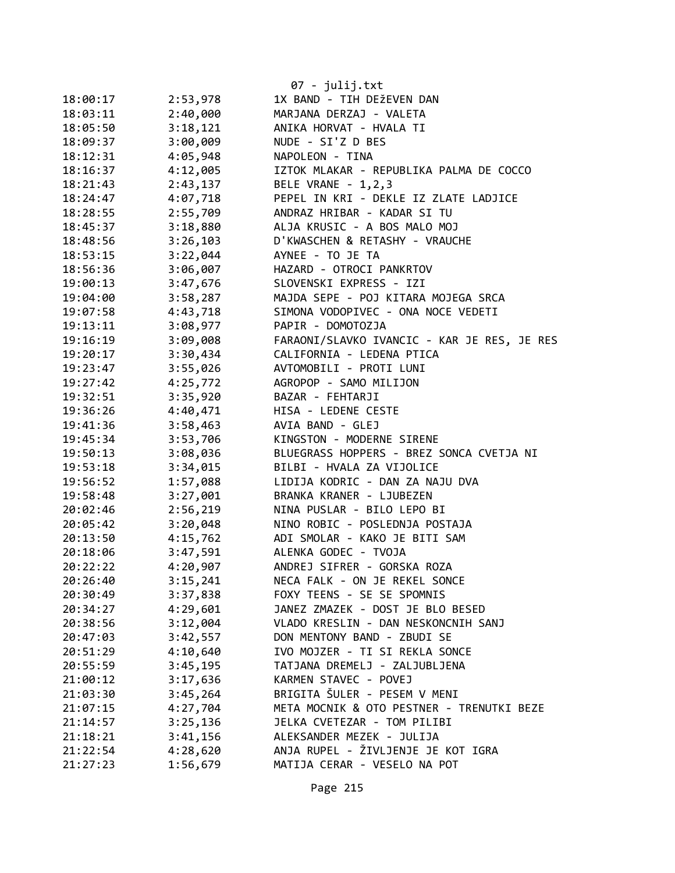|          |          | $07 - julij.txt$                            |
|----------|----------|---------------------------------------------|
| 18:00:17 | 2:53,978 | 1X BAND - TIH DEŽEVEN DAN                   |
| 18:03:11 | 2:40,000 | MARJANA DERZAJ - VALETA                     |
| 18:05:50 | 3:18,121 | ANIKA HORVAT - HVALA TI                     |
| 18:09:37 | 3:00,009 | NUDE - SI'Z D BES                           |
| 18:12:31 | 4:05,948 | NAPOLEON - TINA                             |
| 18:16:37 | 4:12,005 | IZTOK MLAKAR - REPUBLIKA PALMA DE COCCO     |
| 18:21:43 | 2:43,137 | BELE VRANE - 1,2,3                          |
| 18:24:47 | 4:07,718 | PEPEL IN KRI - DEKLE IZ ZLATE LADJICE       |
| 18:28:55 | 2:55,709 | ANDRAZ HRIBAR - KADAR SI TU                 |
| 18:45:37 | 3:18,880 | ALJA KRUSIC - A BOS MALO MOJ                |
| 18:48:56 | 3:26,103 | D'KWASCHEN & RETASHY - VRAUCHE              |
| 18:53:15 | 3:22,044 | AYNEE - TO JE TA                            |
| 18:56:36 | 3:06,007 | HAZARD - OTROCI PANKRTOV                    |
| 19:00:13 | 3:47,676 | SLOVENSKI EXPRESS - IZI                     |
| 19:04:00 | 3:58,287 | MAJDA SEPE - POJ KITARA MOJEGA SRCA         |
| 19:07:58 | 4:43,718 | SIMONA VODOPIVEC - ONA NOCE VEDETI          |
| 19:13:11 | 3:08,977 | PAPIR - DOMOTOZJA                           |
| 19:16:19 | 3:09,008 | FARAONI/SLAVKO IVANCIC - KAR JE RES, JE RES |
| 19:20:17 | 3:30,434 | CALIFORNIA - LEDENA PTICA                   |
| 19:23:47 | 3:55,026 | AVTOMOBILI - PROTI LUNI                     |
| 19:27:42 | 4:25,772 | AGROPOP - SAMO MILIJON                      |
| 19:32:51 | 3:35,920 | BAZAR - FEHTARJI                            |
| 19:36:26 | 4:40,471 | HISA - LEDENE CESTE                         |
| 19:41:36 | 3:58,463 | AVIA BAND - GLEJ                            |
| 19:45:34 | 3:53,706 | KINGSTON - MODERNE SIRENE                   |
| 19:50:13 | 3:08,036 | BLUEGRASS HOPPERS - BREZ SONCA CVETJA NI    |
| 19:53:18 | 3:34,015 | BILBI - HVALA ZA VIJOLICE                   |
| 19:56:52 | 1:57,088 | LIDIJA KODRIC - DAN ZA NAJU DVA             |
| 19:58:48 | 3:27,001 | BRANKA KRANER - LJUBEZEN                    |
| 20:02:46 | 2:56,219 | NINA PUSLAR - BILO LEPO BI                  |
| 20:05:42 | 3:20,048 | NINO ROBIC - POSLEDNJA POSTAJA              |
| 20:13:50 | 4:15,762 | ADI SMOLAR - KAKO JE BITI SAM               |
| 20:18:06 | 3:47,591 | ALENKA GODEC - TVOJA                        |
| 20:22:22 | 4:20,907 | ANDREJ SIFRER - GORSKA ROZA                 |
| 20:26:40 | 3:15,241 | NECA FALK - ON JE REKEL SONCE               |
| 20:30:49 | 3:37,838 | FOXY TEENS - SE SE SPOMNIS                  |
| 20:34:27 | 4:29,601 | JANEZ ZMAZEK - DOST JE BLO BESED            |
| 20:38:56 | 3:12,004 | VLADO KRESLIN - DAN NESKONCNIH SANJ         |
| 20:47:03 | 3:42,557 | DON MENTONY BAND - ZBUDI SE                 |
| 20:51:29 | 4:10,640 | IVO MOJZER - TI SI REKLA SONCE              |
| 20:55:59 | 3:45,195 | TATJANA DREMELJ - ZALJUBLJENA               |
| 21:00:12 | 3:17,636 | KARMEN STAVEC - POVEJ                       |
| 21:03:30 | 3:45,264 | BRIGITA ŠULER - PESEM V MENI                |
| 21:07:15 | 4:27,704 | META MOCNIK & OTO PESTNER - TRENUTKI BEZE   |
| 21:14:57 | 3:25,136 | JELKA CVETEZAR - TOM PILIBI                 |
| 21:18:21 | 3:41,156 | ALEKSANDER MEZEK - JULIJA                   |
| 21:22:54 | 4:28,620 | ANJA RUPEL - ŽIVLJENJE JE KOT IGRA          |
| 21:27:23 | 1:56,679 | MATIJA CERAR - VESELO NA POT                |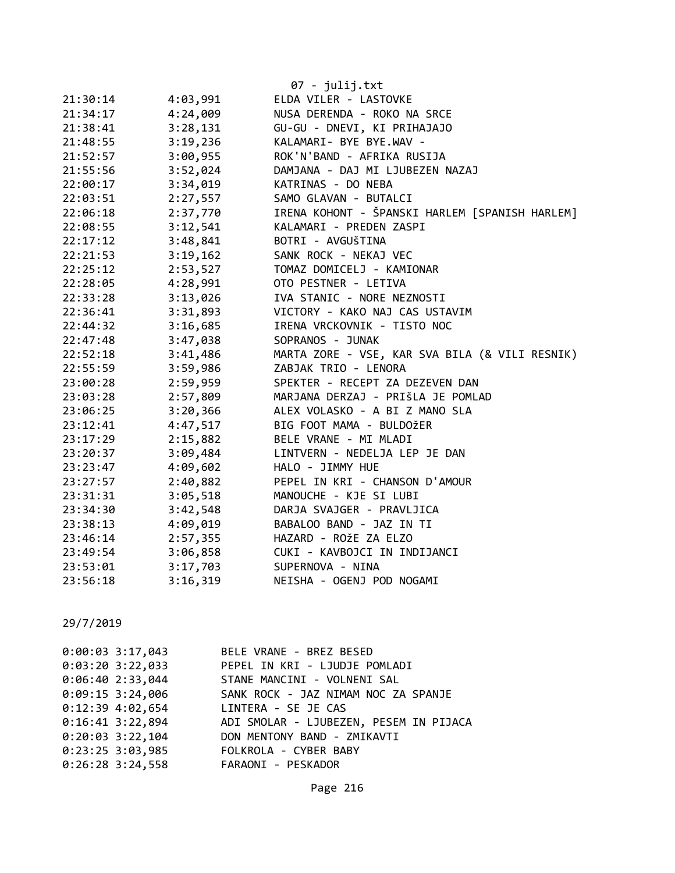|          |          | 07 - julij.txt                                 |
|----------|----------|------------------------------------------------|
| 21:30:14 | 4:03,991 | ELDA VILER - LASTOVKE                          |
| 21:34:17 | 4:24,009 | NUSA DERENDA - ROKO NA SRCE                    |
| 21:38:41 | 3:28,131 | GU-GU - DNEVI, KI PRIHAJAJO                    |
| 21:48:55 | 3:19,236 | KALAMARI- BYE BYE.WAV -                        |
| 21:52:57 | 3:00,955 | ROK'N'BAND - AFRIKA RUSIJA                     |
| 21:55:56 | 3:52,024 | DAMJANA - DAJ MI LJUBEZEN NAZAJ                |
| 22:00:17 | 3:34,019 | KATRINAS - DO NEBA                             |
| 22:03:51 | 2:27,557 | SAMO GLAVAN - BUTALCI                          |
| 22:06:18 | 2:37,770 | IRENA KOHONT - ŠPANSKI HARLEM [SPANISH HARLEM] |
| 22:08:55 | 3:12,541 | KALAMARI - PREDEN ZASPI                        |
| 22:17:12 | 3:48,841 | BOTRI - AVGUŠTINA                              |
| 22:21:53 | 3:19,162 | SANK ROCK - NEKAJ VEC                          |
| 22:25:12 | 2:53,527 | TOMAZ DOMICELJ - KAMIONAR                      |
| 22:28:05 | 4:28,991 | OTO PESTNER - LETIVA                           |
| 22:33:28 | 3:13,026 | IVA STANIC - NORE NEZNOSTI                     |
| 22:36:41 | 3:31,893 | VICTORY - KAKO NAJ CAS USTAVIM                 |
| 22:44:32 | 3:16,685 | IRENA VRCKOVNIK - TISTO NOC                    |
| 22:47:48 | 3:47,038 | SOPRANOS - JUNAK                               |
| 22:52:18 | 3:41,486 | MARTA ZORE - VSE, KAR SVA BILA (& VILI RESNIK) |
| 22:55:59 | 3:59,986 | ZABJAK TRIO - LENORA                           |
| 23:00:28 | 2:59,959 | SPEKTER - RECEPT ZA DEZEVEN DAN                |
| 23:03:28 | 2:57,809 | MARJANA DERZAJ - PRIŠLA JE POMLAD              |
| 23:06:25 | 3:20,366 | ALEX VOLASKO - A BI Z MANO SLA                 |
| 23:12:41 | 4:47,517 | BIG FOOT MAMA - BULDOŽER                       |
| 23:17:29 | 2:15,882 | BELE VRANE - MI MLADI                          |
| 23:20:37 | 3:09,484 | LINTVERN - NEDELJA LEP JE DAN                  |
| 23:23:47 | 4:09,602 | HALO - JIMMY HUE                               |
| 23:27:57 | 2:40,882 | PEPEL IN KRI - CHANSON D'AMOUR                 |
| 23:31:31 | 3:05,518 | MANOUCHE - KJE SI LUBI                         |
| 23:34:30 | 3:42,548 | DARJA SVAJGER - PRAVLJICA                      |
| 23:38:13 | 4:09,019 | BABALOO BAND - JAZ IN TI                       |
| 23:46:14 | 2:57,355 | HAZARD - ROŽE ZA ELZO                          |
| 23:49:54 | 3:06,858 | CUKI - KAVBOJCI IN INDIJANCI                   |
| 23:53:01 | 3:17,703 | SUPERNOVA - NINA                               |
| 23:56:18 | 3:16,319 | NEISHA - OGENJ POD NOGAMI                      |

| $0:00:03$ 3:17,043 | BELE VRANE - BREZ BESED                              |
|--------------------|------------------------------------------------------|
|                    | 0:03:20 3:22,033 PEPEL IN KRI - LJUDJE POMLADI       |
| 0:06:402:33,044    | STANE MANCINI - VOLNENI SAL                          |
|                    | 0:09:15 3:24,006 SANK ROCK - JAZ NIMAM NOC ZA SPANJE |
|                    | 0:12:39 4:02,654 LINTERA - SE JE CAS                 |
| $0:16:41$ 3:22,894 | ADI SMOLAR - LJUBEZEN, PESEM IN PIJACA               |
|                    | 0:20:03 3:22,104 DON MENTONY BAND - ZMIKAVTI         |
|                    | 0:23:25 3:03,985 FOLKROLA - CYBER BABY               |
| $0:26:28$ 3:24,558 | FARAONI - PESKADOR                                   |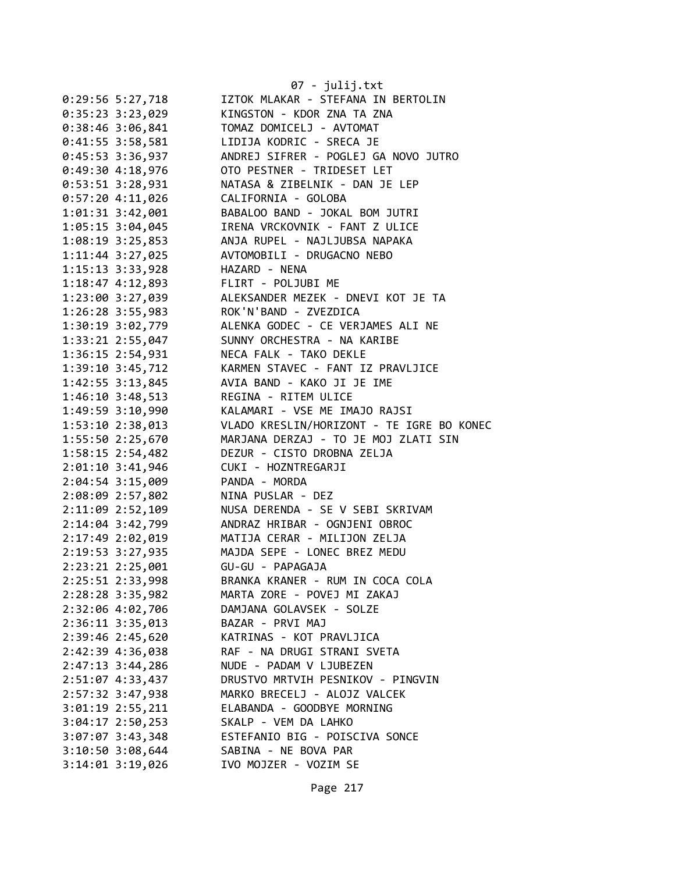|                      | 07 - julij.txt                            |
|----------------------|-------------------------------------------|
| $0:29:56$ 5:27,718   | IZTOK MLAKAR - STEFANA IN BERTOLIN        |
| $0:35:23$ 3:23,029   | KINGSTON - KDOR ZNA TA ZNA                |
| 0:38:46 3:06,841     | TOMAZ DOMICELJ - AVTOMAT                  |
| 0:41:55 3:58,581     | LIDIJA KODRIC - SRECA JE                  |
| $0:45:53$ 3:36,937   | ANDREJ SIFRER - POGLEJ GA NOVO JUTRO      |
| 0:49:304:18,976      | OTO PESTNER - TRIDESET LET                |
| 0:53:51 3:28,931     | NATASA & ZIBELNIK - DAN JE LEP            |
| 0:57:204:11,026      | CALIFORNIA - GOLOBA                       |
| 1:01:31 3:42,001     | BABALOO BAND - JOKAL BOM JUTRI            |
| 1:05:15 3:04,045     | IRENA VRCKOVNIK - FANT Z ULICE            |
| $1:08:19$ 3:25,853   | ANJA RUPEL - NAJLJUBSA NAPAKA             |
| $1:11:44$ 3:27,025   | AVTOMOBILI - DRUGACNO NEBO                |
| 1:15:13 3:33,928     | HAZARD - NENA                             |
| 1:18:47 4:12,893     | FLIRT - POLJUBI ME                        |
| 1:23:00 3:27,039     | ALEKSANDER MEZEK - DNEVI KOT JE TA        |
| 1:26:28 3:55,983     | ROK'N'BAND - ZVEZDICA                     |
| 1:30:19 3:02,779     | ALENKA GODEC - CE VERJAMES ALI NE         |
| 1:33:21 2:55,047     | SUNNY ORCHESTRA - NA KARIBE               |
| 1:36:15 2:54,931     | NECA FALK - TAKO DEKLE                    |
| 1:39:10 3:45,712     | KARMEN STAVEC - FANT IZ PRAVLJICE         |
| $1:42:55$ $3:13,845$ | AVIA BAND - KAKO JI JE IME                |
| $1:46:10$ $3:48,513$ | REGINA - RITEM ULICE                      |
|                      |                                           |
| 1:49:59 3:10,990     | KALAMARI - VSE ME IMAJO RAJSI             |
| 1:53:10 2:38,013     | VLADO KRESLIN/HORIZONT - TE IGRE BO KONEC |
| 1:55:50 2:25,670     | MARJANA DERZAJ - TO JE MOJ ZLATI SIN      |
| $1:58:15$ 2:54,482   | DEZUR - CISTO DROBNA ZELJA                |
| 2:01:10 3:41,946     | CUKI - HOZNTREGARJI                       |
| 2:04:54 3:15,009     | PANDA - MORDA                             |
| 2:08:09 2:57,802     | NINA PUSLAR - DEZ                         |
| 2:11:09 2:52,109     | NUSA DERENDA - SE V SEBI SKRIVAM          |
| 2:14:04 3:42,799     | ANDRAZ HRIBAR - OGNJENI OBROC             |
| 2:17:49 2:02,019     | MATIJA CERAR - MILIJON ZELJA              |
| 2:19:53 3:27,935     | MAJDA SEPE - LONEC BREZ MEDU              |
| 2:23:21 2:25,001     | GU-GU - PAPAGAJA                          |
| 2:25:51 2:33,998     | BRANKA KRANER - RUM IN COCA COLA          |
| $2:28:28$ 3:35,982   | MARTA ZORE - POVEJ MI ZAKAJ               |
| 2:32:06 4:02,706     | DAMJANA GOLAVSEK - SOLZE                  |
| $2:36:11$ $3:35,013$ | BAZAR - PRVI MAJ                          |
| 2:39:46 2:45,620     | KATRINAS - KOT PRAVLJICA                  |
| 2:42:39 4:36,038     | RAF - NA DRUGI STRANI SVETA               |
| $2:47:13 \t3:44,286$ | NUDE - PADAM V LJUBEZEN                   |
| 2:51:07 4:33,437     | DRUSTVO MRTVIH PESNIKOV - PINGVIN         |
| 2:57:32 3:47,938     | MARKO BRECELJ - ALOJZ VALCEK              |
| $3:01:19$ $2:55,211$ | ELABANDA - GOODBYE MORNING                |
| $3:04:17$ 2:50,253   | SKALP - VEM DA LAHKO                      |
| $3:07:07$ 3:43,348   | ESTEFANIO BIG - POISCIVA SONCE            |
| $3:10:50$ $3:08,644$ | SABINA - NE BOVA PAR                      |
| $3:14:01$ $3:19,026$ | IVO MOJZER - VOZIM SE                     |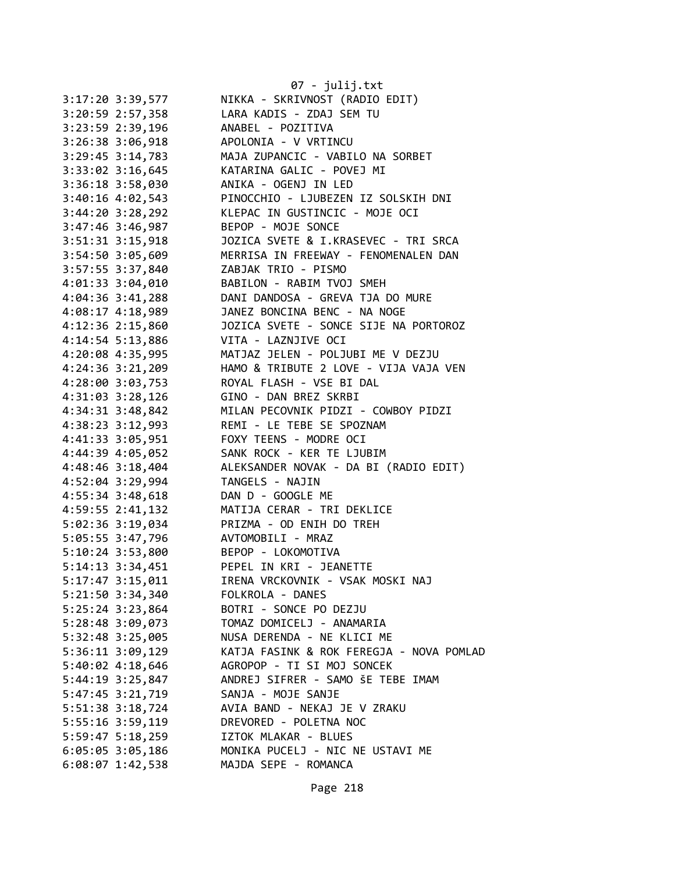|                      | 07 - julij.txt                           |
|----------------------|------------------------------------------|
| 3:17:20 3:39,577     | NIKKA - SKRIVNOST (RADIO EDIT)           |
| $3:20:59$ 2:57,358   | LARA KADIS - ZDAJ SEM TU                 |
| 3:23:59 2:39,196     | ANABEL - POZITIVA                        |
| 3:26:38 3:06,918     | APOLONIA - V VRTINCU                     |
| $3:29:45$ $3:14,783$ | MAJA ZUPANCIC - VABILO NA SORBET         |
| 3:33:02 3:16,645     | KATARINA GALIC - POVEJ MI                |
| 3:36:18 3:58,030     | ANIKA - OGENJ IN LED                     |
| $3:40:16$ 4:02,543   | PINOCCHIO - LJUBEZEN IZ SOLSKIH DNI      |
| $3:44:20$ $3:28,292$ | KLEPAC IN GUSTINCIC - MOJE OCI           |
| $3:47:46$ 3:46,987   | BEPOP - MOJE SONCE                       |
| $3:51:31$ $3:15,918$ | JOZICA SVETE & I.KRASEVEC - TRI SRCA     |
| 3:54:50 3:05,609     | MERRISA IN FREEWAY - FENOMENALEN DAN     |
| 3:57:55 3:37,840     | ZABJAK TRIO - PISMO                      |
| 4:01:33 3:04,010     | BABILON - RABIM TVOJ SMEH                |
| $4:04:36$ 3:41,288   | DANI DANDOSA - GREVA TJA DO MURE         |
| 4:08:17 4:18,989     | JANEZ BONCINA BENC - NA NOGE             |
| $4:12:36$ $2:15,860$ | JOZICA SVETE - SONCE SIJE NA PORTOROZ    |
| 4:14:54 5:13,886     | VITA - LAZNJIVE OCI                      |
| 4:20:08 4:35,995     | MATJAZ JELEN - POLJUBI ME V DEZJU        |
| $4:24:36$ $3:21,209$ | HAMO & TRIBUTE 2 LOVE - VIJA VAJA VEN    |
| 4:28:00 3:03,753     | ROYAL FLASH - VSE BI DAL                 |
| 4:31:03 3:28,126     | GINO - DAN BREZ SKRBI                    |
| 4:34:31 3:48,842     | MILAN PECOVNIK PIDZI - COWBOY PIDZI      |
| 4:38:23 3:12,993     | REMI - LE TEBE SE SPOZNAM                |
| 4:41:33 3:05,951     | FOXY TEENS - MODRE OCI                   |
| 4:44:39 4:05,052     | SANK ROCK - KER TE LJUBIM                |
| 4:48:46 3:18,404     | ALEKSANDER NOVAK - DA BI (RADIO EDIT)    |
| 4:52:04 3:29,994     | TANGELS - NAJIN                          |
| 4:55:34 3:48,618     | DAN D - GOOGLE ME                        |
| 4:59:55 2:41,132     | MATIJA CERAR - TRI DEKLICE               |
| 5:02:36 3:19,034     | PRIZMA - OD ENIH DO TREH                 |
| 5:05:55 3:47,796     | AVTOMOBILI - MRAZ                        |
| 5:10:24 3:53,800     | BEPOP - LOKOMOTIVA                       |
| $5:14:13$ $3:34,451$ | PEPEL IN KRI - JEANETTE                  |
| 5:17:47 3:15,011     | IRENA VRCKOVNIK - VSAK MOSKI NAJ         |
| $5:21:50$ $3:34,340$ | FOLKROLA - DANES                         |
| $5:25:24$ 3:23,864   | BOTRI - SONCE PO DEZJU                   |
| 5:28:48 3:09,073     | TOMAZ DOMICELJ - ANAMARIA                |
| 5:32:48 3:25,005     | NUSA DERENDA - NE KLICI ME               |
| $5:36:11$ $3:09,129$ | KATJA FASINK & ROK FEREGJA - NOVA POMLAD |
| 5:40:02 4:18,646     | AGROPOP - TI SI MOJ SONCEK               |
| 5:44:19 3:25,847     | ANDREJ SIFRER - SAMO ŠE TEBE IMAM        |
| 5:47:45 3:21,719     | SANJA - MOJE SANJE                       |
| 5:51:38 3:18,724     | AVIA BAND - NEKAJ JE V ZRAKU             |
| 5:55:16 3:59,119     | DREVORED - POLETNA NOC                   |
| $5:59:47$ $5:18,259$ | IZTOK MLAKAR - BLUES                     |
| $6:05:05$ 3:05,186   | MONIKA PUCELJ - NIC NE USTAVI ME         |
| 6:08:07 1:42,538     | MAJDA SEPE - ROMANCA                     |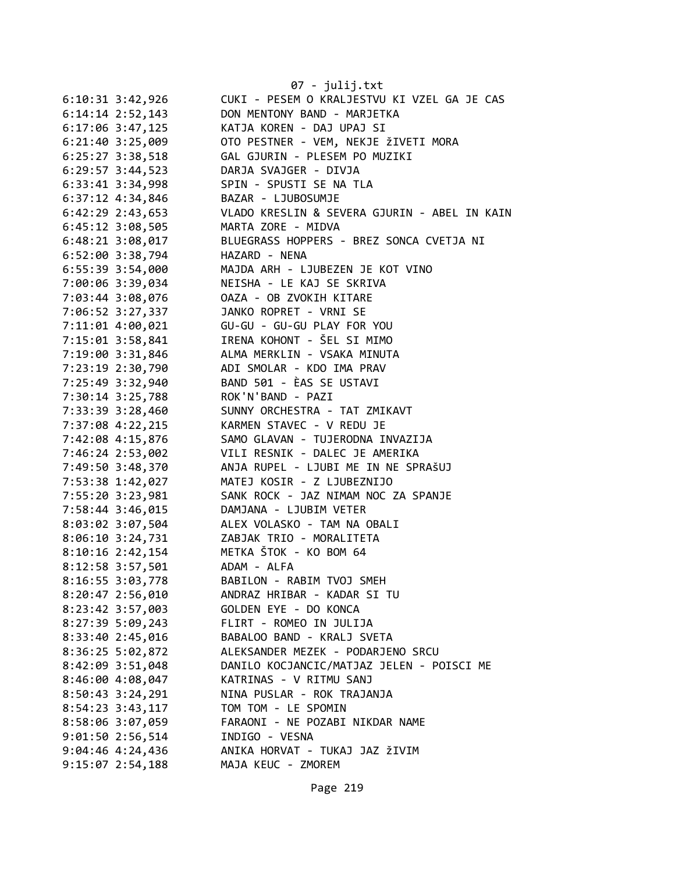|                      | 07 - julij.txt                               |
|----------------------|----------------------------------------------|
| $6:10:31$ $3:42,926$ | CUKI - PESEM O KRALJESTVU KI VZEL GA JE CAS  |
| $6:14:14$ 2:52,143   | DON MENTONY BAND - MARJETKA                  |
| $6:17:06$ 3:47,125   | KATJA KOREN - DAJ UPAJ SI                    |
| $6:21:40$ 3:25,009   | OTO PESTNER - VEM, NEKJE ŽIVETI MORA         |
| 6:25:27 3:38,518     | GAL GJURIN - PLESEM PO MUZIKI                |
| $6:29:57$ 3:44,523   | DARJA SVAJGER - DIVJA                        |
| 6:33:41 3:34,998     | SPIN - SPUSTI SE NA TLA                      |
| 6:37:12 4:34,846     | BAZAR - LJUBOSUMJE                           |
| 6:42:29 2:43,653     | VLADO KRESLIN & SEVERA GJURIN - ABEL IN KAIN |
| $6:45:12$ 3:08,505   | MARTA ZORE - MIDVA                           |
| $6:48:21$ $3:08,017$ | BLUEGRASS HOPPERS - BREZ SONCA CVETJA NI     |
| 6:52:00 3:38,794     | HAZARD - NENA                                |
| 6:55:39 3:54,000     | MAJDA ARH - LJUBEZEN JE KOT VINO             |
| 7:00:06 3:39,034     | NEISHA - LE KAJ SE SKRIVA                    |
| 7:03:44 3:08,076     | OAZA - OB ZVOKIH KITARE                      |
| 7:06:52 3:27,337     | JANKO ROPRET - VRNI SE                       |
| 7:11:01 4:00,021     | GU-GU - GU-GU PLAY FOR YOU                   |
| 7:15:01 3:58,841     | IRENA KOHONT - ŠEL SI MIMO                   |
| 7:19:00 3:31,846     | ALMA MERKLIN - VSAKA MINUTA                  |
| 7:23:19 2:30,790     | ADI SMOLAR - KDO IMA PRAV                    |
| 7:25:49 3:32,940     | BAND 501 - ÈAS SE USTAVI                     |
| 7:30:14 3:25,788     | ROK'N'BAND - PAZI                            |
| 7:33:39 3:28,460     | SUNNY ORCHESTRA - TAT ZMIKAVT                |
| 7:37:08 4:22,215     | KARMEN STAVEC - V REDU JE                    |
| 7:42:08 4:15,876     | SAMO GLAVAN - TUJERODNA INVAZIJA             |
| 7:46:24 2:53,002     | VILI RESNIK - DALEC JE AMERIKA               |
| 7:49:50 3:48,370     | ANJA RUPEL - LJUBI ME IN NE SPRAŠUJ          |
| 7:53:38 1:42,027     | MATEJ KOSIR - Z LJUBEZNIJO                   |
| 7:55:20 3:23,981     | SANK ROCK - JAZ NIMAM NOC ZA SPANJE          |
| 7:58:44 3:46,015     | DAMJANA - LJUBIM VETER                       |
| 8:03:02 3:07,504     | ALEX VOLASKO - TAM NA OBALI                  |
| 8:06:10 3:24,731     | ZABJAK TRIO - MORALITETA                     |
| 8:10:16 2:42,154     | METKA ŠTOK - KO BOM 64                       |
| 8:12:58 3:57,501     | ADAM - ALFA                                  |
| 8:16:55 3:03,778     | BABILON - RABIM TVOJ SMEH                    |
| $8:20:47$ 2:56,010   | ANDRAZ HRIBAR - KADAR SI TU                  |
| 8:23:42 3:57,003     | GOLDEN EYE - DO KONCA                        |
| 8:27:39 5:09,243     | FLIRT - ROMEO IN JULIJA                      |
| 8:33:40 2:45,016     | BABALOO BAND - KRALJ SVETA                   |
| 8:36:25 5:02,872     | ALEKSANDER MEZEK - PODARJENO SRCU            |
| 8:42:09 3:51,048     | DANILO KOCJANCIC/MATJAZ JELEN - POISCI ME    |
| 8:46:00 4:08,047     | KATRINAS - V RITMU SANJ                      |
| $8:50:43$ 3:24,291   | NINA PUSLAR - ROK TRAJANJA                   |
| 8:54:23 3:43,117     | TOM TOM - LE SPOMIN                          |
| 8:58:06 3:07,059     | FARAONI - NE POZABI NIKDAR NAME              |
| 9:01:50 2:56,514     | INDIGO - VESNA                               |
| $9:04:46$ 4:24,436   | ANIKA HORVAT - TUKAJ JAZ ŽIVIM               |
| 9:15:07 2:54,188     | MAJA KEUC - ZMOREM                           |
|                      |                                              |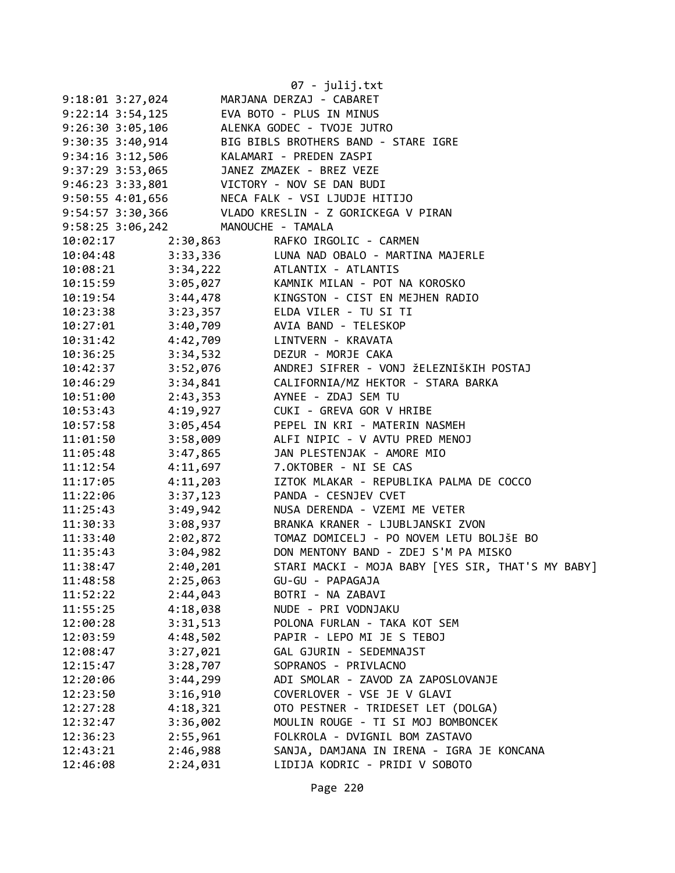|                      |          | 07 - julij.txt                                                                                       |
|----------------------|----------|------------------------------------------------------------------------------------------------------|
| $9:18:01$ $3:27,024$ |          | MARJANA DERZAJ - CABARET                                                                             |
| $9:22:14$ 3:54,125   |          | EVA BOTO - PLUS IN MINUS                                                                             |
| 9:26:30 3:05,106     |          | ALENKA GODEC - TVOJE JUTRO                                                                           |
| 9:30:35 3:40,914     |          | BIG BIBLS BROTHERS BAND - STARE IGRE                                                                 |
| $9:34:16$ 3:12,506   |          | KALAMARI - PREDEN ZASPI                                                                              |
| 9:37:29 3:53,065     |          | JANEZ ZMAZEK - BREZ VEZE                                                                             |
|                      |          | 9:46:23 3:33,801 VICTORY - NOV SE DAN BUDI<br>9:50:55 4:01,656 NECA FALK - VSI LJUDJE HI             |
|                      |          | NECA FALK - VSI LJUDJE HITIJO                                                                        |
| 9:54:57 3:30,366     |          | VLADO KRESLIN - Z GORICKEGA V PIRAN                                                                  |
| 9:58:25 3:06,242     |          | MANOUCHE - TAMALA                                                                                    |
| 10:02:17             | 2:30,863 | RAFKO IRGOLIC - CARMEN                                                                               |
|                      |          | 10:04:48 3:33,336 LUNA NAD OBALO - MARTINA MAJERLE                                                   |
|                      |          | 10:08:21 3:34,222 ATLANTIX - ATLANTIS                                                                |
|                      |          | 10:15:59 3:05,027 KAMNIK MILAN - POT NA KOROSKO<br>10:19:54 3:44,478 KINGSTON - CIST EN MEJHEN RADIO |
|                      |          |                                                                                                      |
|                      |          | 10:23:38 3:23,357 ELDA VILER - TU SI TI                                                              |
|                      |          | 10:27:01 3:40,709 AVIA BAND - TELESKOP                                                               |
|                      |          |                                                                                                      |
| $10:36:25$ 3:34,532  |          | DEZUR - MORJE CAKA                                                                                   |
| 10:42:37             |          | 3:52,076     ANDREJ SIFRER - VONJ ŽELEZNIŠKIH POSTAJ                                                 |
| 10:46:29             | 3:34,841 | CALIFORNIA/MZ HEKTOR - STARA BARKA                                                                   |
| 10:51:00             | 2:43,353 | AYNEE - ZDAJ SEM TU                                                                                  |
| 10:53:43             | 4:19,927 | CUKI - GREVA GOR V HRIBE                                                                             |
| 10:57:58             | 3:05,454 | PEPEL IN KRI - MATERIN NASMEH                                                                        |
| 11:01:50             | 3:58,009 | ALFI NIPIC - V AVTU PRED MENOJ                                                                       |
| 11:05:48             | 3:47,865 | JAN PLESTENJAK - AMORE MIO                                                                           |
| 11:12:54             | 4:11,697 | 7.OKTOBER - NI SE CAS                                                                                |
| 11:17:05             | 4:11,203 | IZTOK MLAKAR - REPUBLIKA PALMA DE COCCO                                                              |
| 11:22:06             | 3:37,123 | PANDA - CESNJEV CVET                                                                                 |
| 11:25:43             | 3:49,942 | NUSA DERENDA - VZEMI ME VETER                                                                        |
| 11:30:33             | 3:08,937 | BRANKA KRANER - LJUBLJANSKI ZVON                                                                     |
| 11:33:40             | 2:02,872 | TOMAZ DOMICELJ - PO NOVEM LETU BOLJŠE BO                                                             |
| 11:35:43             |          | 3:04,982 DON MENTONY BAND - ZDEJ S'M PA MISKO                                                        |
| 11:38:47             | 2:40,201 | STARI MACKI - MOJA BABY [YES SIR, THAT'S MY BABY]                                                    |
| 11:48:58             | 2:25,063 | GU-GU - PAPAGAJA                                                                                     |
| 11:52:22             | 2:44,043 | BOTRI - NA ZABAVI                                                                                    |
| 11:55:25             | 4:18,038 | NUDE - PRI VODNJAKU                                                                                  |
| 12:00:28             | 3:31,513 | POLONA FURLAN - TAKA KOT SEM                                                                         |
| 12:03:59             | 4:48,502 | PAPIR - LEPO MI JE S TEBOJ                                                                           |
| 12:08:47             | 3:27,021 | GAL GJURIN - SEDEMNAJST                                                                              |
| 12:15:47             | 3:28,707 | SOPRANOS - PRIVLACNO                                                                                 |
| 12:20:06             | 3:44,299 | ADI SMOLAR - ZAVOD ZA ZAPOSLOVANJE                                                                   |
| 12:23:50             | 3:16,910 | COVERLOVER - VSE JE V GLAVI                                                                          |
| 12:27:28             | 4:18,321 | OTO PESTNER - TRIDESET LET (DOLGA)                                                                   |
| 12:32:47             | 3:36,002 | MOULIN ROUGE - TI SI MOJ BOMBONCEK                                                                   |
| 12:36:23             | 2:55,961 | FOLKROLA - DVIGNIL BOM ZASTAVO                                                                       |
| 12:43:21             | 2:46,988 | SANJA, DAMJANA IN IRENA - IGRA JE KONCANA                                                            |
| 12:46:08             | 2:24,031 | LIDIJA KODRIC - PRIDI V SOBOTO                                                                       |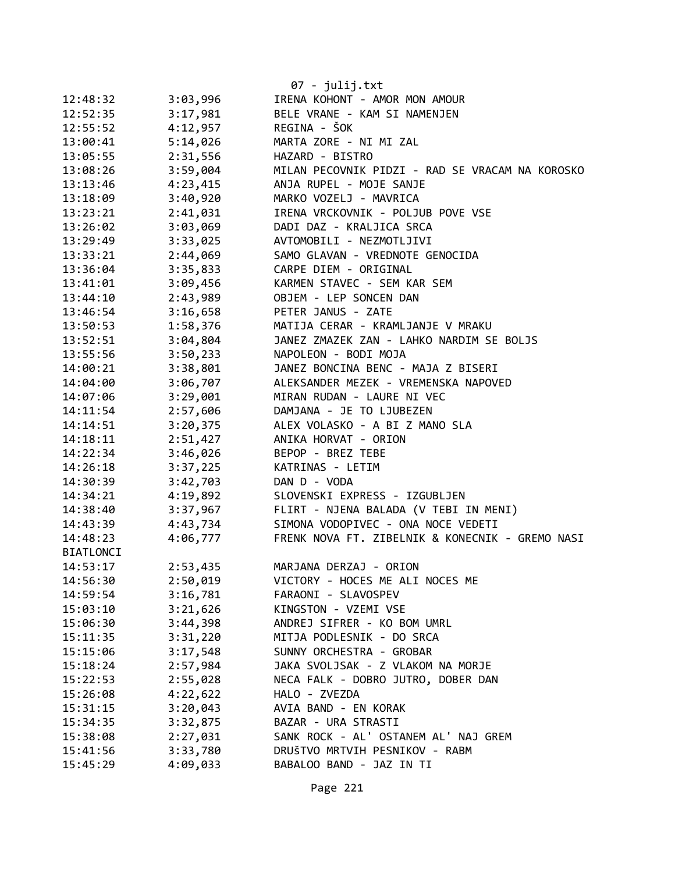|                  |          | 07 - julij.txt                                  |
|------------------|----------|-------------------------------------------------|
| 12:48:32         | 3:03,996 | IRENA KOHONT - AMOR MON AMOUR                   |
| 12:52:35         | 3:17,981 | BELE VRANE - KAM SI NAMENJEN                    |
| 12:55:52         | 4:12,957 | REGINA - ŠOK                                    |
| 13:00:41         | 5:14,026 | MARTA ZORE - NI MI ZAL                          |
| 13:05:55         | 2:31,556 | HAZARD - BISTRO                                 |
| 13:08:26         | 3:59,004 | MILAN PECOVNIK PIDZI - RAD SE VRACAM NA KOROSKO |
| 13:13:46         | 4:23,415 | ANJA RUPEL - MOJE SANJE                         |
| 13:18:09         | 3:40,920 | MARKO VOZELJ - MAVRICA                          |
| 13:23:21         | 2:41,031 | IRENA VRCKOVNIK - POLJUB POVE VSE               |
| 13:26:02         | 3:03,069 | DADI DAZ - KRALJICA SRCA                        |
| 13:29:49         | 3:33,025 | AVTOMOBILI - NEZMOTLJIVI                        |
| 13:33:21         | 2:44,069 | SAMO GLAVAN - VREDNOTE GENOCIDA                 |
| 13:36:04         | 3:35,833 | CARPE DIEM - ORIGINAL                           |
| 13:41:01         | 3:09,456 | KARMEN STAVEC - SEM KAR SEM                     |
| 13:44:10         | 2:43,989 | OBJEM - LEP SONCEN DAN                          |
| 13:46:54         | 3:16,658 | PETER JANUS - ZATE                              |
| 13:50:53         | 1:58,376 | MATIJA CERAR - KRAMLJANJE V MRAKU               |
| 13:52:51         | 3:04,804 | JANEZ ZMAZEK ZAN - LAHKO NARDIM SE BOLJS        |
| 13:55:56         | 3:50,233 | NAPOLEON - BODI MOJA                            |
| 14:00:21         | 3:38,801 | JANEZ BONCINA BENC - MAJA Z BISERI              |
| 14:04:00         | 3:06,707 | ALEKSANDER MEZEK - VREMENSKA NAPOVED            |
| 14:07:06         | 3:29,001 | MIRAN RUDAN - LAURE NI VEC                      |
| 14:11:54         | 2:57,606 | DAMJANA - JE TO LJUBEZEN                        |
| 14:14:51         | 3:20,375 | ALEX VOLASKO - A BI Z MANO SLA                  |
| 14:18:11         | 2:51,427 | ANIKA HORVAT - ORION                            |
| 14:22:34         | 3:46,026 | BEPOP - BREZ TEBE                               |
| 14:26:18         | 3:37,225 | KATRINAS - LETIM                                |
| 14:30:39         | 3:42,703 | DAN D - VODA                                    |
| 14:34:21         | 4:19,892 | SLOVENSKI EXPRESS - IZGUBLJEN                   |
| 14:38:40         | 3:37,967 | FLIRT - NJENA BALADA (V TEBI IN MENI)           |
| 14:43:39         | 4:43,734 | SIMONA VODOPIVEC - ONA NOCE VEDETI              |
| 14:48:23         | 4:06,777 | FRENK NOVA FT. ZIBELNIK & KONECNIK - GREMO NASI |
| <b>BIATLONCI</b> |          |                                                 |
| 14:53:17         | 2:53,435 | MARJANA DERZAJ - ORION                          |
| 14:56:30         | 2:50,019 | VICTORY - HOCES ME ALI NOCES ME                 |
| 14:59:54         | 3:16,781 | FARAONI - SLAVOSPEV                             |
| 15:03:10         | 3:21,626 | KINGSTON - VZEMI VSE                            |
| 15:06:30         | 3:44,398 | ANDREJ SIFRER - KO BOM UMRL                     |
| 15:11:35         | 3:31,220 | MITJA PODLESNIK - DO SRCA                       |
| 15:15:06         | 3:17,548 | SUNNY ORCHESTRA - GROBAR                        |
| 15:18:24         | 2:57,984 | JAKA SVOLJSAK - Z VLAKOM NA MORJE               |
| 15:22:53         | 2:55,028 | NECA FALK - DOBRO JUTRO, DOBER DAN              |
| 15:26:08         | 4:22,622 | HALO - ZVEZDA                                   |
| 15:31:15         | 3:20,043 | AVIA BAND - EN KORAK                            |
| 15:34:35         | 3:32,875 | BAZAR - URA STRASTI                             |
| 15:38:08         | 2:27,031 | SANK ROCK - AL' OSTANEM AL' NAJ GREM            |
| 15:41:56         | 3:33,780 | DRUŠTVO MRTVIH PESNIKOV - RABM                  |
| 15:45:29         | 4:09,033 | BABALOO BAND - JAZ IN TI                        |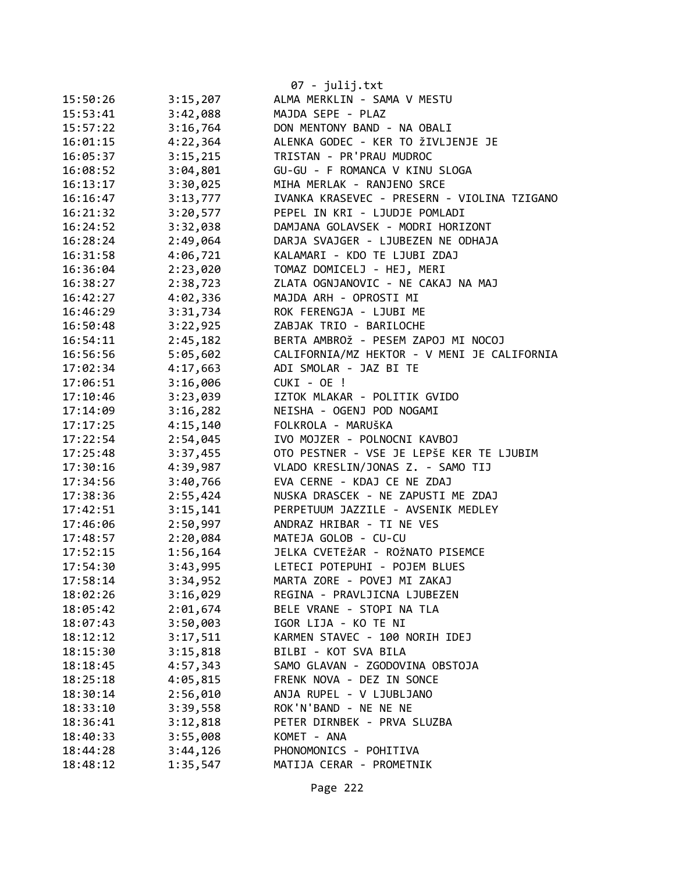|          |          | 07 - julij.txt                              |
|----------|----------|---------------------------------------------|
| 15:50:26 | 3:15,207 | ALMA MERKLIN - SAMA V MESTU                 |
| 15:53:41 | 3:42,088 | MAJDA SEPE - PLAZ                           |
| 15:57:22 | 3:16,764 | DON MENTONY BAND - NA OBALI                 |
| 16:01:15 | 4:22,364 | ALENKA GODEC - KER TO ŽIVLJENJE JE          |
| 16:05:37 | 3:15,215 | TRISTAN - PR'PRAU MUDROC                    |
| 16:08:52 | 3:04,801 | GU-GU - F ROMANCA V KINU SLOGA              |
| 16:13:17 | 3:30,025 | MIHA MERLAK - RANJENO SRCE                  |
| 16:16:47 | 3:13,777 | IVANKA KRASEVEC - PRESERN - VIOLINA TZIGANO |
| 16:21:32 | 3:20,577 | PEPEL IN KRI - LJUDJE POMLADI               |
| 16:24:52 | 3:32,038 | DAMJANA GOLAVSEK - MODRI HORIZONT           |
| 16:28:24 | 2:49,064 | DARJA SVAJGER - LJUBEZEN NE ODHAJA          |
| 16:31:58 | 4:06,721 | KALAMARI - KDO TE LJUBI ZDAJ                |
| 16:36:04 | 2:23,020 | TOMAZ DOMICELJ - HEJ, MERI                  |
| 16:38:27 | 2:38,723 | ZLATA OGNJANOVIC - NE CAKAJ NA MAJ          |
| 16:42:27 | 4:02,336 | MAJDA ARH - OPROSTI MI                      |
| 16:46:29 | 3:31,734 | ROK FERENGJA - LJUBI ME                     |
| 16:50:48 | 3:22,925 | ZABJAK TRIO - BARILOCHE                     |
| 16:54:11 | 2:45,182 | BERTA AMBROŽ - PESEM ZAPOJ MI NOCOJ         |
| 16:56:56 | 5:05,602 | CALIFORNIA/MZ HEKTOR - V MENI JE CALIFORNIA |
| 17:02:34 | 4:17,663 | ADI SMOLAR - JAZ BI TE                      |
| 17:06:51 | 3:16,006 | CUKI - OE !                                 |
| 17:10:46 | 3:23,039 | IZTOK MLAKAR - POLITIK GVIDO                |
| 17:14:09 | 3:16,282 | NEISHA - OGENJ POD NOGAMI                   |
| 17:17:25 | 4:15,140 | FOLKROLA - MARUŠKA                          |
| 17:22:54 | 2:54,045 | IVO MOJZER - POLNOCNI KAVBOJ                |
| 17:25:48 | 3:37,455 | OTO PESTNER - VSE JE LEPŠE KER TE LJUBIM    |
| 17:30:16 | 4:39,987 | VLADO KRESLIN/JONAS Z. - SAMO TIJ           |
| 17:34:56 | 3:40,766 | EVA CERNE - KDAJ CE NE ZDAJ                 |
| 17:38:36 | 2:55,424 | NUSKA DRASCEK - NE ZAPUSTI ME ZDAJ          |
| 17:42:51 | 3:15,141 | PERPETUUM JAZZILE - AVSENIK MEDLEY          |
| 17:46:06 | 2:50,997 | ANDRAZ HRIBAR - TI NE VES                   |
| 17:48:57 | 2:20,084 | MATEJA GOLOB - CU-CU                        |
| 17:52:15 | 1:56,164 | JELKA CVETEŽAR - ROŽNATO PISEMCE            |
| 17:54:30 | 3:43,995 | LETECI POTEPUHI - POJEM BLUES               |
| 17:58:14 | 3:34,952 | MARTA ZORE - POVEJ MI ZAKAJ                 |
| 18:02:26 | 3:16,029 | REGINA - PRAVLJICNA LJUBEZEN                |
| 18:05:42 | 2:01,674 | BELE VRANE - STOPI NA TLA                   |
| 18:07:43 | 3:50,003 | IGOR LIJA - KO TE NI                        |
| 18:12:12 | 3:17,511 | KARMEN STAVEC - 100 NORIH IDEJ              |
| 18:15:30 | 3:15,818 | BILBI - KOT SVA BILA                        |
| 18:18:45 | 4:57,343 | SAMO GLAVAN - ZGODOVINA OBSTOJA             |
| 18:25:18 | 4:05,815 | FRENK NOVA - DEZ IN SONCE                   |
| 18:30:14 | 2:56,010 | ANJA RUPEL - V LJUBLJANO                    |
| 18:33:10 | 3:39,558 | ROK'N'BAND - NE NE NE                       |
| 18:36:41 | 3:12,818 | PETER DIRNBEK - PRVA SLUZBA                 |
| 18:40:33 | 3:55,008 | KOMET - ANA                                 |
| 18:44:28 | 3:44,126 | PHONOMONICS - POHITIVA                      |
| 18:48:12 | 1:35,547 | MATIJA CERAR - PROMETNIK                    |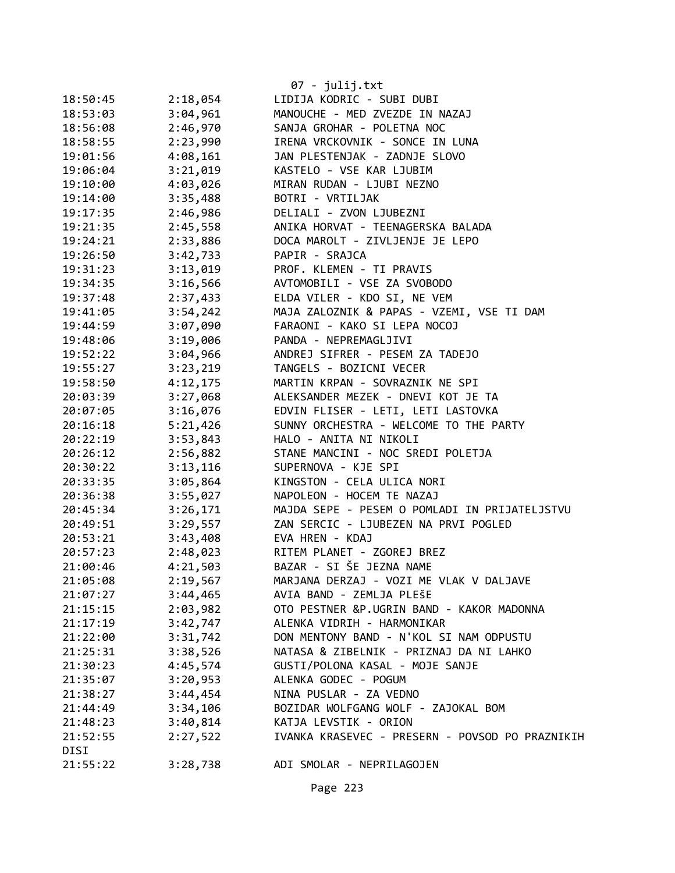|                  |          | 07 - julij.txt                                                           |
|------------------|----------|--------------------------------------------------------------------------|
| 18:50:45         | 2:18,054 | LIDIJA KODRIC - SUBI DUBI                                                |
| 18:53:03         | 3:04,961 | MANOUCHE - MED ZVEZDE IN NAZAJ                                           |
| 18:56:08         | 2:46,970 | SANJA GROHAR - POLETNA NOC                                               |
| 18:58:55         | 2:23,990 | IRENA VRCKOVNIK - SONCE IN LUNA                                          |
| 19:01:56         | 4:08,161 | JAN PLESTENJAK - ZADNJE SLOVO                                            |
| 19:06:04         | 3:21,019 | KASTELO - VSE KAR LJUBIM                                                 |
| 19:10:00         | 4:03,026 | MIRAN RUDAN - LJUBI NEZNO                                                |
| 19:14:00         | 3:35,488 | BOTRI - VRTILJAK                                                         |
| 19:17:35         | 2:46,986 | DELIALI - ZVON LJUBEZNI                                                  |
| 19:21:35         | 2:45,558 | ANIKA HORVAT - TEENAGERSKA BALADA                                        |
| 19:24:21         | 2:33,886 | DOCA MAROLT - ZIVLJENJE JE LEPO                                          |
| 19:26:50         | 3:42,733 | PAPIR - SRAJCA                                                           |
| 19:31:23         | 3:13,019 | PROF. KLEMEN - TI PRAVIS                                                 |
| 19:34:35         | 3:16,566 | AVTOMOBILI - VSE ZA SVOBODO                                              |
| 19:37:48         | 2:37,433 | ELDA VILER - KDO SI, NE VEM                                              |
| 19:41:05         | 3:54,242 | MAJA ZALOZNIK & PAPAS - VZEMI, VSE TI DAM                                |
| 19:44:59         | 3:07,090 | FARAONI - KAKO SI LEPA NOCOJ                                             |
| 19:48:06         | 3:19,006 | PANDA - NEPREMAGLJIVI                                                    |
| 19:52:22         | 3:04,966 | ANDREJ SIFRER - PESEM ZA TADEJO                                          |
| 19:55:27         | 3:23,219 | TANGELS - BOZICNI VECER                                                  |
| 19:58:50         | 4:12,175 | MARTIN KRPAN - SOVRAZNIK NE SPI                                          |
| 20:03:39         | 3:27,068 | ALEKSANDER MEZEK - DNEVI KOT JE TA                                       |
| 20:07:05         | 3:16,076 | EDVIN FLISER - LETI, LETI LASTOVKA                                       |
| 20:16:18         | 5:21,426 | SUNNY ORCHESTRA - WELCOME TO THE PARTY                                   |
| 20:22:19         | 3:53,843 | HALO - ANITA NI NIKOLI                                                   |
| 20:26:12         | 2:56,882 | STANE MANCINI - NOC SREDI POLETJA                                        |
| 20:30:22         | 3:13,116 | SUPERNOVA - KJE SPI                                                      |
| 20:33:35         | 3:05,864 | KINGSTON - CELA ULICA NORI                                               |
| 20:36:38         | 3:55,027 | NAPOLEON - HOCEM TE NAZAJ                                                |
| 20:45:34         | 3:26,171 | MAJDA SEPE - PESEM O POMLADI IN PRIJATELJSTVU                            |
| 20:49:51         | 3:29,557 | ZAN SERCIC - LJUBEZEN NA PRVI POGLED                                     |
| 20:53:21         | 3:43,408 | EVA HREN - KDAJ                                                          |
| 20:57:23         | 2:48,023 | RITEM PLANET - ZGOREJ BREZ                                               |
| 21:00:46         | 4:21,503 | BAZAR - SI ŠE JEZNA NAME                                                 |
| 21:05:08         | 2:19,567 | MARJANA DERZAJ - VOZI ME VLAK V DALJAVE                                  |
| 21:07:27         | 3:44,465 | AVIA BAND - ZEMLJA PLEŠE                                                 |
| 21:15:15         | 2:03,982 | OTO PESTNER &P.UGRIN BAND - KAKOR MADONNA                                |
| 21:17:19         | 3:42,747 | ALENKA VIDRIH - HARMONIKAR                                               |
| 21:22:00         | 3:31,742 | DON MENTONY BAND - N'KOL SI NAM ODPUSTU                                  |
| 21:25:31         | 3:38,526 | NATASA & ZIBELNIK - PRIZNAJ DA NI LAHKO                                  |
| 21:30:23         | 4:45,574 | GUSTI/POLONA KASAL - MOJE SANJE                                          |
| 21:35:07         | 3:20,953 | ALENKA GODEC - POGUM                                                     |
| 21:38:27         | 3:44,454 | NINA PUSLAR - ZA VEDNO                                                   |
| 21:44:49         | 3:34,106 | BOZIDAR WOLFGANG WOLF - ZAJOKAL BOM                                      |
| 21:48:23         | 3:40,814 | KATJA LEVSTIK - ORION<br>IVANKA KRASEVEC - PRESERN - POVSOD PO PRAZNIKIH |
| 21:52:55<br>DISI | 2:27,522 |                                                                          |
| 21:55:22         |          |                                                                          |
|                  | 3:28,738 | ADI SMOLAR - NEPRILAGOJEN                                                |

Page 223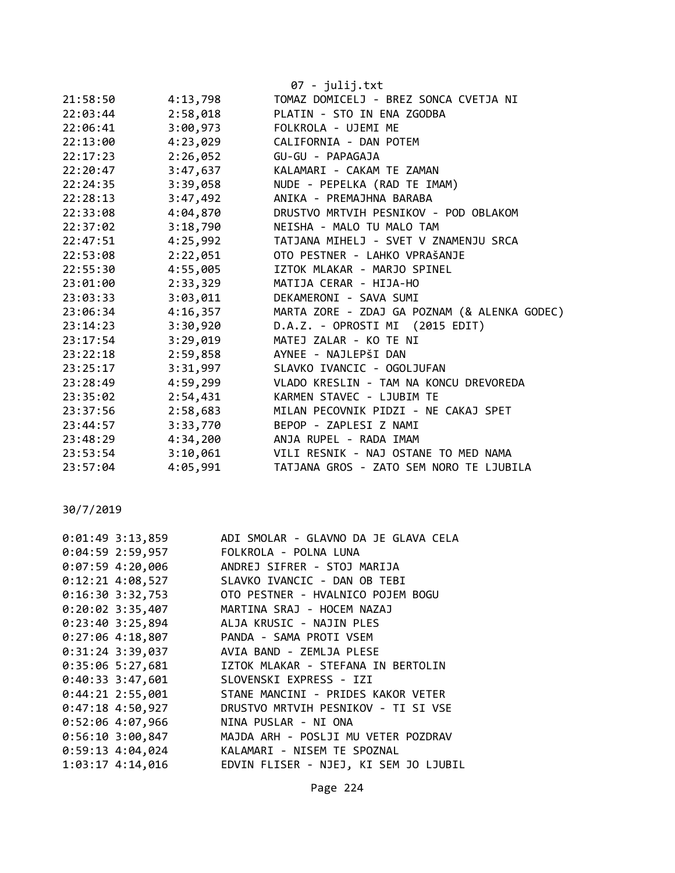|          |          | 07 - julij.txt                               |
|----------|----------|----------------------------------------------|
| 21:58:50 | 4:13,798 | TOMAZ DOMICELJ - BREZ SONCA CVETJA NI        |
| 22:03:44 | 2:58,018 | PLATIN - STO IN ENA ZGODBA                   |
| 22:06:41 | 3:00,973 | FOLKROLA - UJEMI ME                          |
| 22:13:00 | 4:23,029 | CALIFORNIA - DAN POTEM                       |
| 22:17:23 | 2:26,052 | GU-GU - PAPAGAJA                             |
| 22:20:47 | 3:47,637 | KALAMARI - CAKAM TE ZAMAN                    |
| 22:24:35 | 3:39,058 | NUDE - PEPELKA (RAD TE IMAM)                 |
| 22:28:13 | 3:47,492 | ANIKA - PREMAJHNA BARABA                     |
| 22:33:08 | 4:04,870 | DRUSTVO MRTVIH PESNIKOV - POD OBLAKOM        |
| 22:37:02 | 3:18,790 | NEISHA - MALO TU MALO TAM                    |
| 22:47:51 | 4:25,992 | TATJANA MIHELJ - SVET V ZNAMENJU SRCA        |
| 22:53:08 | 2:22,051 | OTO PESTNER - LAHKO VPRAŠANJE                |
| 22:55:30 | 4:55,005 | IZTOK MLAKAR - MARJO SPINEL                  |
| 23:01:00 | 2:33,329 | MATIJA CERAR - HIJA-HO                       |
| 23:03:33 | 3:03,011 | DEKAMERONI - SAVA SUMI                       |
| 23:06:34 | 4:16,357 | MARTA ZORE - ZDAJ GA POZNAM (& ALENKA GODEC) |
| 23:14:23 | 3:30,920 | D.A.Z. - OPROSTI MI (2015 EDIT)              |
| 23:17:54 | 3:29,019 | MATEJ ZALAR - KO TE NI                       |
| 23:22:18 | 2:59,858 | AYNEE - NAJLEPŠI DAN                         |
| 23:25:17 | 3:31,997 | SLAVKO IVANCIC - OGOLJUFAN                   |
| 23:28:49 | 4:59,299 | VLADO KRESLIN - TAM NA KONCU DREVOREDA       |
| 23:35:02 | 2:54,431 | KARMEN STAVEC - LJUBIM TE                    |
| 23:37:56 | 2:58,683 | MILAN PECOVNIK PIDZI - NE CAKAJ SPET         |
| 23:44:57 | 3:33,770 | BEPOP - ZAPLESI Z NAMI                       |
| 23:48:29 | 4:34,200 | ANJA RUPEL - RADA IMAM                       |
| 23:53:54 | 3:10,061 | VILI RESNIK - NAJ OSTANE TO MED NAMA         |
| 23:57:04 | 4:05,991 | TATJANA GROS - ZATO SEM NORO TE LJUBILA      |

## 30/7/2019

| $0:01:49$ 3:13,859   | ADI SMOLAR - GLAVNO DA JE GLAVA CELA        |
|----------------------|---------------------------------------------|
| $0:04:59$ 2:59,957   | FOLKROLA - POLNA LUNA                       |
| $0:07:59$ 4:20,006   | ANDREJ SIFRER - STOJ MARIJA                 |
| $0:12:21$ 4:08,527   | SLAVKO IVANCIC - DAN OB TEBI                |
| $0:16:30$ 3:32,753   | OTO PESTNER - HVALNICO POJEM BOGU           |
|                      | 0:20:02 3:35,407 MARTINA SRAJ - HOCEM NAZAJ |
| 0:23:403:25,894      | ALJA KRUSIC - NAJIN PLES                    |
| $0:27:06$ 4:18,807   | PANDA - SAMA PROTI VSEM                     |
| $0:31:24$ 3:39,037   | AVIA BAND - ZEMLJA PLESE                    |
| $0:35:06$ 5:27,681   | IZTOK MLAKAR - STEFANA IN BERTOLIN          |
|                      | 0:40:33 3:47,601 SLOVENSKI EXPRESS - IZI    |
| $0:44:21$ 2:55,001   | STANE MANCINI - PRIDES KAKOR VETER          |
| $0:47:18$ 4:50,927   | DRUSTVO MRTVIH PESNIKOV - TI SI VSE         |
| $0:52:06$ 4:07,966   | NINA PUSLAR - NI ONA                        |
| $0:56:10$ 3:00,847   | MAJDA ARH - POSLJI MU VETER POZDRAV         |
| $0:59:13$ 4:04,024   | KALAMARI - NISEM TE SPOZNAL                 |
| $1:03:17$ $4:14,016$ | EDVIN FLISER - NJEJ, KI SEM JO LJUBIL       |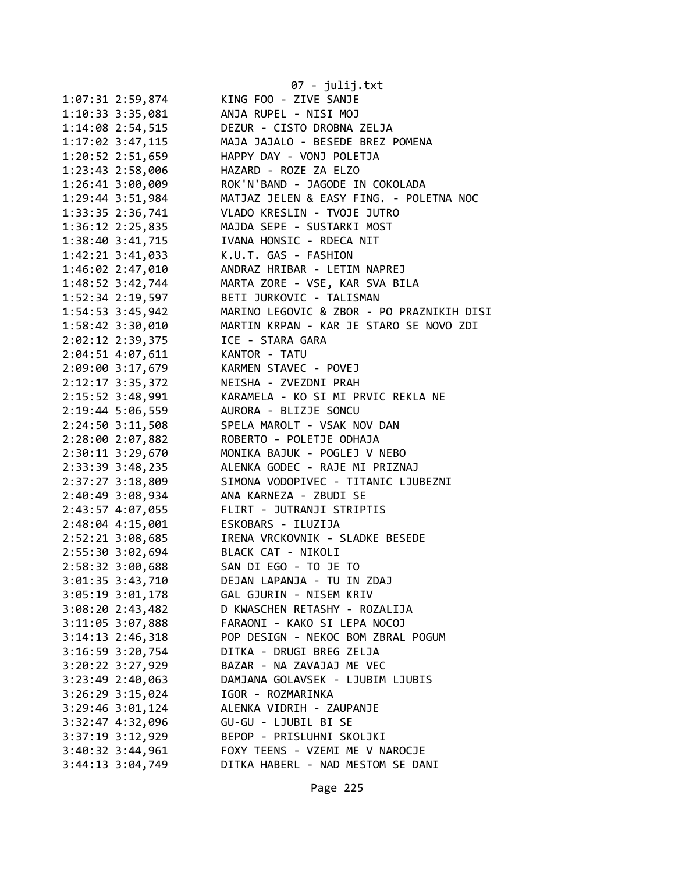|                      | 07 - julij.txt                            |
|----------------------|-------------------------------------------|
| 1:07:31 2:59,874     | KING FOO - ZIVE SANJE                     |
| 1:10:33 3:35,081     | ANJA RUPEL - NISI MOJ                     |
| 1:14:08 2:54,515     | DEZUR - CISTO DROBNA ZELJA                |
| 1:17:02 3:47,115     | MAJA JAJALO - BESEDE BREZ POMENA          |
| 1:20:52 2:51,659     | HAPPY DAY - VONJ POLETJA                  |
| 1:23:43 2:58,006     | HAZARD - ROZE ZA ELZO                     |
| 1:26:41 3:00,009     | ROK'N'BAND - JAGODE IN COKOLADA           |
| 1:29:44 3:51,984     | MATJAZ JELEN & EASY FING. - POLETNA NOC   |
| 1:33:35 2:36,741     | VLADO KRESLIN - TVOJE JUTRO               |
| 1:36:12 2:25,835     | MAJDA SEPE - SUSTARKI MOST                |
| 1:38:40 3:41,715     | IVANA HONSIC - RDECA NIT                  |
| 1:42:21 3:41,033     | K.U.T. GAS - FASHION                      |
| 1:46:02 2:47,010     | ANDRAZ HRIBAR - LETIM NAPREJ              |
| 1:48:52 3:42,744     | MARTA ZORE - VSE, KAR SVA BILA            |
| $1:52:34$ $2:19,597$ | BETI JURKOVIC - TALISMAN                  |
| 1:54:53 3:45,942     | MARINO LEGOVIC & ZBOR - PO PRAZNIKIH DISI |
| 1:58:42 3:30,010     | MARTIN KRPAN - KAR JE STARO SE NOVO ZDI   |
| 2:02:12 2:39,375     | ICE - STARA GARA                          |
| $2:04:51$ $4:07,611$ | KANTOR - TATU                             |
| 2:09:00 3:17,679     | KARMEN STAVEC - POVEJ                     |
| 2:12:17 3:35,372     | NEISHA - ZVEZDNI PRAH                     |
| 2:15:52 3:48,991     | KARAMELA - KO SI MI PRVIC REKLA NE        |
| 2:19:44 5:06,559     | AURORA - BLIZJE SONCU                     |
| 2:24:50 3:11,508     | SPELA MAROLT - VSAK NOV DAN               |
| 2:28:00 2:07,882     | ROBERTO - POLETJE ODHAJA                  |
| 2:30:11 3:29,670     | MONIKA BAJUK - POGLEJ V NEBO              |
| 2:33:39 3:48,235     | ALENKA GODEC - RAJE MI PRIZNAJ            |
| 2:37:27 3:18,809     | SIMONA VODOPIVEC - TITANIC LJUBEZNI       |
| 2:40:49 3:08,934     | ANA KARNEZA - ZBUDI SE                    |
| 2:43:57 4:07,055     | FLIRT - JUTRANJI STRIPTIS                 |
| $2:48:04$ 4:15,001   | ESKOBARS - ILUZIJA                        |
| $2:52:21$ $3:08,685$ | IRENA VRCKOVNIK - SLADKE BESEDE           |
| 2:55:30 3:02,694     | BLACK CAT - NIKOLI                        |
| 2:58:32 3:00,688     | SAN DI EGO - TO JE TO                     |
| 3:01:35 3:43,710     | DEJAN LAPANJA - TU IN ZDAJ                |
| $3:05:19$ $3:01,178$ | GAL GJURIN - NISEM KRIV                   |
| $3:08:20$ 2:43,482   | D KWASCHEN RETASHY - ROZALIJA             |
| $3:11:05$ 3:07,888   | FARAONI - KAKO SI LEPA NOCOJ              |
| $3:14:13$ $2:46,318$ | POP DESIGN - NEKOC BOM ZBRAL POGUM        |
| $3:16:59$ $3:20,754$ | DITKA - DRUGI BREG ZELJA                  |
| 3:20:22 3:27,929     | BAZAR - NA ZAVAJAJ ME VEC                 |
| 3:23:49 2:40,063     | DAMJANA GOLAVSEK - LJUBIM LJUBIS          |
| 3:26:29 3:15,024     | IGOR - ROZMARINKA                         |
| $3:29:46$ $3:01,124$ | ALENKA VIDRIH - ZAUPANJE                  |
| 3:32:47 4:32,096     | GU-GU - LJUBIL BI SE                      |
| 3:37:19 3:12,929     | BEPOP - PRISLUHNI SKOLJKI                 |
| 3:40:32 3:44,961     | FOXY TEENS - VZEMI ME V NAROCJE           |
| 3:44:13 3:04,749     | DITKA HABERL - NAD MESTOM SE DANI         |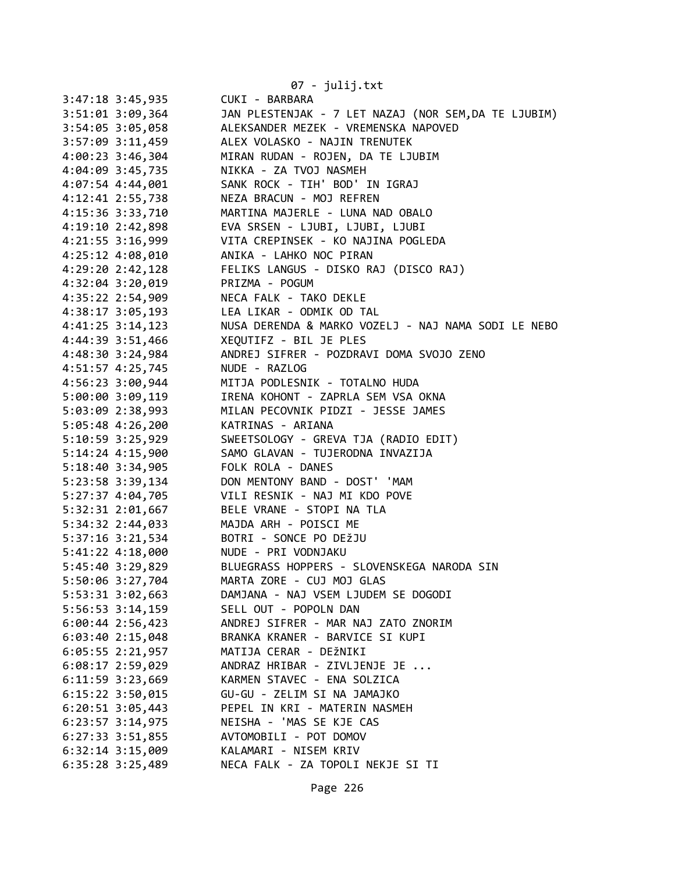|                        | 07 - julij.txt                                       |
|------------------------|------------------------------------------------------|
| 3:47:18 3:45,935       | CUKI - BARBARA                                       |
| $3:51:01$ $3:09$ , 364 | JAN PLESTENJAK - 7 LET NAZAJ (NOR SEM, DA TE LJUBIM) |
| 3:54:05 3:05,058       | ALEKSANDER MEZEK - VREMENSKA NAPOVED                 |
| 3:57:09 3:11,459       | ALEX VOLASKO - NAJIN TRENUTEK                        |
| 4:00:23 3:46,304       | MIRAN RUDAN - ROJEN, DA TE LJUBIM                    |
| 4:04:09 3:45,735       | NIKKA - ZA TVOJ NASMEH                               |
| 4:07:54 4:44,001       | SANK ROCK - TIH' BOD' IN IGRAJ                       |
| 4:12:41 2:55,738       | NEZA BRACUN - MOJ REFREN                             |
| 4:15:36 3:33,710       | MARTINA MAJERLE - LUNA NAD OBALO                     |
| 4:19:10 2:42,898       | EVA SRSEN - LJUBI, LJUBI, LJUBI                      |
| 4:21:55 3:16,999       | VITA CREPINSEK - KO NAJINA POGLEDA                   |
| 4:25:12 4:08,010       | ANIKA - LAHKO NOC PIRAN                              |
| 4:29:20 2:42,128       | FELIKS LANGUS - DISKO RAJ (DISCO RAJ)                |
| 4:32:04 3:20,019       | PRIZMA - POGUM                                       |
| 4:35:22 2:54,909       | NECA FALK - TAKO DEKLE                               |
| 4:38:17 3:05,193       | LEA LIKAR - ODMIK OD TAL                             |
| $4:41:25$ 3:14,123     | NUSA DERENDA & MARKO VOZELJ - NAJ NAMA SODI LE NEBO  |
| 4:44:39 3:51,466       | XEQUTIFZ - BIL JE PLES                               |
| 4:48:30 3:24,984       | ANDREJ SIFRER - POZDRAVI DOMA SVOJO ZENO             |
| 4:51:57 4:25,745       | NUDE - RAZLOG                                        |
| 4:56:23 3:00,944       | MITJA PODLESNIK - TOTALNO HUDA                       |
| 5:00:00 3:09,119       | IRENA KOHONT - ZAPRLA SEM VSA OKNA                   |
| 5:03:09 2:38,993       | MILAN PECOVNIK PIDZI - JESSE JAMES                   |
| 5:05:48 4:26,200       | KATRINAS - ARIANA                                    |
| 5:10:59 3:25,929       | SWEETSOLOGY - GREVA TJA (RADIO EDIT)                 |
| 5:14:24 4:15,900       | SAMO GLAVAN - TUJERODNA INVAZIJA                     |
| 5:18:40 3:34,905       | FOLK ROLA - DANES                                    |
| 5:23:58 3:39,134       | DON MENTONY BAND - DOST' 'MAM                        |
| 5:27:37 4:04,705       | VILI RESNIK - NAJ MI KDO POVE                        |
| 5:32:31 2:01,667       | BELE VRANE - STOPI NA TLA                            |
| 5:34:32 2:44,033       | MAJDA ARH - POISCI ME                                |
| 5:37:16 3:21,534       | BOTRI - SONCE PO DEŽJU                               |
| 5:41:22 4:18,000       | NUDE - PRI VODNJAKU                                  |
| 5:45:40 3:29,829       | BLUEGRASS HOPPERS - SLOVENSKEGA NARODA SIN           |
| 5:50:06 3:27,704       | MARTA ZORE - CUJ MOJ GLAS                            |
| 5:53:31 3:02,663       | DAMJANA - NAJ VSEM LJUDEM SE DOGODI                  |
| 5:56:53 3:14,159       | SELL OUT - POPOLN DAN                                |
| $6:00:44$ 2:56,423     | ANDREJ SIFRER - MAR NAJ ZATO ZNORIM                  |
| 6:03:40 2:15,048       | BRANKA KRANER - BARVICE SI KUPI                      |
| 6:05:55 2:21,957       | MATIJA CERAR - DEŽNIKI                               |
| 6:08:17 2:59,029       | ANDRAZ HRIBAR - ZIVLJENJE JE                         |
| 6:11:59 3:23,669       | KARMEN STAVEC - ENA SOLZICA                          |
| 6:15:22 3:50,015       | GU-GU - ZELIM SI NA JAMAJKO                          |
| 6:20:51 3:05,443       | PEPEL IN KRI - MATERIN NASMEH                        |
| 6:23:57 3:14,975       | NEISHA - 'MAS SE KJE CAS                             |
| 6:27:33 3:51,855       | AVTOMOBILI - POT DOMOV                               |
| 6:32:14 3:15,009       | KALAMARI - NISEM KRIV                                |
| 6:35:28 3:25,489       | NECA FALK - ZA TOPOLI NEKJE SI TI                    |
|                        |                                                      |

Page 226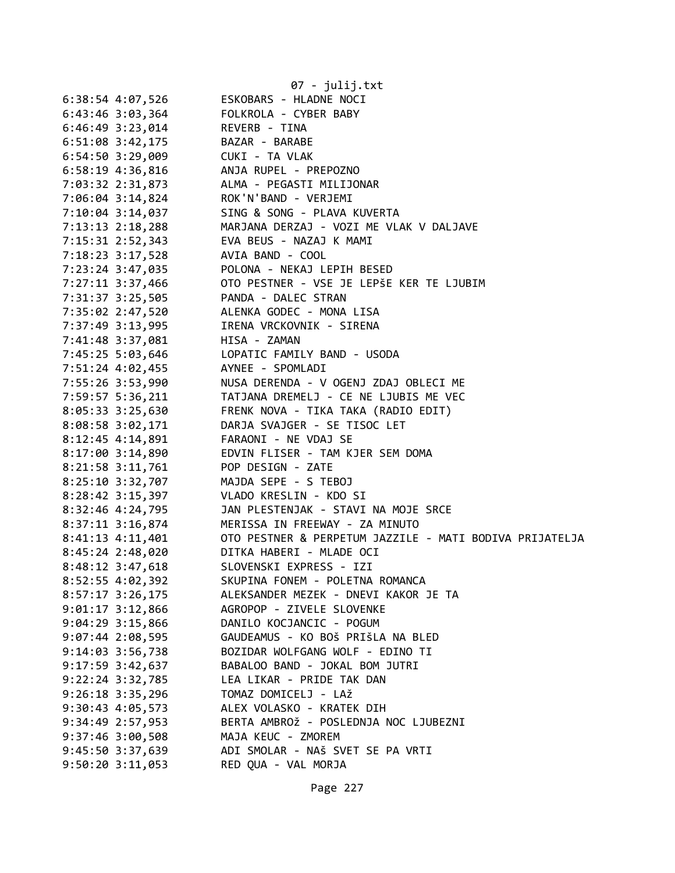|                      |                                 | 07 - julij.txt                                                                                                                      |
|----------------------|---------------------------------|-------------------------------------------------------------------------------------------------------------------------------------|
| 6:38:54 4:07,526     |                                 | ESKOBARS - HLADNE NOCI                                                                                                              |
|                      |                                 | 6:43:46 3:03,364 FOLKROLA - CYBER BABY                                                                                              |
|                      | 6:46:49 3:23,014 REVERB - TINA  |                                                                                                                                     |
|                      | 6:51:08 3:42,175 BAZAR - BARABE |                                                                                                                                     |
|                      | 6:54:50 3:29,009 CUKI - TA VLAK |                                                                                                                                     |
|                      |                                 | 6:58:19 4:36,816 ANJA RUPEL - PREPOZNO                                                                                              |
|                      |                                 |                                                                                                                                     |
|                      |                                 |                                                                                                                                     |
|                      |                                 | 7:03:32 2:31,873<br>7:06:04 3:14,824<br>7:10:04 3:14,824<br>7:10:04 3:14,037<br>MOK'N'BAND - VERJEMI<br>SING & SONG - PLAVA KUVERTA |
|                      |                                 | 7:13:13 2:18,288 MARJANA DERZAJ - VOZI ME VLAK V DALJAVE                                                                            |
|                      |                                 | 7:15:31 2:52,343 EVA BEUS - NAZAJ K MAMI                                                                                            |
|                      |                                 | 7:18:23 3:17,528 AVIA BAND - COOL                                                                                                   |
|                      |                                 | 7:23:24 3:47,035 POLONA - NEKAJ LEPIH BESED                                                                                         |
|                      |                                 |                                                                                                                                     |
|                      |                                 | 7:27:11 3:37,466<br>7:31:37 3:25,505<br>7:35:02 2:47,520<br>ALENKA GODEC - MONA LISA                                                |
|                      |                                 |                                                                                                                                     |
|                      |                                 | 7:37:49 3:13,995 IRENA VRCKOVNIK - SIRENA                                                                                           |
|                      | 7:41:48 3:37,081 HISA - ZAMAN   |                                                                                                                                     |
|                      |                                 | 7:45:25 5:03,646 LOPATIC FAMILY BAND - USODA                                                                                        |
|                      |                                 | 7:51:24 4:02,455 AYNEE - SPOMLADI                                                                                                   |
|                      |                                 | 7:55:26 3:53,990<br>7:59:57 5:36,211 TATJANA DREMELJ - CE NE LJUBIS ME VEC<br>8:05:33 3:25,630 FRENK NOVA - TIKA TAKA (RADIO EDIT)  |
|                      |                                 |                                                                                                                                     |
|                      |                                 |                                                                                                                                     |
|                      |                                 | 8:08:58 3:02,171 DARJA SVAJGER - SE TISOC LET                                                                                       |
|                      |                                 | 8:12:45 4:14,891 FARAONI - NE VDAJ SE                                                                                               |
|                      |                                 | 8:17:00 3:14,890 EDVIN FLISER - TAM KJER SEM DOMA                                                                                   |
|                      |                                 | 8:21:58 3:11,761 POP DESIGN - ZATE                                                                                                  |
|                      |                                 | 8:25:10 3:32,707 MAJDA SEPE - S TEBOJ                                                                                               |
|                      |                                 | 8:28:42 3:15,397 VLADO KRESLIN - KDO SI                                                                                             |
|                      |                                 | 8:32:46 4:24,795 JAN PLESTENJAK - STAVI NA MOJE SRCE                                                                                |
|                      |                                 | 8:37:11 3:16,874 MERISSA IN FREEWAY - ZA MINUTO                                                                                     |
|                      |                                 | 8:41:13 4:11,401 OTO PESTNER & PERPETUM JAZZILE - MATI BODIVA PRIJATELJA                                                            |
|                      |                                 | 8:45:24 2:48,020 DITKA HABERI - MLADE OCI                                                                                           |
| 8:48:12 3:47,618     |                                 | SLOVENSKI EXPRESS - IZI                                                                                                             |
| 8:52:55 4:02,392     |                                 | SKUPINA FONEM - POLETNA ROMANCA                                                                                                     |
| 8:57:17 3:26,175     |                                 | ALEKSANDER MEZEK - DNEVI KAKOR JE TA                                                                                                |
| $9:01:17$ $3:12,866$ |                                 | AGROPOP - ZIVELE SLOVENKE                                                                                                           |
| $9:04:29$ 3:15,866   |                                 | DANILO KOCJANCIC - POGUM                                                                                                            |
| $9:07:44$ 2:08,595   |                                 | GAUDEAMUS - KO BOŠ PRIŠLA NA BLED                                                                                                   |
| 9:14:03 3:56,738     |                                 | BOZIDAR WOLFGANG WOLF - EDINO TI                                                                                                    |
| $9:17:59$ $3:42,637$ |                                 | BABALOO BAND - JOKAL BOM JUTRI                                                                                                      |
| $9:22:24$ $3:32,785$ |                                 | LEA LIKAR - PRIDE TAK DAN                                                                                                           |
| $9:26:18$ 3:35,296   |                                 | TOMAZ DOMICELJ - LAŽ                                                                                                                |
| $9:30:43$ 4:05,573   |                                 | ALEX VOLASKO - KRATEK DIH                                                                                                           |
| $9:34:49$ $2:57,953$ |                                 | BERTA AMBROŽ - POSLEDNJA NOC LJUBEZNI                                                                                               |
| $9:37:46$ 3:00,508   |                                 | MAJA KEUC - ZMOREM                                                                                                                  |
| 9:45:50 3:37,639     |                                 | ADI SMOLAR - NAŠ SVET SE PA VRTI                                                                                                    |
| $9:50:20$ $3:11,053$ |                                 | RED QUA - VAL MORJA                                                                                                                 |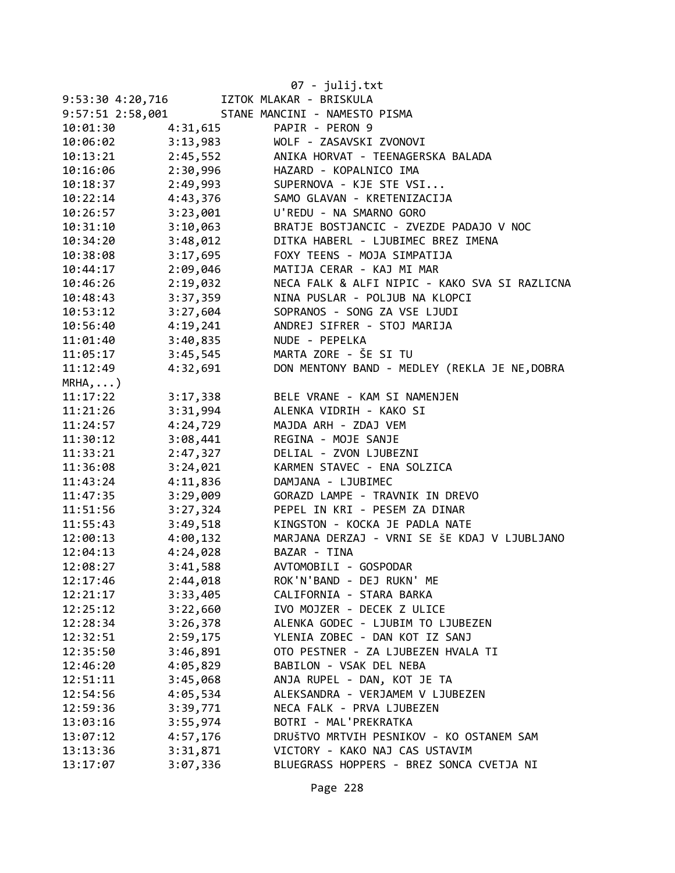|                     |          | 07 - julij.txt                                |
|---------------------|----------|-----------------------------------------------|
| 9:53:30 4:20,716    |          | IZTOK MLAKAR - BRISKULA                       |
| 9:57:51 2:58,001    |          | STANE MANCINI - NAMESTO PISMA                 |
| 10:01:30            | 4:31,615 | PAPIR - PERON 9                               |
| 10:06:02            | 3:13,983 | WOLF - ZASAVSKI ZVONOVI                       |
| 10:13:21            | 2:45,552 | ANIKA HORVAT - TEENAGERSKA BALADA             |
| 10:16:06            | 2:30,996 | HAZARD - KOPALNICO IMA                        |
| 10:18:37            | 2:49,993 | SUPERNOVA - KJE STE VSI                       |
| 10:22:14            | 4:43,376 | SAMO GLAVAN - KRETENIZACIJA                   |
| 10:26:57            | 3:23,001 | U'REDU - NA SMARNO GORO                       |
| 10:31:10            | 3:10,063 | BRATJE BOSTJANCIC - ZVEZDE PADAJO V NOC       |
| 10:34:20            | 3:48,012 | DITKA HABERL - LJUBIMEC BREZ IMENA            |
| 10:38:08            | 3:17,695 | FOXY TEENS - MOJA SIMPATIJA                   |
| 10:44:17            | 2:09,046 | MATIJA CERAR - KAJ MI MAR                     |
| 10:46:26            | 2:19,032 | NECA FALK & ALFI NIPIC - KAKO SVA SI RAZLICNA |
| 10:48:43            | 3:37,359 | NINA PUSLAR - POLJUB NA KLOPCI                |
| 10:53:12            | 3:27,604 | SOPRANOS - SONG ZA VSE LJUDI                  |
| 10:56:40            | 4:19,241 | ANDREJ SIFRER - STOJ MARIJA                   |
| 11:01:40            | 3:40,835 | NUDE - PEPELKA                                |
| 11:05:17            | 3:45,545 | MARTA ZORE - ŠE SI TU                         |
| 11:12:49            | 4:32,691 | DON MENTONY BAND - MEDLEY (REKLA JE NE, DOBRA |
| $MRHA$ , $\ldots$ ) |          |                                               |
| 11:17:22            | 3:17,338 | BELE VRANE - KAM SI NAMENJEN                  |
| 11:21:26            | 3:31,994 | ALENKA VIDRIH - KAKO SI                       |
| 11:24:57            | 4:24,729 | MAJDA ARH - ZDAJ VEM                          |
| 11:30:12            | 3:08,441 | REGINA - MOJE SANJE                           |
| 11:33:21            | 2:47,327 | DELIAL - ZVON LJUBEZNI                        |
| 11:36:08            | 3:24,021 | KARMEN STAVEC - ENA SOLZICA                   |
| 11:43:24            | 4:11,836 | DAMJANA - LJUBIMEC                            |
| 11:47:35            | 3:29,009 | GORAZD LAMPE - TRAVNIK IN DREVO               |
| 11:51:56            | 3:27,324 | PEPEL IN KRI - PESEM ZA DINAR                 |
| 11:55:43            | 3:49,518 | KINGSTON - KOCKA JE PADLA NATE                |
| 12:00:13            | 4:00,132 | MARJANA DERZAJ - VRNI SE ŠE KDAJ V LJUBLJANO  |
| 12:04:13            | 4:24,028 | BAZAR - TINA                                  |
| 12:08:27            | 3:41,588 | AVTOMOBILI - GOSPODAR                         |
| 12:17:46            | 2:44,018 | ROK'N'BAND - DEJ RUKN' ME                     |
| 12:21:17            | 3:33,405 | CALIFORNIA - STARA BARKA                      |
| 12:25:12            | 3:22,660 | IVO MOJZER - DECEK Z ULICE                    |
| 12:28:34            | 3:26,378 | ALENKA GODEC - LJUBIM TO LJUBEZEN             |
| 12:32:51            | 2:59,175 | YLENIA ZOBEC - DAN KOT IZ SANJ                |
| 12:35:50            | 3:46,891 | OTO PESTNER - ZA LJUBEZEN HVALA TI            |
| 12:46:20            | 4:05,829 | BABILON - VSAK DEL NEBA                       |
| 12:51:11            | 3:45,068 | ANJA RUPEL - DAN, KOT JE TA                   |
| 12:54:56            | 4:05,534 | ALEKSANDRA - VERJAMEM V LJUBEZEN              |
| 12:59:36            | 3:39,771 | NECA FALK - PRVA LJUBEZEN                     |
| 13:03:16            | 3:55,974 | BOTRI - MAL'PREKRATKA                         |
| 13:07:12            | 4:57,176 | DRUŠTVO MRTVIH PESNIKOV - KO OSTANEM SAM      |
| 13:13:36            | 3:31,871 | VICTORY - KAKO NAJ CAS USTAVIM                |
| 13:17:07            | 3:07,336 | BLUEGRASS HOPPERS - BREZ SONCA CVETJA NI      |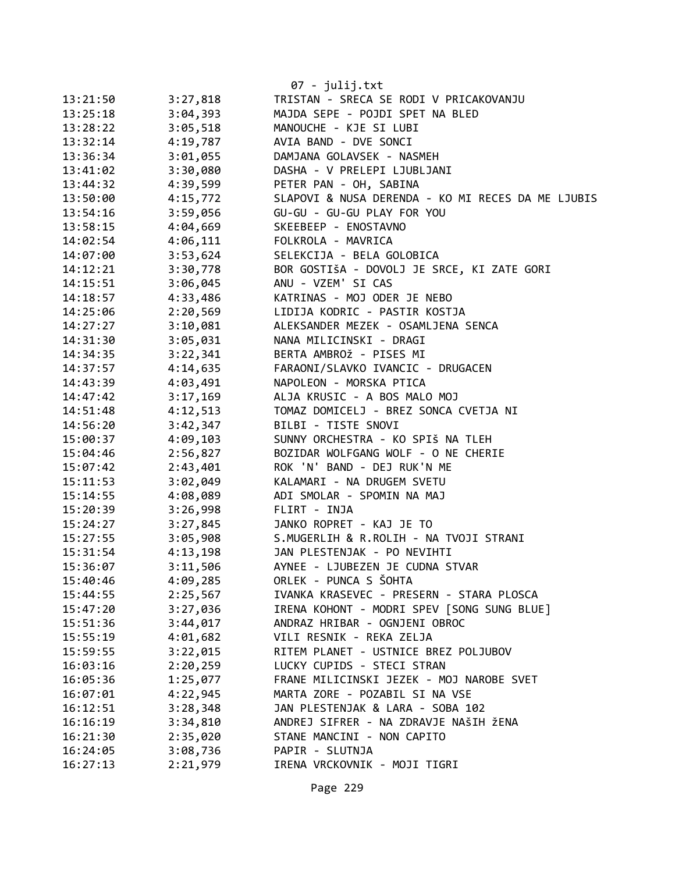|          |          | $07 - julij.txt$                                  |
|----------|----------|---------------------------------------------------|
| 13:21:50 | 3:27,818 | TRISTAN - SRECA SE RODI V PRICAKOVANJU            |
| 13:25:18 | 3:04,393 | MAJDA SEPE - POJDI SPET NA BLED                   |
| 13:28:22 | 3:05,518 | MANOUCHE - KJE SI LUBI                            |
| 13:32:14 | 4:19,787 | AVIA BAND - DVE SONCI                             |
| 13:36:34 | 3:01,055 | DAMJANA GOLAVSEK - NASMEH                         |
| 13:41:02 | 3:30,080 | DASHA - V PRELEPI LJUBLJANI                       |
| 13:44:32 | 4:39,599 | PETER PAN - OH, SABINA                            |
| 13:50:00 | 4:15,772 | SLAPOVI & NUSA DERENDA - KO MI RECES DA ME LJUBIS |
| 13:54:16 | 3:59,056 | GU-GU - GU-GU PLAY FOR YOU                        |
| 13:58:15 | 4:04,669 | SKEEBEEP - ENOSTAVNO                              |
| 14:02:54 | 4:06,111 | FOLKROLA - MAVRICA                                |
| 14:07:00 | 3:53,624 | SELEKCIJA - BELA GOLOBICA                         |
| 14:12:21 | 3:30,778 | BOR GOSTIŠA - DOVOLJ JE SRCE, KI ZATE GORI        |
| 14:15:51 | 3:06,045 | ANU - VZEM' SI CAS                                |
| 14:18:57 | 4:33,486 | KATRINAS - MOJ ODER JE NEBO                       |
| 14:25:06 | 2:20,569 | LIDIJA KODRIC - PASTIR KOSTJA                     |
| 14:27:27 | 3:10,081 | ALEKSANDER MEZEK - OSAMLJENA SENCA                |
| 14:31:30 | 3:05,031 | NANA MILICINSKI - DRAGI                           |
| 14:34:35 | 3:22,341 | BERTA AMBROŽ - PISES MI                           |
| 14:37:57 | 4:14,635 | FARAONI/SLAVKO IVANCIC - DRUGACEN                 |
| 14:43:39 | 4:03,491 | NAPOLEON - MORSKA PTICA                           |
| 14:47:42 | 3:17,169 | ALJA KRUSIC - A BOS MALO MOJ                      |
| 14:51:48 | 4:12,513 | TOMAZ DOMICELJ - BREZ SONCA CVETJA NI             |
| 14:56:20 | 3:42,347 | BILBI - TISTE SNOVI                               |
| 15:00:37 | 4:09,103 | SUNNY ORCHESTRA - KO SPIŠ NA TLEH                 |
| 15:04:46 | 2:56,827 | BOZIDAR WOLFGANG WOLF - O NE CHERIE               |
| 15:07:42 | 2:43,401 | ROK 'N' BAND - DEJ RUK'N ME                       |
| 15:11:53 | 3:02,049 | KALAMARI - NA DRUGEM SVETU                        |
| 15:14:55 | 4:08,089 | ADI SMOLAR - SPOMIN NA MAJ                        |
| 15:20:39 | 3:26,998 | FLIRT - INJA                                      |
| 15:24:27 | 3:27,845 | JANKO ROPRET - KAJ JE TO                          |
| 15:27:55 | 3:05,908 | S.MUGERLIH & R.ROLIH - NA TVOJI STRANI            |
| 15:31:54 | 4:13,198 | JAN PLESTENJAK - PO NEVIHTI                       |
| 15:36:07 | 3:11,506 | AYNEE - LJUBEZEN JE CUDNA STVAR                   |
| 15:40:46 | 4:09,285 | ORLEK - PUNCA S ŠOHTA                             |
| 15:44:55 | 2:25,567 | IVANKA KRASEVEC - PRESERN - STARA PLOSCA          |
| 15:47:20 | 3:27,036 | IRENA KOHONT - MODRI SPEV [SONG SUNG BLUE]        |
| 15:51:36 | 3:44,017 | ANDRAZ HRIBAR - OGNJENI OBROC                     |
| 15:55:19 | 4:01,682 | VILI RESNIK - REKA ZELJA                          |
| 15:59:55 | 3:22,015 | RITEM PLANET - USTNICE BREZ POLJUBOV              |
| 16:03:16 | 2:20,259 | LUCKY CUPIDS - STECI STRAN                        |
| 16:05:36 | 1:25,077 | FRANE MILICINSKI JEZEK - MOJ NAROBE SVET          |
| 16:07:01 | 4:22,945 | MARTA ZORE - POZABIL SI NA VSE                    |
| 16:12:51 | 3:28,348 | JAN PLESTENJAK & LARA - SOBA 102                  |
| 16:16:19 | 3:34,810 | ANDREJ SIFRER - NA ZDRAVJE NAŠIH ŽENA             |
| 16:21:30 | 2:35,020 | STANE MANCINI - NON CAPITO                        |
| 16:24:05 | 3:08,736 | PAPIR - SLUTNJA                                   |
| 16:27:13 | 2:21,979 | IRENA VRCKOVNIK - MOJI TIGRI                      |
|          |          |                                                   |